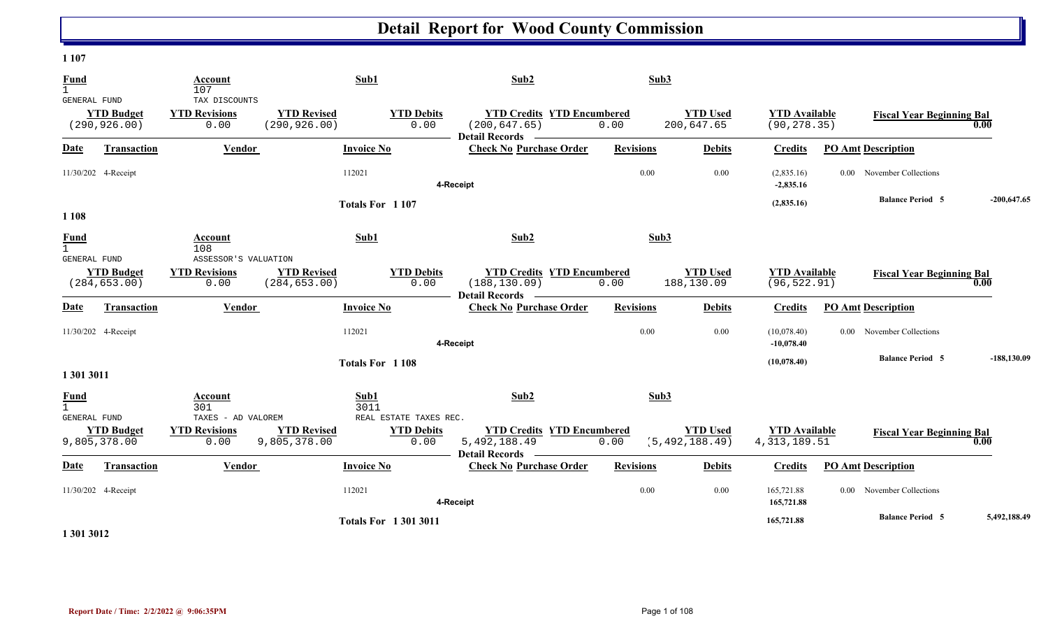#### **1 107**

| <b>Fund</b><br>$\mathbf{1}$                        |                                    | Account<br>107                                       |                                     | Sub1                                   | Sub2                                                                       | Sub3             |                                     |                                         |                                  |               |
|----------------------------------------------------|------------------------------------|------------------------------------------------------|-------------------------------------|----------------------------------------|----------------------------------------------------------------------------|------------------|-------------------------------------|-----------------------------------------|----------------------------------|---------------|
| GENERAL FUND                                       | <b>YTD Budget</b><br>(290, 926.00) | TAX DISCOUNTS<br><b>YTD Revisions</b><br>0.00        | <b>YTD Revised</b><br>(290, 926.00) | <b>YTD Debits</b><br>0.00              | <b>YTD Credits YTD Encumbered</b><br>(200, 647.65)<br>Detail Records —     | 0.00             | <b>YTD Used</b><br>200,647.65       | <b>YTD Available</b><br>(90, 278.35)    | <b>Fiscal Year Beginning Bal</b> | 0.00          |
| Date                                               | Transaction                        | Vendor                                               |                                     | <b>Invoice No</b>                      | <b>Check No Purchase Order</b>                                             | <b>Revisions</b> | <b>Debits</b>                       | <b>Credits</b>                          | <b>PO Amt Description</b>        |               |
| 11/30/202 4-Receipt                                |                                    |                                                      |                                     | 112021                                 | 4-Receipt                                                                  | 0.00             | 0.00                                | (2,835.16)<br>$-2,835.16$               | 0.00 November Collections        |               |
| 1 1 0 8                                            |                                    |                                                      |                                     | Totals For 1107                        |                                                                            |                  |                                     | (2,835.16)                              | <b>Balance Period 5</b>          | $-200,647.65$ |
| <b>Fund</b><br>$\mathbf{1}$<br>GENERAL FUND        |                                    | Account<br>108                                       |                                     | Sub1                                   | Sub2                                                                       | Sub3             |                                     |                                         |                                  |               |
|                                                    | <b>YTD Budget</b><br>(284, 653.00) | ASSESSOR'S VALUATION<br><b>YTD Revisions</b><br>0.00 | <b>YTD Revised</b><br>(284, 653.00) | <b>YTD Debits</b><br>0.00              | <b>YTD Credits YTD Encumbered</b><br>(188, 130.09)<br>Detail Records ——    | 0.00             | <b>YTD Used</b><br>188,130.09       | <b>YTD Available</b><br>(96, 522.91)    | <b>Fiscal Year Beginning Bal</b> | 0.00          |
| <b>Date</b>                                        | <b>Transaction</b>                 | Vendor                                               |                                     | <b>Invoice No</b>                      | <b>Check No Purchase Order</b>                                             | <b>Revisions</b> | <b>Debits</b>                       | <b>Credits</b>                          | <b>PO Amt Description</b>        |               |
| 11/30/202 4-Receipt                                |                                    |                                                      |                                     | 112021                                 | 4-Receipt                                                                  | 0.00             | 0.00                                | (10,078.40)<br>$-10,078.40$             | 0.00 November Collections        |               |
| 1 301 3011                                         |                                    |                                                      |                                     | Totals For 1108                        |                                                                            |                  |                                     | (10,078.40)                             | <b>Balance Period 5</b>          | $-188,130.09$ |
| <b>Fund</b><br>$\mathbf{1}$<br><b>GENERAL FUND</b> |                                    | Account<br>301<br>TAXES - AD VALOREM                 |                                     | Sub1<br>3011<br>REAL ESTATE TAXES REC. | Sub2                                                                       | Sub3             |                                     |                                         |                                  |               |
| 9,805,378.00                                       | <b>YTD Budget</b>                  | <b>YTD Revisions</b><br>0.00                         | <b>YTD Revised</b><br>9,805,378.00  | <b>YTD Debits</b><br>0.00              | <b>YTD Credits YTD Encumbered</b><br>5,492,188.49<br><b>Detail Records</b> | 0.00             | <b>YTD Used</b><br>(5, 492, 188.49) | <b>YTD Available</b><br>4, 313, 189. 51 | <b>Fiscal Year Beginning Bal</b> | 0.00          |
| Date                                               | Transaction                        | Vendor                                               |                                     | <b>Invoice No</b>                      | <b>Check No Purchase Order</b>                                             | <b>Revisions</b> | <b>Debits</b>                       | <b>Credits</b>                          | <b>PO Amt Description</b>        |               |
| 11/30/202 4-Receipt                                |                                    |                                                      |                                     | 112021                                 | 4-Receipt                                                                  | 0.00             | 0.00                                | 165,721.88<br>165,721.88                | 0.00 November Collections        |               |
|                                                    |                                    |                                                      |                                     | <b>Totals For 13013011</b>             |                                                                            |                  |                                     | 165,721.88                              | <b>Balance Period 5</b>          | 5,492,188.49  |

**1 301 3012**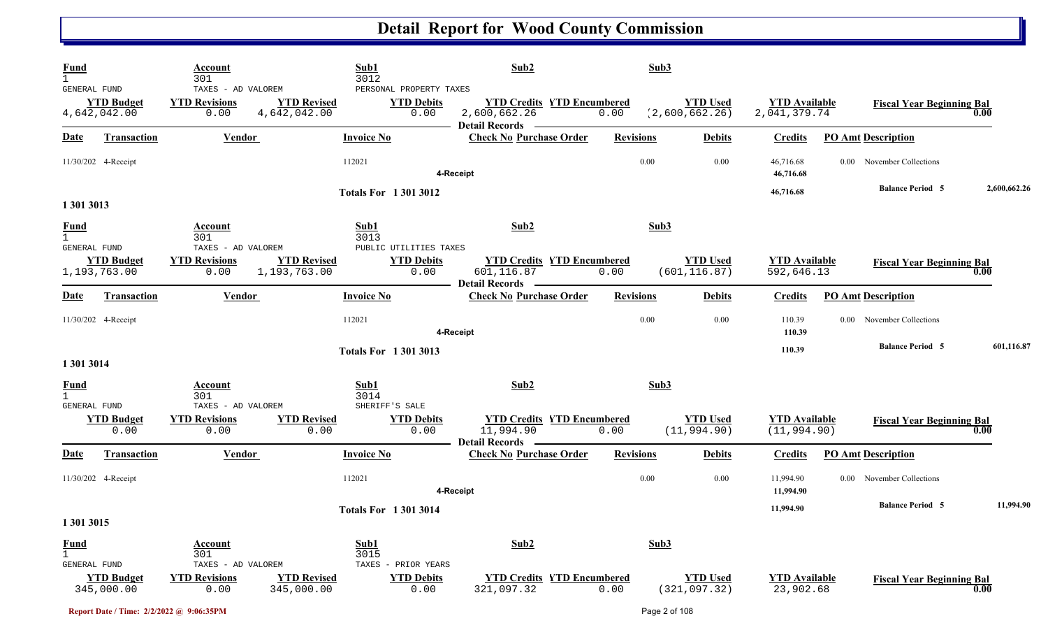| <b>Fund</b><br>$\mathbf{1}$<br>GENERAL FUND |                                   | Account<br>301<br>TAXES - AD VALOREM               |                                    | Sub1<br>3012<br>PERSONAL PROPERTY TAXES             | Sub2                                                                                                           | Sub3             |                                   |                                      |                                  |              |
|---------------------------------------------|-----------------------------------|----------------------------------------------------|------------------------------------|-----------------------------------------------------|----------------------------------------------------------------------------------------------------------------|------------------|-----------------------------------|--------------------------------------|----------------------------------|--------------|
|                                             | <b>YTD Budget</b><br>4,642,042.00 | <b>YTD Revisions</b><br>0.00                       | <b>YTD Revised</b><br>4,642,042.00 | <b>YTD Debits</b><br>0.00                           | <b>YTD Credits YTD Encumbered</b><br>2,600,662.26<br>Detail Records ————                                       | 0.00             | <b>YTD Used</b><br>(2,600,662.26) | <b>YTD</b> Available<br>2,041,379.74 | <b>Fiscal Year Beginning Bal</b> | 0.00         |
| Date                                        | <b>Transaction</b>                | <b>Vendor</b>                                      |                                    | <b>Invoice No</b>                                   | <b>Check No Purchase Order</b>                                                                                 | <b>Revisions</b> | <b>Debits</b>                     | <b>Credits</b>                       | <b>PO Amt Description</b>        |              |
|                                             | 11/30/202 4-Receipt               |                                                    |                                    | 112021                                              | 4-Receipt                                                                                                      | 0.00             | 0.00                              | 46,716.68<br>46,716.68               | 0.00 November Collections        |              |
| 1 301 3013                                  |                                   |                                                    |                                    | <b>Totals For 13013012</b>                          |                                                                                                                |                  |                                   | 46,716.68                            | <b>Balance Period 5</b>          | 2,600,662.26 |
| <b>Fund</b><br>$\mathbf{1}$                 |                                   | Account<br>301                                     |                                    | Sub1<br>3013                                        | Sub2                                                                                                           | Sub3             |                                   |                                      |                                  |              |
| GENERAL FUND                                | <b>YTD Budget</b><br>1,193,763.00 | TAXES - AD VALOREM<br><b>YTD Revisions</b><br>0.00 | <b>YTD Revised</b><br>1,193,763.00 | PUBLIC UTILITIES TAXES<br><b>YTD Debits</b><br>0.00 | <b>YTD Credits YTD Encumbered</b><br>601,116.87                                                                | 0.00             | <b>YTD Used</b><br>(601, 116.87)  | <b>YTD</b> Available<br>592,646.13   | <b>Fiscal Year Beginning Bal</b> | 0.00         |
| Date                                        | Transaction                       | Vendor                                             |                                    | <b>Invoice No</b>                                   | <b>Detail Records</b><br><b>Check No Purchase Order</b>                                                        | <b>Revisions</b> | <b>Debits</b>                     | <b>Credits</b>                       | <b>PO Amt Description</b>        |              |
|                                             | 11/30/202 4-Receipt               |                                                    |                                    | 112021                                              | 4-Receipt                                                                                                      | 0.00             | 0.00                              | 110.39<br>110.39                     | November Collections<br>$0.00 -$ |              |
| 1 301 3014                                  |                                   |                                                    |                                    | <b>Totals For 13013013</b>                          |                                                                                                                |                  |                                   | 110.39                               | <b>Balance Period 5</b>          | 601,116.87   |
| <b>Fund</b><br>$\mathbf{1}$                 |                                   | Account<br>301                                     |                                    | Sub1<br>3014                                        | Sub2                                                                                                           | Sub3             |                                   |                                      |                                  |              |
| GENERAL FUND                                | <b>YTD Budget</b><br>0.00         | TAXES - AD VALOREM<br><b>YTD Revisions</b><br>0.00 | <b>YTD</b> Revised<br>0.00         | SHERIFF'S SALE<br><b>YTD Debits</b><br>0.00         | <b>YTD Credits YTD Encumbered</b><br>11,994.90<br><b>Detail Records</b><br>the contract of the contract of the | 0.00             | <b>YTD Used</b><br>(11, 994.90)   | <b>YTD</b> Available<br>(11, 994.90) | <b>Fiscal Year Beginning Bal</b> | 0.00         |
| <u>Date</u>                                 | <b>Transaction</b>                | <b>Vendor</b>                                      |                                    | <b>Invoice No</b>                                   | <b>Check No Purchase Order</b>                                                                                 | <b>Revisions</b> | <b>Debits</b>                     | <b>Credits</b>                       | <b>PO Amt Description</b>        |              |
|                                             | 11/30/202 4-Receipt               |                                                    |                                    | 112021                                              | 4-Receipt                                                                                                      | 0.00             | 0.00                              | 11,994.90<br>11,994.90               | November Collections<br>$0.00\,$ |              |
| 1 301 3015                                  |                                   |                                                    |                                    | <b>Totals For 13013014</b>                          |                                                                                                                |                  |                                   | 11,994.90                            | <b>Balance Period 5</b>          | 11,994.90    |
| <b>Fund</b><br>$\mathbf{1}$                 |                                   | <b>Account</b><br>301                              |                                    | Sub1<br>3015                                        | Sub2                                                                                                           | Sub3             |                                   |                                      |                                  |              |
| GENERAL FUND                                | <b>YTD Budget</b><br>345,000.00   | TAXES - AD VALOREM<br><b>YTD Revisions</b><br>0.00 | <b>YTD Revised</b><br>345,000.00   | TAXES - PRIOR YEARS<br><b>YTD Debits</b><br>0.00    | <b>YTD Credits YTD Encumbered</b><br>321,097.32                                                                | 0.00             | <b>YTD Used</b><br>(321, 097.32)  | <b>YTD</b> Available<br>23,902.68    | <b>Fiscal Year Beginning Bal</b> | 0.00         |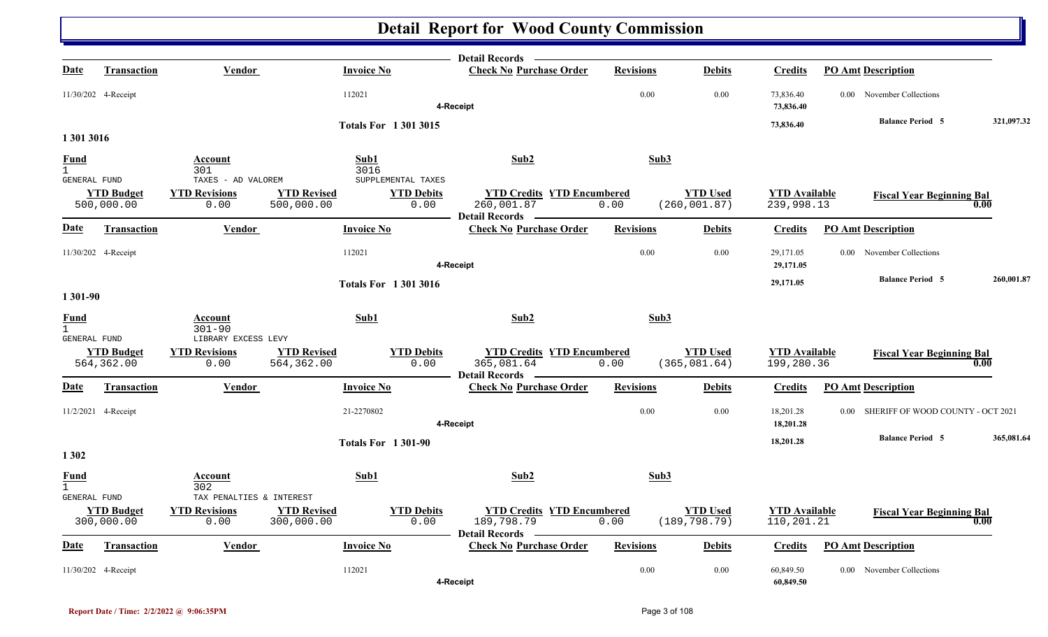|                                               |                                 |                                                          |                                  |                           |                            | Detail Records —                                                         |                  |                                  |                                    |                                                     |            |
|-----------------------------------------------|---------------------------------|----------------------------------------------------------|----------------------------------|---------------------------|----------------------------|--------------------------------------------------------------------------|------------------|----------------------------------|------------------------------------|-----------------------------------------------------|------------|
| Date                                          | <b>Transaction</b>              | Vendor                                                   |                                  | <b>Invoice No</b>         |                            | <b>Check No Purchase Order</b>                                           | <b>Revisions</b> | <b>Debits</b>                    | <b>Credits</b>                     | <b>PO Amt Description</b>                           |            |
|                                               | 11/30/202 4-Receipt             |                                                          |                                  | 112021                    |                            | 4-Receipt                                                                | 0.00             | 0.00                             | 73,836.40<br>73,836.40             | 0.00 November Collections                           |            |
|                                               |                                 |                                                          |                                  |                           | <b>Totals For 13013015</b> |                                                                          |                  |                                  | 73,836.40                          | <b>Balance Period 5</b>                             | 321,097.32 |
| 1 301 3016                                    |                                 |                                                          |                                  |                           |                            |                                                                          |                  |                                  |                                    |                                                     |            |
| <b>Fund</b><br>$\overline{1}$<br>GENERAL FUND |                                 | Account<br>301<br>TAXES - AD VALOREM                     |                                  | Sub1<br>3016              | SUPPLEMENTAL TAXES         | Sub2                                                                     |                  | Sub3                             |                                    |                                                     |            |
|                                               | <b>YTD Budget</b><br>500,000.00 | <b>YTD Revisions</b><br>0.00                             | <b>YTD Revised</b><br>500,000.00 |                           | <b>YTD Debits</b><br>0.00  | <b>YTD Credits YTD Encumbered</b><br>260,001.87<br><b>Detail Records</b> | 0.00             | <b>YTD Used</b><br>(260, 001.87) | <b>YTD Available</b><br>239,998.13 | <b>Fiscal Year Beginning Bal</b>                    | 0.00       |
| Date                                          | <b>Transaction</b>              | Vendor                                                   |                                  | <b>Invoice No</b>         |                            | <b>Check No Purchase Order</b>                                           | <b>Revisions</b> | <b>Debits</b>                    | <b>Credits</b>                     | <b>PO Amt Description</b>                           |            |
|                                               | 11/30/202 4-Receipt             |                                                          |                                  | 112021                    |                            | 4-Receipt                                                                | 0.00             | 0.00                             | 29,171.05<br>29,171.05             | 0.00 November Collections                           |            |
| 1 301-90                                      |                                 |                                                          |                                  |                           | <b>Totals For 13013016</b> |                                                                          |                  |                                  | 29,171.05                          | <b>Balance Period 5</b>                             | 260,001.87 |
| <b>Fund</b><br>$\overline{1}$                 |                                 | Account<br>$301 - 90$                                    |                                  | Sub1                      |                            | Sub2                                                                     |                  | Sub3                             |                                    |                                                     |            |
| GENERAL FUND                                  | <b>YTD Budget</b><br>564,362.00 | LIBRARY EXCESS LEVY<br><b>YTD Revisions</b><br>0.00      | <b>YTD Revised</b><br>564,362.00 |                           | <b>YTD Debits</b><br>0.00  | <b>YTD Credits YTD Encumbered</b><br>365,081.64<br><b>Detail Records</b> | 0.00             | <b>YTD Used</b><br>(365, 081.64) | <b>YTD Available</b><br>199,280.36 | <b>Fiscal Year Beginning Bal</b>                    | 0.00       |
| <u>Date</u>                                   | <b>Transaction</b>              | Vendor                                                   |                                  | <b>Invoice No</b>         |                            | <b>Check No Purchase Order</b>                                           | <b>Revisions</b> | <b>Debits</b>                    | <b>Credits</b>                     | <b>PO Amt Description</b>                           |            |
|                                               | 11/2/2021 4-Receipt             |                                                          |                                  | 21-2270802                |                            | 4-Receipt                                                                | 0.00             | 0.00                             | 18,201.28<br>18,201.28             | SHERIFF OF WOOD COUNTY - OCT 2021<br>$0.00^{\circ}$ |            |
| 1 3 0 2                                       |                                 |                                                          |                                  | <b>Totals For 1301-90</b> |                            |                                                                          |                  |                                  | 18,201.28                          | <b>Balance Period 5</b>                             | 365,081.64 |
| Fund<br>$\mathbf{1}$                          |                                 | Account<br>302                                           |                                  | Sub1                      |                            | Sub <sub>2</sub>                                                         |                  | Sub3                             |                                    |                                                     |            |
| GENERAL FUND                                  | <b>YTD Budget</b><br>300,000.00 | TAX PENALTIES & INTEREST<br><b>YTD Revisions</b><br>0.00 | <b>YTD Revised</b><br>300,000.00 |                           | <b>YTD Debits</b><br>0.00  | <b>YTD Credits YTD Encumbered</b><br>189,798.79<br><b>Detail Records</b> | 0.00             | <b>YTD Used</b><br>(189, 798.79) | <b>YTD</b> Available<br>110,201.21 | <b>Fiscal Year Beginning Bal</b>                    | 0.00       |
| <u>Date</u>                                   | <b>Transaction</b>              | <b>Vendor</b>                                            |                                  | <b>Invoice No</b>         |                            | <b>Check No Purchase Order</b>                                           | <b>Revisions</b> | <b>Debits</b>                    | <b>Credits</b>                     | <b>PO Amt Description</b>                           |            |
|                                               | 11/30/202 4-Receipt             |                                                          |                                  | 112021                    |                            | 4-Receipt                                                                | 0.00             | 0.00                             | 60,849.50<br>60,849.50             | 0.00 November Collections                           |            |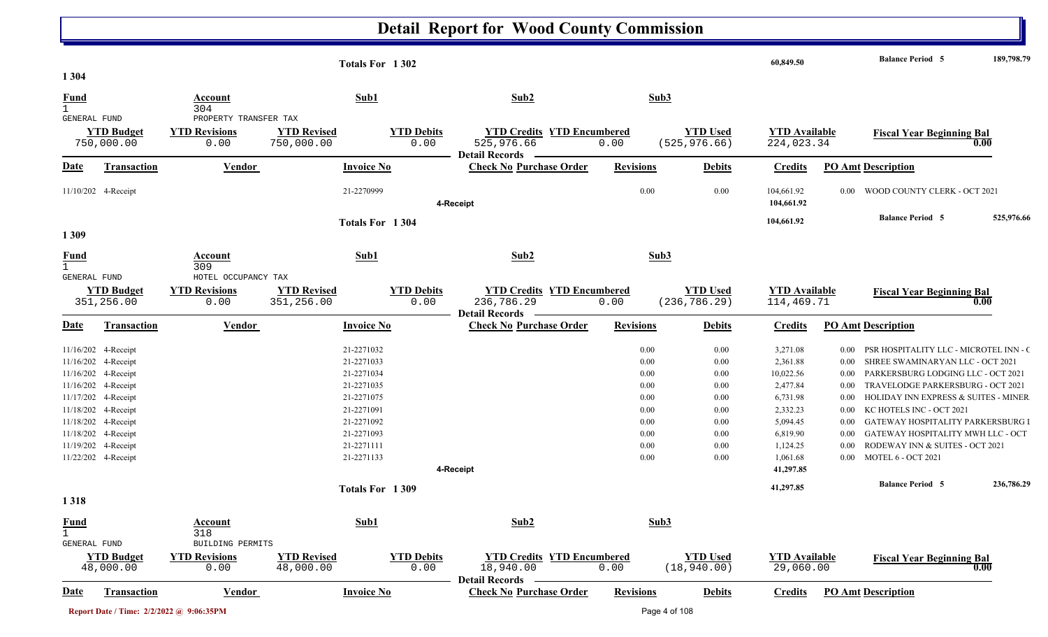|                                             |                                                                                                                                                                                                                                    |                                                                    | Totals For 1302                                                                                                                                             |                           |                                                                          |                                                                              |                                                                              | 60,849.50                                                                                                                                       |                                                                                                  | <b>Balance Period 5</b>                                                                                                                                                                                                                                                                                                                                                                                   | 189,798.79 |
|---------------------------------------------|------------------------------------------------------------------------------------------------------------------------------------------------------------------------------------------------------------------------------------|--------------------------------------------------------------------|-------------------------------------------------------------------------------------------------------------------------------------------------------------|---------------------------|--------------------------------------------------------------------------|------------------------------------------------------------------------------|------------------------------------------------------------------------------|-------------------------------------------------------------------------------------------------------------------------------------------------|--------------------------------------------------------------------------------------------------|-----------------------------------------------------------------------------------------------------------------------------------------------------------------------------------------------------------------------------------------------------------------------------------------------------------------------------------------------------------------------------------------------------------|------------|
| 1 3 0 4                                     |                                                                                                                                                                                                                                    |                                                                    |                                                                                                                                                             |                           |                                                                          |                                                                              |                                                                              |                                                                                                                                                 |                                                                                                  |                                                                                                                                                                                                                                                                                                                                                                                                           |            |
| <b>Fund</b><br>$\mathbf{1}$                 |                                                                                                                                                                                                                                    | Account<br>304                                                     | Sub1                                                                                                                                                        |                           | Sub2                                                                     |                                                                              | Sub3                                                                         |                                                                                                                                                 |                                                                                                  |                                                                                                                                                                                                                                                                                                                                                                                                           |            |
| GENERAL FUND                                | <b>YTD Budget</b><br>750,000.00                                                                                                                                                                                                    | PROPERTY TRANSFER TAX<br><b>YTD Revisions</b><br>0.00              | <b>YTD Revised</b><br>750,000.00                                                                                                                            | <b>YTD Debits</b><br>0.00 | <b>YTD Credits YTD Encumbered</b><br>525,976.66<br><b>Detail Records</b> | 0.00                                                                         | <b>YTD Used</b><br>(525, 976.66)                                             | <b>YTD</b> Available<br>224,023.34                                                                                                              |                                                                                                  | <b>Fiscal Year Beginning Bal</b>                                                                                                                                                                                                                                                                                                                                                                          | 0.00       |
| Date                                        | Transaction                                                                                                                                                                                                                        | Vendor                                                             | <b>Invoice No</b>                                                                                                                                           |                           | <b>Check No Purchase Order</b>                                           | <b>Revisions</b>                                                             | <b>Debits</b>                                                                | <b>Credits</b>                                                                                                                                  |                                                                                                  | <b>PO Amt Description</b>                                                                                                                                                                                                                                                                                                                                                                                 |            |
|                                             | 11/10/202 4-Receipt                                                                                                                                                                                                                |                                                                    | 21-2270999                                                                                                                                                  |                           | 4-Receipt                                                                | 0.00                                                                         | 0.00                                                                         | 104,661.92<br>104,661.92                                                                                                                        | 0.00                                                                                             | WOOD COUNTY CLERK - OCT 2021                                                                                                                                                                                                                                                                                                                                                                              |            |
| 1309                                        |                                                                                                                                                                                                                                    |                                                                    | Totals For 1304                                                                                                                                             |                           |                                                                          |                                                                              |                                                                              | 104,661.92                                                                                                                                      |                                                                                                  | <b>Balance Period 5</b>                                                                                                                                                                                                                                                                                                                                                                                   | 525,976.66 |
| <b>Fund</b><br>$\mathbf{1}$                 |                                                                                                                                                                                                                                    | Account<br>309                                                     | Sub1                                                                                                                                                        |                           | Sub2                                                                     |                                                                              | Sub3                                                                         |                                                                                                                                                 |                                                                                                  |                                                                                                                                                                                                                                                                                                                                                                                                           |            |
| <b>GENERAL FUND</b>                         | <b>YTD Budget</b><br>351,256.00                                                                                                                                                                                                    | HOTEL OCCUPANCY TAX<br><b>YTD Revisions</b><br>0.00                | <b>YTD Revised</b><br>351,256.00                                                                                                                            | <b>YTD Debits</b><br>0.00 | <b>YTD Credits YTD Encumbered</b><br>236,786.29                          | 0.00                                                                         | <b>YTD Used</b><br>(236, 786.29)                                             | <b>YTD Available</b><br>114,469.71                                                                                                              |                                                                                                  | <b>Fiscal Year Beginning Bal</b>                                                                                                                                                                                                                                                                                                                                                                          | 0.00       |
| <b>Date</b>                                 | Transaction                                                                                                                                                                                                                        | Vendor                                                             | <b>Invoice No</b>                                                                                                                                           |                           | <b>Detail Records</b><br><b>Check No Purchase Order</b>                  | <b>Revisions</b>                                                             | <b>Debits</b>                                                                | <b>Credits</b>                                                                                                                                  |                                                                                                  | <b>PO Amt Description</b>                                                                                                                                                                                                                                                                                                                                                                                 |            |
|                                             | 11/16/202 4-Receipt<br>11/16/202 4-Receipt<br>11/16/202 4-Receipt<br>11/16/202 4-Receipt<br>11/17/202 4-Receipt<br>11/18/202 4-Receipt<br>11/18/202 4-Receipt<br>11/18/202 4-Receipt<br>11/19/202 4-Receipt<br>11/22/202 4-Receipt |                                                                    | 21-2271032<br>21-2271033<br>21-2271034<br>21-2271035<br>21-2271075<br>21-2271091<br>21-2271092<br>21-2271093<br>21-2271111<br>21-2271133<br>Totals For 1309 |                           | 4-Receipt                                                                | 0.00<br>0.00<br>0.00<br>0.00<br>0.00<br>0.00<br>0.00<br>0.00<br>0.00<br>0.00 | 0.00<br>0.00<br>0.00<br>0.00<br>0.00<br>0.00<br>0.00<br>0.00<br>0.00<br>0.00 | 3,271.08<br>2,361.88<br>10,022.56<br>2,477.84<br>6,731.98<br>2,332.23<br>5,094.45<br>6,819.90<br>1,124.25<br>1,061.68<br>41,297.85<br>41,297.85 | 0.00<br>0.00<br>$0.00\,$<br>0.00<br>0.00<br>$0.00\,$<br>0.00<br>$0.00\,$<br>$0.00\,$<br>$0.00\,$ | PSR HOSPITALITY LLC - MICROTEL INN - O<br>SHREE SWAMINARYAN LLC - OCT 2021<br>PARKERSBURG LODGING LLC - OCT 2021<br>TRAVELODGE PARKERSBURG - OCT 2021<br><b>HOLIDAY INN EXPRESS &amp; SUITES - MINER</b><br>KC HOTELS INC - OCT 2021<br>GATEWAY HOSPITALITY PARKERSBURG I<br>GATEWAY HOSPITALITY MWH LLC - OCT<br>RODEWAY INN & SUITES - OCT 2021<br><b>MOTEL 6 - OCT 2021</b><br><b>Balance Period 5</b> | 236,786.29 |
| 1318                                        |                                                                                                                                                                                                                                    |                                                                    |                                                                                                                                                             |                           |                                                                          |                                                                              |                                                                              |                                                                                                                                                 |                                                                                                  |                                                                                                                                                                                                                                                                                                                                                                                                           |            |
| <b>Fund</b><br>$\mathbf{1}$<br>GENERAL FUND | <b>YTD Budget</b><br>48,000.00                                                                                                                                                                                                     | Account<br>318<br>BUILDING PERMITS<br><b>YTD Revisions</b><br>0.00 | Sub1<br><b>YTD Revised</b><br>48,000.00                                                                                                                     | <b>YTD Debits</b><br>0.00 | Sub2<br><b>YTD Credits YTD Encumbered</b><br>18,940.00                   | 0.00                                                                         | Sub3<br><b>YTD Used</b><br>(18, 940.00)                                      | <b>YTD</b> Available<br>29,060.00                                                                                                               |                                                                                                  | <b>Fiscal Year Beginning Bal</b>                                                                                                                                                                                                                                                                                                                                                                          | 0.00       |
| <b>Date</b>                                 | <b>Transaction</b>                                                                                                                                                                                                                 | <b>Vendor</b>                                                      | <b>Invoice No</b>                                                                                                                                           |                           | <b>Detail Records</b><br><b>Check No Purchase Order</b>                  | <b>Revisions</b>                                                             | <b>Debits</b>                                                                | <b>Credits</b>                                                                                                                                  |                                                                                                  | <b>PO Amt Description</b>                                                                                                                                                                                                                                                                                                                                                                                 |            |
|                                             |                                                                                                                                                                                                                                    | Report Date / Time: 2/2/2022 @ 9:06:35PM                           |                                                                                                                                                             |                           |                                                                          |                                                                              | Page 4 of 108                                                                |                                                                                                                                                 |                                                                                                  |                                                                                                                                                                                                                                                                                                                                                                                                           |            |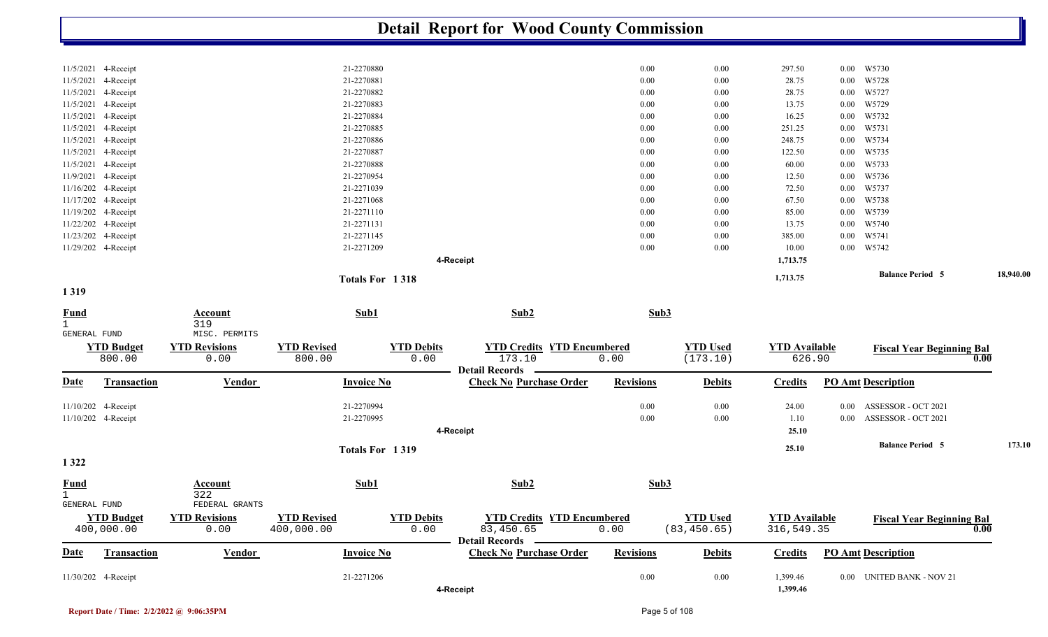|                                             |                                                                   |                                               |                                                               | <b>Detail Report for Wood County Commission</b>                         |                          |                                 |                                    |                                  |                                            |           |
|---------------------------------------------|-------------------------------------------------------------------|-----------------------------------------------|---------------------------------------------------------------|-------------------------------------------------------------------------|--------------------------|---------------------------------|------------------------------------|----------------------------------|--------------------------------------------|-----------|
|                                             | 11/5/2021 4-Receipt<br>11/5/2021 4-Receipt                        |                                               | 21-2270880<br>21-2270881                                      |                                                                         | 0.00<br>0.00             | 0.00<br>0.00                    | 297.50<br>28.75                    | $0.00\,$<br>$0.00\,$             | W5730<br>W5728                             |           |
|                                             | 11/5/2021 4-Receipt<br>11/5/2021 4-Receipt<br>11/5/2021 4-Receipt |                                               | 21-2270882<br>21-2270883<br>21-2270884                        |                                                                         | 0.00<br>0.00<br>0.00     | $0.00\,$<br>0.00<br>0.00        | 28.75<br>13.75<br>16.25            | $0.00\,$<br>$0.00\,$             | 0.00 W5727<br>W5729<br>W5732               |           |
|                                             | 11/5/2021 4-Receipt<br>11/5/2021 4-Receipt                        |                                               | 21-2270885<br>21-2270886                                      |                                                                         | 0.00<br>0.00             | $0.00\,$<br>0.00                | 251.25<br>248.75                   | $0.00\,$<br>$0.00\,$             | W5731<br>W5734                             |           |
|                                             | 11/5/2021 4-Receipt<br>11/5/2021 4-Receipt<br>11/9/2021 4-Receipt |                                               | 21-2270887<br>21-2270888<br>21-2270954                        |                                                                         | $0.00\,$<br>0.00<br>0.00 | 0.00<br>$0.00\,$                | 122.50<br>60.00                    | $0.00\,$<br>$0.00\,$             | W5735<br>W5733<br>W5736                    |           |
|                                             | 11/16/202 4-Receipt<br>11/17/202 4-Receipt                        |                                               | 21-2271039<br>21-2271068                                      |                                                                         | 0.00<br>0.00             | $0.00\,$<br>0.00<br>$0.00\,$    | 12.50<br>72.50<br>67.50            | $0.00\,$<br>$0.00\,$<br>$0.00\,$ | W5737<br>W5738                             |           |
|                                             | 11/19/202 4-Receipt<br>11/22/202 4-Receipt<br>11/23/202 4-Receipt |                                               | 21-2271110<br>21-2271131<br>21-2271145                        |                                                                         | 0.00<br>0.00<br>0.00     | 0.00<br>0.00<br>0.00            | 85.00<br>13.75<br>385.00           | $0.00\,$<br>$0.00\,$<br>$0.00\,$ | W5739<br>W5740<br>W5741                    |           |
|                                             | 11/29/202 4-Receipt                                               |                                               | 21-2271209                                                    | 4-Receipt                                                               | 0.00                     | 0.00                            | 10.00<br>1,713.75                  | $0.00\,$                         | W5742                                      |           |
| 1319                                        |                                                                   |                                               | Totals For 1318                                               |                                                                         |                          |                                 | 1,713.75                           |                                  | <b>Balance Period 5</b>                    | 18,940.00 |
| $\frac{Fund}{1}$                            |                                                                   | Account<br>319                                | Sub1                                                          | Sub2                                                                    | Sub3                     |                                 |                                    |                                  |                                            |           |
| GENERAL FUND                                | <b>YTD Budget</b><br>800.00                                       | MISC. PERMITS<br><b>YTD Revisions</b><br>0.00 | <b>YTD Revised</b><br><b>YTD Debits</b><br>0.00<br>800.00     | <b>YTD Credits YTD Encumbered</b><br>173.10<br><b>Detail Records</b>    | 0.00                     | <b>YTD Used</b><br>(173.10)     | <b>YTD Available</b><br>626.90     |                                  | <b>Fiscal Year Beginning Bal</b>           | 0.00      |
| <b>Date</b>                                 | Transaction                                                       | Vendor                                        | <b>Invoice No</b>                                             | <b>Check No Purchase Order</b>                                          | <b>Revisions</b>         | <b>Debits</b>                   | <b>Credits</b>                     |                                  | <b>PO Amt Description</b>                  |           |
|                                             | 11/10/202 4-Receipt<br>11/10/202 4-Receipt                        |                                               | 21-2270994<br>21-2270995                                      | 4-Receipt                                                               | 0.00<br>0.00             | 0.00<br>0.00                    | 24.00<br>1.10<br>25.10             | $0.00\,$<br>$0.00\,$             | ASSESSOR - OCT 2021<br>ASSESSOR - OCT 2021 |           |
| 1 3 2 2                                     |                                                                   |                                               | Totals For 1319                                               |                                                                         |                          |                                 | 25.10                              |                                  | <b>Balance Period 5</b>                    | 173.10    |
| <b>Fund</b><br>$\mathbf{1}$<br>GENERAL FUND |                                                                   | <b>Account</b><br>322<br>FEDERAL GRANTS       | Sub1                                                          | Sub2                                                                    | Sub3                     |                                 |                                    |                                  |                                            |           |
|                                             | <b>YTD Budget</b><br>400,000.00                                   | <b>YTD Revisions</b><br>0.00                  | <b>YTD Revised</b><br><b>YTD Debits</b><br>400,000.00<br>0.00 | <b>YTD Credits YTD Encumbered</b><br>83,450.65<br><b>Detail Records</b> | 0.00                     | <b>YTD Used</b><br>(83, 450.65) | <b>YTD Available</b><br>316,549.35 |                                  | <b>Fiscal Year Beginning Bal</b>           | 0.00      |
| <b>Date</b>                                 | Transaction                                                       | <b>Vendor</b>                                 | <b>Invoice No</b>                                             | <b>Check No Purchase Order</b>                                          | <b>Revisions</b>         | <b>Debits</b>                   | <b>Credits</b>                     |                                  | <b>PO Amt Description</b>                  |           |
|                                             | 11/30/202 4-Receipt                                               |                                               | 21-2271206                                                    | 4-Receipt                                                               | $0.00\,$                 | $0.00\,$                        | 1,399.46<br>1,399.46               |                                  | 0.00 UNITED BANK - NOV 21                  |           |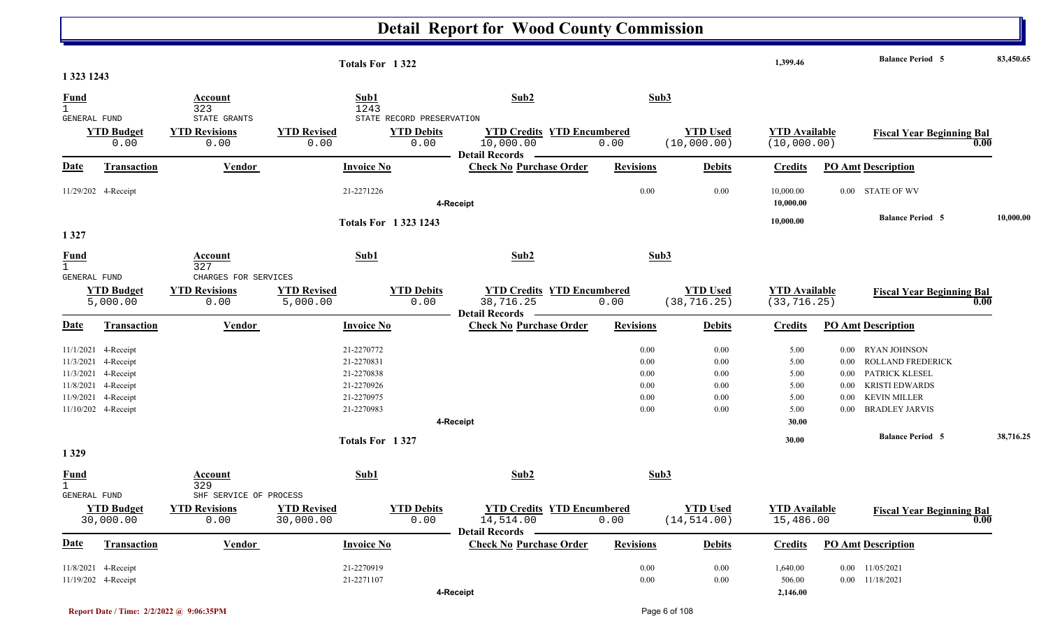|                                             |                                            |                                                      |                                 | Totals For 1322            |                                                                         |                  |                                 | 1,399.46                             |                      | <b>Balance Period 5</b>           | 83,450.65 |
|---------------------------------------------|--------------------------------------------|------------------------------------------------------|---------------------------------|----------------------------|-------------------------------------------------------------------------|------------------|---------------------------------|--------------------------------------|----------------------|-----------------------------------|-----------|
| 1 323 1243                                  |                                            |                                                      |                                 |                            |                                                                         |                  |                                 |                                      |                      |                                   |           |
| <b>Fund</b><br>$\mathbf{1}$<br>GENERAL FUND |                                            | Account<br>323<br>STATE GRANTS                       | Sub1<br>1243                    | STATE RECORD PRESERVATION  | Sub2                                                                    |                  | Sub3                            |                                      |                      |                                   |           |
|                                             | <b>YTD Budget</b><br>0.00                  | <b>YTD Revisions</b><br>0.00                         | <b>YTD Revised</b><br>0.00      | <b>YTD Debits</b><br>0.00  | <b>YTD Credits YTD Encumbered</b><br>10,000.00<br>Detail Records –      | 0.00             | <b>YTD Used</b><br>(10,000.00)  | <b>YTD Available</b><br>(10,000.00)  |                      | <b>Fiscal Year Beginning Bal</b>  | 0.00      |
| <u>Date</u>                                 | <b>Transaction</b>                         | <b>Vendor</b>                                        | <b>Invoice No</b>               |                            | <b>Check No Purchase Order</b>                                          | <b>Revisions</b> | <b>Debits</b>                   | <b>Credits</b>                       |                      | <b>PO Amt Description</b>         |           |
|                                             | 11/29/202 4-Receipt                        |                                                      | 21-2271226                      |                            | 4-Receipt                                                               | 0.00             | 0.00                            | 10,000.00<br>10,000.00               |                      | 0.00 STATE OF WV                  |           |
|                                             |                                            |                                                      |                                 | <b>Totals For 13231243</b> |                                                                         |                  |                                 | 10,000.00                            |                      | <b>Balance Period 5</b>           | 10,000.00 |
| 1327                                        |                                            |                                                      |                                 |                            |                                                                         |                  |                                 |                                      |                      |                                   |           |
| <b>Fund</b>                                 |                                            | <b>Account</b><br>327                                | Sub1                            |                            | Sub2                                                                    |                  | Sub3                            |                                      |                      |                                   |           |
| GENERAL FUND                                | <b>YTD Budget</b><br>5,000.00              | CHARGES FOR SERVICES<br><b>YTD Revisions</b><br>0.00 | <b>YTD Revised</b><br>5,000.00  | <b>YTD Debits</b><br>0.00  | <b>YTD Credits YTD Encumbered</b><br>38,716.25<br><b>Detail Records</b> | 0.00             | <b>YTD Used</b><br>(38, 716.25) | <b>YTD Available</b><br>(33, 716.25) |                      | <b>Fiscal Year Beginning Bal</b>  | 0.00      |
| <u>Date</u>                                 | <b>Transaction</b>                         | Vendor                                               | <b>Invoice No</b>               |                            | <b>Check No Purchase Order</b>                                          | <b>Revisions</b> | <b>Debits</b>                   | <b>Credits</b>                       |                      | PO Amt Description                |           |
|                                             | 11/1/2021 4-Receipt<br>11/3/2021 4-Receipt |                                                      | 21-2270772<br>21-2270831        |                            |                                                                         | 0.00<br>0.00     | $0.00\,$<br>0.00                | 5.00<br>5.00                         | $0.00\,$<br>$0.00\,$ | RYAN JOHNSON<br>ROLLAND FREDERICK |           |
|                                             | 11/3/2021 4-Receipt                        |                                                      | 21-2270838                      |                            |                                                                         | 0.00             | $0.00\,$                        | 5.00                                 | $0.00\,$             | PATRICK KLESEL                    |           |
|                                             | 11/8/2021 4-Receipt                        |                                                      | 21-2270926                      |                            |                                                                         | 0.00             | 0.00                            | 5.00                                 | 0.00                 | <b>KRISTI EDWARDS</b>             |           |
|                                             | 11/9/2021 4-Receipt                        |                                                      | 21-2270975                      |                            |                                                                         | 0.00             | 0.00                            | 5.00                                 | 0.00                 | <b>KEVIN MILLER</b>               |           |
|                                             | 11/10/202 4-Receipt                        |                                                      | 21-2270983                      |                            |                                                                         | 0.00             | 0.00                            | 5.00                                 | $0.00\,$             | <b>BRADLEY JARVIS</b>             |           |
|                                             |                                            |                                                      |                                 |                            | 4-Receipt                                                               |                  |                                 | 30.00                                |                      |                                   |           |
| 1 3 2 9                                     |                                            |                                                      | Totals For 1327                 |                            |                                                                         |                  |                                 | 30.00                                |                      | <b>Balance Period 5</b>           | 38,716.25 |
| <u>Fund</u><br>$\mathbf{1}$                 |                                            | <b>Account</b><br>329                                | Sub1                            |                            | Sub <sub>2</sub>                                                        |                  | Sub3                            |                                      |                      |                                   |           |
| <b>GENERAL FUND</b>                         |                                            | SHF SERVICE OF PROCESS                               |                                 |                            |                                                                         |                  |                                 |                                      |                      |                                   |           |
|                                             | <b>YTD Budget</b><br>30,000.00             | <b>YTD Revisions</b><br>0.00                         | <b>YTD Revised</b><br>30,000.00 | <b>YTD Debits</b><br>0.00  | <b>YTD Credits YTD Encumbered</b><br>14,514.00<br>Detail Records —      | 0.00             | <b>YTD Used</b><br>(14, 514.00) | <b>YTD</b> Available<br>15,486.00    |                      | <b>Fiscal Year Beginning Bal</b>  | 0.00      |
| <b>Date</b>                                 | Transaction                                | Vendor                                               | <b>Invoice No</b>               |                            | <b>Check No Purchase Order</b>                                          | <b>Revisions</b> | <b>Debits</b>                   | <b>Credits</b>                       |                      | <b>PO Amt Description</b>         |           |
|                                             | 11/8/2021 4-Receipt                        |                                                      | 21-2270919                      |                            |                                                                         | 0.00             | $0.00\,$                        | 1,640.00                             |                      | $0.00$ 11/05/2021                 |           |
|                                             | 11/19/202 4-Receipt                        |                                                      | 21-2271107                      |                            |                                                                         | 0.00             | $0.00\,$                        | 506.00                               |                      | $0.00$ 11/18/2021                 |           |
|                                             |                                            |                                                      |                                 |                            | 4-Receipt                                                               |                  |                                 | 2,146.00                             |                      |                                   |           |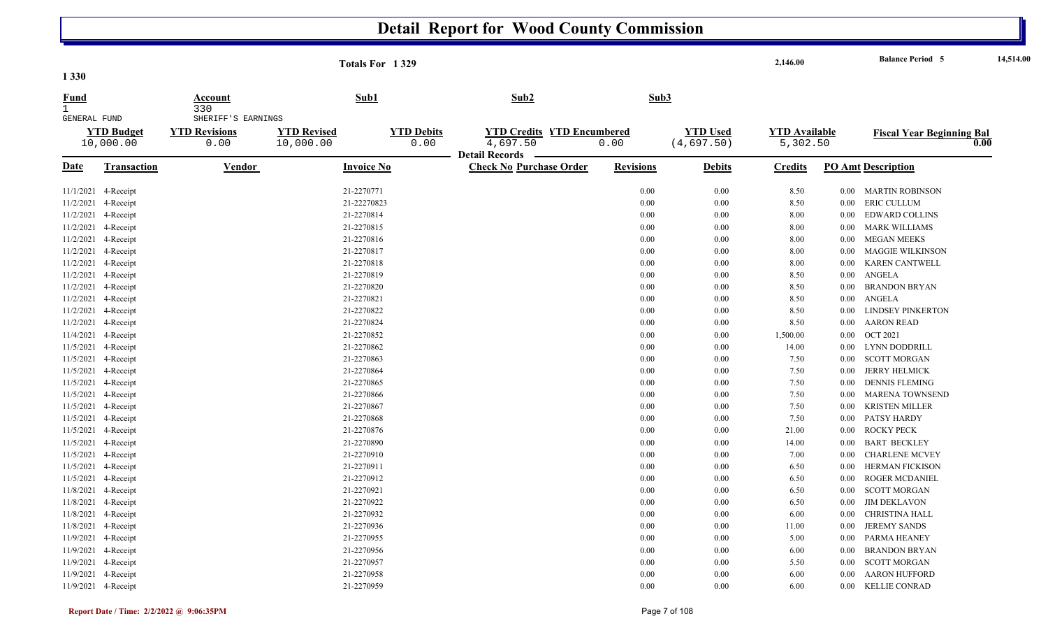|                             |                     |                       | Totals For 1329    |                   |                                   |                  |                 | 2,146.00             |          | <b>Balance Period 5</b>          | 14,514.00 |
|-----------------------------|---------------------|-----------------------|--------------------|-------------------|-----------------------------------|------------------|-----------------|----------------------|----------|----------------------------------|-----------|
| 1 3 3 0                     |                     |                       |                    |                   |                                   |                  |                 |                      |          |                                  |           |
| <b>Fund</b><br>$\mathbf{1}$ |                     | <b>Account</b><br>330 | Sub1               |                   | Sub2                              | Sub3             |                 |                      |          |                                  |           |
| GENERAL FUND                |                     | SHERIFF'S EARNINGS    |                    |                   |                                   |                  |                 |                      |          |                                  |           |
|                             | <b>YTD Budget</b>   | <b>YTD Revisions</b>  | <b>YTD Revised</b> | <b>YTD Debits</b> | <b>YTD Credits YTD Encumbered</b> |                  | <b>YTD</b> Used | <b>YTD Available</b> |          | <b>Fiscal Year Beginning Bal</b> |           |
|                             | 10,000.00           | 0.00                  | 10,000.00          | 0.00              | 4,697.50                          | 0.00             | (4,697.50)      | 5,302.50             |          |                                  | 0.00      |
|                             |                     |                       |                    |                   | <b>Detail Records</b>             |                  |                 |                      |          |                                  |           |
| <u>Date</u>                 | <b>Transaction</b>  | <b>Vendor</b>         | <b>Invoice No</b>  |                   | <b>Check No Purchase Order</b>    | <b>Revisions</b> | <b>Debits</b>   | <b>Credits</b>       |          | <b>PO Amt Description</b>        |           |
| 11/1/2021                   | 4-Receipt           |                       | 21-2270771         |                   |                                   | 0.00             | 0.00            | 8.50                 | $0.00\,$ | MARTIN ROBINSON                  |           |
| 11/2/2021                   | 4-Receipt           |                       | 21-22270823        |                   |                                   | 0.00             | 0.00            | 8.50                 | $0.00\,$ | ERIC CULLUM                      |           |
| 11/2/2021                   | 4-Receipt           |                       | 21-2270814         |                   |                                   | 0.00             | 0.00            | 8.00                 | $0.00\,$ | <b>EDWARD COLLINS</b>            |           |
| 11/2/2021                   | 4-Receipt           |                       | 21-2270815         |                   |                                   | 0.00             | 0.00            | 8.00                 | $0.00\,$ | <b>MARK WILLIAMS</b>             |           |
| 11/2/2021                   | 4-Receipt           |                       | 21-2270816         |                   |                                   | 0.00             | 0.00            | 8.00                 | $0.00\,$ | MEGAN MEEKS                      |           |
| 11/2/2021                   | 4-Receipt           |                       | 21-2270817         |                   |                                   | 0.00             | 0.00            | 8.00                 | 0.00     | <b>MAGGIE WILKINSON</b>          |           |
| 11/2/2021                   | 4-Receipt           |                       | 21-2270818         |                   |                                   | 0.00             | 0.00            | 8.00                 | $0.00\,$ | <b>KAREN CANTWELL</b>            |           |
| 11/2/2021                   | 4-Receipt           |                       | 21-2270819         |                   |                                   | 0.00             | 0.00            | 8.50                 | $0.00\,$ | ANGELA                           |           |
| 11/2/2021                   | 4-Receipt           |                       | 21-2270820         |                   |                                   | 0.00             | 0.00            | 8.50                 | 0.00     | <b>BRANDON BRYAN</b>             |           |
|                             | 11/2/2021 4-Receipt |                       | 21-2270821         |                   |                                   | 0.00             | 0.00            | 8.50                 | $0.00\,$ | ANGELA                           |           |
| 11/2/2021                   | 4-Receipt           |                       | 21-2270822         |                   |                                   | 0.00             | 0.00            | 8.50                 | 0.00     | <b>LINDSEY PINKERTON</b>         |           |
| 11/2/2021                   | 4-Receipt           |                       | 21-2270824         |                   |                                   | 0.00             | 0.00            | 8.50                 | 0.00     | <b>AARON READ</b>                |           |
| 11/4/2021                   | 4-Receipt           |                       | 21-2270852         |                   |                                   | 0.00             | 0.00            | 1,500.00             | $0.00\,$ | <b>OCT 2021</b>                  |           |
| 11/5/2021                   | 4-Receipt           |                       | 21-2270862         |                   |                                   | 0.00             | 0.00            | 14.00                | $0.00\,$ | LYNN DODDRILL                    |           |
| 11/5/2021                   | 4-Receipt           |                       | 21-2270863         |                   |                                   | 0.00             | 0.00            | 7.50                 | 0.00     | <b>SCOTT MORGAN</b>              |           |
| 11/5/2021                   | 4-Receipt           |                       | 21-2270864         |                   |                                   | 0.00             | 0.00            | 7.50                 | $0.00\,$ | <b>JERRY HELMICK</b>             |           |
| 11/5/2021                   | 4-Receipt           |                       | 21-2270865         |                   |                                   | 0.00             | 0.00            | 7.50                 | $0.00\,$ | <b>DENNIS FLEMING</b>            |           |
| 11/5/2021                   | 4-Receipt           |                       | 21-2270866         |                   |                                   | 0.00             | 0.00            | 7.50                 | 0.00     | <b>MARENA TOWNSEND</b>           |           |
| 11/5/2021                   | 4-Receipt           |                       | 21-2270867         |                   |                                   | 0.00             | 0.00            | 7.50                 | $0.00\,$ | KRISTEN MILLER                   |           |
| 11/5/2021                   | 4-Receipt           |                       | 21-2270868         |                   |                                   | 0.00             | 0.00            | 7.50                 | $0.00\,$ | PATSY HARDY                      |           |
|                             | 11/5/2021 4-Receipt |                       | 21-2270876         |                   |                                   | 0.00             | 0.00            | 21.00                | $0.00\,$ | <b>ROCKY PECK</b>                |           |
| 11/5/2021                   | 4-Receipt           |                       | 21-2270890         |                   |                                   | 0.00             | 0.00            | 14.00                | $0.00\,$ | <b>BART BECKLEY</b>              |           |
| 11/5/2021                   | 4-Receipt           |                       | 21-2270910         |                   |                                   | 0.00             | 0.00            | 7.00                 | 0.00     | <b>CHARLENE MCVEY</b>            |           |
| 11/5/2021                   | 4-Receipt           |                       | 21-2270911         |                   |                                   | 0.00             | 0.00            | 6.50                 | 0.00     | <b>HERMAN FICKISON</b>           |           |
| 11/5/2021                   | 4-Receipt           |                       | 21-2270912         |                   |                                   | 0.00             | 0.00            | 6.50                 | $0.00\,$ | <b>ROGER MCDANIEL</b>            |           |
| 11/8/2021                   | 4-Receipt           |                       | 21-2270921         |                   |                                   | 0.00             | 0.00            | 6.50                 | 0.00     | <b>SCOTT MORGAN</b>              |           |
| 11/8/2021 4-Receipt         |                     |                       | 21-2270922         |                   |                                   | 0.00             | 0.00            | 6.50                 | $0.00\,$ | <b>JIM DEKLAVON</b>              |           |
| 11/8/2021                   | 4-Receipt           |                       | 21-2270932         |                   |                                   | 0.00             | 0.00            | 6.00                 | $0.00\,$ | CHRISTINA HALL                   |           |
| 11/8/2021                   | 4-Receipt           |                       | 21-2270936         |                   |                                   | 0.00             | 0.00            | 11.00                | 0.00     | <b>JEREMY SANDS</b>              |           |
| 11/9/2021                   | 4-Receipt           |                       | 21-2270955         |                   |                                   | 0.00             | 0.00            | 5.00                 | $0.00\,$ | PARMA HEANEY                     |           |
| 11/9/2021                   | 4-Receipt           |                       | 21-2270956         |                   |                                   | 0.00             | 0.00            | 6.00                 | $0.00\,$ | <b>BRANDON BRYAN</b>             |           |
| 11/9/2021                   | 4-Receipt           |                       | 21-2270957         |                   |                                   | 0.00             | 0.00            | 5.50                 | $0.00\,$ | <b>SCOTT MORGAN</b>              |           |
|                             | 11/9/2021 4-Receipt |                       | 21-2270958         |                   |                                   | 0.00             | 0.00            | 6.00                 | $0.00\,$ | <b>AARON HUFFORD</b>             |           |
| 11/9/2021 4-Receipt         |                     |                       | 21-2270959         |                   |                                   | 0.00             | 0.00            | 6.00                 | $0.00\,$ | <b>KELLIE CONRAD</b>             |           |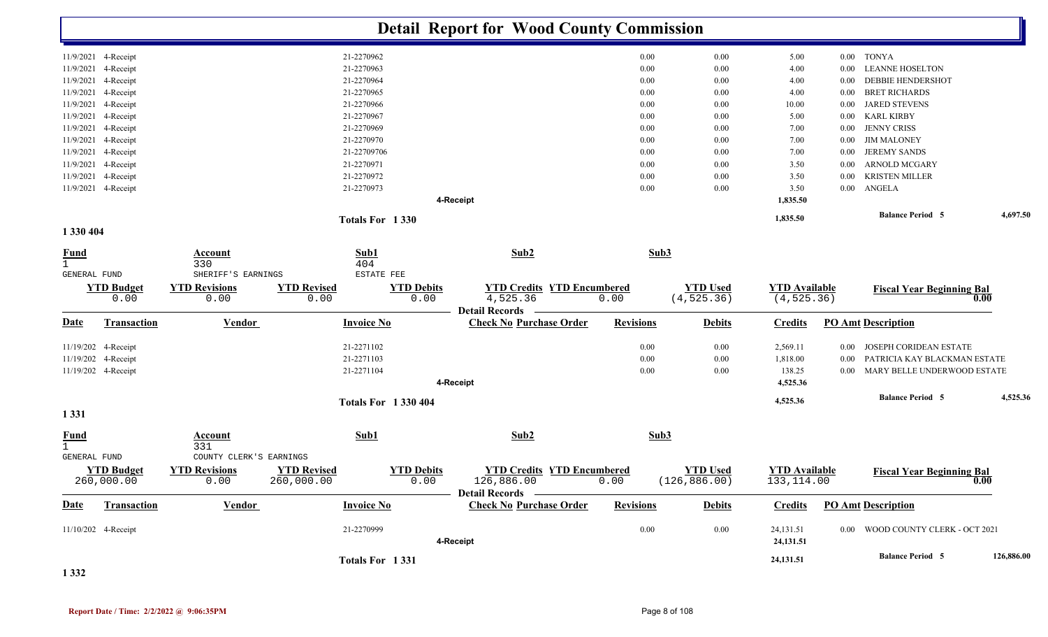|                             |                                 |                                             |                                                               | <b>Detail Report for Wood County Commission</b>                        |                  |                                  |                                     |          |                                   |            |
|-----------------------------|---------------------------------|---------------------------------------------|---------------------------------------------------------------|------------------------------------------------------------------------|------------------|----------------------------------|-------------------------------------|----------|-----------------------------------|------------|
|                             | 11/9/2021 4-Receipt             |                                             | 21-2270962                                                    |                                                                        | 0.00             | $0.00\,$                         | 5.00                                |          | 0.00 TONYA                        |            |
|                             | 11/9/2021 4-Receipt             |                                             | 21-2270963                                                    |                                                                        | 0.00             | 0.00                             | 4.00                                | $0.00\,$ | <b>LEANNE HOSELTON</b>            |            |
| 11/9/2021                   | 4-Receipt                       |                                             | 21-2270964                                                    |                                                                        | 0.00             | 0.00                             | 4.00                                | $0.00\,$ | <b>DEBBIE HENDERSHOT</b>          |            |
|                             | 11/9/2021 4-Receipt             |                                             | 21-2270965                                                    |                                                                        | 0.00             | 0.00                             | 4.00                                | $0.00\,$ | <b>BRET RICHARDS</b>              |            |
|                             | 11/9/2021 4-Receipt             |                                             | 21-2270966                                                    |                                                                        | 0.00             | 0.00                             | 10.00                               | $0.00\,$ | <b>JARED STEVENS</b>              |            |
|                             | 11/9/2021 4-Receipt             |                                             | 21-2270967                                                    |                                                                        | 0.00             | 0.00                             | 5.00                                | $0.00\,$ | <b>KARL KIRBY</b>                 |            |
|                             | 11/9/2021 4-Receipt             |                                             | 21-2270969                                                    |                                                                        | 0.00             | $0.00\,$                         | 7.00                                | $0.00\,$ | <b>JENNY CRISS</b>                |            |
|                             | 11/9/2021 4-Receipt             |                                             | 21-2270970                                                    |                                                                        | 0.00             | 0.00                             | 7.00                                | $0.00\,$ | <b>JIM MALONEY</b>                |            |
|                             | 11/9/2021 4-Receipt             |                                             | 21-22709706                                                   |                                                                        | 0.00             | $0.00\,$                         | 7.00                                | $0.00\,$ | <b>JEREMY SANDS</b>               |            |
|                             | 11/9/2021 4-Receipt             |                                             | 21-2270971                                                    |                                                                        | 0.00             | $0.00\,$                         | 3.50                                | $0.00\,$ | ARNOLD MCGARY                     |            |
|                             | 11/9/2021 4-Receipt             |                                             | 21-2270972                                                    |                                                                        | 0.00             | 0.00                             | 3.50                                | $0.00\,$ | <b>KRISTEN MILLER</b>             |            |
|                             | 11/9/2021 4-Receipt             |                                             | 21-2270973                                                    | 4-Receipt                                                              | 0.00             | 0.00                             | 3.50<br>1,835.50                    | $0.00\,$ | ANGELA                            |            |
|                             |                                 |                                             | Totals For 1330                                               |                                                                        |                  |                                  | 1,835.50                            |          | <b>Balance Period 5</b>           | 4,697.50   |
| 1 330 404                   |                                 |                                             |                                                               |                                                                        |                  |                                  |                                     |          |                                   |            |
| <u>Fund</u><br>$\mathbf{1}$ |                                 | <b>Account</b><br>330<br>SHERIFF'S EARNINGS | Sub1<br>404<br>ESTATE FEE                                     | Sub2                                                                   | Sub3             |                                  |                                     |          |                                   |            |
| GENERAL FUND                |                                 |                                             |                                                               |                                                                        |                  |                                  |                                     |          |                                   |            |
|                             | <b>YTD Budget</b><br>0.00       | <b>YTD Revisions</b><br>0.00                | <b>YTD Revised</b><br><b>YTD Debits</b><br>0.00<br>0.00       | <b>YTD Credits YTD Encumbered</b><br>4,525.36<br><b>Detail Records</b> | 0.00             | <b>YTD Used</b><br>(4, 525.36)   | <b>YTD Available</b><br>(4, 525.36) |          | <b>Fiscal Year Beginning Bal</b>  | 0.00       |
| <u>Date</u>                 | <b>Transaction</b>              | <b>Vendor</b>                               | <b>Invoice No</b>                                             | <b>Check No Purchase Order</b>                                         | <b>Revisions</b> | <b>Debits</b>                    | <b>Credits</b>                      |          | <b>PO Amt Description</b>         |            |
|                             | 11/19/202 4-Receipt             |                                             | 21-2271102                                                    |                                                                        | 0.00             | $0.00\,$                         | 2,569.11                            | $0.00\,$ | JOSEPH CORIDEAN ESTATE            |            |
|                             | 11/19/202 4-Receipt             |                                             | 21-2271103                                                    |                                                                        | 0.00             | 0.00                             | 1,818.00                            | $0.00\,$ | PATRICIA KAY BLACKMAN ESTATE      |            |
|                             | 11/19/202 4-Receipt             |                                             | 21-2271104                                                    |                                                                        | 0.00             | 0.00                             | 138.25                              | $0.00\,$ | MARY BELLE UNDERWOOD ESTATE       |            |
|                             |                                 |                                             |                                                               | 4-Receipt                                                              |                  |                                  | 4,525.36                            |          |                                   |            |
|                             |                                 |                                             | <b>Totals For 1330404</b>                                     |                                                                        |                  |                                  | 4,525.36                            |          | <b>Balance Period 5</b>           | 4,525.36   |
| 1 3 3 1                     |                                 |                                             |                                                               |                                                                        |                  |                                  |                                     |          |                                   |            |
| <b>Fund</b><br>$\mathbf{1}$ |                                 | <b>Account</b><br>331                       | Sub1                                                          | Sub2                                                                   | Sub3             |                                  |                                     |          |                                   |            |
| <b>GENERAL FUND</b>         |                                 | COUNTY CLERK'S EARNINGS                     |                                                               |                                                                        |                  |                                  |                                     |          |                                   |            |
|                             | <b>YTD Budget</b><br>260,000.00 | <b>YTD Revisions</b><br>0.00                | <b>YTD Revised</b><br><b>YTD Debits</b><br>260,000.00<br>0.00 | <b>YTD Credits YTD Encumbered</b><br>126,886.00                        | 0.00             | <b>YTD Used</b><br>(126, 886.00) | <b>YTD</b> Available<br>133, 114.00 |          | <b>Fiscal Year Beginning Bal</b>  | 0.00       |
| <b>Date</b>                 | Transaction                     | Vendor                                      | <b>Invoice No</b>                                             | Detail Records —<br><b>Check No Purchase Order</b>                     | <b>Revisions</b> | <b>Debits</b>                    | <b>Credits</b>                      |          | <b>PO Amt Description</b>         |            |
|                             | 11/10/202 4-Receipt             |                                             | 21-2270999                                                    |                                                                        | 0.00             | $0.00\,$                         | 24,131.51                           |          | 0.00 WOOD COUNTY CLERK - OCT 2021 |            |
|                             |                                 |                                             |                                                               | 4-Receipt                                                              |                  |                                  | 24,131.51                           |          |                                   |            |
|                             |                                 |                                             | Totals For 1331                                               |                                                                        |                  |                                  | 24,131.51                           |          | <b>Balance Period 5</b>           | 126,886.00 |

**1 332**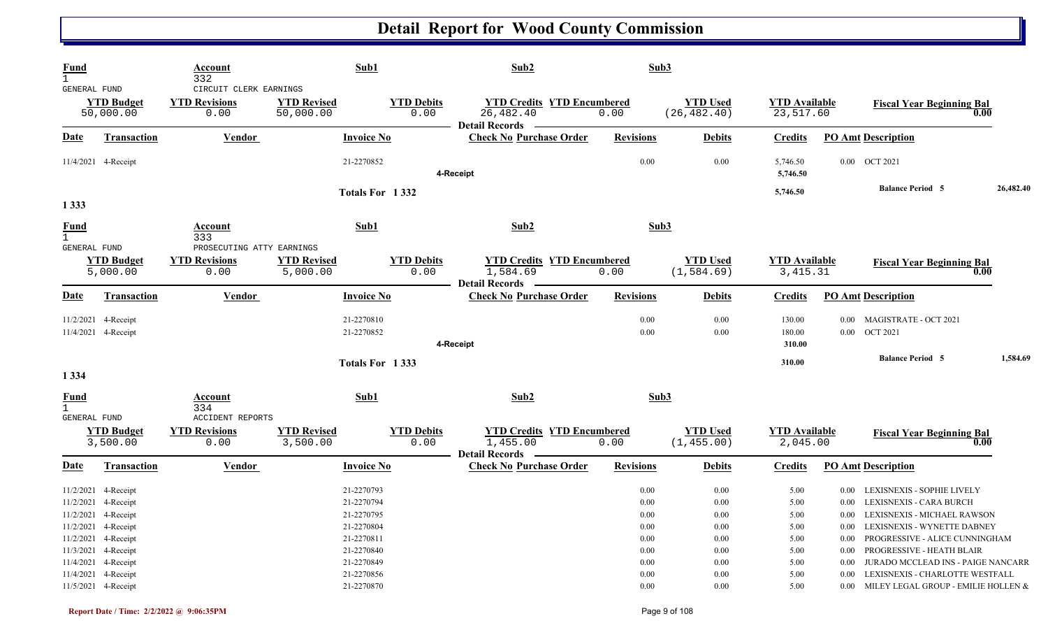| <b>Fund</b><br><b>GENERAL FUND</b>                                |                                                                                                                 | Account<br>332<br>CIRCUIT CLERK EARNINGS                |                                                                                                              | Sub1                      | Sub2                                                                    | Sub3                                                                                     |                                                                                          |                                                              |                                                                                                                                                                                                                                                                                                               |           |
|-------------------------------------------------------------------|-----------------------------------------------------------------------------------------------------------------|---------------------------------------------------------|--------------------------------------------------------------------------------------------------------------|---------------------------|-------------------------------------------------------------------------|------------------------------------------------------------------------------------------|------------------------------------------------------------------------------------------|--------------------------------------------------------------|---------------------------------------------------------------------------------------------------------------------------------------------------------------------------------------------------------------------------------------------------------------------------------------------------------------|-----------|
|                                                                   | <b>YTD Budget</b><br>50,000.00                                                                                  | <b>YTD Revisions</b><br>0.00                            | <b>YTD Revised</b><br>50,000.00                                                                              | <b>YTD Debits</b><br>0.00 | <b>YTD Credits YTD Encumbered</b><br>26,482.40<br><b>Detail Records</b> | 0.00                                                                                     | <b>YTD Used</b><br>(26, 482.40)                                                          | <b>YTD Available</b><br>23,517.60                            | <b>Fiscal Year Beginning Bal</b>                                                                                                                                                                                                                                                                              | 0.00      |
| <b>Date</b>                                                       | <b>Transaction</b>                                                                                              | <b>Vendor</b>                                           |                                                                                                              | <b>Invoice No</b>         | <b>Check No Purchase Order</b>                                          | <b>Revisions</b>                                                                         | <b>Debits</b>                                                                            | <b>Credits</b>                                               | <b>PO Amt Description</b>                                                                                                                                                                                                                                                                                     |           |
|                                                                   | 11/4/2021 4-Receipt                                                                                             |                                                         | 21-2270852                                                                                                   |                           | 4-Receipt                                                               | 0.00                                                                                     | 0.00                                                                                     | 5,746.50<br>5,746.50                                         | 0.00 OCT 2021                                                                                                                                                                                                                                                                                                 |           |
|                                                                   |                                                                                                                 |                                                         |                                                                                                              | Totals For 1332           |                                                                         |                                                                                          |                                                                                          | 5,746.50                                                     | <b>Balance Period 5</b>                                                                                                                                                                                                                                                                                       | 26,482.40 |
| 1 3 3 3                                                           |                                                                                                                 |                                                         |                                                                                                              |                           |                                                                         |                                                                                          |                                                                                          |                                                              |                                                                                                                                                                                                                                                                                                               |           |
| <b>Fund</b><br>1                                                  |                                                                                                                 | Account<br>333<br>PROSECUTING ATTY EARNINGS             |                                                                                                              | Sub1                      | Sub2                                                                    | Sub3                                                                                     |                                                                                          |                                                              |                                                                                                                                                                                                                                                                                                               |           |
| GENERAL FUND                                                      | <b>YTD Budget</b><br>5,000.00                                                                                   | <b>YTD Revisions</b><br>0.00                            | <b>YTD Revised</b><br>5,000.00                                                                               | <b>YTD Debits</b><br>0.00 | <b>YTD Credits YTD Encumbered</b><br>1,584.69<br>Detail Records —       | 0.00                                                                                     | <b>YTD Used</b><br>(1, 584.69)                                                           | <b>YTD Available</b><br>3, 415.31                            | <b>Fiscal Year Beginning Bal</b>                                                                                                                                                                                                                                                                              | 0.00      |
| Date                                                              | <b>Transaction</b>                                                                                              | Vendor                                                  |                                                                                                              | <b>Invoice No</b>         | <b>Check No Purchase Order</b>                                          | <b>Revisions</b>                                                                         | <b>Debits</b>                                                                            | <b>Credits</b>                                               | <b>PO Amt Description</b>                                                                                                                                                                                                                                                                                     |           |
|                                                                   | 11/2/2021 4-Receipt<br>11/4/2021 4-Receipt                                                                      |                                                         | 21-2270810<br>21-2270852                                                                                     |                           | 4-Receipt                                                               | 0.00<br>0.00                                                                             | 0.00<br>0.00                                                                             | 130.00<br>180.00<br>310.00                                   | MAGISTRATE - OCT 2021<br>0.00<br>$0.00$ OCT 2021                                                                                                                                                                                                                                                              |           |
|                                                                   |                                                                                                                 |                                                         |                                                                                                              | Totals For 1333           |                                                                         |                                                                                          |                                                                                          | 310.00                                                       | <b>Balance Period 5</b>                                                                                                                                                                                                                                                                                       | 1,584.69  |
| 1 3 3 4                                                           |                                                                                                                 |                                                         |                                                                                                              |                           |                                                                         |                                                                                          |                                                                                          |                                                              |                                                                                                                                                                                                                                                                                                               |           |
| <b>Fund</b><br>$\mathbf{1}$                                       |                                                                                                                 | Account<br>334                                          |                                                                                                              | Sub1                      | Sub2                                                                    | Sub3                                                                                     |                                                                                          |                                                              |                                                                                                                                                                                                                                                                                                               |           |
| GENERAL FUND                                                      | <b>YTD Budget</b><br>3,500.00                                                                                   | <b>ACCIDENT REPORTS</b><br><b>YTD Revisions</b><br>0.00 | <b>YTD Revised</b><br>3,500.00                                                                               | <b>YTD Debits</b><br>0.00 | <b>YTD Credits YTD Encumbered</b><br>1,455.00<br><b>Detail Records</b>  | 0.00                                                                                     | <b>YTD Used</b><br>(1, 455.00)                                                           | <b>YTD Available</b><br>2,045.00                             | <b>Fiscal Year Beginning Bal</b>                                                                                                                                                                                                                                                                              | 0.00      |
| Date                                                              | Transaction                                                                                                     | Vendor                                                  |                                                                                                              | <b>Invoice No</b>         | <b>Check No Purchase Order</b>                                          | <b>Revisions</b>                                                                         | <b>Debits</b>                                                                            | <b>Credits</b>                                               | <b>PO Amt Description</b>                                                                                                                                                                                                                                                                                     |           |
| 11/2/2021 4-Receipt<br>11/3/2021 4-Receipt<br>11/4/2021 4-Receipt | 11/2/2021 4-Receipt<br>11/2/2021 4-Receipt<br>11/2/2021 4-Receipt<br>11/2/2021 4-Receipt<br>11/4/2021 4-Receipt |                                                         | 21-2270793<br>21-2270794<br>21-2270795<br>21-2270804<br>21-2270811<br>21-2270840<br>21-2270849<br>21-2270856 |                           |                                                                         | 0.00<br>$0.00\,$<br>$0.00\,$<br>$0.00\,$<br>$0.00\,$<br>$0.00\,$<br>$0.00\,$<br>$0.00\,$ | 0.00<br>$0.00\,$<br>$0.00\,$<br>$0.00\,$<br>$0.00\,$<br>$0.00\,$<br>$0.00\,$<br>$0.00\,$ | 5.00<br>5.00<br>5.00<br>5.00<br>5.00<br>5.00<br>5.00<br>5.00 | LEXISNEXIS - SOPHIE LIVELY<br>0.00<br>LEXISNEXIS - CARA BURCH<br>$0.00\,$<br>0.00 LEXISNEXIS - MICHAEL RAWSON<br>0.00 LEXISNEXIS - WYNETTE DABNEY<br>0.00 PROGRESSIVE - ALICE CUNNINGHAM<br>0.00 PROGRESSIVE - HEATH BLAIR<br>0.00 JURADO MCCLEAD INS - PAIGE NANCARR<br>0.00 LEXISNEXIS - CHARLOTTE WESTFALL |           |
|                                                                   | 11/5/2021 4-Receipt                                                                                             |                                                         | 21-2270870                                                                                                   |                           |                                                                         | $0.00\,$                                                                                 | $0.00\,$                                                                                 | 5.00                                                         | 0.00 MILEY LEGAL GROUP - EMILIE HOLLEN &                                                                                                                                                                                                                                                                      |           |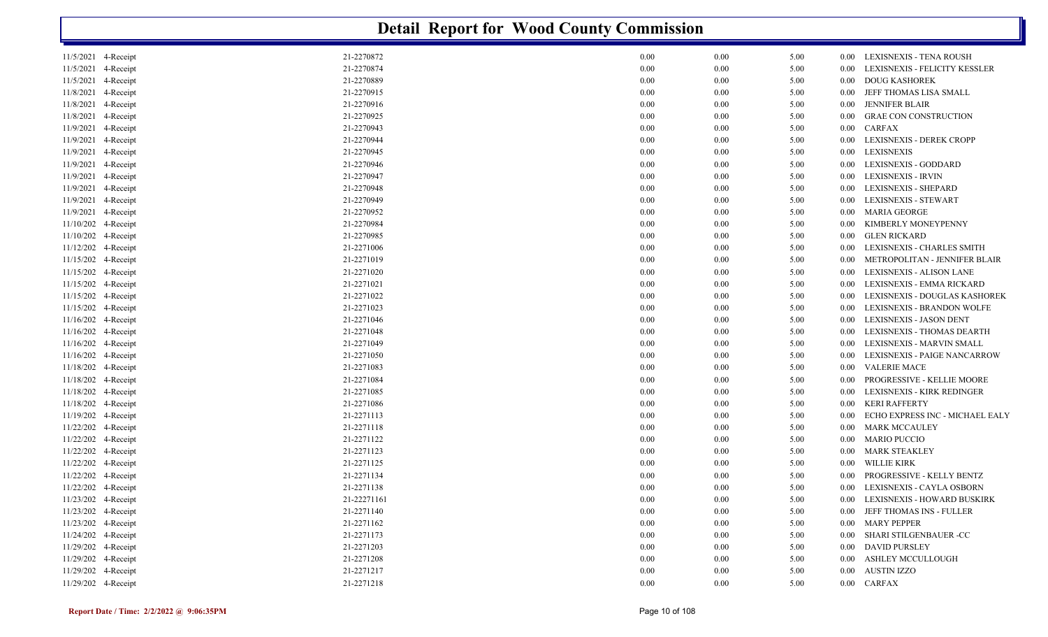|                        |             | <b>Detail Report for Wood County Commission</b> |          |      |          |                                  |
|------------------------|-------------|-------------------------------------------------|----------|------|----------|----------------------------------|
| 11/5/2021 4-Receipt    | 21-2270872  | 0.00                                            | $0.00\,$ | 5.00 | $0.00\,$ | LEXISNEXIS - TENA ROUSH          |
| 11/5/2021 4-Receipt    | 21-2270874  | 0.00                                            | 0.00     | 5.00 | 0.00     | LEXISNEXIS - FELICITY KESSLER    |
| 11/5/2021<br>4-Receipt | 21-2270889  | 0.00                                            | $0.00\,$ | 5.00 | 0.00     | <b>DOUG KASHOREK</b>             |
| 11/8/2021<br>4-Receipt | 21-2270915  | 0.00                                            | $0.00\,$ | 5.00 | 0.00     | JEFF THOMAS LISA SMALL           |
| 11/8/2021<br>4-Receipt | 21-2270916  | 0.00                                            | $0.00\,$ | 5.00 | 0.00     | <b>JENNIFER BLAIR</b>            |
| 11/8/2021<br>4-Receipt | 21-2270925  | 0.00                                            | $0.00\,$ | 5.00 | 0.00     | <b>GRAE CON CONSTRUCTION</b>     |
| 11/9/2021<br>4-Receipt | 21-2270943  | 0.00                                            | $0.00\,$ | 5.00 | $0.00\,$ | <b>CARFAX</b>                    |
| 11/9/2021<br>4-Receipt | 21-2270944  | 0.00                                            | $0.00\,$ | 5.00 | 0.00     | LEXISNEXIS - DEREK CROPP         |
| 11/9/2021<br>4-Receipt | 21-2270945  | 0.00                                            | $0.00\,$ | 5.00 | 0.00     | <b>LEXISNEXIS</b>                |
| 4-Receipt<br>11/9/2021 | 21-2270946  | 0.00                                            | $0.00\,$ | 5.00 | 0.00     | LEXISNEXIS - GODDARD             |
| 11/9/2021<br>4-Receipt | 21-2270947  | 0.00                                            | $0.00\,$ | 5.00 | 0.00     | <b>LEXISNEXIS - IRVIN</b>        |
| 11/9/2021<br>4-Receipt | 21-2270948  | 0.00                                            | $0.00\,$ | 5.00 | 0.00     | <b>LEXISNEXIS - SHEPARD</b>      |
| 11/9/2021<br>4-Receipt | 21-2270949  | 0.00                                            | $0.00\,$ | 5.00 | 0.00     | LEXISNEXIS - STEWART             |
| 11/9/2021<br>4-Receipt | 21-2270952  | 0.00                                            | $0.00\,$ | 5.00 | 0.00     | <b>MARIA GEORGE</b>              |
| 11/10/202 4-Receipt    | 21-2270984  | 0.00                                            | $0.00\,$ | 5.00 | 0.00     | KIMBERLY MONEYPENNY              |
| 11/10/202 4-Receipt    | 21-2270985  | 0.00                                            | $0.00\,$ | 5.00 | 0.00     | <b>GLEN RICKARD</b>              |
| 11/12/202 4-Receipt    | 21-2271006  | 0.00                                            | $0.00\,$ | 5.00 | 0.00     | LEXISNEXIS - CHARLES SMITH       |
| 11/15/202 4-Receipt    | 21-2271019  | 0.00                                            | $0.00\,$ | 5.00 | 0.00     | METROPOLITAN - JENNIFER BLAIR    |
| 11/15/202 4-Receipt    | 21-2271020  | $0.00\,$                                        | $0.00\,$ | 5.00 | 0.00     | <b>LEXISNEXIS - ALISON LANE</b>  |
| 11/15/202 4-Receipt    | 21-2271021  | 0.00                                            | $0.00\,$ | 5.00 | 0.00     | LEXISNEXIS - EMMA RICKARD        |
| 11/15/202 4-Receipt    | 21-2271022  | 0.00                                            | $0.00\,$ | 5.00 | 0.00     | LEXISNEXIS - DOUGLAS KASHOREK    |
| 11/15/202 4-Receipt    | 21-2271023  | 0.00                                            | $0.00\,$ | 5.00 | 0.00     | LEXISNEXIS - BRANDON WOLFE       |
| 11/16/202 4-Receipt    | 21-2271046  | 0.00                                            | $0.00\,$ | 5.00 | 0.00     | LEXISNEXIS - JASON DENT          |
| 11/16/202 4-Receipt    | 21-2271048  | 0.00                                            | $0.00\,$ | 5.00 | 0.00     | LEXISNEXIS - THOMAS DEARTH       |
| 11/16/202 4-Receipt    | 21-2271049  | 0.00                                            | $0.00\,$ | 5.00 | 0.00     | LEXISNEXIS - MARVIN SMALL        |
| 11/16/202 4-Receipt    | 21-2271050  | 0.00                                            | $0.00\,$ | 5.00 | 0.00     | LEXISNEXIS - PAIGE NANCARROW     |
| 11/18/202 4-Receipt    | 21-2271083  | 0.00                                            | $0.00\,$ | 5.00 | 0.00     | <b>VALERIE MACE</b>              |
| 11/18/202 4-Receipt    | 21-2271084  | 0.00                                            | $0.00\,$ | 5.00 | 0.00     | PROGRESSIVE - KELLIE MOORE       |
| 11/18/202 4-Receipt    | 21-2271085  | 0.00                                            | $0.00\,$ | 5.00 | 0.00     | LEXISNEXIS - KIRK REDINGER       |
| 11/18/202 4-Receipt    | 21-2271086  | 0.00                                            | $0.00\,$ | 5.00 | 0.00     | <b>KERI RAFFERTY</b>             |
| 11/19/202 4-Receipt    | 21-2271113  | 0.00                                            | $0.00\,$ | 5.00 | 0.00     | ECHO EXPRESS INC - MICHAEL EALY  |
| 11/22/202 4-Receipt    | 21-2271118  | 0.00                                            | $0.00\,$ | 5.00 | 0.00     | <b>MARK MCCAULEY</b>             |
| 11/22/202 4-Receipt    | 21-2271122  | 0.00                                            | $0.00\,$ | 5.00 | 0.00     | <b>MARIO PUCCIO</b>              |
| 11/22/202 4-Receipt    | 21-2271123  | 0.00                                            | $0.00\,$ | 5.00 | 0.00     | <b>MARK STEAKLEY</b>             |
| 11/22/202 4-Receipt    | 21-2271125  | 0.00                                            | $0.00\,$ | 5.00 | 0.00     | WILLIE KIRK                      |
| 11/22/202 4-Receipt    | 21-2271134  | 0.00                                            | 0.00     | 5.00 | 0.00     | PROGRESSIVE - KELLY BENTZ        |
| 11/22/202 4-Receipt    | 21-2271138  | $0.00\,$                                        | $0.00\,$ | 5.00 |          | 0.00 LEXISNEXIS - CAYLA OSBORN   |
| 11/23/202 4-Receipt    | 21-22271161 | $0.00\,$                                        | $0.00\,$ | 5.00 |          | 0.00 LEXISNEXIS - HOWARD BUSKIRK |
| 11/23/202 4-Receipt    | 21-2271140  | $0.00\,$                                        | $0.00\,$ | 5.00 | $0.00\,$ | JEFF THOMAS INS - FULLER         |
| 11/23/202 4-Receipt    | 21-2271162  | $0.00\,$                                        | $0.00\,$ | 5.00 |          | 0.00 MARY PEPPER                 |
| 11/24/202 4-Receipt    | 21-2271173  | 0.00                                            | $0.00\,$ | 5.00 |          | 0.00 SHARI STILGENBAUER -CC      |
| 11/29/202 4-Receipt    | 21-2271203  | 0.00                                            | $0.00\,$ | 5.00 |          | 0.00 DAVID PURSLEY               |
| 11/29/202 4-Receipt    | 21-2271208  | $0.00\,$                                        | $0.00\,$ | 5.00 | $0.00\,$ | ASHLEY MCCULLOUGH                |
| 11/29/202 4-Receipt    | 21-2271217  | $0.00\,$                                        | $0.00\,$ | 5.00 | $0.00\,$ | AUSTIN IZZO                      |
| 11/29/202 4-Receipt    | 21-2271218  | $0.00\,$                                        | $0.00\,$ | 5.00 |          | 0.00 CARFAX                      |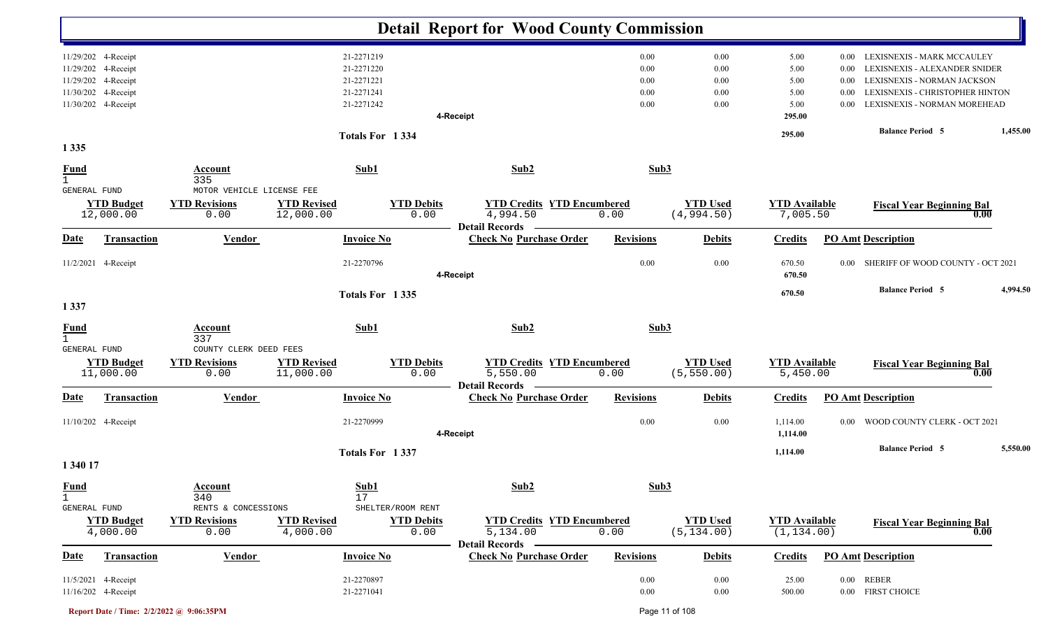|                                             |                                                                                          |                                                        |                                 |                                                      | <b>Detail Report for Wood County Commission</b>                        |                              |                                |                                     |                              |                                                                                                                               |          |
|---------------------------------------------|------------------------------------------------------------------------------------------|--------------------------------------------------------|---------------------------------|------------------------------------------------------|------------------------------------------------------------------------|------------------------------|--------------------------------|-------------------------------------|------------------------------|-------------------------------------------------------------------------------------------------------------------------------|----------|
|                                             | 11/29/202 4-Receipt<br>11/29/202 4-Receipt<br>11/29/202 4-Receipt<br>11/30/202 4-Receipt |                                                        |                                 | 21-2271219<br>21-2271220<br>21-2271221<br>21-2271241 |                                                                        | 0.00<br>0.00<br>0.00<br>0.00 | 0.00<br>0.00<br>0.00<br>0.00   | 5.00<br>5.00<br>5.00<br>5.00        | 0.00<br>0.00<br>0.00<br>0.00 | LEXISNEXIS - MARK MCCAULEY<br>LEXISNEXIS - ALEXANDER SNIDER<br>LEXISNEXIS - NORMAN JACKSON<br>LEXISNEXIS - CHRISTOPHER HINTON |          |
|                                             | 11/30/202 4-Receipt                                                                      |                                                        |                                 | 21-2271242                                           | 4-Receipt                                                              | 0.00                         | 0.00                           | 5.00<br>295.00                      | 0.00                         | LEXISNEXIS - NORMAN MOREHEAD<br><b>Balance Period 5</b>                                                                       | 1,455.00 |
| 1 3 3 5                                     |                                                                                          |                                                        |                                 | Totals For 1334                                      |                                                                        |                              |                                | 295.00                              |                              |                                                                                                                               |          |
| <b>Fund</b><br>$\mathbf{1}$<br>GENERAL FUND |                                                                                          | Account<br>335<br>MOTOR VEHICLE LICENSE FEE            |                                 | Sub1                                                 | Sub2                                                                   | Sub3                         |                                |                                     |                              |                                                                                                                               |          |
|                                             | <b>YTD Budget</b><br>12,000.00                                                           | <b>YTD Revisions</b><br>0.00                           | <b>YTD Revised</b><br>12,000.00 | <b>YTD Debits</b><br>0.00                            | <b>YTD Credits YTD Encumbered</b><br>4,994.50<br><b>Detail Records</b> | 0.00                         | <b>YTD Used</b><br>(4,994.50)  | <b>YTD Available</b><br>7,005.50    |                              | <b>Fiscal Year Beginning Bal</b><br>0.00                                                                                      |          |
| <b>Date</b>                                 | <b>Transaction</b>                                                                       | <b>Vendor</b>                                          |                                 | <b>Invoice No</b>                                    | <b>Check No Purchase Order</b>                                         | <b>Revisions</b>             | <b>Debits</b>                  | <b>Credits</b>                      |                              | <b>PO Amt Description</b>                                                                                                     |          |
|                                             | 11/2/2021 4-Receipt                                                                      |                                                        |                                 | 21-2270796                                           | 4-Receipt                                                              | 0.00                         | 0.00                           | 670.50<br>670.50                    | 0.00                         | SHERIFF OF WOOD COUNTY - OCT 2021                                                                                             |          |
| 1337                                        |                                                                                          |                                                        |                                 | Totals For 1335                                      |                                                                        |                              |                                | 670.50                              |                              | <b>Balance Period 5</b>                                                                                                       | 4,994.50 |
| <b>Fund</b><br>$\mathbf{1}$                 |                                                                                          | <b>Account</b><br>337                                  |                                 | Sub1                                                 | Sub2                                                                   | Sub3                         |                                |                                     |                              |                                                                                                                               |          |
| GENERAL FUND                                | <b>YTD Budget</b><br>11,000.00                                                           | COUNTY CLERK DEED FEES<br><b>YTD Revisions</b><br>0.00 | <b>YTD Revised</b><br>11,000.00 | <b>YTD Debits</b><br>0.00                            | <b>YTD Credits YTD Encumbered</b><br>5,550.00<br><b>Detail Records</b> | 0.00                         | <b>YTD Used</b><br>(5, 550.00) | <b>YTD Available</b><br>5,450.00    |                              | <b>Fiscal Year Beginning Bal</b><br>0.00                                                                                      |          |
| Date                                        | Transaction                                                                              | <b>Vendor</b>                                          |                                 | <b>Invoice No</b>                                    | <b>Check No Purchase Order</b>                                         | <b>Revisions</b>             | <b>Debits</b>                  | <b>Credits</b>                      |                              | <b>PO Amt Description</b>                                                                                                     |          |
|                                             | 11/10/202 4-Receipt                                                                      |                                                        |                                 | 21-2270999                                           | 4-Receipt                                                              | 0.00                         | 0.00                           | 1,114.00<br>1,114.00                | $0.00\,$                     | WOOD COUNTY CLERK - OCT 2021                                                                                                  |          |
| 1 340 17                                    |                                                                                          |                                                        |                                 | Totals For 1337                                      |                                                                        |                              |                                | 1,114.00                            |                              | <b>Balance Period 5</b>                                                                                                       | 5,550.00 |
| <b>Fund</b><br>$\mathbf{1}$                 |                                                                                          | <b>Account</b><br>340<br>RENTS & CONCESSIONS           |                                 | Sub1<br>17<br>SHELTER/ROOM RENT                      | Sub2                                                                   | Sub3                         |                                |                                     |                              |                                                                                                                               |          |
| GENERAL FUND                                | <b>YTD Budget</b><br>4,000.00                                                            | <b>YTD Revisions</b><br>0.00                           | <b>YTD Revised</b><br>4,000.00  | <b>YTD Debits</b><br>0.00                            | <b>YTD Credits YTD Encumbered</b><br>5,134.00<br><b>Detail Records</b> | 0.00                         | <b>YTD Used</b><br>(5, 134.00) | <b>YTD Available</b><br>(1, 134.00) |                              | <b>Fiscal Year Beginning Bal</b><br>0.00                                                                                      |          |
| <b>Date</b>                                 | Transaction                                                                              | <b>Vendor</b>                                          |                                 | <b>Invoice No</b>                                    | <b>Check No Purchase Order</b>                                         | <b>Revisions</b>             | <b>Debits</b>                  | <b>Credits</b>                      |                              | <b>PO Amt Description</b>                                                                                                     |          |
|                                             | 11/5/2021 4-Receipt<br>11/16/202 4-Receipt                                               |                                                        |                                 | 21-2270897<br>21-2271041                             |                                                                        | 0.00<br>0.00                 | 0.00<br>0.00                   | 25.00<br>500.00                     |                              | 0.00 REBER<br>0.00 FIRST CHOICE                                                                                               |          |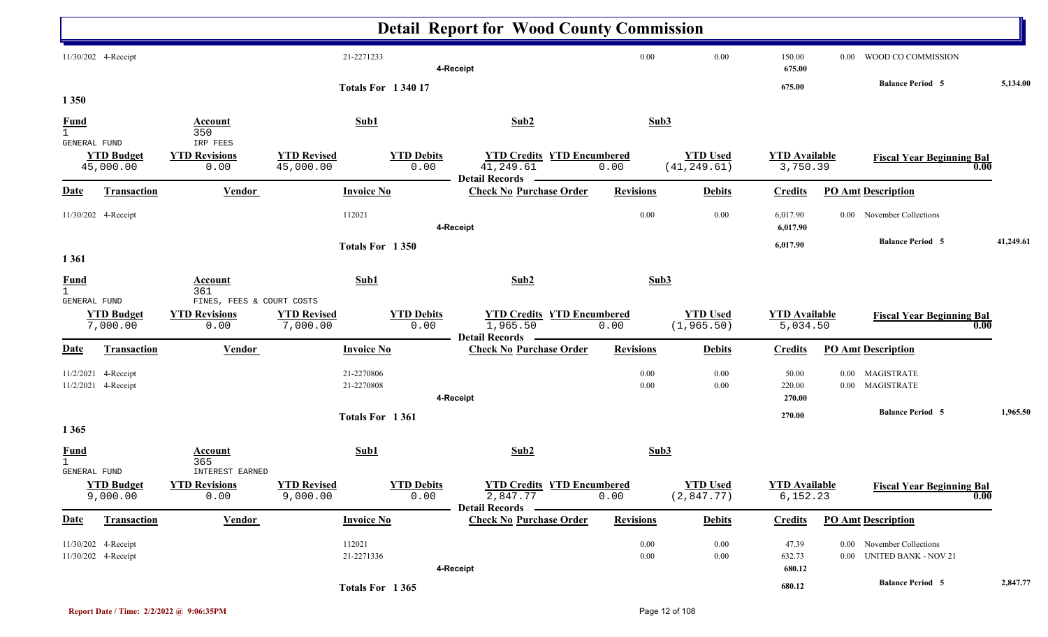|                               |                                            |                                             |                                 |                           | <b>Detail Report for Wood County Commission</b>                         |                  |                                 |                                   |                                                        |           |
|-------------------------------|--------------------------------------------|---------------------------------------------|---------------------------------|---------------------------|-------------------------------------------------------------------------|------------------|---------------------------------|-----------------------------------|--------------------------------------------------------|-----------|
|                               | 11/30/202 4-Receipt                        |                                             | 21-2271233                      |                           | 4-Receipt                                                               | 0.00             | 0.00                            | 150.00<br>675.00                  | WOOD CO COMMISSION<br>$0.00\,$                         |           |
| 1 3 5 0                       |                                            |                                             | <b>Totals For 134017</b>        |                           |                                                                         |                  |                                 | 675.00                            | <b>Balance Period 5</b>                                | 5,134.00  |
| <u>Fund</u><br>$\overline{1}$ |                                            | <b>Account</b><br>350                       | Sub1                            |                           | Sub2                                                                    | Sub3             |                                 |                                   |                                                        |           |
| GENERAL FUND                  | <b>YTD Budget</b><br>45,000.00             | IRP FEES<br><b>YTD Revisions</b><br>0.00    | <b>YTD Revised</b><br>45,000.00 | <b>YTD Debits</b><br>0.00 | <b>YTD Credits YTD Encumbered</b><br>41,249.61<br><b>Detail Records</b> | 0.00             | <b>YTD Used</b><br>(41, 249.61) | <b>YTD Available</b><br>3,750.39  | <b>Fiscal Year Beginning Bal</b><br>0.00               |           |
| <b>Date</b>                   | <b>Transaction</b>                         | <b>Vendor</b>                               | <b>Invoice No</b>               |                           | <b>Check No Purchase Order</b>                                          | <b>Revisions</b> | <b>Debits</b>                   | <b>Credits</b>                    | <b>PO Amt Description</b>                              |           |
|                               | 11/30/202 4-Receipt                        |                                             | 112021                          |                           | 4-Receipt                                                               | 0.00             | 0.00                            | 6,017.90<br>6,017.90              | November Collections<br>$0.00\,$                       |           |
| 1 3 6 1                       |                                            |                                             | Totals For 1350                 |                           |                                                                         |                  |                                 | 6,017.90                          | <b>Balance Period 5</b>                                | 41,249.61 |
| <b>Fund</b><br>$\mathbf{1}$   |                                            | Account<br>361<br>FINES, FEES & COURT COSTS | Sub1                            |                           | Sub2                                                                    | Sub3             |                                 |                                   |                                                        |           |
| GENERAL FUND                  | <b>YTD Budget</b><br>7,000.00              | <b>YTD Revisions</b><br>0.00                | <b>YTD Revised</b><br>7,000.00  | <b>YTD Debits</b><br>0.00 | <b>YTD Credits YTD Encumbered</b><br>1,965.50<br><b>Detail Records</b>  | 0.00             | <b>YTD Used</b><br>(1, 965.50)  | <b>YTD Available</b><br>5,034.50  | <b>Fiscal Year Beginning Bal</b><br>$\mathbf{0.00}$    |           |
| <b>Date</b>                   | <b>Transaction</b>                         | <b>Vendor</b>                               | <b>Invoice No</b>               |                           | <b>Check No Purchase Order</b>                                          | <b>Revisions</b> | <b>Debits</b>                   | <b>Credits</b>                    | <b>PO Amt Description</b>                              |           |
| 11/2/2021                     | 4-Receipt<br>11/2/2021 4-Receipt           |                                             | 21-2270806<br>21-2270808        |                           | 4-Receipt                                                               | 0.00<br>0.00     | 0.00<br>0.00                    | 50.00<br>220.00<br>270.00         | MAGISTRATE<br>$0.00\,$<br>MAGISTRATE<br>$0.00\,$       |           |
| 1 3 6 5                       |                                            |                                             | Totals For 1361                 |                           |                                                                         |                  |                                 | 270.00                            | <b>Balance Period 5</b>                                | 1,965.50  |
| <b>Fund</b><br>GENERAL FUND   |                                            | <b>Account</b><br>365<br>INTEREST EARNED    | Sub1                            |                           | Sub2                                                                    | Sub3             |                                 |                                   |                                                        |           |
|                               | <b>YTD Budget</b><br>9,000.00              | <b>YTD Revisions</b><br>0.00                | <b>YTD Revised</b><br>9,000.00  | <b>YTD Debits</b><br>0.00 | <b>YTD Credits YTD Encumbered</b><br>2,847.77<br>Detail Records -       | 0.00             | <b>YTD</b> Used<br>(2,847.77)   | <b>YTD Available</b><br>6, 152.23 | <b>Fiscal Year Beginning Bal</b><br>$\overline{0.00}$  |           |
| <b>Date</b>                   | <b>Transaction</b>                         | <b>Vendor</b>                               | <b>Invoice No</b>               |                           | <b>Check No Purchase Order</b>                                          | <b>Revisions</b> | <b>Debits</b>                   | <b>Credits</b>                    | <b>PO Amt Description</b>                              |           |
|                               | 11/30/202 4-Receipt<br>11/30/202 4-Receipt |                                             | 112021<br>21-2271336            |                           | 4-Receipt                                                               | 0.00<br>$0.00\,$ | 0.00<br>$0.00\,$                | 47.39<br>632.73<br>680.12         | 0.00 November Collections<br>0.00 UNITED BANK - NOV 21 |           |
|                               |                                            |                                             | Totals For 1365                 |                           |                                                                         |                  |                                 | 680.12                            | <b>Balance Period 5</b>                                | 2,847.77  |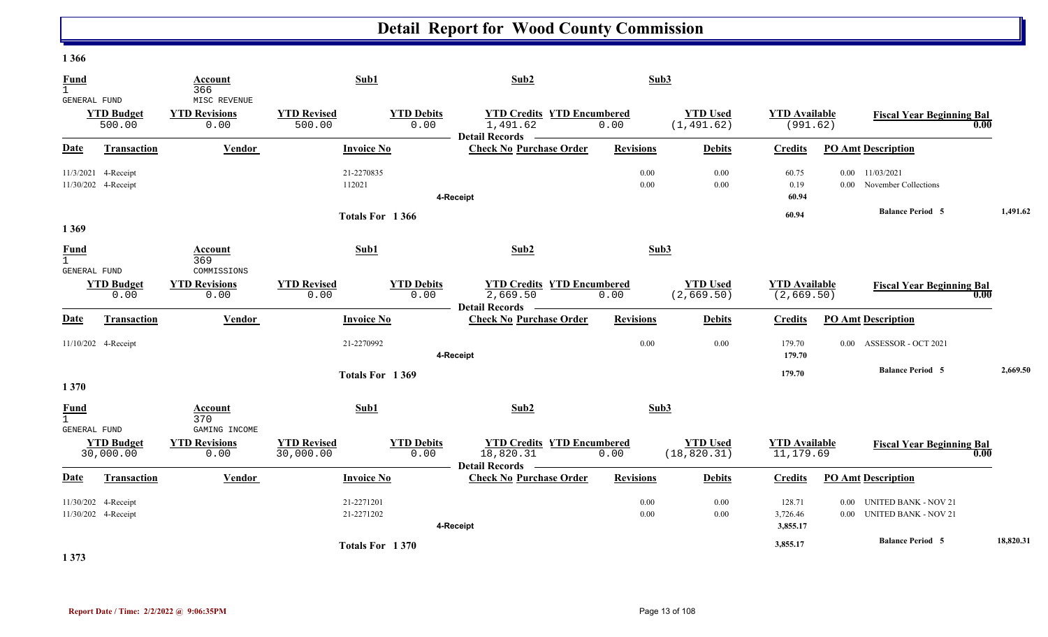| <b>Fund</b><br>$\mathbf{1}$                 | Account<br>366                               | Sub1                                                         | Sub2                              |                                           | Sub3                            |                                     |                                                                      |           |
|---------------------------------------------|----------------------------------------------|--------------------------------------------------------------|-----------------------------------|-------------------------------------------|---------------------------------|-------------------------------------|----------------------------------------------------------------------|-----------|
| GENERAL FUND<br><b>YTD Budget</b><br>500.00 | MISC REVENUE<br><b>YTD Revisions</b><br>0.00 | <b>YTD Revised</b><br><b>YTD Debits</b><br>0.00<br>500.00    | 1,491.62<br>Detail Records —      | <b>YTD Credits YTD Encumbered</b><br>0.00 | <b>YTD Used</b><br>(1, 491.62)  | <b>YTD Available</b><br>(991.62)    | <b>Fiscal Year Beginning Bal</b>                                     | 0.00      |
| Transaction<br>Date                         | Vendor                                       | <b>Invoice No</b>                                            | <b>Check No Purchase Order</b>    | <b>Revisions</b>                          | <b>Debits</b>                   | <b>Credits</b>                      | <b>PO Amt Description</b>                                            |           |
| 11/3/2021 4-Receipt<br>11/30/202 4-Receipt  |                                              | 21-2270835<br>112021                                         | 4-Receipt                         | 0.00<br>0.00                              | 0.00<br>0.00                    | 60.75<br>0.19<br>60.94              | 0.00<br>11/03/2021<br>November Collections<br>0.00 <sub>1</sub>      |           |
|                                             |                                              | Totals For 1366                                              |                                   |                                           |                                 | 60.94                               | <b>Balance Period 5</b>                                              | 1,491.62  |
| 1 3 6 9                                     |                                              |                                                              |                                   |                                           |                                 |                                     |                                                                      |           |
| <b>Fund</b><br>$\mathbf{1}$<br>GENERAL FUND | Account<br>369<br>COMMISSIONS                | Sub1                                                         | Sub2                              |                                           | Sub3                            |                                     |                                                                      |           |
| <b>YTD Budget</b><br>0.00                   | <b>YTD Revisions</b><br>0.00                 | <b>YTD Revised</b><br><b>YTD Debits</b><br>0.00<br>0.00      | 2,669.50<br><b>Detail Records</b> | <b>YTD Credits YTD Encumbered</b><br>0.00 | <b>YTD Used</b><br>(2,669.50)   | <b>YTD Available</b><br>(2, 669.50) | <b>Fiscal Year Beginning Bal</b>                                     | 0.00      |
| <b>Date</b><br>Transaction                  | Vendor                                       | <b>Invoice No</b>                                            | <b>Check No Purchase Order</b>    | <b>Revisions</b>                          | <b>Debits</b>                   | <b>Credits</b>                      | <b>PO Amt Description</b>                                            |           |
| 11/10/202 4-Receipt                         |                                              | 21-2270992                                                   | 4-Receipt                         | 0.00                                      | 0.00                            | 179.70<br>179.70                    | ASSESSOR - OCT 2021<br>$0.00\,$                                      |           |
| 1 3 7 0                                     |                                              | Totals For 1369                                              |                                   |                                           |                                 | 179.70                              | <b>Balance Period 5</b>                                              | 2,669.50  |
| <b>Fund</b><br>$\mathbf{1}$<br>GENERAL FUND | Account<br>370<br>GAMING INCOME              | Sub1                                                         | Sub2                              |                                           | Sub3                            |                                     |                                                                      |           |
| <b>YTD Budget</b><br>30,000.00              | <b>YTD Revisions</b><br>0.00                 | <b>YTD Revised</b><br><b>YTD Debits</b><br>30,000.00<br>0.00 | 18,820.31<br>Detail Records –     | <b>YTD Credits YTD Encumbered</b><br>0.00 | <b>YTD Used</b><br>(18, 820.31) | <b>YTD Available</b><br>11,179.69   | <b>Fiscal Year Beginning Bal</b>                                     | 0.00      |
| Date<br><b>Transaction</b>                  | Vendor                                       | <b>Invoice No</b>                                            | <b>Check No Purchase Order</b>    | <b>Revisions</b>                          | <b>Debits</b>                   | <b>Credits</b>                      | <b>PO Amt Description</b>                                            |           |
| 11/30/202 4-Receipt<br>11/30/202 4-Receipt  |                                              | 21-2271201<br>21-2271202                                     | 4-Receipt                         | 0.00<br>$0.00\,$                          | 0.00<br>0.00                    | 128.71<br>3,726.46<br>3,855.17      | <b>UNITED BANK - NOV 21</b><br>$0.00\,$<br>0.00 UNITED BANK - NOV 21 |           |
| $\rightarrow$ $\rightarrow$                 |                                              | Totals For 1370                                              |                                   |                                           |                                 | 3,855.17                            | <b>Balance Period 5</b>                                              | 18,820.31 |

**1 373**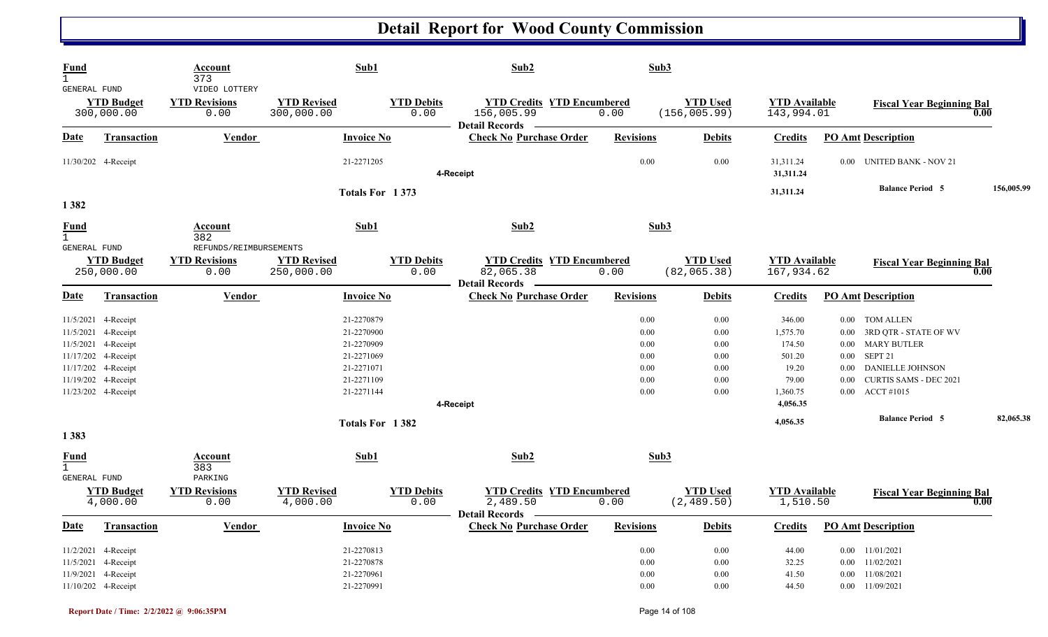| <b>Fund</b><br>$\mathbf{1}$      |                                                                                                                                        | Account<br>373                                  | Sub1                                                                                           |                           | Sub2                                                                     | Sub3                                                 |                                                      |                                                                                  |                                                                                                                                                                                                                                      |            |
|----------------------------------|----------------------------------------------------------------------------------------------------------------------------------------|-------------------------------------------------|------------------------------------------------------------------------------------------------|---------------------------|--------------------------------------------------------------------------|------------------------------------------------------|------------------------------------------------------|----------------------------------------------------------------------------------|--------------------------------------------------------------------------------------------------------------------------------------------------------------------------------------------------------------------------------------|------------|
| GENERAL FUND                     | <b>YTD Budget</b><br>300,000.00                                                                                                        | VIDEO LOTTERY<br><b>YTD Revisions</b><br>0.00   | <b>YTD Revised</b><br>300,000.00                                                               | <b>YTD Debits</b><br>0.00 | <b>YTD Credits YTD Encumbered</b><br>156,005.99<br><b>Detail Records</b> | 0.00                                                 | <b>YTD Used</b><br>(156, 005.99)                     | <b>YTD Available</b><br>143,994.01                                               | <b>Fiscal Year Beginning Bal</b>                                                                                                                                                                                                     | 0.00       |
| <b>Date</b>                      | <b>Transaction</b>                                                                                                                     | <b>Vendor</b>                                   |                                                                                                | <b>Invoice No</b>         | <b>Check No Purchase Order</b>                                           | <b>Revisions</b>                                     | <b>Debits</b>                                        | <b>Credits</b>                                                                   | <b>PO Amt Description</b>                                                                                                                                                                                                            |            |
|                                  | 11/30/202 4-Receipt                                                                                                                    |                                                 | 21-2271205                                                                                     |                           | 4-Receipt                                                                | $0.00\,$                                             | 0.00                                                 | 31,311.24<br>31,311.24                                                           | <b>UNITED BANK - NOV 21</b><br>$0.00\,$                                                                                                                                                                                              |            |
| 1382                             |                                                                                                                                        |                                                 |                                                                                                | Totals For 1373           |                                                                          |                                                      |                                                      | 31,311.24                                                                        | <b>Balance Period 5</b>                                                                                                                                                                                                              | 156,005.99 |
| $\frac{Fund}{1}$<br>GENERAL FUND |                                                                                                                                        | <b>Account</b><br>382<br>REFUNDS/REIMBURSEMENTS | Sub1                                                                                           |                           | Sub2                                                                     | Sub3                                                 |                                                      |                                                                                  |                                                                                                                                                                                                                                      |            |
|                                  | <b>YTD Budget</b><br>250,000.00                                                                                                        | <b>YTD Revisions</b><br>0.00                    | <b>YTD Revised</b><br>250,000.00                                                               | <b>YTD Debits</b><br>0.00 | <b>YTD Credits YTD Encumbered</b><br>82,065.38<br><b>Detail Records</b>  | 0.00                                                 | <b>YTD Used</b><br>(82, 065.38)                      | <b>YTD Available</b><br>167,934.62                                               | <b>Fiscal Year Beginning Bal</b>                                                                                                                                                                                                     | 0.00       |
| <b>Date</b>                      | <b>Transaction</b>                                                                                                                     | <b>Vendor</b>                                   |                                                                                                | <b>Invoice No</b>         | <b>Check No Purchase Order</b>                                           | <b>Revisions</b>                                     | <b>Debits</b>                                        | <b>Credits</b>                                                                   | <b>PO Amt Description</b>                                                                                                                                                                                                            |            |
| 11/17/202 4-Receipt              | 11/5/2021 4-Receipt<br>11/5/2021 4-Receipt<br>11/5/2021 4-Receipt<br>11/17/202 4-Receipt<br>11/19/202 4-Receipt<br>11/23/202 4-Receipt |                                                 | 21-2270879<br>21-2270900<br>21-2270909<br>21-2271069<br>21-2271071<br>21-2271109<br>21-2271144 |                           | 4-Receipt                                                                | 0.00<br>0.00<br>0.00<br>0.00<br>0.00<br>0.00<br>0.00 | 0.00<br>0.00<br>0.00<br>0.00<br>0.00<br>0.00<br>0.00 | 346.00<br>1,575.70<br>174.50<br>501.20<br>19.20<br>79.00<br>1,360.75<br>4,056.35 | TOM ALLEN<br>$0.00\,$<br>$0.00\,$<br>3RD QTR - STATE OF WV<br><b>MARY BUTLER</b><br>$0.00\,$<br>SEPT <sub>21</sub><br>$0.00\,$<br><b>DANIELLE JOHNSON</b><br>0.00<br>CURTIS SAMS - DEC 2021<br>0.00<br><b>ACCT</b> #1015<br>$0.00\,$ |            |
|                                  |                                                                                                                                        |                                                 |                                                                                                | Totals For 1382           |                                                                          |                                                      |                                                      | 4,056.35                                                                         | <b>Balance Period 5</b>                                                                                                                                                                                                              | 82,065.38  |
| 1 3 8 3                          |                                                                                                                                        |                                                 |                                                                                                |                           |                                                                          |                                                      |                                                      |                                                                                  |                                                                                                                                                                                                                                      |            |
| <b>Fund</b><br>GENERAL FUND      |                                                                                                                                        | Account<br>383<br>PARKING                       | Sub1                                                                                           |                           | Sub2                                                                     | Sub3                                                 |                                                      |                                                                                  |                                                                                                                                                                                                                                      |            |
|                                  | <b>YTD Budget</b><br>4,000.00                                                                                                          | <b>YTD Revisions</b><br>0.00                    | <b>YTD Revised</b><br>4,000.00                                                                 | <b>YTD Debits</b><br>0.00 | <b>YTD Credits YTD Encumbered</b><br>2,489.50<br><b>Detail Records</b>   | 0.00                                                 | <b>YTD Used</b><br>(2, 489.50)                       | <b>YTD Available</b><br>1,510.50                                                 | <b>Fiscal Year Beginning Bal</b>                                                                                                                                                                                                     | 0.00       |
| <b>Date</b>                      | <b>Transaction</b>                                                                                                                     | <b>Vendor</b>                                   | <b>Invoice No</b>                                                                              |                           | <b>Check No Purchase Order</b>                                           | <b>Revisions</b>                                     | <b>Debits</b>                                        | <b>Credits</b>                                                                   | <b>PO Amt Description</b>                                                                                                                                                                                                            |            |
|                                  | 11/2/2021 4-Receipt<br>11/5/2021 4-Receipt<br>11/9/2021 4-Receipt<br>11/10/202 4-Receipt                                               |                                                 | 21-2270813<br>21-2270878<br>21-2270961<br>21-2270991                                           |                           |                                                                          | $0.00\,$<br>0.00<br>$0.00\,$<br>$0.00\,$             | $0.00\,$<br>$0.00\,$<br>$0.00\,$<br>$0.00\,$         | 44.00<br>32.25<br>41.50<br>44.50                                                 | $0.00$ 11/01/2021<br>$0.00$ $11/02/2021$<br>0.00 11/08/2021<br>$0.00$ 11/09/2021                                                                                                                                                     |            |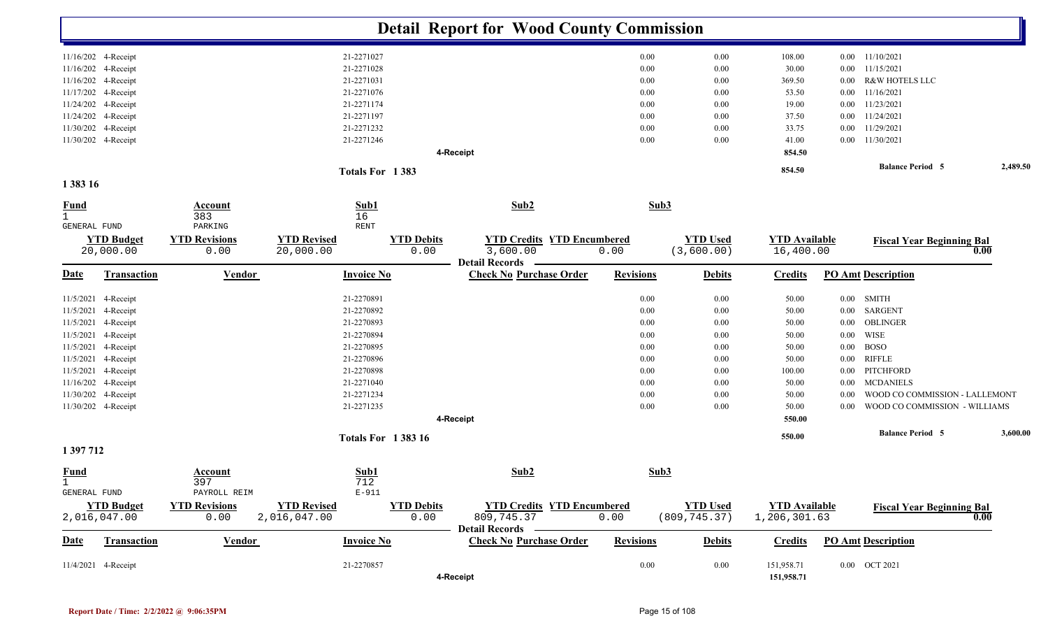|                             |                                   |                                         |                                                |                           | <b>Detail Report for Wood County Commission</b>         |                  |                                  |                                      |          |                                  |          |
|-----------------------------|-----------------------------------|-----------------------------------------|------------------------------------------------|---------------------------|---------------------------------------------------------|------------------|----------------------------------|--------------------------------------|----------|----------------------------------|----------|
|                             | 11/16/202 4-Receipt               |                                         | 21-2271027                                     |                           |                                                         | 0.00             | 0.00                             | 108.00                               |          | $0.00$ $11/10/2021$              |          |
|                             | 11/16/202 4-Receipt               |                                         | 21-2271028                                     |                           |                                                         | 0.00             | 0.00                             | 30.00                                | $0.00\,$ | 11/15/2021                       |          |
|                             | 11/16/202 4-Receipt               |                                         | 21-2271031                                     |                           |                                                         | 0.00             | 0.00                             | 369.50                               | 0.00     | <b>R&amp;W HOTELS LLC</b>        |          |
|                             | 11/17/202 4-Receipt               |                                         | 21-2271076                                     |                           |                                                         | 0.00             | 0.00                             | 53.50                                | $0.00\,$ | 11/16/2021                       |          |
|                             | 11/24/202 4-Receipt               |                                         | 21-2271174                                     |                           |                                                         | 0.00             | 0.00                             | 19.00                                | $0.00\,$ | 11/23/2021                       |          |
|                             | 11/24/202 4-Receipt               |                                         | 21-2271197                                     |                           |                                                         | 0.00             | 0.00                             | 37.50                                | $0.00\,$ | 11/24/2021                       |          |
|                             | 11/30/202 4-Receipt               |                                         | 21-2271232                                     |                           |                                                         | 0.00             | 0.00                             | 33.75                                | $0.00\,$ | 11/29/2021                       |          |
|                             | 11/30/202 4-Receipt               |                                         | 21-2271246                                     |                           |                                                         | 0.00             | 0.00                             | 41.00                                |          | $0.00$ 11/30/2021                |          |
|                             |                                   |                                         |                                                |                           | 4-Receipt                                               |                  |                                  | 854.50                               |          |                                  |          |
|                             |                                   |                                         | Totals For 1383                                |                           |                                                         |                  |                                  | 854.50                               |          | <b>Balance Period 5</b>          | 2,489.50 |
| 1 383 16                    |                                   |                                         |                                                |                           |                                                         |                  |                                  |                                      |          |                                  |          |
| <b>Fund</b><br>$\mathbf{1}$ |                                   | <b>Account</b><br>383                   | Sub1<br>16                                     |                           | Sub2                                                    | Sub3             |                                  |                                      |          |                                  |          |
| GENERAL FUND                | <b>YTD Budget</b><br>20,000.00    | PARKING<br><b>YTD Revisions</b><br>0.00 | <b>RENT</b><br><b>YTD Revised</b><br>20,000.00 | <b>YTD Debits</b><br>0.00 | <b>YTD Credits YTD Encumbered</b><br>3,600.00           | 0.00             | <b>YTD Used</b><br>(3,600.00)    | <b>YTD Available</b><br>16,400.00    |          | <b>Fiscal Year Beginning Bal</b> | 0.00     |
| <b>Date</b>                 | <b>Transaction</b>                | <b>Vendor</b>                           | <b>Invoice No</b>                              |                           | <b>Detail Records</b><br><b>Check No Purchase Order</b> | <b>Revisions</b> | <b>Debits</b>                    | <b>Credits</b>                       |          | <b>PO Amt Description</b>        |          |
|                             | 11/5/2021 4-Receipt               |                                         | 21-2270891                                     |                           |                                                         | 0.00             | 0.00                             | 50.00                                | $0.00\,$ | <b>SMITH</b>                     |          |
| 11/5/2021                   | 4-Receipt                         |                                         | 21-2270892                                     |                           |                                                         | 0.00             | 0.00                             | 50.00                                | $0.00\,$ | <b>SARGENT</b>                   |          |
|                             | 11/5/2021 4-Receipt               |                                         | 21-2270893                                     |                           |                                                         | 0.00             | 0.00                             | 50.00                                | $0.00\,$ | OBLINGER                         |          |
|                             | 11/5/2021 4-Receipt               |                                         | 21-2270894                                     |                           |                                                         | 0.00             | 0.00                             | 50.00                                | $0.00\,$ | WISE                             |          |
|                             | 11/5/2021 4-Receipt               |                                         | 21-2270895                                     |                           |                                                         | 0.00             | 0.00                             | 50.00                                | $0.00\,$ | <b>BOSO</b>                      |          |
|                             | 11/5/2021 4-Receipt               |                                         | 21-2270896                                     |                           |                                                         | 0.00             | 0.00                             | 50.00                                | $0.00\,$ | <b>RIFFLE</b>                    |          |
|                             | 11/5/2021 4-Receipt               |                                         | 21-2270898                                     |                           |                                                         | 0.00             | 0.00                             | 100.00                               | $0.00\,$ | PITCHFORD                        |          |
|                             | 11/16/202 4-Receipt               |                                         | 21-2271040                                     |                           |                                                         | 0.00             | 0.00                             | 50.00                                | $0.00\,$ | <b>MCDANIELS</b>                 |          |
|                             | 11/30/202 4-Receipt               |                                         | 21-2271234                                     |                           |                                                         | 0.00             | 0.00                             | 50.00                                | 0.00     | WOOD CO COMMISSION - LALLEMONT   |          |
|                             | 11/30/202 4-Receipt               |                                         | 21-2271235                                     |                           |                                                         | 0.00             | 0.00                             | 50.00                                | 0.00     | WOOD CO COMMISSION - WILLIAMS    |          |
|                             |                                   |                                         |                                                |                           | 4-Receipt                                               |                  |                                  | 550.00                               |          |                                  |          |
|                             |                                   |                                         | <b>Totals For 138316</b>                       |                           |                                                         |                  |                                  | 550.00                               |          | <b>Balance Period 5</b>          | 3,600.00 |
| 1 397 712                   |                                   |                                         |                                                |                           |                                                         |                  |                                  |                                      |          |                                  |          |
| <b>Fund</b><br>Τ.           |                                   | <b>Account</b><br>397                   | Sub1<br>712                                    |                           | Sub2                                                    | Sub3             |                                  |                                      |          |                                  |          |
| GENERAL FUND                |                                   | PAYROLL REIM                            | $E-911$                                        |                           |                                                         |                  |                                  |                                      |          |                                  |          |
|                             | <b>YTD Budget</b><br>2,016,047.00 | <b>YTD Revisions</b><br>0.00            | <b>YTD Revised</b><br>2,016,047.00             | <b>YTD Debits</b><br>0.00 | <b>YTD Credits YTD Encumbered</b><br>809,745.37         | 0.00             | <b>YTD Used</b><br>(809, 745.37) | <b>YTD Available</b><br>1,206,301.63 |          | <b>Fiscal Year Beginning Bal</b> | 0.00     |
| <b>Date</b>                 | <b>Transaction</b>                | <b>Vendor</b>                           | <b>Invoice No</b>                              |                           | Detail Records –<br><b>Check No Purchase Order</b>      | <b>Revisions</b> | <b>Debits</b>                    | <b>Credits</b>                       |          | <b>PO Amt Description</b>        |          |
|                             | 11/4/2021 4-Receipt               |                                         | 21-2270857                                     |                           | 4-Receipt                                               | 0.00             | $0.00\,$                         | 151,958.71<br>151,958.71             |          | 0.00 OCT 2021                    |          |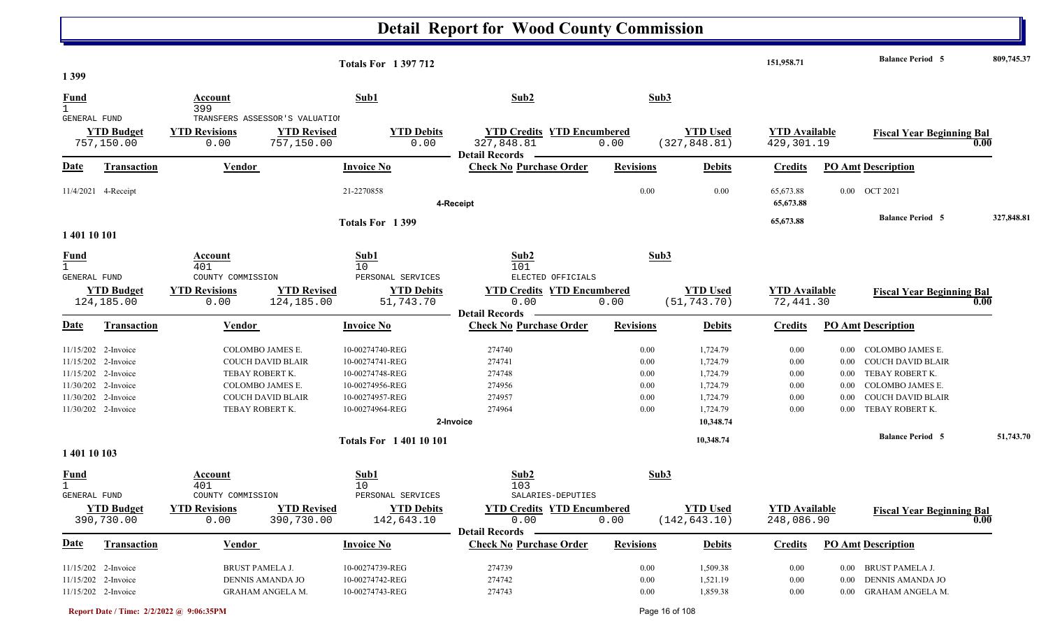|                                             |                                                                                                                              |                                                                                                                                    | <b>Totals For 1397712</b>                                                                                      |                                                                          |                                              |                                                                      | 151,958.71                                   |                                              | <b>Balance Period 5</b>                                                                                                            | 809,745.37        |
|---------------------------------------------|------------------------------------------------------------------------------------------------------------------------------|------------------------------------------------------------------------------------------------------------------------------------|----------------------------------------------------------------------------------------------------------------|--------------------------------------------------------------------------|----------------------------------------------|----------------------------------------------------------------------|----------------------------------------------|----------------------------------------------|------------------------------------------------------------------------------------------------------------------------------------|-------------------|
| 1 3 9 9                                     |                                                                                                                              |                                                                                                                                    |                                                                                                                |                                                                          |                                              |                                                                      |                                              |                                              |                                                                                                                                    |                   |
| <b>Fund</b><br>$\mathbf{1}$                 |                                                                                                                              | Account<br>399                                                                                                                     | Sub1                                                                                                           | Sub2                                                                     | Sub3                                         |                                                                      |                                              |                                              |                                                                                                                                    |                   |
| <b>GENERAL FUND</b>                         | <b>YTD Budget</b><br>757,150.00                                                                                              | TRANSFERS ASSESSOR'S VALUATION<br><b>YTD Revisions</b><br>0.00                                                                     | <b>YTD Revised</b><br><b>YTD Debits</b><br>0.00<br>757,150.00                                                  | <b>YTD Credits YTD Encumbered</b><br>327,848.81<br><b>Detail Records</b> | 0.00                                         | <b>YTD Used</b><br>(327, 848.81)                                     | <b>YTD Available</b><br>429,301.19           |                                              | <b>Fiscal Year Beginning Bal</b>                                                                                                   | 0.00              |
| Date                                        | <b>Transaction</b>                                                                                                           | Vendor                                                                                                                             | <b>Invoice No</b>                                                                                              | <b>Check No Purchase Order</b>                                           | <b>Revisions</b>                             | <b>Debits</b>                                                        | <b>Credits</b>                               |                                              | <b>PO Amt Description</b>                                                                                                          |                   |
|                                             | 11/4/2021 4-Receipt                                                                                                          |                                                                                                                                    | 21-2270858                                                                                                     | 4-Receipt                                                                | 0.00                                         | 0.00                                                                 | 65,673.88<br>65,673.88                       |                                              | 0.00 OCT 2021                                                                                                                      |                   |
|                                             |                                                                                                                              |                                                                                                                                    | Totals For 1399                                                                                                |                                                                          |                                              |                                                                      | 65,673.88                                    |                                              | <b>Balance Period 5</b>                                                                                                            | 327,848.81        |
| 1 401 10 101                                |                                                                                                                              |                                                                                                                                    |                                                                                                                |                                                                          |                                              |                                                                      |                                              |                                              |                                                                                                                                    |                   |
| <b>Fund</b><br>$\mathbf{1}$<br>GENERAL FUND |                                                                                                                              | Account<br>401<br>COUNTY COMMISSION                                                                                                | Sub1<br>10<br>PERSONAL SERVICES                                                                                | Sub2<br>101<br>ELECTED OFFICIALS                                         | Sub3                                         |                                                                      |                                              |                                              |                                                                                                                                    |                   |
|                                             | <b>YTD Budget</b><br>124,185.00                                                                                              | <b>YTD Revisions</b><br>0.00                                                                                                       | <b>YTD Revised</b><br><b>YTD Debits</b><br>124,185.00<br>51,743.70                                             | <b>YTD Credits YTD Encumbered</b><br>0.00<br><b>Detail Records</b>       | 0.00                                         | <b>YTD</b> Used<br>(51, 743.70)                                      | <b>YTD Available</b><br>72,441.30            |                                              | <b>Fiscal Year Beginning Bal</b>                                                                                                   | 0.00              |
| <u>Date</u>                                 | <b>Transaction</b>                                                                                                           | <u>Vendor</u>                                                                                                                      | <b>Invoice No</b>                                                                                              | <b>Check No Purchase Order</b>                                           | <b>Revisions</b>                             | <b>Debits</b>                                                        | <b>Credits</b>                               |                                              | <b>PO Amt Description</b>                                                                                                          |                   |
| 11/15/202                                   | 11/15/202 2-Invoice<br>2-Invoice<br>11/15/202 2-Invoice<br>11/30/202 2-Invoice<br>11/30/202 2-Invoice<br>11/30/202 2-Invoice | COLOMBO JAMES E.<br><b>COUCH DAVID BLAIR</b><br>TEBAY ROBERT K.<br>COLOMBO JAMES E.<br><b>COUCH DAVID BLAIR</b><br>TEBAY ROBERT K. | 10-00274740-REG<br>10-00274741-REG<br>10-00274748-REG<br>10-00274956-REG<br>10-00274957-REG<br>10-00274964-REG | 274740<br>274741<br>274748<br>274956<br>274957<br>274964                 | 0.00<br>0.00<br>0.00<br>0.00<br>0.00<br>0.00 | 1,724.79<br>1,724.79<br>1,724.79<br>1,724.79<br>1,724.79<br>1,724.79 | 0.00<br>0.00<br>0.00<br>0.00<br>0.00<br>0.00 | 0.00<br>0.00<br>0.00<br>0.00<br>0.00<br>0.00 | COLOMBO JAMES E.<br><b>COUCH DAVID BLAIR</b><br>TEBAY ROBERT K.<br>COLOMBO JAMES E.<br><b>COUCH DAVID BLAIR</b><br>TEBAY ROBERT K. |                   |
|                                             |                                                                                                                              |                                                                                                                                    |                                                                                                                | 2-Invoice                                                                |                                              | 10,348.74                                                            |                                              |                                              |                                                                                                                                    |                   |
| 1 401 10 103                                |                                                                                                                              |                                                                                                                                    | <b>Totals For 140110101</b>                                                                                    |                                                                          |                                              | 10,348.74                                                            |                                              |                                              | <b>Balance Period 5</b>                                                                                                            | 51,743.70         |
| <u>Fund</u><br>$\mathbf{1}$<br>GENERAL FUND |                                                                                                                              | Account<br>401<br>COUNTY COMMISSION                                                                                                | Sub1<br>10<br>PERSONAL SERVICES                                                                                | Sub2<br>103<br>SALARIES-DEPUTIES                                         | Sub3                                         |                                                                      |                                              |                                              |                                                                                                                                    |                   |
|                                             | <b>YTD Budget</b><br>390,730.00                                                                                              | <b>YTD Revisions</b><br>0.00                                                                                                       | <b>YTD Revised</b><br><b>YTD Debits</b><br>390,730.00<br>142,643.10                                            | <b>YTD Credits YTD Encumbered</b><br>0.00<br>Detail Records –            | 0.00                                         | <b>YTD Used</b><br>(142, 643.10)                                     | <b>YTD Available</b><br>248,086.90           |                                              | <b>Fiscal Year Beginning Bal</b>                                                                                                   | $\overline{0.00}$ |
| <u>Date</u>                                 | <b>Transaction</b>                                                                                                           | <b>Vendor</b>                                                                                                                      | <b>Invoice No</b>                                                                                              | <b>Check No Purchase Order</b>                                           | <b>Revisions</b>                             | <b>Debits</b>                                                        | <b>Credits</b>                               |                                              | <b>PO Amt Description</b>                                                                                                          |                   |
|                                             | 11/15/202 2-Invoice<br>11/15/202 2-Invoice<br>11/15/202 2-Invoice                                                            | <b>BRUST PAMELA J.</b><br>DENNIS AMANDA JO<br><b>GRAHAM ANGELA M.</b>                                                              | 10-00274739-REG<br>10-00274742-REG<br>10-00274743-REG                                                          | 274739<br>274742<br>274743                                               | 0.00<br>$0.00\,$<br>$0.00\,$                 | 1,509.38<br>1,521.19<br>1,859.38                                     | $0.00\,$<br>0.00<br>$0.00\,$                 |                                              | 0.00 BRUST PAMELA J.<br>0.00 DENNIS AMANDA JO<br>0.00 GRAHAM ANGELA M.                                                             |                   |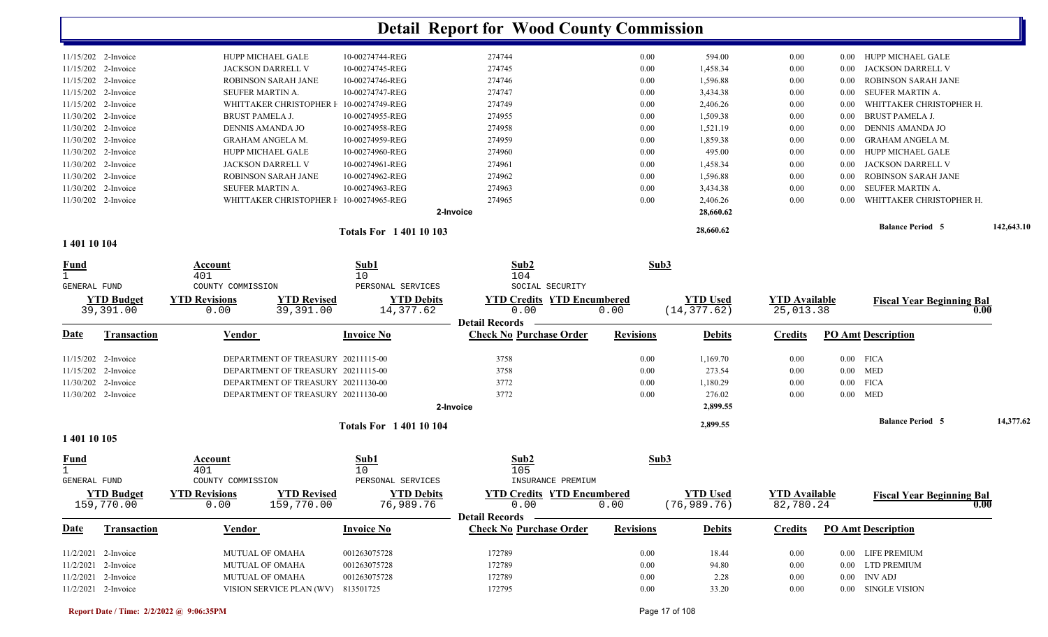| $11/30/202$ 2-Invoice | WHITTAKER CHRISTOPHER I    | 10-00274965-REG | 274965<br>2-Invoice | 0.00 | 2,406.26<br>28,660.62 | 0.00 |                   | WHITTAKER CHRISTOPHER H. |  |
|-----------------------|----------------------------|-----------------|---------------------|------|-----------------------|------|-------------------|--------------------------|--|
|                       |                            |                 |                     |      |                       |      |                   |                          |  |
|                       |                            |                 |                     |      |                       |      | 0.00              |                          |  |
| 11/30/202 2-Invoice   | <b>SEUFER MARTIN A.</b>    | 10-00274963-REG | 274963              | 0.00 | 3,434.38              | 0.00 | 0.00              | SEUFER MARTIN A.         |  |
| 11/30/202 2-Invoice   | <b>ROBINSON SARAH JANE</b> | 10-00274962-REG | 274962              | 0.00 | 1,596.88              | 0.00 | 0.00              | ROBINSON SARAH JANE      |  |
| 11/30/202 2-Invoice   | <b>JACKSON DARRELL V</b>   | 10-00274961-REG | 274961              | 0.00 | 1,458.34              | 0.00 | 0.00              | JACKSON DARRELL V        |  |
| 11/30/202 2-Invoice   | <b>HUPP MICHAEL GALE</b>   | 10-00274960-REG | 274960              | 0.00 | 495.00                | 0.00 | 0.00 <sub>1</sub> | HUPP MICHAEL GALE        |  |
| 11/30/202 2-Invoice   | <b>GRAHAM ANGELA M.</b>    | 10-00274959-REG | 274959              | 0.00 | 1,859.38              | 0.00 | 0.00              | GRAHAM ANGELA M.         |  |
| 11/30/202 2-Invoice   | DENNIS AMANDA JO           | 10-00274958-REG | 274958              | 0.00 | 1,521.19              | 0.00 | 0.00              | DENNIS AMANDA JO         |  |
| 11/30/202 2-Invoice   | BRUST PAMELA J.            | 10-00274955-REG | 274955              | 0.00 | 1,509.38              | 0.00 | 0.00              | <b>BRUST PAMELA J.</b>   |  |
| 11/15/202 2-Invoice   | WHITTAKER CHRISTOPHER I    |                 | 274749              | 0.00 | 2,406.26              | 0.00 | 0.00              | WHITTAKER CHRISTOPHER H. |  |
| 11/15/202 2-Invoice   | <b>SEUFER MARTIN A.</b>    | 10-00274747-REG | 274747              | 0.00 | 3,434.38              | 0.00 | 0.00              | SEUFER MARTIN A.         |  |
| $11/15/202$ 2-Invoice | <b>ROBINSON SARAH JANE</b> | 10-00274746-REG | 274746              | 0.00 | 1,596.88              | 0.00 | 0.00              | ROBINSON SARAH JANE      |  |
| 11/15/202 2-Invoice   | <b>JACKSON DARRELL V</b>   | 10-00274745-REG | 274745              | 0.00 | 1,458.34              | 0.00 | 0.00 <sub>1</sub> | JACKSON DARRELL V        |  |
| $11/15/202$ 2-Invoice | <b>HUPP MICHAEL GALE</b>   | 10-00274744-REG | 274744              | 0.00 | 594.00                | 0.00 | 0.00              | HUPP MICHAEL GALE        |  |
|                       |                            |                 | 10-00274749-REG     |      |                       |      |                   |                          |  |

**1 401 10 104** 

| <u>Fund</u>                 |                                 | Account<br>401                      |                                    | Sub1<br>10                      | Sub2<br>104                                                        |                  | Sub3                             |                                   |                   |                                  |      |           |
|-----------------------------|---------------------------------|-------------------------------------|------------------------------------|---------------------------------|--------------------------------------------------------------------|------------------|----------------------------------|-----------------------------------|-------------------|----------------------------------|------|-----------|
| <b>GENERAL FUND</b>         |                                 | COUNTY COMMISSION                   |                                    | PERSONAL SERVICES               | SOCIAL SECURITY                                                    |                  |                                  |                                   |                   |                                  |      |           |
|                             | <b>YTD Budget</b><br>39,391.00  | <b>YTD Revisions</b><br>0.00        | <b>YTD Revised</b><br>39,391.00    | <b>YTD Debits</b><br>14,377.62  | <b>YTD Credits YTD Encumbered</b><br>0.00                          | 0.00             | <b>YTD Used</b><br>(14, 377.62)  | <b>YTD Available</b><br>25,013.38 |                   | <b>Fiscal Year Beginning Bal</b> | 0.00 |           |
| <b>Date</b>                 | <b>Transaction</b>              | Vendor                              |                                    | <b>Invoice No</b>               | <b>Detail Records</b><br><b>Check No Purchase Order</b>            | <b>Revisions</b> | <b>Debits</b>                    | <b>Credits</b>                    |                   | <b>PO Amt Description</b>        |      |           |
|                             | 11/15/202 2-Invoice             |                                     | DEPARTMENT OF TREASURY 20211115-00 |                                 | 3758                                                               | 0.00             | 1,169.70                         | 0.00                              |                   | $0.00$ FICA                      |      |           |
|                             | 11/15/202 2-Invoice             |                                     | DEPARTMENT OF TREASURY 20211115-00 |                                 | 3758                                                               | 0.00             | 273.54                           | 0.00                              |                   | $0.00$ MED                       |      |           |
|                             | 11/30/202 2-Invoice             |                                     | DEPARTMENT OF TREASURY 20211130-00 |                                 | 3772                                                               | 0.00             | 1,180.29                         | 0.00                              |                   | $0.00$ FICA                      |      |           |
|                             | 11/30/202 2-Invoice             |                                     | DEPARTMENT OF TREASURY 20211130-00 |                                 | 3772<br>2-Invoice                                                  | 0.00             | 276.02<br>2,899.55               | 0.00                              |                   | $0.00$ MED                       |      |           |
|                             |                                 |                                     |                                    | <b>Totals For 140110104</b>     |                                                                    |                  | 2,899.55                         |                                   |                   | <b>Balance Period 5</b>          |      | 14,377.62 |
| 1 401 10 105                |                                 |                                     |                                    |                                 |                                                                    |                  |                                  |                                   |                   |                                  |      |           |
| <u>Fund</u><br>GENERAL FUND |                                 | Account<br>401<br>COUNTY COMMISSION |                                    | Sub1<br>10<br>PERSONAL SERVICES | Sub2<br>105<br>INSURANCE PREMIUM                                   |                  | Sub3                             |                                   |                   |                                  |      |           |
|                             | <b>YTD Budget</b><br>159,770.00 | <b>YTD Revisions</b><br>0.00        | <b>YTD Revised</b><br>159,770.00   | <b>YTD Debits</b><br>76,989.76  | <b>YTD Credits YTD Encumbered</b><br>0.00<br><b>Detail Records</b> | 0.00             | <b>YTD Used</b><br>(76, 989, 76) | <b>YTD</b> Available<br>82,780.24 |                   | <b>Fiscal Year Beginning Bal</b> | 0.00 |           |
| Date                        | <b>Transaction</b>              | Vendor                              |                                    | <b>Invoice No</b>               | <b>Check No Purchase Order</b>                                     | <b>Revisions</b> | <b>Debits</b>                    | <b>Credits</b>                    |                   | <b>PO Amt Description</b>        |      |           |
|                             | 11/2/2021 2-Invoice             | <b>MUTUAL OF OMAHA</b>              |                                    | 001263075728                    | 172789                                                             | 0.00             | 18.44                            | 0.00                              | $0.00 -$          | LIFE PREMIUM                     |      |           |
|                             | $11/2/2021$ 2-Invoice           | <b>MUTUAL OF OMAHA</b>              |                                    | 001263075728                    | 172789                                                             | 0.00             | 94.80                            | 0.00                              | $0.00\,$          | LTD PREMIUM                      |      |           |
| 11/2/2021                   | 2-Invoice                       | <b>MUTUAL OF OMAHA</b>              |                                    | 001263075728                    | 172789                                                             | 0.00             | 2.28                             | 0.00                              | 0.00 <sub>1</sub> | <b>INV ADJ</b>                   |      |           |
|                             | $11/2/2021$ 2-Invoice           |                                     | VISION SERVICE PLAN (WV)           | 813501725                       | 172795                                                             | 0.00             | 33.20                            | 0.00                              | 0.00              | SINGLE VISION                    |      |           |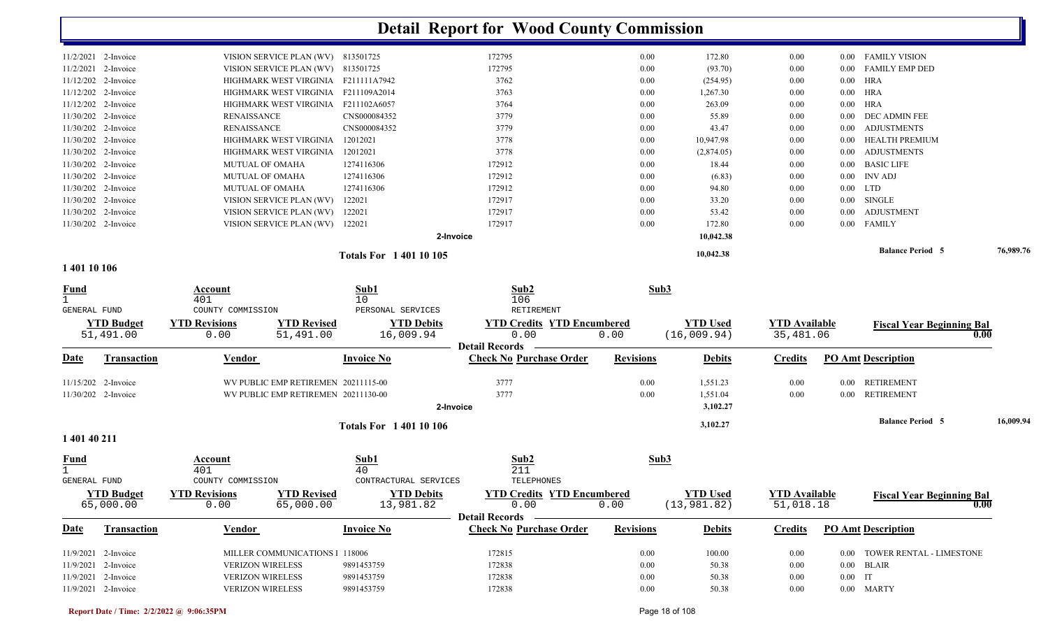|                       |                                     | <b>Totals For 140110105</b> |           |      | 10,042.38  |      |          | <b>Balance Period 5</b> | 76,989.76 |
|-----------------------|-------------------------------------|-----------------------------|-----------|------|------------|------|----------|-------------------------|-----------|
|                       |                                     |                             | 2-Invoice |      | 10,042.38  |      |          |                         |           |
| 11/30/202 2-Invoice   | VISION SERVICE PLAN (WV)            | 122021                      | 172917    | 0.00 | 172.80     | 0.00 |          | 0.00 FAMILY             |           |
| $11/30/202$ 2-Invoice | VISION SERVICE PLAN (WV)            | 122021                      | 172917    | 0.00 | 53.42      | 0.00 |          | 0.00 ADJUSTMENT         |           |
| $11/30/202$ 2-Invoice | VISION SERVICE PLAN (WV)            | 122021                      | 172917    | 0.00 | 33.20      | 0.00 | $0.00\,$ | SINGLE                  |           |
| $11/30/202$ 2-Invoice | MUTUAL OF OMAHA                     | 1274116306                  | 172912    | 0.00 | 94.80      | 0.00 |          | $0.00$ LTD              |           |
| 11/30/202 2-Invoice   | <b>MUTUAL OF OMAHA</b>              | 1274116306                  | 172912    | 0.00 | (6.83)     | 0.00 |          | $0.00$ INV ADJ          |           |
| $11/30/202$ 2-Invoice | <b>MUTUAL OF OMAHA</b>              | 1274116306                  | 172912    | 0.00 | 18.44      | 0.00 |          | 0.00 BASIC LIFE         |           |
| 11/30/202 2-Invoice   | HIGHMARK WEST VIRGINIA              | 12012021                    | 3778      | 0.00 | (2,874.05) | 0.00 |          | 0.00 ADJUSTMENTS        |           |
| $11/30/202$ 2-Invoice | HIGHMARK WEST VIRGINIA              | 12012021                    | 3778      | 0.00 | 10,947.98  | 0.00 |          | 0.00 HEALTH PREMIUM     |           |
| $11/30/202$ 2-Invoice | RENAISSANCE                         | CNS000084352                | 3779      | 0.00 | 43.47      | 0.00 |          | 0.00 ADJUSTMENTS        |           |
| $11/30/202$ 2-Invoice | RENAISSANCE                         | CNS000084352                | 3779      | 0.00 | 55.89      | 0.00 |          | 0.00 DEC ADMIN FEE      |           |
| $11/12/202$ 2-Invoice | HIGHMARK WEST VIRGINIA              | F211102A6057                | 3764      | 0.00 | 263.09     | 0.00 |          | $0.00$ HRA              |           |
| $11/12/202$ 2-Invoice | HIGHMARK WEST VIRGINIA F211109A2014 |                             | 3763      | 0.00 | 1,267.30   | 0.00 |          | $0.00$ HRA              |           |
| $11/12/202$ 2-Invoice | HIGHMARK WEST VIRGINIA F211111A7942 |                             | 3762      | 0.00 | (254.95)   | 0.00 |          | $0.00$ HRA              |           |
| $11/2/2021$ 2-Invoice | VISION SERVICE PLAN (WV) 813501725  |                             | 172795    | 0.00 | (93.70)    | 0.00 |          | 0.00 FAMILY EMP DED     |           |
| $11/2/2021$ 2-Invoice | VISION SERVICE PLAN (WV) 813501725  |                             | 172795    | 0.00 | 172.80     | 0.00 |          | 0.00 FAMILY VISION      |           |
|                       |                                     |                             |           |      |            |      |          |                         |           |

#### **1 401 10 106**

| <u>Fund</u><br><b>GENERAL FUND</b> |                                              | Account<br>401<br>COUNTY COMMISSION                |                                                                            | Sub1<br>10 <sup>°</sup><br>PERSONAL SERVICES | Sub2<br>106<br>RETIREMENT                                          | Sub3             |                                 |                                   |                       |                                  |           |
|------------------------------------|----------------------------------------------|----------------------------------------------------|----------------------------------------------------------------------------|----------------------------------------------|--------------------------------------------------------------------|------------------|---------------------------------|-----------------------------------|-----------------------|----------------------------------|-----------|
|                                    | <b>YTD Budget</b><br>51,491.00               | <b>YTD Revisions</b><br>0.00                       | <b>YTD Revised</b><br>51,491.00                                            | <b>YTD Debits</b><br>16,009.94               | <b>YTD Credits YTD Encumbered</b><br>0.00<br><b>Detail Records</b> | 0.00             | <b>YTD Used</b><br>(16,009.94)  | <b>YTD</b> Available<br>35,481.06 |                       | <b>Fiscal Year Beginning Bal</b> | 0.00      |
| <u>Date</u>                        | <b>Transaction</b>                           | <b>Vendor</b>                                      |                                                                            | <b>Invoice No</b>                            | <b>Check No Purchase Order</b>                                     | <b>Revisions</b> | <b>Debits</b>                   | <b>Credits</b>                    |                       | <b>PO Amt Description</b>        |           |
|                                    | $11/15/202$ 2-Invoice<br>11/30/202 2-Invoice |                                                    | WV PUBLIC EMP RETIREMEN 20211115-00<br>WV PUBLIC EMP RETIREMEN 20211130-00 |                                              | 3777<br>3777                                                       | 0.00<br>0.00     | 1,551.23<br>1,551.04            | 0.00<br>0.00                      | 0.00<br>$0.00\,$      | <b>RETIREMENT</b><br>RETIREMENT  |           |
| 1 401 40 211                       |                                              |                                                    |                                                                            | 2-Invoice<br><b>Totals For 140110106</b>     |                                                                    |                  | 3,102.27<br>3,102.27            |                                   |                       | <b>Balance Period 5</b>          | 16,009.94 |
| <u>Fund</u><br>GENERAL FUND        |                                              | Account<br>401<br>COUNTY COMMISSION                |                                                                            | Sub1<br>40<br>CONTRACTURAL SERVICES          | Sub2<br>211<br>TELEPHONES                                          | Sub3             |                                 |                                   |                       |                                  |           |
|                                    | <b>YTD Budget</b><br>65,000.00               | <b>YTD Revisions</b><br>0.00                       | <b>YTD Revised</b><br>65,000.00                                            | <b>YTD Debits</b><br>13,981.82               | <b>YTD Credits YTD Encumbered</b><br>0.00                          | 0.00             | <b>YTD Used</b><br>(13, 981.82) | <b>YTD Available</b><br>51,018.18 |                       | <b>Fiscal Year Beginning Bal</b> | 0.00      |
| <b>Date</b>                        | <b>Transaction</b>                           | <b>Vendor</b>                                      |                                                                            | <b>Invoice No</b>                            | <b>Detail Records</b><br><b>Check No Purchase Order</b>            | <b>Revisions</b> | <b>Debits</b>                   | <b>Credits</b>                    |                       | <b>PO Amt Description</b>        |           |
|                                    | 11/9/2021 2-Invoice                          |                                                    | MILLER COMMUNICATIONS                                                      | 118006                                       | 172815                                                             | 0.00             | 100.00                          | 0.00                              | 0.00                  | TOWER RENTAL - LIMESTONE         |           |
|                                    | 11/9/2021 2-Invoice<br>11/9/2021 2-Invoice   | <b>VERIZON WIRELESS</b><br><b>VERIZON WIRELESS</b> |                                                                            | 9891453759<br>9891453759                     | 172838<br>172838                                                   | 0.00<br>0.00     | 50.38<br>50.38                  | 0.00<br>0.00                      | $0.00\,$<br>$0.00$ IT | <b>BLAIR</b>                     |           |
|                                    | 11/9/2021 2-Invoice                          | <b>VERIZON WIRELESS</b>                            |                                                                            | 9891453759                                   | 172838                                                             | 0.00             | 50.38                           | 0.00                              |                       | 0.00 MARTY                       |           |

**Report Date / Time: 2/2/2022 @ 9:06:35PM** Page 18 of 108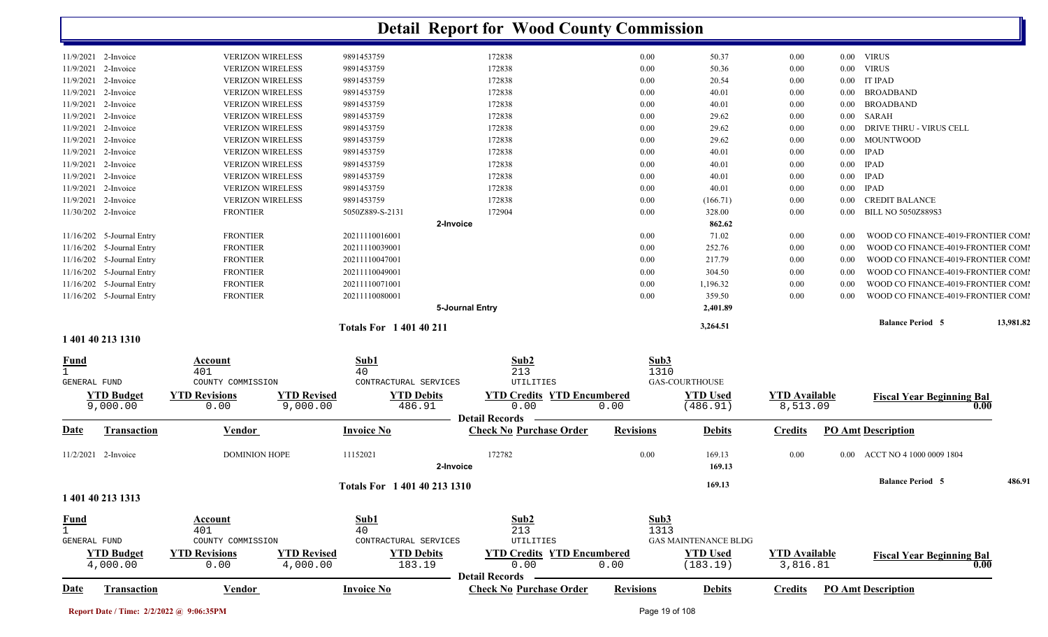|                     |                           |                         |                                         | <b>Detail Report for Wood County Commission</b> |                  |                             |                      |          |                                    |           |
|---------------------|---------------------------|-------------------------|-----------------------------------------|-------------------------------------------------|------------------|-----------------------------|----------------------|----------|------------------------------------|-----------|
| 11/9/2021 2-Invoice |                           | <b>VERIZON WIRELESS</b> | 9891453759                              | 172838                                          | 0.00             | 50.37                       | 0.00                 |          | 0.00 VIRUS                         |           |
| 11/9/2021           | 2-Invoice                 | <b>VERIZON WIRELESS</b> | 9891453759                              | 172838                                          | 0.00             | 50.36                       | 0.00                 | $0.00\,$ | <b>VIRUS</b>                       |           |
| 11/9/2021           | 2-Invoice                 | <b>VERIZON WIRELESS</b> | 9891453759                              | 172838                                          | 0.00             | 20.54                       | 0.00                 | $0.00\,$ | <b>IT IPAD</b>                     |           |
| 11/9/2021           | 2-Invoice                 | <b>VERIZON WIRELESS</b> | 9891453759                              | 172838                                          | 0.00             | 40.01                       | 0.00                 | $0.00\,$ | <b>BROADBAND</b>                   |           |
| 11/9/2021 2-Invoice |                           | <b>VERIZON WIRELESS</b> | 9891453759                              | 172838                                          | 0.00             | 40.01                       | 0.00                 | $0.00\,$ | <b>BROADBAND</b>                   |           |
| 11/9/2021           | 2-Invoice                 | <b>VERIZON WIRELESS</b> | 9891453759                              | 172838                                          | 0.00             | 29.62                       | $0.00\,$             | $0.00\,$ | SARAH                              |           |
| 11/9/2021           | 2-Invoice                 | <b>VERIZON WIRELESS</b> | 9891453759                              | 172838                                          | 0.00             | 29.62                       | 0.00                 | $0.00\,$ | DRIVE THRU - VIRUS CELL            |           |
| 11/9/2021           | 2-Invoice                 | <b>VERIZON WIRELESS</b> | 9891453759                              | 172838                                          | 0.00             | 29.62                       | 0.00                 | $0.00\,$ | <b>MOUNTWOOD</b>                   |           |
| 11/9/2021           | 2-Invoice                 | <b>VERIZON WIRELESS</b> | 9891453759                              | 172838                                          | 0.00             | 40.01                       | 0.00                 | $0.00\,$ | <b>IPAD</b>                        |           |
| 11/9/2021           | 2-Invoice                 | <b>VERIZON WIRELESS</b> | 9891453759                              | 172838                                          | 0.00             | 40.01                       | 0.00                 |          | $0.00$ IPAD                        |           |
| 11/9/2021           | 2-Invoice                 | <b>VERIZON WIRELESS</b> | 9891453759                              | 172838                                          | 0.00             | 40.01                       | 0.00                 | $0.00\,$ | IPAD                               |           |
| 11/9/2021           | 2-Invoice                 | <b>VERIZON WIRELESS</b> | 9891453759                              | 172838                                          | 0.00             | 40.01                       | 0.00                 | $0.00\,$ | IPAD                               |           |
| 11/9/2021 2-Invoice |                           | <b>VERIZON WIRELESS</b> | 9891453759                              | 172838                                          | 0.00             | (166.71)                    | 0.00                 | $0.00\,$ | <b>CREDIT BALANCE</b>              |           |
| 11/30/202 2-Invoice |                           | <b>FRONTIER</b>         | 5050Z889-S-2131                         | 172904                                          | 0.00             | 328.00                      | 0.00                 | $0.00\,$ | <b>BILL NO 5050Z889S3</b>          |           |
|                     |                           |                         |                                         | 2-Invoice                                       |                  | 862.62                      |                      |          |                                    |           |
|                     | 11/16/202 5-Journal Entry | <b>FRONTIER</b>         | 20211110016001                          |                                                 | 0.00             | 71.02                       | 0.00                 | 0.00     | WOOD CO FINANCE-4019-FRONTIER COMI |           |
|                     | 11/16/202 5-Journal Entry | <b>FRONTIER</b>         | 20211110039001                          |                                                 | 0.00             | 252.76                      | $0.00\,$             | 0.00     | WOOD CO FINANCE-4019-FRONTIER COMI |           |
|                     | 11/16/202 5-Journal Entry | <b>FRONTIER</b>         | 20211110047001                          |                                                 | 0.00             | 217.79                      | $0.00\,$             | 0.00     | WOOD CO FINANCE-4019-FRONTIER COMI |           |
|                     | 11/16/202 5-Journal Entry | <b>FRONTIER</b>         | 20211110049001                          |                                                 | 0.00             | 304.50                      | $0.00\,$             | 0.00     | WOOD CO FINANCE-4019-FRONTIER COMI |           |
|                     | 11/16/202 5-Journal Entry | <b>FRONTIER</b>         | 20211110071001                          |                                                 | 0.00             | 1,196.32                    | $0.00\,$             | 0.00     | WOOD CO FINANCE-4019-FRONTIER COMI |           |
|                     | 11/16/202 5-Journal Entry | <b>FRONTIER</b>         | 20211110080001                          |                                                 | 0.00             | 359.50                      | 0.00                 | 0.00     | WOOD CO FINANCE-4019-FRONTIER COMI |           |
|                     |                           |                         |                                         | 5-Journal Entry                                 |                  | 2,401.89                    |                      |          | <b>Balance Period 5</b>            | 13,981.82 |
|                     | 1 401 40 213 1310         |                         | <b>Totals For 140140211</b>             |                                                 |                  | 3,264.51                    |                      |          |                                    |           |
|                     |                           |                         |                                         |                                                 |                  |                             |                      |          |                                    |           |
| <b>Fund</b>         |                           | <b>Account</b><br>401   | Sub1<br>40                              | Sub2<br>213                                     | Sub3<br>1310     |                             |                      |          |                                    |           |
| GENERAL FUND        |                           | COUNTY COMMISSION       | CONTRACTURAL SERVICES                   | UTILITIES                                       |                  | <b>GAS-COURTHOUSE</b>       |                      |          |                                    |           |
|                     | <b>YTD Budget</b>         | <b>YTD Revisions</b>    | <b>YTD Revised</b><br><b>YTD Debits</b> | <b>YTD Credits YTD Encumbered</b>               |                  | <b>YTD Used</b>             | <b>YTD Available</b> |          | <b>Fiscal Year Beginning Bal</b>   |           |
|                     | 9,000.00                  | 0.00                    | 486.91<br>9,000.00                      | 0.00                                            | 0.00             | (486.91)                    | 8,513.09             |          | 0.00                               |           |
|                     |                           |                         |                                         | <b>Detail Records</b>                           |                  |                             |                      |          |                                    |           |
| <b>Date</b>         | Transaction               | <b>Vendor</b>           | <b>Invoice No</b>                       | <b>Check No Purchase Order</b>                  | <b>Revisions</b> | <b>Debits</b>               | <b>Credits</b>       |          | <b>PO Amt Description</b>          |           |
| 11/2/2021 2-Invoice |                           | <b>DOMINION HOPE</b>    | 11152021                                | 172782<br>2-Invoice                             | 0.00             | 169.13<br>169.13            | 0.00                 |          | 0.00 ACCT NO 4 1000 0009 1804      |           |
|                     |                           |                         | Totals For 1 401 40 213 1310            |                                                 |                  | 169.13                      |                      |          | <b>Balance Period 5</b>            | 486.91    |
|                     | 1 401 40 213 1313         |                         |                                         |                                                 |                  |                             |                      |          |                                    |           |
| <b>Fund</b>         |                           | Account                 | Sub1                                    | Sub2                                            | Sub3             |                             |                      |          |                                    |           |
| $\mathbf{1}$        |                           | 401                     | 40                                      | 213                                             | 1313             |                             |                      |          |                                    |           |
| GENERAL FUND        |                           | COUNTY COMMISSION       | CONTRACTURAL SERVICES                   | UTILITIES                                       |                  | <b>GAS MAINTENANCE BLDG</b> |                      |          |                                    |           |
|                     | <b>YTD Budget</b>         | <b>YTD Revisions</b>    | <b>YTD Revised</b><br><b>YTD Debits</b> | <b>YTD Credits YTD Encumbered</b>               |                  | <b>YTD Used</b>             | <b>YTD</b> Available |          | <b>Fiscal Year Beginning Bal</b>   |           |
|                     | 4,000.00                  | 0.00                    | 4,000.00<br>183.19                      | 0.00<br><b>Detail Records</b>                   | 0.00             | (183.19)                    | 3,816.81             |          | 0.00                               |           |
| <b>Date</b>         | <b>Transaction</b>        | <b>Vendor</b>           | <b>Invoice No</b>                       | <b>Check No Purchase Order</b>                  | <b>Revisions</b> | <b>Debits</b>               | <b>Credits</b>       |          | <b>PO Amt Description</b>          |           |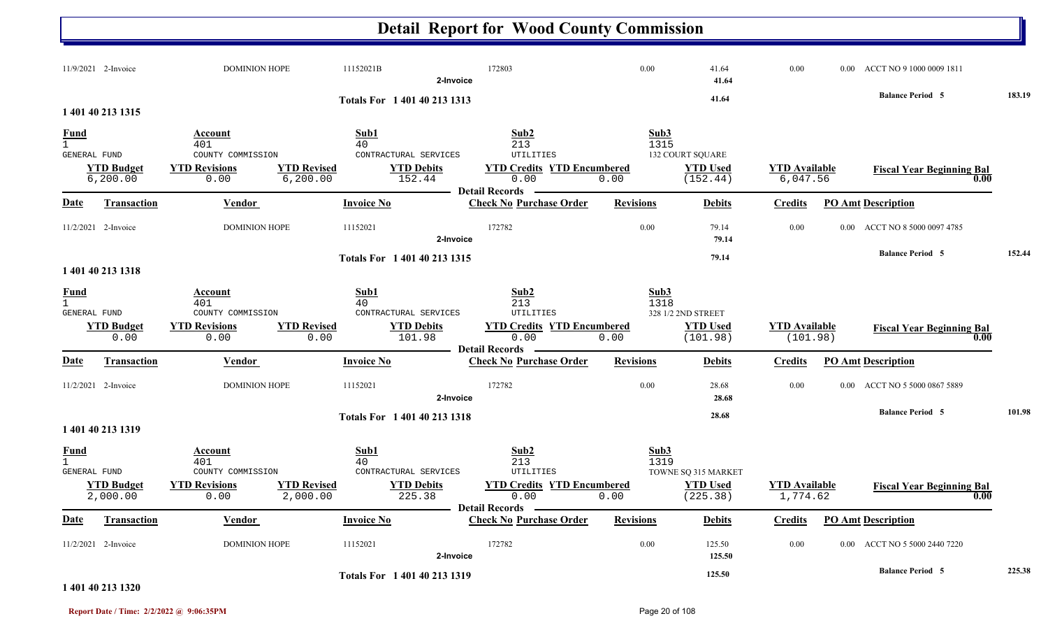#### **Detail Report for Wood County Commission** 11/9/2021 2-Invoice 2-DOMINION HOPE 11152021B 172803 172803 172803 0.00 41.64 0.00 0.00 0.00 ACCT NO 9 1000 0009 1811 **2-Invoice 41.64 41.64 Balance Period 183.19 <sup>5</sup> Totals For 1 401 40 213 13131 401 40 213 1315** $\overline{1}$  401  $1$  and  $40$  and  $213$  and  $1315$ **Fund Account Sub1 Sub2 Sub3** GENERAL FUND COUNTY COMMISSION CONTRACTURAL SERVICES UTILITIES6,200.00 0.00 6,200.00 152.44 0.00 0.00 6,047.56 (152.44) **YTD Budget YTD Revisions YTD Revised YTD Debits YTD Credits YTD Encumbered<u>TD Used</u> <b>YTD Available Fiscal Year Beginning Bal 0.00** (152.44) **Fiscal Year Beginning Bal** 132 COURT SQUARE **Date Vendor Invoice NoTransaction Purchase Order Revisions Debits Credits PO Amt Description Detail RecordsContract Vendor Check Invoice No** 11/2/2021 2-Invoice 2-DOMINION HOPE 11152021 172782 172782 0.00 79.14 0.00 0.00 ACCT NO 8 5000 0097 4785 **2-Invoice 79.14 79.14 Balance Period 152.44 <sup>5</sup> Totals For 1 401 40 213 13151 401 40 213 1318**1 401 $1^{1}$  and  $40^{1}$  and  $213^{13}$  and  $1318$ **Fund Account Sub1 Sub2 Sub3** GENERAL FUND COUNTY COMMISSION CONTRACTURAL SERVICES UTILITIES0.00 0.00 0.00 101.98 0.00 0.00 ) (101.98) (101.98 **YTD Budget YTD Revisions YTD Revised YTD Debits YTD Credits YTD Encumbered<u>TD Used</u> <b>YTD Available Fiscal Year Beginning Bal 0.00** (101.98) **Fiscal Year Beginning Bal** 328 1/2 2ND STREET **Date Vendor Invoice NoTransaction Purchase Order Revisions Debits Credits PO Amt Description Detail RecordsConductional Vendor Check Invoice No** 11/2/2021 2-Invoice 22-INVOICE 211152021 172782 0.00 28.68 0.00 0.00 ACCT NO 5 5000 0867 5889 **2-Invoice 28.68 28.68 Balance Period 101.98 <sup>5</sup> Totals For 1 401 40 213 13181 401 40 213 1319**1 401 $1^{1}$  and  $40^{1}$  and  $213^{1}$  and  $213^{1}$ **Fund Account Sub1 Sub2 Sub3** GENERAL FUND COUNTY COMMISSION CONTRACTURAL SERVICES UTILITIES2,000.00 0.00 2,000.00 225.38 0.00 0.00 1,774.62 (225.38) **YTD Budget YTD Revisions YTD Revised YTD Debits YTD Encumbered<u>TD Used</u><br>
1,774.62<br>
<b>Fiscal Year Beginning Bal 1,774.62**<br> **Fiscal Year Beginning Bal 0.00** TOWNE SQ 315 MARKET **Date Vendor Invoice NoTransaction Purchase Order Revisions Debits Credits PO Amt Description Detail Records** Vendor **Invoice No** 11/2/2021 2-Invoice 22-INVOICE 11152021 172782 0.00 125.50 0.00 0.00 ACCT NO 5 5000 2440 7220 **2-Invoice 125.50 125.50 Balance Period 225.38 <sup>5</sup> Totals For 1 401 40 213 1319**

### **1 401 40 213 1320**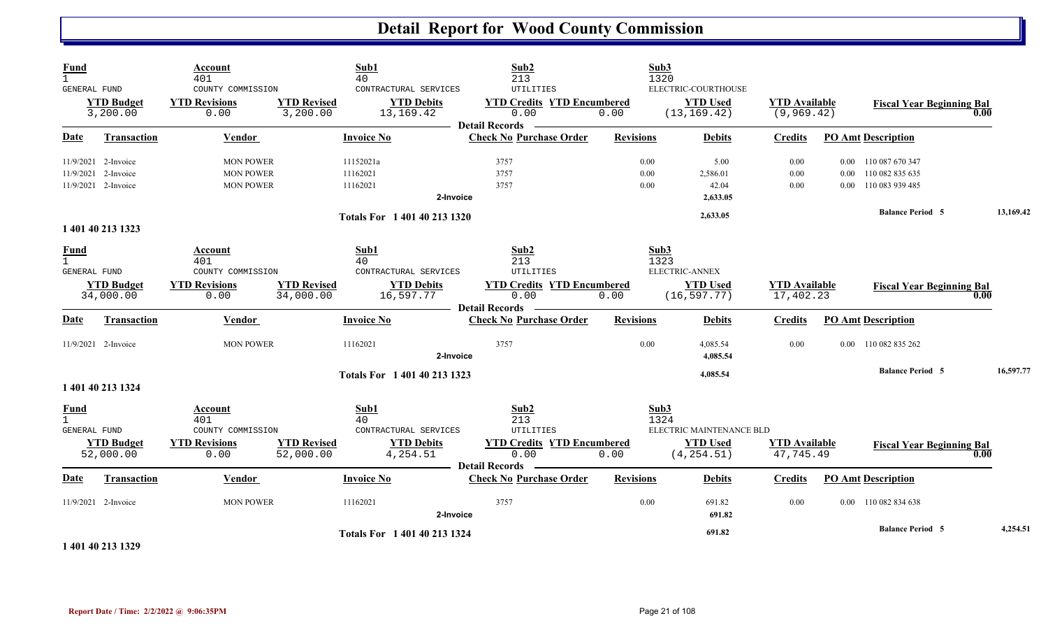| <b>Fund</b><br>$\mathbf{1}$                        |                                                                   | Account<br>401                                                      |                                 | Sub1<br>40                                                            | Sub2<br>213                                                                                    |                      | Sub3<br>1320                                                               |                                     |                  |                                                            |           |  |
|----------------------------------------------------|-------------------------------------------------------------------|---------------------------------------------------------------------|---------------------------------|-----------------------------------------------------------------------|------------------------------------------------------------------------------------------------|----------------------|----------------------------------------------------------------------------|-------------------------------------|------------------|------------------------------------------------------------|-----------|--|
| <b>GENERAL FUND</b>                                | <b>YTD Budget</b><br>3,200.00                                     | COUNTY COMMISSION<br><b>YTD Revisions</b><br>0.00                   | <b>YTD Revised</b><br>3,200.00  | CONTRACTURAL SERVICES<br><b>YTD Debits</b><br>13,169.42               | UTILITIES<br><b>YTD Credits YTD Encumbered</b><br>0.00                                         | 0.00                 | ELECTRIC-COURTHOUSE<br><b>YTD Used</b><br>(13, 169.42)                     | <b>YTD Available</b><br>(9, 969.42) |                  | <b>Fiscal Year Beginning Bal</b>                           | 0.00      |  |
| <b>Date</b>                                        | <b>Transaction</b>                                                | <b>Vendor</b>                                                       |                                 | <b>Invoice No</b>                                                     | <b>Detail Records</b><br><b>Check No Purchase Order</b>                                        | <b>Revisions</b>     | <b>Debits</b>                                                              | <b>Credits</b>                      |                  | <b>PO Amt Description</b>                                  |           |  |
|                                                    | 11/9/2021 2-Invoice<br>11/9/2021 2-Invoice<br>11/9/2021 2-Invoice | <b>MON POWER</b><br><b>MON POWER</b><br><b>MON POWER</b>            |                                 | 11152021a<br>11162021<br>11162021<br>2-Invoice                        | 3757<br>3757<br>3757                                                                           | 0.00<br>0.00<br>0.00 | 5.00<br>2,586.01<br>42.04<br>2,633.05                                      | 0.00<br>0.00<br>0.00                | 0.00<br>$0.00\,$ | 0.00 110 087 670 347<br>110 082 835 635<br>110 083 939 485 |           |  |
|                                                    |                                                                   |                                                                     |                                 | Totals For 1 401 40 213 1320                                          |                                                                                                |                      | 2,633.05                                                                   |                                     |                  | <b>Balance Period 5</b>                                    | 13,169.42 |  |
|                                                    | 1 401 40 213 1323                                                 |                                                                     |                                 |                                                                       |                                                                                                |                      |                                                                            |                                     |                  |                                                            |           |  |
| <b>Fund</b><br>$\mathbf{1}$<br>GENERAL FUND        | <b>YTD Budget</b><br>34,000.00                                    | Account<br>401<br>COUNTY COMMISSION<br><b>YTD Revisions</b><br>0.00 | <b>YTD Revised</b><br>34,000.00 | Sub1<br>40<br>CONTRACTURAL SERVICES<br><b>YTD Debits</b><br>16,597.77 | Sub2<br>213<br>UTILITIES<br><b>YTD Credits YTD Encumbered</b><br>0.00                          | 0.00                 | Sub3<br>1323<br><b>ELECTRIC-ANNEX</b><br><b>YTD Used</b><br>(16, 597.77)   | <b>YTD</b> Available<br>17,402.23   |                  | <b>Fiscal Year Beginning Bal</b>                           | 0.00      |  |
| <b>Date</b>                                        | Transaction                                                       | Vendor                                                              |                                 | <b>Invoice No</b>                                                     | <b>Detail Records</b><br><b>Check No Purchase Order</b>                                        | <b>Revisions</b>     | <b>Debits</b>                                                              | <b>Credits</b>                      |                  | <b>PO Amt Description</b>                                  |           |  |
|                                                    | $11/9/2021$ 2-Invoice                                             | <b>MON POWER</b>                                                    |                                 | 11162021<br>2-Invoice                                                 | 3757                                                                                           | 0.00                 | 4,085.54<br>4,085.54                                                       | 0.00                                |                  | 0.00 110 082 835 262                                       |           |  |
|                                                    | 1 401 40 213 1324                                                 |                                                                     |                                 | Totals For 1 401 40 213 1323                                          |                                                                                                |                      | 4,085.54                                                                   |                                     |                  | <b>Balance Period 5</b>                                    | 16,597.77 |  |
| <b>Fund</b><br>$\mathbf{1}$<br><b>GENERAL FUND</b> | <b>YTD Budget</b><br>52,000.00                                    | Account<br>401<br>COUNTY COMMISSION<br><b>YTD Revisions</b><br>0.00 | <b>YTD Revised</b><br>52,000.00 | Sub1<br>40<br>CONTRACTURAL SERVICES<br><b>YTD Debits</b><br>4,254.51  | Sub2<br>213<br>UTILITIES<br><b>YTD Credits YTD Encumbered</b><br>0.00<br><b>Detail Records</b> | 0.00                 | Sub3<br>1324<br>ELECTRIC MAINTENANCE BLD<br><b>YTD Used</b><br>(4, 254.51) | <b>YTD Available</b><br>47,745.49   |                  | <b>Fiscal Year Beginning Bal</b>                           | 0.00      |  |
| Date                                               | <b>Transaction</b>                                                | Vendor                                                              |                                 | <b>Invoice No</b>                                                     | <b>Check No Purchase Order</b>                                                                 | <b>Revisions</b>     | <b>Debits</b>                                                              | <b>Credits</b>                      |                  | <b>PO Amt Description</b>                                  |           |  |
|                                                    | $11/9/2021$ 2-Invoice                                             | <b>MON POWER</b>                                                    |                                 | 11162021<br>2-Invoice                                                 | 3757                                                                                           | 0.00                 | 691.82<br>691.82                                                           | 0.00                                |                  | 0.00 110 082 834 638                                       |           |  |
|                                                    | 1.401.40.212.120                                                  |                                                                     |                                 | Totals For 1 401 40 213 1324                                          |                                                                                                |                      | 691.82                                                                     |                                     |                  | <b>Balance Period 5</b>                                    | 4,254.51  |  |

**1 401 40 213 1329**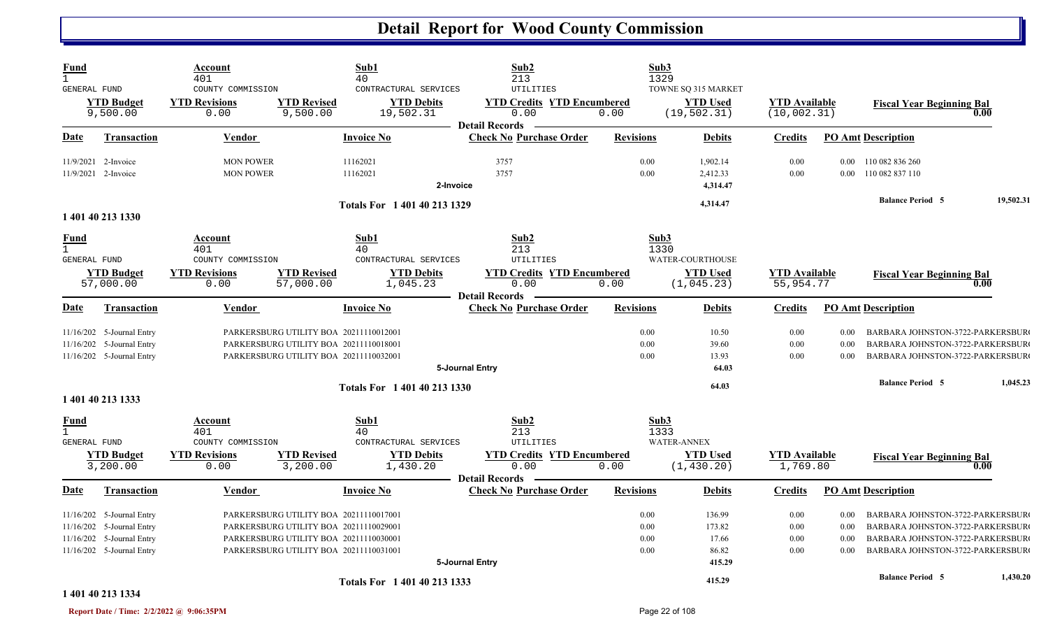| <b>Fund</b><br>$\mathbf{1}$ | GENERAL FUND                      | Account<br>401<br>COUNTY COMMISSION       |                                        | Sub1<br>40<br>CONTRACTURAL SERVICES        | Sub2<br>213<br>UTILITIES                                | Sub3<br>1329     | TOWNE SQ 315 MARKET                 |                                      |          |                                  |           |
|-----------------------------|-----------------------------------|-------------------------------------------|----------------------------------------|--------------------------------------------|---------------------------------------------------------|------------------|-------------------------------------|--------------------------------------|----------|----------------------------------|-----------|
|                             | <b>YTD Budget</b><br>9,500.00     | <b>YTD Revisions</b><br>0.00              | <b>YTD Revised</b><br>9,500.00         | <b>YTD Debits</b><br>19,502.31             | <b>YTD Credits YTD Encumbered</b><br>0.00               | 0.00             | <b>YTD</b> Used<br>(19, 502.31)     | <b>YTD</b> Available<br>(10, 002.31) |          | <b>Fiscal Year Beginning Bal</b> | 0.00      |
| Date                        | <b>Transaction</b>                | Vendor                                    |                                        | Invoice No                                 | <b>Detail Records</b><br><b>Check No Purchase Order</b> | <b>Revisions</b> | <b>Debits</b>                       | <b>Credits</b>                       |          | <b>PO Amt Description</b>        |           |
|                             | 11/9/2021 2-Invoice               | <b>MON POWER</b>                          |                                        | 11162021                                   | 3757                                                    | 0.00             | 1,902.14                            | 0.00                                 |          | 0.00 110 082 836 260             |           |
|                             | 11/9/2021 2-Invoice               | <b>MON POWER</b>                          |                                        | 11162021                                   | 3757                                                    | 0.00             | 2,412.33                            | 0.00                                 | 0.00     | 110 082 837 110                  |           |
|                             |                                   |                                           |                                        |                                            | 2-Invoice                                               |                  | 4,314.47                            |                                      |          |                                  |           |
|                             |                                   |                                           |                                        | Totals For 1 401 40 213 1329               |                                                         |                  | 4,314.47                            |                                      |          | <b>Balance Period 5</b>          | 19,502.31 |
|                             | 1 401 40 213 1330                 |                                           |                                        |                                            |                                                         |                  |                                     |                                      |          |                                  |           |
| Fund                        |                                   | Account                                   |                                        | Sub1                                       | Sub2                                                    | Sub3             |                                     |                                      |          |                                  |           |
| $\mathbf{1}$                |                                   | 401                                       |                                        | 40                                         | 213                                                     | 1330             |                                     |                                      |          |                                  |           |
|                             | GENERAL FUND<br><b>YTD Budget</b> | COUNTY COMMISSION<br><b>YTD Revisions</b> | <b>YTD Revised</b>                     | CONTRACTURAL SERVICES<br><b>YTD Debits</b> | UTILITIES<br><b>YTD Credits YTD Encumbered</b>          |                  | WATER-COURTHOUSE<br><b>YTD Used</b> | <b>YTD</b> Available                 |          |                                  |           |
|                             | 57,000.00                         | 0.00                                      | 57,000.00                              | 1,045.23                                   | 0.00                                                    | 0.00             | (1, 045.23)                         | 55,954.77                            |          | <b>Fiscal Year Beginning Bal</b> | 0.00      |
|                             |                                   |                                           |                                        |                                            | <b>Detail Records</b>                                   |                  |                                     |                                      |          |                                  |           |
| Date                        | <b>Transaction</b>                | Vendor                                    |                                        | <b>Invoice No</b>                          | <b>Check No Purchase Order</b>                          | <b>Revisions</b> | <b>Debits</b>                       | <b>Credits</b>                       |          | <b>PO Amt Description</b>        |           |
|                             | 11/16/202 5-Journal Entry         |                                           | PARKERSBURG UTILITY BOA 20211110012001 |                                            |                                                         | 0.00             | 10.50                               | 0.00                                 | 0.00     | BARBARA JOHNSTON-3722-PARKERSBUR |           |
|                             | 11/16/202 5-Journal Entry         |                                           | PARKERSBURG UTILITY BOA 20211110018001 |                                            |                                                         | 0.00             | 39.60                               | 0.00                                 | 0.00     | BARBARA JOHNSTON-3722-PARKERSBUR |           |
|                             | 11/16/202 5-Journal Entry         |                                           | PARKERSBURG UTILITY BOA 20211110032001 |                                            |                                                         | 0.00             | 13.93                               | 0.00                                 | 0.00     | BARBARA JOHNSTON-3722-PARKERSBUR |           |
|                             |                                   |                                           |                                        |                                            | 5-Journal Entry                                         |                  | 64.03                               |                                      |          |                                  |           |
|                             | 1 401 40 213 1333                 |                                           |                                        | Totals For 1 401 40 213 1330               |                                                         |                  | 64.03                               |                                      |          | <b>Balance Period 5</b>          | 1,045.23  |
| Fund                        |                                   | Account                                   |                                        | Sub1                                       | Sub2                                                    | Sub3             |                                     |                                      |          |                                  |           |
| $\mathbf{1}$                | <b>GENERAL FUND</b>               | 401<br>COUNTY COMMISSION                  |                                        | 40<br>CONTRACTURAL SERVICES                | 213<br>UTILITIES                                        | 1333             | <b>WATER-ANNEX</b>                  |                                      |          |                                  |           |
|                             | <b>YTD Budget</b>                 | <b>YTD Revisions</b>                      | <b>YTD Revised</b>                     | <b>YTD Debits</b>                          | <b>YTD Credits YTD Encumbered</b>                       |                  | <b>YTD Used</b>                     | <b>YTD</b> Available                 |          | <b>Fiscal Year Beginning Bal</b> |           |
|                             | 3,200.00                          | 0.00                                      | 3,200.00                               | 1,430.20                                   | 0.00                                                    | 0.00             | (1, 430.20)                         | 1,769.80                             |          |                                  | 0.00      |
|                             |                                   |                                           |                                        | <b>Invoice No</b>                          | <b>Detail Records</b><br><b>Check No Purchase Order</b> | <b>Revisions</b> |                                     |                                      |          |                                  |           |
| <u>Date</u>                 | <b>Transaction</b>                | Vendor                                    |                                        |                                            |                                                         |                  | <b>Debits</b>                       | <b>Credits</b>                       |          | <b>PO Amt Description</b>        |           |
|                             | 11/16/202 5-Journal Entry         |                                           | PARKERSBURG UTILITY BOA 20211110017001 |                                            |                                                         | $0.00\,$         | 136.99                              | 0.00                                 | $0.00\,$ | BARBARA JOHNSTON-3722-PARKERSBUR |           |
|                             | 11/16/202 5-Journal Entry         |                                           | PARKERSBURG UTILITY BOA 20211110029001 |                                            |                                                         | 0.00             | 173.82                              | 0.00                                 | 0.00     | BARBARA JOHNSTON-3722-PARKERSBUR |           |
|                             | 11/16/202 5-Journal Entry         |                                           | PARKERSBURG UTILITY BOA 20211110030001 |                                            |                                                         | 0.00             | 17.66                               | 0.00                                 | 0.00     | BARBARA JOHNSTON-3722-PARKERSBUR |           |
|                             | 11/16/202 5-Journal Entry         |                                           | PARKERSBURG UTILITY BOA 20211110031001 |                                            |                                                         | 0.00             | 86.82                               | 0.00                                 | 0.00     | BARBARA JOHNSTON-3722-PARKERSBUR |           |
|                             |                                   |                                           |                                        |                                            | 5-Journal Entry                                         |                  | 415.29                              |                                      |          | <b>Balance Period 5</b>          | 1,430.20  |
|                             | 1 401 40 213 1334                 |                                           |                                        | Totals For 1 401 40 213 1333               |                                                         |                  | 415.29                              |                                      |          |                                  |           |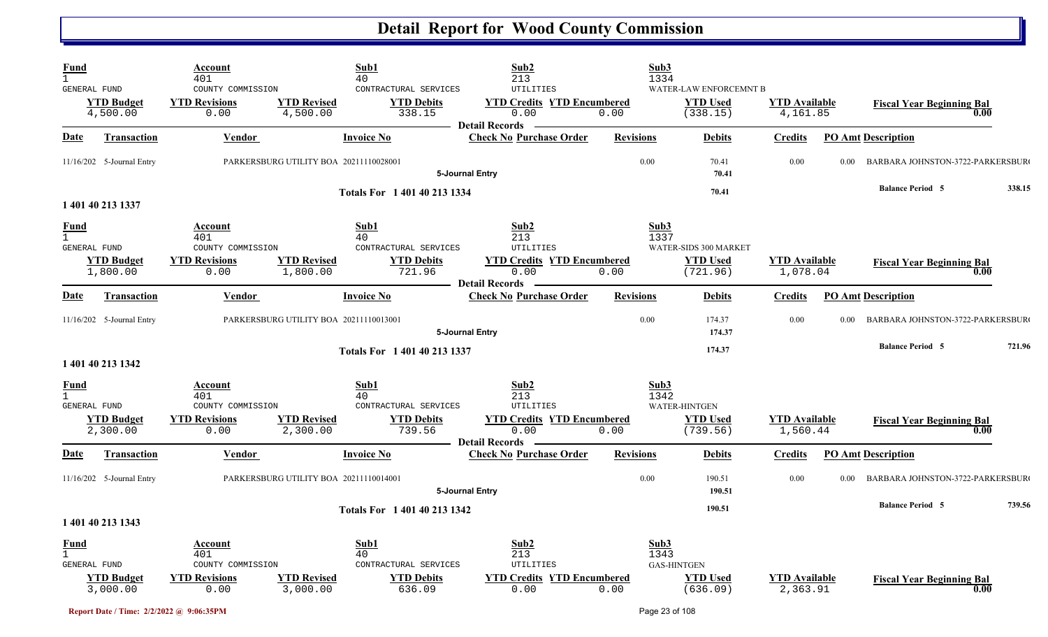| Fund<br>$\mathbf{1}$          |                                                      | Account<br>401                                                      |                                        | Sub1<br>40                                                         | Sub2<br>213                                                                                                       | Sub3<br>1334         |                                                       |                                  |      |                                          |        |
|-------------------------------|------------------------------------------------------|---------------------------------------------------------------------|----------------------------------------|--------------------------------------------------------------------|-------------------------------------------------------------------------------------------------------------------|----------------------|-------------------------------------------------------|----------------------------------|------|------------------------------------------|--------|
|                               | GENERAL FUND<br><b>YTD Budget</b><br>4,500.00        | COUNTY COMMISSION<br><b>YTD Revisions</b><br>0.00                   | <b>YTD Revised</b><br>4,500.00         | CONTRACTURAL SERVICES<br><b>YTD Debits</b><br>338.15               | <b>UTILITIES</b><br><b>YTD Credits YTD Encumbered</b><br>0.00                                                     | 0.00                 | WATER-LAW ENFORCEMNT B<br><b>YTD Used</b><br>(338.15) | <b>YTD Available</b><br>4,161.85 |      | <b>Fiscal Year Beginning Bal</b><br>0.00 |        |
| Date                          | <b>Transaction</b>                                   | <b>Vendor</b>                                                       |                                        | <b>Invoice No</b>                                                  | <b>Detail Records</b><br><b>Check No Purchase Order</b>                                                           | <b>Revisions</b>     | <b>Debits</b>                                         | <b>Credits</b>                   |      | <b>PO Amt Description</b>                |        |
|                               | 11/16/202 5-Journal Entry                            |                                                                     | PARKERSBURG UTILITY BOA 20211110028001 |                                                                    | 5-Journal Entry                                                                                                   | 0.00                 | 70.41<br>70.41                                        | 0.00                             | 0.00 | <b>BARBARA JOHNSTON-3722-PARKERSBUR</b>  |        |
|                               | 1 401 40 213 1337                                    |                                                                     |                                        | Totals For 1 401 40 213 1334                                       |                                                                                                                   |                      | 70.41                                                 |                                  |      | <b>Balance Period 5</b>                  | 338.15 |
| <b>Fund</b><br>$\mathbf{1}$   | <b>GENERAL FUND</b><br><b>YTD Budget</b><br>1,800.00 | Account<br>401<br>COUNTY COMMISSION<br><b>YTD Revisions</b><br>0.00 | <b>YTD Revised</b><br>1,800.00         | Sub1<br>40<br>CONTRACTURAL SERVICES<br><b>YTD Debits</b><br>721.96 | Sub <sub>2</sub><br>213<br><b>UTILITIES</b><br><b>YTD Credits YTD Encumbered</b><br>0.00<br><b>Detail Records</b> | Sub3<br>1337<br>0.00 | WATER-SIDS 300 MARKET<br><b>YTD Used</b><br>(721.96)  | <b>YTD</b> Available<br>1,078.04 |      | <b>Fiscal Year Beginning Bal</b><br>0.00 |        |
| Date                          | <b>Transaction</b>                                   | Vendor                                                              |                                        | <b>Invoice No</b>                                                  | <b>Check No Purchase Order</b>                                                                                    | <b>Revisions</b>     | <b>Debits</b>                                         | <b>Credits</b>                   |      | <b>PO Amt Description</b>                |        |
|                               | 11/16/202 5-Journal Entry                            |                                                                     | PARKERSBURG UTILITY BOA 20211110013001 |                                                                    | 5-Journal Entry                                                                                                   | 0.00                 | 174.37<br>174.37                                      | 0.00                             | 0.00 | BARBARA JOHNSTON-3722-PARKERSBUR         |        |
|                               | 1 401 40 213 1342                                    |                                                                     |                                        | Totals For 1 401 40 213 1337                                       |                                                                                                                   |                      | 174.37                                                |                                  |      | <b>Balance Period 5</b>                  | 721.96 |
| <u>Fund</u><br>$\overline{1}$ | GENERAL FUND                                         | Account<br>401<br>COUNTY COMMISSION                                 |                                        | Sub1<br>40<br>CONTRACTURAL SERVICES                                | Sub2<br>213<br>UTILITIES                                                                                          | Sub3<br>1342         | <b>WATER-HINTGEN</b>                                  |                                  |      |                                          |        |
|                               | <b>YTD Budget</b><br>2,300.00                        | <b>YTD Revisions</b><br>0.00                                        | <b>YTD Revised</b><br>2,300.00         | <b>YTD Debits</b><br>739.56                                        | <b>YTD Credits YTD Encumbered</b><br>0.00<br><b>Detail Records</b>                                                | 0.00                 | <b>YTD Used</b><br>(739.56)                           | <b>YTD</b> Available<br>1,560.44 |      | <b>Fiscal Year Beginning Bal</b><br>0.00 |        |
| Date                          | <b>Transaction</b>                                   | Vendor                                                              |                                        | <b>Invoice No</b>                                                  | <b>Check No Purchase Order</b>                                                                                    | <b>Revisions</b>     | <b>Debits</b>                                         | <b>Credits</b>                   |      | <b>PO Amt Description</b>                |        |
|                               | 11/16/202 5-Journal Entry                            |                                                                     | PARKERSBURG UTILITY BOA 20211110014001 |                                                                    | 5-Journal Entry                                                                                                   | 0.00                 | 190.51<br>190.51                                      | 0.00                             | 0.00 | BARBARA JOHNSTON-3722-PARKERSBUR         |        |
|                               | 1 401 40 213 1343                                    |                                                                     |                                        | Totals For 1 401 40 213 1342                                       |                                                                                                                   |                      | 190.51                                                |                                  |      | <b>Balance Period 5</b>                  | 739.56 |
| Fund<br>$\mathbf{1}$          | GENERAL FUND<br><b>YTD Budget</b><br>3,000.00        | Account<br>401<br>COUNTY COMMISSION<br><b>YTD Revisions</b><br>0.00 | <b>YTD Revised</b><br>3,000.00         | Sub1<br>40<br>CONTRACTURAL SERVICES<br><b>YTD Debits</b><br>636.09 | Sub2<br>213<br>UTILITIES<br><b>YTD Credits YTD Encumbered</b><br>0.00                                             | Sub3<br>1343<br>0.00 | <b>GAS-HINTGEN</b><br><b>YTD</b> Used<br>(636.09)     | <b>YTD</b> Available<br>2,363.91 |      | <b>Fiscal Year Beginning Bal</b><br>0.00 |        |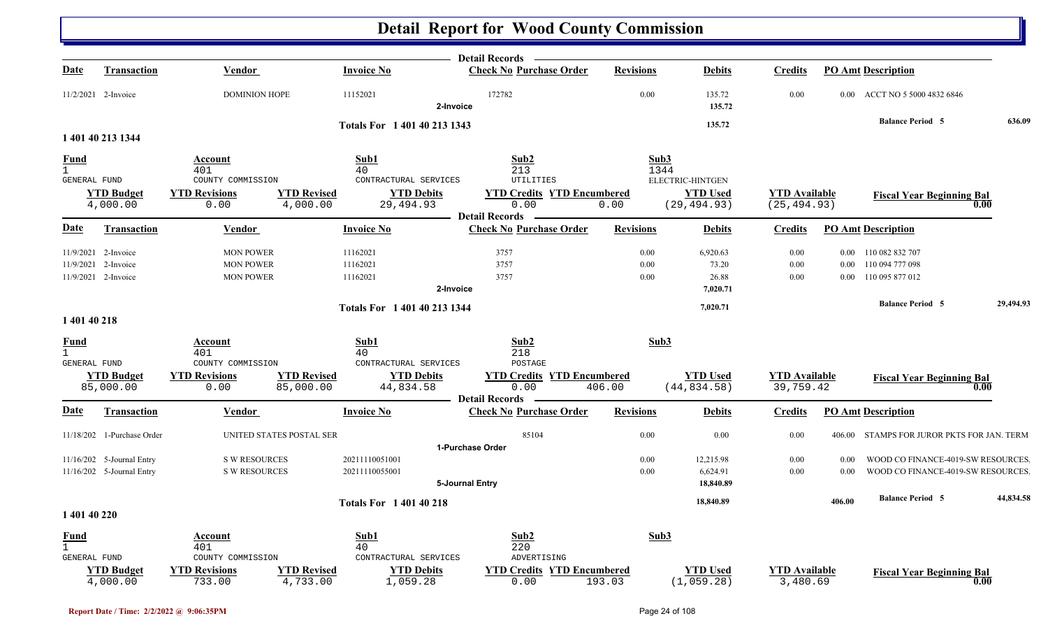|                                     |                                |                                |                                 |                                | <b>Detail Records</b>                     |                  |                                 |                                      |        |                                            |           |
|-------------------------------------|--------------------------------|--------------------------------|---------------------------------|--------------------------------|-------------------------------------------|------------------|---------------------------------|--------------------------------------|--------|--------------------------------------------|-----------|
| Date                                | Transaction                    | Vendor                         |                                 | <b>Invoice No</b>              | <b>Check No Purchase Order</b>            | <b>Revisions</b> | <b>Debits</b>                   | <b>Credits</b>                       |        | <b>PO Amt Description</b>                  |           |
|                                     | 11/2/2021 2-Invoice            | <b>DOMINION HOPE</b>           |                                 | 11152021<br>2-Invoice          | 172782                                    | 0.00             | 135.72<br>135.72                | $0.00\,$                             |        | 0.00 ACCT NO 5 5000 4832 6846              |           |
|                                     |                                |                                |                                 |                                |                                           |                  | 135.72                          |                                      |        | <b>Balance Period 5</b>                    | 636.09    |
|                                     | 1 401 40 213 1344              |                                |                                 | Totals For 1 401 40 213 1343   |                                           |                  |                                 |                                      |        |                                            |           |
| <b>Fund</b>                         |                                | Account                        |                                 | Sub1                           | Sub2                                      | Sub3             |                                 |                                      |        |                                            |           |
| $\mathbf{1}$                        |                                | 401                            |                                 | 40                             | 213                                       | 1344             |                                 |                                      |        |                                            |           |
| GENERAL FUND                        |                                | COUNTY COMMISSION              |                                 | CONTRACTURAL SERVICES          | UTILITIES                                 |                  | ELECTRIC-HINTGEN                |                                      |        |                                            |           |
|                                     | <b>YTD Budget</b><br>4,000.00  | <b>YTD Revisions</b><br>0.00   | <b>YTD Revised</b><br>4,000.00  | <b>YTD Debits</b><br>29,494.93 | <b>YTD Credits YTD Encumbered</b><br>0.00 | 0.00             | <b>YTD Used</b><br>(29, 494.93) | <b>YTD</b> Available<br>(25, 494.93) |        | <b>Fiscal Year Beginning Bal</b><br>0.00   |           |
|                                     |                                |                                |                                 |                                | <b>Detail Records</b>                     |                  |                                 |                                      |        |                                            |           |
| Date                                | <b>Transaction</b>             | Vendor                         |                                 | <b>Invoice No</b>              | <b>Check No Purchase Order</b>            | <b>Revisions</b> | <b>Debits</b>                   | <b>Credits</b>                       |        | <b>PO Amt Description</b>                  |           |
|                                     | 11/9/2021 2-Invoice            | <b>MON POWER</b>               |                                 | 11162021                       | 3757                                      | 0.00             | 6,920.63                        | 0.00                                 |        | 0.00 110 082 832 707                       |           |
|                                     | 11/9/2021 2-Invoice            | <b>MON POWER</b>               |                                 | 11162021                       | 3757                                      | 0.00             | 73.20                           | 0.00                                 |        | 0.00 110 094 777 098                       |           |
|                                     | 11/9/2021 2-Invoice            | <b>MON POWER</b>               |                                 | 11162021                       | 3757                                      | 0.00             | 26.88                           | $0.00\,$                             |        | 0.00 110 095 877 012                       |           |
|                                     |                                |                                |                                 | 2-Invoice                      |                                           |                  | 7,020.71                        |                                      |        |                                            |           |
|                                     |                                |                                |                                 | Totals For 1 401 40 213 1344   |                                           |                  | 7,020.71                        |                                      |        | <b>Balance Period 5</b>                    | 29,494.93 |
| 1 401 40 218                        |                                |                                |                                 |                                |                                           |                  |                                 |                                      |        |                                            |           |
| <u>Fund</u>                         |                                | Account                        |                                 | Sub1                           | Sub2                                      | Sub3             |                                 |                                      |        |                                            |           |
| $\mathbf{1}$<br><b>GENERAL FUND</b> |                                | 401<br>COUNTY COMMISSION       |                                 | 40<br>CONTRACTURAL SERVICES    | 218<br>POSTAGE                            |                  |                                 |                                      |        |                                            |           |
|                                     | <b>YTD Budget</b><br>85,000.00 | <b>YTD Revisions</b><br>0.00   | <b>YTD Revised</b><br>85,000.00 | <b>YTD Debits</b><br>44,834.58 | <b>YTD Credits YTD Encumbered</b><br>0.00 | 406.00           | <b>YTD Used</b><br>(44, 834.58) | <b>YTD</b> Available<br>39,759.42    |        | <b>Fiscal Year Beginning Bal</b><br>0.00   |           |
|                                     |                                |                                |                                 |                                | <b>Detail Records</b>                     |                  |                                 |                                      |        |                                            |           |
| Date                                | <b>Transaction</b>             | Vendor                         |                                 | <b>Invoice No</b>              | <b>Check No Purchase Order</b>            | <b>Revisions</b> | <b>Debits</b>                   | <b>Credits</b>                       |        | <b>PO Amt Description</b>                  |           |
|                                     | 11/18/202 1-Purchase Order     |                                | UNITED STATES POSTAL SER        |                                | 85104<br>1-Purchase Order                 | 0.00             | 0.00                            | 0.00                                 |        | 406.00 STAMPS FOR JUROR PKTS FOR JAN. TERM |           |
|                                     | 11/16/202 5-Journal Entry      | <b>S W RESOURCES</b>           |                                 | 20211110051001                 |                                           | 0.00             | 12,215.98                       | 0.00                                 | 0.00   | WOOD CO FINANCE-4019-SW RESOURCES          |           |
|                                     | 11/16/202 5-Journal Entry      | <b>S W RESOURCES</b>           |                                 | 20211110055001                 |                                           | 0.00             | 6,624.91                        | 0.00                                 | 0.00   | WOOD CO FINANCE-4019-SW RESOURCES          |           |
|                                     |                                |                                |                                 |                                | 5-Journal Entry                           |                  | 18,840.89                       |                                      |        |                                            |           |
|                                     |                                |                                |                                 | <b>Totals For 140140218</b>    |                                           |                  | 18,840.89                       |                                      | 406.00 | <b>Balance Period 5</b>                    | 44,834.58 |
| 1 401 40 220                        |                                |                                |                                 |                                |                                           |                  |                                 |                                      |        |                                            |           |
| <b>Fund</b>                         |                                | Account                        |                                 | Sub1                           | Sub2                                      | Sub3             |                                 |                                      |        |                                            |           |
| $\mathbf{1}$                        |                                | 401                            |                                 | 40                             | 220                                       |                  |                                 |                                      |        |                                            |           |
| <b>GENERAL FUND</b>                 |                                | COUNTY COMMISSION              |                                 | CONTRACTURAL SERVICES          | ADVERTISING                               |                  |                                 |                                      |        |                                            |           |
|                                     | <b>YTD Budget</b><br>4,000.00  | <b>YTD Revisions</b><br>733.00 | <b>YTD Revised</b><br>4,733.00  | <b>YTD Debits</b><br>1,059.28  | <b>YTD Credits YTD Encumbered</b><br>0.00 | 193.03           | <b>YTD Used</b><br>(1,059.28)   | <b>YTD</b> Available<br>3,480.69     |        | <b>Fiscal Year Beginning Bal</b><br>0.00   |           |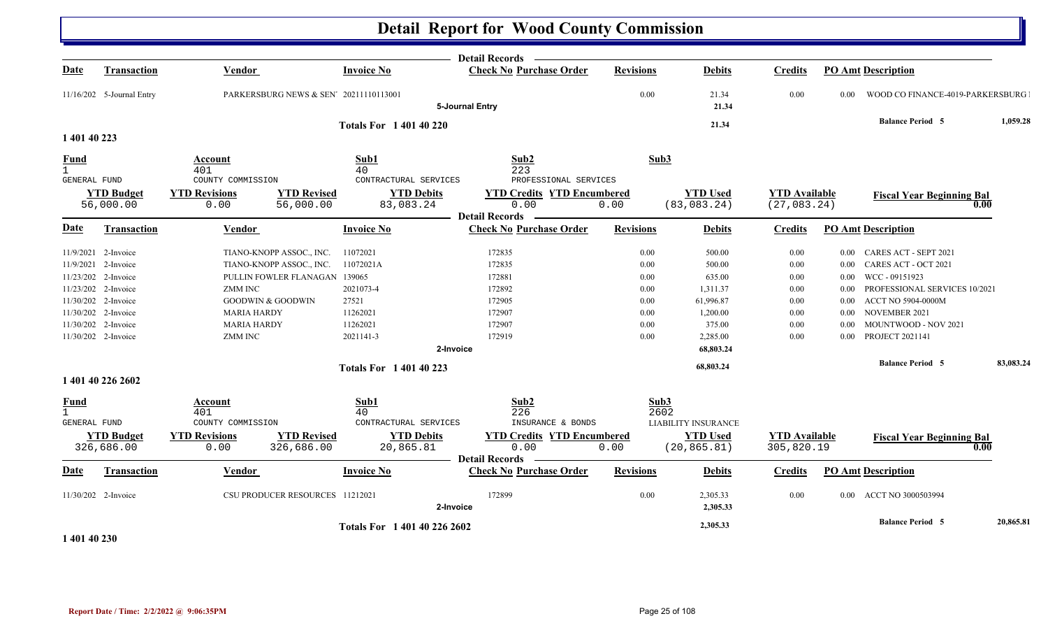|                              |                                            |                                      |                                                                   | <b>Detail Records</b>                                   |                  |                                 |                                      |                   |                                                |           |
|------------------------------|--------------------------------------------|--------------------------------------|-------------------------------------------------------------------|---------------------------------------------------------|------------------|---------------------------------|--------------------------------------|-------------------|------------------------------------------------|-----------|
| <b>Date</b>                  | <b>Transaction</b>                         | Vendor                               | <b>Invoice No</b>                                                 | <b>Check No Purchase Order</b>                          | <b>Revisions</b> | <b>Debits</b>                   | <b>Credits</b>                       |                   | <b>PO Amt Description</b>                      |           |
|                              | 11/16/202 5-Journal Entry                  |                                      | PARKERSBURG NEWS & SEN' 20211110113001                            | 5-Journal Entry                                         | 0.00             | 21.34<br>21.34                  | 0.00                                 | 0.00              | WOOD CO FINANCE-4019-PARKERSBURG               |           |
|                              |                                            |                                      | <b>Totals For 140140220</b>                                       |                                                         |                  | 21.34                           |                                      |                   | <b>Balance Period 5</b>                        | 1,059.28  |
| 1 401 40 223                 |                                            |                                      |                                                                   |                                                         |                  |                                 |                                      |                   |                                                |           |
| <b>Fund</b><br>$\mathbf{1}$  |                                            | Account<br>401                       | Sub1<br>40                                                        | Sub2<br>223                                             | Sub3             |                                 |                                      |                   |                                                |           |
| GENERAL FUND                 |                                            | COUNTY COMMISSION                    | CONTRACTURAL SERVICES                                             | PROFESSIONAL SERVICES                                   |                  |                                 |                                      |                   |                                                |           |
|                              | <b>YTD Budget</b><br>56,000.00             | <b>YTD Revisions</b><br>0.00         | <b>YTD Revised</b><br><b>YTD Debits</b><br>56,000.00<br>83,083.24 | <b>YTD Credits YTD Encumbered</b><br>0.00               | 0.00             | <b>YTD Used</b><br>(83, 083.24) | <b>YTD Available</b><br>(27, 083.24) |                   | <b>Fiscal Year Beginning Bal</b><br>0.00       |           |
| <b>Date</b>                  | <b>Transaction</b>                         | <b>Vendor</b>                        | <b>Invoice No</b>                                                 | <b>Detail Records</b><br><b>Check No Purchase Order</b> | <b>Revisions</b> | <b>Debits</b>                   | Credits                              |                   | <b>PO Amt Description</b>                      |           |
|                              |                                            |                                      |                                                                   |                                                         |                  |                                 |                                      |                   |                                                |           |
|                              | 11/9/2021 2-Invoice                        | TIANO-KNOPP ASSOC., INC.             | 11072021                                                          | 172835                                                  | 0.00             | 500.00                          | 0.00                                 | $0.00\,$          | CARES ACT - SEPT 2021                          |           |
|                              | 11/9/2021 2-Invoice                        | TIANO-KNOPP ASSOC., INC.             | 11072021A                                                         | 172835                                                  | 0.00             | 500.00                          | 0.00                                 | $0.00\,$          | CARES ACT - OCT 2021                           |           |
|                              | 11/23/202 2-Invoice                        |                                      | PULLIN FOWLER FLANAGAN 139065                                     | 172881                                                  | 0.00             | 635.00                          | 0.00                                 | $0.00\,$          | WCC - 09151923                                 |           |
|                              | 11/23/202 2-Invoice                        | <b>ZMM INC</b>                       | 2021073-4                                                         | 172892                                                  | 0.00             | 1,311.37                        | 0.00                                 | 0.00              | PROFESSIONAL SERVICES 10/2021                  |           |
|                              | 11/30/202 2-Invoice                        | <b>GOODWIN &amp; GOODWIN</b>         | 27521                                                             | 172905                                                  | 0.00             | 61,996.87                       | 0.00                                 | 0.00              | ACCT NO 5904-0000M                             |           |
|                              | 11/30/202 2-Invoice                        | <b>MARIA HARDY</b>                   | 11262021<br>11262021                                              | 172907<br>172907                                        | 0.00             | 1,200.00                        | 0.00                                 | 0.00              | NOVEMBER 2021                                  |           |
|                              | 11/30/202 2-Invoice<br>11/30/202 2-Invoice | <b>MARIA HARDY</b><br><b>ZMM INC</b> | 2021141-3                                                         | 172919                                                  | 0.00<br>0.00     | 375.00<br>2,285.00              | 0.00<br>0.00                         | 0.00<br>0.00      | MOUNTWOOD - NOV 2021<br><b>PROJECT 2021141</b> |           |
|                              |                                            |                                      |                                                                   | 2-Invoice                                               |                  | 68,803.24                       |                                      |                   |                                                |           |
|                              |                                            |                                      |                                                                   |                                                         |                  |                                 |                                      |                   | <b>Balance Period 5</b>                        | 83,083.24 |
|                              | 1 401 40 226 2602                          |                                      | <b>Totals For 140140223</b>                                       |                                                         |                  | 68,803.24                       |                                      |                   |                                                |           |
| <b>Fund</b>                  |                                            | Account                              | Sub1                                                              | Sub2                                                    | Sub3             |                                 |                                      |                   |                                                |           |
| $\mathbf{1}$<br>GENERAL FUND |                                            | 401<br>COUNTY COMMISSION             | 40<br>CONTRACTURAL SERVICES                                       | 226<br>INSURANCE & BONDS                                | 2602             | <b>LIABILITY INSURANCE</b>      |                                      |                   |                                                |           |
|                              |                                            | <b>YTD Revisions</b>                 | <b>YTD Revised</b><br><b>YTD Debits</b>                           | <b>YTD Credits YTD Encumbered</b>                       |                  | <b>YTD Used</b>                 |                                      |                   |                                                |           |
|                              | <b>YTD Budget</b><br>326,686.00            | 0.00                                 | 326,686.00<br>20,865.81                                           | 0.00                                                    | 0.00             | (20, 865.81)                    | <b>YTD</b> Available<br>305,820.19   |                   | <b>Fiscal Year Beginning Bal</b><br>0.00       |           |
| <b>Date</b>                  | <b>Transaction</b>                         | Vendor                               | <b>Invoice No</b>                                                 | <b>Detail Records</b><br><b>Check No Purchase Order</b> | <b>Revisions</b> | <b>Debits</b>                   | <b>Credits</b>                       |                   | <b>PO Amt Description</b>                      |           |
|                              |                                            |                                      |                                                                   |                                                         |                  |                                 |                                      |                   |                                                |           |
|                              | 11/30/202 2-Invoice                        |                                      | CSU PRODUCER RESOURCES 11212021                                   | 172899<br>2-Invoice                                     | 0.00             | 2,305.33<br>2,305.33            | 0.00                                 | 0.00 <sub>1</sub> | ACCT NO 3000503994                             |           |
| .                            |                                            |                                      | Totals For 1 401 40 226 2602                                      |                                                         |                  | 2,305.33                        |                                      |                   | <b>Balance Period 5</b>                        | 20,865.81 |

**1 401 40 230** 

N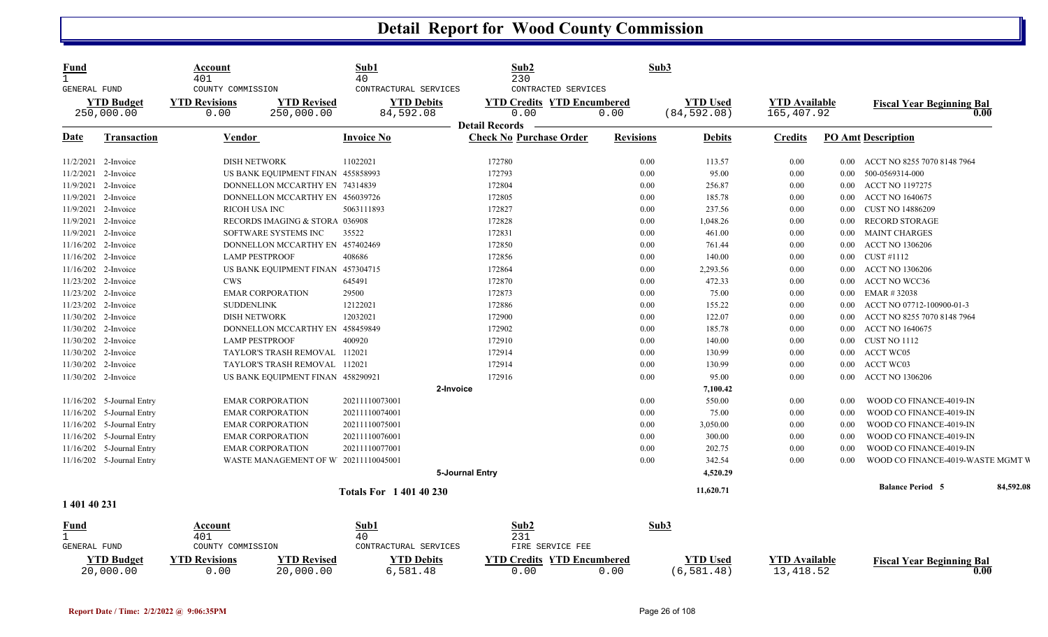| Fund<br>GENERAL FUND |                                | Account<br>401<br>COUNTY COMMISSION                             | Sub1<br>40<br>CONTRACTURAL SERVICES | Sub2<br>230<br>CONTRACTED SERVICES                      |                  | Sub3                           |                                   |          |                                          |
|----------------------|--------------------------------|-----------------------------------------------------------------|-------------------------------------|---------------------------------------------------------|------------------|--------------------------------|-----------------------------------|----------|------------------------------------------|
|                      | <b>YTD Budget</b>              | <b>YTD Revisions</b><br><b>YTD Revised</b>                      | <b>YTD Debits</b>                   | <b>YTD Credits YTD Encumbered</b>                       |                  | <b>YTD Used</b>                | <b>YTD Available</b>              |          | <b>Fiscal Year Beginning Bal</b>         |
|                      | 250,000.00                     | 0.00<br>250,000.00                                              | 84,592.08                           | 0.00                                                    | 0.00             | (84, 592.08)                   | 165,407.92                        |          | 0.00                                     |
| <u>Date</u>          | <b>Transaction</b>             | <b>Vendor</b>                                                   | Invoice No                          | <b>Detail Records</b><br><b>Check No Purchase Order</b> | <b>Revisions</b> | Debits                         | <b>Credits</b>                    |          | <b>PO Amt Description</b>                |
| 11/2/2021 2-Invoice  |                                | <b>DISH NETWORK</b>                                             | 11022021                            | 172780                                                  | 0.00             | 113.57                         | 0.00                              | $0.00\,$ | ACCT NO 8255 7070 8148 7964              |
| 11/2/2021 2-Invoice  |                                | US BANK EQUIPMENT FINAN 455858993                               |                                     | 172793                                                  | 0.00             | 95.00                          | 0.00                              | $0.00\,$ | 500-0569314-000                          |
| 11/9/2021            | 2-Invoice                      | DONNELLON MCCARTHY EN 74314839                                  |                                     | 172804                                                  | 0.00             | 256.87                         | 0.00                              | $0.00\,$ | <b>ACCT NO 1197275</b>                   |
| 11/9/2021 2-Invoice  |                                | DONNELLON MCCARTHY EN 456039726                                 |                                     | 172805                                                  | 0.00             | 185.78                         | 0.00                              | $0.00\,$ | <b>ACCT NO 1640675</b>                   |
| 11/9/2021 2-Invoice  |                                | RICOH USA INC                                                   | 5063111893                          | 172827                                                  | 0.00             | 237.56                         | 0.00                              | $0.00\,$ | <b>CUST NO 14886209</b>                  |
| 11/9/2021            | 2-Invoice                      | RECORDS IMAGING & STORA 036908                                  |                                     | 172828                                                  | 0.00             | 1,048.26                       | 0.00                              | $0.00\,$ | <b>RECORD STORAGE</b>                    |
| 11/9/2021 2-Invoice  |                                | SOFTWARE SYSTEMS INC                                            | 35522                               | 172831                                                  | 0.00             | 461.00                         | 0.00                              | $0.00\,$ | <b>MAINT CHARGES</b>                     |
| 11/16/202 2-Invoice  |                                | DONNELLON MCCARTHY EN 457402469                                 |                                     | 172850                                                  | 0.00             | 761.44                         | 0.00                              | $0.00\,$ | <b>ACCT NO 1306206</b>                   |
| 11/16/202 2-Invoice  |                                | <b>LAMP PESTPROOF</b>                                           | 408686                              | 172856                                                  | 0.00             | 140.00                         | 0.00                              | $0.00\,$ | CUST #1112                               |
| 11/16/202 2-Invoice  |                                | US BANK EQUIPMENT FINAN 457304715                               |                                     | 172864                                                  | 0.00             | 2,293.56                       | 0.00                              | $0.00\,$ | <b>ACCT NO 1306206</b>                   |
| 11/23/202 2-Invoice  |                                | <b>CWS</b>                                                      | 645491                              | 172870                                                  | 0.00             | 472.33                         | 0.00                              | $0.00\,$ | ACCT NO WCC36                            |
| 11/23/202 2-Invoice  |                                | <b>EMAR CORPORATION</b>                                         | 29500                               | 172873                                                  | 0.00             | 75.00                          | 0.00                              | $0.00\,$ | EMAR #32038                              |
| 11/23/202 2-Invoice  |                                | <b>SUDDENLINK</b>                                               | 12122021                            | 172886                                                  | 0.00             | 155.22                         | 0.00                              | 0.00     | ACCT NO 07712-100900-01-3                |
| 11/30/202 2-Invoice  |                                | <b>DISH NETWORK</b>                                             | 12032021                            | 172900                                                  | 0.00             | 122.07                         | 0.00                              | $0.00\,$ | ACCT NO 8255 7070 8148 7964              |
| 11/30/202 2-Invoice  |                                | DONNELLON MCCARTHY EN 458459849                                 |                                     | 172902                                                  | 0.00             | 185.78                         | 0.00                              | $0.00\,$ | <b>ACCT NO 1640675</b>                   |
| 11/30/202 2-Invoice  |                                | <b>LAMP PESTPROOF</b>                                           | 400920                              | 172910                                                  | 0.00             | 140.00                         | 0.00                              | $0.00\,$ | CUST NO 1112                             |
| 11/30/202 2-Invoice  |                                | TAYLOR'S TRASH REMOVAL 112021                                   |                                     | 172914                                                  | 0.00             | 130.99                         | 0.00                              | $0.00\,$ | <b>ACCT WC05</b>                         |
| 11/30/202 2-Invoice  |                                | TAYLOR'S TRASH REMOVAL 112021                                   |                                     | 172914                                                  | $0.00\,$         | 130.99                         | 0.00                              | $0.00\,$ | <b>ACCT WC03</b>                         |
| 11/30/202 2-Invoice  |                                | US BANK EQUIPMENT FINAN 458290921                               |                                     | 172916                                                  | 0.00             | 95.00                          | 0.00                              | $0.00\,$ | <b>ACCT NO 1306206</b>                   |
|                      |                                |                                                                 | 2-Invoice                           |                                                         |                  | 7,100.42                       |                                   |          |                                          |
|                      | $11/16/202$ 5-Journal Entry    | <b>EMAR CORPORATION</b>                                         | 20211110073001                      |                                                         | $0.00\,$         | 550.00                         | 0.00                              | 0.00     | WOOD CO FINANCE-4019-IN                  |
|                      | 11/16/202 5-Journal Entry      | <b>EMAR CORPORATION</b>                                         | 20211110074001                      |                                                         | 0.00             | 75.00                          | 0.00                              | 0.00     | WOOD CO FINANCE-4019-IN                  |
|                      | 11/16/202 5-Journal Entry      | <b>EMAR CORPORATION</b>                                         | 20211110075001                      |                                                         | 0.00             | 3,050.00                       | 0.00                              | 0.00     | WOOD CO FINANCE-4019-IN                  |
| 11/16/202            | 5-Journal Entry                | <b>EMAR CORPORATION</b>                                         | 20211110076001                      |                                                         | 0.00             | 300.00                         | 0.00                              | 0.00     | WOOD CO FINANCE-4019-IN                  |
|                      | 11/16/202 5-Journal Entry      | <b>EMAR CORPORATION</b>                                         | 20211110077001                      |                                                         | 0.00             | 202.75                         | 0.00                              | 0.00     | WOOD CO FINANCE-4019-IN                  |
|                      | 11/16/202 5-Journal Entry      | WASTE MANAGEMENT OF W 20211110045001                            |                                     |                                                         | 0.00             | 342.54                         | 0.00                              | 0.00     | WOOD CO FINANCE-4019-WASTE MGMT V        |
|                      |                                |                                                                 |                                     | 5-Journal Entry                                         |                  | 4,520.29                       |                                   |          |                                          |
|                      |                                |                                                                 | <b>Totals For 140140230</b>         |                                                         |                  | 11,620.71                      |                                   |          | 84,592.08<br><b>Balance Period 5</b>     |
| 1 401 40 231         |                                |                                                                 |                                     |                                                         |                  |                                |                                   |          |                                          |
| Fund                 |                                | Account                                                         | Sub1                                | Sub2                                                    |                  | Sub3                           |                                   |          |                                          |
|                      |                                | 401                                                             | 40                                  | 231                                                     |                  |                                |                                   |          |                                          |
| GENERAL FUND         |                                | COUNTY COMMISSION                                               | CONTRACTURAL SERVICES               | FIRE SERVICE FEE                                        |                  |                                |                                   |          |                                          |
|                      | <b>YTD Budget</b><br>20,000.00 | <b>YTD Revisions</b><br><b>YTD Revised</b><br>20,000.00<br>0.00 | <b>YTD Debits</b><br>6,581.48       | <b>YTD Credits YTD Encumbered</b><br>0.00               | 0.00             | <b>YTD Used</b><br>(6, 581.48) | <b>YTD</b> Available<br>13,418.52 |          | <b>Fiscal Year Beginning Bal</b><br>0.00 |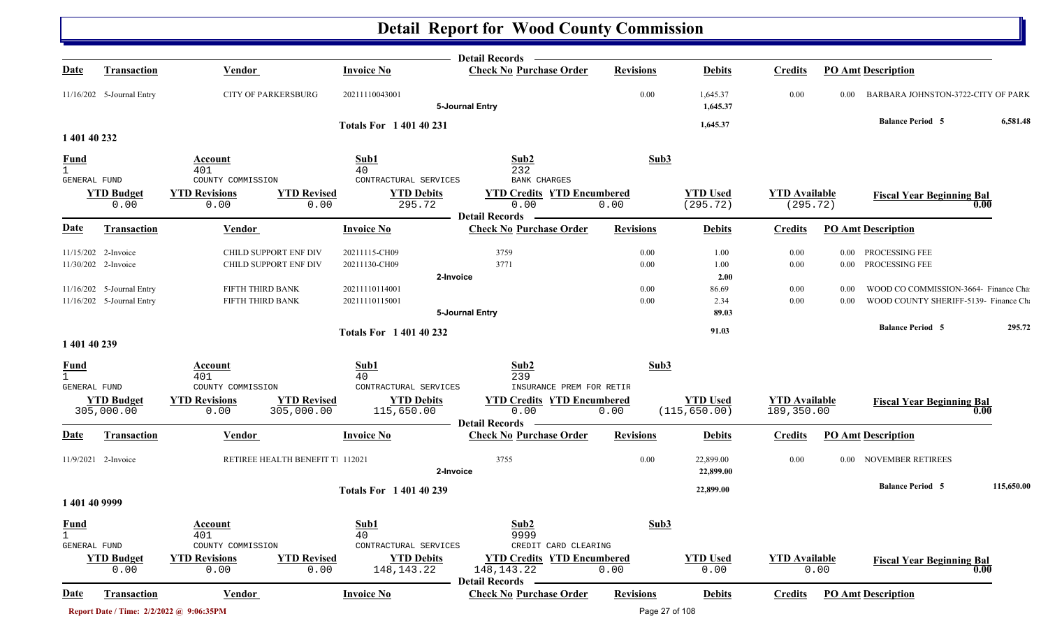|                                                    |                                                        |                                            |                                                               | Detail Records -                                                           |                  |                                  |                                    |                               |                                          |
|----------------------------------------------------|--------------------------------------------------------|--------------------------------------------|---------------------------------------------------------------|----------------------------------------------------------------------------|------------------|----------------------------------|------------------------------------|-------------------------------|------------------------------------------|
| <u>Date</u>                                        | Transaction                                            | <b>Vendor</b>                              | <b>Invoice No</b>                                             | <b>Check No Purchase Order</b>                                             | <b>Revisions</b> | <b>Debits</b>                    | <b>Credits</b>                     | <b>PO Amt Description</b>     |                                          |
|                                                    | 11/16/202 5-Journal Entry                              | <b>CITY OF PARKERSBURG</b>                 | 20211110043001                                                | 5-Journal Entry                                                            | 0.00             | 1,645.37<br>1,645.37             | 0.00                               | 0.00                          | BARBARA JOHNSTON-3722-CITY OF PARK       |
| 1 401 40 232                                       |                                                        |                                            | <b>Totals For 140140231</b>                                   |                                                                            |                  | 1,645.37                         |                                    | <b>Balance Period 5</b>       | 6,581.48                                 |
|                                                    |                                                        |                                            |                                                               |                                                                            |                  |                                  |                                    |                               |                                          |
| <b>Fund</b><br>$\mathbf{1}$                        |                                                        | <b>Account</b><br>401                      | Sub1<br>40                                                    | Sub2<br>232                                                                | Sub3             |                                  |                                    |                               |                                          |
| GENERAL FUND                                       |                                                        | COUNTY COMMISSION                          | CONTRACTURAL SERVICES                                         | <b>BANK CHARGES</b>                                                        |                  |                                  |                                    |                               |                                          |
|                                                    | <b>YTD</b> Budget<br>0.00                              | <b>YTD Revisions</b><br>0.00               | <b>YTD Revised</b><br><b>YTD Debits</b><br>295.72<br>0.00     | <b>YTD Credits YTD Encumbered</b><br>0.00                                  | 0.00             | <b>YTD Used</b><br>(295.72)      | <b>YTD Available</b><br>(295.72)   |                               | <b>Fiscal Year Beginning Bal</b><br>0.00 |
|                                                    |                                                        |                                            |                                                               | <b>Detail Records</b>                                                      |                  |                                  |                                    |                               |                                          |
| <b>Date</b>                                        | <b>Transaction</b>                                     | Vendor                                     | <b>Invoice No</b>                                             | <b>Check No Purchase Order</b>                                             | <b>Revisions</b> | <b>Debits</b>                    | <b>Credits</b>                     | <b>PO Amt Description</b>     |                                          |
|                                                    | 11/15/202 2-Invoice                                    | CHILD SUPPORT ENF DIV                      | 20211115-CH09                                                 | 3759                                                                       | $0.00\,$         | 1.00                             | 0.00                               | PROCESSING FEE<br>$0.00\,$    |                                          |
|                                                    | 11/30/202 2-Invoice                                    | CHILD SUPPORT ENF DIV                      | 20211130-CH09                                                 | 3771                                                                       | $0.00\,$         | 1.00                             | $0.00\,$                           | 0.00 PROCESSING FEE           |                                          |
|                                                    |                                                        | FIFTH THIRD BANK                           | 20211110114001                                                | 2-Invoice                                                                  | 0.00             | 2.00<br>86.69                    | $0.00\,$                           | $0.00\,$                      | WOOD CO COMMISSION-3664- Finance Cha     |
|                                                    | 11/16/202 5-Journal Entry<br>11/16/202 5-Journal Entry | FIFTH THIRD BANK                           | 20211110115001                                                |                                                                            | 0.00             | 2.34                             | 0.00                               | 0.00                          | WOOD COUNTY SHERIFF-5139- Finance Ch     |
|                                                    |                                                        |                                            |                                                               | 5-Journal Entry                                                            |                  | 89.03                            |                                    |                               |                                          |
|                                                    |                                                        |                                            | <b>Totals For 1 401 40 232</b>                                |                                                                            |                  | 91.03                            |                                    | <b>Balance Period 5</b>       | 295.72                                   |
| 1 401 40 239                                       |                                                        |                                            |                                                               |                                                                            |                  |                                  |                                    |                               |                                          |
| $rac{\text{Fund}}{1}$                              |                                                        | Account<br>401                             | Sub1<br>40                                                    | Sub2<br>239                                                                | Sub3             |                                  |                                    |                               |                                          |
| GENERAL FUND                                       |                                                        | COUNTY COMMISSION                          | CONTRACTURAL SERVICES                                         | INSURANCE PREM FOR RETIR                                                   |                  |                                  |                                    |                               |                                          |
|                                                    | <b>YTD Budget</b><br>305,000.00                        | <b>YTD Revisions</b><br>305,000.00<br>0.00 | <b>YTD Revised</b><br><b>YTD Debits</b><br>115,650.00         | <b>YTD Credits YTD Encumbered</b><br>0.00<br><b>Detail Records</b>         | 0.00             | <b>YTD Used</b><br>(115, 650.00) | <b>YTD Available</b><br>189,350.00 |                               | <b>Fiscal Year Beginning Bal</b><br>0.00 |
| <b>Date</b>                                        | Transaction                                            | Vendor                                     | <b>Invoice No</b>                                             | <b>Check No Purchase Order</b>                                             | <b>Revisions</b> | <b>Debits</b>                    | <b>Credits</b>                     | <b>PO Amt Description</b>     |                                          |
|                                                    | 11/9/2021 2-Invoice                                    | RETIREE HEALTH BENEFIT T. 112021           |                                                               | 3755<br>2-Invoice                                                          | $0.00\,$         | 22,899.00<br>22,899.00           | $0.00\,$                           | NOVEMBER RETIREES<br>$0.00\,$ |                                          |
|                                                    |                                                        |                                            | <b>Totals For 140140239</b>                                   |                                                                            |                  | 22,899.00                        |                                    | <b>Balance Period 5</b>       | 115,650.00                               |
| 1 401 40 9999                                      |                                                        |                                            |                                                               |                                                                            |                  |                                  |                                    |                               |                                          |
| <b>Fund</b><br>$\mathbf{1}$<br><b>GENERAL FUND</b> |                                                        | <b>Account</b><br>401<br>COUNTY COMMISSION | Sub1<br>40<br>CONTRACTURAL SERVICES                           | Sub2<br>9999<br>CREDIT CARD CLEARING                                       | Sub3             |                                  |                                    |                               |                                          |
|                                                    | <b>YTD Budget</b><br>0.00                              | <b>YTD Revisions</b><br>0.00               | <b>YTD Debits</b><br><b>YTD Revised</b><br>148,143.22<br>0.00 | <b>YTD Credits YTD Encumbered</b><br>148, 143. 22<br><b>Detail Records</b> | 0.00             | <b>YTD Used</b><br>0.00          | <b>YTD Available</b>               | 0.00                          | <b>Fiscal Year Beginning Bal</b><br>0.00 |
| <u>Date</u>                                        | <b>Transaction</b>                                     | <b>Vendor</b>                              | <b>Invoice No</b>                                             | <b>Check No Purchase Order</b>                                             | <b>Revisions</b> | <b>Debits</b>                    | <b>Credits</b>                     | <b>PO</b> Amt Description     |                                          |
|                                                    | Report Date / Time: 2/2/2022 @ 9:06:35PM               |                                            |                                                               |                                                                            | Page 27 of 108   |                                  |                                    |                               |                                          |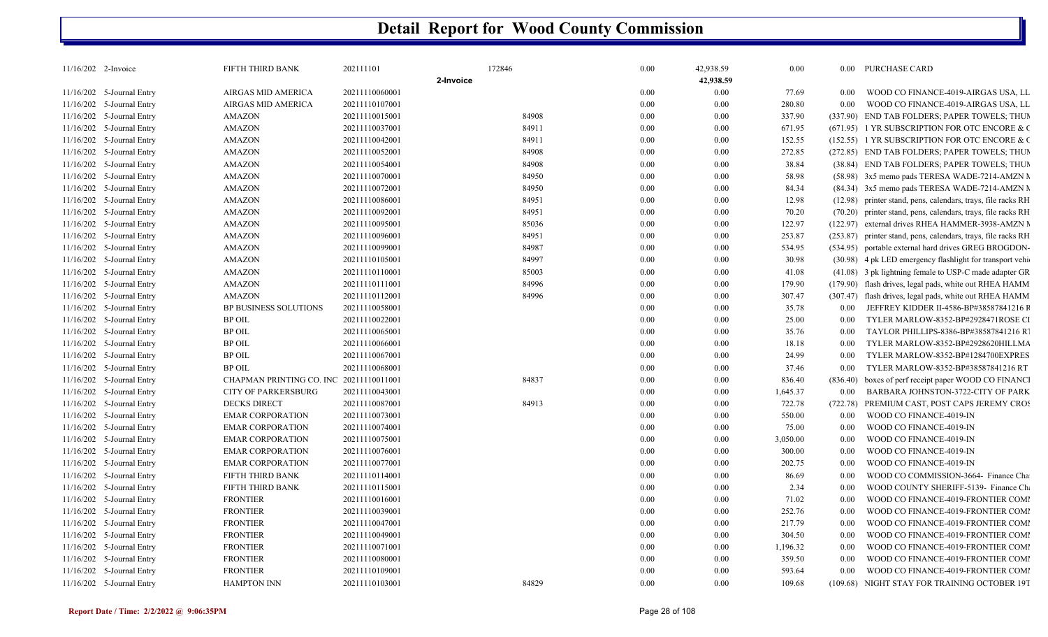| 11/16/202 2-Invoice       | FIFTH THIRD BANK                        | 202111101      | 172846    | 0.00 | 42,938.59 | 0.00     |          | 0.00 PURCHASE CARD                                            |
|---------------------------|-----------------------------------------|----------------|-----------|------|-----------|----------|----------|---------------------------------------------------------------|
|                           |                                         |                | 2-Invoice |      | 42,938.59 |          |          |                                                               |
| 11/16/202 5-Journal Entry | AIRGAS MID AMERICA                      | 20211110060001 |           | 0.00 | $0.00\,$  | 77.69    | 0.00     | WOOD CO FINANCE-4019-AIRGAS USA, LL                           |
| 11/16/202 5-Journal Entry | AIRGAS MID AMERICA                      | 20211110107001 |           | 0.00 | 0.00      | 280.80   | 0.00     | WOOD CO FINANCE-4019-AIRGAS USA, LL                           |
| 11/16/202 5-Journal Entry | <b>AMAZON</b>                           | 20211110015001 | 84908     | 0.00 | 0.00      | 337.90   |          | (337.90) END TAB FOLDERS; PAPER TOWELS; THUN                  |
| 11/16/202 5-Journal Entry | <b>AMAZON</b>                           | 20211110037001 | 84911     | 0.00 | 0.00      | 671.95   |          | (671.95) 1 YR SUBSCRIPTION FOR OTC ENCORE & C                 |
| 11/16/202 5-Journal Entry | <b>AMAZON</b>                           | 20211110042001 | 84911     | 0.00 | $0.00\,$  | 152.55   |          | (152.55) 1 YR SUBSCRIPTION FOR OTC ENCORE & C                 |
| 11/16/202 5-Journal Entry | <b>AMAZON</b>                           | 20211110052001 | 84908     | 0.00 | 0.00      | 272.85   |          | (272.85) END TAB FOLDERS; PAPER TOWELS; THUN                  |
| 11/16/202 5-Journal Entry | <b>AMAZON</b>                           | 20211110054001 | 84908     | 0.00 | 0.00      | 38.84    |          | (38.84) END TAB FOLDERS; PAPER TOWELS; THUN                   |
| 11/16/202 5-Journal Entry | <b>AMAZON</b>                           | 20211110070001 | 84950     | 0.00 | $0.00\,$  | 58.98    |          | (58.98) 3x5 memo pads TERESA WADE-7214-AMZN M                 |
| 11/16/202 5-Journal Entry | <b>AMAZON</b>                           | 20211110072001 | 84950     | 0.00 | 0.00      | 84.34    |          | (84.34) 3x5 memo pads TERESA WADE-7214-AMZN M                 |
| 11/16/202 5-Journal Entry | <b>AMAZON</b>                           | 20211110086001 | 84951     | 0.00 | 0.00      | 12.98    |          | (12.98) printer stand, pens, calendars, trays, file racks RH  |
| 11/16/202 5-Journal Entry | <b>AMAZON</b>                           | 20211110092001 | 84951     | 0.00 | 0.00      | 70.20    |          | (70.20) printer stand, pens, calendars, trays, file racks RH  |
| 11/16/202 5-Journal Entry | <b>AMAZON</b>                           | 20211110095001 | 85036     | 0.00 | $0.00\,$  | 122.97   |          | (122.97) external drives RHEA HAMMER-3938-AMZN M              |
| 11/16/202 5-Journal Entry | <b>AMAZON</b>                           | 20211110096001 | 84951     | 0.00 | 0.00      | 253.87   |          | (253.87) printer stand, pens, calendars, trays, file racks RH |
| 11/16/202 5-Journal Entry | <b>AMAZON</b>                           | 20211110099001 | 84987     | 0.00 | $0.00\,$  | 534.95   |          | (534.95) portable external hard drives GREG BROGDON-          |
| 11/16/202 5-Journal Entry | <b>AMAZON</b>                           | 20211110105001 | 84997     | 0.00 | 0.00      | 30.98    |          | (30.98) 4 pk LED emergency flashlight for transport vehi-     |
| 11/16/202 5-Journal Entry | <b>AMAZON</b>                           | 20211110110001 | 85003     | 0.00 | $0.00\,$  | 41.08    |          | $(41.08)$ 3 pk lightning female to USP-C made adapter GR      |
| 11/16/202 5-Journal Entry | <b>AMAZON</b>                           | 20211110111001 | 84996     | 0.00 | 0.00      | 179.90   |          | (179.90) flash drives, legal pads, white out RHEA HAMM        |
| 11/16/202 5-Journal Entry | <b>AMAZON</b>                           | 20211110112001 | 84996     | 0.00 | 0.00      | 307.47   |          | (307.47) flash drives, legal pads, white out RHEA HAMM        |
| 11/16/202 5-Journal Entry | <b>BP BUSINESS SOLUTIONS</b>            | 20211110058001 |           | 0.00 | 0.00      | 35.78    | 0.00     | JEFFREY KIDDER II-4586-BP#38587841216 F                       |
| 11/16/202 5-Journal Entry | <b>BP OIL</b>                           | 20211110022001 |           | 0.00 | $0.00\,$  | 25.00    | 0.00     | TYLER MARLOW-8352-BP#2928471ROSE CI                           |
| 11/16/202 5-Journal Entry | <b>BP OIL</b>                           | 20211110065001 |           | 0.00 | 0.00      | 35.76    | 0.00     | TAYLOR PHILLIPS-8386-BP#38587841216 R                         |
| 11/16/202 5-Journal Entry | <b>BP OIL</b>                           | 20211110066001 |           | 0.00 | $0.00\,$  | 18.18    | 0.00     | TYLER MARLOW-8352-BP#2928620HILLMA                            |
| 11/16/202 5-Journal Entry | <b>BP OIL</b>                           | 20211110067001 |           | 0.00 | 0.00      | 24.99    | 0.00     | TYLER MARLOW-8352-BP#1284700EXPRES                            |
| 11/16/202 5-Journal Entry | <b>BP OIL</b>                           | 20211110068001 |           | 0.00 | 0.00      | 37.46    | 0.00     | TYLER MARLOW-8352-BP#38587841216 RT                           |
| 11/16/202 5-Journal Entry | CHAPMAN PRINTING CO. INC 20211110011001 |                | 84837     | 0.00 | $0.00\,$  | 836.40   | (836.40) | boxes of perf receipt paper WOOD CO FINANCI                   |
| 11/16/202 5-Journal Entry | <b>CITY OF PARKERSBURG</b>              | 20211110043001 |           | 0.00 | 0.00      | 1,645.37 | $0.00\,$ | BARBARA JOHNSTON-3722-CITY OF PARK                            |
| 11/16/202 5-Journal Entry | <b>DECKS DIRECT</b>                     | 20211110087001 | 84913     | 0.00 | $0.00\,$  | 722.78   | (722.78) | PREMIUM CAST, POST CAPS JEREMY CROS                           |
| 11/16/202 5-Journal Entry | <b>EMAR CORPORATION</b>                 | 20211110073001 |           | 0.00 | 0.00      | 550.00   | 0.00     | WOOD CO FINANCE-4019-IN                                       |
| 11/16/202 5-Journal Entry | <b>EMAR CORPORATION</b>                 | 20211110074001 |           | 0.00 | 0.00      | 75.00    | 0.00     | WOOD CO FINANCE-4019-IN                                       |
| 11/16/202 5-Journal Entry | <b>EMAR CORPORATION</b>                 | 20211110075001 |           | 0.00 | 0.00      | 3,050.00 | 0.00     | WOOD CO FINANCE-4019-IN                                       |
| 11/16/202 5-Journal Entry | <b>EMAR CORPORATION</b>                 | 20211110076001 |           | 0.00 | $0.00\,$  | 300.00   | 0.00     | WOOD CO FINANCE-4019-IN                                       |
| 11/16/202 5-Journal Entry | <b>EMAR CORPORATION</b>                 | 20211110077001 |           | 0.00 | 0.00      | 202.75   | 0.00     | WOOD CO FINANCE-4019-IN                                       |
| 11/16/202 5-Journal Entry | FIFTH THIRD BANK                        | 20211110114001 |           | 0.00 | 0.00      | 86.69    | 0.00     | WOOD CO COMMISSION-3664- Finance Cha                          |
| 11/16/202 5-Journal Entry | FIFTH THIRD BANK                        | 20211110115001 |           | 0.00 | 0.00      | 2.34     | 0.00     | WOOD COUNTY SHERIFF-5139- Finance Chi                         |
| 11/16/202 5-Journal Entry | <b>FRONTIER</b>                         | 20211110016001 |           | 0.00 | 0.00      | 71.02    | 0.00     | WOOD CO FINANCE-4019-FRONTIER COMI                            |
| 11/16/202 5-Journal Entry | <b>FRONTIER</b>                         | 20211110039001 |           | 0.00 | 0.00      | 252.76   | 0.00     | WOOD CO FINANCE-4019-FRONTIER COMI                            |
| 11/16/202 5-Journal Entry | <b>FRONTIER</b>                         | 20211110047001 |           | 0.00 | 0.00      | 217.79   | 0.00     | WOOD CO FINANCE-4019-FRONTIER COMI                            |
| 11/16/202 5-Journal Entry | <b>FRONTIER</b>                         | 20211110049001 |           | 0.00 | 0.00      | 304.50   | 0.00     | WOOD CO FINANCE-4019-FRONTIER COMI                            |
| 11/16/202 5-Journal Entry | <b>FRONTIER</b>                         | 20211110071001 |           | 0.00 | 0.00      | 1,196.32 | 0.00     | WOOD CO FINANCE-4019-FRONTIER COMI                            |
| 11/16/202 5-Journal Entry | <b>FRONTIER</b>                         | 20211110080001 |           | 0.00 | 0.00      | 359.50   | 0.00     | WOOD CO FINANCE-4019-FRONTIER COMI                            |
| 11/16/202 5-Journal Entry | <b>FRONTIER</b>                         | 20211110109001 |           | 0.00 | 0.00      | 593.64   | 0.00     | WOOD CO FINANCE-4019-FRONTIER COMI                            |
| 11/16/202 5-Journal Entry | <b>HAMPTON INN</b>                      | 20211110103001 | 84829     | 0.00 | 0.00      | 109.68   |          | (109.68) NIGHT STAY FOR TRAINING OCTOBER 19T                  |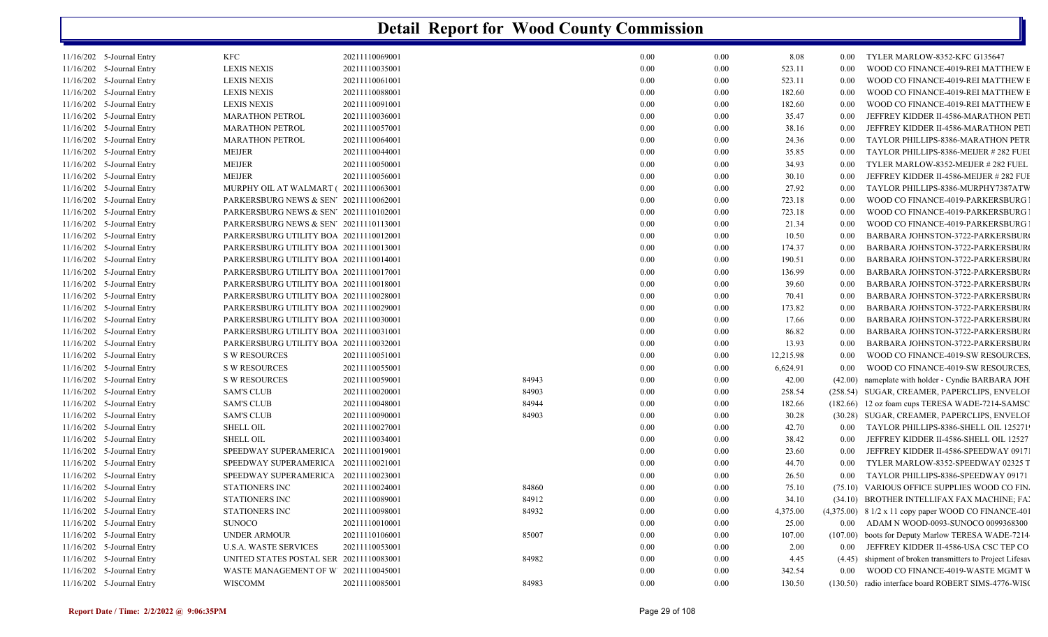| 11/16/202 5-Journal Entry | <b>KFC</b>                              | 20211110069001 |       | 0.00     | 0.00 | 8.08      | 0.00     | TYLER MARLOW-8352-KFC G135647                             |
|---------------------------|-----------------------------------------|----------------|-------|----------|------|-----------|----------|-----------------------------------------------------------|
| 11/16/202 5-Journal Entry | <b>LEXIS NEXIS</b>                      | 20211110035001 |       | 0.00     | 0.00 | 523.11    | 0.00     | WOOD CO FINANCE-4019-REI MATTHEW E                        |
| 11/16/202 5-Journal Entry | <b>LEXIS NEXIS</b>                      | 20211110061001 |       | 0.00     | 0.00 | 523.11    | 0.00     | WOOD CO FINANCE-4019-REI MATTHEW E                        |
| 11/16/202 5-Journal Entry | <b>LEXIS NEXIS</b>                      | 20211110088001 |       | 0.00     | 0.00 | 182.60    | 0.00     | WOOD CO FINANCE-4019-REI MATTHEW E                        |
| 11/16/202 5-Journal Entry | <b>LEXIS NEXIS</b>                      | 20211110091001 |       | 0.00     | 0.00 | 182.60    | 0.00     | WOOD CO FINANCE-4019-REI MATTHEW E                        |
| 11/16/202 5-Journal Entry | <b>MARATHON PETROL</b>                  | 20211110036001 |       | 0.00     | 0.00 | 35.47     | 0.00     | JEFFREY KIDDER II-4586-MARATHON PET                       |
| 11/16/202 5-Journal Entry | <b>MARATHON PETROL</b>                  | 20211110057001 |       | 0.00     | 0.00 | 38.16     | 0.00     | JEFFREY KIDDER II-4586-MARATHON PET                       |
| 11/16/202 5-Journal Entry | <b>MARATHON PETROL</b>                  | 20211110064001 |       | 0.00     | 0.00 | 24.36     | 0.00     | TAYLOR PHILLIPS-8386-MARATHON PETR                        |
| 11/16/202 5-Journal Entry | <b>MEIJER</b>                           | 20211110044001 |       | 0.00     | 0.00 | 35.85     | 0.00     | TAYLOR PHILLIPS-8386-MEIJER #282 FUEI                     |
| 11/16/202 5-Journal Entry | <b>MEIJER</b>                           | 20211110050001 |       | $0.00\,$ | 0.00 | 34.93     | 0.00     | TYLER MARLOW-8352-MEIJER # 282 FUEL                       |
| 11/16/202 5-Journal Entry | <b>MEIJER</b>                           | 20211110056001 |       | 0.00     | 0.00 | 30.10     | 0.00     | JEFFREY KIDDER II-4586-MEIJER # 282 FUI                   |
| 11/16/202 5-Journal Entry | MURPHY OIL AT WALMART (20211110063001   |                |       | 0.00     | 0.00 | 27.92     | 0.00     | TAYLOR PHILLIPS-8386-MURPHY7387ATW                        |
| 11/16/202 5-Journal Entry | PARKERSBURG NEWS & SEN' 20211110062001  |                |       | 0.00     | 0.00 | 723.18    | 0.00     | WOOD CO FINANCE-4019-PARKERSBURG                          |
| 11/16/202 5-Journal Entry | PARKERSBURG NEWS & SEN' 20211110102001  |                |       | 0.00     | 0.00 | 723.18    | 0.00     | WOOD CO FINANCE-4019-PARKERSBURG                          |
| 11/16/202 5-Journal Entry | PARKERSBURG NEWS & SEN' 20211110113001  |                |       | 0.00     | 0.00 | 21.34     | 0.00     | WOOD CO FINANCE-4019-PARKERSBURG                          |
| 11/16/202 5-Journal Entry | PARKERSBURG UTILITY BOA 20211110012001  |                |       | 0.00     | 0.00 | 10.50     | 0.00     | BARBARA JOHNSTON-3722-PARKERSBUR                          |
| 11/16/202 5-Journal Entry | PARKERSBURG UTILITY BOA 20211110013001  |                |       | 0.00     | 0.00 | 174.37    | 0.00     | BARBARA JOHNSTON-3722-PARKERSBUR                          |
| 11/16/202 5-Journal Entry | PARKERSBURG UTILITY BOA 20211110014001  |                |       | 0.00     | 0.00 | 190.51    | 0.00     | BARBARA JOHNSTON-3722-PARKERSBUR                          |
| 11/16/202 5-Journal Entry | PARKERSBURG UTILITY BOA 20211110017001  |                |       | 0.00     | 0.00 | 136.99    | 0.00     | BARBARA JOHNSTON-3722-PARKERSBUR                          |
| 11/16/202 5-Journal Entry | PARKERSBURG UTILITY BOA 20211110018001  |                |       | 0.00     | 0.00 | 39.60     | 0.00     | BARBARA JOHNSTON-3722-PARKERSBUR                          |
| 11/16/202 5-Journal Entry | PARKERSBURG UTILITY BOA 20211110028001  |                |       | 0.00     | 0.00 | 70.41     | 0.00     | BARBARA JOHNSTON-3722-PARKERSBUR                          |
| 11/16/202 5-Journal Entry | PARKERSBURG UTILITY BOA 20211110029001  |                |       | 0.00     | 0.00 | 173.82    | 0.00     | BARBARA JOHNSTON-3722-PARKERSBUR                          |
| 11/16/202 5-Journal Entry | PARKERSBURG UTILITY BOA 20211110030001  |                |       | 0.00     | 0.00 | 17.66     | 0.00     | BARBARA JOHNSTON-3722-PARKERSBUR                          |
| 11/16/202 5-Journal Entry | PARKERSBURG UTILITY BOA 20211110031001  |                |       | 0.00     | 0.00 | 86.82     | 0.00     | BARBARA JOHNSTON-3722-PARKERSBUR                          |
| 11/16/202 5-Journal Entry | PARKERSBURG UTILITY BOA 20211110032001  |                |       | 0.00     | 0.00 | 13.93     | 0.00     | BARBARA JOHNSTON-3722-PARKERSBUR                          |
| 11/16/202 5-Journal Entry | <b>S W RESOURCES</b>                    | 20211110051001 |       | 0.00     | 0.00 | 12,215.98 | 0.00     | WOOD CO FINANCE-4019-SW RESOURCES                         |
| 11/16/202 5-Journal Entry | <b>S W RESOURCES</b>                    | 20211110055001 |       | 0.00     | 0.00 | 6,624.91  | 0.00     | WOOD CO FINANCE-4019-SW RESOURCES                         |
| 11/16/202 5-Journal Entry | <b>S W RESOURCES</b>                    | 20211110059001 | 84943 | 0.00     | 0.00 | 42.00     |          | (42.00) nameplate with holder - Cyndie BARBARA JOH        |
| 11/16/202 5-Journal Entry | <b>SAM'S CLUB</b>                       | 20211110020001 | 84903 | 0.00     | 0.00 | 258.54    |          | (258.54) SUGAR, CREAMER, PAPERCLIPS, ENVELOI              |
| 11/16/202 5-Journal Entry | <b>SAM'S CLUB</b>                       | 20211110048001 | 84944 | 0.00     | 0.00 | 182.66    |          | (182.66) 12 oz foam cups TERESA WADE-7214-SAMSC           |
| 11/16/202 5-Journal Entry | <b>SAM'S CLUB</b>                       | 20211110090001 | 84903 | 0.00     | 0.00 | 30.28     |          | (30.28) SUGAR, CREAMER, PAPERCLIPS, ENVELOI               |
| 11/16/202 5-Journal Entry | <b>SHELL OIL</b>                        | 20211110027001 |       | 0.00     | 0.00 | 42.70     | $0.00\,$ | TAYLOR PHILLIPS-8386-SHELL OIL 125271                     |
| 11/16/202 5-Journal Entry | <b>SHELL OIL</b>                        | 20211110034001 |       | 0.00     | 0.00 | 38.42     | 0.00     | JEFFREY KIDDER II-4586-SHELL OIL 12527                    |
| 11/16/202 5-Journal Entry | SPEEDWAY SUPERAMERICA 20211110019001    |                |       | 0.00     | 0.00 | 23.60     | 0.00     | JEFFREY KIDDER II-4586-SPEEDWAY 0917                      |
| 11/16/202 5-Journal Entry | SPEEDWAY SUPERAMERICA 20211110021001    |                |       | 0.00     | 0.00 | 44.70     | 0.00     | TYLER MARLOW-8352-SPEEDWAY 02325 T                        |
| 11/16/202 5-Journal Entry | SPEEDWAY SUPERAMERICA 20211110023001    |                |       | 0.00     | 0.00 | 26.50     | 0.00     | TAYLOR PHILLIPS-8386-SPEEDWAY 09171                       |
| 11/16/202 5-Journal Entry | STATIONERS INC                          | 20211110024001 | 84860 | 0.00     | 0.00 | 75.10     |          | (75.10) VARIOUS OFFICE SUPPLIES WOOD CO FIN.              |
| 11/16/202 5-Journal Entry | STATIONERS INC                          | 20211110089001 | 84912 | 0.00     | 0.00 | 34.10     |          | (34.10) BROTHER INTELLIFAX FAX MACHINE; FAI               |
| 11/16/202 5-Journal Entry | <b>STATIONERS INC</b>                   | 20211110098001 | 84932 | 0.00     | 0.00 | 4,375.00  |          | $(4,375.00)$ 8 1/2 x 11 copy paper WOOD CO FINANCE-401    |
| 11/16/202 5-Journal Entry | <b>SUNOCO</b>                           | 20211110010001 |       | 0.00     | 0.00 | 25.00     |          | 0.00 ADAM N WOOD-0093-SUNOCO 0099368300                   |
| 11/16/202 5-Journal Entry | UNDER ARMOUR                            | 20211110106001 | 85007 | 0.00     | 0.00 | 107.00    |          | (107.00) boots for Deputy Marlow TERESA WADE-7214         |
| 11/16/202 5-Journal Entry | <b>U.S.A. WASTE SERVICES</b>            | 20211110053001 |       | 0.00     | 0.00 | 2.00      | 0.00     | JEFFREY KIDDER II-4586-USA CSC TEP CO                     |
| 11/16/202 5-Journal Entry | UNITED STATES POSTAL SER 20211110083001 |                | 84982 | 0.00     | 0.00 | 4.45      |          | (4.45) shipment of broken transmitters to Project Lifesav |
| 11/16/202 5-Journal Entry | WASTE MANAGEMENT OF W 20211110045001    |                |       | 0.00     | 0.00 | 342.54    | 0.00     | WOOD CO FINANCE-4019-WASTE MGMT V                         |
| 11/16/202 5-Journal Entry | <b>WISCOMM</b>                          | 20211110085001 | 84983 | 0.00     | 0.00 | 130.50    |          | (130.50) radio interface board ROBERT SIMS-4776-WISC      |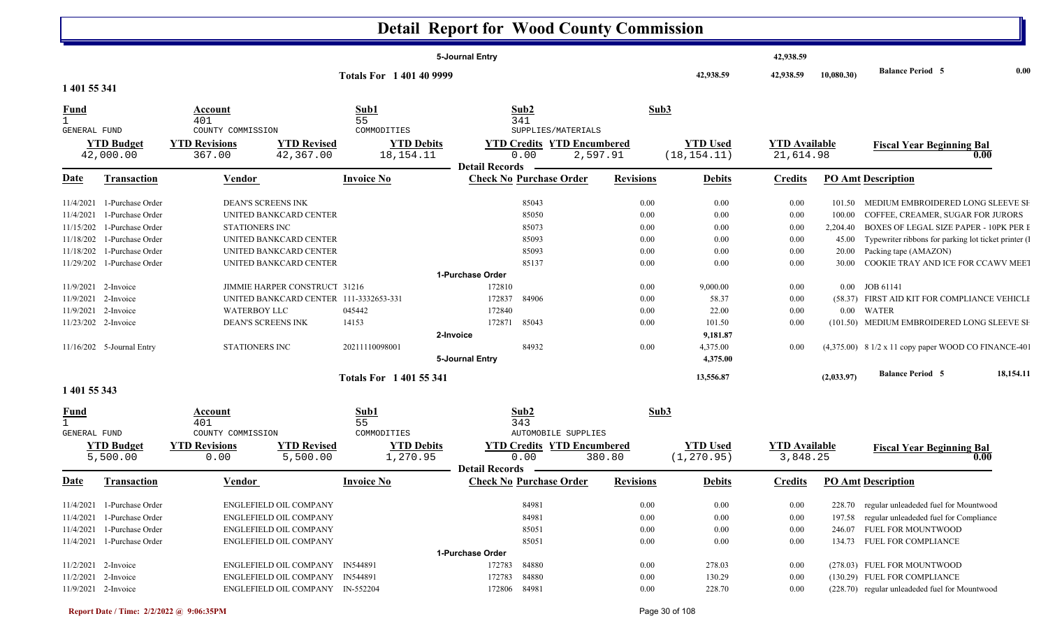|                     |                            |                                           |                                        |                                 | 5-Journal Entry       |                                                         |                  |                 | 42,938.59            |            |                                                       |           |
|---------------------|----------------------------|-------------------------------------------|----------------------------------------|---------------------------------|-----------------------|---------------------------------------------------------|------------------|-----------------|----------------------|------------|-------------------------------------------------------|-----------|
|                     |                            |                                           |                                        | <b>Totals For 1 401 40 9999</b> |                       |                                                         |                  | 42,938.59       | 42,938.59            | 10,080.30) | <b>Balance Period 5</b>                               | 0.00      |
| 1 401 55 341        |                            |                                           |                                        |                                 |                       |                                                         |                  |                 |                      |            |                                                       |           |
| $\frac{Fund}{1}$    |                            | Account                                   |                                        | Sub1                            |                       | Sub2                                                    | Sub3             |                 |                      |            |                                                       |           |
|                     |                            | 401                                       |                                        | 55                              |                       | 341                                                     |                  |                 |                      |            |                                                       |           |
| <b>GENERAL FUND</b> | <b>YTD Budget</b>          | COUNTY COMMISSION<br><b>YTD Revisions</b> | <b>YTD Revised</b>                     | COMMODITIES                     | <b>YTD Debits</b>     | SUPPLIES/MATERIALS<br><b>YTD Credits YTD Encumbered</b> |                  | <b>YTD Used</b> | <b>YTD</b> Available |            |                                                       |           |
|                     | 42,000.00                  | 367.00                                    | 42,367.00                              | 18, 154. 11                     |                       | 0.00                                                    | 2,597.91         | (18, 154.11)    | 21,614.98            |            | <b>Fiscal Year Beginning Bal</b>                      | 0.00      |
| Date                |                            |                                           |                                        | <b>Invoice No</b>               | <b>Detail Records</b> | <b>Check No Purchase Order</b>                          | <b>Revisions</b> |                 |                      |            | <b>PO Amt Description</b>                             |           |
|                     | <b>Transaction</b>         | <b>Vendor</b>                             |                                        |                                 |                       |                                                         |                  | <b>Debits</b>   | <b>Credits</b>       |            |                                                       |           |
| 11/4/2021           | 1-Purchase Order           |                                           | DEAN'S SCREENS INK                     |                                 |                       | 85043                                                   | 0.00             | 0.00            | 0.00                 |            | 101.50 MEDIUM EMBROIDERED LONG SLEEVE SI              |           |
| 11/4/2021           | 1-Purchase Order           |                                           | UNITED BANKCARD CENTER                 |                                 |                       | 85050                                                   | 0.00             | 0.00            | 0.00                 | 100.00     | COFFEE, CREAMER, SUGAR FOR JURORS                     |           |
| 11/15/202           | 1-Purchase Order           | STATIONERS INC                            |                                        |                                 |                       | 85073                                                   | 0.00             | 0.00            | 0.00                 | 2,204.40   | BOXES OF LEGAL SIZE PAPER - 10PK PER I                |           |
| 11/18/202           | 1-Purchase Order           |                                           | UNITED BANKCARD CENTER                 |                                 |                       | 85093                                                   | 0.00             | 0.00            | 0.00                 | 45.00      | Typewriter ribbons for parking lot ticket printer (1) |           |
| 11/18/202           | 1-Purchase Order           |                                           | UNITED BANKCARD CENTER                 |                                 |                       | 85093                                                   | 0.00             | 0.00            | 0.00                 | 20.00      | Packing tape (AMAZON)                                 |           |
|                     | 11/29/202 1-Purchase Order |                                           | UNITED BANKCARD CENTER                 |                                 |                       | 85137                                                   | 0.00             | 0.00            | 0.00                 | 30.00      | COOKIE TRAY AND ICE FOR CCAWV MEET                    |           |
|                     |                            |                                           |                                        |                                 | 1-Purchase Order      |                                                         |                  |                 |                      |            |                                                       |           |
|                     | 11/9/2021 2-Invoice        |                                           | JIMMIE HARPER CONSTRUCT 31216          |                                 | 172810                |                                                         | 0.00             | 9,000.00        | 0.00                 | $0.00\,$   | JOB 61141                                             |           |
| 11/9/2021           | 2-Invoice                  |                                           | UNITED BANKCARD CENTER 111-3332653-331 |                                 | 172837                | 84906                                                   | 0.00             | 58.37           | 0.00                 |            | (58.37) FIRST AID KIT FOR COMPLIANCE VEHICLI          |           |
| 11/9/2021           | 2-Invoice                  | <b>WATERBOY LLC</b>                       |                                        | 045442                          | 172840                |                                                         | 0.00             | 22.00           | 0.00                 |            | $0.00$ WATER                                          |           |
|                     | 11/23/202 2-Invoice        |                                           | <b>DEAN'S SCREENS INK</b>              | 14153                           | 172871                | 85043                                                   | 0.00             | 101.50          | 0.00                 |            | (101.50) MEDIUM EMBROIDERED LONG SLEEVE SH            |           |
|                     |                            |                                           |                                        |                                 | 2-Invoice             |                                                         |                  | 9,181.87        |                      |            |                                                       |           |
|                     | 11/16/202 5-Journal Entry  | <b>STATIONERS INC</b>                     |                                        | 20211110098001                  |                       | 84932                                                   | 0.00             | 4,375.00        | 0.00                 |            | (4,375.00) 8 1/2 x 11 copy paper WOOD CO FINANCE-401  |           |
|                     |                            |                                           |                                        |                                 | 5-Journal Entry       |                                                         |                  | 4,375.00        |                      |            |                                                       |           |
|                     |                            |                                           |                                        | <b>Totals For 140155341</b>     |                       |                                                         |                  | 13,556.87       |                      | (2,033.97) | <b>Balance Period 5</b>                               | 18,154.11 |
| 1 401 55 343        |                            |                                           |                                        |                                 |                       |                                                         |                  |                 |                      |            |                                                       |           |
| <u>Fund</u>         |                            | Account                                   |                                        | Sub1                            |                       | Sub2                                                    | Sub3             |                 |                      |            |                                                       |           |
| $\mathbf{1}$        |                            | 401                                       |                                        | 55                              |                       | 343                                                     |                  |                 |                      |            |                                                       |           |
| <b>GENERAL FUND</b> |                            | COUNTY COMMISSION                         |                                        | COMMODITIES                     |                       | AUTOMOBILE SUPPLIES                                     |                  |                 |                      |            |                                                       |           |
|                     | <b>YTD Budget</b>          | <b>YTD Revisions</b>                      | <b>YTD Revised</b>                     |                                 | <b>YTD Debits</b>     | <b>YTD Credits YTD Encumbered</b>                       |                  | <b>YTD Used</b> | <b>YTD Available</b> |            | <b>Fiscal Year Beginning Bal</b>                      |           |
|                     | 5,500.00                   | 0.00                                      | 5,500.00                               | 1,270.95                        |                       | 0.00                                                    | 380.80           | (1, 270.95)     | 3,848.25             |            |                                                       | 0.00      |
|                     |                            |                                           |                                        |                                 | <b>Detail Records</b> |                                                         |                  |                 |                      |            |                                                       |           |
| Date                | Transaction                | <b>Vendor</b>                             |                                        | <b>Invoice No</b>               |                       | <b>Check No Purchase Order</b>                          | <b>Revisions</b> | <b>Debits</b>   | <b>Credits</b>       |            | <b>PO Amt Description</b>                             |           |
|                     | 11/4/2021 1-Purchase Order |                                           | ENGLEFIELD OIL COMPANY                 |                                 |                       | 84981                                                   | 0.00             | 0.00            | 0.00                 |            | 228.70 regular unleadeded fuel for Mountwood          |           |
|                     | 11/4/2021 1-Purchase Order |                                           | ENGLEFIELD OIL COMPANY                 |                                 |                       | 84981                                                   | $0.00\,$         | 0.00            | $0.00\,$             |            | 197.58 regular unleadeded fuel for Compliance         |           |
|                     | 11/4/2021 1-Purchase Order |                                           | ENGLEFIELD OIL COMPANY                 |                                 |                       | 85051                                                   | 0.00             | 0.00            | 0.00                 |            | 246.07 FUEL FOR MOUNTWOOD                             |           |
|                     | 11/4/2021 1-Purchase Order |                                           | <b>ENGLEFIELD OIL COMPANY</b>          |                                 |                       | 85051                                                   | 0.00             | 0.00            | 0.00                 |            | 134.73 FUEL FOR COMPLIANCE                            |           |
|                     |                            |                                           |                                        |                                 | 1-Purchase Order      |                                                         |                  |                 |                      |            |                                                       |           |
|                     | 11/2/2021 2-Invoice        |                                           | ENGLEFIELD OIL COMPANY IN544891        |                                 | 172783                | 84880                                                   | $0.00\,$         | 278.03          | $0.00\,$             |            | (278.03) FUEL FOR MOUNTWOOD                           |           |
|                     | 11/2/2021 2-Invoice        |                                           | ENGLEFIELD OIL COMPANY IN544891        |                                 | 172783                | 84880                                                   | 0.00             | 130.29          | $0.00\,$             |            | (130.29) FUEL FOR COMPLIANCE                          |           |
|                     | 11/9/2021 2-Invoice        |                                           | ENGLEFIELD OIL COMPANY IN-552204       |                                 | 172806 84981          |                                                         | 0.00             | 228.70          | 0.00                 |            | (228.70) regular unleadeded fuel for Mountwood        |           |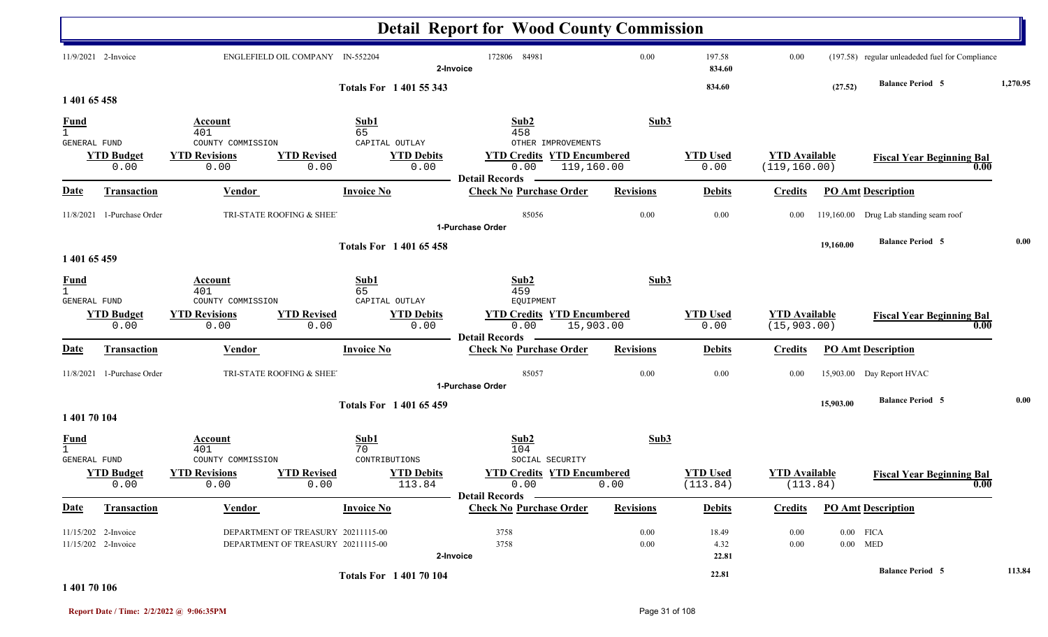|                                             |                                                |                                            |                                                                          |                                | <b>Detail Report for Wood County Commission</b>                              |                      |                             |                                       |           |                                                 |          |
|---------------------------------------------|------------------------------------------------|--------------------------------------------|--------------------------------------------------------------------------|--------------------------------|------------------------------------------------------------------------------|----------------------|-----------------------------|---------------------------------------|-----------|-------------------------------------------------|----------|
|                                             | 11/9/2021 2-Invoice                            |                                            | ENGLEFIELD OIL COMPANY IN-552204                                         | 2-Invoice                      | 172806 84981                                                                 | 0.00                 | 197.58<br>834.60            | 0.00                                  |           | (197.58) regular unleadeded fuel for Compliance |          |
| 1 401 65 458                                |                                                |                                            |                                                                          | <b>Totals For 140155343</b>    |                                                                              |                      | 834.60                      |                                       | (27.52)   | <b>Balance Period 5</b>                         | 1,270.95 |
| $\frac{Fund}{1}$<br>GENERAL FUND            |                                                | Account<br>401<br>COUNTY COMMISSION        | Sub1<br>65<br>CAPITAL OUTLAY                                             |                                | Sub2<br>458<br>OTHER IMPROVEMENTS                                            | Sub3                 |                             |                                       |           |                                                 |          |
|                                             | <b>YTD Budget</b><br>0.00                      | <b>YTD Revisions</b><br>0.00               | <b>YTD Revised</b><br>0.00                                               | <b>YTD Debits</b><br>0.00      | <b>YTD Credits YTD Encumbered</b><br>0.00<br><b>Detail Records</b>           | 119,160.00           | <b>YTD</b> Used<br>0.00     | <b>YTD Available</b><br>(119, 160.00) |           | <b>Fiscal Year Beginning Bal</b><br>0.00        |          |
| <u>Date</u>                                 | <b>Transaction</b>                             | Vendor                                     | <b>Invoice No</b>                                                        |                                | <b>Check No Purchase Order</b>                                               | <b>Revisions</b>     | <b>Debits</b>               | <b>Credits</b>                        |           | <b>PO Amt Description</b>                       |          |
| 11/8/2021                                   | 1-Purchase Order                               |                                            | TRI-STATE ROOFING & SHEE                                                 |                                | 85056<br>1-Purchase Order                                                    | 0.00                 | 0.00                        | 0.00                                  |           | 119,160.00 Drug Lab standing seam roof          |          |
| 1 401 65 459                                |                                                |                                            |                                                                          | <b>Totals For 140165458</b>    |                                                                              |                      |                             |                                       | 19,160.00 | <b>Balance Period 5</b>                         | 0.00     |
| <b>Fund</b><br>1<br>GENERAL FUND            |                                                | Account<br>401<br>COUNTY COMMISSION        | Sub1<br>65<br>CAPITAL OUTLAY                                             |                                | Sub2<br>459<br>EQUIPMENT                                                     | Sub3                 |                             |                                       |           |                                                 |          |
|                                             | <b>YTD Budget</b><br>0.00                      | <b>YTD Revisions</b><br>0.00               | <b>YTD Revised</b><br>0.00                                               | <b>YTD Debits</b><br>0.00      | <b>YTD Credits</b><br><b>YTD Encumbered</b><br>0.00<br><b>Detail Records</b> | 15,903.00            | <b>YTD Used</b><br>0.00     | <b>YTD Available</b><br>(15, 903.00)  |           | <b>Fiscal Year Beginning Bal</b><br>0.00        |          |
| <u>Date</u>                                 | <b>Transaction</b>                             | <b>Vendor</b>                              | <b>Invoice No</b>                                                        |                                | <b>Check No Purchase Order</b>                                               | <b>Revisions</b>     | <b>Debits</b>               | <b>Credits</b>                        |           | <b>PO Amt Description</b>                       |          |
|                                             | 11/8/2021 1-Purchase Order                     |                                            | TRI-STATE ROOFING & SHEE                                                 |                                | 85057<br>1-Purchase Order                                                    | 0.00                 | 0.00                        | 0.00                                  |           | 15,903.00 Day Report HVAC                       |          |
| 1 401 70 104                                |                                                |                                            |                                                                          | <b>Totals For 140165459</b>    |                                                                              |                      |                             |                                       | 15,903.00 | <b>Balance Period 5</b>                         | 0.00     |
| <u>Fund</u><br>$\mathbf{1}$<br>GENERAL FUND |                                                | <b>Account</b><br>401<br>COUNTY COMMISSION | Sub1<br>70<br>CONTRIBUTIONS                                              |                                | Sub2<br>104<br>SOCIAL SECURITY                                               | Sub3                 |                             |                                       |           |                                                 |          |
|                                             | <b>YTD Budget</b><br>0.00                      | <b>YTD Revisions</b><br>0.00               | <b>YTD Revised</b><br>0.00                                               | <b>YTD Debits</b><br>113.84    | <b>YTD Credits YTD Encumbered</b><br>0.00<br>Detail Records –                | 0.00                 | <b>YTD Used</b><br>(113.84) | <b>YTD Available</b><br>(113.84)      |           | <b>Fiscal Year Beginning Bal</b><br>0.00        |          |
| <b>Date</b>                                 | <b>Transaction</b>                             | <b>Vendor</b>                              | <b>Invoice No</b>                                                        |                                | <b>Check No Purchase Order</b>                                               | <b>Revisions</b>     | <b>Debits</b>               | <b>Credits</b>                        |           | <b>PO Amt Description</b>                       |          |
|                                             | $11/15/202$ 2-Invoice<br>$11/15/202$ 2-Invoice |                                            | DEPARTMENT OF TREASURY 20211115-00<br>DEPARTMENT OF TREASURY 20211115-00 | 2-Invoice                      | 3758<br>3758                                                                 | $0.00\,$<br>$0.00\,$ | 18.49<br>4.32<br>22.81      | 0.00<br>0.00                          |           | $0.00$ FICA<br>$0.00$ MED                       |          |
|                                             |                                                |                                            |                                                                          | <b>Totals For 1 401 70 104</b> |                                                                              |                      | 22.81                       |                                       |           | <b>Balance Period 5</b>                         | 113.84   |

**1 401 70 106**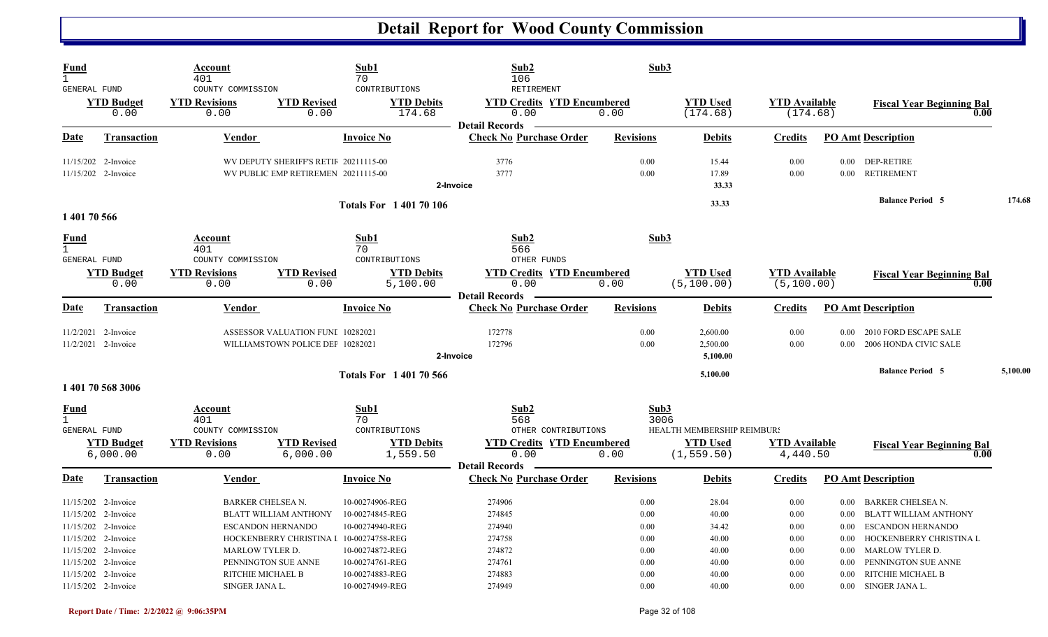| Fund<br>$\mathbf{1}$<br><b>GENERAL FUND</b> |                                                                                                                                        | Account<br>401<br>COUNTY COMMISSION                         |                                                                                                                            | Sub1<br>70<br>CONTRIBUTIONS                                                                 | Sub2<br>106<br>RETIREMENT                                               | Sub3                                         |                                                    |                                                  |                                                      |                                                                                                                             |          |
|---------------------------------------------|----------------------------------------------------------------------------------------------------------------------------------------|-------------------------------------------------------------|----------------------------------------------------------------------------------------------------------------------------|---------------------------------------------------------------------------------------------|-------------------------------------------------------------------------|----------------------------------------------|----------------------------------------------------|--------------------------------------------------|------------------------------------------------------|-----------------------------------------------------------------------------------------------------------------------------|----------|
|                                             | <b>YTD Budget</b><br>0.00                                                                                                              | <b>YTD Revisions</b><br>0.00                                | <b>YTD Revised</b><br>0.00                                                                                                 | <b>YTD Debits</b><br>174.68                                                                 | <b>YTD Credits YTD Encumbered</b><br>0.00<br><b>Detail Records</b>      | 0.00                                         | <b>YTD Used</b><br>(174.68)                        | <b>YTD</b> Available<br>(174.68)                 |                                                      | <b>Fiscal Year Beginning Bal</b><br>0.00                                                                                    |          |
| Date                                        | <b>Transaction</b>                                                                                                                     | Vendor                                                      |                                                                                                                            | <b>Invoice No</b>                                                                           | <b>Check No Purchase Order</b>                                          | <b>Revisions</b>                             | <b>Debits</b>                                      | <b>Credits</b>                                   |                                                      | <b>PO Amt Description</b>                                                                                                   |          |
|                                             | 11/15/202 2-Invoice<br>11/15/202 2-Invoice                                                                                             |                                                             | WV DEPUTY SHERIFF'S RETIF 20211115-00<br>WV PUBLIC EMP RETIREMEN 20211115-00                                               |                                                                                             | 3776<br>3777<br>2-Invoice                                               | 0.00<br>0.00                                 | 15.44<br>17.89<br>33.33                            | 0.00<br>0.00                                     |                                                      | 0.00 DEP-RETIRE<br>0.00 RETIREMENT                                                                                          |          |
| 1 401 70 566                                |                                                                                                                                        |                                                             |                                                                                                                            | <b>Totals For 140170106</b>                                                                 |                                                                         |                                              | 33.33                                              |                                                  |                                                      | <b>Balance Period 5</b>                                                                                                     | 174.68   |
| Fund<br>$\mathbf{1}$<br><b>GENERAL FUND</b> |                                                                                                                                        | Account<br>401<br>COUNTY COMMISSION                         |                                                                                                                            | Sub1<br>70<br>CONTRIBUTIONS                                                                 | Sub2<br>566<br>OTHER FUNDS                                              | Sub3                                         |                                                    |                                                  |                                                      |                                                                                                                             |          |
|                                             | <b>YTD Budget</b><br>0.00                                                                                                              | <b>YTD Revisions</b><br>0.00                                | <b>YTD Revised</b><br>0.00                                                                                                 | <b>YTD Debits</b><br>5,100.00                                                               | <b>YTD Credits YTD Encumbered</b><br>0.00<br><b>Detail Records</b>      | 0.00                                         | <b>YTD Used</b><br>(5, 100.00)                     | <b>YTD</b> Available<br>(5, 100.00)              |                                                      | <b>Fiscal Year Beginning Bal</b><br>0.00                                                                                    |          |
| Date                                        | <b>Transaction</b>                                                                                                                     | <b>Vendor</b>                                               |                                                                                                                            | <b>Invoice No</b>                                                                           | <b>Check No Purchase Order</b>                                          | <b>Revisions</b>                             | <b>Debits</b>                                      | <b>Credits</b>                                   |                                                      | <b>PO Amt Description</b>                                                                                                   |          |
| 11/2/2021                                   | 2-Invoice<br>11/2/2021 2-Invoice                                                                                                       |                                                             | ASSESSOR VALUATION FUNI 10282021<br>WILLIAMSTOWN POLICE DEF 10282021                                                       |                                                                                             | 172778<br>172796<br>2-Invoice                                           | 0.00<br>0.00                                 | 2,600.00<br>2,500.00<br>5,100.00                   | 0.00<br>0.00                                     | $0.00 -$<br>$0.00 -$                                 | 2010 FORD ESCAPE SALE<br>2006 HONDA CIVIC SALE                                                                              |          |
|                                             | 1 401 70 568 3006                                                                                                                      |                                                             |                                                                                                                            | <b>Totals For 140170566</b>                                                                 |                                                                         |                                              | 5,100.00                                           |                                                  |                                                      | <b>Balance Period 5</b>                                                                                                     | 5,100.00 |
| Fund<br>$\mathbf{1}$<br><b>GENERAL FUND</b> | <b>YTD Budget</b>                                                                                                                      | Account<br>401<br>COUNTY COMMISSION<br><b>YTD Revisions</b> | <b>YTD Revised</b>                                                                                                         | Sub1<br>70<br>CONTRIBUTIONS<br><b>YTD Debits</b>                                            | Sub2<br>568<br>OTHER CONTRIBUTIONS<br><b>YTD Credits YTD Encumbered</b> | Sub3<br>3006                                 | HEALTH MEMBERSHIP REIMBUR!<br><b>YTD</b> Used      | <b>YTD Available</b>                             |                                                      |                                                                                                                             |          |
|                                             | 6,000.00                                                                                                                               | 0.00                                                        | 6,000.00                                                                                                                   | 1,559.50                                                                                    | 0.00<br><b>Detail Records</b>                                           | 0.00                                         | (1, 559.50)                                        | 4,440.50                                         |                                                      | <b>Fiscal Year Beginning Bal</b><br>0.00                                                                                    |          |
| Date                                        | <b>Transaction</b>                                                                                                                     | Vendor                                                      |                                                                                                                            | <b>Invoice No</b>                                                                           | <b>Check No Purchase Order</b>                                          | <b>Revisions</b>                             | <b>Debits</b>                                      | <b>Credits</b>                                   |                                                      | <b>PO Amt Description</b>                                                                                                   |          |
|                                             | 11/15/202 2-Invoice<br>11/15/202 2-Invoice<br>11/15/202 2-Invoice<br>11/15/202 2-Invoice<br>11/15/202 2-Invoice<br>11/15/202 2-Invoice | <b>BARKER CHELSEA N.</b><br><b>MARLOW TYLER D.</b>          | <b>BLATT WILLIAM ANTHONY</b><br><b>ESCANDON HERNANDO</b><br>HOCKENBERRY CHRISTINA I 10-00274758-REG<br>PENNINGTON SUE ANNE | 10-00274906-REG<br>10-00274845-REG<br>10-00274940-REG<br>10-00274872-REG<br>10-00274761-REG | 274906<br>274845<br>274940<br>274758<br>274872<br>274761                | 0.00<br>0.00<br>0.00<br>0.00<br>0.00<br>0.00 | 28.04<br>40.00<br>34.42<br>40.00<br>40.00<br>40.00 | 0.00<br>0.00<br>$0.00\,$<br>0.00<br>0.00<br>0.00 | $0.00\,$<br>0.00<br>$0.00\,$<br>0.00<br>0.00<br>0.00 | BARKER CHELSEA N.<br>BLATT WILLIAM ANTHONY<br><b>ESCANDON HERNANDO</b><br>HOCKENBERRY CHRISTINA L<br><b>MARLOW TYLER D.</b> |          |
|                                             | 11/15/202 2-Invoice<br>11/15/202 2-Invoice                                                                                             | RITCHIE MICHAEL B<br>SINGER JANA L.                         |                                                                                                                            | 10-00274883-REG<br>10-00274949-REG                                                          | 274883<br>274949                                                        | 0.00<br>0.00                                 | 40.00<br>40.00                                     | 0.00<br>0.00                                     | 0.00                                                 | PENNINGTON SUE ANNE<br><b>RITCHIE MICHAEL B</b><br>0.00 SINGER JANA L.                                                      |          |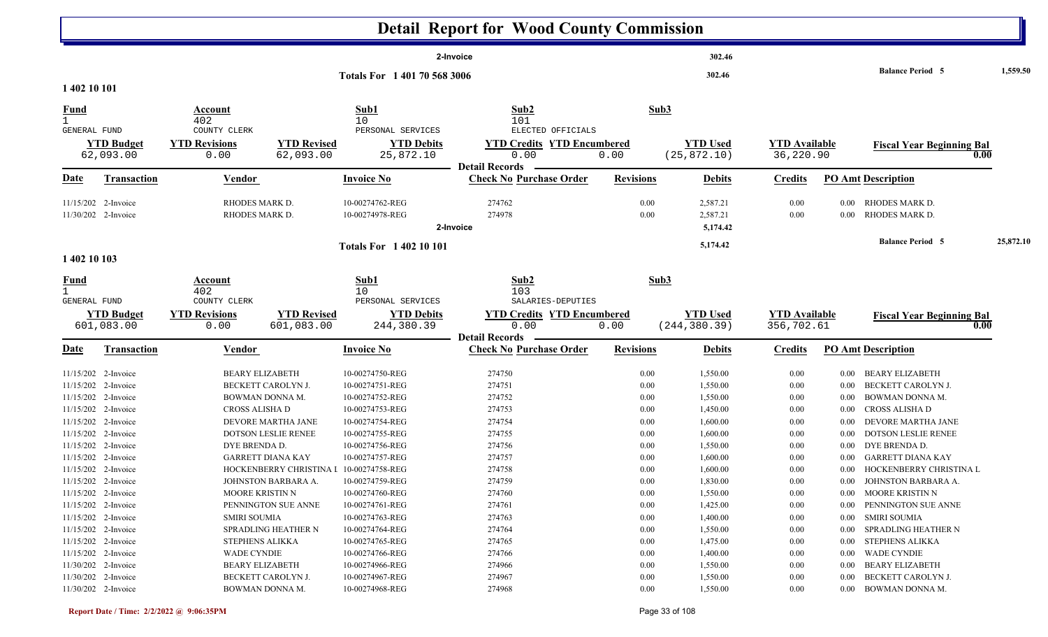|                                         |                                                                                          |                                                                 |                                                                     |                                                                          | <b>Detail Report for Wood County Commission</b>                |                                  |                                              |                                              |                          |                                                                                             |           |
|-----------------------------------------|------------------------------------------------------------------------------------------|-----------------------------------------------------------------|---------------------------------------------------------------------|--------------------------------------------------------------------------|----------------------------------------------------------------|----------------------------------|----------------------------------------------|----------------------------------------------|--------------------------|---------------------------------------------------------------------------------------------|-----------|
|                                         |                                                                                          |                                                                 |                                                                     |                                                                          | 2-Invoice                                                      |                                  | 302.46                                       |                                              |                          |                                                                                             |           |
| 1 402 10 101                            |                                                                                          |                                                                 |                                                                     | Totals For 1 401 70 568 3006                                             |                                                                |                                  | 302.46                                       |                                              |                          | <b>Balance Period 5</b>                                                                     | 1,559.50  |
| <b>Fund</b>                             |                                                                                          | Account<br>402                                                  |                                                                     | Sub1<br>10                                                               | Sub2<br>101                                                    | Sub3                             |                                              |                                              |                          |                                                                                             |           |
| <b>GENERAL FUND</b>                     | <b>YTD Budget</b><br>62,093.00                                                           | COUNTY CLERK<br><b>YTD Revisions</b><br>0.00                    | <b>YTD Revised</b><br>62,093.00                                     | PERSONAL SERVICES<br><b>YTD Debits</b><br>25,872.10                      | ELECTED OFFICIALS<br><b>YTD Credits YTD Encumbered</b><br>0.00 | 0.00                             | <b>YTD Used</b><br>(25, 872.10)              | <b>YTD Available</b><br>36,220.90            |                          | <b>Fiscal Year Beginning Bal</b><br>0.00                                                    |           |
| <u>Date</u>                             | <b>Transaction</b>                                                                       | <b>Vendor</b>                                                   |                                                                     | <b>Invoice No</b>                                                        | <b>Detail Records</b><br><b>Check No Purchase Order</b>        | <b>Revisions</b>                 | <b>Debits</b>                                | <b>Credits</b>                               |                          | <b>PO Amt Description</b>                                                                   |           |
|                                         | 11/15/202 2-Invoice<br>11/30/202 2-Invoice                                               | RHODES MARK D.<br>RHODES MARK D.                                |                                                                     | 10-00274762-REG<br>10-00274978-REG                                       | 274762<br>274978<br>2-Invoice                                  | 0.00<br>0.00                     | 2,587.21<br>2,587.21<br>5,174.42             | 0.00<br>0.00                                 | $0.00\,$<br>$0.00\,$     | RHODES MARK D.<br>RHODES MARK D.                                                            |           |
| 1 402 10 103                            |                                                                                          |                                                                 |                                                                     | <b>Totals For 1 402 10 101</b>                                           |                                                                |                                  | 5,174.42                                     |                                              |                          | <b>Balance Period 5</b>                                                                     | 25,872.10 |
| <u>Fund</u><br>1<br><b>GENERAL FUND</b> |                                                                                          | Account<br>402<br>COUNTY CLERK                                  |                                                                     | Sub1<br>10 <sup>°</sup><br>PERSONAL SERVICES                             | Sub2<br>103<br>SALARIES-DEPUTIES                               | Sub3                             |                                              |                                              |                          |                                                                                             |           |
|                                         | <b>YTD Budget</b><br>601,083.00                                                          | <b>YTD Revisions</b><br>0.00                                    | <b>YTD Revised</b><br>601,083.00                                    | <b>YTD Debits</b><br>244,380.39                                          | <b>YTD Credits YTD Encumbered</b><br>0.00                      | 0.00                             | <b>YTD Used</b><br>(244, 380.39)             | <b>YTD Available</b><br>356,702.61           |                          | <b>Fiscal Year Beginning Bal</b><br>0.00                                                    |           |
| <u>Date</u>                             | <b>Transaction</b>                                                                       | Vendor                                                          |                                                                     | <b>Invoice No</b>                                                        | <b>Detail Records</b><br><b>Check No Purchase Order</b>        | <b>Revisions</b>                 | <b>Debits</b>                                | <b>Credits</b>                               |                          | <b>PO Amt Description</b>                                                                   |           |
|                                         | 11/15/202 2-Invoice<br>11/15/202 2-Invoice<br>11/15/202 2-Invoice                        | <b>BEARY ELIZABETH</b><br>BOWMAN DONNA M.                       | BECKETT CAROLYN J.                                                  | 10-00274750-REG<br>10-00274751-REG<br>10-00274752-REG                    | 274750<br>274751<br>274752                                     | 0.00<br>0.00<br>0.00             | 1,550.00<br>1,550.00<br>1,550.00             | 0.00<br>0.00<br>0.00                         | 0.00<br>0.00<br>0.00     | <b>BEARY ELIZABETH</b><br>BECKETT CAROLYN J.<br>BOWMAN DONNA M.                             |           |
|                                         | 11/15/202 2-Invoice<br>11/15/202 2-Invoice<br>11/15/202 2-Invoice                        | CROSS ALISHA D                                                  | DEVORE MARTHA JANE<br><b>DOTSON LESLIE RENEE</b>                    | 10-00274753-REG<br>10-00274754-REG<br>10-00274755-REG                    | 274753<br>274754<br>274755                                     | 0.00<br>0.00<br>0.00             | 1,450.00<br>1,600.00<br>1,600.00             | 0.00<br>0.00<br>0.00                         | 0.00<br>0.00<br>$0.00\,$ | CROSS ALISHA D<br>DEVORE MARTHA JANE<br><b>DOTSON LESLIE RENEE</b>                          |           |
|                                         | 11/15/202 2-Invoice<br>11/15/202 2-Invoice<br>11/15/202 2-Invoice                        | DYE BRENDA D.                                                   | <b>GARRETT DIANA KAY</b><br>HOCKENBERRY CHRISTINA I 10-00274758-REG | 10-00274756-REG<br>10-00274757-REG                                       | 274756<br>274757<br>274758                                     | 0.00<br>0.00<br>0.00             | 1,550.00<br>1,600.00<br>1,600.00             | 0.00<br>0.00<br>0.00                         | $0.00\,$<br>0.00         | DYE BRENDA D.<br><b>GARRETT DIANA KAY</b><br>0.00 HOCKENBERRY CHRISTINA L                   |           |
| 11/15/202 2-Invoice                     | 11/15/202 2-Invoice<br>11/15/202 2-Invoice                                               | <b>MOORE KRISTIN N</b>                                          | JOHNSTON BARBARA A.<br>PENNINGTON SUE ANNE                          | 10-00274759-REG<br>10-00274760-REG<br>10-00274761-REG                    | 274759<br>274760<br>274761                                     | $0.00\,$<br>0.00<br>0.00         | 1,830.00<br>1,550.00<br>1,425.00             | 0.00<br>0.00<br>0.00                         |                          | 0.00 JOHNSTON BARBARA A.<br>0.00 MOORE KRISTIN N<br>0.00 PENNINGTON SUE ANNE                |           |
|                                         | 11/15/202 2-Invoice<br>11/15/202 2-Invoice<br>11/15/202 2-Invoice                        | <b>SMIRI SOUMIA</b><br><b>STEPHENS ALIKKA</b>                   | <b>SPRADLING HEATHER N</b>                                          | 10-00274763-REG<br>10-00274764-REG<br>10-00274765-REG                    | 274763<br>274764<br>274765                                     | 0.00<br>0.00<br>0.00             | 1,400.00<br>1,550.00<br>1,475.00             | $0.00\,$<br>$0.00\,$<br>$0.00\,$             | $0.00\,$<br>$0.00\,$     | 0.00 SMIRI SOUMIA<br>SPRADLING HEATHER N<br>STEPHENS ALIKKA                                 |           |
|                                         | 11/15/202 2-Invoice<br>11/30/202 2-Invoice<br>11/30/202 2-Invoice<br>11/30/202 2-Invoice | <b>WADE CYNDIE</b><br><b>BEARY ELIZABETH</b><br>BOWMAN DONNA M. | BECKETT CAROLYN J.                                                  | 10-00274766-REG<br>10-00274966-REG<br>10-00274967-REG<br>10-00274968-REG | 274766<br>274966<br>274967<br>274968                           | 0.00<br>0.00<br>0.00<br>$0.00\,$ | 1,400.00<br>1,550.00<br>1,550.00<br>1,550.00 | $0.00\,$<br>$0.00\,$<br>$0.00\,$<br>$0.00\,$ |                          | 0.00 WADE CYNDIE<br>0.00 BEARY ELIZABETH<br>0.00 BECKETT CAROLYN J.<br>0.00 BOWMAN DONNA M. |           |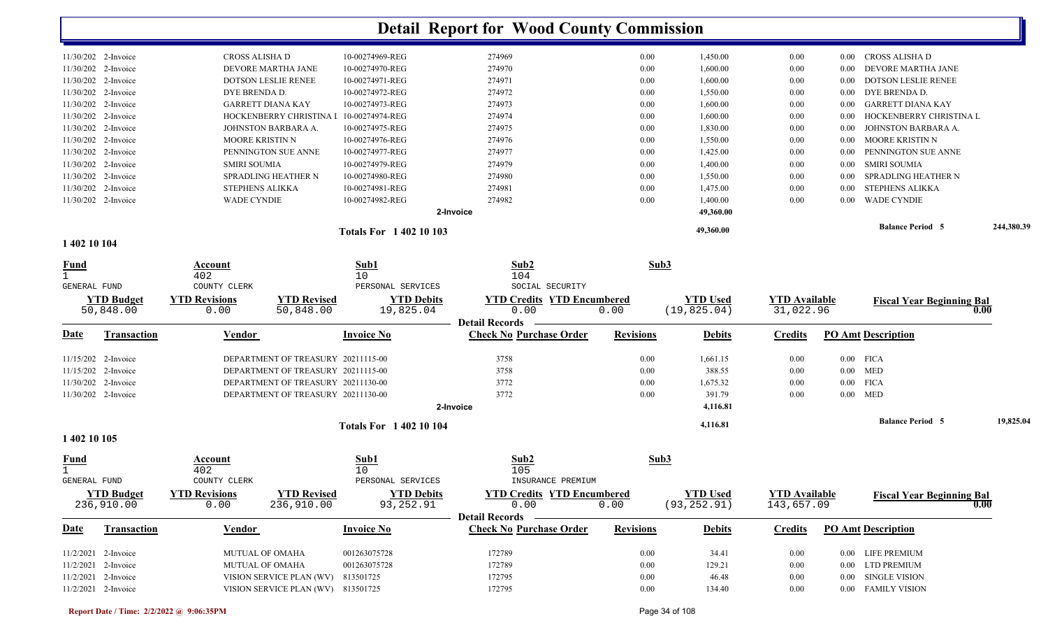|                       |                       |                            | <b>Totals For 140210103</b> |           |      | 49,360.00 |      |       | <b>Balance Period 5</b>    | 244,380.39 |
|-----------------------|-----------------------|----------------------------|-----------------------------|-----------|------|-----------|------|-------|----------------------------|------------|
|                       |                       |                            |                             | 2-Invoice |      | 49,360.00 |      |       |                            |            |
|                       | $11/30/202$ 2-Invoice | <b>WADE CYNDIE</b>         | 10-00274982-REG             | 274982    | 0.00 | 1,400.00  | 0.00 | 0.00  | <b>WADE CYNDIE</b>         |            |
|                       | $11/30/202$ 2-Invoice | <b>STEPHENS ALIKKA</b>     | 10-00274981-REG             | 274981    | 0.00 | 1,475.00  | 0.00 | 0.00  | STEPHENS ALIKKA            |            |
|                       | $11/30/202$ 2-Invoice | SPRADLING HEATHER N        | 10-00274980-REG             | 274980    | 0.00 | 1,550.00  | 0.00 | 0.00  | SPRADLING HEATHER N        |            |
|                       | $11/30/202$ 2-Invoice | SMIRI SOUMIA               | 10-00274979-REG             | 274979    | 0.00 | 1,400.00  | 0.00 | 0.00  | SMIRI SOUMIA               |            |
|                       | $11/30/202$ 2-Invoice | PENNINGTON SUE ANNE        | 10-00274977-REG             | 274977    | 0.00 | 1,425.00  | 0.00 | 0.00  | PENNINGTON SUE ANNE        |            |
|                       | $11/30/202$ 2-Invoice | <b>MOORE KRISTIN N</b>     | 10-00274976-REG             | 274976    | 0.00 | 1,550.00  | 0.00 | 0.00  | MOORE KRISTIN N            |            |
|                       | $11/30/202$ 2-Invoice | JOHNSTON BARBARA A.        | 10-00274975-REG             | 274975    | 0.00 | 1,830.00  | 0.00 | 0.00  | JOHNSTON BARBARA A.        |            |
|                       | $11/30/202$ 2-Invoice | HOCKENBERRY CHRISTINA I    | 10-00274974-REG             | 274974    | 0.00 | 1,600.00  | 0.00 | -0.00 | HOCKENBERRY CHRISTINA L    |            |
|                       | $11/30/202$ 2-Invoice | <b>GARRETT DIANA KAY</b>   | 10-00274973-REG             | 274973    | 0.00 | 1,600.00  | 0.00 | -0.00 | GARRETT DIANA KAY          |            |
|                       | $11/30/202$ 2-Invoice | DYE BRENDA D.              | 10-00274972-REG             | 274972    | 0.00 | 1,550.00  | 0.00 | 0.00  | DYE BRENDA D.              |            |
|                       | $11/30/202$ 2-Invoice | <b>DOTSON LESLIE RENEE</b> | 10-00274971-REG             | 274971    | 0.00 | 1,600.00  | 0.00 | 0.00  | <b>DOTSON LESLIE RENEE</b> |            |
|                       | $11/30/202$ 2-Invoice | DEVORE MARTHA JANE         | 10-00274970-REG             | 274970    | 0.00 | 1,600.00  | 0.00 | 0.00  | DEVORE MARTHA JANE         |            |
| $11/30/202$ 2-Invoice |                       | CROSS ALISHA D             | 10-00274969-REG             | 274969    | 0.00 | 1,450.00  | 0.00 | 0.00  | CROSS ALISHA D             |            |

**1 402 10 104** 

| <b>Fund</b>                    |                                                           | Account<br>402                     |                                       | Sub1<br>10 <sup>°</sup>                                                     | Sub2<br>104                                                        | Sub3             |                                 |                                    |                           |                                  |           |  |
|--------------------------------|-----------------------------------------------------------|------------------------------------|---------------------------------------|-----------------------------------------------------------------------------|--------------------------------------------------------------------|------------------|---------------------------------|------------------------------------|---------------------------|----------------------------------|-----------|--|
| <b>GENERAL FUND</b>            |                                                           | COUNTY CLERK                       |                                       | PERSONAL SERVICES                                                           | SOCIAL SECURITY                                                    |                  |                                 |                                    |                           |                                  |           |  |
| <b>YTD Budget</b><br>50,848.00 |                                                           | <b>YTD Revisions</b><br>0.00       | <b>YTD Revised</b><br>50,848.00       | <b>YTD Debits</b><br>19,825.04                                              | <b>YTD Credits YTD Encumbered</b><br>0.00                          | 0.00             | <b>YTD Used</b><br>(19, 825.04) | <b>YTD Available</b><br>31,022.96  |                           | <b>Fiscal Year Beginning Bal</b> |           |  |
| <b>Date</b>                    | <b>Transaction</b>                                        | <b>Invoice No</b><br>Vendor        |                                       | <b>Detail Records</b><br><b>Check No Purchase Order</b><br><b>Revisions</b> |                                                                    | <b>Debits</b>    | <b>Credits</b>                  |                                    | <b>PO Amt Description</b> |                                  |           |  |
|                                | $11/15/202$ 2-Invoice                                     | DEPARTMENT OF TREASURY 20211115-00 |                                       | 3758                                                                        |                                                                    | 0.00             | 1,661.15                        | 0.00                               |                           | $0.00$ FICA                      |           |  |
|                                | 11/15/202 2-Invoice<br>DEPARTMENT OF TREASURY 20211115-00 |                                    |                                       | 3758                                                                        | 0.00                                                               | 388.55           | 0.00                            |                                    | $0.00$ MED                |                                  |           |  |
|                                | 11/30/202 2-Invoice                                       | DEPARTMENT OF TREASURY 20211130-00 |                                       |                                                                             | 3772                                                               |                  | 1,675.32                        | 0.00                               |                           | $0.00$ FICA                      |           |  |
| 11/30/202 2-Invoice            |                                                           | DEPARTMENT OF TREASURY 20211130-00 |                                       |                                                                             | 3772                                                               | 0.00             | 391.79                          | 0.00                               |                           | $0.00$ MED                       |           |  |
|                                |                                                           |                                    |                                       |                                                                             | 2-Invoice                                                          |                  | 4,116.81                        |                                    |                           |                                  |           |  |
|                                | <b>Totals For 1 402 10 104</b>                            |                                    |                                       |                                                                             |                                                                    | 4,116.81         |                                 |                                    | <b>Balance Period 5</b>   |                                  | 19,825.04 |  |
| 1 402 10 105                   |                                                           |                                    |                                       |                                                                             |                                                                    |                  |                                 |                                    |                           |                                  |           |  |
| <u>Fund</u><br>GENERAL FUND    |                                                           | Account<br>402<br>COUNTY CLERK     |                                       | Sub1<br>10<br>PERSONAL SERVICES                                             | Sub <sub>2</sub><br>105<br>INSURANCE PREMIUM                       |                  | Sub3                            |                                    |                           |                                  |           |  |
|                                | <b>YTD Budget</b><br>236,910.00                           | <b>YTD Revisions</b><br>0.00       | <b>YTD Revised</b><br>236,910.00      | <b>YTD Debits</b><br>93, 252.91                                             | <b>YTD Credits YTD Encumbered</b><br>0.00<br><b>Detail Records</b> | 0.00             | <b>YTD Used</b><br>(93, 252.91) | <b>YTD Available</b><br>143,657.09 |                           | <b>Fiscal Year Beginning Bal</b> | 0.00      |  |
| <b>Date</b>                    | <b>Transaction</b>                                        | Vendor                             |                                       | <b>Invoice No</b>                                                           | <b>Check No Purchase Order</b>                                     | <b>Revisions</b> | <b>Debits</b>                   | <b>Credits</b>                     |                           | <b>PO Amt Description</b>        |           |  |
|                                | $11/2/2021$ 2-Invoice                                     | <b>MUTUAL OF OMAHA</b>             |                                       | 001263075728                                                                | 172789                                                             | 0.00             | 34.41                           | 0.00                               | 0.00                      | LIFE PREMIUM                     |           |  |
| 11/2/2021                      | 2-Invoice                                                 |                                    | <b>MUTUAL OF OMAHA</b>                |                                                                             | 172789                                                             | 0.00             | 129.21                          | 0.00                               | 0.00                      | <b>LTD PREMIUM</b>               |           |  |
| 11/2/2021                      | 2-Invoice                                                 |                                    | VISION SERVICE PLAN (WV)<br>813501725 |                                                                             | 172795                                                             | 0.00             | 46.48                           | 0.00                               | 0.00                      | <b>SINGLE VISION</b>             |           |  |
|                                | 11/2/2021 2-Invoice                                       | VISION SERVICE PLAN (WV) 813501725 |                                       |                                                                             | 172795                                                             | 0.00             | 134.40                          | 0.00                               |                           | FAMILY VISION<br>$0.00\,$        |           |  |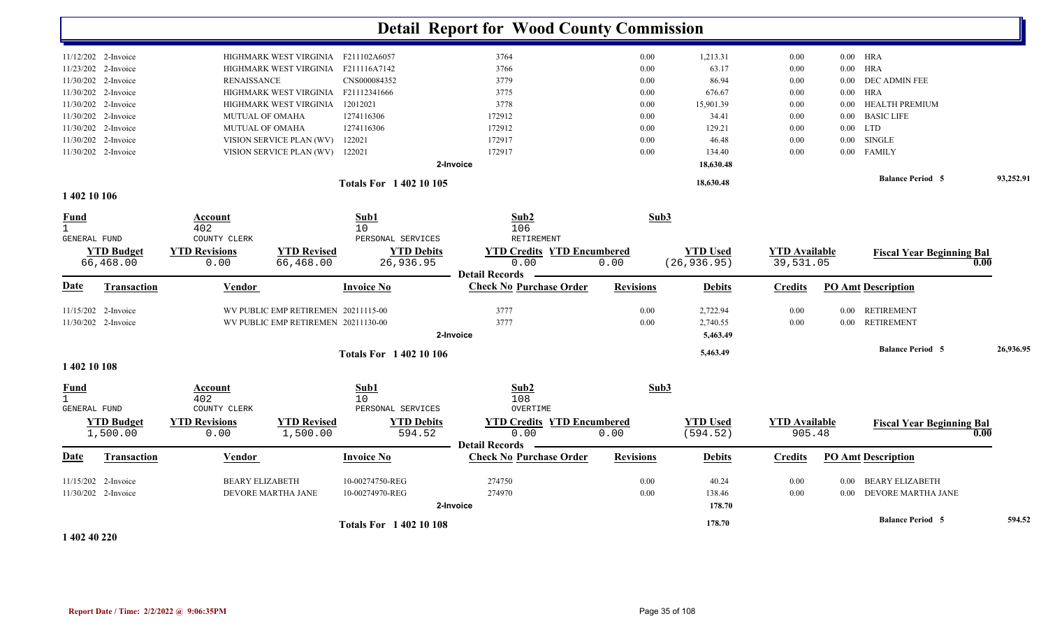|                               |                                     |                                       |                                     |                                                         | <b>Detail Report for Wood County Commission</b> |                  |                             |                                |                           |                                  |           |
|-------------------------------|-------------------------------------|---------------------------------------|-------------------------------------|---------------------------------------------------------|-------------------------------------------------|------------------|-----------------------------|--------------------------------|---------------------------|----------------------------------|-----------|
| $11/12/202$ 2-Invoice         |                                     | HIGHMARK WEST VIRGINIA F211102A6057   |                                     |                                                         | 3764                                            | 0.00             | 1,213.31                    | 0.00                           |                           | $0.00$ HRA                       |           |
| 11/23/202 2-Invoice           | HIGHMARK WEST VIRGINIA F211116A7142 |                                       |                                     |                                                         | 3766                                            | 0.00             | 63.17                       | 0.00                           |                           | $0.00$ HRA                       |           |
| 11/30/202 2-Invoice           |                                     | <b>RENAISSANCE</b>                    |                                     | CNS000084352                                            | 3779                                            | $0.00\,$         | 86.94                       | 0.00                           | $0.00\,$                  | DEC ADMIN FEE                    |           |
| 11/30/202<br>2-Invoice        |                                     |                                       | HIGHMARK WEST VIRGINIA F21112341666 |                                                         | 3775                                            | $0.00\,$         | 676.67                      | 0.00                           | 0.00                      | <b>HRA</b>                       |           |
| 11/30/202 2-Invoice           |                                     |                                       | HIGHMARK WEST VIRGINIA              | 12012021                                                | 3778                                            | 0.00             | 15,901.39                   | 0.00                           | $0.00\,$                  | HEALTH PREMIUM                   |           |
| 11/30/202 2-Invoice           |                                     |                                       | MUTUAL OF OMAHA                     | 1274116306                                              | 172912                                          | 0.00             | 34.41                       | 0.00                           | $0.00\,$                  | <b>BASIC LIFE</b>                |           |
| 11/30/202<br>2-Invoice        |                                     | MUTUAL OF OMAHA                       |                                     | 1274116306                                              | 172912                                          | 0.00             | 129.21                      | 0.00                           | $0.00\,$                  | <b>LTD</b>                       |           |
| 11/30/202<br>2-Invoice        |                                     |                                       | VISION SERVICE PLAN (WV)            | 122021<br>172917                                        |                                                 | 0.00             | 46.48                       | 0.00                           | 0.00                      | <b>SINGLE</b>                    |           |
| 11/30/202 2-Invoice           |                                     |                                       | VISION SERVICE PLAN (WV)            | 122021                                                  | 172917                                          | 0.00             | 134.40                      | 0.00                           | $0.00\,$                  | <b>FAMILY</b>                    |           |
|                               |                                     |                                       |                                     |                                                         | 2-Invoice                                       |                  | 18,630.48                   |                                |                           |                                  |           |
|                               |                                     |                                       |                                     | <b>Totals For 140210105</b>                             |                                                 |                  | 18,630.48                   |                                |                           | <b>Balance Period 5</b>          | 93,252.91 |
| 1 402 10 106                  |                                     |                                       |                                     |                                                         |                                                 |                  |                             |                                |                           |                                  |           |
| <b>Fund</b>                   |                                     | Account                               |                                     | Sub1                                                    | Sub2                                            | Sub3             |                             |                                |                           |                                  |           |
| $\mathbf{1}$                  |                                     | 402                                   |                                     | 10                                                      | 106                                             |                  |                             |                                |                           |                                  |           |
| GENERAL FUND                  |                                     | COUNTY CLERK                          |                                     | PERSONAL SERVICES                                       | RETIREMENT                                      |                  |                             |                                |                           |                                  |           |
| <b>YTD Budget</b>             |                                     | <b>YTD Revisions</b>                  | <b>YTD Revised</b>                  | <b>YTD Debits</b>                                       | <b>YTD Credits YTD Encumbered</b>               |                  | <b>YTD Used</b>             | <b>YTD Available</b>           |                           | <b>Fiscal Year Beginning Bal</b> |           |
| 66,468.00                     |                                     | 0.00                                  | 66,468.00                           | 26,936.95                                               | 0.00<br><b>Detail Records</b>                   | 0.00             | (26, 936.95)                | 39,531.05                      |                           |                                  | 0.00      |
| Date                          | Transaction                         | Vendor                                |                                     | <b>Invoice No</b>                                       | <b>Check No Purchase Order</b>                  | <b>Revisions</b> | <b>Debits</b>               | <b>Credits</b>                 |                           | <b>PO Amt Description</b>        |           |
| 11/15/202 2-Invoice           |                                     |                                       | WV PUBLIC EMP RETIREMEN 20211115-00 |                                                         | 3777                                            | 0.00             | 2,722.94                    | 0.00                           | $0.00\,$                  | RETIREMENT                       |           |
| 11/30/202 2-Invoice           |                                     |                                       | WV PUBLIC EMP RETIREMEN 20211130-00 |                                                         | 3777                                            | 0.00             | 2,740.55                    | 0.00                           | $0.00\,$                  | <b>RETIREMENT</b>                |           |
|                               |                                     |                                       |                                     |                                                         | 2-Invoice                                       |                  | 5,463.49                    |                                |                           |                                  |           |
|                               |                                     |                                       |                                     | <b>Totals For 1 402 10 106</b>                          |                                                 |                  | 5,463.49                    |                                |                           | <b>Balance Period 5</b>          | 26,936.95 |
| 1 402 10 108                  |                                     |                                       |                                     |                                                         |                                                 |                  |                             |                                |                           |                                  |           |
| Fund                          |                                     | Account                               |                                     | Sub1                                                    | Sub2                                            | Sub3             |                             |                                |                           |                                  |           |
| $\mathbf{1}$                  |                                     | 402                                   |                                     | 10                                                      | 108                                             |                  |                             |                                |                           |                                  |           |
| <b>GENERAL FUND</b>           |                                     | COUNTY CLERK                          |                                     | PERSONAL SERVICES                                       | OVERTIME                                        |                  |                             |                                |                           |                                  |           |
| <b>YTD Budget</b><br>1,500.00 |                                     | <b>YTD Revisions</b><br>0.00          | <b>YTD Revised</b><br>1,500.00      | <b>YTD Debits</b><br>594.52                             | <b>YTD Credits YTD Encumbered</b><br>0.00       | 0.00             | <b>YTD Used</b><br>(594.52) | <b>YTD Available</b><br>905.48 |                           | <b>Fiscal Year Beginning Bal</b> | 0.00      |
| Date                          | <b>Transaction</b>                  | <b>Vendor</b><br><b>Invoice No</b>    |                                     | <b>Detail Records</b><br><b>Check No Purchase Order</b> | <b>Revisions</b>                                | <b>Debits</b>    | <b>Credits</b>              |                                | <b>PO Amt Description</b> |                                  |           |
| 11/15/202<br>2-Invoice        |                                     | <b>BEARY ELIZABETH</b>                |                                     | 10-00274750-REG                                         | 274750                                          | 0.00             | 40.24                       | 0.00                           | 0.00                      | <b>BEARY ELIZABETH</b>           |           |
| 11/30/202 2-Invoice           |                                     | DEVORE MARTHA JANE<br>10-00274970-REG |                                     |                                                         | 274970                                          | 0.00             | 138.46                      | 0.00                           | $0.00\,$                  | <b>DEVORE MARTHA JANE</b>        |           |
|                               |                                     |                                       |                                     |                                                         | 2-Invoice                                       |                  | 178.70                      |                                |                           |                                  |           |
|                               |                                     |                                       |                                     | <b>Totals For 140210108</b>                             |                                                 |                  | 178.70                      |                                |                           | <b>Balance Period 5</b>          | 594.52    |

**1 402 40 220**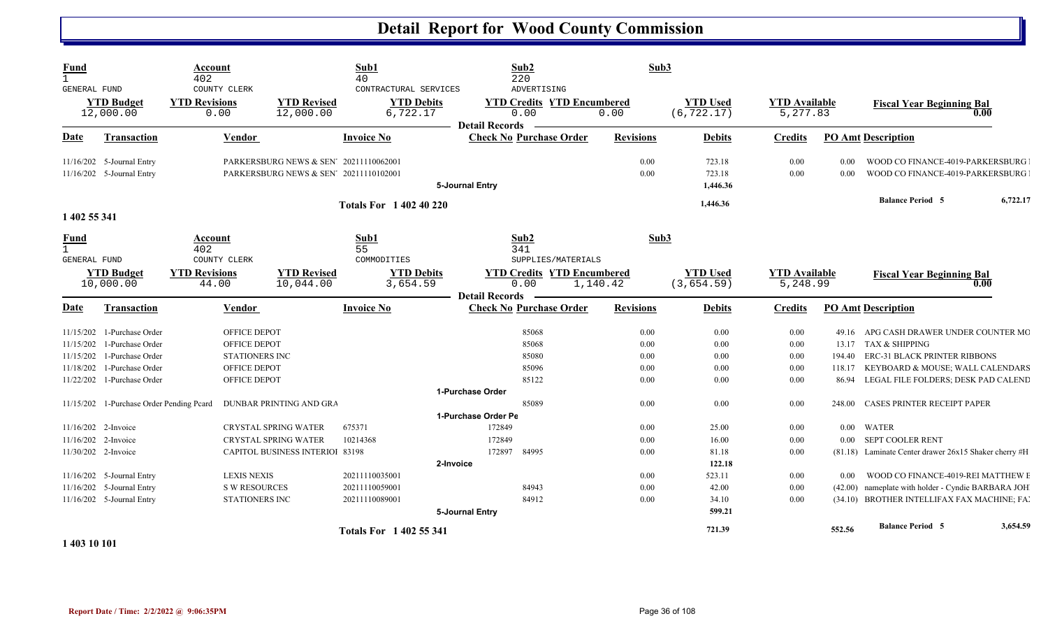| <u>Fund</u><br>$\mathbf{1}$<br>GENERAL FUND<br><b>YTD Budget</b><br>12,000.00 |                                                                                     | Account<br>402<br>COUNTY CLERK<br><b>YTD Revisions</b><br>0.00                               |                                                                       | <b>YTD Revised</b><br>12,000.00                                                                      | Sub1<br>40<br>CONTRACTURAL SERVICES<br><b>YTD Debits</b><br>6,722.17 | <b>Detail Records</b>                             | Sub2<br>220<br>ADVERTISING<br><b>YTD Credits YTD Encumbered</b><br>0.00 | Sub3<br>0.00                 | <b>YTD Used</b><br>(6, 722.17)     | <b>YTD</b> Available<br>5,277.83 |                                                                      | <b>Fiscal Year Beginning Bal</b><br>0.00                                                                                                 |  |
|-------------------------------------------------------------------------------|-------------------------------------------------------------------------------------|----------------------------------------------------------------------------------------------|-----------------------------------------------------------------------|------------------------------------------------------------------------------------------------------|----------------------------------------------------------------------|---------------------------------------------------|-------------------------------------------------------------------------|------------------------------|------------------------------------|----------------------------------|----------------------------------------------------------------------|------------------------------------------------------------------------------------------------------------------------------------------|--|
| <b>Date</b>                                                                   | <b>Transaction</b>                                                                  | Vendor                                                                                       |                                                                       | <b>Invoice No</b>                                                                                    |                                                                      | <b>Check No Purchase Order</b>                    | <b>Revisions</b>                                                        | <b>Debits</b>                | <b>Credits</b>                     |                                  | <b>PO Amt Description</b>                                            |                                                                                                                                          |  |
| 11/16/202 5-Journal Entry<br>11/16/202 5-Journal Entry                        |                                                                                     | PARKERSBURG NEWS & SEN <sup>7</sup> 20211110062001<br>PARKERSBURG NEWS & SEN' 20211110102001 |                                                                       |                                                                                                      | 5-Journal Entry                                                      |                                                   |                                                                         | 723.18<br>723.18<br>1,446.36 | 0.00<br>0.00                       | 0.00<br>0.00                     | WOOD CO FINANCE-4019-PARKERSBURG<br>WOOD CO FINANCE-4019-PARKERSBURG |                                                                                                                                          |  |
| 1 402 55 341                                                                  |                                                                                     |                                                                                              |                                                                       |                                                                                                      | <b>Totals For 1 402 40 220</b>                                       |                                                   |                                                                         |                              | 1,446.36                           |                                  |                                                                      | <b>Balance Period 5</b><br>6,722.17                                                                                                      |  |
| Fund<br>$\mathbf{1}$                                                          |                                                                                     | Account<br>402<br>COUNTY CLERK                                                               |                                                                       |                                                                                                      | Sub1<br>55<br>COMMODITIES                                            |                                                   | Sub2<br>341<br>SUPPLIES/MATERIALS                                       | Sub3                         |                                    |                                  |                                                                      |                                                                                                                                          |  |
| GENERAL FUND<br><b>YTD Budget</b><br>10,000.00                                |                                                                                     | <b>YTD Revisions</b><br>44.00                                                                |                                                                       | <b>YTD Revised</b><br><b>YTD Debits</b><br>10,044.00<br>3,654.59                                     |                                                                      | <b>Detail Records</b>                             | <b>YTD Credits YTD Encumbered</b><br>0.00<br>1,140.42                   |                              | <b>YTD Used</b><br>(3, 654.59)     | <b>YTD Available</b><br>5,248.99 |                                                                      | <b>Fiscal Year Beginning Bal</b><br>0.00                                                                                                 |  |
| <u>Date</u>                                                                   | <b>Transaction</b>                                                                  |                                                                                              | Vendor                                                                |                                                                                                      | <b>Invoice No</b>                                                    |                                                   | <b>Check No Purchase Order</b>                                          | <b>Revisions</b>             | <b>Debits</b>                      | <b>Credits</b>                   |                                                                      | <b>PO Amt Description</b>                                                                                                                |  |
| 11/15/202<br>11/15/202<br>11/15/202<br>11/18/202                              | 1-Purchase Order<br>1-Purchase Order<br>1-Purchase Order<br>1-Purchase Order        |                                                                                              | OFFICE DEPOT<br>OFFICE DEPOT<br><b>STATIONERS INC</b><br>OFFICE DEPOT |                                                                                                      |                                                                      |                                                   | 85068<br>85068<br>85080<br>85096                                        | 0.00<br>0.00<br>0.00<br>0.00 | 0.00<br>0.00<br>0.00<br>0.00       | 0.00<br>0.00<br>0.00<br>0.00     | 49.16<br>13.17<br>194.40<br>118.17                                   | APG CASH DRAWER UNDER COUNTER MC<br><b>TAX &amp; SHIPPING</b><br><b>ERC-31 BLACK PRINTER RIBBONS</b><br>KEYBOARD & MOUSE; WALL CALENDARS |  |
|                                                                               | 11/22/202 1-Purchase Order<br>11/15/202 1-Purchase Order Pending Pcard              |                                                                                              | OFFICE DEPOT                                                          | DUNBAR PRINTING AND GRA                                                                              |                                                                      | 1-Purchase Order                                  | 85122<br>85089                                                          | 0.00<br>0.00                 | 0.00<br>0.00                       | 0.00<br>0.00                     | 86.94<br>248.00                                                      | LEGAL FILE FOLDERS; DESK PAD CALEND<br><b>CASES PRINTER RECEIPT PAPER</b>                                                                |  |
|                                                                               | 11/16/202 2-Invoice<br>11/16/202 2-Invoice<br>11/30/202 2-Invoice                   |                                                                                              |                                                                       | <b>CRYSTAL SPRING WATER</b><br><b>CRYSTAL SPRING WATER</b><br><b>CAPITOL BUSINESS INTERIOI 83198</b> | 675371<br>10214368                                                   | 1-Purchase Order Pe<br>172849<br>172849<br>172897 | 84995                                                                   | 0.00<br>0.00<br>0.00         | 25.00<br>16.00<br>81.18            | 0.00<br>0.00<br>0.00             |                                                                      | 0.00 WATER<br>0.00 SEPT COOLER RENT<br>(81.18) Laminate Center drawer 26x15 Shaker cherry #H                                             |  |
|                                                                               | 11/16/202 5-Journal Entry<br>11/16/202 5-Journal Entry<br>11/16/202 5-Journal Entry |                                                                                              | <b>LEXIS NEXIS</b><br><b>S W RESOURCES</b><br>STATIONERS INC          |                                                                                                      | 20211110035001<br>20211110059001<br>20211110089001                   | 2-Invoice                                         | 84943<br>84912                                                          | 0.00<br>0.00<br>0.00         | 122.18<br>523.11<br>42.00<br>34.10 | 0.00<br>0.00<br>0.00             | 0.00                                                                 | WOOD CO FINANCE-4019-REI MATTHEW E<br>(42.00) nameplate with holder - Cyndie BARBARA JOH<br>(34.10) BROTHER INTELLIFAX FAX MACHINE; FAI  |  |
| 1 403 10 101                                                                  |                                                                                     |                                                                                              |                                                                       |                                                                                                      | Totals For 1 402 55 341                                              | 5-Journal Entry                                   |                                                                         |                              | 599.21<br>721.39                   |                                  | 552.56                                                               | 3,654.59<br><b>Balance Period 5</b>                                                                                                      |  |

**Report Date / Time: 2/2/2022 @ 9:06:35PM** Page 36 of 108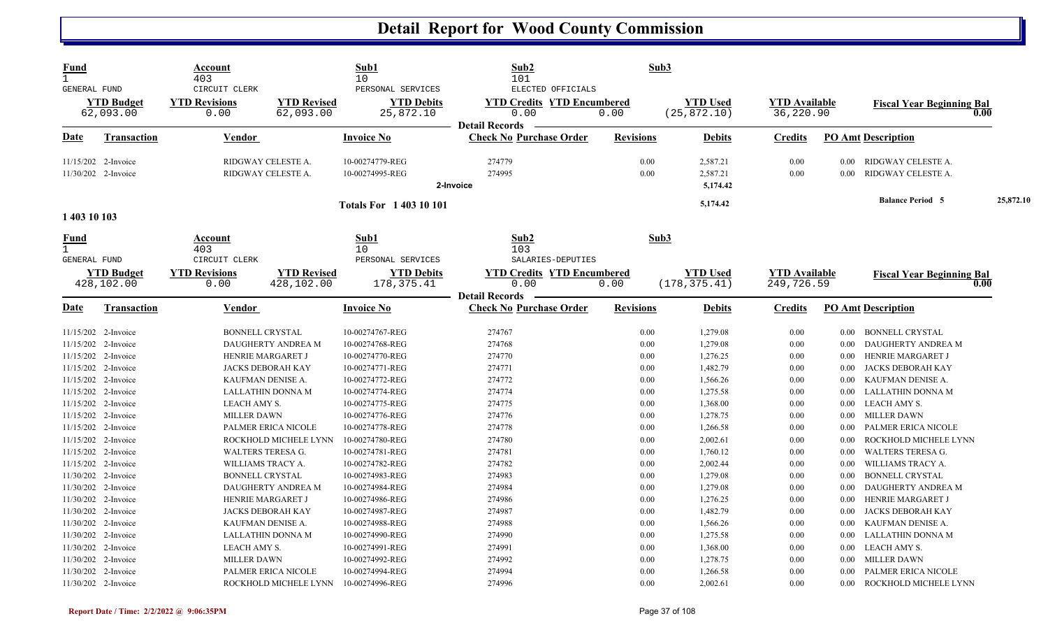| <b>Fund</b><br>$\mathbf{1}$<br><b>GENERAL FUND</b> |                                                                   | Account<br>403<br>CIRCUIT CLERK        |                                              | Sub1<br>10<br>PERSONAL SERVICES                       | Sub2<br>101<br>ELECTED OFFICIALS                                   | Sub3                 |                                  |                                    |                              |                                                                    |           |
|----------------------------------------------------|-------------------------------------------------------------------|----------------------------------------|----------------------------------------------|-------------------------------------------------------|--------------------------------------------------------------------|----------------------|----------------------------------|------------------------------------|------------------------------|--------------------------------------------------------------------|-----------|
|                                                    | <b>YTD Budget</b><br>62,093.00                                    | <b>YTD Revisions</b><br>0.00           | <b>YTD Revised</b><br>62,093.00              | <b>YTD Debits</b><br>25,872.10                        | <b>YTD Credits YTD Encumbered</b><br>0.00<br><b>Detail Records</b> | 0.00                 | <b>YTD Used</b><br>(25, 872.10)  | <b>YTD Available</b><br>36,220.90  |                              | <b>Fiscal Year Beginning Bal</b><br>0.00                           |           |
| Date                                               | <b>Transaction</b>                                                | Vendor                                 |                                              | <b>Invoice No</b>                                     | <b>Check No Purchase Order</b>                                     | <b>Revisions</b>     | <b>Debits</b>                    | <b>Credits</b>                     |                              | <b>PO Amt Description</b>                                          |           |
|                                                    | 11/15/202 2-Invoice<br>11/30/202 2-Invoice                        |                                        | RIDGWAY CELESTE A.<br>RIDGWAY CELESTE A.     | 10-00274779-REG<br>10-00274995-REG                    | 274779<br>274995<br>2-Invoice                                      | 0.00<br>0.00         | 2,587.21<br>2,587.21<br>5,174.42 | 0.00<br>0.00                       | 0.00<br>0.00                 | RIDGWAY CELESTE A.<br>RIDGWAY CELESTE A.                           |           |
| 1 403 10 103                                       |                                                                   |                                        |                                              | <b>Totals For 140310101</b>                           |                                                                    |                      | 5,174.42                         |                                    |                              | <b>Balance Period 5</b>                                            | 25,872.10 |
| Fund<br>$\mathbf{1}$<br><b>GENERAL FUND</b>        |                                                                   | Account<br>403<br>CIRCUIT CLERK        |                                              | Sub1<br>10<br>PERSONAL SERVICES                       | Sub2<br>103<br>SALARIES-DEPUTIES                                   | Sub3                 |                                  |                                    |                              |                                                                    |           |
|                                                    | <b>YTD Budget</b><br>428,102.00                                   | <b>YTD Revisions</b><br>0.00           | <b>YTD Revised</b><br>428,102.00             | <b>YTD Debits</b><br>178, 375.41                      | <b>YTD Credits YTD Encumbered</b><br>0.00<br><b>Detail Records</b> | 0.00                 | <b>YTD Used</b><br>(178, 375.41) | <b>YTD Available</b><br>249,726.59 |                              | <b>Fiscal Year Beginning Bal</b><br>0.00                           |           |
| Date                                               | <b>Transaction</b>                                                | <b>Vendor</b>                          |                                              | <b>Invoice No</b>                                     | <b>Check No Purchase Order</b>                                     | <b>Revisions</b>     | <b>Debits</b>                    | <b>Credits</b>                     |                              | <b>PO Amt Description</b>                                          |           |
|                                                    | 11/15/202 2-Invoice<br>11/15/202 2-Invoice                        | <b>BONNELL CRYSTAL</b>                 | DAUGHERTY ANDREA M                           | 10-00274767-REG<br>10-00274768-REG                    | 274767<br>274768                                                   | 0.00<br>0.00         | 1,279.08<br>1,279.08             | 0.00<br>0.00                       | $0.00\,$<br>$0.00\,$         | <b>BONNELL CRYSTAL</b><br>DAUGHERTY ANDREA M                       |           |
|                                                    | 11/15/202 2-Invoice<br>11/15/202 2-Invoice                        | HENRIE MARGARET J                      | <b>JACKS DEBORAH KAY</b>                     | 10-00274770-REG<br>10-00274771-REG                    | 274770<br>274771                                                   | 0.00<br>0.00         | 1,276.25<br>1,482.79             | 0.00<br>0.00                       | 0.00<br>$0.00\,$             | HENRIE MARGARET J<br>JACKS DEBORAH KAY                             |           |
|                                                    | 11/15/202 2-Invoice<br>11/15/202 2-Invoice<br>11/15/202 2-Invoice | KAUFMAN DENISE A.<br>LEACH AMY S.      | <b>LALLATHIN DONNA M</b>                     | 10-00274772-REG<br>10-00274774-REG<br>10-00274775-REG | 274772<br>274774<br>274775                                         | 0.00<br>0.00<br>0.00 | 1,566.26<br>1,275.58<br>1,368.00 | 0.00<br>0.00<br>0.00               | $0.00\,$<br>0.00<br>$0.00\,$ | KAUFMAN DENISE A.<br>LALLATHIN DONNA M<br>LEACH AMY S.             |           |
|                                                    | 11/15/202 2-Invoice<br>11/15/202 2-Invoice                        | <b>MILLER DAWN</b>                     | PALMER ERICA NICOLE                          | 10-00274776-REG<br>10-00274778-REG                    | 274776<br>274778                                                   | 0.00<br>0.00         | 1,278.75<br>1,266.58             | 0.00<br>0.00                       | $0.00\,$<br>0.00             | <b>MILLER DAWN</b><br>PALMER ERICA NICOLE                          |           |
|                                                    | 11/15/202 2-Invoice<br>11/15/202 2-Invoice<br>11/15/202 2-Invoice | WALTERS TERESA G.<br>WILLIAMS TRACY A. | ROCKHOLD MICHELE LYNN                        | 10-00274780-REG<br>10-00274781-REG<br>10-00274782-REG | 274780<br>274781<br>274782                                         | 0.00<br>0.00<br>0.00 | 2,002.61<br>1,760.12<br>2,002.44 | 0.00<br>0.00<br>0.00               | 0.00<br>$0.00\,$<br>0.00     | ROCKHOLD MICHELE LYNN<br>WALTERS TERESA G.<br>WILLIAMS TRACY A.    |           |
|                                                    | 11/30/202 2-Invoice<br>11/30/202 2-Invoice                        | <b>BONNELL CRYSTAL</b>                 | DAUGHERTY ANDREA M                           | 10-00274983-REG<br>10-00274984-REG                    | 274983<br>274984                                                   | 0.00<br>0.00         | 1,279.08<br>1,279.08             | 0.00<br>0.00                       | 0.00<br>$0.00\,$             | <b>BONNELL CRYSTAL</b><br>DAUGHERTY ANDREA M                       |           |
|                                                    | 11/30/202 2-Invoice<br>11/30/202 2-Invoice<br>11/30/202 2-Invoice | HENRIE MARGARET J<br>KAUFMAN DENISE A. | <b>JACKS DEBORAH KAY</b>                     | 10-00274986-REG<br>10-00274987-REG<br>10-00274988-REG | 274986<br>274987<br>274988                                         | 0.00<br>0.00<br>0.00 | 1,276.25<br>1,482.79<br>1,566.26 | 0.00<br>0.00<br>0.00               | $0.00\,$<br>0.00<br>$0.00\,$ | HENRIE MARGARET J<br>JACKS DEBORAH KAY<br>KAUFMAN DENISE A.        |           |
|                                                    | 11/30/202 2-Invoice<br>11/30/202 2-Invoice                        | LEACH AMY S.                           | LALLATHIN DONNA M                            | 10-00274990-REG<br>10-00274991-REG                    | 274990<br>274991                                                   | 0.00<br>0.00         | 1,275.58<br>1,368.00             | 0.00<br>0.00                       | $0.00\,$<br>$0.00\,$         | LALLATHIN DONNA M<br>LEACH AMY S.                                  |           |
|                                                    | 11/30/202 2-Invoice<br>11/30/202 2-Invoice<br>11/30/202 2-Invoice | <b>MILLER DAWN</b>                     | PALMER ERICA NICOLE<br>ROCKHOLD MICHELE LYNN | 10-00274992-REG<br>10-00274994-REG<br>10-00274996-REG | 274992<br>274994<br>274996                                         | 0.00<br>0.00<br>0.00 | 1,278.75<br>1,266.58<br>2,002.61 | 0.00<br>0.00<br>0.00               | $0.00\,$<br>$0.00\,$<br>0.00 | <b>MILLER DAWN</b><br>PALMER ERICA NICOLE<br>ROCKHOLD MICHELE LYNN |           |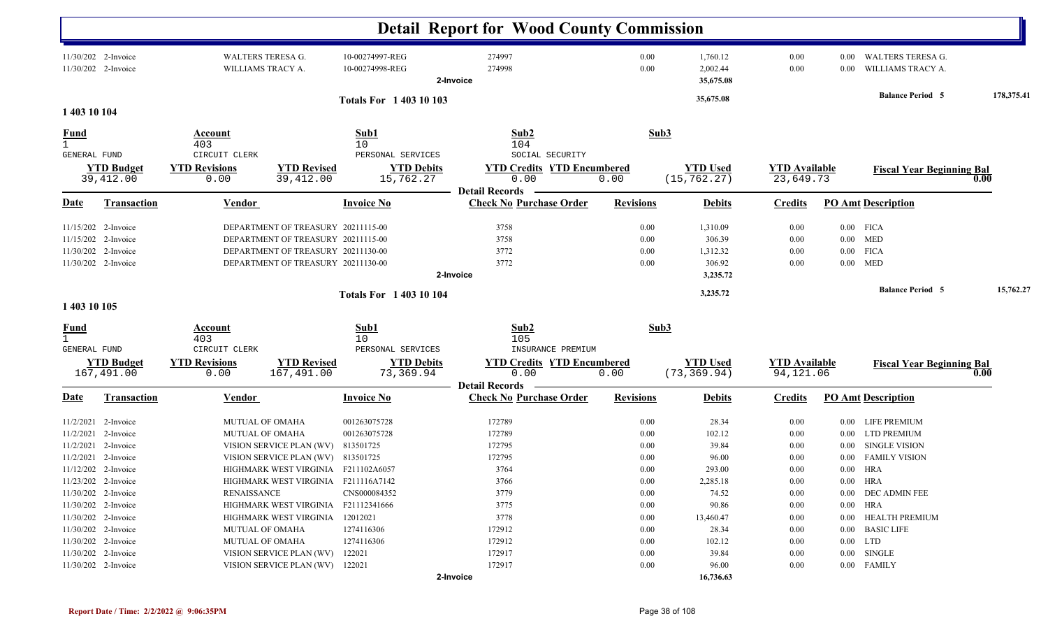|                                                                   |                                 |                                        |                                                                                                                |                                    | <b>Detail Report for Wood County Commission</b>         |                      |                                   |                                   |              |                                          |      |            |
|-------------------------------------------------------------------|---------------------------------|----------------------------------------|----------------------------------------------------------------------------------------------------------------|------------------------------------|---------------------------------------------------------|----------------------|-----------------------------------|-----------------------------------|--------------|------------------------------------------|------|------------|
| 11/30/202 2-Invoice                                               | 11/30/202 2-Invoice             | WALTERS TERESA G.<br>WILLIAMS TRACY A. |                                                                                                                | 10-00274997-REG<br>10-00274998-REG | 274997<br>274998<br>2-Invoice                           | 0.00<br>0.00         | 1,760.12<br>2,002.44<br>35,675.08 | 0.00<br>0.00                      | 0.00<br>0.00 | WALTERS TERESA G.<br>WILLIAMS TRACY A.   |      |            |
| 1 403 10 104                                                      |                                 |                                        |                                                                                                                | <b>Totals For 140310103</b>        |                                                         |                      | 35,675.08                         |                                   |              | <b>Balance Period 5</b>                  |      | 178,375.41 |
|                                                                   |                                 |                                        |                                                                                                                |                                    |                                                         |                      |                                   |                                   |              |                                          |      |            |
| <u>Fund</u><br>$\mathbf{1}$<br><b>GENERAL FUND</b>                |                                 | Account<br>403<br>CIRCUIT CLERK        |                                                                                                                | Sub1<br>10<br>PERSONAL SERVICES    | Sub2<br>104<br>SOCIAL SECURITY                          | Sub3                 |                                   |                                   |              |                                          |      |            |
|                                                                   | <b>YTD Budget</b><br>39,412.00  | <b>YTD Revisions</b><br>0.00           | <b>YTD Revised</b><br>39,412.00                                                                                | <b>YTD Debits</b><br>15,762.27     | <b>YTD Credits YTD Encumbered</b><br>0.00               | 0.00                 | <b>YTD Used</b><br>(15, 762.27)   | <b>YTD Available</b><br>23,649.73 |              | <b>Fiscal Year Beginning Bal</b>         | 0.00 |            |
| Date                                                              | Transaction                     | Vendor                                 |                                                                                                                | <b>Invoice No</b>                  | <b>Detail Records</b><br><b>Check No Purchase Order</b> | <b>Revisions</b>     | <b>Debits</b>                     | <b>Credits</b>                    |              | <b>PO Amt Description</b>                |      |            |
| 11/15/202 2-Invoice<br>11/15/202 2-Invoice<br>11/30/202 2-Invoice |                                 |                                        | DEPARTMENT OF TREASURY 20211115-00<br>DEPARTMENT OF TREASURY 20211115-00<br>DEPARTMENT OF TREASURY 20211130-00 |                                    | 3758<br>3758<br>3772                                    | 0.00<br>0.00<br>0.00 | 1,310.09<br>306.39<br>1,312.32    | 0.00<br>0.00<br>0.00              |              | $0.00$ FICA<br>$0.00$ MED<br>$0.00$ FICA |      |            |
| 11/30/202 2-Invoice                                               |                                 |                                        | DEPARTMENT OF TREASURY 20211130-00                                                                             |                                    | 3772<br>2-Invoice                                       | 0.00                 | 306.92<br>3,235.72                | 0.00                              |              | $0.00$ MED                               |      |            |
|                                                                   |                                 |                                        |                                                                                                                | <b>Totals For 140310104</b>        |                                                         |                      | 3,235.72                          |                                   |              | <b>Balance Period 5</b>                  |      | 15,762.27  |
| 1 403 10 105                                                      |                                 |                                        |                                                                                                                |                                    |                                                         |                      |                                   |                                   |              |                                          |      |            |
| <u>Fund</u><br>$\mathbf{1}$<br>GENERAL FUND                       |                                 | Account<br>403<br>CIRCUIT CLERK        |                                                                                                                | Sub1<br>10<br>PERSONAL SERVICES    | Sub2<br>105<br>INSURANCE PREMIUM                        | Sub3                 |                                   |                                   |              |                                          |      |            |
|                                                                   | <b>YTD Budget</b><br>167,491.00 | <b>YTD Revisions</b><br>0.00           | <b>YTD Revised</b><br>167,491.00                                                                               | <b>YTD Debits</b><br>73,369.94     | <b>YTD Credits YTD Encumbered</b><br>0.00               | 0.00                 | <b>YTD Used</b><br>(73, 369.94)   | <b>YTD Available</b><br>94,121.06 |              | <b>Fiscal Year Beginning Bal</b>         | 0.00 |            |
| <u>Date</u>                                                       | <b>Transaction</b>              | <b>Vendor</b>                          |                                                                                                                | <b>Invoice No</b>                  | <b>Detail Records</b><br><b>Check No Purchase Order</b> | <b>Revisions</b>     | <b>Debits</b>                     | <b>Credits</b>                    |              | <b>PO Amt Description</b>                |      |            |
|                                                                   | 11/2/2021 2-Invoice             |                                        | <b>MUTUAL OF OMAHA</b>                                                                                         | 001263075728                       | 172789                                                  | 0.00                 | 28.34                             | 0.00                              | $0.00\,$     | <b>LIFE PREMIUM</b>                      |      |            |
|                                                                   | 11/2/2021 2-Invoice             | MUTUAL OF OMAHA                        |                                                                                                                | 001263075728                       | 172789                                                  | 0.00                 | 102.12                            | 0.00                              | $0.00\,$     | <b>LTD PREMIUM</b>                       |      |            |
|                                                                   | 11/2/2021 2-Invoice             |                                        | VISION SERVICE PLAN (WV)                                                                                       | 813501725                          | 172795                                                  | 0.00                 | 39.84                             | 0.00                              | $0.00\,$     | <b>SINGLE VISION</b>                     |      |            |
|                                                                   | 11/2/2021 2-Invoice             |                                        | VISION SERVICE PLAN (WV) 813501725                                                                             |                                    | 172795                                                  | 0.00                 | 96.00                             | 0.00                              | $0.00\,$     | <b>FAMILY VISION</b>                     |      |            |
| 11/12/202 2-Invoice                                               |                                 |                                        | HIGHMARK WEST VIRGINIA F211102A6057                                                                            |                                    | 3764                                                    | 0.00                 | 293.00                            | 0.00                              |              | $0.00$ HRA                               |      |            |
| 11/23/202 2-Invoice                                               |                                 |                                        | HIGHMARK WEST VIRGINIA F211116A7142                                                                            |                                    | 3766                                                    | $0.00\,$             | 2,285.18                          | $0.00\,$                          |              | $0.00$ $\,$ HRA                          |      |            |
| 11/30/202 2-Invoice                                               |                                 | <b>RENAISSANCE</b>                     |                                                                                                                | CNS000084352                       | 3779                                                    | 0.00                 | 74.52                             | $0.00\,$                          |              | 0.00 DEC ADMIN FEE                       |      |            |
| 11/30/202 2-Invoice                                               |                                 |                                        | HIGHMARK WEST VIRGINIA F21112341666                                                                            |                                    | 3775                                                    | $0.00\,$             | 90.86                             | $0.00\,$                          |              | $0.00$ HRA                               |      |            |
| 11/30/202 2-Invoice<br>11/30/202 2-Invoice                        |                                 |                                        | HIGHMARK WEST VIRGINIA<br><b>MUTUAL OF OMAHA</b>                                                               | 12012021<br>1274116306             | 3778<br>172912                                          | $0.00\,$<br>0.00     | 13,460.47<br>28.34                | $0.00\,$<br>$0.00\,$              |              | 0.00 HEALTH PREMIUM<br>0.00 BASIC LIFE   |      |            |
| 11/30/202 2-Invoice                                               |                                 |                                        | <b>MUTUAL OF OMAHA</b>                                                                                         | 1274116306                         | 172912                                                  | 0.00                 | 102.12                            | $0.00\,$                          |              | $0.00$ LTD                               |      |            |
| 11/30/202 2-Invoice                                               |                                 |                                        | VISION SERVICE PLAN (WV)                                                                                       | 122021                             | 172917                                                  | $0.00\,$             | 39.84                             | $0.00\,$                          |              | $0.00$ SINGLE                            |      |            |
| 11/30/202 2-Invoice                                               |                                 |                                        | VISION SERVICE PLAN (WV) 122021                                                                                |                                    | 172917                                                  | 0.00                 | 96.00                             | $0.00\,$                          |              | 0.00 FAMILY                              |      |            |
|                                                                   |                                 |                                        |                                                                                                                |                                    | 2-Invoice                                               |                      | 16,736.63                         |                                   |              |                                          |      |            |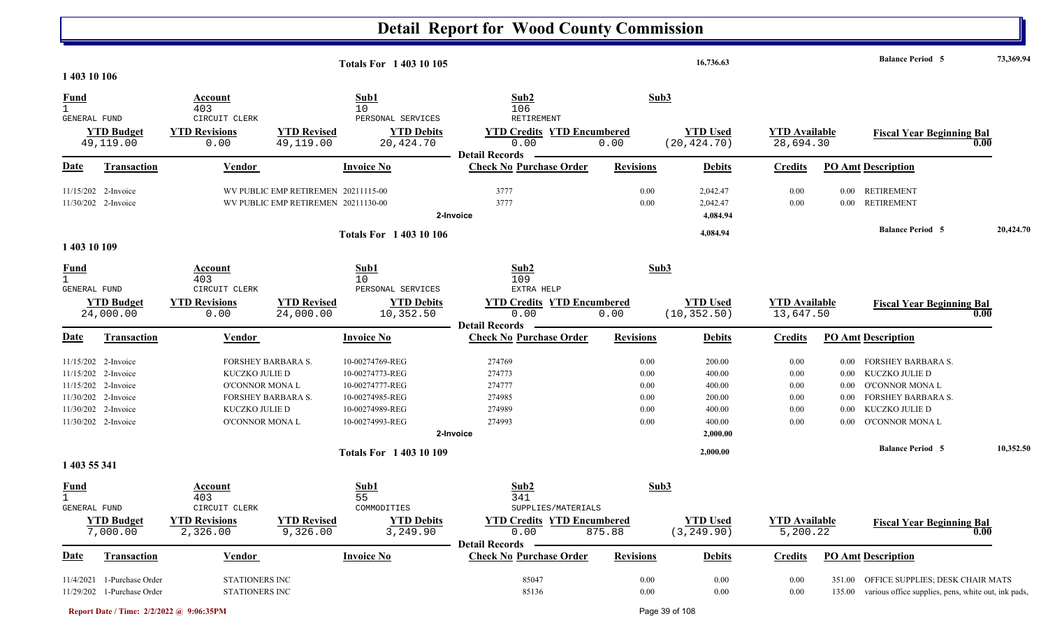|                                             |                                            |                                   |                                                                            | <b>Totals For 140310105</b>        |                                                                    |                  | 16,736.63                        |                                   |                  | <b>Balance Period 5</b>                                    | 73,369.94 |
|---------------------------------------------|--------------------------------------------|-----------------------------------|----------------------------------------------------------------------------|------------------------------------|--------------------------------------------------------------------|------------------|----------------------------------|-----------------------------------|------------------|------------------------------------------------------------|-----------|
| 1 403 10 106                                |                                            |                                   |                                                                            |                                    |                                                                    |                  |                                  |                                   |                  |                                                            |           |
| <u>Fund</u><br>$\mathbf{1}$<br>GENERAL FUND |                                            | Account<br>403<br>CIRCUIT CLERK   |                                                                            | Sub1<br>10<br>PERSONAL SERVICES    | Sub2<br>106<br><b>RETIREMENT</b>                                   |                  | Sub3                             |                                   |                  |                                                            |           |
|                                             | <b>YTD Budget</b><br>49,119.00             | <b>YTD Revisions</b><br>0.00      | <b>YTD Revised</b><br>49,119.00                                            | <b>YTD Debits</b><br>20,424.70     | <b>YTD Credits YTD Encumbered</b><br>0.00<br><b>Detail Records</b> | 0.00             | <b>YTD Used</b><br>(20, 424.70)  | <b>YTD Available</b><br>28,694.30 |                  | <b>Fiscal Year Beginning Bal</b>                           | 0.00      |
| Date                                        | <b>Transaction</b>                         | <b>Vendor</b>                     |                                                                            | <b>Invoice No</b>                  | <b>Check No Purchase Order</b>                                     | <b>Revisions</b> | <b>Debits</b>                    | <b>Credits</b>                    |                  | <b>PO Amt Description</b>                                  |           |
|                                             | 11/15/202 2-Invoice<br>11/30/202 2-Invoice |                                   | WV PUBLIC EMP RETIREMEN 20211115-00<br>WV PUBLIC EMP RETIREMEN 20211130-00 |                                    | 3777<br>3777<br>2-Invoice                                          | 0.00<br>0.00     | 2,042.47<br>2,042.47<br>4,084.94 | 0.00<br>0.00                      | 0.00<br>$0.00\,$ | <b>RETIREMENT</b><br><b>RETIREMENT</b>                     |           |
|                                             |                                            |                                   |                                                                            | <b>Totals For 1 403 10 106</b>     |                                                                    |                  | 4,084.94                         |                                   |                  | <b>Balance Period 5</b>                                    | 20,424.70 |
| 1 403 10 109                                |                                            |                                   |                                                                            |                                    |                                                                    |                  |                                  |                                   |                  |                                                            |           |
| <u>Fund</u><br>$\mathbf{1}$<br>GENERAL FUND |                                            | Account<br>403<br>CIRCUIT CLERK   |                                                                            | Sub1<br>10<br>PERSONAL SERVICES    | Sub2<br>109<br>EXTRA HELP                                          |                  | Sub3                             |                                   |                  |                                                            |           |
|                                             | <b>YTD Budget</b><br>24,000.00             | <b>YTD Revisions</b><br>0.00      | <b>YTD Revised</b><br>24,000.00                                            | <b>YTD Debits</b><br>10,352.50     | <b>YTD Credits YTD Encumbered</b><br>0.00<br><b>Detail Records</b> | 0.00             | <b>YTD Used</b><br>(10, 352.50)  | <b>YTD Available</b><br>13,647.50 |                  | <b>Fiscal Year Beginning Bal</b>                           | 0.00      |
| Date                                        | <b>Transaction</b>                         | Vendor                            |                                                                            | <b>Invoice No</b>                  | <b>Check No Purchase Order</b>                                     | <b>Revisions</b> | <b>Debits</b>                    | <b>Credits</b>                    |                  | <b>PO Amt Description</b>                                  |           |
|                                             | 11/15/202 2-Invoice                        | <b>FORSHEY BARBARA S.</b>         |                                                                            | 10-00274769-REG                    | 274769                                                             | 0.00             | 200.00                           | 0.00                              | 0.00             | <b>FORSHEY BARBARA S.</b>                                  |           |
|                                             | 11/15/202 2-Invoice<br>11/15/202 2-Invoice | KUCZKO JULIE D<br>O'CONNOR MONA L |                                                                            | 10-00274773-REG<br>10-00274777-REG | 274773<br>274777                                                   | 0.00<br>0.00     | 400.00<br>400.00                 | 0.00<br>0.00                      | 0.00<br>0.00     | KUCZKO JULIE D<br>O'CONNOR MONA L                          |           |
|                                             | 11/30/202 2-Invoice                        |                                   | <b>FORSHEY BARBARA S.</b>                                                  | 10-00274985-REG                    | 274985                                                             | 0.00             | 200.00                           | 0.00                              | $0.00\,$         | <b>FORSHEY BARBARA S.</b>                                  |           |
|                                             | 11/30/202 2-Invoice                        | KUCZKO JULIE D                    |                                                                            | 10-00274989-REG                    | 274989                                                             | 0.00             | 400.00                           | 0.00                              | 0.00             | KUCZKO JULIE D                                             |           |
|                                             | 11/30/202 2-Invoice                        | O'CONNOR MONA L                   |                                                                            | 10-00274993-REG                    | 274993<br>2-Invoice                                                | 0.00             | 400.00<br>2,000.00               | 0.00                              | 0.00             | O'CONNOR MONA L                                            |           |
|                                             |                                            |                                   |                                                                            |                                    |                                                                    |                  | 2,000.00                         |                                   |                  | <b>Balance Period 5</b>                                    | 10,352.50 |
| 1 403 55 341                                |                                            |                                   |                                                                            | <b>Totals For 140310109</b>        |                                                                    |                  |                                  |                                   |                  |                                                            |           |
| <b>Fund</b><br>$\mathbf{1}$<br>GENERAL FUND |                                            | Account<br>403<br>CIRCUIT CLERK   |                                                                            | Sub1<br>55<br>COMMODITIES          | Sub2<br>341<br>SUPPLIES/MATERIALS                                  |                  | Sub3                             |                                   |                  |                                                            |           |
|                                             | <b>YTD Budget</b><br>7,000.00              | <b>YTD Revisions</b><br>2,326.00  | <b>YTD Revised</b><br>9,326.00                                             | <b>YTD Debits</b><br>3,249.90      | <b>YTD Credits YTD Encumbered</b><br>0.00<br><b>Detail Records</b> | 875.88           | <b>YTD Used</b><br>(3, 249.90)   | <b>YTD</b> Available<br>5,200.22  |                  | <b>Fiscal Year Beginning Bal</b>                           | 0.00      |
| <b>Date</b>                                 | <b>Transaction</b>                         | <b>Vendor</b>                     |                                                                            | <b>Invoice No</b>                  | <b>Check No Purchase Order</b>                                     | <b>Revisions</b> | <b>Debits</b>                    | <b>Credits</b>                    |                  | <b>PO Amt Description</b>                                  |           |
|                                             | 11/4/2021 1-Purchase Order                 | <b>STATIONERS INC</b>             |                                                                            |                                    | 85047                                                              | 0.00             | 0.00                             | 0.00                              |                  | 351.00 OFFICE SUPPLIES; DESK CHAIR MATS                    |           |
|                                             | 11/29/202 1-Purchase Order                 | STATIONERS INC                    |                                                                            |                                    | 85136                                                              | $0.00\,$         | $0.00\,$                         | $0.00\,$                          |                  | 135.00 various office supplies, pens, white out, ink pads, |           |

**Report Date / Time: 2/2/2022 @ 9:06:35PM** Page 39 of 108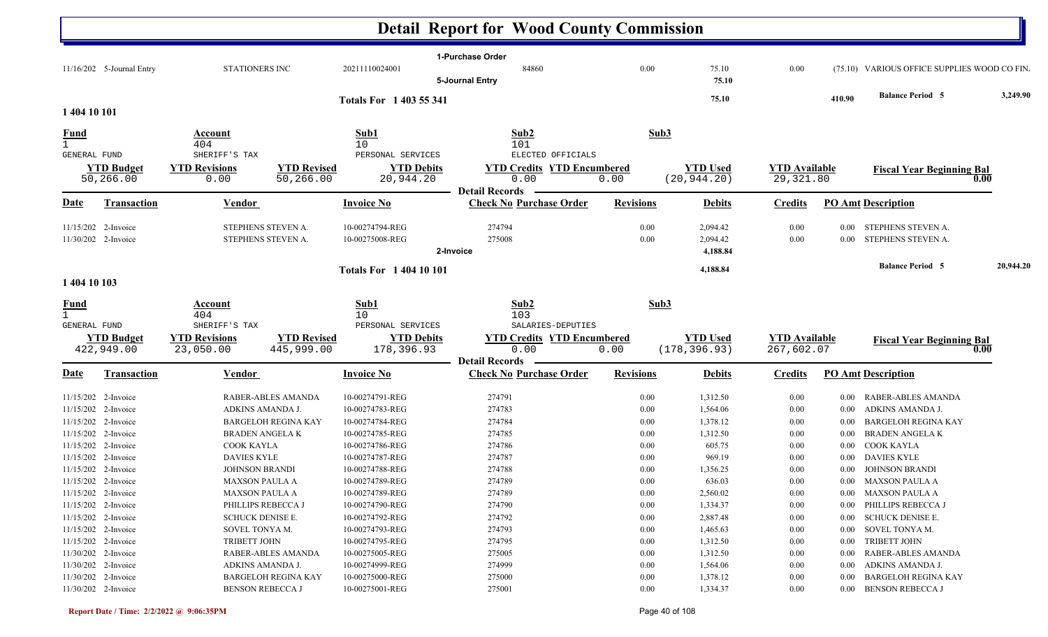#### **Detail Report for Wood County Commission 1-Purchase Order** 11/16/202 5-Journal Entry 2 5-Journal Entry 2021110028001 20211110024001 84860 84860 0.00 75.10 0.00 (75.10 VARIOUS OFFICE SUPPLIES WOOD CO FIN **5-Journal Entry 75.10 75.10410.90 Balance Period 3,249.90 <sup>5</sup> Totals For 1 403 55 341**

| 1 404 10 101                                |                     |                                        |                            |                                 |                                   |                  |                 |                      |          |                                  |           |
|---------------------------------------------|---------------------|----------------------------------------|----------------------------|---------------------------------|-----------------------------------|------------------|-----------------|----------------------|----------|----------------------------------|-----------|
| Fund<br>$\mathbf{1}$<br><b>GENERAL FUND</b> |                     | <b>Account</b><br>404<br>SHERIFF'S TAX |                            | Sub1<br>10<br>PERSONAL SERVICES | Sub2<br>101<br>ELECTED OFFICIALS  | Sub3             |                 |                      |          |                                  |           |
|                                             | <b>YTD Budget</b>   | <b>YTD Revisions</b>                   | <b>YTD Revised</b>         | <b>YTD Debits</b>               | <b>YTD Credits YTD Encumbered</b> |                  | <b>YTD</b> Used | <b>YTD</b> Available |          | <b>Fiscal Year Beginning Bal</b> |           |
|                                             | 50,266.00           | 0.00                                   | 50,266.00                  | 20,944.20                       | 0.00                              | 0.00             | (20, 944.20)    | 29,321.80            |          |                                  | 0.00      |
|                                             |                     |                                        |                            |                                 | <b>Detail Records</b>             |                  |                 |                      |          |                                  |           |
| Date                                        | <b>Transaction</b>  | Vendor                                 |                            | <b>Invoice No</b>               | <b>Check No Purchase Order</b>    | <b>Revisions</b> | <b>Debits</b>   | <b>Credits</b>       |          | <b>PO Amt Description</b>        |           |
|                                             | 11/15/202 2-Invoice | STEPHENS STEVEN A.                     |                            | 10-00274794-REG                 | 274794                            | 0.00             | 2,094.42        | 0.00                 | $0.00\,$ | STEPHENS STEVEN A.               |           |
|                                             | 11/30/202 2-Invoice | STEPHENS STEVEN A.                     |                            | 10-00275008-REG                 | 275008                            | 0.00             | 2,094.42        | 0.00                 | $0.00\,$ | STEPHENS STEVEN A.               |           |
|                                             |                     |                                        |                            |                                 | 2-Invoice                         |                  | 4,188.84        |                      |          |                                  |           |
|                                             |                     |                                        |                            | <b>Totals For 140410101</b>     |                                   |                  | 4,188.84        |                      |          | <b>Balance Period 5</b>          | 20,944.20 |
| 1 404 10 103                                |                     |                                        |                            |                                 |                                   |                  |                 |                      |          |                                  |           |
| $\frac{Fund}{1}$                            |                     | Account                                |                            | Sub1                            | Sub2                              | Sub3             |                 |                      |          |                                  |           |
| <b>GENERAL FUND</b>                         |                     | 404<br>SHERIFF'S TAX                   |                            | 10<br>PERSONAL SERVICES         | 103<br>SALARIES-DEPUTIES          |                  |                 |                      |          |                                  |           |
|                                             | <b>YTD Budget</b>   | <b>YTD Revisions</b>                   | <b>YTD Revised</b>         | <b>YTD Debits</b>               | <b>YTD Credits YTD Encumbered</b> |                  | <b>YTD</b> Used | <b>YTD Available</b> |          |                                  |           |
|                                             | 422,949.00          | 23,050.00                              | 445,999.00                 | 178,396.93                      | 0.00                              | 0.00             | (178, 396.93)   | 267,602.07           |          | <b>Fiscal Year Beginning Bal</b> | 0.00      |
|                                             |                     |                                        |                            |                                 | <b>Detail Records</b>             |                  |                 |                      |          |                                  |           |
| Date                                        | Transaction         | Vendor                                 |                            | <b>Invoice No</b>               | <b>Check No Purchase Order</b>    | <b>Revisions</b> | <b>Debits</b>   | <b>Credits</b>       |          | <b>PO Amt Description</b>        |           |
|                                             | 11/15/202 2-Invoice |                                        | RABER-ABLES AMANDA         | 10-00274791-REG                 | 274791                            | 0.00             | 1,312.50        | 0.00                 | 0.00     | <b>RABER-ABLES AMANDA</b>        |           |
|                                             | 11/15/202 2-Invoice | ADKINS AMANDA J.                       |                            | 10-00274783-REG                 | 274783                            | 0.00             | 1,564.06        | 0.00                 | $0.00\,$ | ADKINS AMANDA J.                 |           |
|                                             | 11/15/202 2-Invoice |                                        | <b>BARGELOH REGINA KAY</b> | 10-00274784-REG                 | 274784                            | 0.00             | 1,378.12        | 0.00                 | 0.00     | <b>BARGELOH REGINA KAY</b>       |           |
|                                             | 11/15/202 2-Invoice | BRADEN ANGELA K                        |                            | 10-00274785-REG                 | 274785                            | 0.00             | 1,312.50        | 0.00                 | 0.00     | <b>BRADEN ANGELA K</b>           |           |
|                                             | 11/15/202 2-Invoice | COOK KAYLA                             |                            | 10-00274786-REG                 | 274786                            | 0.00             | 605.75          | 0.00                 | $0.00\,$ | COOK KAYLA                       |           |
| 11/15/202                                   | 2-Invoice           | <b>DAVIES KYLE</b>                     |                            | 10-00274787-REG                 | 274787                            | 0.00             | 969.19          | 0.00                 | 0.00     | <b>DAVIES KYLE</b>               |           |
| 11/15/202                                   | 2-Invoice           | <b>JOHNSON BRANDI</b>                  |                            | 10-00274788-REG                 | 274788                            | 0.00             | 1,356.25        | 0.00                 | 0.00     | <b>JOHNSON BRANDI</b>            |           |
|                                             | 11/15/202 2-Invoice | <b>MAXSON PAULA A</b>                  |                            | 10-00274789-REG                 | 274789                            | 0.00             | 636.03          | 0.00                 | 0.00     | <b>MAXSON PAULA A</b>            |           |
|                                             | 11/15/202 2-Invoice | <b>MAXSON PAULA A</b>                  |                            | 10-00274789-REG                 | 274789                            | 0.00             | 2,560.02        | 0.00                 | 0.00     | <b>MAXSON PAULA A</b>            |           |
|                                             | 11/15/202 2-Invoice | PHILLIPS REBECCA J                     |                            | 10-00274790-REG                 | 274790                            | 0.00             | 1,334.37        | 0.00                 | 0.00     | PHILLIPS REBECCA J               |           |
|                                             | 11/15/202 2-Invoice | <b>SCHUCK DENISE E.</b>                |                            | 10-00274792-REG                 | 274792                            | 0.00             | 2,887.48        | 0.00                 | 0.00     | <b>SCHUCK DENISE E.</b>          |           |
|                                             | 11/15/202 2-Invoice | SOVEL TONYA M.                         |                            | 10-00274793-REG                 | 274793                            | 0.00             | 1,465.63        | 0.00                 | 0.00     | SOVEL TONYA M.                   |           |
|                                             | 11/15/202 2-Invoice | TRIBETT JOHN                           |                            | 10-00274795-REG                 | 274795                            | 0.00             | 1,312.50        | 0.00                 | 0.00     | <b>TRIBETT JOHN</b>              |           |
|                                             | 11/30/202 2-Invoice |                                        | RABER-ABLES AMANDA         | 10-00275005-REG                 | 275005                            | 0.00             | 1,312.50        | 0.00                 | 0.00     | RABER-ABLES AMANDA               |           |
|                                             | 11/30/202 2-Invoice | ADKINS AMANDA J.                       |                            | 10-00274999-REG                 | 274999                            | 0.00             | 1,564.06        | 0.00                 | 0.00     | ADKINS AMANDA J.                 |           |
|                                             | 11/30/202 2-Invoice |                                        | <b>BARGELOH REGINA KAY</b> | 10-00275000-REG                 | 275000                            | 0.00             | 1,378.12        | 0.00                 | 0.00     | <b>BARGELOH REGINA KAY</b>       |           |
|                                             | 11/30/202 2-Invoice | BENSON REBECCA J                       |                            | 10-00275001-REG                 | 275001                            | 0.00             | 1,334.37        | 0.00                 | 0.00     | <b>BENSON REBECCA J</b>          |           |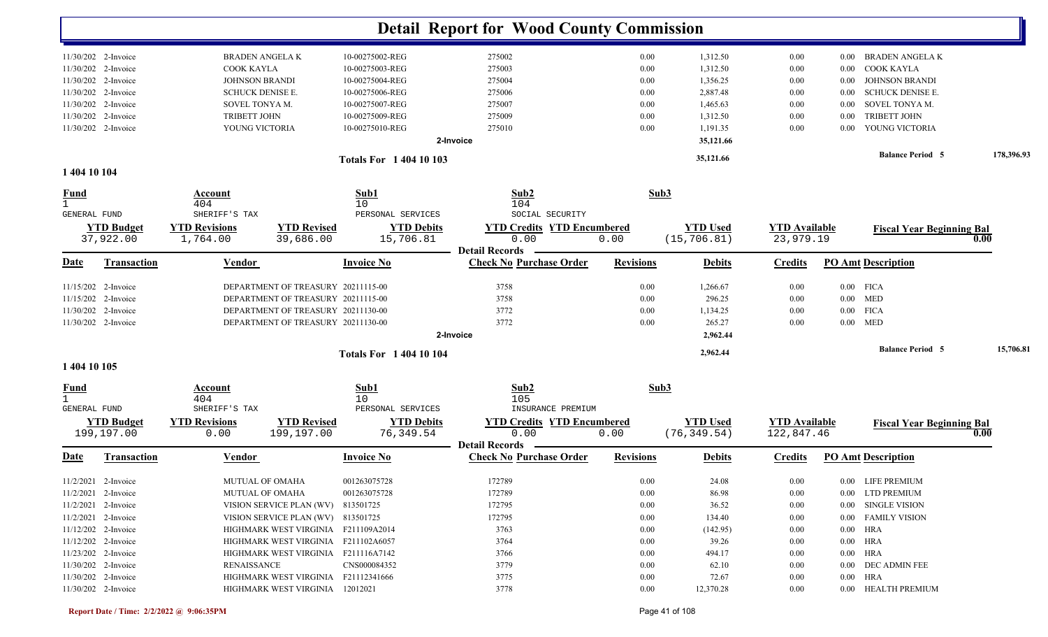| 11/30/202 2-Invoice<br><b>BRADEN ANGELA K</b><br>10-00275002-REG<br>275002<br>0.00<br>1,312.50<br>0.00<br>BRADEN ANGELA K<br>$0.00\,$<br>COOK KAYLA<br>11/30/202 2-Invoice<br>COOK KAYLA<br>10-00275003-REG<br>275003<br>0.00<br>1,312.50<br>0.00<br>$0.00\,$<br>11/30/202 2-Invoice<br><b>JOHNSON BRANDI</b><br>10-00275004-REG<br>275004<br>0.00<br>1,356.25<br><b>JOHNSON BRANDI</b><br>0.00<br>$0.00\,$<br>11/30/202 2-Invoice<br><b>SCHUCK DENISE E.</b><br>10-00275006-REG<br>275006<br>2,887.48<br><b>SCHUCK DENISE E.</b><br>0.00<br>0.00<br>0.00<br>11/30/202 2-Invoice<br>SOVEL TONYA M.<br>10-00275007-REG<br>275007<br>0.00<br>1,465.63<br>SOVEL TONYA M.<br>0.00<br>0.00<br>11/30/202 2-Invoice<br><b>TRIBETT JOHN</b><br>10-00275009-REG<br>275009<br>0.00<br>1,312.50<br>0.00<br>TRIBETT JOHN<br>0.00<br>275010<br>11/30/202 2-Invoice<br>0.00<br>1,191.35<br>YOUNG VICTORIA<br>YOUNG VICTORIA<br>10-00275010-REG<br>0.00<br>$0.00\,$<br>35,121.66<br>2-Invoice<br><b>Balance Period 5</b><br>35,121.66<br><b>Totals For 140410103</b><br>1 404 10 104<br>Sub1<br>Sub2<br>Sub3<br>$\frac{Fund}{1}$<br>Account<br>404<br>10<br>104<br>SHERIFF'S TAX<br>PERSONAL SERVICES<br>SOCIAL SECURITY<br><b>GENERAL FUND</b><br><b>YTD Revised</b><br><b>YTD Budget</b><br><b>YTD Revisions</b><br><b>YTD Debits</b><br><b>YTD Credits YTD Encumbered</b><br><b>YTD Used</b><br><b>YTD Available</b><br><b>Fiscal Year Beginning Bal</b><br>37,922.00<br>(15, 706.81)<br>23,979.19<br>1,764.00<br>39,686.00<br>15,706.81<br>0.00<br>0.00<br>0.00<br><b>Detail Records</b><br><b>Check No Purchase Order</b><br><b>Revisions</b><br><b>PO Amt Description</b><br><b>Transaction</b><br>Vendor<br><b>Invoice No</b><br><b>Debits</b><br><b>Credits</b><br>11/15/202 2-Invoice<br>DEPARTMENT OF TREASURY 20211115-00<br>3758<br>$0.00$ FICA<br>0.00<br>1,266.67<br>0.00<br>296.25<br>11/15/202 2-Invoice<br>DEPARTMENT OF TREASURY 20211115-00<br>3758<br>0.00<br>$0.00$ MED<br>0.00<br>3772<br>11/30/202 2-Invoice<br>DEPARTMENT OF TREASURY 20211130-00<br>0.00<br>1,134.25<br>$0.00$ FICA<br>0.00<br>11/30/202 2-Invoice<br>DEPARTMENT OF TREASURY 20211130-00<br>3772<br>0.00<br>265.27<br>$0.00$ MED<br>0.00<br>2-Invoice<br>2,962.44<br><b>Balance Period 5</b><br>2,962.44<br><b>Totals For 140410104</b><br>1 404 10 105<br>Sub2<br>Sub3<br>Sub1<br><u>Fund</u><br>Account<br>404<br>10<br>105<br>SHERIFF'S TAX<br>PERSONAL SERVICES<br><b>GENERAL FUND</b><br>INSURANCE PREMIUM<br><b>YTD Revisions</b><br><b>YTD Revised</b><br><b>YTD Debits</b><br><b>YTD Credits YTD Encumbered</b><br><b>YTD Used</b><br><b>YTD Budget</b><br><b>YTD Available</b><br><b>Fiscal Year Beginning Bal</b><br>199,197.00<br>76,349.54<br>0.00<br>(76, 349.54)<br>199,197.00<br>0.00<br>0.00<br>122,847.46<br>0.00<br><b>Detail Records</b><br><b>Check No Purchase Order</b><br><b>PO Amt Description</b><br><b>Transaction</b><br><b>Invoice No</b><br><b>Revisions</b><br>Vendor<br><b>Debits</b><br><b>Credits</b><br>001263075728<br>172789<br>11/2/2021 2-Invoice<br>MUTUAL OF OMAHA<br>0.00<br>24.08<br>$0.00\,$<br>0.00 LIFE PREMIUM<br>172789<br>11/2/2021 2-Invoice<br>MUTUAL OF OMAHA<br>001263075728<br>$0.00\,$<br>86.98<br>0.00 LTD PREMIUM<br>0.00<br>11/2/2021 2-Invoice<br>VISION SERVICE PLAN (WV) 813501725<br>172795<br>0.00<br>36.52<br>0.00 SINGLE VISION<br>0.00<br>172795<br>$11/2/2021$ 2-Invoice<br>VISION SERVICE PLAN (WV) 813501725<br>0.00<br>134.40<br>0.00<br>0.00 FAMILY VISION<br>11/12/202 2-Invoice<br>3763<br>HIGHMARK WEST VIRGINIA F211109A2014<br>0.00<br>(142.95)<br>0.00<br>$0.00$ HRA<br>11/12/202 2-Invoice<br>3764<br>39.26<br>$0.00$ HRA<br>HIGHMARK WEST VIRGINIA F211102A6057<br>0.00<br>0.00<br>$0.00$ HRA<br>11/23/202 2-Invoice<br>HIGHMARK WEST VIRGINIA F211116A7142<br>3766<br>0.00<br>494.17<br>$0.00\,$<br>3779<br>11/30/202 2-Invoice<br><b>RENAISSANCE</b><br>CNS000084352<br>0.00<br>62.10<br>0.00 DEC ADMIN FEE<br>$0.00\,$<br>11/30/202 2-Invoice<br>HIGHMARK WEST VIRGINIA F21112341666<br>3775<br>72.67<br>$0.00$ HRA<br>0.00<br>$0.00\,$<br>11/30/202 2-Invoice<br>3778<br>12,370.28<br>0.00 HEALTH PREMIUM<br>HIGHMARK WEST VIRGINIA 12012021<br>0.00<br>$0.00\,$ |             |  |  | <b>Detail Report for Wood County Commission</b> |  |  |            |
|------------------------------------------------------------------------------------------------------------------------------------------------------------------------------------------------------------------------------------------------------------------------------------------------------------------------------------------------------------------------------------------------------------------------------------------------------------------------------------------------------------------------------------------------------------------------------------------------------------------------------------------------------------------------------------------------------------------------------------------------------------------------------------------------------------------------------------------------------------------------------------------------------------------------------------------------------------------------------------------------------------------------------------------------------------------------------------------------------------------------------------------------------------------------------------------------------------------------------------------------------------------------------------------------------------------------------------------------------------------------------------------------------------------------------------------------------------------------------------------------------------------------------------------------------------------------------------------------------------------------------------------------------------------------------------------------------------------------------------------------------------------------------------------------------------------------------------------------------------------------------------------------------------------------------------------------------------------------------------------------------------------------------------------------------------------------------------------------------------------------------------------------------------------------------------------------------------------------------------------------------------------------------------------------------------------------------------------------------------------------------------------------------------------------------------------------------------------------------------------------------------------------------------------------------------------------------------------------------------------------------------------------------------------------------------------------------------------------------------------------------------------------------------------------------------------------------------------------------------------------------------------------------------------------------------------------------------------------------------------------------------------------------------------------------------------------------------------------------------------------------------------------------------------------------------------------------------------------------------------------------------------------------------------------------------------------------------------------------------------------------------------------------------------------------------------------------------------------------------------------------------------------------------------------------------------------------------------------------------------------------------------------------------------------------------------------------------------------------------------------------------------------------------------------------------------------------------------------------------------------------------------------------------------------------------------------------------------------------------------------------------------------------------------------------------------------------------------------------------------------------------------------------------------------------------------------------------------------------|-------------|--|--|-------------------------------------------------|--|--|------------|
|                                                                                                                                                                                                                                                                                                                                                                                                                                                                                                                                                                                                                                                                                                                                                                                                                                                                                                                                                                                                                                                                                                                                                                                                                                                                                                                                                                                                                                                                                                                                                                                                                                                                                                                                                                                                                                                                                                                                                                                                                                                                                                                                                                                                                                                                                                                                                                                                                                                                                                                                                                                                                                                                                                                                                                                                                                                                                                                                                                                                                                                                                                                                                                                                                                                                                                                                                                                                                                                                                                                                                                                                                                                                                                                                                                                                                                                                                                                                                                                                                                                                                                                                                                                                                              |             |  |  |                                                 |  |  |            |
|                                                                                                                                                                                                                                                                                                                                                                                                                                                                                                                                                                                                                                                                                                                                                                                                                                                                                                                                                                                                                                                                                                                                                                                                                                                                                                                                                                                                                                                                                                                                                                                                                                                                                                                                                                                                                                                                                                                                                                                                                                                                                                                                                                                                                                                                                                                                                                                                                                                                                                                                                                                                                                                                                                                                                                                                                                                                                                                                                                                                                                                                                                                                                                                                                                                                                                                                                                                                                                                                                                                                                                                                                                                                                                                                                                                                                                                                                                                                                                                                                                                                                                                                                                                                                              |             |  |  |                                                 |  |  |            |
|                                                                                                                                                                                                                                                                                                                                                                                                                                                                                                                                                                                                                                                                                                                                                                                                                                                                                                                                                                                                                                                                                                                                                                                                                                                                                                                                                                                                                                                                                                                                                                                                                                                                                                                                                                                                                                                                                                                                                                                                                                                                                                                                                                                                                                                                                                                                                                                                                                                                                                                                                                                                                                                                                                                                                                                                                                                                                                                                                                                                                                                                                                                                                                                                                                                                                                                                                                                                                                                                                                                                                                                                                                                                                                                                                                                                                                                                                                                                                                                                                                                                                                                                                                                                                              |             |  |  |                                                 |  |  |            |
|                                                                                                                                                                                                                                                                                                                                                                                                                                                                                                                                                                                                                                                                                                                                                                                                                                                                                                                                                                                                                                                                                                                                                                                                                                                                                                                                                                                                                                                                                                                                                                                                                                                                                                                                                                                                                                                                                                                                                                                                                                                                                                                                                                                                                                                                                                                                                                                                                                                                                                                                                                                                                                                                                                                                                                                                                                                                                                                                                                                                                                                                                                                                                                                                                                                                                                                                                                                                                                                                                                                                                                                                                                                                                                                                                                                                                                                                                                                                                                                                                                                                                                                                                                                                                              |             |  |  |                                                 |  |  |            |
|                                                                                                                                                                                                                                                                                                                                                                                                                                                                                                                                                                                                                                                                                                                                                                                                                                                                                                                                                                                                                                                                                                                                                                                                                                                                                                                                                                                                                                                                                                                                                                                                                                                                                                                                                                                                                                                                                                                                                                                                                                                                                                                                                                                                                                                                                                                                                                                                                                                                                                                                                                                                                                                                                                                                                                                                                                                                                                                                                                                                                                                                                                                                                                                                                                                                                                                                                                                                                                                                                                                                                                                                                                                                                                                                                                                                                                                                                                                                                                                                                                                                                                                                                                                                                              |             |  |  |                                                 |  |  |            |
|                                                                                                                                                                                                                                                                                                                                                                                                                                                                                                                                                                                                                                                                                                                                                                                                                                                                                                                                                                                                                                                                                                                                                                                                                                                                                                                                                                                                                                                                                                                                                                                                                                                                                                                                                                                                                                                                                                                                                                                                                                                                                                                                                                                                                                                                                                                                                                                                                                                                                                                                                                                                                                                                                                                                                                                                                                                                                                                                                                                                                                                                                                                                                                                                                                                                                                                                                                                                                                                                                                                                                                                                                                                                                                                                                                                                                                                                                                                                                                                                                                                                                                                                                                                                                              |             |  |  |                                                 |  |  |            |
|                                                                                                                                                                                                                                                                                                                                                                                                                                                                                                                                                                                                                                                                                                                                                                                                                                                                                                                                                                                                                                                                                                                                                                                                                                                                                                                                                                                                                                                                                                                                                                                                                                                                                                                                                                                                                                                                                                                                                                                                                                                                                                                                                                                                                                                                                                                                                                                                                                                                                                                                                                                                                                                                                                                                                                                                                                                                                                                                                                                                                                                                                                                                                                                                                                                                                                                                                                                                                                                                                                                                                                                                                                                                                                                                                                                                                                                                                                                                                                                                                                                                                                                                                                                                                              |             |  |  |                                                 |  |  |            |
|                                                                                                                                                                                                                                                                                                                                                                                                                                                                                                                                                                                                                                                                                                                                                                                                                                                                                                                                                                                                                                                                                                                                                                                                                                                                                                                                                                                                                                                                                                                                                                                                                                                                                                                                                                                                                                                                                                                                                                                                                                                                                                                                                                                                                                                                                                                                                                                                                                                                                                                                                                                                                                                                                                                                                                                                                                                                                                                                                                                                                                                                                                                                                                                                                                                                                                                                                                                                                                                                                                                                                                                                                                                                                                                                                                                                                                                                                                                                                                                                                                                                                                                                                                                                                              |             |  |  |                                                 |  |  |            |
|                                                                                                                                                                                                                                                                                                                                                                                                                                                                                                                                                                                                                                                                                                                                                                                                                                                                                                                                                                                                                                                                                                                                                                                                                                                                                                                                                                                                                                                                                                                                                                                                                                                                                                                                                                                                                                                                                                                                                                                                                                                                                                                                                                                                                                                                                                                                                                                                                                                                                                                                                                                                                                                                                                                                                                                                                                                                                                                                                                                                                                                                                                                                                                                                                                                                                                                                                                                                                                                                                                                                                                                                                                                                                                                                                                                                                                                                                                                                                                                                                                                                                                                                                                                                                              |             |  |  |                                                 |  |  | 178,396.93 |
|                                                                                                                                                                                                                                                                                                                                                                                                                                                                                                                                                                                                                                                                                                                                                                                                                                                                                                                                                                                                                                                                                                                                                                                                                                                                                                                                                                                                                                                                                                                                                                                                                                                                                                                                                                                                                                                                                                                                                                                                                                                                                                                                                                                                                                                                                                                                                                                                                                                                                                                                                                                                                                                                                                                                                                                                                                                                                                                                                                                                                                                                                                                                                                                                                                                                                                                                                                                                                                                                                                                                                                                                                                                                                                                                                                                                                                                                                                                                                                                                                                                                                                                                                                                                                              |             |  |  |                                                 |  |  |            |
|                                                                                                                                                                                                                                                                                                                                                                                                                                                                                                                                                                                                                                                                                                                                                                                                                                                                                                                                                                                                                                                                                                                                                                                                                                                                                                                                                                                                                                                                                                                                                                                                                                                                                                                                                                                                                                                                                                                                                                                                                                                                                                                                                                                                                                                                                                                                                                                                                                                                                                                                                                                                                                                                                                                                                                                                                                                                                                                                                                                                                                                                                                                                                                                                                                                                                                                                                                                                                                                                                                                                                                                                                                                                                                                                                                                                                                                                                                                                                                                                                                                                                                                                                                                                                              |             |  |  |                                                 |  |  |            |
|                                                                                                                                                                                                                                                                                                                                                                                                                                                                                                                                                                                                                                                                                                                                                                                                                                                                                                                                                                                                                                                                                                                                                                                                                                                                                                                                                                                                                                                                                                                                                                                                                                                                                                                                                                                                                                                                                                                                                                                                                                                                                                                                                                                                                                                                                                                                                                                                                                                                                                                                                                                                                                                                                                                                                                                                                                                                                                                                                                                                                                                                                                                                                                                                                                                                                                                                                                                                                                                                                                                                                                                                                                                                                                                                                                                                                                                                                                                                                                                                                                                                                                                                                                                                                              |             |  |  |                                                 |  |  |            |
|                                                                                                                                                                                                                                                                                                                                                                                                                                                                                                                                                                                                                                                                                                                                                                                                                                                                                                                                                                                                                                                                                                                                                                                                                                                                                                                                                                                                                                                                                                                                                                                                                                                                                                                                                                                                                                                                                                                                                                                                                                                                                                                                                                                                                                                                                                                                                                                                                                                                                                                                                                                                                                                                                                                                                                                                                                                                                                                                                                                                                                                                                                                                                                                                                                                                                                                                                                                                                                                                                                                                                                                                                                                                                                                                                                                                                                                                                                                                                                                                                                                                                                                                                                                                                              |             |  |  |                                                 |  |  |            |
|                                                                                                                                                                                                                                                                                                                                                                                                                                                                                                                                                                                                                                                                                                                                                                                                                                                                                                                                                                                                                                                                                                                                                                                                                                                                                                                                                                                                                                                                                                                                                                                                                                                                                                                                                                                                                                                                                                                                                                                                                                                                                                                                                                                                                                                                                                                                                                                                                                                                                                                                                                                                                                                                                                                                                                                                                                                                                                                                                                                                                                                                                                                                                                                                                                                                                                                                                                                                                                                                                                                                                                                                                                                                                                                                                                                                                                                                                                                                                                                                                                                                                                                                                                                                                              |             |  |  |                                                 |  |  |            |
|                                                                                                                                                                                                                                                                                                                                                                                                                                                                                                                                                                                                                                                                                                                                                                                                                                                                                                                                                                                                                                                                                                                                                                                                                                                                                                                                                                                                                                                                                                                                                                                                                                                                                                                                                                                                                                                                                                                                                                                                                                                                                                                                                                                                                                                                                                                                                                                                                                                                                                                                                                                                                                                                                                                                                                                                                                                                                                                                                                                                                                                                                                                                                                                                                                                                                                                                                                                                                                                                                                                                                                                                                                                                                                                                                                                                                                                                                                                                                                                                                                                                                                                                                                                                                              |             |  |  |                                                 |  |  |            |
|                                                                                                                                                                                                                                                                                                                                                                                                                                                                                                                                                                                                                                                                                                                                                                                                                                                                                                                                                                                                                                                                                                                                                                                                                                                                                                                                                                                                                                                                                                                                                                                                                                                                                                                                                                                                                                                                                                                                                                                                                                                                                                                                                                                                                                                                                                                                                                                                                                                                                                                                                                                                                                                                                                                                                                                                                                                                                                                                                                                                                                                                                                                                                                                                                                                                                                                                                                                                                                                                                                                                                                                                                                                                                                                                                                                                                                                                                                                                                                                                                                                                                                                                                                                                                              | <b>Date</b> |  |  |                                                 |  |  |            |
|                                                                                                                                                                                                                                                                                                                                                                                                                                                                                                                                                                                                                                                                                                                                                                                                                                                                                                                                                                                                                                                                                                                                                                                                                                                                                                                                                                                                                                                                                                                                                                                                                                                                                                                                                                                                                                                                                                                                                                                                                                                                                                                                                                                                                                                                                                                                                                                                                                                                                                                                                                                                                                                                                                                                                                                                                                                                                                                                                                                                                                                                                                                                                                                                                                                                                                                                                                                                                                                                                                                                                                                                                                                                                                                                                                                                                                                                                                                                                                                                                                                                                                                                                                                                                              |             |  |  |                                                 |  |  |            |
|                                                                                                                                                                                                                                                                                                                                                                                                                                                                                                                                                                                                                                                                                                                                                                                                                                                                                                                                                                                                                                                                                                                                                                                                                                                                                                                                                                                                                                                                                                                                                                                                                                                                                                                                                                                                                                                                                                                                                                                                                                                                                                                                                                                                                                                                                                                                                                                                                                                                                                                                                                                                                                                                                                                                                                                                                                                                                                                                                                                                                                                                                                                                                                                                                                                                                                                                                                                                                                                                                                                                                                                                                                                                                                                                                                                                                                                                                                                                                                                                                                                                                                                                                                                                                              |             |  |  |                                                 |  |  |            |
|                                                                                                                                                                                                                                                                                                                                                                                                                                                                                                                                                                                                                                                                                                                                                                                                                                                                                                                                                                                                                                                                                                                                                                                                                                                                                                                                                                                                                                                                                                                                                                                                                                                                                                                                                                                                                                                                                                                                                                                                                                                                                                                                                                                                                                                                                                                                                                                                                                                                                                                                                                                                                                                                                                                                                                                                                                                                                                                                                                                                                                                                                                                                                                                                                                                                                                                                                                                                                                                                                                                                                                                                                                                                                                                                                                                                                                                                                                                                                                                                                                                                                                                                                                                                                              |             |  |  |                                                 |  |  |            |
|                                                                                                                                                                                                                                                                                                                                                                                                                                                                                                                                                                                                                                                                                                                                                                                                                                                                                                                                                                                                                                                                                                                                                                                                                                                                                                                                                                                                                                                                                                                                                                                                                                                                                                                                                                                                                                                                                                                                                                                                                                                                                                                                                                                                                                                                                                                                                                                                                                                                                                                                                                                                                                                                                                                                                                                                                                                                                                                                                                                                                                                                                                                                                                                                                                                                                                                                                                                                                                                                                                                                                                                                                                                                                                                                                                                                                                                                                                                                                                                                                                                                                                                                                                                                                              |             |  |  |                                                 |  |  |            |
|                                                                                                                                                                                                                                                                                                                                                                                                                                                                                                                                                                                                                                                                                                                                                                                                                                                                                                                                                                                                                                                                                                                                                                                                                                                                                                                                                                                                                                                                                                                                                                                                                                                                                                                                                                                                                                                                                                                                                                                                                                                                                                                                                                                                                                                                                                                                                                                                                                                                                                                                                                                                                                                                                                                                                                                                                                                                                                                                                                                                                                                                                                                                                                                                                                                                                                                                                                                                                                                                                                                                                                                                                                                                                                                                                                                                                                                                                                                                                                                                                                                                                                                                                                                                                              |             |  |  |                                                 |  |  |            |
|                                                                                                                                                                                                                                                                                                                                                                                                                                                                                                                                                                                                                                                                                                                                                                                                                                                                                                                                                                                                                                                                                                                                                                                                                                                                                                                                                                                                                                                                                                                                                                                                                                                                                                                                                                                                                                                                                                                                                                                                                                                                                                                                                                                                                                                                                                                                                                                                                                                                                                                                                                                                                                                                                                                                                                                                                                                                                                                                                                                                                                                                                                                                                                                                                                                                                                                                                                                                                                                                                                                                                                                                                                                                                                                                                                                                                                                                                                                                                                                                                                                                                                                                                                                                                              |             |  |  |                                                 |  |  | 15,706.81  |
|                                                                                                                                                                                                                                                                                                                                                                                                                                                                                                                                                                                                                                                                                                                                                                                                                                                                                                                                                                                                                                                                                                                                                                                                                                                                                                                                                                                                                                                                                                                                                                                                                                                                                                                                                                                                                                                                                                                                                                                                                                                                                                                                                                                                                                                                                                                                                                                                                                                                                                                                                                                                                                                                                                                                                                                                                                                                                                                                                                                                                                                                                                                                                                                                                                                                                                                                                                                                                                                                                                                                                                                                                                                                                                                                                                                                                                                                                                                                                                                                                                                                                                                                                                                                                              |             |  |  |                                                 |  |  |            |
|                                                                                                                                                                                                                                                                                                                                                                                                                                                                                                                                                                                                                                                                                                                                                                                                                                                                                                                                                                                                                                                                                                                                                                                                                                                                                                                                                                                                                                                                                                                                                                                                                                                                                                                                                                                                                                                                                                                                                                                                                                                                                                                                                                                                                                                                                                                                                                                                                                                                                                                                                                                                                                                                                                                                                                                                                                                                                                                                                                                                                                                                                                                                                                                                                                                                                                                                                                                                                                                                                                                                                                                                                                                                                                                                                                                                                                                                                                                                                                                                                                                                                                                                                                                                                              |             |  |  |                                                 |  |  |            |
|                                                                                                                                                                                                                                                                                                                                                                                                                                                                                                                                                                                                                                                                                                                                                                                                                                                                                                                                                                                                                                                                                                                                                                                                                                                                                                                                                                                                                                                                                                                                                                                                                                                                                                                                                                                                                                                                                                                                                                                                                                                                                                                                                                                                                                                                                                                                                                                                                                                                                                                                                                                                                                                                                                                                                                                                                                                                                                                                                                                                                                                                                                                                                                                                                                                                                                                                                                                                                                                                                                                                                                                                                                                                                                                                                                                                                                                                                                                                                                                                                                                                                                                                                                                                                              |             |  |  |                                                 |  |  |            |
|                                                                                                                                                                                                                                                                                                                                                                                                                                                                                                                                                                                                                                                                                                                                                                                                                                                                                                                                                                                                                                                                                                                                                                                                                                                                                                                                                                                                                                                                                                                                                                                                                                                                                                                                                                                                                                                                                                                                                                                                                                                                                                                                                                                                                                                                                                                                                                                                                                                                                                                                                                                                                                                                                                                                                                                                                                                                                                                                                                                                                                                                                                                                                                                                                                                                                                                                                                                                                                                                                                                                                                                                                                                                                                                                                                                                                                                                                                                                                                                                                                                                                                                                                                                                                              |             |  |  |                                                 |  |  |            |
|                                                                                                                                                                                                                                                                                                                                                                                                                                                                                                                                                                                                                                                                                                                                                                                                                                                                                                                                                                                                                                                                                                                                                                                                                                                                                                                                                                                                                                                                                                                                                                                                                                                                                                                                                                                                                                                                                                                                                                                                                                                                                                                                                                                                                                                                                                                                                                                                                                                                                                                                                                                                                                                                                                                                                                                                                                                                                                                                                                                                                                                                                                                                                                                                                                                                                                                                                                                                                                                                                                                                                                                                                                                                                                                                                                                                                                                                                                                                                                                                                                                                                                                                                                                                                              |             |  |  |                                                 |  |  |            |
|                                                                                                                                                                                                                                                                                                                                                                                                                                                                                                                                                                                                                                                                                                                                                                                                                                                                                                                                                                                                                                                                                                                                                                                                                                                                                                                                                                                                                                                                                                                                                                                                                                                                                                                                                                                                                                                                                                                                                                                                                                                                                                                                                                                                                                                                                                                                                                                                                                                                                                                                                                                                                                                                                                                                                                                                                                                                                                                                                                                                                                                                                                                                                                                                                                                                                                                                                                                                                                                                                                                                                                                                                                                                                                                                                                                                                                                                                                                                                                                                                                                                                                                                                                                                                              | Date        |  |  |                                                 |  |  |            |
|                                                                                                                                                                                                                                                                                                                                                                                                                                                                                                                                                                                                                                                                                                                                                                                                                                                                                                                                                                                                                                                                                                                                                                                                                                                                                                                                                                                                                                                                                                                                                                                                                                                                                                                                                                                                                                                                                                                                                                                                                                                                                                                                                                                                                                                                                                                                                                                                                                                                                                                                                                                                                                                                                                                                                                                                                                                                                                                                                                                                                                                                                                                                                                                                                                                                                                                                                                                                                                                                                                                                                                                                                                                                                                                                                                                                                                                                                                                                                                                                                                                                                                                                                                                                                              |             |  |  |                                                 |  |  |            |
|                                                                                                                                                                                                                                                                                                                                                                                                                                                                                                                                                                                                                                                                                                                                                                                                                                                                                                                                                                                                                                                                                                                                                                                                                                                                                                                                                                                                                                                                                                                                                                                                                                                                                                                                                                                                                                                                                                                                                                                                                                                                                                                                                                                                                                                                                                                                                                                                                                                                                                                                                                                                                                                                                                                                                                                                                                                                                                                                                                                                                                                                                                                                                                                                                                                                                                                                                                                                                                                                                                                                                                                                                                                                                                                                                                                                                                                                                                                                                                                                                                                                                                                                                                                                                              |             |  |  |                                                 |  |  |            |
|                                                                                                                                                                                                                                                                                                                                                                                                                                                                                                                                                                                                                                                                                                                                                                                                                                                                                                                                                                                                                                                                                                                                                                                                                                                                                                                                                                                                                                                                                                                                                                                                                                                                                                                                                                                                                                                                                                                                                                                                                                                                                                                                                                                                                                                                                                                                                                                                                                                                                                                                                                                                                                                                                                                                                                                                                                                                                                                                                                                                                                                                                                                                                                                                                                                                                                                                                                                                                                                                                                                                                                                                                                                                                                                                                                                                                                                                                                                                                                                                                                                                                                                                                                                                                              |             |  |  |                                                 |  |  |            |
|                                                                                                                                                                                                                                                                                                                                                                                                                                                                                                                                                                                                                                                                                                                                                                                                                                                                                                                                                                                                                                                                                                                                                                                                                                                                                                                                                                                                                                                                                                                                                                                                                                                                                                                                                                                                                                                                                                                                                                                                                                                                                                                                                                                                                                                                                                                                                                                                                                                                                                                                                                                                                                                                                                                                                                                                                                                                                                                                                                                                                                                                                                                                                                                                                                                                                                                                                                                                                                                                                                                                                                                                                                                                                                                                                                                                                                                                                                                                                                                                                                                                                                                                                                                                                              |             |  |  |                                                 |  |  |            |
|                                                                                                                                                                                                                                                                                                                                                                                                                                                                                                                                                                                                                                                                                                                                                                                                                                                                                                                                                                                                                                                                                                                                                                                                                                                                                                                                                                                                                                                                                                                                                                                                                                                                                                                                                                                                                                                                                                                                                                                                                                                                                                                                                                                                                                                                                                                                                                                                                                                                                                                                                                                                                                                                                                                                                                                                                                                                                                                                                                                                                                                                                                                                                                                                                                                                                                                                                                                                                                                                                                                                                                                                                                                                                                                                                                                                                                                                                                                                                                                                                                                                                                                                                                                                                              |             |  |  |                                                 |  |  |            |
|                                                                                                                                                                                                                                                                                                                                                                                                                                                                                                                                                                                                                                                                                                                                                                                                                                                                                                                                                                                                                                                                                                                                                                                                                                                                                                                                                                                                                                                                                                                                                                                                                                                                                                                                                                                                                                                                                                                                                                                                                                                                                                                                                                                                                                                                                                                                                                                                                                                                                                                                                                                                                                                                                                                                                                                                                                                                                                                                                                                                                                                                                                                                                                                                                                                                                                                                                                                                                                                                                                                                                                                                                                                                                                                                                                                                                                                                                                                                                                                                                                                                                                                                                                                                                              |             |  |  |                                                 |  |  |            |
|                                                                                                                                                                                                                                                                                                                                                                                                                                                                                                                                                                                                                                                                                                                                                                                                                                                                                                                                                                                                                                                                                                                                                                                                                                                                                                                                                                                                                                                                                                                                                                                                                                                                                                                                                                                                                                                                                                                                                                                                                                                                                                                                                                                                                                                                                                                                                                                                                                                                                                                                                                                                                                                                                                                                                                                                                                                                                                                                                                                                                                                                                                                                                                                                                                                                                                                                                                                                                                                                                                                                                                                                                                                                                                                                                                                                                                                                                                                                                                                                                                                                                                                                                                                                                              |             |  |  |                                                 |  |  |            |
|                                                                                                                                                                                                                                                                                                                                                                                                                                                                                                                                                                                                                                                                                                                                                                                                                                                                                                                                                                                                                                                                                                                                                                                                                                                                                                                                                                                                                                                                                                                                                                                                                                                                                                                                                                                                                                                                                                                                                                                                                                                                                                                                                                                                                                                                                                                                                                                                                                                                                                                                                                                                                                                                                                                                                                                                                                                                                                                                                                                                                                                                                                                                                                                                                                                                                                                                                                                                                                                                                                                                                                                                                                                                                                                                                                                                                                                                                                                                                                                                                                                                                                                                                                                                                              |             |  |  |                                                 |  |  |            |
|                                                                                                                                                                                                                                                                                                                                                                                                                                                                                                                                                                                                                                                                                                                                                                                                                                                                                                                                                                                                                                                                                                                                                                                                                                                                                                                                                                                                                                                                                                                                                                                                                                                                                                                                                                                                                                                                                                                                                                                                                                                                                                                                                                                                                                                                                                                                                                                                                                                                                                                                                                                                                                                                                                                                                                                                                                                                                                                                                                                                                                                                                                                                                                                                                                                                                                                                                                                                                                                                                                                                                                                                                                                                                                                                                                                                                                                                                                                                                                                                                                                                                                                                                                                                                              |             |  |  |                                                 |  |  |            |
|                                                                                                                                                                                                                                                                                                                                                                                                                                                                                                                                                                                                                                                                                                                                                                                                                                                                                                                                                                                                                                                                                                                                                                                                                                                                                                                                                                                                                                                                                                                                                                                                                                                                                                                                                                                                                                                                                                                                                                                                                                                                                                                                                                                                                                                                                                                                                                                                                                                                                                                                                                                                                                                                                                                                                                                                                                                                                                                                                                                                                                                                                                                                                                                                                                                                                                                                                                                                                                                                                                                                                                                                                                                                                                                                                                                                                                                                                                                                                                                                                                                                                                                                                                                                                              |             |  |  |                                                 |  |  |            |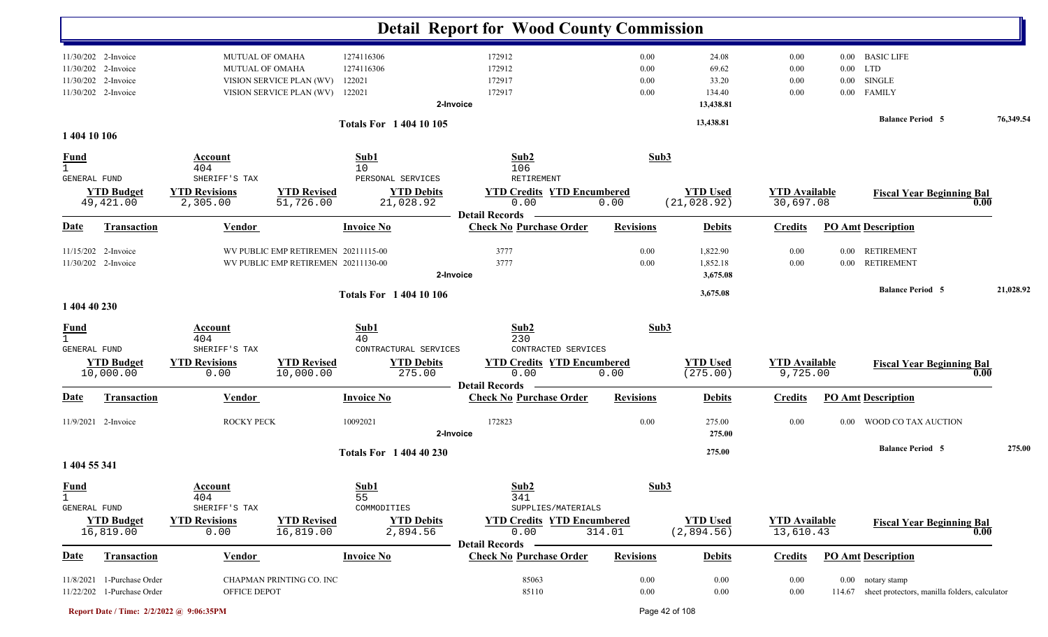|                                     |                                       |                                                      |                                        | <b>Detail Report for Wood County Commission</b>         |                  |                      |                      |                      |                                               |           |
|-------------------------------------|---------------------------------------|------------------------------------------------------|----------------------------------------|---------------------------------------------------------|------------------|----------------------|----------------------|----------------------|-----------------------------------------------|-----------|
| 11/30/202 2-Invoice                 | <b>MUTUAL OF OMAHA</b>                |                                                      | 1274116306                             | 172912                                                  | 0.00             | 24.08                | 0.00                 |                      | 0.00 BASIC LIFE                               |           |
| 11/30/202 2-Invoice<br>2-Invoice    | MUTUAL OF OMAHA                       |                                                      | 1274116306                             | 172912<br>172917                                        | 0.00<br>0.00     | 69.62<br>33.20       | 0.00                 | $0.00\,$             | LTD<br><b>SINGLE</b>                          |           |
| 11/30/202<br>11/30/202 2-Invoice    |                                       | VISION SERVICE PLAN (WV)<br>VISION SERVICE PLAN (WV) | 122021<br>122021                       | 172917                                                  | 0.00             | 134.40               | 0.00<br>0.00         | $0.00\,$<br>$0.00\,$ | <b>FAMILY</b>                                 |           |
|                                     |                                       |                                                      |                                        | 2-Invoice                                               |                  | 13,438.81            |                      |                      |                                               |           |
|                                     |                                       |                                                      | <b>Totals For 140410105</b>            |                                                         |                  | 13,438.81            |                      |                      | <b>Balance Period 5</b>                       | 76,349.54 |
| 1 404 10 106                        |                                       |                                                      |                                        |                                                         |                  |                      |                      |                      |                                               |           |
| <u>Fund</u><br>$\mathbf{1}$         | Account<br>404                        |                                                      | Sub1<br>10                             | Sub2<br>106                                             | Sub3             |                      |                      |                      |                                               |           |
| GENERAL FUND<br><b>YTD Budget</b>   | SHERIFF'S TAX<br><b>YTD Revisions</b> | <b>YTD Revised</b>                                   | PERSONAL SERVICES<br><b>YTD Debits</b> | RETIREMENT<br><b>YTD Credits YTD Encumbered</b>         |                  | <b>YTD Used</b>      | <b>YTD Available</b> |                      | <b>Fiscal Year Beginning Bal</b>              |           |
| 49,421.00                           | 2,305.00                              | 51,726.00                                            | 21,028.92                              | 0.00                                                    | 0.00             | (21, 028.92)         | 30,697.08            |                      | 0.00                                          |           |
|                                     |                                       |                                                      |                                        | <b>Detail Records</b>                                   | <b>Revisions</b> |                      |                      |                      |                                               |           |
| <u>Date</u><br><b>Transaction</b>   | <b>Vendor</b>                         |                                                      | <b>Invoice No</b>                      | <b>Check No Purchase Order</b>                          |                  | <b>Debits</b>        | <b>Credits</b>       |                      | <b>PO Amt Description</b>                     |           |
| 11/15/202 2-Invoice                 |                                       | WV PUBLIC EMP RETIREMEN 20211115-00                  |                                        | 3777                                                    | 0.00             | 1,822.90             | 0.00                 | $0.00\,$             | <b>RETIREMENT</b>                             |           |
| 11/30/202 2-Invoice                 |                                       | WV PUBLIC EMP RETIREMEN 20211130-00                  |                                        | 3777<br>2-Invoice                                       | 0.00             | 1,852.18<br>3,675.08 | 0.00                 | $0.00\,$             | <b>RETIREMENT</b>                             |           |
|                                     |                                       |                                                      | <b>Totals For 1 404 10 106</b>         |                                                         |                  | 3,675.08             |                      |                      | <b>Balance Period 5</b>                       | 21,028.92 |
| 1 404 40 230                        |                                       |                                                      |                                        |                                                         |                  |                      |                      |                      |                                               |           |
| <b>Fund</b>                         | Account                               |                                                      | Sub1                                   | Sub2                                                    | Sub3             |                      |                      |                      |                                               |           |
| $\mathbf{1}$<br><b>GENERAL FUND</b> | 404<br>SHERIFF'S TAX                  |                                                      | 40<br>CONTRACTURAL SERVICES            | 230<br>CONTRACTED SERVICES                              |                  |                      |                      |                      |                                               |           |
| <b>YTD Budget</b>                   | <b>YTD Revisions</b>                  | <b>YTD Revised</b>                                   | <b>YTD Debits</b>                      | <b>YTD Credits YTD Encumbered</b>                       |                  | <b>YTD Used</b>      | <b>YTD Available</b> |                      | <b>Fiscal Year Beginning Bal</b>              |           |
| 10,000.00                           | 0.00                                  | 10,000.00                                            | 275.00                                 | 0.00                                                    | 0.00             | (275.00)             | 9,725.00             |                      | 0.00                                          |           |
| Transaction<br>Date                 | Vendor                                |                                                      | <b>Invoice No</b>                      | <b>Detail Records</b><br><b>Check No Purchase Order</b> | <b>Revisions</b> | <b>Debits</b>        | <b>Credits</b>       |                      | <b>PO Amt Description</b>                     |           |
|                                     |                                       |                                                      |                                        |                                                         |                  |                      |                      |                      |                                               |           |
| 11/9/2021 2-Invoice                 | ROCKY PECK                            |                                                      | 10092021                               | 172823<br>2-Invoice                                     | 0.00             | 275.00<br>275.00     | 0.00                 | 0.00                 | WOOD CO TAX AUCTION                           |           |
|                                     |                                       |                                                      | <b>Totals For 1 404 40 230</b>         |                                                         |                  | 275.00               |                      |                      | <b>Balance Period 5</b>                       | 275.00    |
| 1 404 55 341                        |                                       |                                                      |                                        |                                                         |                  |                      |                      |                      |                                               |           |
| <b>Fund</b>                         | <b>Account</b>                        |                                                      | Sub1                                   | Sub <sub>2</sub>                                        | Sub3             |                      |                      |                      |                                               |           |
| 1<br>GENERAL FUND                   | 404<br>SHERIFF'S TAX                  |                                                      | 55<br>COMMODITIES                      | 341<br>SUPPLIES/MATERIALS                               |                  |                      |                      |                      |                                               |           |
| <b>YTD Budget</b>                   | <b>YTD Revisions</b>                  | <b>YTD Revised</b>                                   | <b>YTD Debits</b>                      | <b>YTD Credits YTD Encumbered</b>                       |                  | <b>YTD Used</b>      | <b>YTD Available</b> |                      | <b>Fiscal Year Beginning Bal</b>              |           |
| 16,819.00                           | 0.00                                  | 16,819.00                                            | 2,894.56                               | 0.00                                                    | 314.01           | (2,894.56)           | 13,610.43            |                      | 0.00                                          |           |
| <b>Date</b><br><b>Transaction</b>   | <b>Vendor</b>                         |                                                      | <b>Invoice No</b>                      | <b>Detail Records</b><br><b>Check No Purchase Order</b> | <b>Revisions</b> | <b>Debits</b>        | <b>Credits</b>       |                      | <b>PO Amt Description</b>                     |           |
|                                     |                                       |                                                      |                                        |                                                         |                  |                      |                      |                      |                                               |           |
| 11/8/2021 1-Purchase Order          |                                       | CHAPMAN PRINTING CO. INC                             |                                        | 85063                                                   | 0.00             | 0.00                 | $0.00\,$             |                      | 0.00 notary stamp                             |           |
| 11/22/202 1-Purchase Order          | OFFICE DEPOT                          |                                                      |                                        | 85110                                                   | $0.00\,$         | $0.00\,$             | $0.00\,$             | 114.67               | sheet protectors, manilla folders, calculator |           |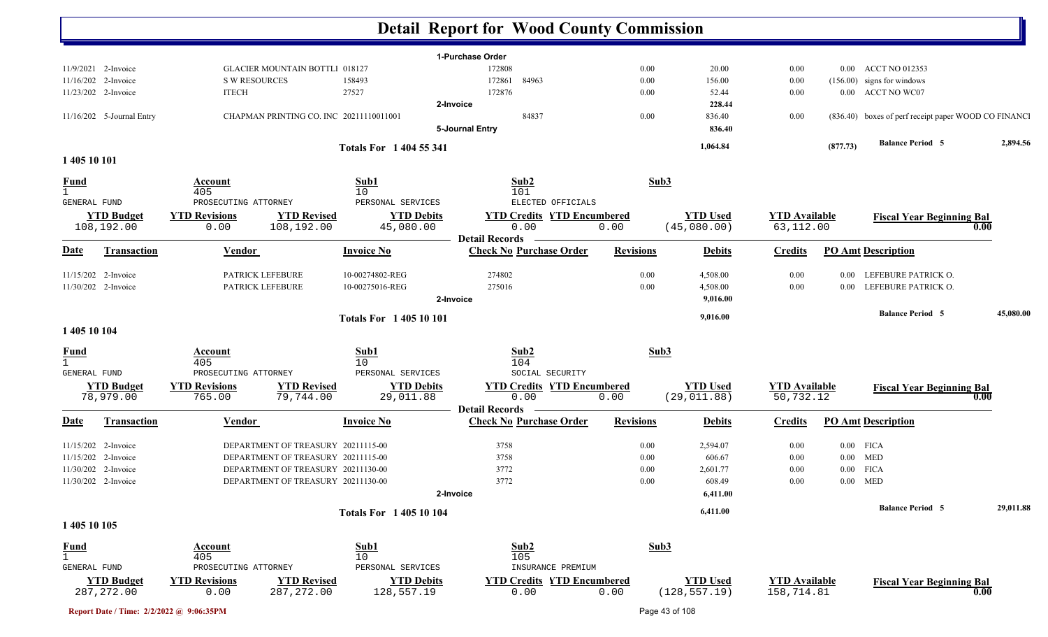|                             |                           |                         |                                         | <b>Detail Report for Wood County Commission</b> |                  |                  |                      |          |                                                      |           |
|-----------------------------|---------------------------|-------------------------|-----------------------------------------|-------------------------------------------------|------------------|------------------|----------------------|----------|------------------------------------------------------|-----------|
|                             |                           |                         |                                         | 1-Purchase Order                                |                  |                  |                      |          |                                                      |           |
| 11/9/2021 2-Invoice         |                           |                         | <b>GLACIER MOUNTAIN BOTTLI 018127</b>   | 172808                                          | 0.00             | 20.00            | 0.00                 |          | 0.00 ACCT NO 012353                                  |           |
| 11/16/202 2-Invoice         |                           | <b>S W RESOURCES</b>    | 158493                                  | 172861<br>84963                                 | 0.00             | 156.00           | 0.00                 |          | $(156.00)$ signs for windows                         |           |
| 11/23/202 2-Invoice         |                           | <b>ITECH</b>            | 27527                                   | 172876                                          | 0.00             | 52.44            | 0.00                 |          | 0.00 ACCT NO WC07                                    |           |
|                             |                           |                         | CHAPMAN PRINTING CO. INC 20211110011001 | 2-Invoice<br>84837                              | 0.00             | 228.44           |                      |          |                                                      |           |
|                             | 11/16/202 5-Journal Entry |                         |                                         | 5-Journal Entry                                 |                  | 836.40<br>836.40 | 0.00                 |          | (836.40) boxes of perf receipt paper WOOD CO FINANCI |           |
|                             |                           |                         |                                         |                                                 |                  |                  |                      |          | <b>Balance Period 5</b>                              | 2,894.56  |
|                             |                           |                         | Totals For 1 404 55 341                 |                                                 |                  | 1,064.84         |                      | (877.73) |                                                      |           |
| 1 405 10 101                |                           |                         |                                         |                                                 |                  |                  |                      |          |                                                      |           |
| <b>Fund</b>                 |                           | Account                 | Sub1                                    | Sub2                                            | Sub3             |                  |                      |          |                                                      |           |
| $\mathbf{1}$                |                           | 405                     | 10                                      | 101                                             |                  |                  |                      |          |                                                      |           |
| GENERAL FUND                |                           | PROSECUTING ATTORNEY    | PERSONAL SERVICES                       | ELECTED OFFICIALS                               |                  |                  |                      |          |                                                      |           |
|                             | <b>YTD Budget</b>         | <b>YTD Revisions</b>    | <b>YTD Revised</b><br><b>YTD Debits</b> | <b>YTD Credits YTD Encumbered</b>               |                  | <b>YTD Used</b>  | <b>YTD Available</b> |          | <b>Fiscal Year Beginning Bal</b>                     |           |
|                             | 108,192.00                | 0.00                    | 108,192.00<br>45,080.00                 | 0.00<br><b>Detail Records</b>                   | 0.00             | (45,080.00)      | 63,112.00            |          |                                                      | 0.00      |
| <u>Date</u>                 | <b>Transaction</b>        | <b>Vendor</b>           | <b>Invoice No</b>                       | <b>Check No Purchase Order</b>                  | <b>Revisions</b> | <b>Debits</b>    | <b>Credits</b>       |          | <b>PO Amt Description</b>                            |           |
| 11/15/202 2-Invoice         |                           | PATRICK LEFEBURE        | 10-00274802-REG                         | 274802                                          | 0.00             | 4,508.00         | 0.00                 |          | 0.00 LEFEBURE PATRICK O.                             |           |
| 11/30/202 2-Invoice         |                           | <b>PATRICK LEFEBURE</b> | 10-00275016-REG                         | 275016                                          | 0.00             | 4,508.00         | 0.00                 |          | 0.00 LEFEBURE PATRICK O.                             |           |
|                             |                           |                         |                                         | 2-Invoice                                       |                  | 9,016.00         |                      |          |                                                      |           |
|                             |                           |                         | <b>Totals For 140510101</b>             |                                                 |                  | 9,016.00         |                      |          | <b>Balance Period 5</b>                              | 45,080.00 |
| 1 405 10 104                |                           |                         |                                         |                                                 |                  |                  |                      |          |                                                      |           |
| <u>Fund</u>                 |                           | <b>Account</b>          | Sub1                                    | Sub2                                            | Sub3             |                  |                      |          |                                                      |           |
| $\mathbf{1}$                |                           | 405                     | 10                                      | 104                                             |                  |                  |                      |          |                                                      |           |
| GENERAL FUND                |                           | PROSECUTING ATTORNEY    | PERSONAL SERVICES                       | SOCIAL SECURITY                                 |                  |                  |                      |          |                                                      |           |
|                             | <b>YTD Budget</b>         | <b>YTD Revisions</b>    | <b>YTD Revised</b><br><b>YTD Debits</b> | <b>YTD Credits YTD Encumbered</b>               |                  | <b>YTD Used</b>  | <b>YTD Available</b> |          | <b>Fiscal Year Beginning Bal</b>                     |           |
|                             | 78,979.00                 | 765.00                  | 79,744.00<br>29,011.88                  | 0.00<br><b>Detail Records</b>                   | 0.00             | (29, 011.88)     | 50,732.12            |          |                                                      | 0.00      |
| <b>Date</b>                 | <b>Transaction</b>        | <b>Vendor</b>           | <b>Invoice No</b>                       | <b>Check No Purchase Order</b>                  | <b>Revisions</b> | <b>Debits</b>    | <b>Credits</b>       |          | <b>PO Amt Description</b>                            |           |
| 11/15/202 2-Invoice         |                           |                         | DEPARTMENT OF TREASURY 20211115-00      | 3758                                            | 0.00             | 2,594.07         | 0.00                 |          | $0.00$ FICA                                          |           |
| 11/15/202 2-Invoice         |                           |                         | DEPARTMENT OF TREASURY 20211115-00      | 3758                                            | 0.00             | 606.67           | 0.00                 | $0.00\,$ | MED                                                  |           |
| 11/30/202 2-Invoice         |                           |                         | DEPARTMENT OF TREASURY 20211130-00      | 3772                                            | 0.00             | 2,601.77         | 0.00                 |          | $0.00$ FICA                                          |           |
| 11/30/202 2-Invoice         |                           |                         | DEPARTMENT OF TREASURY 20211130-00      | 3772                                            | $0.00\,$         | 608.49           | 0.00                 |          | $0.00$ MED                                           |           |
|                             |                           |                         |                                         | 2-Invoice                                       |                  | 6,411.00         |                      |          |                                                      |           |
|                             |                           |                         | <b>Totals For 140510104</b>             |                                                 |                  | 6,411.00         |                      |          | <b>Balance Period 5</b>                              | 29,011.88 |
| 1 405 10 105                |                           |                         |                                         |                                                 |                  |                  |                      |          |                                                      |           |
|                             |                           | <u>Account</u>          | Sub1                                    | Sub2                                            | Sub3             |                  |                      |          |                                                      |           |
| <b>Fund</b><br>$\mathbf{1}$ |                           | 405                     | 10                                      | 105                                             |                  |                  |                      |          |                                                      |           |
| GENERAL FUND                |                           | PROSECUTING ATTORNEY    | PERSONAL SERVICES                       | INSURANCE PREMIUM                               |                  |                  |                      |          |                                                      |           |
|                             | <b>YTD Budget</b>         | <b>YTD Revisions</b>    | <b>YTD Revised</b><br><b>YTD Debits</b> | <b>YTD Credits YTD Encumbered</b>               |                  | <b>YTD Used</b>  | <b>YTD Available</b> |          | <b>Fiscal Year Beginning Bal</b>                     |           |
|                             | 287, 272.00               | 0.00                    | 287, 272.00<br>128,557.19               | 0.00                                            | 0.00             | (128, 557.19)    | 158,714.81           |          |                                                      | 0.00      |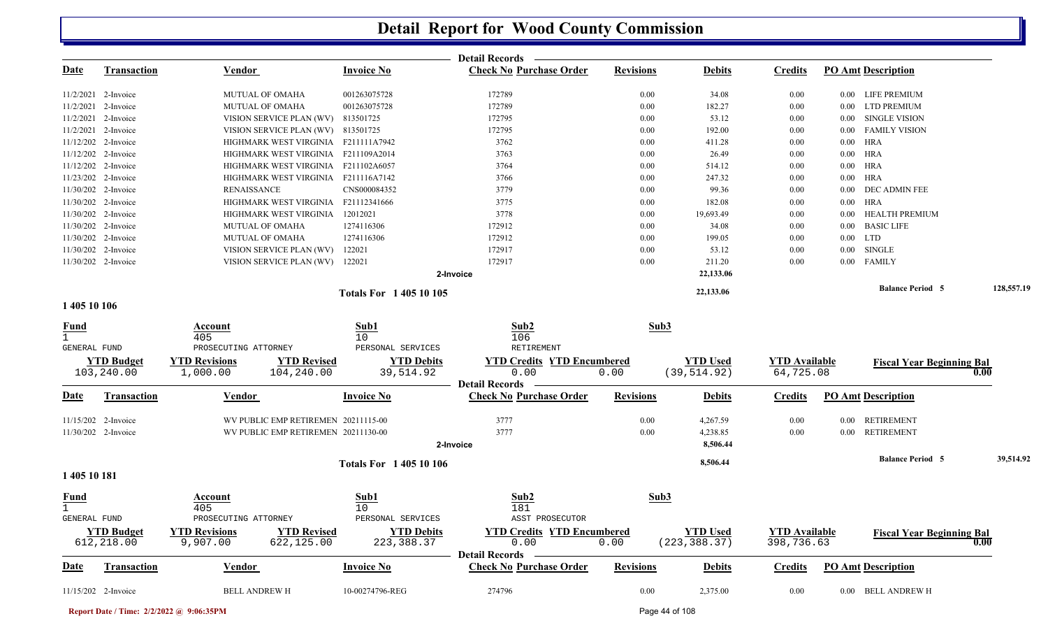|                             |                       |                                            |                             | Detail Records -                  |                  |                 |                      |                                  |            |
|-----------------------------|-----------------------|--------------------------------------------|-----------------------------|-----------------------------------|------------------|-----------------|----------------------|----------------------------------|------------|
| <u>Date</u>                 | <b>Transaction</b>    | <b>Vendor</b>                              | <b>Invoice No</b>           | <b>Check No Purchase Order</b>    | <b>Revisions</b> | <b>Debits</b>   | <b>Credits</b>       | <b>PO Amt Description</b>        |            |
|                             | 11/2/2021 2-Invoice   | <b>MUTUAL OF OMAHA</b>                     | 001263075728                | 172789                            | 0.00             | 34.08           | 0.00                 | 0.00 LIFE PREMIUM                |            |
| 11/2/2021                   | 2-Invoice             | <b>MUTUAL OF OMAHA</b>                     | 001263075728                | 172789                            | 0.00             | 182.27          | $0.00\,$             | <b>LTD PREMIUM</b><br>$0.00\,$   |            |
|                             | $11/2/2021$ 2-Invoice | VISION SERVICE PLAN (WV)                   | 813501725                   | 172795                            | 0.00             | 53.12           | $0.00\,$             | SINGLE VISION<br>$0.00\,$        |            |
|                             | 11/2/2021 2-Invoice   | VISION SERVICE PLAN (WV) 813501725         |                             | 172795                            | 0.00             | 192.00          | 0.00                 | <b>FAMILY VISION</b><br>$0.00\,$ |            |
|                             | 11/12/202 2-Invoice   | HIGHMARK WEST VIRGINIA F211111A7942        |                             | 3762                              | 0.00             | 411.28          | 0.00                 | $0.00$ HRA                       |            |
|                             | 11/12/202 2-Invoice   | HIGHMARK WEST VIRGINIA F211109A2014        |                             | 3763                              | 0.00             | 26.49           | 0.00                 | $0.00$ HRA                       |            |
|                             | 11/12/202 2-Invoice   | HIGHMARK WEST VIRGINIA F211102A6057        |                             | 3764                              | 0.00             | 514.12          | 0.00                 | $0.00$ HRA                       |            |
|                             | 11/23/202 2-Invoice   | HIGHMARK WEST VIRGINIA F211116A7142        |                             | 3766                              | 0.00             | 247.32          | $0.00\,$             | $0.00$ HRA                       |            |
|                             | 11/30/202 2-Invoice   | <b>RENAISSANCE</b>                         | CNS000084352                | 3779                              | 0.00             | 99.36           | $0.00\,$             | 0.00 DEC ADMIN FEE               |            |
|                             | 11/30/202 2-Invoice   | HIGHMARK WEST VIRGINIA F21112341666        |                             | 3775                              | 0.00             | 182.08          | 0.00                 | $0.00$ HRA                       |            |
|                             | 11/30/202 2-Invoice   | HIGHMARK WEST VIRGINIA                     | 12012021                    | 3778                              | 0.00             | 19,693.49       | $0.00\,$             | HEALTH PREMIUM<br>$0.00\,$       |            |
|                             | 11/30/202 2-Invoice   | <b>MUTUAL OF OMAHA</b>                     | 1274116306                  | 172912                            | 0.00             | 34.08           | $0.00\,$             | <b>BASIC LIFE</b><br>$0.00\,$    |            |
|                             | 11/30/202 2-Invoice   | <b>MUTUAL OF OMAHA</b>                     | 1274116306                  | 172912                            | 0.00             | 199.05          | 0.00                 | $0.00$ LTD                       |            |
|                             | 11/30/202 2-Invoice   | VISION SERVICE PLAN (WV)                   | 122021                      | 172917                            | $0.00\,$         | 53.12           | 0.00                 | SINGLE<br>$0.00\,$               |            |
|                             | 11/30/202 2-Invoice   | VISION SERVICE PLAN (WV) 122021            |                             | 172917                            | $0.00\,$         | 211.20          | 0.00                 | <b>FAMILY</b><br>$0.00\,$        |            |
|                             |                       |                                            |                             | 2-Invoice                         |                  | 22,133.06       |                      |                                  |            |
|                             |                       |                                            | <b>Totals For 140510105</b> |                                   |                  | 22,133.06       |                      | <b>Balance Period 5</b>          | 128,557.19 |
| 1 405 10 106                |                       |                                            |                             |                                   |                  |                 |                      |                                  |            |
| <u>Fund</u>                 |                       | Account                                    | Sub1                        | Sub2                              | Sub3             |                 |                      |                                  |            |
| $\mathbf{1}$                |                       | 405                                        | 10                          | 106                               |                  |                 |                      |                                  |            |
| <b>GENERAL FUND</b>         |                       | PROSECUTING ATTORNEY                       | PERSONAL SERVICES           | RETIREMENT                        |                  |                 |                      |                                  |            |
|                             | <b>YTD Budget</b>     | <b>YTD Revisions</b><br><b>YTD Revised</b> | <b>YTD Debits</b>           | <b>YTD Credits YTD Encumbered</b> |                  | <b>YTD Used</b> | <b>YTD Available</b> | <b>Fiscal Year Beginning Bal</b> |            |
|                             | 103,240.00            | 1,000.00<br>104,240.00                     | 39,514.92                   | 0.00<br><b>Detail Records</b>     | 0.00             | (39, 514.92)    | 64,725.08            | 0.00                             |            |
| Date                        | <b>Transaction</b>    | Vendor                                     | <b>Invoice No</b>           | <b>Check No Purchase Order</b>    | <b>Revisions</b> | <b>Debits</b>   | <b>Credits</b>       | <b>PO Amt Description</b>        |            |
|                             |                       |                                            |                             |                                   |                  |                 |                      |                                  |            |
|                             | 11/15/202 2-Invoice   | WV PUBLIC EMP RETIREMEN 20211115-00        |                             | 3777                              | 0.00             | 4,267.59        | 0.00                 | 0.00 RETIREMENT                  |            |
|                             | 11/30/202 2-Invoice   | WV PUBLIC EMP RETIREMEN 20211130-00        |                             | 3777                              | 0.00             | 4,238.85        | $0.00\,$             | 0.00 RETIREMENT                  |            |
|                             |                       |                                            |                             | 2-Invoice                         |                  | 8,506.44        |                      |                                  |            |
|                             |                       |                                            | <b>Totals For 140510106</b> |                                   |                  | 8,506.44        |                      | <b>Balance Period 5</b>          | 39,514.92  |
| 1 405 10 181                |                       |                                            |                             |                                   |                  |                 |                      |                                  |            |
| <b>Fund</b><br>$\mathbf{1}$ |                       | Account<br>405                             | Sub1<br>10                  | Sub2<br>181                       | Sub3             |                 |                      |                                  |            |
| GENERAL FUND                |                       | PROSECUTING ATTORNEY                       | PERSONAL SERVICES           | ASST PROSECUTOR                   |                  |                 |                      |                                  |            |
|                             | <b>YTD Budget</b>     | <b>YTD Revisions</b><br><b>YTD Revised</b> | <b>YTD Debits</b>           | <b>YTD Credits YTD Encumbered</b> |                  | <b>YTD Used</b> | <b>YTD Available</b> | <b>Fiscal Year Beginning Bal</b> |            |
|                             | 612,218.00            | 9,907.00<br>622,125.00                     | 223, 388.37                 | 0.00                              | 0.00             | (223, 388.37)   | 398,736.63           | 0.00                             |            |
|                             |                       |                                            |                             | Detail Records -                  |                  |                 |                      |                                  |            |
| <u>Date</u>                 | Transaction           | <b>Vendor</b>                              | <b>Invoice No</b>           | <b>Check No Purchase Order</b>    | <b>Revisions</b> | <b>Debits</b>   | <b>Credits</b>       | <b>PO Amt Description</b>        |            |
|                             | 11/15/202 2-Invoice   | <b>BELL ANDREW H</b>                       | 10-00274796-REG             | 274796                            | $0.00\,$         | 2,375.00        | $0.00\,$             | 0.00 BELL ANDREW H               |            |

**Report Date / Time: 2/2/2022 @ 9:06:35PM** Page 44 of 108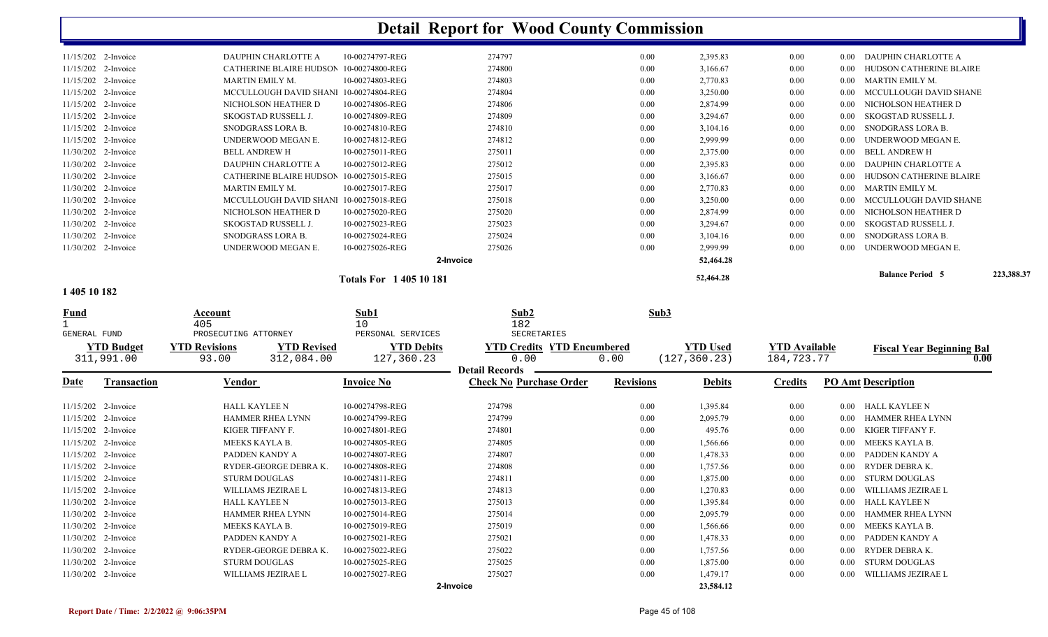|              | 11/15/202 2-Invoice | DAUPHIN CHARLOTTE A                        | 10-00274797-REG             | 274797                            | $0.00\,$         | 2,395.83        | 0.00                 | $0.00\,$ | DAUPHIN CHARLOTTE A              |            |
|--------------|---------------------|--------------------------------------------|-----------------------------|-----------------------------------|------------------|-----------------|----------------------|----------|----------------------------------|------------|
|              | 11/15/202 2-Invoice | CATHERINE BLAIRE HUDSON                    | 10-00274800-REG             | 274800                            | 0.00             | 3,166.67        | 0.00                 | 0.00     | HUDSON CATHERINE BLAIRE          |            |
|              | 11/15/202 2-Invoice | <b>MARTIN EMILY M.</b>                     | 10-00274803-REG             | 274803                            | $0.00\,$         | 2,770.83        | 0.00                 | 0.00     | MARTIN EMILY M.                  |            |
| 11/15/202    | 2-Invoice           | MCCULLOUGH DAVID SHANI 10-00274804-REG     |                             | 274804                            | $0.00\,$         | 3,250.00        | 0.00                 | 0.00     | MCCULLOUGH DAVID SHANE           |            |
|              | 11/15/202 2-Invoice | NICHOLSON HEATHER D                        | 10-00274806-REG             | 274806                            | 0.00             | 2,874.99        | 0.00                 | 0.00     | NICHOLSON HEATHER D              |            |
|              | 11/15/202 2-Invoice | SKOGSTAD RUSSELL J.                        | 10-00274809-REG             | 274809                            | $0.00\,$         | 3,294.67        | 0.00                 | 0.00     | <b>SKOGSTAD RUSSELL J.</b>       |            |
|              | 11/15/202 2-Invoice | SNODGRASS LORA B.                          | 10-00274810-REG             | 274810                            | $0.00\,$         | 3,104.16        | 0.00                 | 0.00     | SNODGRASS LORA B.                |            |
|              | 11/15/202 2-Invoice | UNDERWOOD MEGAN E.                         | 10-00274812-REG             | 274812                            | 0.00             | 2,999.99        | 0.00                 | 0.00     | UNDERWOOD MEGAN E.               |            |
|              | 11/30/202 2-Invoice | <b>BELL ANDREW H</b>                       | 10-00275011-REG             | 275011                            | $0.00\,$         | 2,375.00        | 0.00                 | 0.00     | <b>BELL ANDREW H</b>             |            |
|              | 11/30/202 2-Invoice | DAUPHIN CHARLOTTE A                        | 10-00275012-REG             | 275012                            | $0.00\,$         | 2,395.83        | 0.00                 | $0.00\,$ | DAUPHIN CHARLOTTE A              |            |
|              | 11/30/202 2-Invoice | CATHERINE BLAIRE HUDSON                    | 10-00275015-REG             | 275015                            | 0.00             | 3,166.67        | 0.00                 | 0.00     | HUDSON CATHERINE BLAIRE          |            |
|              | 11/30/202 2-Invoice | MARTIN EMILY M.                            | 10-00275017-REG             | 275017                            | $0.00\,$         | 2,770.83        | 0.00                 | $0.00\,$ | MARTIN EMILY M.                  |            |
|              | 11/30/202 2-Invoice | MCCULLOUGH DAVID SHANI                     | 10-00275018-REG             | 275018                            | $0.00\,$         | 3,250.00        | 0.00                 | 0.00     | MCCULLOUGH DAVID SHANE           |            |
|              | 11/30/202 2-Invoice | NICHOLSON HEATHER D                        | 10-00275020-REG             | 275020                            | $0.00\,$         | 2,874.99        | 0.00                 | 0.00     | NICHOLSON HEATHER D              |            |
|              | 11/30/202 2-Invoice | SKOGSTAD RUSSELL J.                        | 10-00275023-REG             | 275023                            | $0.00\,$         | 3,294.67        | 0.00                 | 0.00     | SKOGSTAD RUSSELL J.              |            |
| 11/30/202    | 2-Invoice           | SNODGRASS LORA B.                          | 10-00275024-REG             | 275024                            | $0.00\,$         | 3,104.16        | 0.00                 | 0.00     | SNODGRASS LORA B.                |            |
|              | 11/30/202 2-Invoice | UNDERWOOD MEGAN E.                         | 10-00275026-REG             | 275026                            | 0.00             | 2,999.99        | 0.00                 | 0.00     | UNDERWOOD MEGAN E.               |            |
|              |                     |                                            |                             | 2-Invoice                         |                  | 52,464.28       |                      |          |                                  |            |
|              |                     |                                            |                             |                                   |                  |                 |                      |          | <b>Balance Period 5</b>          | 223,388.37 |
|              |                     |                                            | <b>Totals For 140510181</b> |                                   |                  | 52,464.28       |                      |          |                                  |            |
| 1 405 10 182 |                     |                                            |                             |                                   |                  |                 |                      |          |                                  |            |
| <u>Fund</u>  |                     | Account                                    | Sub1                        | Sub2                              | Sub3             |                 |                      |          |                                  |            |
|              |                     | 405                                        | 10                          | 182                               |                  |                 |                      |          |                                  |            |
| GENERAL FUND |                     | PROSECUTING ATTORNEY                       | PERSONAL SERVICES           | SECRETARIES                       |                  |                 |                      |          |                                  |            |
|              | <b>YTD Budget</b>   | <b>YTD Revisions</b><br><b>YTD Revised</b> | <b>YTD Debits</b>           | <b>YTD Credits YTD Encumbered</b> |                  | <b>YTD Used</b> | <b>YTD</b> Available |          | <b>Fiscal Year Beginning Bal</b> |            |
|              | 311,991.00          | 93.00<br>312,084.00                        | 127,360.23                  | 0.00                              | 0.00             | (127, 360.23)   | 184,723.77           |          | 0.00                             |            |
|              |                     |                                            |                             | <b>Detail Records</b>             |                  |                 |                      |          |                                  |            |
| <u>Date</u>  | <b>Transaction</b>  | Vendor                                     | <b>Invoice No</b>           | <b>Check No Purchase Order</b>    | <b>Revisions</b> | <b>Debits</b>   | <b>Credits</b>       |          | <b>PO Amt Description</b>        |            |
|              | 11/15/202 2-Invoice | <b>HALL KAYLEE N</b>                       | 10-00274798-REG             | 274798                            | $0.00\,$         | 1,395.84        | 0.00                 | $0.00\,$ | HALL KAYLEE N                    |            |
|              | 11/15/202 2-Invoice | HAMMER RHEA LYNN                           | 10-00274799-REG             | 274799                            | $0.00\,$         | 2,095.79        | 0.00                 | $0.00\,$ | HAMMER RHEA LYNN                 |            |
|              | 11/15/202 2-Invoice | KIGER TIFFANY F.                           | 10-00274801-REG             | 274801                            | $0.00\,$         | 495.76          | 0.00                 | 0.00     | KIGER TIFFANY F.                 |            |
|              | 11/15/202 2-Invoice | MEEKS KAYLA B.                             | 10-00274805-REG             | 274805                            | $0.00\,$         | 1,566.66        | 0.00                 | 0.00     | MEEKS KAYLA B.                   |            |
| 11/15/202    | 2-Invoice           | PADDEN KANDY A                             | 10-00274807-REG             | 274807                            | $0.00\,$         | 1,478.33        | 0.00                 | $0.00\,$ | PADDEN KANDY A                   |            |
|              | 11/15/202 2-Invoice | RYDER-GEORGE DEBRAK.                       | 10-00274808-REG             | 274808                            | 0.00             | 1,757.56        | 0.00                 | 0.00     | RYDER DEBRA K.                   |            |
|              | 11/15/202 2-Invoice | STURM DOUGLAS                              | 10-00274811-REG             | 274811                            | $0.00\,$         | 1,875.00        | 0.00                 | 0.00     | <b>STURM DOUGLAS</b>             |            |
|              | 11/15/202 2-Invoice | WILLIAMS JEZIRAE L                         | 10-00274813-REG             | 274813                            | 0.00             | 1,270.83        | 0.00                 | 0.00     | WILLIAMS JEZIRAE L               |            |
|              | 11/30/202 2-Invoice | <b>HALL KAYLEE N</b>                       | 10-00275013-REG             | 275013                            | $0.00\,$         | 1,395.84        | 0.00                 |          | 0.00 HALL KAYLEE N               |            |
|              |                     |                                            |                             |                                   |                  |                 |                      |          |                                  |            |
|              | 11/30/202 2-Invoice | HAMMER RHEA LYNN                           | 10-00275014-REG             | 275014                            | $0.00\,$         | 2,095.79        | 0.00                 |          | 0.00 HAMMER RHEA LYNN            |            |
|              | 11/30/202 2-Invoice | MEEKS KAYLA B.                             | 10-00275019-REG             | 275019                            | $0.00\,$         | 1,566.66        | 0.00                 |          | 0.00 MEEKS KAYLA B.              |            |
|              | 11/30/202 2-Invoice | PADDEN KANDY A                             | 10-00275021-REG             | 275021                            | $0.00\,$         | 1,478.33        | 0.00                 |          | 0.00 PADDEN KANDY A              |            |
|              | 11/30/202 2-Invoice | RYDER-GEORGE DEBRAK.                       | 10-00275022-REG             | 275022                            | $0.00\,$         | 1,757.56        | 0.00                 |          | 0.00 RYDER DEBRAK.               |            |
|              | 11/30/202 2-Invoice | <b>STURM DOUGLAS</b>                       | 10-00275025-REG             | 275025                            | $0.00\,$         | 1,875.00        | 0.00                 | $0.00\,$ | STURM DOUGLAS                    |            |
|              | 11/30/202 2-Invoice | WILLIAMS JEZIRAE L                         | 10-00275027-REG             | 275027                            | $0.00\,$         | 1,479.17        | 0.00                 | $0.00\,$ | WILLIAMS JEZIRAE L               |            |
|              |                     |                                            |                             | 2-Invoice                         |                  | 23,584.12       |                      |          |                                  |            |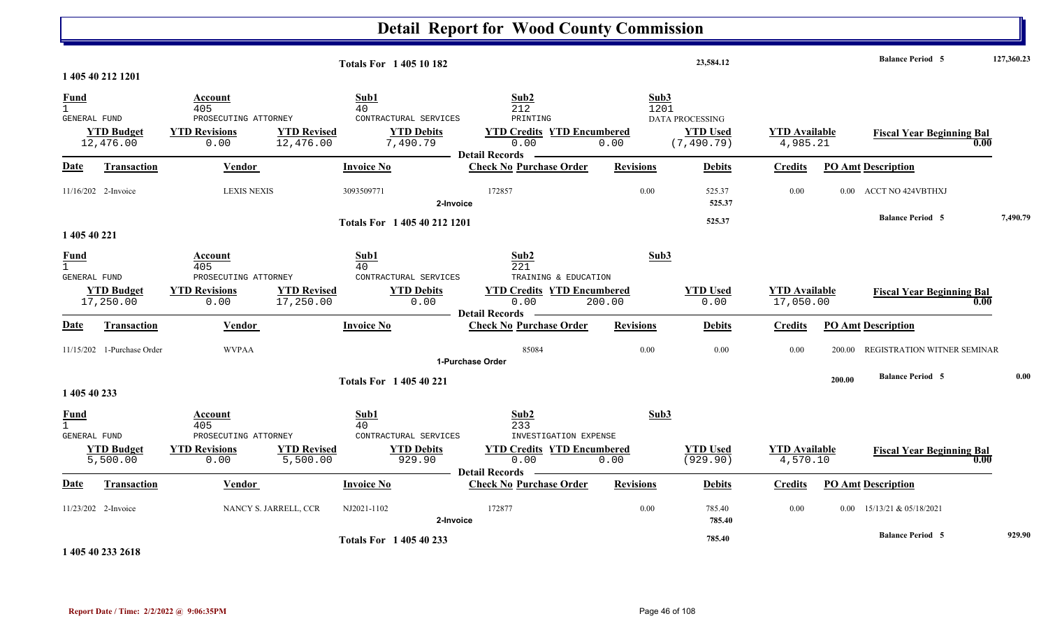|                                                    |                                |                                                                        |                                                                                                         | <b>Detail Report for Wood County Commission</b>                                               |                      |                                                          |                                   |        |                                  |            |
|----------------------------------------------------|--------------------------------|------------------------------------------------------------------------|---------------------------------------------------------------------------------------------------------|-----------------------------------------------------------------------------------------------|----------------------|----------------------------------------------------------|-----------------------------------|--------|----------------------------------|------------|
|                                                    | 1 405 40 212 1201              |                                                                        | <b>Totals For 140510182</b>                                                                             |                                                                                               |                      | 23,584.12                                                |                                   |        | <b>Balance Period 5</b>          | 127,360.23 |
| <b>Fund</b><br>$\mathbf{1}$<br><b>GENERAL FUND</b> | <b>YTD Budget</b><br>12,476.00 | Account<br>405<br>PROSECUTING ATTORNEY<br><b>YTD Revisions</b><br>0.00 | Sub1<br>40<br>CONTRACTURAL SERVICES<br><b>YTD Revised</b><br><b>YTD Debits</b><br>12,476.00<br>7,490.79 | Sub2<br>212<br>PRINTING<br><b>YTD Credits YTD Encumbered</b><br>0.00<br><b>Detail Records</b> | Sub3<br>1201<br>0.00 | <b>DATA PROCESSING</b><br><b>YTD</b> Used<br>(7, 490.79) | <b>YTD Available</b><br>4,985.21  |        | <b>Fiscal Year Beginning Bal</b> | 0.00       |
| Date                                               | Transaction                    | <b>Vendor</b>                                                          | <b>Invoice No</b>                                                                                       | <b>Check No Purchase Order</b>                                                                | <b>Revisions</b>     | <b>Debits</b>                                            | <b>Credits</b>                    |        | <b>PO Amt Description</b>        |            |
|                                                    | 11/16/202 2-Invoice            | <b>LEXIS NEXIS</b>                                                     | 3093509771                                                                                              | 172857<br>2-Invoice                                                                           | 0.00                 | 525.37<br>525.37                                         | 0.00                              |        | 0.00 ACCT NO 424VBTHXJ           |            |
| 1 405 40 221                                       |                                |                                                                        | Totals For 1 405 40 212 1201                                                                            |                                                                                               |                      | 525.37                                                   |                                   |        | <b>Balance Period 5</b>          | 7,490.79   |
| <b>Fund</b><br>$\mathbf{1}$<br><b>GENERAL FUND</b> |                                | Account<br>405<br>PROSECUTING ATTORNEY                                 | Sub1<br>40<br>CONTRACTURAL SERVICES                                                                     | Sub2<br>221<br>TRAINING & EDUCATION                                                           | Sub3                 |                                                          |                                   |        |                                  |            |
|                                                    | <b>YTD Budget</b><br>17,250.00 | <b>YTD Revisions</b><br>0.00                                           | <b>YTD Revised</b><br><b>YTD Debits</b><br>17,250.00<br>0.00                                            | <b>YTD Credits YTD Encumbered</b><br>0.00                                                     | 200.00               | <b>YTD Used</b><br>0.00                                  | <b>YTD</b> Available<br>17,050.00 |        | <b>Fiscal Year Beginning Bal</b> | 0.00       |
| <u>Date</u>                                        | Transaction                    | Vendor                                                                 | <b>Invoice No</b>                                                                                       | <b>Detail Records</b><br><b>Check No Purchase Order</b>                                       | <b>Revisions</b>     | <b>Debits</b>                                            | <b>Credits</b>                    |        | <b>PO Amt Description</b>        |            |
|                                                    | 11/15/202 1-Purchase Order     | <b>WVPAA</b>                                                           |                                                                                                         | 85084<br>1-Purchase Order                                                                     | 0.00                 | 0.00                                                     | 0.00                              | 200.00 | REGISTRATION WITNER SEMINAR      |            |
| 1 405 40 233                                       |                                |                                                                        | <b>Totals For 140540221</b>                                                                             |                                                                                               |                      |                                                          |                                   | 200.00 | <b>Balance Period 5</b>          | 0.00       |
| <u>Fund</u><br>$\mathbf{1}$<br><b>GENERAL FUND</b> | <b>YTD Budget</b>              | Account<br>405<br>PROSECUTING ATTORNEY<br><b>YTD Revisions</b>         | Sub1<br>40<br>CONTRACTURAL SERVICES<br><b>YTD Revised</b><br><b>YTD Debits</b>                          | Sub2<br>233<br>INVESTIGATION EXPENSE<br><b>YTD Credits YTD Encumbered</b>                     | Sub3                 | <b>YTD Used</b>                                          | <b>YTD</b> Available              |        | <b>Fiscal Year Beginning Bal</b> |            |
|                                                    | 5,500.00                       | 0.00                                                                   | 5,500.00<br>929.90                                                                                      | 0.00<br><b>Detail Records</b>                                                                 | 0.00                 | (929.90)                                                 | 4,570.10                          |        |                                  | 0.00       |
| Date                                               | <b>Transaction</b>             | Vendor                                                                 | <b>Invoice No</b>                                                                                       | <b>Check No Purchase Order</b>                                                                | <b>Revisions</b>     | <b>Debits</b>                                            | <b>Credits</b>                    |        | <b>PO Amt Description</b>        |            |
|                                                    | 11/23/202 2-Invoice            | NANCY S. JARRELL, CCR                                                  | NJ2021-1102                                                                                             | 172877<br>2-Invoice                                                                           | 0.00                 | 785.40<br>785.40                                         | 0.00                              |        | $0.00$ 15/13/21 & 05/18/2021     |            |
|                                                    |                                |                                                                        | <b>Totals For 140540233</b>                                                                             |                                                                                               |                      | 785.40                                                   |                                   |        | <b>Balance Period 5</b>          | 929.90     |

**1 405 40 233 2618**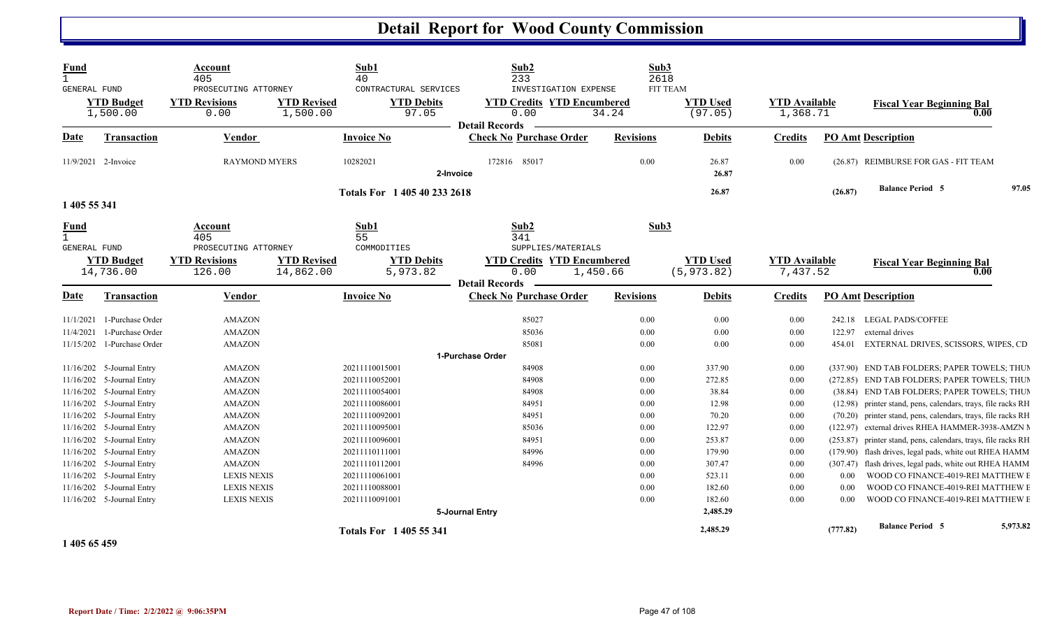| <b>Fund</b><br>$\mathbf{1}$<br>GENERAL FUND |                                | Account<br>405<br>PROSECUTING ATTORNEY                 |                                 | Sub1<br>40<br>CONTRACTURAL SERVICES          | Sub2<br>233<br>INVESTIGATION EXPENSE                                                     |                  | Sub3<br>2618<br><b>FIT TEAM</b> |                                  |          |                                                               |          |
|---------------------------------------------|--------------------------------|--------------------------------------------------------|---------------------------------|----------------------------------------------|------------------------------------------------------------------------------------------|------------------|---------------------------------|----------------------------------|----------|---------------------------------------------------------------|----------|
|                                             | <b>YTD Budget</b><br>1,500.00  | <b>YTD Revisions</b><br>0.00                           | <b>YTD Revised</b><br>1,500.00  | <b>YTD Debits</b><br>97.05                   | <b>YTD Credits YTD Encumbered</b><br>0.00                                                | 34.24            | <b>YTD</b> Used<br>(97.05)      | <b>YTD</b> Available<br>1,368.71 |          | <b>Fiscal Year Beginning Bal</b><br>0.00                      |          |
| Date                                        | <b>Transaction</b>             | <b>Vendor</b>                                          |                                 | <b>Invoice No</b>                            | <b>Detail Records</b><br><b>Check No Purchase Order</b>                                  | <b>Revisions</b> | <b>Debits</b>                   | <b>Credits</b>                   |          | <b>PO Amt Description</b>                                     |          |
|                                             | 11/9/2021 2-Invoice            | <b>RAYMOND MYERS</b>                                   |                                 | 10282021                                     | 172816 85017<br>2-Invoice                                                                | 0.00             | 26.87<br>26.87                  | 0.00                             |          | (26.87) REIMBURSE FOR GAS - FIT TEAM                          |          |
|                                             |                                |                                                        |                                 | Totals For 1 405 40 233 2618                 |                                                                                          |                  | 26.87                           |                                  | (26.87)  | <b>Balance Period 5</b>                                       | 97.05    |
| 1 405 55 341                                |                                |                                                        |                                 |                                              |                                                                                          |                  |                                 |                                  |          |                                                               |          |
| <u>Fund</u><br>$\mathbf{1}$                 |                                | Account<br>405                                         |                                 | Sub1<br>55                                   | Sub2<br>341                                                                              |                  | Sub3                            |                                  |          |                                                               |          |
| <b>GENERAL FUND</b>                         | <b>YTD Budget</b><br>14,736.00 | PROSECUTING ATTORNEY<br><b>YTD Revisions</b><br>126.00 | <b>YTD Revised</b><br>14,862.00 | COMMODITIES<br><b>YTD Debits</b><br>5,973.82 | SUPPLIES/MATERIALS<br><b>YTD Credits YTD Encumbered</b><br>0.00<br><b>Detail Records</b> | 1,450.66         | <b>YTD Used</b><br>(5, 973.82)  | <b>YTD Available</b><br>7,437.52 |          | <b>Fiscal Year Beginning Bal</b><br>$\boldsymbol{0.00}$       |          |
| <u>Date</u>                                 | Transaction                    | Vendor                                                 |                                 | <b>Invoice No</b>                            | <b>Check No Purchase Order</b>                                                           | <b>Revisions</b> | <b>Debits</b>                   | <b>Credits</b>                   |          | <b>PO Amt Description</b>                                     |          |
| 11/1/2021                                   | 1-Purchase Order               | <b>AMAZON</b>                                          |                                 |                                              | 85027                                                                                    | 0.00             | 0.00                            | 0.00                             | 242.18   | <b>LEGAL PADS/COFFEE</b>                                      |          |
| 11/4/2021                                   | 1-Purchase Order               | <b>AMAZON</b>                                          |                                 |                                              | 85036                                                                                    | 0.00             | 0.00                            | $0.00\,$                         | 122.97   | external drives                                               |          |
|                                             | 11/15/202 1-Purchase Order     | <b>AMAZON</b>                                          |                                 |                                              | 85081                                                                                    | 0.00             | 0.00                            | 0.00                             | 454.01   | EXTERNAL DRIVES, SCISSORS, WIPES, CD                          |          |
|                                             |                                |                                                        |                                 |                                              | 1-Purchase Order                                                                         |                  |                                 |                                  |          |                                                               |          |
|                                             | 11/16/202 5-Journal Entry      | <b>AMAZON</b>                                          |                                 | 20211110015001                               | 84908                                                                                    | 0.00             | 337.90                          | 0.00                             |          | (337.90) END TAB FOLDERS; PAPER TOWELS; THUP                  |          |
|                                             | 11/16/202 5-Journal Entry      | <b>AMAZON</b>                                          |                                 | 20211110052001                               | 84908                                                                                    | 0.00             | 272.85                          | 0.00                             |          | (272.85) END TAB FOLDERS; PAPER TOWELS; THUN                  |          |
|                                             | 11/16/202 5-Journal Entry      | <b>AMAZON</b>                                          |                                 | 20211110054001                               | 84908                                                                                    | 0.00             | 38.84                           | 0.00                             |          | (38.84) END TAB FOLDERS; PAPER TOWELS; THUN                   |          |
|                                             | 11/16/202 5-Journal Entry      | <b>AMAZON</b>                                          |                                 | 20211110086001                               | 84951                                                                                    | 0.00             | 12.98                           | 0.00                             |          | (12.98) printer stand, pens, calendars, trays, file racks RH  |          |
|                                             | 11/16/202 5-Journal Entry      | AMAZON                                                 |                                 | 20211110092001                               | 84951                                                                                    | 0.00             | 70.20                           | 0.00                             |          | (70.20) printer stand, pens, calendars, trays, file racks RH  |          |
|                                             | 11/16/202 5-Journal Entry      | <b>AMAZON</b>                                          |                                 | 20211110095001                               | 85036                                                                                    | 0.00             | 122.97                          | 0.00                             |          | (122.97) external drives RHEA HAMMER-3938-AMZN M              |          |
|                                             | 11/16/202 5-Journal Entry      | <b>AMAZON</b>                                          |                                 | 20211110096001                               | 84951                                                                                    | 0.00             | 253.87                          | 0.00                             |          | (253.87) printer stand, pens, calendars, trays, file racks RH |          |
|                                             | 11/16/202 5-Journal Entry      | <b>AMAZON</b>                                          |                                 | 20211110111001                               | 84996                                                                                    | 0.00             | 179.90                          | 0.00                             |          | (179.90) flash drives, legal pads, white out RHEA HAMM        |          |
|                                             | 11/16/202 5-Journal Entry      | <b>AMAZON</b>                                          |                                 | 20211110112001                               | 84996                                                                                    | 0.00             | 307.47                          | 0.00                             |          | (307.47) flash drives, legal pads, white out RHEA HAMM        |          |
|                                             | 11/16/202 5-Journal Entry      | <b>LEXIS NEXIS</b>                                     |                                 | 20211110061001                               |                                                                                          | 0.00             | 523.11                          | 0.00                             | 0.00     | WOOD CO FINANCE-4019-REI MATTHEW E                            |          |
|                                             | 11/16/202 5-Journal Entry      | <b>LEXIS NEXIS</b>                                     |                                 | 20211110088001                               |                                                                                          | 0.00             | 182.60                          | 0.00                             | 0.00     | WOOD CO FINANCE-4019-REI MATTHEW E                            |          |
|                                             | 11/16/202 5-Journal Entry      | <b>LEXIS NEXIS</b>                                     |                                 | 20211110091001                               |                                                                                          | 0.00             | 182.60                          | 0.00                             | 0.00     | WOOD CO FINANCE-4019-REI MATTHEW E                            |          |
|                                             |                                |                                                        |                                 | <b>Totals For 1405 55 341</b>                | 5-Journal Entry                                                                          |                  | 2,485.29<br>2,485.29            |                                  | (777.82) | <b>Balance Period 5</b>                                       | 5,973.82 |
|                                             |                                |                                                        |                                 |                                              |                                                                                          |                  |                                 |                                  |          |                                                               |          |

**1 405 65 459**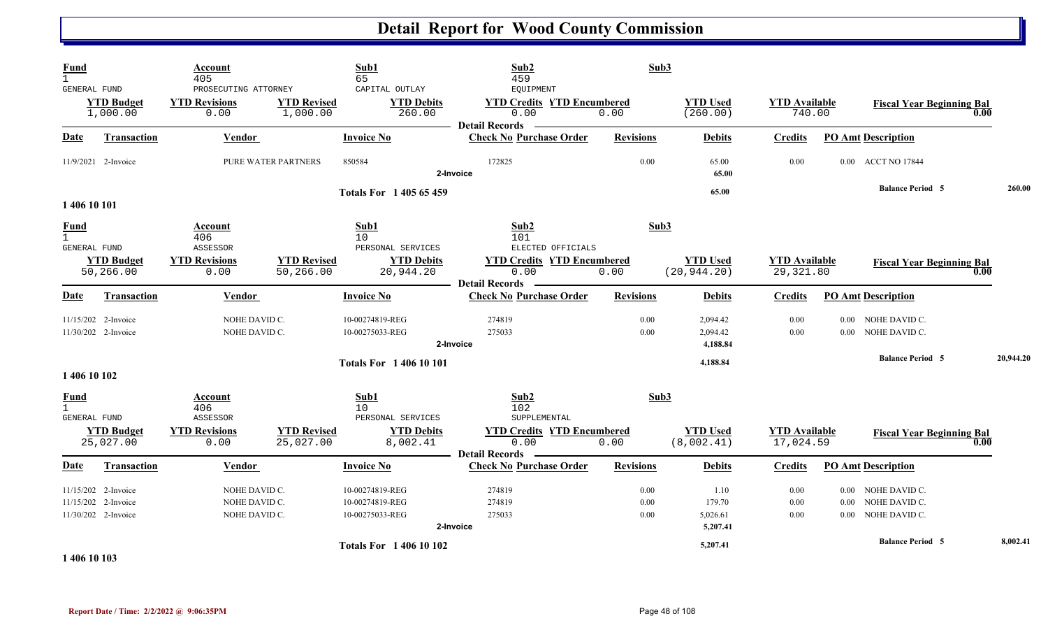| <b>Fund</b><br>$\mathbf{1}$<br><b>GENERAL FUND</b> | <b>YTD Budget</b><br>1,000.00                                     | Account<br>405<br>PROSECUTING ATTORNEY<br><b>YTD Revisions</b><br>0.00 | <b>YTD Revised</b><br>1,000.00  | Sub1<br>65<br>CAPITAL OUTLAY<br><b>YTD Debits</b><br>260.00 | Sub2<br>459<br><b>EQUIPMENT</b><br><b>YTD Credits YTD Encumbered</b><br>0.00<br><b>Detail Records</b> | Sub3<br>0.00         | <b>YTD Used</b><br>(260.00)            | <b>YTD</b> Available<br>740.00    |                  | <b>Fiscal Year Beginning Bal</b>                     | 0.00 |           |
|----------------------------------------------------|-------------------------------------------------------------------|------------------------------------------------------------------------|---------------------------------|-------------------------------------------------------------|-------------------------------------------------------------------------------------------------------|----------------------|----------------------------------------|-----------------------------------|------------------|------------------------------------------------------|------|-----------|
| <b>Date</b>                                        | <b>Transaction</b>                                                | <b>Vendor</b>                                                          |                                 | <b>Invoice No</b>                                           | <b>Check No Purchase Order</b>                                                                        | <b>Revisions</b>     | <b>Debits</b>                          | <b>Credits</b>                    |                  | <b>PO Amt Description</b>                            |      |           |
|                                                    | 11/9/2021 2-Invoice                                               |                                                                        | PURE WATER PARTNERS             | 850584                                                      | 172825<br>2-Invoice                                                                                   | 0.00                 | 65.00<br>65.00                         | 0.00                              |                  | 0.00 ACCT NO 17844                                   |      |           |
| 1 406 10 101                                       |                                                                   |                                                                        |                                 | Totals For 1 405 65 459                                     |                                                                                                       |                      | 65.00                                  |                                   |                  | <b>Balance Period 5</b>                              |      | 260.00    |
| <b>Fund</b><br>$\mathbf{1}$<br>GENERAL FUND        |                                                                   | Account<br>406<br>ASSESSOR                                             |                                 | Sub1<br>10<br>PERSONAL SERVICES                             | Sub2<br>101<br>ELECTED OFFICIALS                                                                      | Sub3                 |                                        |                                   |                  |                                                      |      |           |
|                                                    | <b>YTD Budget</b><br>50,266.00                                    | <b>YTD Revisions</b><br>0.00                                           | <b>YTD Revised</b><br>50,266.00 | <b>YTD Debits</b><br>20,944.20                              | <b>YTD Credits YTD Encumbered</b><br>0.00<br><b>Detail Records</b>                                    | 0.00                 | <b>YTD Used</b><br>(20, 944.20)        | <b>YTD</b> Available<br>29,321.80 |                  | <b>Fiscal Year Beginning Bal</b>                     | 0.00 |           |
| <b>Date</b>                                        | Transaction                                                       | Vendor                                                                 |                                 | <b>Invoice No</b>                                           | <b>Check No Purchase Order</b>                                                                        | <b>Revisions</b>     | <b>Debits</b>                          | <b>Credits</b>                    |                  | <b>PO Amt Description</b>                            |      |           |
|                                                    | 11/15/202 2-Invoice<br>11/30/202 2-Invoice                        | NOHE DAVID C.<br>NOHE DAVID C.                                         |                                 | 10-00274819-REG<br>10-00275033-REG                          | 274819<br>275033<br>2-Invoice                                                                         | 0.00<br>0.00         | 2,094.42<br>2,094.42<br>4,188.84       | 0.00<br>0.00                      | 0.00<br>$0.00 -$ | NOHE DAVID C.<br>NOHE DAVID C.                       |      |           |
|                                                    |                                                                   |                                                                        |                                 | <b>Totals For 140610101</b>                                 |                                                                                                       |                      | 4,188.84                               |                                   |                  | <b>Balance Period 5</b>                              |      | 20,944.20 |
| 1 406 10 102                                       |                                                                   |                                                                        |                                 |                                                             |                                                                                                       |                      |                                        |                                   |                  |                                                      |      |           |
| <b>Fund</b><br>$\mathbf{1}$<br><b>GENERAL FUND</b> |                                                                   | Account<br>406<br>ASSESSOR                                             |                                 | Sub1<br>10<br>PERSONAL SERVICES                             | Sub2<br>102<br>SUPPLEMENTAL                                                                           | Sub3                 |                                        |                                   |                  |                                                      |      |           |
|                                                    | <b>YTD Budget</b><br>25,027.00                                    | <b>YTD Revisions</b><br>0.00                                           | <b>YTD Revised</b><br>25,027.00 | <b>YTD Debits</b><br>8,002.41                               | <b>YTD Credits YTD Encumbered</b><br>0.00<br><b>Detail Records</b>                                    | 0.00                 | <b>YTD Used</b><br>(8,002.41)          | <b>YTD Available</b><br>17,024.59 |                  | <b>Fiscal Year Beginning Bal</b>                     | 0.00 |           |
| Date                                               | Transaction                                                       | Vendor                                                                 |                                 | <b>Invoice No</b>                                           | <b>Check No Purchase Order</b>                                                                        | <b>Revisions</b>     | <b>Debits</b>                          | <b>Credits</b>                    |                  | <b>PO Amt Description</b>                            |      |           |
|                                                    | 11/15/202 2-Invoice<br>11/15/202 2-Invoice<br>11/30/202 2-Invoice | NOHE DAVID C.<br>NOHE DAVID C.<br>NOHE DAVID C.                        |                                 | 10-00274819-REG<br>10-00274819-REG<br>10-00275033-REG       | 274819<br>274819<br>275033<br>2-Invoice                                                               | 0.00<br>0.00<br>0.00 | 1.10<br>179.70<br>5,026.61<br>5,207.41 | 0.00<br>0.00<br>0.00              | 0.00<br>$0.00 -$ | 0.00 NOHE DAVID C.<br>NOHE DAVID C.<br>NOHE DAVID C. |      |           |
|                                                    |                                                                   |                                                                        |                                 | <b>Totals For 1 406 10 102</b>                              |                                                                                                       |                      | 5,207.41                               |                                   |                  | <b>Balance Period 5</b>                              |      | 8,002.41  |

**1 406 10 103**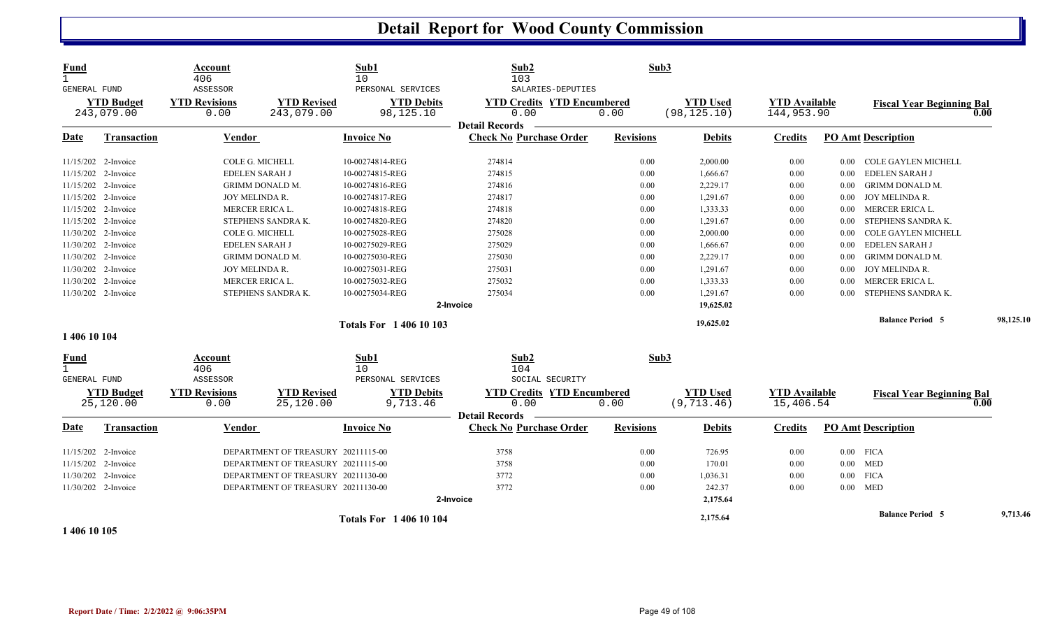| <b>Fund</b><br>$\mathbf{1}$<br>GENERAL FUND | <b>YTD Budget</b><br>243,079.00 | Account<br>406<br>ASSESSOR<br><b>YTD Revisions</b><br>0.00 | <b>YTD Revised</b><br>243,079.00   | Sub1<br>10<br>PERSONAL SERVICES<br><b>YTD Debits</b><br>98,125.10 | Sub2<br>103<br>SALARIES-DEPUTIES<br><b>YTD Credits YTD Encumbered</b><br>0.00<br><b>Detail Records</b> | Sub3<br>0.00     | <b>YTD Used</b><br>(98, 125.10) | <b>YTD Available</b><br>144,953.90 |          | <b>Fiscal Year Beginning Bal</b> | 0.00      |
|---------------------------------------------|---------------------------------|------------------------------------------------------------|------------------------------------|-------------------------------------------------------------------|--------------------------------------------------------------------------------------------------------|------------------|---------------------------------|------------------------------------|----------|----------------------------------|-----------|
| Date                                        | <b>Transaction</b>              | Vendor                                                     |                                    | <b>Invoice No</b>                                                 | <b>Check No Purchase Order</b>                                                                         | <b>Revisions</b> | <b>Debits</b>                   | <b>Credits</b>                     |          | <b>PO Amt Description</b>        |           |
|                                             | 11/15/202 2-Invoice             | COLE G. MICHELL                                            |                                    | 10-00274814-REG                                                   | 274814                                                                                                 | 0.00             | 2,000.00                        | 0.00                               | 0.00     | COLE GAYLEN MICHELL              |           |
|                                             | 11/15/202 2-Invoice             | <b>EDELEN SARAH J</b>                                      |                                    | 10-00274815-REG                                                   | 274815                                                                                                 | 0.00             | 1,666.67                        | 0.00                               | 0.00     | EDELEN SARAH J                   |           |
|                                             | 11/15/202 2-Invoice             |                                                            | GRIMM DONALD M.                    | 10-00274816-REG                                                   | 274816                                                                                                 | 0.00             | 2,229.17                        | 0.00                               | 0.00     | <b>GRIMM DONALD M.</b>           |           |
|                                             | 11/15/202 2-Invoice             | JOY MELINDA R.                                             |                                    | 10-00274817-REG                                                   | 274817                                                                                                 | 0.00             | 1,291.67                        | 0.00                               | 0.00     | JOY MELINDA R.                   |           |
|                                             | 11/15/202 2-Invoice             | <b>MERCER ERICA L.</b>                                     |                                    | 10-00274818-REG                                                   | 274818                                                                                                 | 0.00             | 1,333.33                        | 0.00                               | 0.00     | MERCER ERICA L.                  |           |
|                                             | 11/15/202 2-Invoice             |                                                            | STEPHENS SANDRA K.                 | 10-00274820-REG                                                   | 274820                                                                                                 | 0.00             | 1,291.67                        | 0.00                               | 0.00     | STEPHENS SANDRA K.               |           |
|                                             | 11/30/202 2-Invoice             | COLE G. MICHELL                                            |                                    | 10-00275028-REG                                                   | 275028                                                                                                 | 0.00             | 2,000.00                        | 0.00                               | 0.00     | COLE GAYLEN MICHELL              |           |
|                                             | 11/30/202 2-Invoice             | <b>EDELEN SARAH J</b>                                      |                                    | 10-00275029-REG                                                   | 275029                                                                                                 | 0.00             | 1,666.67                        | 0.00                               | 0.00     | EDELEN SARAH J                   |           |
|                                             | 11/30/202 2-Invoice             |                                                            | <b>GRIMM DONALD M.</b>             | 10-00275030-REG                                                   | 275030                                                                                                 | 0.00             | 2,229.17                        | 0.00                               | 0.00     | <b>GRIMM DONALD M.</b>           |           |
|                                             | 11/30/202 2-Invoice             | JOY MELINDA R.                                             |                                    | 10-00275031-REG                                                   | 275031                                                                                                 | 0.00             | 1,291.67                        | 0.00                               | 0.00     | JOY MELINDA R.                   |           |
|                                             | 11/30/202 2-Invoice             | MERCER ERICA L.                                            |                                    | 10-00275032-REG                                                   | 275032                                                                                                 | 0.00             | 1,333.33                        | 0.00                               | 0.00     | MERCER ERICA L.                  |           |
|                                             | 11/30/202 2-Invoice             |                                                            | STEPHENS SANDRA K.                 | 10-00275034-REG                                                   | 275034                                                                                                 | 0.00             | 1,291.67                        | 0.00                               | 0.00     | STEPHENS SANDRA K.               |           |
|                                             |                                 |                                                            |                                    |                                                                   | 2-Invoice                                                                                              |                  | 19,625.02                       |                                    |          |                                  |           |
|                                             |                                 |                                                            |                                    | <b>Totals For 1 406 10 103</b>                                    |                                                                                                        |                  | 19,625.02                       |                                    |          | <b>Balance Period 5</b>          | 98,125.10 |
| 1 406 10 104                                |                                 |                                                            |                                    |                                                                   |                                                                                                        |                  |                                 |                                    |          |                                  |           |
| <b>Fund</b><br>$\mathbf{1}$                 |                                 | Account<br>406                                             |                                    | Sub1<br>10                                                        | Sub2<br>104                                                                                            | Sub3             |                                 |                                    |          |                                  |           |
| GENERAL FUND                                |                                 | ASSESSOR                                                   |                                    | PERSONAL SERVICES                                                 | SOCIAL SECURITY                                                                                        |                  |                                 |                                    |          |                                  |           |
|                                             | <b>YTD Budget</b><br>25,120.00  | <b>YTD Revisions</b><br>0.00                               | <b>YTD Revised</b><br>25,120.00    | <b>YTD Debits</b><br>9,713.46                                     | <b>YTD Credits YTD Encumbered</b><br>0.00<br><b>Detail Records</b>                                     | 0.00             | <b>YTD</b> Used<br>(9, 713.46)  | <b>YTD Available</b><br>15,406.54  |          | <b>Fiscal Year Beginning Bal</b> | 0.00      |
| Date                                        | Transaction                     | <b>Vendor</b>                                              |                                    | <b>Invoice No</b>                                                 | <b>Check No Purchase Order</b>                                                                         | <b>Revisions</b> | <b>Debits</b>                   | <b>Credits</b>                     |          | <b>PO Amt Description</b>        |           |
|                                             | 11/15/202 2-Invoice             |                                                            | DEPARTMENT OF TREASURY 20211115-00 |                                                                   | 3758                                                                                                   | 0.00             | 726.95                          | 0.00                               |          | $0.00$ FICA                      |           |
|                                             | 11/15/202 2-Invoice             |                                                            | DEPARTMENT OF TREASURY 20211115-00 |                                                                   | 3758                                                                                                   | 0.00             | 170.01                          | 0.00                               |          | $0.00$ MED                       |           |
|                                             | 11/30/202 2-Invoice             |                                                            | DEPARTMENT OF TREASURY 20211130-00 |                                                                   | 3772                                                                                                   | 0.00             | 1,036.31                        | 0.00                               | $0.00\,$ | <b>FICA</b>                      |           |
|                                             | 11/30/202 2-Invoice             |                                                            | DEPARTMENT OF TREASURY 20211130-00 |                                                                   | 3772                                                                                                   | 0.00             | 242.37                          | 0.00                               | $0.00\,$ | <b>MED</b>                       |           |
|                                             |                                 |                                                            |                                    |                                                                   | 2-Invoice                                                                                              |                  | 2,175.64                        |                                    |          |                                  |           |
|                                             |                                 |                                                            |                                    | <b>Totals For 140610104</b>                                       |                                                                                                        |                  | 2,175.64                        |                                    |          | <b>Balance Period 5</b>          | 9,713.46  |

**1 406 10 105**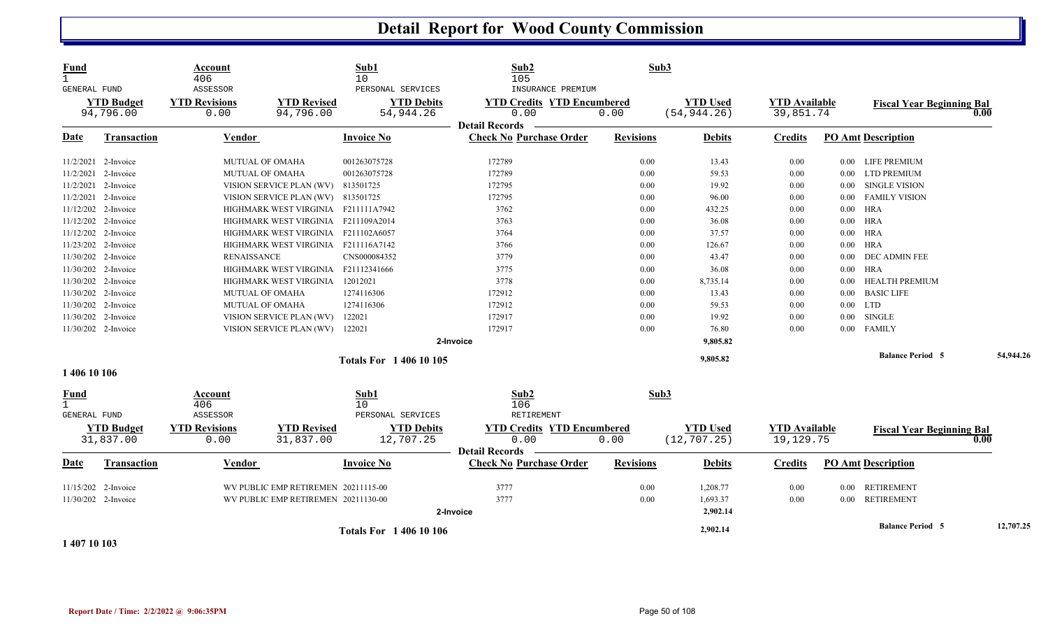| <b>Fund</b><br>$\mathbf{1}$<br>GENERAL FUND | <b>YTD Budget</b>              | Account<br>406<br>ASSESSOR<br><b>YTD Revisions</b> | <b>YTD Revised</b>                  | Sub1<br>10<br>PERSONAL SERVICES<br><b>YTD Debits</b> | Sub2<br>105<br>INSURANCE PREMIUM<br><b>YTD Credits YTD Encumbered</b> | Sub3             | <b>YTD Used</b>                 | <b>YTD Available</b>              |          | <b>Fiscal Year Beginning Bal</b> |      |           |
|---------------------------------------------|--------------------------------|----------------------------------------------------|-------------------------------------|------------------------------------------------------|-----------------------------------------------------------------------|------------------|---------------------------------|-----------------------------------|----------|----------------------------------|------|-----------|
|                                             | 94,796.00                      | 0.00                                               | 94,796.00                           | 54,944.26                                            | 0.00                                                                  | 0.00             | (54, 944.26)                    | 39,851.74                         |          |                                  | 0.00 |           |
| Date                                        | <b>Transaction</b>             | Vendor                                             |                                     | <b>Invoice No</b>                                    | <b>Detail Records</b><br><b>Check No Purchase Order</b>               | <b>Revisions</b> | <b>Debits</b>                   | Credits                           |          | <b>PO Amt Description</b>        |      |           |
|                                             | 11/2/2021 2-Invoice            |                                                    | <b>MUTUAL OF OMAHA</b>              | 001263075728                                         | 172789                                                                | 0.00             | 13.43                           | 0.00                              | $0.00\,$ | LIFE PREMIUM                     |      |           |
|                                             | 11/2/2021 2-Invoice            |                                                    | <b>MUTUAL OF OMAHA</b>              | 001263075728                                         | 172789                                                                | 0.00             | 59.53                           | 0.00                              | $0.00\,$ | <b>LTD PREMIUM</b>               |      |           |
|                                             | 11/2/2021 2-Invoice            |                                                    | VISION SERVICE PLAN (WV)            | 813501725                                            | 172795                                                                | 0.00             | 19.92                           | 0.00                              | 0.00     | <b>SINGLE VISION</b>             |      |           |
|                                             | 11/2/2021 2-Invoice            |                                                    | VISION SERVICE PLAN (WV) 813501725  |                                                      | 172795                                                                | 0.00             | 96.00                           | 0.00                              | $0.00\,$ | <b>FAMILY VISION</b>             |      |           |
|                                             | 11/12/202 2-Invoice            |                                                    | HIGHMARK WEST VIRGINIA F211111A7942 |                                                      | 3762                                                                  | 0.00             | 432.25                          | 0.00                              | $0.00\,$ | HRA                              |      |           |
|                                             | 11/12/202 2-Invoice            |                                                    | HIGHMARK WEST VIRGINIA              | F211109A2014                                         | 3763                                                                  | 0.00             | 36.08                           | 0.00                              | $0.00\,$ | HRA                              |      |           |
|                                             | 11/12/202 2-Invoice            |                                                    | HIGHMARK WEST VIRGINIA              | F211102A6057                                         | 3764                                                                  | 0.00             | 37.57                           | 0.00                              |          | $0.00$ HRA                       |      |           |
|                                             | 11/23/202 2-Invoice            |                                                    | HIGHMARK WEST VIRGINIA F211116A7142 |                                                      | 3766                                                                  | 0.00             | 126.67                          | 0.00                              | $0.00\,$ | <b>HRA</b>                       |      |           |
|                                             | 11/30/202 2-Invoice            | <b>RENAISSANCE</b>                                 |                                     | CNS000084352                                         | 3779                                                                  | 0.00             | 43.47                           | 0.00                              | $0.00\,$ | DEC ADMIN FEE                    |      |           |
|                                             | 11/30/202 2-Invoice            |                                                    | HIGHMARK WEST VIRGINIA              | F21112341666                                         | 3775                                                                  | 0.00             | 36.08                           | 0.00                              | 0.00     | <b>HRA</b>                       |      |           |
|                                             | 11/30/202 2-Invoice            |                                                    | HIGHMARK WEST VIRGINIA              | 12012021                                             | 3778                                                                  | 0.00             | 8,735.14                        | 0.00                              | 0.00     | <b>HEALTH PREMIUM</b>            |      |           |
|                                             | 11/30/202 2-Invoice            |                                                    | <b>MUTUAL OF OMAHA</b>              | 1274116306                                           | 172912                                                                | 0.00             | 13.43                           | 0.00                              | 0.00     | <b>BASIC LIFE</b>                |      |           |
|                                             | 11/30/202 2-Invoice            |                                                    | <b>MUTUAL OF OMAHA</b>              | 1274116306                                           | 172912                                                                | 0.00             | 59.53                           | 0.00                              | 0.00     | <b>LTD</b>                       |      |           |
|                                             | 11/30/202 2-Invoice            |                                                    | VISION SERVICE PLAN (WV)            | 122021                                               | 172917                                                                | 0.00             | 19.92                           | 0.00                              | $0.00\,$ | SINGLE                           |      |           |
|                                             | 11/30/202 2-Invoice            |                                                    | VISION SERVICE PLAN (WV) 122021     |                                                      | 172917                                                                | 0.00             | 76.80                           | 0.00                              |          | 0.00 FAMILY                      |      |           |
|                                             |                                |                                                    |                                     |                                                      | 2-Invoice                                                             |                  | 9,805.82                        |                                   |          |                                  |      |           |
|                                             |                                |                                                    |                                     | <b>Totals For 140610105</b>                          |                                                                       |                  | 9,805.82                        |                                   |          | <b>Balance Period 5</b>          |      | 54,944.26 |
| 1 406 10 106                                |                                |                                                    |                                     |                                                      |                                                                       |                  |                                 |                                   |          |                                  |      |           |
| <u>Fund</u><br>GENERAL FUND                 |                                | Account<br>406<br>ASSESSOR                         |                                     | Sub1<br>10<br>PERSONAL SERVICES                      | Sub2<br>106<br>RETIREMENT                                             | Sub3             |                                 |                                   |          |                                  |      |           |
|                                             | <b>YTD Budget</b><br>31,837.00 | <b>YTD Revisions</b><br>0.00                       | <b>YTD Revised</b><br>31,837.00     | <b>YTD Debits</b><br>12,707.25                       | <b>YTD Credits YTD Encumbered</b><br>0.00<br><b>Detail Records</b>    | 0.00             | <b>YTD Used</b><br>(12, 707.25) | <b>YTD Available</b><br>19,129.75 |          | <b>Fiscal Year Beginning Bal</b> | 0.00 |           |
| <u>Date</u>                                 | <b>Transaction</b>             | Vendor                                             |                                     | <b>Invoice No</b>                                    | <b>Check No Purchase Order</b>                                        | <b>Revisions</b> | <b>Debits</b>                   | <b>Credits</b>                    |          | <b>PO Amt Description</b>        |      |           |
|                                             | 11/15/202 2-Invoice            |                                                    | WV PUBLIC EMP RETIREMEN 20211115-00 |                                                      | 3777                                                                  | 0.00             | 1,208.77                        | 0.00                              | 0.00     | <b>RETIREMENT</b>                |      |           |
|                                             | 11/30/202 2-Invoice            |                                                    | WV PUBLIC EMP RETIREMEN 20211130-00 |                                                      | 3777<br>2-Invoice                                                     | 0.00             | 1,693.37<br>2,902.14            | 0.00                              |          | 0.00 RETIREMENT                  |      |           |
|                                             |                                |                                                    |                                     | <b>Totals For 140610106</b>                          |                                                                       |                  | 2,902.14                        |                                   |          | <b>Balance Period 5</b>          |      | 12,707.25 |

**1 407 10 103**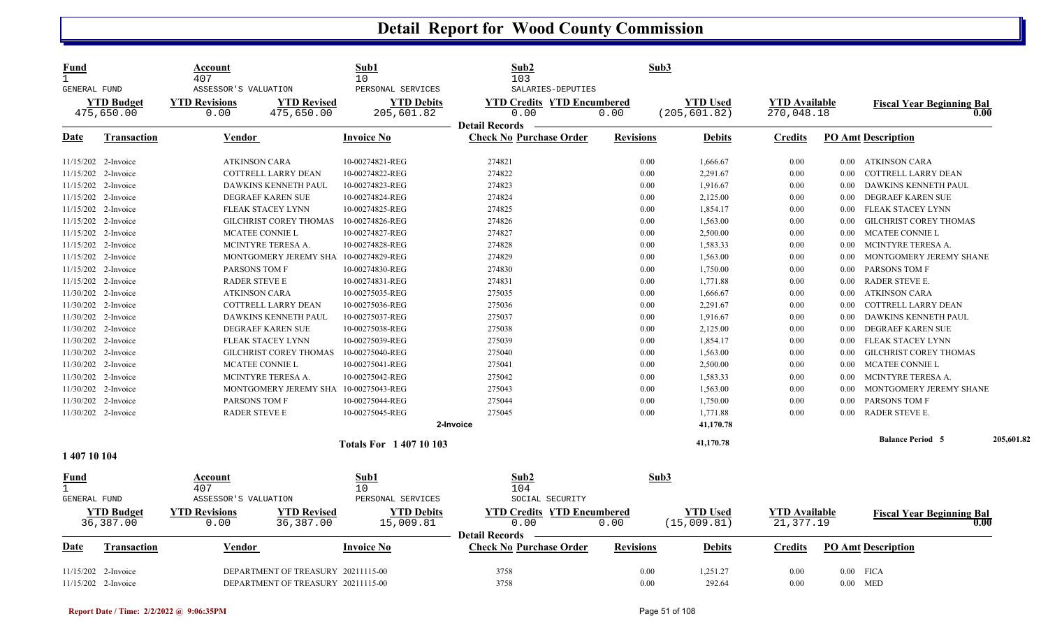| <b>Fund</b><br>$\mathbf{1}$<br>GENERAL FUND |                    | Account<br>407<br>ASSESSOR'S VALUATION |                                       | Sub1<br>10<br>PERSONAL SERVICES | Sub2<br>103<br>SALARIES-DEPUTIES  | Sub3             |                 |                      |          |                                  |            |
|---------------------------------------------|--------------------|----------------------------------------|---------------------------------------|---------------------------------|-----------------------------------|------------------|-----------------|----------------------|----------|----------------------------------|------------|
|                                             | <b>YTD Budget</b>  | <b>YTD Revisions</b>                   | <b>YTD Revised</b>                    | <b>YTD Debits</b>               | <b>YTD Credits YTD Encumbered</b> |                  | <b>YTD Used</b> | <b>YTD Available</b> |          | <b>Fiscal Year Beginning Bal</b> |            |
|                                             | 475,650.00         | 0.00                                   | 475,650.00                            | 205,601.82                      | 0.00<br><b>Detail Records</b>     | 0.00             | (205, 601.82)   | 270,048.18           |          | 0.00                             |            |
| Date                                        | <b>Transaction</b> | Vendor                                 |                                       | <b>Invoice No</b>               | <b>Check No Purchase Order</b>    | <b>Revisions</b> | <b>Debits</b>   | <b>Credits</b>       |          | <b>PO Amt Description</b>        |            |
| 11/15/202 2-Invoice                         |                    | <b>ATKINSON CARA</b>                   |                                       | 10-00274821-REG                 | 274821                            | 0.00             | 1,666.67        | 0.00                 | $0.00\,$ | ATKINSON CARA                    |            |
| 11/15/202 2-Invoice                         |                    |                                        | <b>COTTRELL LARRY DEAN</b>            | 10-00274822-REG                 | 274822                            | 0.00             | 2,291.67        | 0.00                 | 0.00     | COTTRELL LARRY DEAN              |            |
| 11/15/202 2-Invoice                         |                    |                                        | DAWKINS KENNETH PAUL                  | 10-00274823-REG                 | 274823                            | 0.00             | 1,916.67        | 0.00                 | 0.00     | DAWKINS KENNETH PAUL             |            |
| 11/15/202 2-Invoice                         |                    |                                        | DEGRAEF KAREN SUE                     | 10-00274824-REG                 | 274824                            | 0.00             | 2,125.00        | 0.00                 | 0.00     | DEGRAEF KAREN SUE                |            |
| 11/15/202 2-Invoice                         |                    |                                        | FLEAK STACEY LYNN                     | 10-00274825-REG                 | 274825                            | 0.00             | 1,854.17        | 0.00                 | 0.00     | FLEAK STACEY LYNN                |            |
| 11/15/202 2-Invoice                         |                    |                                        | GILCHRIST COREY THOMAS                | 10-00274826-REG                 | 274826                            | 0.00             | 1,563.00        | 0.00                 | 0.00     | <b>GILCHRIST COREY THOMAS</b>    |            |
| 11/15/202 2-Invoice                         |                    | MCATEE CONNIE L                        |                                       | 10-00274827-REG                 | 274827                            | 0.00             | 2,500.00        | 0.00                 | $0.00\,$ | MCATEE CONNIE L                  |            |
| 11/15/202 2-Invoice                         |                    |                                        | MCINTYRE TERESA A.                    | 10-00274828-REG                 | 274828                            | 0.00             | 1,583.33        | 0.00                 | 0.00     | MCINTYRE TERESA A.               |            |
| 11/15/202 2-Invoice                         |                    |                                        | MONTGOMERY JEREMY SHA 10-00274829-REG |                                 | 274829                            | 0.00             | 1,563.00        | 0.00                 | 0.00     | MONTGOMERY JEREMY SHANE          |            |
| 11/15/202 2-Invoice                         |                    | PARSONS TOM F                          |                                       | 10-00274830-REG                 | 274830                            | 0.00             | 1,750.00        | 0.00                 | 0.00     | PARSONS TOM F                    |            |
| 11/15/202 2-Invoice                         |                    | <b>RADER STEVE E</b>                   |                                       | 10-00274831-REG                 | 274831                            | 0.00             | 1,771.88        | 0.00                 | $0.00\,$ | RADER STEVE E.                   |            |
| 11/30/202 2-Invoice                         |                    | <b>ATKINSON CARA</b>                   |                                       | 10-00275035-REG                 | 275035                            | 0.00             | 1,666.67        | 0.00                 | 0.00     | <b>ATKINSON CARA</b>             |            |
| 11/30/202 2-Invoice                         |                    |                                        | COTTRELL LARRY DEAN                   | 10-00275036-REG                 | 275036                            | 0.00             | 2,291.67        | 0.00                 | 0.00     | COTTRELL LARRY DEAN              |            |
| 11/30/202 2-Invoice                         |                    |                                        | DAWKINS KENNETH PAUL                  | 10-00275037-REG                 | 275037                            | 0.00             | 1,916.67        | 0.00                 | 0.00     | DAWKINS KENNETH PAUL             |            |
| 11/30/202 2-Invoice                         |                    |                                        | <b>DEGRAEF KAREN SUE</b>              | 10-00275038-REG                 | 275038                            | 0.00             | 2,125.00        | 0.00                 | 0.00     | <b>DEGRAEF KAREN SUE</b>         |            |
| 11/30/202 2-Invoice                         |                    |                                        | FLEAK STACEY LYNN                     | 10-00275039-REG                 | 275039                            | 0.00             | 1,854.17        | 0.00                 | $0.00\,$ | FLEAK STACEY LYNN                |            |
| 11/30/202 2-Invoice                         |                    |                                        | GILCHRIST COREY THOMAS                | 10-00275040-REG                 | 275040                            | 0.00             | 1,563.00        | 0.00                 | 0.00     | <b>GILCHRIST COREY THOMAS</b>    |            |
| 11/30/202 2-Invoice                         |                    | MCATEE CONNIE L                        |                                       | 10-00275041-REG                 | 275041                            | 0.00             | 2,500.00        | 0.00                 | 0.00     | MCATEE CONNIE L                  |            |
| 11/30/202 2-Invoice                         |                    |                                        | MCINTYRE TERESA A.                    | 10-00275042-REG                 | 275042                            | 0.00             | 1,583.33        | 0.00                 | 0.00     | MCINTYRE TERESA A.               |            |
| 11/30/202 2-Invoice                         |                    |                                        | MONTGOMERY JEREMY SHA 10-00275043-REG |                                 | 275043                            | 0.00             | 1,563.00        | 0.00                 | 0.00     | MONTGOMERY JEREMY SHANE          |            |
| 11/30/202 2-Invoice                         |                    | PARSONS TOM F                          |                                       | 10-00275044-REG                 | 275044                            | 0.00             | 1,750.00        | 0.00                 | 0.00     | PARSONS TOM F                    |            |
| 11/30/202 2-Invoice                         |                    | <b>RADER STEVE E</b>                   |                                       | 10-00275045-REG                 | 275045                            | 0.00             | 1,771.88        | 0.00                 | 0.00     | <b>RADER STEVE E.</b>            |            |
|                                             |                    |                                        |                                       |                                 | 2-Invoice                         |                  | 41,170.78       |                      |          |                                  |            |
|                                             |                    |                                        |                                       | <b>Totals For 140710103</b>     |                                   |                  | 41,170.78       |                      |          | <b>Balance Period 5</b>          | 205,601.82 |
| 1 407 10 104                                |                    |                                        |                                       |                                 |                                   |                  |                 |                      |          |                                  |            |
| <u>Fund</u>                                 |                    | Account                                |                                       | Sub1                            | Sub2                              | Sub3             |                 |                      |          |                                  |            |
| $\mathbf{1}$                                |                    | 407                                    |                                       | 10                              | 104                               |                  |                 |                      |          |                                  |            |
| <b>GENERAL FUND</b>                         |                    | ASSESSOR'S VALUATION                   |                                       | PERSONAL SERVICES               | SOCIAL SECURITY                   |                  |                 |                      |          |                                  |            |
|                                             | <b>YTD Budget</b>  | <b>YTD Revisions</b>                   | <b>YTD Revised</b>                    | <b>YTD Debits</b>               | <b>YTD Credits YTD Encumbered</b> |                  | <b>YTD</b> Used | <b>YTD Available</b> |          | <b>Fiscal Year Beginning Bal</b> |            |
|                                             | 36,387.00          | 0.00                                   | 36, 387.00                            | 15,009.81                       | 0.00                              | 0.00             | (15,009.81)     | 21,377.19            |          | 0.00                             |            |
|                                             |                    |                                        |                                       |                                 | <b>Detail Records</b>             |                  |                 |                      |          |                                  |            |
| <u>Date</u>                                 | <b>Transaction</b> | Vendor                                 |                                       | <b>Invoice No</b>               | <b>Check No Purchase Order</b>    | <b>Revisions</b> | <b>Debits</b>   | <b>Credits</b>       |          | <b>PO Amt Description</b>        |            |
|                                             |                    |                                        |                                       |                                 |                                   |                  |                 |                      |          |                                  |            |
| 11/15/202 2-Invoice                         |                    |                                        | DEPARTMENT OF TREASURY 20211115-00    |                                 | 3758                              | 0.00             | 1,251.27        | 0.00                 | $0.00\,$ | <b>FICA</b>                      |            |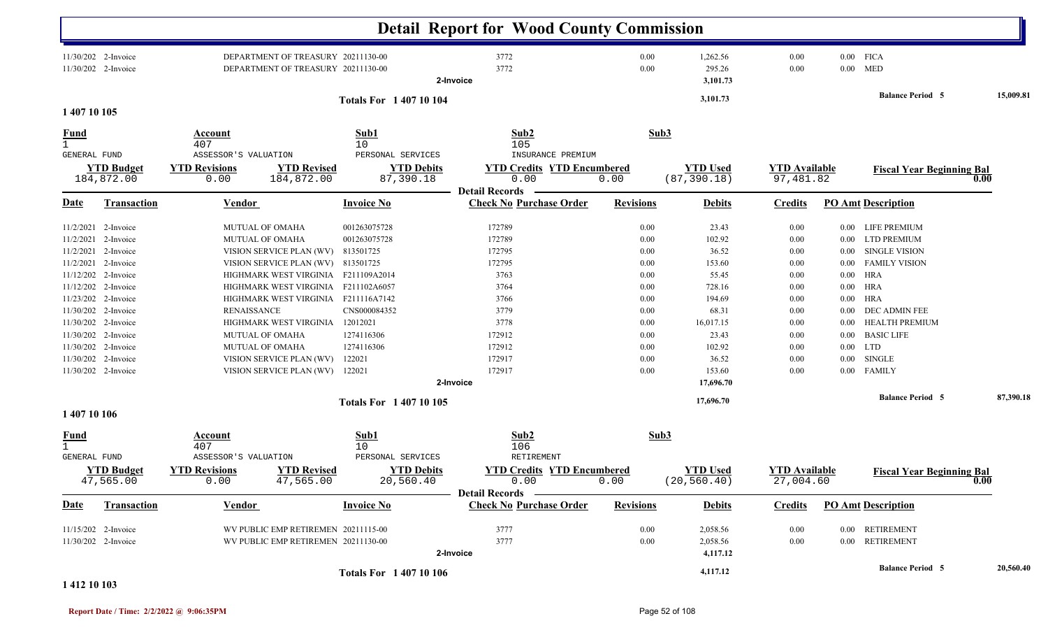|                              |                                            |                              |                                                                          |                                | <b>Detail Report for Wood County Commission</b>         |                  |                                 |                                   |          |                                  |           |
|------------------------------|--------------------------------------------|------------------------------|--------------------------------------------------------------------------|--------------------------------|---------------------------------------------------------|------------------|---------------------------------|-----------------------------------|----------|----------------------------------|-----------|
|                              | 11/30/202 2-Invoice<br>11/30/202 2-Invoice |                              | DEPARTMENT OF TREASURY 20211130-00<br>DEPARTMENT OF TREASURY 20211130-00 |                                | 3772<br>3772<br>2-Invoice                               | 0.00<br>0.00     | 1,262.56<br>295.26<br>3,101.73  | 0.00<br>0.00                      |          | $0.00$ FICA<br>$0.00$ MED        |           |
| 1 407 10 105                 |                                            |                              |                                                                          | <b>Totals For 140710104</b>    |                                                         |                  | 3,101.73                        |                                   |          | <b>Balance Period 5</b>          | 15,009.81 |
| <u>Fund</u>                  |                                            | Account                      |                                                                          | Sub1                           | Sub2                                                    | Sub3             |                                 |                                   |          |                                  |           |
| $\mathbf{1}$<br>GENERAL FUND |                                            | 407<br>ASSESSOR'S VALUATION  |                                                                          | 10<br>PERSONAL SERVICES        | 105<br>INSURANCE PREMIUM                                |                  |                                 |                                   |          |                                  |           |
|                              | <b>YTD Budget</b><br>184,872.00            | <b>YTD Revisions</b><br>0.00 | <b>YTD Revised</b><br>184,872.00                                         | <b>YTD Debits</b><br>87,390.18 | <b>YTD Credits YTD Encumbered</b><br>0.00               | 0.00             | <b>YTD Used</b><br>(87, 390.18) | <b>YTD Available</b><br>97,481.82 |          | <b>Fiscal Year Beginning Bal</b> | 0.00      |
| <b>Date</b>                  | <b>Transaction</b>                         | <b>Vendor</b>                |                                                                          | <b>Invoice No</b>              | <b>Detail Records</b><br><b>Check No Purchase Order</b> | <b>Revisions</b> | <b>Debits</b>                   | <b>Credits</b>                    |          | <b>PO Amt Description</b>        |           |
|                              | 11/2/2021 2-Invoice                        |                              | <b>MUTUAL OF OMAHA</b>                                                   | 001263075728                   | 172789                                                  | 0.00             | 23.43                           | 0.00                              |          | 0.00 LIFE PREMIUM                |           |
| 11/2/2021                    | 2-Invoice                                  |                              | <b>MUTUAL OF OMAHA</b>                                                   | 001263075728                   | 172789                                                  | 0.00             | 102.92                          | 0.00                              | $0.00\,$ | <b>LTD PREMIUM</b>               |           |
|                              | 11/2/2021 2-Invoice                        |                              | VISION SERVICE PLAN (WV)                                                 | 813501725                      | 172795                                                  | 0.00             | 36.52                           | 0.00                              | $0.00\,$ | <b>SINGLE VISION</b>             |           |
| 11/2/2021                    | 2-Invoice                                  |                              | VISION SERVICE PLAN (WV) 813501725                                       |                                | 172795                                                  | 0.00             | 153.60                          | 0.00                              | $0.00\,$ | <b>FAMILY VISION</b>             |           |
| 11/12/202                    | 2-Invoice                                  |                              | HIGHMARK WEST VIRGINIA                                                   | F211109A2014                   | 3763                                                    | 0.00             | 55.45                           | 0.00                              | $0.00\,$ | HRA                              |           |
| 11/12/202                    | 2-Invoice                                  |                              | HIGHMARK WEST VIRGINIA                                                   | F211102A6057                   | 3764                                                    | 0.00             | 728.16                          | 0.00                              | $0.00\,$ | HRA                              |           |
| 11/23/202                    | 2-Invoice                                  |                              | HIGHMARK WEST VIRGINIA                                                   | F211116A7142                   | 3766                                                    | 0.00             | 194.69                          | 0.00                              | $0.00\,$ | HRA                              |           |
|                              | 11/30/202 2-Invoice                        | <b>RENAISSANCE</b>           |                                                                          | CNS000084352                   | 3779                                                    | 0.00             | 68.31                           | 0.00                              | $0.00\,$ | DEC ADMIN FEE                    |           |
|                              | 11/30/202 2-Invoice                        |                              | HIGHMARK WEST VIRGINIA                                                   | 12012021                       | 3778                                                    | 0.00             | 16,017.15                       | 0.00                              | 0.00     | HEALTH PREMIUM                   |           |
|                              | 11/30/202 2-Invoice                        |                              | <b>MUTUAL OF OMAHA</b>                                                   | 1274116306                     | 172912                                                  | 0.00             | 23.43                           | 0.00                              | $0.00\,$ | <b>BASIC LIFE</b>                |           |
|                              | 11/30/202 2-Invoice                        |                              | <b>MUTUAL OF OMAHA</b>                                                   | 1274116306                     | 172912                                                  | 0.00             | 102.92                          | 0.00                              |          | $0.00$ LTD                       |           |
|                              | 11/30/202 2-Invoice                        |                              | VISION SERVICE PLAN (WV)                                                 | 122021                         | 172917                                                  | 0.00             | 36.52                           | 0.00                              | $0.00\,$ | SINGLE                           |           |
|                              | 11/30/202 2-Invoice                        |                              | VISION SERVICE PLAN (WV) 122021                                          |                                | 172917                                                  | 0.00             | 153.60                          | 0.00                              |          | 0.00 FAMILY                      |           |
|                              |                                            |                              |                                                                          |                                | 2-Invoice                                               |                  | 17,696.70                       |                                   |          |                                  |           |
| 1 407 10 106                 |                                            |                              |                                                                          | Totals For 1 407 10 105        |                                                         |                  | 17,696.70                       |                                   |          | <b>Balance Period 5</b>          | 87,390.18 |
|                              |                                            | Account                      |                                                                          | Sub1                           | Sub2                                                    | Sub3             |                                 |                                   |          |                                  |           |
| <u>Fund</u><br>$\mathbf 1$   |                                            | 407                          |                                                                          | 10                             | 106                                                     |                  |                                 |                                   |          |                                  |           |
| GENERAL FUND                 |                                            | ASSESSOR'S VALUATION         |                                                                          | PERSONAL SERVICES              | RETIREMENT                                              |                  |                                 |                                   |          |                                  |           |
|                              | <b>YTD Budget</b><br>47,565.00             | <b>YTD Revisions</b><br>0.00 | <b>YTD Revised</b><br>47,565.00                                          | <b>YTD Debits</b><br>20,560.40 | <b>YTD Credits YTD Encumbered</b><br>0.00               | 0.00             | <b>YTD Used</b><br>(20, 560.40) | <b>YTD Available</b><br>27,004.60 |          | <b>Fiscal Year Beginning Bal</b> | 0.00      |
| <u>Date</u>                  | <b>Transaction</b>                         | Vendor                       |                                                                          | <b>Invoice No</b>              | Detail Records —<br><b>Check No Purchase Order</b>      | <b>Revisions</b> | <b>Debits</b>                   | <b>Credits</b>                    |          | <b>PO Amt Description</b>        |           |
|                              | 11/15/202 2-Invoice                        |                              | WV PUBLIC EMP RETIREMEN 20211115-00                                      |                                | 3777                                                    | $0.00\,$         | 2,058.56                        | 0.00                              |          | 0.00 RETIREMENT                  |           |
|                              | 11/30/202 2-Invoice                        |                              | WV PUBLIC EMP RETIREMEN 20211130-00                                      |                                | 3777<br>2-Invoice                                       | $0.00\,$         | 2,058.56<br>4,117.12            | $0.00\,$                          |          | 0.00 RETIREMENT                  |           |
|                              |                                            |                              |                                                                          | <b>Totals For 140710106</b>    |                                                         |                  | 4,117.12                        |                                   |          | <b>Balance Period 5</b>          | 20,560.40 |

#### **1 412 10 103**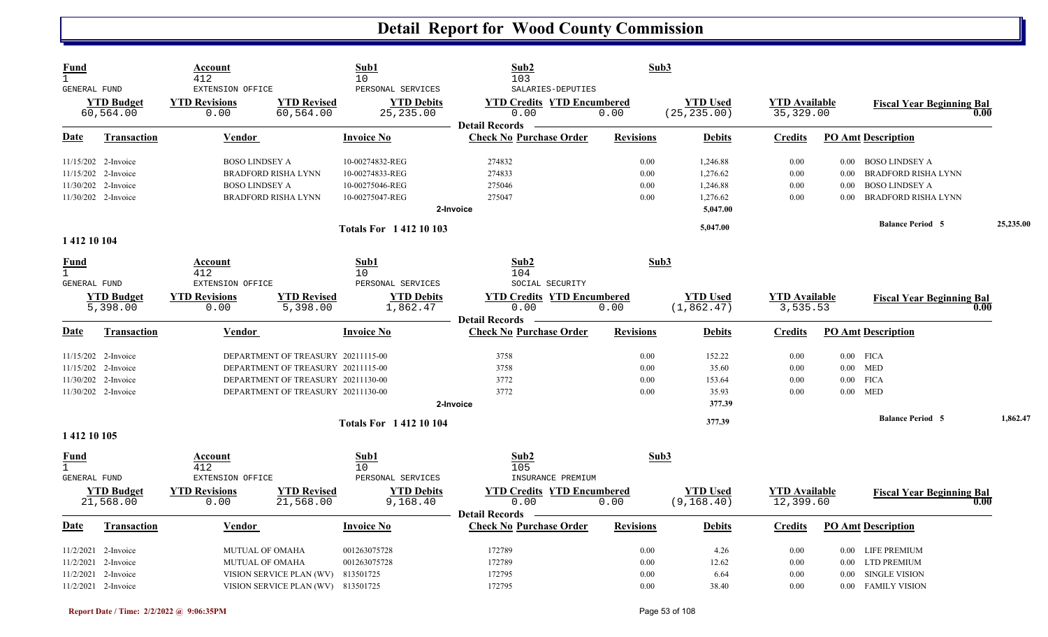| <b>Fund</b>                  |                     | Account                 |                                    | Sub1                        | Sub2                              | Sub3             |                 |                      |          |                                  |           |
|------------------------------|---------------------|-------------------------|------------------------------------|-----------------------------|-----------------------------------|------------------|-----------------|----------------------|----------|----------------------------------|-----------|
| $\mathbf{1}$<br>GENERAL FUND |                     | 412<br>EXTENSION OFFICE |                                    | 10<br>PERSONAL SERVICES     | 103<br>SALARIES-DEPUTIES          |                  |                 |                      |          |                                  |           |
|                              | <b>YTD</b> Budget   | <b>YTD Revisions</b>    | <b>YTD Revised</b>                 | <b>YTD Debits</b>           | <b>YTD Credits YTD Encumbered</b> |                  | <b>YTD Used</b> | <b>YTD</b> Available |          | <b>Fiscal Year Beginning Bal</b> |           |
|                              | 60,564.00           | 0.00                    | 60,564.00                          | 25, 235.00                  | 0.00                              | 0.00             | (25, 235.00)    | 35, 329.00           |          |                                  | 0.00      |
|                              |                     |                         |                                    |                             | <b>Detail Records</b>             |                  |                 |                      |          |                                  |           |
| <b>Date</b>                  | <b>Transaction</b>  | <b>Vendor</b>           |                                    | <b>Invoice No</b>           | <b>Check No Purchase Order</b>    | <b>Revisions</b> | <b>Debits</b>   | <b>Credits</b>       |          | <b>PO Amt Description</b>        |           |
|                              | 11/15/202 2-Invoice | <b>BOSO LINDSEY A</b>   |                                    | 10-00274832-REG             | 274832                            | 0.00             | 1,246.88        | 0.00                 |          | 0.00 BOSO LINDSEY A              |           |
|                              | 11/15/202 2-Invoice |                         | <b>BRADFORD RISHA LYNN</b>         | 10-00274833-REG             | 274833                            | 0.00             | 1,276.62        | 0.00                 | 0.00     | BRADFORD RISHA LYNN              |           |
|                              | 11/30/202 2-Invoice | <b>BOSO LINDSEY A</b>   |                                    | 10-00275046-REG             | 275046                            | 0.00             | 1,246.88        | 0.00                 | 0.00     | <b>BOSO LINDSEY A</b>            |           |
|                              | 11/30/202 2-Invoice |                         | <b>BRADFORD RISHA LYNN</b>         | 10-00275047-REG             | 275047                            | 0.00             | 1,276.62        | 0.00                 | 0.00     | BRADFORD RISHA LYNN              |           |
|                              |                     |                         |                                    |                             | 2-Invoice                         |                  | 5,047.00        |                      |          |                                  |           |
|                              |                     |                         |                                    | <b>Totals For 141210103</b> |                                   |                  | 5,047.00        |                      |          | <b>Balance Period 5</b>          | 25,235.00 |
| 1 412 10 104                 |                     |                         |                                    |                             |                                   |                  |                 |                      |          |                                  |           |
| <u>Fund</u>                  |                     | <b>Account</b>          |                                    | Sub1                        | Sub <sub>2</sub>                  | Sub3             |                 |                      |          |                                  |           |
| $\mathbf{1}$                 |                     | 412                     |                                    | 10                          | 104                               |                  |                 |                      |          |                                  |           |
| GENERAL FUND                 |                     | EXTENSION OFFICE        |                                    | PERSONAL SERVICES           | SOCIAL SECURITY                   |                  |                 |                      |          |                                  |           |
|                              | <b>YTD Budget</b>   | <b>YTD Revisions</b>    | <b>YTD Revised</b>                 | <b>YTD Debits</b>           | <b>YTD Credits YTD Encumbered</b> |                  | <b>YTD Used</b> | <b>YTD Available</b> |          | <b>Fiscal Year Beginning Bal</b> |           |
|                              | 5,398.00            | 0.00                    | 5,398.00                           | 1,862.47                    | 0.00<br><b>Detail Records</b>     | 0.00             | (1, 862.47)     | 3,535.53             |          |                                  | 0.00      |
| Date                         | <b>Transaction</b>  | Vendor                  |                                    | <b>Invoice No</b>           | <b>Check No Purchase Order</b>    | <b>Revisions</b> | <b>Debits</b>   | <b>Credits</b>       |          | <b>PO Amt Description</b>        |           |
|                              |                     |                         |                                    |                             |                                   |                  |                 |                      |          |                                  |           |
|                              | 11/15/202 2-Invoice |                         | DEPARTMENT OF TREASURY 20211115-00 |                             | 3758                              | 0.00             | 152.22          | 0.00                 |          | $0.00$ FICA                      |           |
|                              | 11/15/202 2-Invoice |                         | DEPARTMENT OF TREASURY 20211115-00 |                             | 3758                              | 0.00             | 35.60           | 0.00                 |          | $0.00$ MED                       |           |
|                              | 11/30/202 2-Invoice |                         | DEPARTMENT OF TREASURY 20211130-00 |                             | 3772                              | 0.00             | 153.64          | 0.00                 | $0.00\,$ | <b>FICA</b>                      |           |
|                              | 11/30/202 2-Invoice |                         | DEPARTMENT OF TREASURY 20211130-00 |                             | 3772                              | 0.00             | 35.93           | 0.00                 |          | $0.00$ MED                       |           |
|                              |                     |                         |                                    |                             | 2-Invoice                         |                  | 377.39          |                      |          |                                  |           |
|                              |                     |                         |                                    | <b>Totals For 141210104</b> |                                   |                  | 377.39          |                      |          | <b>Balance Period 5</b>          | 1.862.47  |
| 1 412 10 105                 |                     |                         |                                    |                             |                                   |                  |                 |                      |          |                                  |           |
| <u>Fund</u>                  |                     | Account                 |                                    | Sub1                        | Sub2                              | Sub3             |                 |                      |          |                                  |           |
| $\mathbf{1}$                 |                     | 412                     |                                    | 10                          | 105                               |                  |                 |                      |          |                                  |           |
| <b>GENERAL FUND</b>          |                     | EXTENSION OFFICE        |                                    | PERSONAL SERVICES           | INSURANCE PREMIUM                 |                  |                 |                      |          |                                  |           |
|                              | <b>YTD Budget</b>   | <b>YTD Revisions</b>    | <b>YTD Revised</b>                 | <b>YTD Debits</b>           | <b>YTD Credits YTD Encumbered</b> |                  | <b>YTD</b> Used | <b>YTD</b> Available |          | <b>Fiscal Year Beginning Bal</b> |           |
|                              | 21,568.00           | 0.00                    | 21,568.00                          | 9,168.40                    | 0.00                              | 0.00             | (9, 168.40)     | 12,399.60            |          |                                  | 0.00      |
|                              |                     |                         |                                    |                             | <b>Detail Records</b>             |                  |                 |                      |          |                                  |           |
| <u>Date</u>                  | <b>Transaction</b>  | Vendor                  |                                    | <b>Invoice No</b>           | <b>Check No Purchase Order</b>    | <b>Revisions</b> | <b>Debits</b>   | <b>Credits</b>       |          | <b>PO Amt Description</b>        |           |
|                              | 11/2/2021 2-Invoice | <b>MUTUAL OF OMAHA</b>  |                                    | 001263075728                | 172789                            | 0.00             | 4.26            | 0.00                 |          | 0.00 LIFE PREMIUM                |           |
|                              | 11/2/2021 2-Invoice | <b>MUTUAL OF OMAHA</b>  |                                    | 001263075728                | 172789                            | 0.00             | 12.62           | 0.00                 |          | 0.00 LTD PREMIUM                 |           |
|                              | 11/2/2021 2-Invoice |                         | VISION SERVICE PLAN (WV)           | 813501725                   | 172795                            | 0.00             | 6.64            | 0.00                 | 0.00     | <b>SINGLE VISION</b>             |           |
|                              | 11/2/2021 2-Invoice |                         | VISION SERVICE PLAN (WV) 813501725 |                             | 172795                            | 0.00             | 38.40           | 0.00                 |          | 0.00 FAMILY VISION               |           |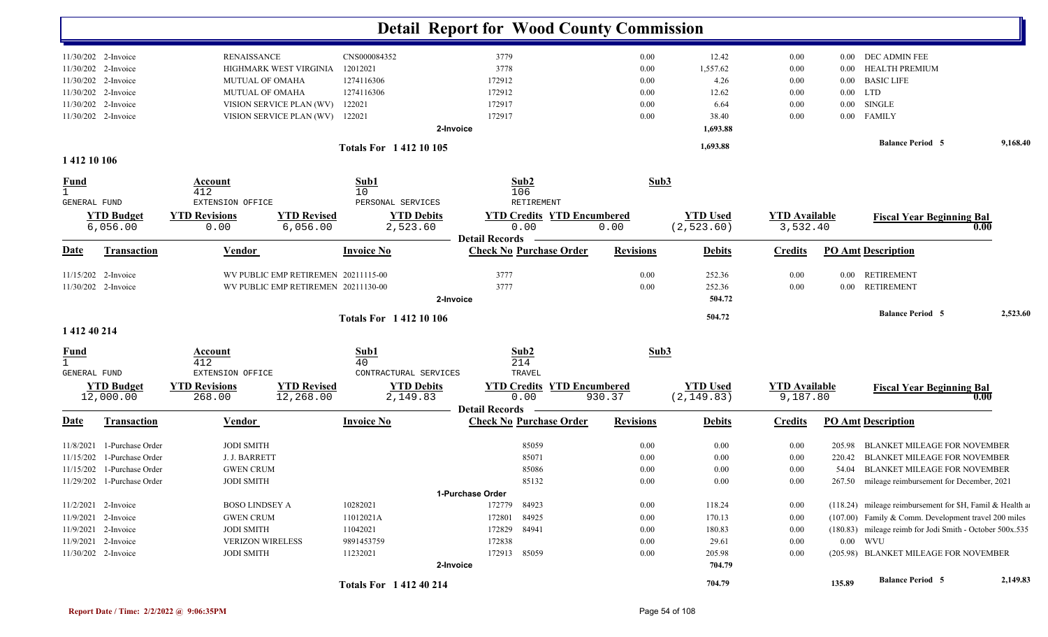|                                     |                            |                                          |                                     |                             |                                            | <b>Detail Report for Wood County Commission</b> |                  |                 |                      |          |                                                           |                     |
|-------------------------------------|----------------------------|------------------------------------------|-------------------------------------|-----------------------------|--------------------------------------------|-------------------------------------------------|------------------|-----------------|----------------------|----------|-----------------------------------------------------------|---------------------|
|                                     | 11/30/202 2-Invoice        | <b>RENAISSANCE</b>                       |                                     | CNS000084352                |                                            | 3779                                            | 0.00             | 12.42           | 0.00                 |          | 0.00 DEC ADMIN FEE                                        |                     |
|                                     | 11/30/202 2-Invoice        |                                          | HIGHMARK WEST VIRGINIA              | 12012021                    |                                            | 3778                                            | 0.00             | 1,557.62        | 0.00                 | 0.00     | <b>HEALTH PREMIUM</b>                                     |                     |
|                                     | 11/30/202 2-Invoice        | MUTUAL OF OMAHA                          |                                     | 1274116306                  |                                            | 172912                                          | 0.00             | 4.26            | 0.00                 | $0.00\,$ | <b>BASIC LIFE</b>                                         |                     |
|                                     | 11/30/202 2-Invoice        | <b>MUTUAL OF OMAHA</b>                   |                                     | 1274116306                  |                                            | 172912                                          | 0.00             | 12.62           | 0.00                 | $0.00\,$ | LTD                                                       |                     |
|                                     | 11/30/202 2-Invoice        |                                          | VISION SERVICE PLAN (WV)            | 122021                      |                                            | 172917                                          | 0.00             | 6.64            | 0.00                 | $0.00\,$ | <b>SINGLE</b>                                             |                     |
|                                     | 11/30/202 2-Invoice        |                                          | VISION SERVICE PLAN (WV)            | 122021                      |                                            | 172917                                          | 0.00             | 38.40           | 0.00                 |          | 0.00 FAMILY                                               |                     |
|                                     |                            |                                          |                                     |                             | 2-Invoice                                  |                                                 |                  | 1,693.88        |                      |          |                                                           |                     |
| 1 412 10 106                        |                            |                                          |                                     | <b>Totals For 141210105</b> |                                            |                                                 |                  | 1,693.88        |                      |          | <b>Balance Period 5</b>                                   | 9,168.40            |
| <b>Fund</b>                         |                            | Account                                  |                                     | Sub1                        |                                            | Sub2                                            | Sub3             |                 |                      |          |                                                           |                     |
| $\mathbf{1}$<br><b>GENERAL FUND</b> |                            | 412<br>EXTENSION OFFICE                  |                                     | 10                          | PERSONAL SERVICES                          | 106<br>RETIREMENT                               |                  |                 |                      |          |                                                           |                     |
|                                     | <b>YTD Budget</b>          | <b>YTD Revisions</b>                     | <b>YTD Revised</b>                  |                             | <b>YTD Debits</b>                          | <b>YTD Credits YTD Encumbered</b>               |                  | <b>YTD Used</b> | <b>YTD Available</b> |          | <b>Fiscal Year Beginning Bal</b>                          |                     |
|                                     | 6,056.00                   | 0.00                                     | 6,056.00                            |                             | 2,523.60                                   | 0.00                                            | 0.00             | (2, 523.60)     | 3,532.40             |          |                                                           | 0.00                |
|                                     |                            |                                          |                                     |                             |                                            | <b>Detail Records</b>                           |                  |                 |                      |          |                                                           |                     |
| <u>Date</u>                         | <b>Transaction</b>         | <b>Vendor</b>                            |                                     | <b>Invoice No</b>           |                                            | <b>Check No Purchase Order</b>                  | <b>Revisions</b> | <b>Debits</b>   | <b>Credits</b>       |          | <b>PO Amt Description</b>                                 |                     |
|                                     | 11/15/202 2-Invoice        |                                          | WV PUBLIC EMP RETIREMEN 20211115-00 |                             |                                            | 3777                                            | 0.00             | 252.36          | 0.00                 | $0.00\,$ | RETIREMENT                                                |                     |
|                                     | 11/30/202 2-Invoice        |                                          | WV PUBLIC EMP RETIREMEN 20211130-00 |                             |                                            | 3777                                            | 0.00             | 252.36          | 0.00                 | $0.00\,$ | <b>RETIREMENT</b>                                         |                     |
|                                     |                            |                                          |                                     |                             | 2-Invoice                                  |                                                 |                  | 504.72          |                      |          |                                                           |                     |
|                                     |                            |                                          |                                     | <b>Totals For 141210106</b> |                                            |                                                 |                  | 504.72          |                      |          | <b>Balance Period 5</b>                                   | 2,523.60            |
| 1 412 40 214                        |                            |                                          |                                     |                             |                                            |                                                 |                  |                 |                      |          |                                                           |                     |
| <u>Fund</u><br>$\mathbf{1}$         |                            | Account<br>412                           |                                     | Sub1<br>40                  |                                            | Sub2<br>214                                     | Sub3             |                 |                      |          |                                                           |                     |
| GENERAL FUND                        | <b>YTD Budget</b>          | EXTENSION OFFICE<br><b>YTD Revisions</b> | <b>YTD Revised</b>                  |                             | CONTRACTURAL SERVICES<br><b>YTD Debits</b> | TRAVEL<br><b>YTD Credits YTD Encumbered</b>     |                  | <b>YTD Used</b> | <b>YTD Available</b> |          | <b>Fiscal Year Beginning Bal</b>                          |                     |
|                                     | 12,000.00                  | 268.00                                   | 12,268.00                           |                             | 2,149.83                                   | 0.00<br><b>Detail Records</b>                   | 930.37           | (2, 149.83)     | 9,187.80             |          |                                                           | $\boldsymbol{0.00}$ |
| <u>Date</u>                         | <b>Transaction</b>         | <u>Vendor</u>                            |                                     | <b>Invoice No</b>           |                                            | <b>Check No Purchase Order</b>                  | <b>Revisions</b> | <b>Debits</b>   | <b>Credits</b>       |          | <b>PO Amt Description</b>                                 |                     |
| 11/8/2021                           | 1-Purchase Order           | <b>JODI SMITH</b>                        |                                     |                             |                                            | 85059                                           | 0.00             | 0.00            | 0.00                 | 205.98   | BLANKET MILEAGE FOR NOVEMBER                              |                     |
| 11/15/202                           | 1-Purchase Order           | J. J. BARRETT                            |                                     |                             |                                            | 85071                                           | 0.00             | 0.00            | 0.00                 | 220.42   | <b>BLANKET MILEAGE FOR NOVEMBER</b>                       |                     |
|                                     | 11/15/202 1-Purchase Order | <b>GWEN CRUM</b>                         |                                     |                             |                                            | 85086                                           | 0.00             | 0.00            | 0.00                 | 54.04    | <b>BLANKET MILEAGE FOR NOVEMBER</b>                       |                     |
|                                     | 11/29/202 1-Purchase Order | <b>JODI SMITH</b>                        |                                     |                             |                                            | 85132                                           | $0.00\,$         | 0.00            | $0.00\,$             |          | 267.50 mileage reimbursement for December, 2021           |                     |
|                                     |                            |                                          |                                     |                             |                                            | 1-Purchase Order                                |                  |                 |                      |          |                                                           |                     |
|                                     | 11/2/2021 2-Invoice        | <b>BOSO LINDSEY A</b>                    |                                     | 10282021                    |                                            | 172779<br>84923                                 | $0.00\,$         | 118.24          | 0.00                 |          | (118.24) mileage reimbursement for \$H, Famil & Health as |                     |
|                                     | 11/9/2021 2-Invoice        | <b>GWEN CRUM</b>                         |                                     | 11012021A                   |                                            | 172801 84925                                    | $0.00\,$         | 170.13          | 0.00                 |          | (107.00) Family & Comm. Development travel 200 miles      |                     |
|                                     | 11/9/2021 2-Invoice        | <b>JODI SMITH</b>                        |                                     | 11042021                    |                                            | 172829 84941                                    | 0.00             | 180.83          | 0.00                 |          | (180.83) mileage reimb for Jodi Smith - October 500x.535  |                     |
|                                     | 11/9/2021 2-Invoice        | <b>VERIZON WIRELESS</b>                  |                                     | 9891453759                  |                                            | 172838                                          | 0.00             | 29.61           | 0.00                 |          | $0.00$ WVU                                                |                     |
|                                     | 11/30/202 2-Invoice        | <b>JODI SMITH</b>                        |                                     | 11232021                    |                                            | 172913 85059                                    | $0.00\,$         | 205.98          | 0.00                 |          | (205.98) BLANKET MILEAGE FOR NOVEMBER                     |                     |
|                                     |                            |                                          |                                     |                             | 2-Invoice                                  |                                                 |                  | 704.79          |                      |          |                                                           |                     |
|                                     |                            |                                          |                                     | <b>Totals For 141240214</b> |                                            |                                                 |                  | 704.79          |                      | 135.89   | <b>Balance Period 5</b>                                   | 2,149.83            |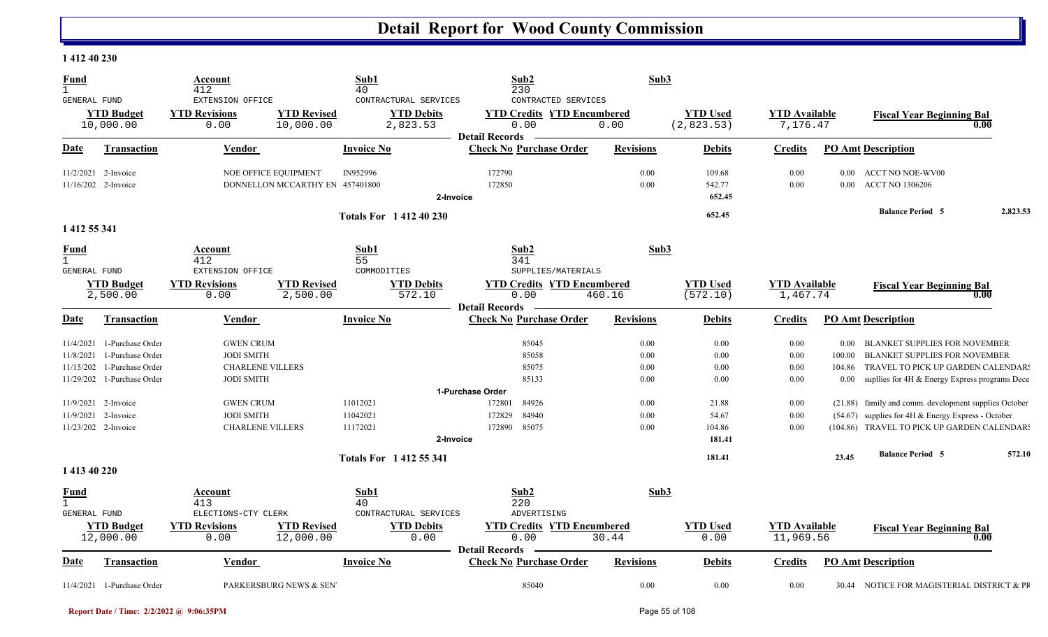#### **1 412 40 230**

| <b>Fund</b><br>$\mathbf{1}$<br><b>GENERAL FUND</b> |                                      | Account<br>412<br>EXTENSION OFFICE                  |                                 | Sub1<br>40                | CONTRACTURAL SERVICES                              | Sub2<br>230<br>CONTRACTED SERVICES                                 | Sub3             |                               |                                   |                    |                                                                                                   |          |
|----------------------------------------------------|--------------------------------------|-----------------------------------------------------|---------------------------------|---------------------------|----------------------------------------------------|--------------------------------------------------------------------|------------------|-------------------------------|-----------------------------------|--------------------|---------------------------------------------------------------------------------------------------|----------|
|                                                    | <b>YTD Budget</b><br>10,000.00       | <b>YTD Revisions</b><br>0.00                        | <b>YTD Revised</b><br>10,000.00 |                           | <b>YTD Debits</b><br>2,823.53                      | <b>YTD Credits YTD Encumbered</b><br>0.00<br><b>Detail Records</b> | 0.00             | <b>YTD Used</b><br>(2,823.53) | <b>YTD Available</b><br>7,176.47  |                    | <b>Fiscal Year Beginning Bal</b><br>0.00                                                          |          |
| Date                                               | Transaction                          | Vendor                                              |                                 | <b>Invoice No</b>         |                                                    | <b>Check No Purchase Order</b>                                     | <b>Revisions</b> | <b>Debits</b>                 | <b>Credits</b>                    |                    | <b>PO Amt Description</b>                                                                         |          |
| 11/2/2021                                          | 2-Invoice<br>11/16/202 2-Invoice     | NOE OFFICE EQUIPMENT                                | DONNELLON MCCARTHY EN 457401800 | IN952996                  | 2-Invoice                                          | 172790<br>172850                                                   | 0.00<br>0.00     | 109.68<br>542.77<br>652.45    | 0.00<br>0.00                      | 0.00<br>$0.00\,$   | <b>ACCT NO NOE-WV00</b><br><b>ACCT NO 1306206</b>                                                 |          |
|                                                    |                                      |                                                     |                                 |                           | <b>Totals For 141240230</b>                        |                                                                    |                  | 652.45                        |                                   |                    | <b>Balance Period 5</b>                                                                           | 2,823.53 |
| 1 412 55 341                                       |                                      |                                                     |                                 |                           |                                                    |                                                                    |                  |                               |                                   |                    |                                                                                                   |          |
| <b>Fund</b><br>$\mathbf{1}$<br><b>GENERAL FUND</b> |                                      | Account<br>412<br>EXTENSION OFFICE                  |                                 | Sub1<br>55<br>COMMODITIES |                                                    | Sub2<br>341<br>SUPPLIES/MATERIALS                                  |                  | Sub3                          |                                   |                    |                                                                                                   |          |
|                                                    | <b>YTD Budget</b><br>2,500.00        | <b>YTD Revisions</b><br>0.00                        | <b>YTD Revised</b><br>2,500.00  |                           | <b>YTD Debits</b><br>572.10                        | <b>YTD Credits YTD Encumbered</b><br>0.00<br><b>Detail Records</b> | 460.16           | <b>YTD Used</b><br>(572.10)   | <b>YTD Available</b><br>1,467.74  |                    | <b>Fiscal Year Beginning Bal</b><br>0.00                                                          |          |
| Date                                               | <b>Transaction</b>                   | <b>Vendor</b>                                       |                                 | <b>Invoice No</b>         |                                                    | <b>Check No Purchase Order</b>                                     | <b>Revisions</b> | <b>Debits</b>                 | <b>Credits</b>                    |                    | <b>PO Amt Description</b>                                                                         |          |
| 11/4/2021<br>11/8/2021                             | 1-Purchase Order<br>1-Purchase Order | <b>GWEN CRUM</b><br><b>JODI SMITH</b>               |                                 |                           |                                                    | 85045<br>85058                                                     | 0.00<br>0.00     | 0.00<br>0.00                  | 0.00<br>0.00                      | $0.00\,$<br>100.00 | <b>BLANKET SUPPLIES FOR NOVEMBER</b><br><b>BLANKET SUPPLIES FOR NOVEMBER</b>                      |          |
| 11/15/202<br>11/29/202                             | 1-Purchase Order<br>1-Purchase Order | <b>CHARLENE VILLERS</b><br><b>JODI SMITH</b>        |                                 |                           |                                                    | 85075<br>85133                                                     | 0.00<br>0.00     | 0.00<br>0.00                  | 0.00<br>0.00                      | 104.86<br>$0.00\,$ | TRAVEL TO PICK UP GARDEN CALENDAR!<br>supllies for 4H & Energy Express programs Dece              |          |
|                                                    |                                      |                                                     |                                 |                           |                                                    | 1-Purchase Order                                                   |                  |                               |                                   |                    |                                                                                                   |          |
| 11/9/2021                                          | 2-Invoice                            | <b>GWEN CRUM</b>                                    |                                 | 11012021                  |                                                    | 172801<br>84926                                                    | 0.00             | 21.88                         | 0.00                              |                    | (21.88) family and comm. development supplies October                                             |          |
| 11/9/2021                                          | 2-Invoice<br>11/23/202 2-Invoice     | <b>JODI SMITH</b><br><b>CHARLENE VILLERS</b>        |                                 | 11042021<br>11172021      | 2-Invoice                                          | 84940<br>172829<br>85075<br>172890                                 | 0.00<br>0.00     | 54.67<br>104.86<br>181.41     | 0.00<br>0.00                      |                    | (54.67) supplies for 4H & Energy Express - October<br>(104.86) TRAVEL TO PICK UP GARDEN CALENDAR: |          |
|                                                    |                                      |                                                     |                                 |                           | <b>Totals For 141255341</b>                        |                                                                    |                  | 181.41                        |                                   | 23.45              | <b>Balance Period 5</b>                                                                           | 572.10   |
| 1 413 40 220                                       |                                      |                                                     |                                 |                           |                                                    |                                                                    |                  |                               |                                   |                    |                                                                                                   |          |
| <u>Fund</u><br>$\mathbf{1}$                        |                                      | Account<br>413                                      |                                 | Sub1<br>40                |                                                    | Sub2<br>220                                                        |                  | Sub3                          |                                   |                    |                                                                                                   |          |
| GENERAL FUND                                       | <b>YTD Budget</b><br>12,000.00       | ELECTIONS-CTY CLERK<br><b>YTD Revisions</b><br>0.00 | <b>YTD Revised</b><br>12,000.00 |                           | CONTRACTURAL SERVICES<br><b>YTD Debits</b><br>0.00 | ADVERTISING<br><b>YTD Credits YTD Encumbered</b><br>0.00           | 30.44            | <b>YTD Used</b><br>0.00       | <b>YTD</b> Available<br>11,969.56 |                    | <b>Fiscal Year Beginning Bal</b><br>0.00                                                          |          |
|                                                    |                                      |                                                     |                                 |                           |                                                    | <b>Detail Records</b>                                              |                  |                               |                                   |                    |                                                                                                   |          |
| Date                                               | <b>Transaction</b>                   | Vendor                                              |                                 | <b>Invoice No</b>         |                                                    | <b>Check No Purchase Order</b>                                     | <b>Revisions</b> | <b>Debits</b>                 | <b>Credits</b>                    |                    | <b>PO Amt Description</b>                                                                         |          |
|                                                    | 11/4/2021 1-Purchase Order           |                                                     | PARKERSBURG NEWS & SEN          |                           |                                                    | 85040                                                              | 0.00             | 0.00                          | 0.00                              |                    | 30.44 NOTICE FOR MAGISTERIAL DISTRICT & PR                                                        |          |

**Report Date / Time: 2/2/2022 @ 9:06:35PM** Page 55 of 108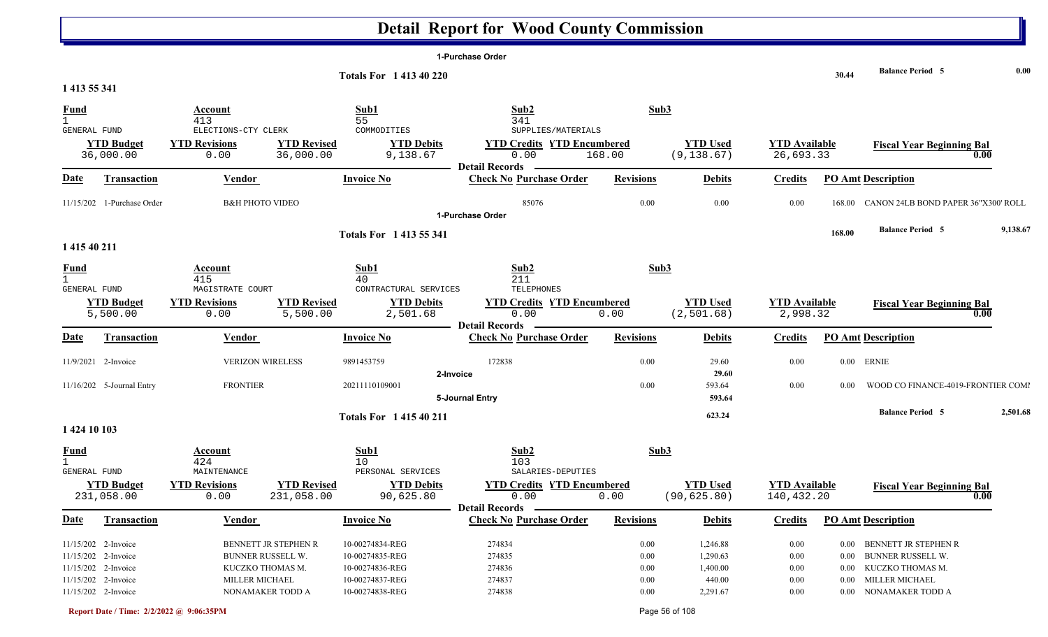|                     |                                 |                                     |                                  |                                | 1-Purchase Order                                        |                  |                                 |                                    |          |                                          |          |
|---------------------|---------------------------------|-------------------------------------|----------------------------------|--------------------------------|---------------------------------------------------------|------------------|---------------------------------|------------------------------------|----------|------------------------------------------|----------|
|                     |                                 |                                     |                                  | <b>Totals For 141340220</b>    |                                                         |                  |                                 |                                    | 30.44    | <b>Balance Period 5</b>                  | 0.00     |
| 1 413 55 341        |                                 |                                     |                                  |                                |                                                         |                  |                                 |                                    |          |                                          |          |
| <b>Fund</b>         |                                 | Account                             |                                  | Sub1                           | Sub2                                                    | Sub3             |                                 |                                    |          |                                          |          |
|                     |                                 | 413                                 |                                  | 55                             | 341                                                     |                  |                                 |                                    |          |                                          |          |
| GENERAL FUND        |                                 | ELECTIONS-CTY CLERK                 |                                  | COMMODITIES                    | SUPPLIES/MATERIALS                                      |                  |                                 |                                    |          |                                          |          |
|                     | <b>YTD Budget</b><br>36,000.00  | <b>YTD Revisions</b><br>0.00        | <b>YTD Revised</b><br>36,000.00  | <b>YTD Debits</b><br>9,138.67  | <b>YTD Credits YTD Encumbered</b><br>0.00               | 168.00           | <b>YTD Used</b><br>(9, 138.67)  | <b>YTD Available</b><br>26,693.33  |          | <b>Fiscal Year Beginning Bal</b><br>0.00 |          |
|                     |                                 |                                     |                                  |                                | <b>Detail Records</b>                                   |                  |                                 |                                    |          |                                          |          |
| <u>Date</u>         | <b>Transaction</b>              | Vendor                              |                                  | <b>Invoice No</b>              | <b>Check No Purchase Order</b>                          | <b>Revisions</b> | <b>Debits</b>                   | <b>Credits</b>                     |          | <b>PO Amt Description</b>                |          |
|                     | 11/15/202 1-Purchase Order      | <b>B&amp;H PHOTO VIDEO</b>          |                                  |                                | 85076                                                   | 0.00             | 0.00                            | 0.00                               | 168.00   | CANON 24LB BOND PAPER 36"X300' ROLL      |          |
|                     |                                 |                                     |                                  |                                | 1-Purchase Order                                        |                  |                                 |                                    |          |                                          |          |
|                     |                                 |                                     |                                  | <b>Totals For 1413 55 341</b>  |                                                         |                  |                                 |                                    | 168.00   | <b>Balance Period 5</b>                  | 9,138.67 |
| 1 415 40 211        |                                 |                                     |                                  |                                |                                                         |                  |                                 |                                    |          |                                          |          |
| <b>Fund</b>         |                                 | Account                             |                                  | Sub1                           | Sub2                                                    | Sub3             |                                 |                                    |          |                                          |          |
|                     |                                 | 415                                 |                                  | 40                             | 211                                                     |                  |                                 |                                    |          |                                          |          |
| GENERAL FUND        |                                 | MAGISTRATE COURT                    |                                  | CONTRACTURAL SERVICES          | TELEPHONES                                              |                  |                                 |                                    |          |                                          |          |
|                     | <b>YTD Budget</b>               | <b>YTD Revisions</b>                | <b>YTD Revised</b>               | <b>YTD Debits</b>              | <b>YTD Credits YTD Encumbered</b>                       |                  | <b>YTD Used</b>                 | <b>YTD</b> Available               |          | <b>Fiscal Year Beginning Bal</b>         |          |
|                     | 5,500.00                        | 0.00                                | 5,500.00                         | 2,501.68                       | 0.00                                                    | 0.00             | (2, 501.68)                     | 2,998.32                           |          | 0.00                                     |          |
| <b>Date</b>         | <b>Transaction</b>              | Vendor                              |                                  | <b>Invoice No</b>              | <b>Detail Records</b><br><b>Check No Purchase Order</b> | <b>Revisions</b> | <b>Debits</b>                   | <b>Credits</b>                     |          | <b>PO Amt Description</b>                |          |
|                     |                                 |                                     |                                  |                                |                                                         |                  |                                 |                                    |          |                                          |          |
|                     | 11/9/2021 2-Invoice             | <b>VERIZON WIRELESS</b>             |                                  | 9891453759                     | 172838                                                  | 0.00             | 29.60                           | 0.00                               |          | $0.00$ ERNIE                             |          |
|                     |                                 | <b>FRONTIER</b>                     |                                  |                                | 2-Invoice                                               |                  | 29.60                           |                                    |          |                                          |          |
|                     | 11/16/202 5-Journal Entry       |                                     |                                  | 20211110109001                 | 5-Journal Entry                                         | 0.00             | 593.64<br>593.64                | 0.00                               | 0.00     | WOOD CO FINANCE-4019-FRONTIER COMI       |          |
|                     |                                 |                                     |                                  |                                |                                                         |                  |                                 |                                    |          | <b>Balance Period 5</b>                  | 2,501.68 |
|                     |                                 |                                     |                                  | <b>Totals For 141540211</b>    |                                                         |                  | 623.24                          |                                    |          |                                          |          |
| 1 424 10 103        |                                 |                                     |                                  |                                |                                                         |                  |                                 |                                    |          |                                          |          |
| <b>Fund</b>         |                                 | Account                             |                                  | Sub1                           | Sub2                                                    | Sub3             |                                 |                                    |          |                                          |          |
|                     |                                 | 424                                 |                                  | 10                             | 103                                                     |                  |                                 |                                    |          |                                          |          |
| <b>GENERAL FUND</b> |                                 | MAINTENANCE                         |                                  | PERSONAL SERVICES              | SALARIES-DEPUTIES                                       |                  |                                 |                                    |          |                                          |          |
|                     | <b>YTD Budget</b><br>231,058.00 | <b>YTD Revisions</b><br>0.00        | <b>YTD Revised</b><br>231,058.00 | <b>YTD Debits</b><br>90,625.80 | <b>YTD Credits YTD Encumbered</b><br>0.00               | 0.00             | <b>YTD Used</b><br>(90, 625.80) | <b>YTD</b> Available<br>140,432.20 |          | <b>Fiscal Year Beginning Bal</b><br>0.00 |          |
|                     |                                 |                                     |                                  |                                | –  Detail Records   –                                   |                  |                                 |                                    |          |                                          |          |
| <b>Date</b>         | <b>Transaction</b>              | <b>Vendor</b>                       |                                  | <b>Invoice No</b>              | <b>Check No Purchase Order</b>                          | <b>Revisions</b> | <b>Debits</b>                   | <b>Credits</b>                     |          | <b>PO Amt Description</b>                |          |
|                     | 11/15/202 2-Invoice             | BENNETT JR STEPHEN R                |                                  | 10-00274834-REG                | 274834                                                  | $0.00\,$         | 1,246.88                        | $0.00\,$                           |          | 0.00 BENNETT JR STEPHEN R                |          |
|                     | 11/15/202 2-Invoice             | BUNNER RUSSELL W.                   |                                  | 10-00274835-REG                | 274835                                                  | 0.00             | 1,290.63                        | 0.00                               | $0.00\,$ | <b>BUNNER RUSSELL W.</b>                 |          |
|                     | 11/15/202 2-Invoice             | KUCZKO THOMAS M.                    |                                  | 10-00274836-REG                | 274836                                                  | 0.00             | 1,400.00                        | $0.00\,$                           | $0.00\,$ | KUCZKO THOMAS M.                         |          |
|                     | 11/15/202 2-Invoice             | MILLER MICHAEL                      |                                  | 10-00274837-REG                | 274837                                                  | 0.00             | 440.00                          | $0.00\,$                           | $0.00\,$ | MILLER MICHAEL                           |          |
|                     | 11/15/202 2-Invoice             | NONAMAKER TODD A<br>10-00274838-REG |                                  |                                | 274838                                                  | 0.00             | 2,291.67                        | $0.00\,$                           |          | 0.00 NONAMAKER TODD A                    |          |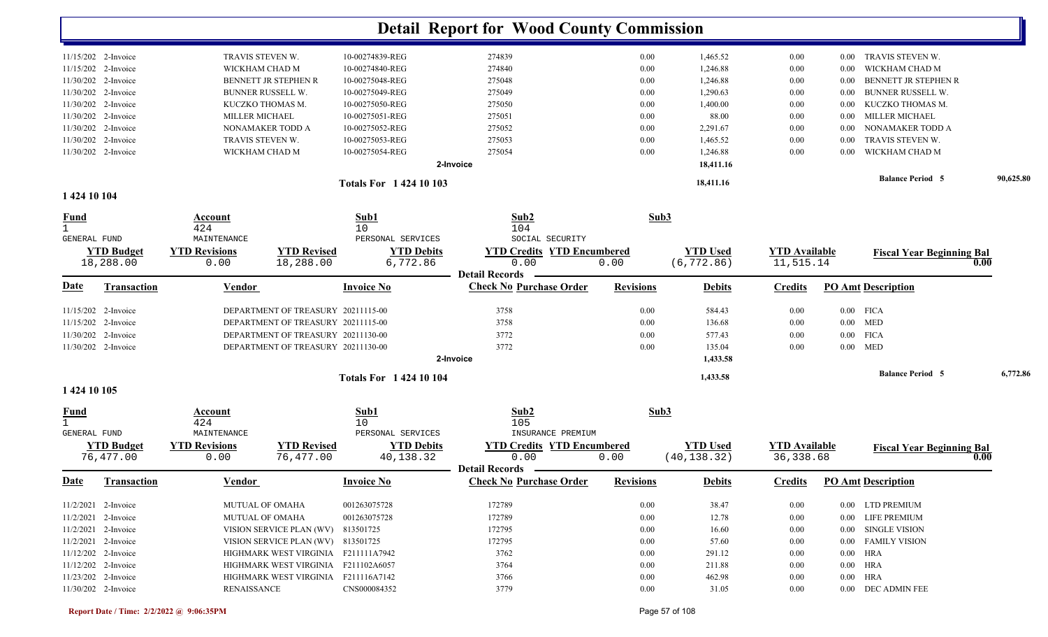|                             |                       |                       |                                     |                             | <b>Detail Report for Wood County Commission</b> |                  |                 |                      |          |                                   |      |           |
|-----------------------------|-----------------------|-----------------------|-------------------------------------|-----------------------------|-------------------------------------------------|------------------|-----------------|----------------------|----------|-----------------------------------|------|-----------|
|                             | 11/15/202 2-Invoice   | TRAVIS STEVEN W.      |                                     | 10-00274839-REG             | 274839                                          | 0.00             | 1,465.52        | 0.00                 | 0.00     | TRAVIS STEVEN W.                  |      |           |
|                             | 11/15/202 2-Invoice   | WICKHAM CHAD M        |                                     | 10-00274840-REG             | 274840                                          | 0.00             | 1,246.88        | 0.00                 | 0.00     | WICKHAM CHAD M                    |      |           |
|                             | 11/30/202 2-Invoice   |                       | BENNETT JR STEPHEN R                | 10-00275048-REG             | 275048                                          | 0.00             | 1,246.88        | 0.00                 | 0.00     | BENNETT JR STEPHEN R              |      |           |
|                             | 11/30/202 2-Invoice   |                       | <b>BUNNER RUSSELL W.</b>            | 10-00275049-REG             | 275049                                          | 0.00             | 1,290.63        | 0.00                 | 0.00     | <b>BUNNER RUSSELL W.</b>          |      |           |
|                             | 11/30/202 2-Invoice   |                       | KUCZKO THOMAS M.                    | 10-00275050-REG             | 275050                                          | 0.00             | 1,400.00        | 0.00                 | 0.00     | KUCZKO THOMAS M.                  |      |           |
|                             | 11/30/202 2-Invoice   | <b>MILLER MICHAEL</b> |                                     | 10-00275051-REG             | 275051                                          | 0.00             | 88.00           | 0.00                 | 0.00     | <b>MILLER MICHAEL</b>             |      |           |
|                             | 11/30/202 2-Invoice   |                       | NONAMAKER TODD A                    | 10-00275052-REG             | 275052                                          | 0.00             | 2,291.67        | 0.00                 | 0.00     | NONAMAKER TODD A                  |      |           |
|                             | 11/30/202 2-Invoice   | TRAVIS STEVEN W.      |                                     | 10-00275053-REG             | 275053                                          | 0.00             | 1,465.52        | 0.00                 | 0.00     | TRAVIS STEVEN W.                  |      |           |
|                             | 11/30/202 2-Invoice   | WICKHAM CHAD M        |                                     | 10-00275054-REG             | 275054                                          | 0.00             | 1,246.88        | 0.00                 | 0.00     | WICKHAM CHAD M                    |      |           |
|                             |                       |                       |                                     |                             | 2-Invoice                                       |                  | 18,411.16       |                      |          |                                   |      |           |
|                             |                       |                       |                                     | <b>Totals For 142410103</b> |                                                 |                  | 18,411.16       |                      |          | <b>Balance Period 5</b>           |      | 90,625.80 |
| 1 424 10 104                |                       |                       |                                     |                             |                                                 |                  |                 |                      |          |                                   |      |           |
| <b>Fund</b><br>$\mathbf{1}$ |                       | Account<br>424        |                                     | Sub1<br>10                  | Sub2<br>104                                     | Sub3             |                 |                      |          |                                   |      |           |
| GENERAL FUND                |                       | MAINTENANCE           |                                     | PERSONAL SERVICES           | SOCIAL SECURITY                                 |                  |                 |                      |          |                                   |      |           |
|                             | <b>YTD Budget</b>     | <b>YTD Revisions</b>  | <b>YTD Revised</b>                  | <b>YTD Debits</b>           | <b>YTD Credits YTD Encumbered</b>               |                  | <b>YTD Used</b> | <b>YTD Available</b> |          | <b>Fiscal Year Beginning Bal</b>  |      |           |
|                             | 18,288.00             | 0.00                  | 18,288.00                           | 6,772.86                    | 0.00<br><b>Detail Records</b>                   | 0.00             | (6, 772.86)     | 11,515.14            |          |                                   | 0.00 |           |
| <u>Date</u>                 | <b>Transaction</b>    | <b>Vendor</b>         |                                     | <b>Invoice No</b>           | <b>Check No Purchase Order</b>                  | <b>Revisions</b> | <b>Debits</b>   | <b>Credits</b>       |          | <b>PO Amt Description</b>         |      |           |
|                             | 11/15/202 2-Invoice   |                       | DEPARTMENT OF TREASURY 20211115-00  |                             | 3758                                            | 0.00             | 584.43          | 0.00                 |          | $0.00$ FICA                       |      |           |
|                             | 11/15/202 2-Invoice   |                       | DEPARTMENT OF TREASURY 20211115-00  |                             | 3758                                            | 0.00             | 136.68          | 0.00                 |          | $0.00$ MED                        |      |           |
|                             | 11/30/202 2-Invoice   |                       | DEPARTMENT OF TREASURY 20211130-00  |                             | 3772                                            | 0.00             | 577.43          | 0.00                 |          | $0.00$ FICA                       |      |           |
|                             | 11/30/202 2-Invoice   |                       | DEPARTMENT OF TREASURY 20211130-00  |                             | 3772                                            | 0.00             | 135.04          | 0.00                 |          | $0.00$ MED                        |      |           |
|                             |                       |                       |                                     |                             | 2-Invoice                                       |                  | 1,433.58        |                      |          |                                   |      |           |
|                             |                       |                       |                                     | <b>Totals For 142410104</b> |                                                 |                  | 1,433.58        |                      |          | <b>Balance Period 5</b>           |      | 6,772.86  |
| 1 424 10 105                |                       |                       |                                     |                             |                                                 |                  |                 |                      |          |                                   |      |           |
| <u>Fund</u><br>$\mathbf{1}$ |                       | <b>Account</b><br>424 |                                     | Sub1<br>10                  | Sub2<br>105                                     | Sub3             |                 |                      |          |                                   |      |           |
| GENERAL FUND                |                       | MAINTENANCE           |                                     | PERSONAL SERVICES           | INSURANCE PREMIUM                               |                  |                 |                      |          |                                   |      |           |
|                             | <b>YTD Budget</b>     | <b>YTD Revisions</b>  | <b>YTD Revised</b>                  | <b>YTD Debits</b>           | <b>YTD Credits YTD Encumbered</b>               |                  | <b>YTD Used</b> | <b>YTD Available</b> |          | <b>Fiscal Year Beginning Bal</b>  |      |           |
|                             | 76,477.00             | 0.00                  | 76,477.00                           | 40,138.32                   | 0.00<br><b>Detail Records</b>                   | 0.00             | (40, 138.32)    | 36, 338.68           |          |                                   | 0.00 |           |
|                             | Date Transaction      | <b>Vendor</b>         |                                     | <b>Invoice No</b>           | <b>Check No Purchase Order</b>                  | <b>Revisions</b> | <b>Debits</b>   |                      |          | <b>Credits</b> PO Amt Description |      |           |
|                             | $11/2/2021$ 2-Invoice |                       | <b>MUTUAL OF OMAHA</b>              | 001263075728                | 172789                                          | $0.00\,$         | 38.47           | $0.00\,$             |          | 0.00 LTD PREMIUM                  |      |           |
|                             | 11/2/2021 2-Invoice   |                       | <b>MUTUAL OF OMAHA</b>              | 001263075728                | 172789                                          | $0.00\,$         | 12.78           | 0.00                 | $0.00\,$ | LIFE PREMIUM                      |      |           |
|                             | 11/2/2021 2-Invoice   |                       | VISION SERVICE PLAN (WV)            | 813501725                   | 172795                                          | $0.00\,$         | 16.60           | 0.00                 |          | 0.00 SINGLE VISION                |      |           |
|                             | 11/2/2021 2-Invoice   |                       | VISION SERVICE PLAN (WV) 813501725  |                             | 172795                                          | $0.00\,$         | 57.60           | 0.00                 |          | 0.00 FAMILY VISION                |      |           |
|                             | 11/12/202 2-Invoice   |                       | HIGHMARK WEST VIRGINIA F211111A7942 |                             | 3762                                            | 0.00             | 291.12          | 0.00                 |          | $0.00$ HRA                        |      |           |
|                             | 11/12/202 2-Invoice   |                       | HIGHMARK WEST VIRGINIA F211102A6057 |                             | 3764                                            | 0.00             | 211.88          | $0.00\,$             |          | $0.00$ HRA                        |      |           |
|                             | 11/23/202 2-Invoice   |                       | HIGHMARK WEST VIRGINIA F211116A7142 |                             | 3766                                            | 0.00             | 462.98          | $0.00\,$             |          | $0.00$ HRA                        |      |           |
|                             | 11/30/202 2-Invoice   | <b>RENAISSANCE</b>    |                                     | CNS000084352                | 3779                                            | 0.00             | 31.05           | $0.00\,$             |          | 0.00 DEC ADMIN FEE                |      |           |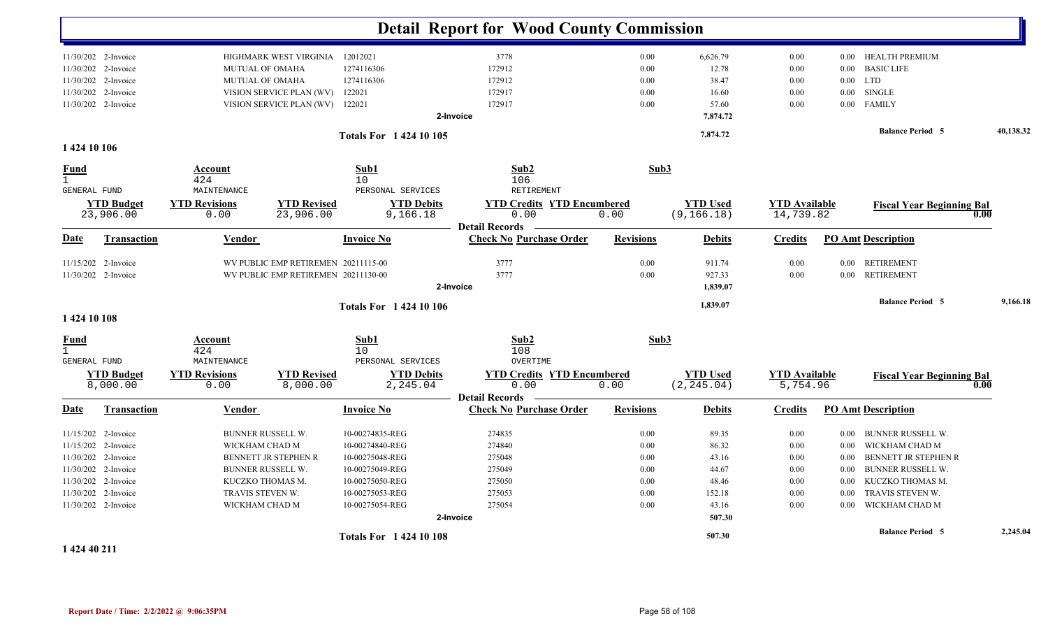|                                                    |                                |                                      |                                     |                                 | <b>Detail Report for Wood County Commission</b>                    |                  |                                |                                   |          |                                  |           |
|----------------------------------------------------|--------------------------------|--------------------------------------|-------------------------------------|---------------------------------|--------------------------------------------------------------------|------------------|--------------------------------|-----------------------------------|----------|----------------------------------|-----------|
|                                                    | 11/30/202 2-Invoice            |                                      | HIGHMARK WEST VIRGINIA              | 12012021                        | 3778                                                               | $0.00\,$         | 6,626.79                       | 0.00                              |          | 0.00 HEALTH PREMIUM              |           |
|                                                    | 11/30/202 2-Invoice            | <b>MUTUAL OF OMAHA</b>               |                                     | 1274116306                      | 172912                                                             | 0.00             | 12.78                          | 0.00                              | $0.00\,$ | <b>BASIC LIFE</b>                |           |
|                                                    | 11/30/202 2-Invoice            | MUTUAL OF OMAHA                      |                                     | 1274116306                      | 172912                                                             | 0.00             | 38.47                          | 0.00                              |          | $0.00$ LTD                       |           |
|                                                    | 11/30/202 2-Invoice            |                                      | VISION SERVICE PLAN (WV)            | 122021                          | 172917                                                             | 0.00             | 16.60                          | 0.00                              | $0.00\,$ | <b>SINGLE</b>                    |           |
|                                                    | 11/30/202 2-Invoice            |                                      | VISION SERVICE PLAN (WV)            | 122021                          | 172917                                                             | 0.00             | 57.60                          | 0.00                              | $0.00\,$ | <b>FAMILY</b>                    |           |
|                                                    |                                |                                      |                                     |                                 | 2-Invoice                                                          |                  | 7,874.72                       |                                   |          |                                  |           |
| 1 424 10 106                                       |                                |                                      |                                     | Totals For 1 424 10 105         |                                                                    |                  | 7,874.72                       |                                   |          | <b>Balance Period 5</b>          | 40,138.32 |
| <b>Fund</b><br>$\mathbf{1}$                        |                                | Account<br>424                       |                                     | Sub1<br>$10$                    | Sub2<br>106                                                        | Sub3             |                                |                                   |          |                                  |           |
| <b>GENERAL FUND</b>                                |                                | MAINTENANCE                          |                                     | PERSONAL SERVICES               | <b>RETIREMENT</b>                                                  |                  |                                |                                   |          |                                  |           |
|                                                    | <b>YTD Budget</b><br>23,906.00 | <b>YTD Revisions</b><br>0.00         | <b>YTD Revised</b><br>23,906.00     | <b>YTD Debits</b><br>9,166.18   | <b>YTD Credits YTD Encumbered</b><br>0.00                          | 0.00             | <b>YTD Used</b><br>(9, 166.18) | <b>YTD Available</b><br>14,739.82 |          | <b>Fiscal Year Beginning Bal</b> | 0.00      |
|                                                    |                                |                                      |                                     |                                 | <b>Detail Records</b>                                              |                  |                                |                                   |          |                                  |           |
| <b>Date</b>                                        | Transaction                    | <b>Vendor</b>                        |                                     | <b>Invoice No</b>               | <b>Check No Purchase Order</b>                                     | <b>Revisions</b> | <b>Debits</b>                  | <b>Credits</b>                    |          | <b>PO</b> Amt Description        |           |
|                                                    | 11/15/202 2-Invoice            |                                      | WV PUBLIC EMP RETIREMEN 20211115-00 |                                 | 3777                                                               | 0.00             | 911.74                         | 0.00                              |          | 0.00 RETIREMENT                  |           |
|                                                    | 11/30/202 2-Invoice            |                                      | WV PUBLIC EMP RETIREMEN 20211130-00 |                                 | 3777                                                               | 0.00             | 927.33                         | 0.00                              | $0.00\,$ | <b>RETIREMENT</b>                |           |
|                                                    |                                |                                      |                                     |                                 | 2-Invoice                                                          |                  | 1,839.07                       |                                   |          |                                  |           |
|                                                    |                                |                                      |                                     | <b>Totals For 1 424 10 106</b>  |                                                                    |                  | 1,839.07                       |                                   |          | <b>Balance Period 5</b>          | 9,166.18  |
| 1 424 10 108                                       |                                |                                      |                                     |                                 |                                                                    |                  |                                |                                   |          |                                  |           |
| <b>Fund</b><br>$\mathbf{1}$<br><b>GENERAL FUND</b> |                                | <b>Account</b><br>424<br>MAINTENANCE |                                     | Sub1<br>10<br>PERSONAL SERVICES | Sub2<br>108<br>OVERTIME                                            | Sub3             |                                |                                   |          |                                  |           |
|                                                    | <b>YTD Budget</b><br>8,000.00  | <b>YTD Revisions</b><br>0.00         | <b>YTD Revised</b><br>8,000.00      | <b>YTD Debits</b><br>2,245.04   | <b>YTD Credits YTD Encumbered</b><br>0.00<br><b>Detail Records</b> | 0.00             | <b>YTD Used</b><br>(2, 245.04) | <b>YTD Available</b><br>5,754.96  |          | <b>Fiscal Year Beginning Bal</b> | 0.00      |
| Date                                               | <b>Transaction</b>             | <b>Vendor</b>                        |                                     | <b>Invoice No</b>               | <b>Check No Purchase Order</b>                                     | <b>Revisions</b> | <b>Debits</b>                  | <b>Credits</b>                    |          | <b>PO Amt Description</b>        |           |
|                                                    | 11/15/202 2-Invoice            | <b>BUNNER RUSSELL W.</b>             |                                     | 10-00274835-REG                 | 274835                                                             | 0.00             | 89.35                          | 0.00                              | $0.00\,$ | <b>BUNNER RUSSELL W.</b>         |           |
|                                                    | 11/15/202 2-Invoice            | WICKHAM CHAD M                       |                                     | 10-00274840-REG                 | 274840                                                             | 0.00             | 86.32                          | 0.00                              | $0.00\,$ | WICKHAM CHAD M                   |           |
|                                                    | 11/30/202 2-Invoice            |                                      | BENNETT JR STEPHEN R                | 10-00275048-REG                 | 275048                                                             | 0.00             | 43.16                          | 0.00                              | $0.00\,$ | BENNETT JR STEPHEN R             |           |
| 11/30/202                                          | 2-Invoice                      | BUNNER RUSSELL W.                    |                                     | 10-00275049-REG                 | 275049                                                             | 0.00             | 44.67                          | 0.00                              | 0.00     | <b>BUNNER RUSSELL W.</b>         |           |
|                                                    | 11/30/202 2-Invoice            | KUCZKO THOMAS M.                     |                                     | 10-00275050-REG                 | 275050                                                             | 0.00             | 48.46                          | 0.00                              | $0.00\,$ | KUCZKO THOMAS M.                 |           |
|                                                    | 11/30/202 2-Invoice            | TRAVIS STEVEN W.                     |                                     | 10-00275053-REG                 | 275053                                                             | 0.00             | 152.18                         | 0.00                              | $0.00\,$ | TRAVIS STEVEN W.                 |           |
|                                                    | 11/30/202 2-Invoice            | WICKHAM CHAD M                       |                                     | 10-00275054-REG                 | 275054                                                             | 0.00             | 43.16                          | 0.00                              | 0.00     | WICKHAM CHAD M                   |           |
|                                                    |                                |                                      |                                     |                                 | 2-Invoice                                                          |                  | 507.30                         |                                   |          |                                  |           |
|                                                    |                                |                                      |                                     | <b>Totals For 142410108</b>     |                                                                    |                  | 507.30                         |                                   |          | <b>Balance Period 5</b>          | 2,245.04  |
| 1.424.40.211                                       |                                |                                      |                                     |                                 |                                                                    |                  |                                |                                   |          |                                  |           |

**1 424 40 211**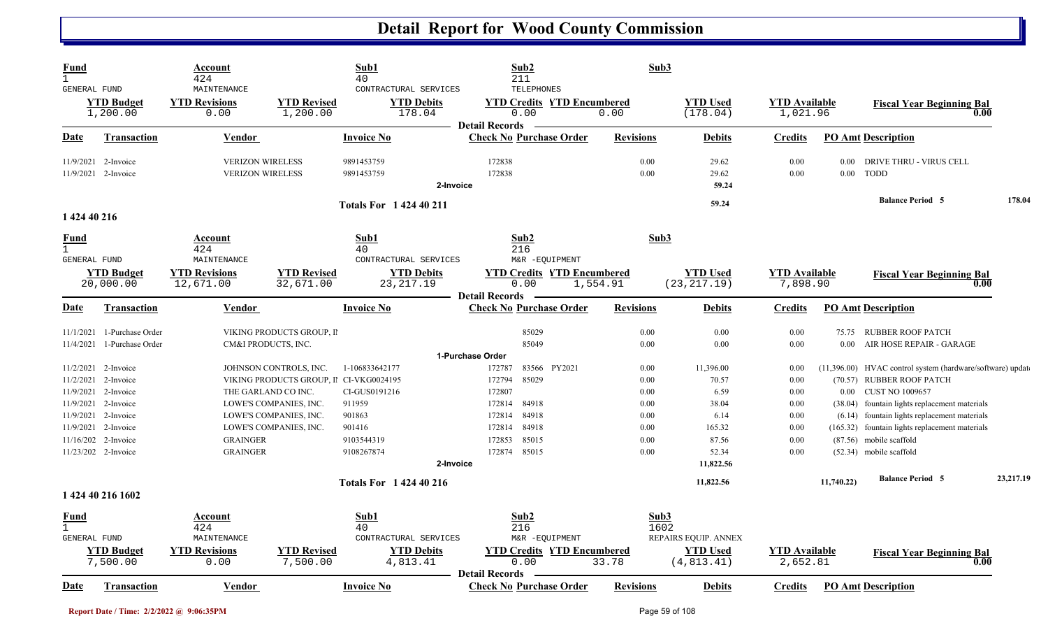| Fund<br>GENERAL FUND                        |                                      | Account<br>424<br>MAINTENANCE                      |                                                                                          | Sub1<br>40<br>CONTRACTURAL SERVICES                      | Sub2<br>211<br><b>TELEPHONES</b>                                        |                  | Sub3                 |                                 |                                  |                  |                                                                                                                                                 |           |
|---------------------------------------------|--------------------------------------|----------------------------------------------------|------------------------------------------------------------------------------------------|----------------------------------------------------------|-------------------------------------------------------------------------|------------------|----------------------|---------------------------------|----------------------------------|------------------|-------------------------------------------------------------------------------------------------------------------------------------------------|-----------|
|                                             | <b>YTD Budget</b><br>1,200.00        | <b>YTD Revisions</b><br>0.00                       | <b>YTD Revised</b><br>1,200.00                                                           | <b>YTD Debits</b><br>178.04                              | <b>YTD Credits YTD Encumbered</b><br>0.00<br><b>Detail Records</b>      | 0.00             |                      | <b>YTD Used</b><br>(178.04)     | <b>YTD Available</b><br>1,021.96 |                  | <b>Fiscal Year Beginning Bal</b><br>0.00                                                                                                        |           |
| Date                                        | <b>Transaction</b>                   | <b>Vendor</b>                                      |                                                                                          | <b>Invoice No</b>                                        | <b>Check No Purchase Order</b>                                          | <b>Revisions</b> |                      | <b>Debits</b>                   | <b>Credits</b>                   |                  | <b>PO Amt Description</b>                                                                                                                       |           |
| 11/9/2021                                   | 2-Invoice<br>11/9/2021 2-Invoice     | <b>VERIZON WIRELESS</b><br><b>VERIZON WIRELESS</b> |                                                                                          | 9891453759<br>9891453759<br>2-Invoice                    | 172838<br>172838                                                        |                  | 0.00<br>0.00         | 29.62<br>29.62<br>59.24         | 0.00<br>0.00                     | 0.00<br>$0.00\,$ | DRIVE THRU - VIRUS CELL<br><b>TODD</b>                                                                                                          |           |
| 1 424 40 216                                |                                      |                                                    |                                                                                          | <b>Totals For 142440211</b>                              |                                                                         |                  |                      | 59.24                           |                                  |                  | <b>Balance Period 5</b>                                                                                                                         | 178.04    |
| Fund                                        |                                      | Account<br>424                                     |                                                                                          | Sub1<br>40                                               | Sub2<br>216                                                             |                  | Sub3                 |                                 |                                  |                  |                                                                                                                                                 |           |
| <b>GENERAL FUND</b>                         | <b>YTD Budget</b><br>20,000.00       | MAINTENANCE<br><b>YTD Revisions</b><br>12,671.00   | <b>YTD Revised</b><br>32,671.00                                                          | CONTRACTURAL SERVICES<br><b>YTD Debits</b><br>23, 217.19 | M&R -EQUIPMENT<br><b>YTD Credits YTD Encumbered</b><br>0.00             | 1,554.91         |                      | <b>YTD Used</b><br>(23, 217.19) | <b>YTD Available</b><br>7,898.90 |                  | <b>Fiscal Year Beginning Bal</b><br>0.00                                                                                                        |           |
| Date                                        | <b>Transaction</b>                   | <b>Vendor</b>                                      |                                                                                          | <b>Invoice No</b>                                        | <b>Detail Records</b><br><b>Check No Purchase Order</b>                 | <b>Revisions</b> |                      | <b>Debits</b>                   | <b>Credits</b>                   |                  | <b>PO Amt Description</b>                                                                                                                       |           |
| 11/1/2021<br>11/4/2021                      | 1-Purchase Order<br>1-Purchase Order |                                                    | VIKING PRODUCTS GROUP, II<br>CM&I PRODUCTS, INC.                                         |                                                          | 85029<br>85049                                                          |                  | 0.00<br>0.00         | 0.00<br>0.00                    | 0.00<br>0.00                     | $0.00\,$         | 75.75 RUBBER ROOF PATCH<br>AIR HOSE REPAIR - GARAGE                                                                                             |           |
| 11/2/2021<br>11/2/2021<br>11/9/2021         | 2-Invoice<br>2-Invoice<br>2-Invoice  |                                                    | JOHNSON CONTROLS, INC.<br>VIKING PRODUCTS GROUP, II CI-VKG0024195<br>THE GARLAND CO INC. | 1-106833642177<br>CI-GUS0191216                          | 1-Purchase Order<br>83566 PY2021<br>172787<br>85029<br>172794<br>172807 |                  | 0.00<br>0.00<br>0.00 | 11,396.00<br>70.57<br>6.59      | 0.00<br>0.00<br>0.00             |                  | (11,396.00) HVAC control system (hardware/software) update<br>(70.57) RUBBER ROOF PATCH<br>0.00 CUST NO 1009657                                 |           |
| 11/9/2021<br>11/9/2021<br>11/9/2021         | 2-Invoice<br>2-Invoice<br>2-Invoice  |                                                    | LOWE'S COMPANIES, INC.<br>LOWE'S COMPANIES, INC.<br>LOWE'S COMPANIES, INC.               | 911959<br>901863<br>901416                               | 172814<br>84918<br>84918<br>172814<br>84918<br>172814                   |                  | 0.00<br>0.00<br>0.00 | 38.04<br>6.14<br>165.32         | 0.00<br>0.00<br>0.00             |                  | (38.04) fountain lights replacement materials<br>(6.14) fountain lights replacement materials<br>(165.32) fountain lights replacement materials |           |
| 11/16/202                                   | 2-Invoice<br>11/23/202 2-Invoice     | <b>GRAINGER</b><br><b>GRAINGER</b>                 |                                                                                          | 9103544319<br>9108267874<br>2-Invoice                    | 85015<br>172853<br>85015<br>172874                                      |                  | 0.00<br>0.00         | 87.56<br>52.34<br>11,822.56     | 0.00<br>0.00                     |                  | (87.56) mobile scaffold<br>(52.34) mobile scaffold                                                                                              |           |
|                                             | 1 424 40 216 1602                    |                                                    |                                                                                          | <b>Totals For 142440216</b>                              |                                                                         |                  |                      | 11,822.56                       |                                  | 11,740.22)       | <b>Balance Period 5</b>                                                                                                                         | 23.217.19 |
| Fund<br>$\mathbf{1}$<br><b>GENERAL FUND</b> |                                      | <b>Account</b><br>424<br>MAINTENANCE               |                                                                                          | Sub1<br>40<br>CONTRACTURAL SERVICES                      | Sub2<br>216<br>M&R -EQUIPMENT                                           |                  | Sub3<br>1602         | REPAIRS EQUIP. ANNEX            |                                  |                  |                                                                                                                                                 |           |
|                                             | <b>YTD Budget</b><br>7,500.00        | <b>YTD Revisions</b><br>0.00                       | <b>YTD Revised</b><br>7,500.00                                                           | <b>YTD Debits</b><br>4,813.41                            | <b>YTD Credits YTD Encumbered</b><br>0.00                               | 33.78            |                      | <b>YTD Used</b><br>(4, 813.41)  | <b>YTD Available</b><br>2,652.81 |                  | <b>Fiscal Year Beginning Bal</b><br>0.00                                                                                                        |           |
| Date                                        | <b>Transaction</b>                   | Vendor                                             |                                                                                          | <b>Invoice No</b>                                        | <b>Detail Records</b><br><b>Check No Purchase Order</b>                 | <b>Revisions</b> |                      | <b>Debits</b>                   | <b>Credits</b>                   |                  | <b>PO Amt Description</b>                                                                                                                       |           |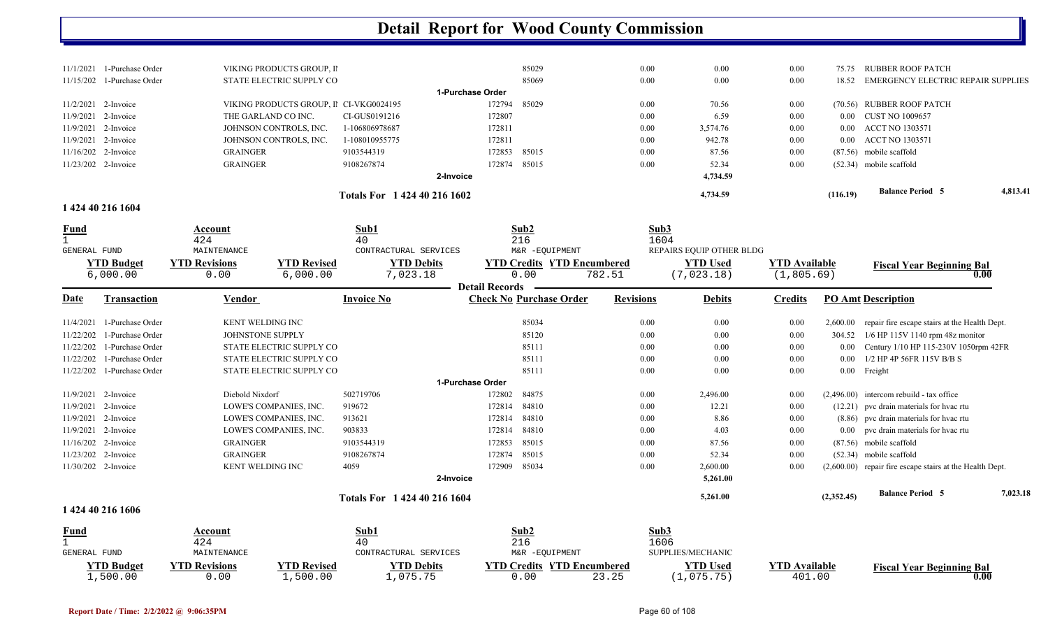| Totals For 1424402161602 |                              |                                         |                |                  |          |      | 4,734.59 | (116.19)      | <b>Balance Period 5</b>            | 4,813.41 |
|--------------------------|------------------------------|-----------------------------------------|----------------|------------------|----------|------|----------|---------------|------------------------------------|----------|
|                          |                              | 2-Invoice                               |                |                  | 4,734.59 |      |          |               |                                    |          |
| $11/23/202$ 2-Invoice    |                              | GRAINGER                                | 9108267874     | 172874           | 85015    | 0.00 | 52.34    | 0.00          | $(52.34)$ mobile scaffold          |          |
| $11/16/202$ 2-Invoice    |                              | <b>GRAINGER</b>                         | 9103544319     | 172853 85015     |          | 0.00 | 87.56    | 0.00          | $(87.56)$ mobile scaffold          |          |
| $11/9/2021$ 2-Invoice    |                              | JOHNSON CONTROLS, INC.                  | 1-108010955775 | 172811           |          | 0.00 | 942.78   | 0.00          | 0.00 ACCT NO 1303571               |          |
| $11/9/2021$ 2-Invoice    |                              | JOHNSON CONTROLS, INC.                  | 1-106806978687 | 172811           |          | 0.00 | 3,574.76 | 0.00          | 0.00 ACCT NO 1303571               |          |
| $11/9/2021$ 2-Invoice    |                              | THE GARLAND CO INC.                     | CI-GUS0191216  | 172807           |          | 0.00 | 6.59     | 0.00          | 0.00 CUST NO 1009657               |          |
| $11/2/2021$ 2-Invoice    |                              | VIKING PRODUCTS GROUP, II CI-VKG0024195 |                | 172794           | 85029    | 0.00 | 70.56    | 0.00          | (70.56) RUBBER ROOF PATCH          |          |
|                          |                              |                                         |                | 1-Purchase Order |          |      |          |               |                                    |          |
|                          | $11/15/202$ 1-Purchase Order | STATE ELECTRIC SUPPLY CO                |                |                  | 85069    | 0.00 | 0.00     | 0.00<br>18.52 | EMERGENCY ELECTRIC REPAIR SUPPLIES |          |
| 11/1/2021                | 1-Purchase Order             | VIKING PRODUCTS GROUP, II               |                |                  | 85029    | 0.00 | 0.00     | 0.00<br>75.75 | RUBBER ROOF PATCH                  |          |
|                          |                              |                                         |                |                  |          |      |          |               |                                    |          |

#### **1 424 40 216 1604**

| <b>Fund</b>         |                               | Account<br>424               |                                | Sub1<br>40                    |                       | Sub2<br>216                               | Sub3<br>1604     |                               |                                    |            |                                                            |          |
|---------------------|-------------------------------|------------------------------|--------------------------------|-------------------------------|-----------------------|-------------------------------------------|------------------|-------------------------------|------------------------------------|------------|------------------------------------------------------------|----------|
| <b>GENERAL FUND</b> |                               | MAINTENANCE                  |                                | CONTRACTURAL SERVICES         |                       | M&R -EQUIPMENT                            |                  | REPAIRS EQUIP OTHER BLDG      |                                    |            |                                                            |          |
|                     | <b>YTD Budget</b><br>6,000.00 | <b>YTD Revisions</b><br>0.00 | <b>YTD Revised</b><br>6,000.00 | <b>YTD Debits</b><br>7,023.18 |                       | <b>YTD Credits YTD Encumbered</b><br>0.00 | 782.51           | <b>YTD Used</b><br>(7,023.18) | <b>YTD Available</b><br>(1,805.69) |            | <b>Fiscal Year Beginning Bal</b><br>0.00                   |          |
| Date                | <b>Transaction</b>            | <b>Vendor</b>                |                                | <b>Invoice No</b>             | <b>Detail Records</b> | <b>Check No Purchase Order</b>            | <b>Revisions</b> | <b>Debits</b>                 | <b>Credits</b>                     |            | <b>PO Amt Description</b>                                  |          |
| 11/4/2021           | 1-Purchase Order              | <b>KENT WELDING INC</b>      |                                |                               |                       | 85034                                     | 0.00             | $0.00\,$                      | 0.00                               | 2,600.00   | repair fire escape stairs at the Health Dept.              |          |
| 11/22/202           | 1-Purchase Order              | JOHNSTONE SUPPLY             |                                |                               |                       | 85120                                     | 0.00             | 0.00                          | 0.00                               | 304.52     | $1/6$ HP 115V 1140 rpm 48z monitor                         |          |
| 11/22/202           | 1-Purchase Order              |                              | STATE ELECTRIC SUPPLY CO       |                               |                       | 85111                                     | 0.00             | $0.00\,$                      | 0.00                               | 0.00       | Century 1/10 HP 115-230V 1050rpm 42FR                      |          |
| 11/22/202           | 1-Purchase Order              |                              | STATE ELECTRIC SUPPLY CO       |                               |                       | 85111                                     | 0.00             | 0.00                          | 0.00                               | 0.00       | 1/2 HP 4P 56FR 115V B/B S                                  |          |
| 11/22/202           | 1-Purchase Order              |                              | STATE ELECTRIC SUPPLY CO       |                               |                       | 85111                                     | 0.00             | $0.00\,$                      | 0.00                               |            | 0.00 Freight                                               |          |
|                     |                               |                              |                                |                               | 1-Purchase Order      |                                           |                  |                               |                                    |            |                                                            |          |
| 11/9/2021           | 2-Invoice                     | Diebold Nixdorf              |                                | 502719706                     | 172802                | 84875                                     | 0.00             | 2,496.00                      | 0.00                               |            | $(2.496.00)$ intercom rebuild - tax office                 |          |
| 11/9/2021           | 2-Invoice                     |                              | LOWE'S COMPANIES, INC.         | 919672                        | 172814                | 84810                                     | 0.00             | 12.21                         | 0.00                               |            | (12.21) pvc drain materials for hvac rtu                   |          |
| 11/9/2021           | 2-Invoice                     |                              | LOWE'S COMPANIES, INC.         | 913621                        | 172814                | 84810                                     | 0.00             | 8.86                          | 0.00                               |            | (8.86) pvc drain materials for hvac rtu                    |          |
| 11/9/2021           | 2-Invoice                     |                              | LOWE'S COMPANIES, INC.         | 903833                        | 172814                | 84810                                     | 0.00             | 4.03                          | 0.00                               |            | 0.00 pvc drain materials for hvac rtu                      |          |
| 11/16/202           | 2-Invoice                     | <b>GRAINGER</b>              |                                | 9103544319                    | 172853                | 85015                                     | 0.00             | 87.56                         | 0.00                               |            | (87.56) mobile scaffold                                    |          |
| 11/23/202 2-Invoice |                               | <b>GRAINGER</b>              |                                | 9108267874                    | 172874                | 85015                                     | 0.00             | 52.34                         | 0.00                               |            | $(52.34)$ mobile scaffold                                  |          |
|                     | 11/30/202 2-Invoice           | KENT WELDING INC             |                                | 4059                          | 172909                | 85034                                     | 0.00             | 2,600.00                      | 0.00                               |            | $(2,600.00)$ repair fire escape stairs at the Health Dept. |          |
|                     |                               |                              |                                |                               | 2-Invoice             |                                           |                  | 5,261.00                      |                                    |            |                                                            |          |
|                     |                               |                              |                                | Totals For 1 424 40 216 1604  |                       |                                           |                  | 5,261.00                      |                                    | (2,352.45) | <b>Balance Period 5</b>                                    | 7,023.18 |
|                     | 1 424 40 216 1606             |                              |                                |                               |                       |                                           |                  |                               |                                    |            |                                                            |          |
| Fund                |                               | Account                      |                                | Sub1                          |                       | Sub <sub>2</sub>                          | Sub3             |                               |                                    |            |                                                            |          |
|                     |                               | 424                          |                                | 40                            |                       | 216                                       | 1606             |                               |                                    |            |                                                            |          |

|                  | - - -                |             | - ∸                   | <u>_ _ v</u>   |                            | ∸◡◡                      |                      |                                  |
|------------------|----------------------|-------------|-----------------------|----------------|----------------------------|--------------------------|----------------------|----------------------------------|
| GENERAL FUND     | AINTENANCE           |             | CONTRACTURAL SERVICES | M&R -EOUIPMENT |                            | <b>SUPPLIES/MECHANIC</b> |                      |                                  |
| $\vee$ TD Budget | <b>YTD Revisions</b> | 'TD Revised | <b>TD Debits</b>      |                | YTD Credits YTD Encumbered | $\rm ^{\vee}TD$ Used     | <b>YTD Available</b> | <b>Fiscal Year Beginning Bal</b> |
| ⊥,500.00         | J.OO                 | ,500.00     | ,075.75               | , 00           |                            | ,075.75                  | 401.00               |                                  |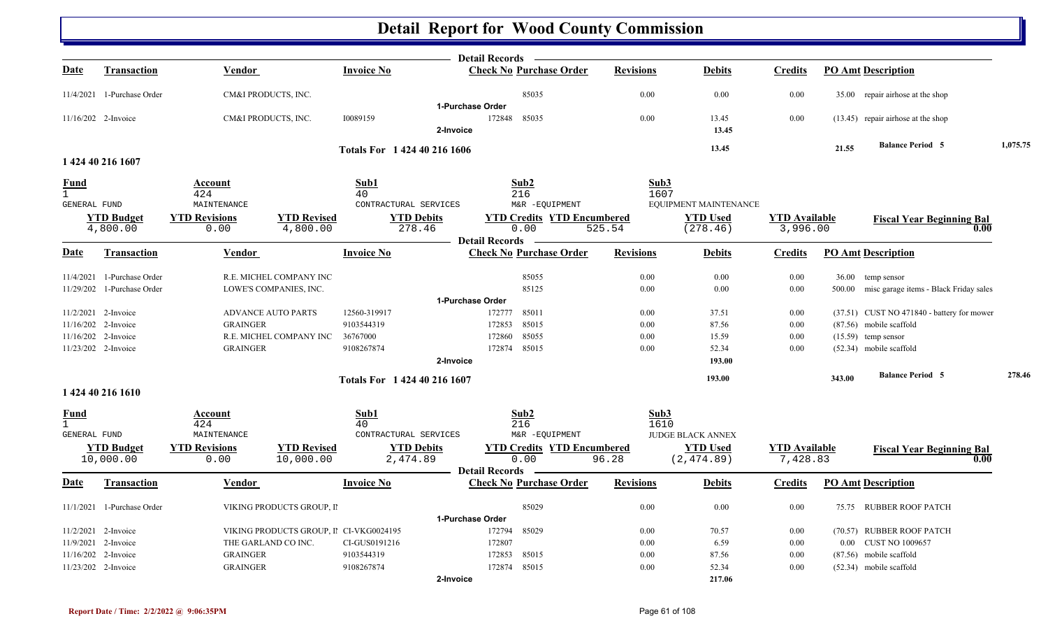|                              |                            |                              |                                         |                               |                  | <b>Detail Records</b>                               |                  |                                          |                                  |        |                                               |          |
|------------------------------|----------------------------|------------------------------|-----------------------------------------|-------------------------------|------------------|-----------------------------------------------------|------------------|------------------------------------------|----------------------------------|--------|-----------------------------------------------|----------|
| <u>Date</u>                  | <b>Transaction</b>         | <b>Vendor</b>                |                                         | <b>Invoice No</b>             |                  | <b>Check No Purchase Order</b>                      | <b>Revisions</b> | <b>Debits</b>                            | <u>Credits</u>                   |        | <b>PO Amt Description</b>                     |          |
|                              | 11/4/2021 1-Purchase Order | CM&I PRODUCTS, INC.          |                                         |                               |                  | 85035                                               | 0.00             | 0.00                                     | 0.00                             |        | 35.00 repair airhose at the shop              |          |
|                              |                            |                              |                                         |                               | 1-Purchase Order |                                                     |                  |                                          |                                  |        |                                               |          |
|                              | 11/16/202 2-Invoice        | CM&I PRODUCTS, INC.          |                                         | 10089159                      | 2-Invoice        | 172848<br>85035                                     | 0.00             | 13.45<br>13.45                           | 0.00                             |        | $(13.45)$ repair airhose at the shop          |          |
|                              |                            |                              |                                         | Totals For 1 424 40 216 1606  |                  |                                                     |                  | 13.45                                    |                                  | 21.55  | <b>Balance Period 5</b>                       | 1,075.75 |
|                              | 1 424 40 216 1607          |                              |                                         |                               |                  |                                                     |                  |                                          |                                  |        |                                               |          |
| <u>Fund</u>                  |                            | Account                      |                                         | Sub1                          |                  | Sub2                                                | Sub3             |                                          |                                  |        |                                               |          |
| $\mathbf{1}$                 |                            | 424                          |                                         | 40                            |                  | 216                                                 | 1607             |                                          |                                  |        |                                               |          |
| GENERAL FUND                 | <b>YTD Budget</b>          | MAINTENANCE                  | <b>YTD Revised</b>                      | CONTRACTURAL SERVICES         |                  | M&R -EQUIPMENT<br><b>YTD Credits YTD Encumbered</b> |                  | EQUIPMENT MAINTENANCE<br><b>YTD Used</b> |                                  |        |                                               |          |
|                              | 4,800.00                   | <b>YTD Revisions</b><br>0.00 | 4,800.00                                | <b>YTD Debits</b><br>278.46   |                  | 0.00                                                | 525.54           | (278.46)                                 | <b>YTD</b> Available<br>3,996.00 |        | <b>Fiscal Year Beginning Bal</b><br>0.00      |          |
|                              |                            |                              |                                         |                               |                  | <b>Detail Records</b>                               |                  |                                          |                                  |        |                                               |          |
| Date                         | Transaction                | Vendor                       |                                         | <b>Invoice No</b>             |                  | <b>Check No Purchase Order</b>                      | <b>Revisions</b> | <b>Debits</b>                            | <b>Credits</b>                   |        | <b>PO Amt Description</b>                     |          |
|                              | 11/4/2021 1-Purchase Order |                              | R.E. MICHEL COMPANY INC                 |                               |                  | 85055                                               | 0.00             | 0.00                                     | 0.00                             |        | 36.00 temp sensor                             |          |
|                              | 11/29/202 1-Purchase Order |                              | LOWE'S COMPANIES, INC.                  |                               |                  | 85125                                               | 0.00             | 0.00                                     | 0.00                             |        | 500.00 misc garage items - Black Friday sales |          |
|                              |                            |                              |                                         |                               | 1-Purchase Order |                                                     |                  |                                          |                                  |        |                                               |          |
|                              | 11/2/2021 2-Invoice        | <b>ADVANCE AUTO PARTS</b>    |                                         | 12560-319917                  |                  | 85011<br>172777                                     | 0.00             | 37.51                                    | 0.00                             |        | $(37.51)$ CUST NO 471840 - battery for mower  |          |
|                              | 11/16/202 2-Invoice        | <b>GRAINGER</b>              |                                         | 9103544319                    |                  | 85015<br>172853                                     | 0.00             | 87.56                                    | 0.00                             |        | (87.56) mobile scaffold                       |          |
|                              | 11/16/202 2-Invoice        |                              | R.E. MICHEL COMPANY INC                 | 36767000                      |                  | 172860<br>85055                                     | 0.00             | 15.59                                    | 0.00                             |        | $(15.59)$ temp sensor                         |          |
|                              | 11/23/202 2-Invoice        | <b>GRAINGER</b>              |                                         | 9108267874                    |                  | 85015<br>172874                                     | 0.00             | 52.34                                    | 0.00                             |        | $(52.34)$ mobile scaffold                     |          |
|                              |                            |                              |                                         |                               | 2-Invoice        |                                                     |                  | 193.00                                   |                                  |        |                                               |          |
|                              |                            |                              |                                         | Totals For 1 424 40 216 1607  |                  |                                                     |                  | 193.00                                   |                                  | 343.00 | <b>Balance Period 5</b>                       | 278.46   |
|                              | 1 424 40 216 1610          |                              |                                         |                               |                  |                                                     |                  |                                          |                                  |        |                                               |          |
| <b>Fund</b>                  |                            | Account                      |                                         | Sub1                          |                  | Sub2                                                | Sub3             |                                          |                                  |        |                                               |          |
| $\mathbf{1}$<br>GENERAL FUND |                            | 424<br>MAINTENANCE           |                                         | 40<br>CONTRACTURAL SERVICES   |                  | 216<br>M&R -EQUIPMENT                               | 1610             |                                          |                                  |        |                                               |          |
|                              | <b>YTD Budget</b>          |                              | <b>YTD Revised</b>                      |                               |                  |                                                     |                  | JUDGE BLACK ANNEX<br><b>YTD Used</b>     |                                  |        |                                               |          |
|                              | 10,000.00                  | <b>YTD Revisions</b><br>0.00 | 10,000.00                               | <b>YTD Debits</b><br>2,474.89 |                  | <b>YTD Credits YTD Encumbered</b><br>0.00           | 96.28            | (2, 474.89)                              | <b>YTD Available</b><br>7,428.83 |        | <b>Fiscal Year Beginning Bal</b><br>0.00      |          |
|                              |                            |                              |                                         |                               |                  | <b>Detail Records</b>                               |                  |                                          |                                  |        |                                               |          |
| <u>Date</u>                  | <b>Transaction</b>         | Vendor                       |                                         | <b>Invoice No</b>             |                  | <b>Check No Purchase Order</b>                      | <b>Revisions</b> | <b>Debits</b>                            | <u>Credits</u>                   |        | <b>PO Amt Description</b>                     |          |
|                              | 11/1/2021 1-Purchase Order |                              | VIKING PRODUCTS GROUP, II               |                               |                  | 85029                                               | 0.00             | 0.00                                     | 0.00                             | 75.75  | RUBBER ROOF PATCH                             |          |
|                              |                            |                              |                                         |                               | 1-Purchase Order |                                                     |                  |                                          |                                  |        |                                               |          |
|                              | 11/2/2021 2-Invoice        |                              | VIKING PRODUCTS GROUP, II CI-VKG0024195 |                               |                  | 172794<br>85029                                     | 0.00             | 70.57                                    | 0.00                             |        | (70.57) RUBBER ROOF PATCH                     |          |
|                              | 11/9/2021 2-Invoice        | THE GARLAND CO INC.          |                                         | CI-GUS0191216                 |                  | 172807                                              | 0.00             | 6.59                                     | 0.00                             |        | 0.00 CUST NO 1009657                          |          |
|                              | 11/16/202 2-Invoice        | <b>GRAINGER</b>              |                                         | 9103544319                    |                  | 85015<br>172853                                     | 0.00             | 87.56                                    | 0.00                             |        | $(87.56)$ mobile scaffold                     |          |
|                              | 11/23/202 2-Invoice        | <b>GRAINGER</b>              |                                         | 9108267874                    |                  | 172874 85015                                        | 0.00             | 52.34                                    | 0.00                             |        | (52.34) mobile scaffold                       |          |
|                              |                            |                              |                                         |                               | 2-Invoice        |                                                     |                  | 217.06                                   |                                  |        |                                               |          |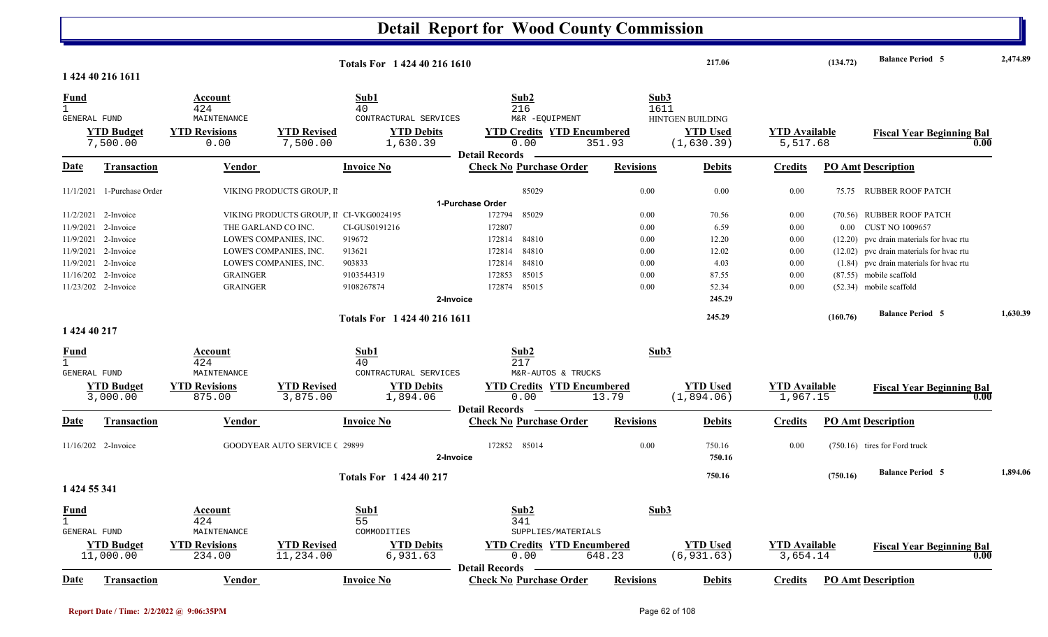#### **Detail Report for Wood County Commission 217.06 (134.72) Balance Period 2,474.89 <sup>5</sup> Totals For 1 424 40 216 16101 424 40 216 1611**1 424 40 216 1611 **Fund Account Sub1 Sub2 Sub3** GENERAL FUND MAINTENANCE CONTRACTURAL SERVICES M&R -EQUIPMENT 7,500.00 0.00 7,500.00 1,630.39 0.00 351.93 5,517.68 (1,630.39) **YTD Budget YTD Revisions YTD Revised YTD Debits YTD Credits YTD Encumbered YTD Used YTD Available Fiscal Year Beginning Bal 0.00**HINTGEN BUILDING**Date Vendor Invoice NoTransaction Purchase Order Revisions Debits Credits PO Amt Description Detail Records**Vendor **Invoice No** 11/1/2021 1-Purchase Order 1 1-Purchase Order VIKING PRODUCTS GROUP, II 85029 0.00 0.00 0.00 0.00 75.75 RUBBER ROOF PATCH **1-Purchase Order**11/2/2021 2-Invoice CI-VKG0024195 85029 0.00 VIKING PRODUCTS GROUP, I N172794 85029 0.00 0.00 70.56 0.00 0.00 0.056 D.MUBBER ROOF PATCH 11/9/20212-Invoice THE GARLAND CO INC. CI-GUS0191216 172807 0.00 6.59 0.00 0.00 0.00 CUST NO 1009657 11/9/2021 2-Invoice 2-INVE'S COMPANIES, INC. 919672 172814 84810 172814 84810 0.00 12.20 0.00 12.20 12.20 pvc drain materials for hvac rtu 11/9/20212-Invoice 12.02 pvc drain materials for hvac rtu  $172814$  84810 0.00 12.02 0.00 (12.02) pvc drain materials for hvac rtu 11/9/20212-Invoice LOWE'S COMPANIES, INC. 903833 122814 84810 0.00 4.03 0.00 (1.84) pvc drain materials for hvac rtu 11/16/202 2-Invoice 2-Invoice 9103544319 85015 0.00 GRAINGER 172853 87.55 0.00 ) (87.55 mobile scaffold 11/23/202 2-Invoice 2-Invoice 9108267874 85015 0.00 GRAINGER 172874 52.34 0.00 ) (52.34 mobile scaffold **2-Invoice 245.29 245.29 (160.76) Balance Period 1,630.39 <sup>5</sup> Totals For 1 424 40 216 16111 424 40 217** 1 424 40 217 **Fund Account Sub1 Sub2 Sub3** GENERAL FUND MAINTENANCE CONTRACTURAL SERVICES M&R-AUTOS & TRUCKSM&R-AUTOS & TRUCKS 3,000.00 875.00 3,875.00 1,894.06 0.00 13.79 1,967.15 (1,894.06) **YTD Budget YTD Revisions YTD Revised YTD Debits YTD Credits YTD Encumbered<u>TTD Used</u> <b>YTD** Available **Fiscal Year Beginning Bal** 13.79 (1,894.06) 1,967.15 **Date Vendor Invoice NoTransaction Purchase Order Revisions Debits Credits PO Amt Description Detail RecordsConductional Vendor Check Invoice No** 11/16/202 2-Invoice 2-Invoice 29899 85014 0.00 GOODYEAR AUTO SERVICE C 172852 750.16 0.00 ) (750.16 tires for Ford truck **2-Invoice 750.16 750.16 (750.16) Balance Period 1,894.06 <sup>5</sup> Totals For 1 424 40 217 1 424 55 341** 1 424 $\frac{4}{341}$ **Fund Account Sub1 Sub2 Sub3** GENERAL FUND MAINTENANCE COMMODITIES SUPPLIES/MATERIALS 11,000.00 234.00 11,234.00 6,931.63 0.00 648.23 3,654.14 (6,931.63) **YTD Budget YTD Revisions YTD Revised YTD Debits YTD Credits YTD Encumbered<u>Cumbered</u> <b>YTD** Used **YTD** Available **Fiscal Year Beginning Bal** 648.23 (6,931.63) 3,654.14 (0.00 **Date Vendor Invoice NoTransaction Purchase Order Revisions Debits Credits PO Amt Description Detail Records** Vendor **Invoice No**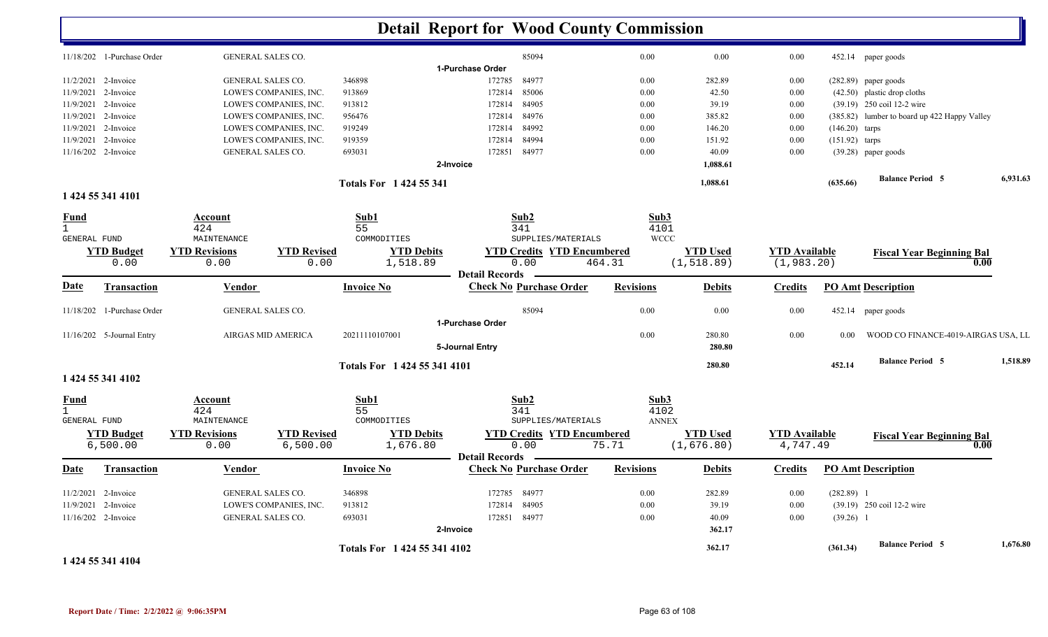|                             |                            |                                     |                            |                                  | <b>Detail Report for Wood County Commission</b>         |                  |                                |                                     |                  |                                              |          |
|-----------------------------|----------------------------|-------------------------------------|----------------------------|----------------------------------|---------------------------------------------------------|------------------|--------------------------------|-------------------------------------|------------------|----------------------------------------------|----------|
|                             | 11/18/202 1-Purchase Order | <b>GENERAL SALES CO.</b>            |                            |                                  | 85094                                                   | 0.00             | 0.00                           | 0.00                                |                  | 452.14 paper goods                           |          |
|                             |                            |                                     |                            |                                  | 1-Purchase Order                                        |                  |                                |                                     |                  |                                              |          |
|                             | 11/2/2021 2-Invoice        | <b>GENERAL SALES CO.</b>            |                            | 346898                           | 172785<br>84977                                         | 0.00             | 282.89                         | 0.00                                |                  | $(282.89)$ paper goods                       |          |
| 11/9/2021                   | 2-Invoice                  |                                     | LOWE'S COMPANIES, INC.     | 913869                           | 85006<br>172814                                         | 0.00             | 42.50                          | 0.00                                |                  | $(42.50)$ plastic drop cloths                |          |
|                             | 11/9/2021 2-Invoice        |                                     | LOWE'S COMPANIES, INC.     | 913812                           | 172814<br>84905                                         | 0.00             | 39.19                          | 0.00                                |                  | (39.19) 250 coil 12-2 wire                   |          |
|                             | 11/9/2021 2-Invoice        |                                     | LOWE'S COMPANIES, INC.     | 956476                           | 84976<br>172814                                         | 0.00             | 385.82                         | 0.00                                |                  | (385.82) lumber to board up 422 Happy Valley |          |
| 11/9/2021                   | 2-Invoice                  |                                     | LOWE'S COMPANIES, INC.     | 919249                           | 84992<br>172814                                         | 0.00             | 146.20                         | 0.00                                | $(146.20)$ tarps |                                              |          |
|                             | 11/9/2021 2-Invoice        |                                     | LOWE'S COMPANIES, INC.     | 919359                           | 84994<br>172814                                         | 0.00             | 151.92                         | 0.00                                | $(151.92)$ tarps |                                              |          |
|                             | 11/16/202 2-Invoice        | <b>GENERAL SALES CO.</b>            |                            | 693031                           | 172851 84977                                            | 0.00             | 40.09                          | 0.00                                |                  | (39.28) paper goods                          |          |
|                             |                            |                                     |                            |                                  | 2-Invoice                                               |                  | 1,088.61                       |                                     |                  |                                              |          |
|                             |                            |                                     |                            | <b>Totals For 1424 55 341</b>    |                                                         |                  | 1,088.61                       |                                     | (635.66)         | <b>Balance Period 5</b>                      | 6,931.63 |
|                             | 1 424 55 341 4101          |                                     |                            |                                  |                                                         |                  |                                |                                     |                  |                                              |          |
| <u>Fund</u><br>$\mathbf{1}$ |                            | Account<br>424                      |                            | Sub1<br>55                       | Sub2<br>341                                             | Sub3<br>4101     |                                |                                     |                  |                                              |          |
| GENERAL FUND                |                            | MAINTENANCE                         |                            | COMMODITIES                      | SUPPLIES/MATERIALS                                      | <b>WCCC</b>      |                                |                                     |                  |                                              |          |
|                             | <b>YTD Budget</b><br>0.00  | <b>YTD Revisions</b><br>0.00        | <b>YTD Revised</b><br>0.00 | <b>YTD Debits</b><br>1,518.89    | <b>YTD Credits YTD Encumbered</b><br>0.00               | 464.31           | <b>YTD Used</b><br>(1, 518.89) | <b>YTD Available</b><br>(1, 983.20) |                  | <b>Fiscal Year Beginning Bal</b>             | 0.00     |
| Date                        | <b>Transaction</b>         | <b>Vendor</b>                       |                            | <b>Invoice No</b>                | <b>Detail Records</b><br><b>Check No Purchase Order</b> | <b>Revisions</b> | <b>Debits</b>                  | <b>Credits</b>                      |                  | <b>PO Amt Description</b>                    |          |
|                             | 11/18/202 1-Purchase Order | GENERAL SALES CO.                   |                            |                                  | 85094                                                   | 0.00             | 0.00                           | 0.00                                |                  | 452.14 paper goods                           |          |
|                             |                            |                                     |                            |                                  | 1-Purchase Order                                        |                  |                                |                                     |                  |                                              |          |
|                             | 11/16/202 5-Journal Entry  |                                     | AIRGAS MID AMERICA         | 20211110107001                   | 5-Journal Entry                                         | 0.00             | 280.80<br>280.80               | 0.00                                | 0.00             | WOOD CO FINANCE-4019-AIRGAS USA, LL          |          |
|                             | 1 424 55 341 4102          |                                     |                            | Totals For 1424 55 341 4101      |                                                         |                  | 280.80                         |                                     | 452.14           | <b>Balance Period 5</b>                      | 1,518.89 |
|                             |                            |                                     |                            |                                  |                                                         |                  |                                |                                     |                  |                                              |          |
| <u>Fund</u><br>$\mathbf{1}$ |                            | Account<br>424                      |                            | Sub1<br>55                       | Sub2<br>341                                             | Sub3<br>4102     |                                |                                     |                  |                                              |          |
| GENERAL FUND                | <b>YTD Budget</b>          | MAINTENANCE<br><b>YTD Revisions</b> | <b>YTD Revised</b>         | COMMODITIES<br><b>YTD Debits</b> | SUPPLIES/MATERIALS<br><b>YTD Credits YTD Encumbered</b> | <b>ANNEX</b>     | <b>YTD Used</b>                | <b>YTD</b> Available                |                  |                                              |          |
|                             | 6,500.00                   | 0.00                                | 6,500.00                   | 1,676.80                         | 0.00                                                    | 75.71            | (1,676.80)                     | 4,747.49                            |                  | <b>Fiscal Year Beginning Bal</b>             | 0.00     |
| Date                        | Transaction                | Vendor                              |                            | <b>Invoice No</b>                | <b>Detail Records</b><br><b>Check No Purchase Order</b> | <b>Revisions</b> | <b>Debits</b>                  | Credits                             |                  | <b>PO Amt Description</b>                    |          |
| 11/2/2021                   | 2-Invoice                  | <b>GENERAL SALES CO.</b>            |                            | 346898                           | 84977<br>172785                                         | 0.00             | 282.89                         | 0.00                                | $(282.89)$ 1     |                                              |          |
| 11/9/2021                   | 2-Invoice                  |                                     | LOWE'S COMPANIES, INC.     | 913812                           | 84905<br>172814                                         | 0.00             | 39.19                          | 0.00                                |                  | (39.19) 250 coil 12-2 wire                   |          |
|                             | 11/16/202 2-Invoice        | <b>GENERAL SALES CO.</b>            |                            | 693031                           | 172851 84977                                            | 0.00             | 40.09                          | 0.00                                | $(39.26)$ 1      |                                              |          |
|                             |                            |                                     |                            |                                  | 2-Invoice                                               |                  | 362.17                         |                                     |                  |                                              |          |
|                             |                            |                                     |                            |                                  |                                                         |                  |                                |                                     |                  | <b>Balance Period 5</b>                      | 1,676.80 |
|                             |                            |                                     |                            | Totals For 1424 55 341 4102      |                                                         |                  | 362.17                         |                                     | (361.34)         |                                              |          |

#### **1 424 55 341 4104**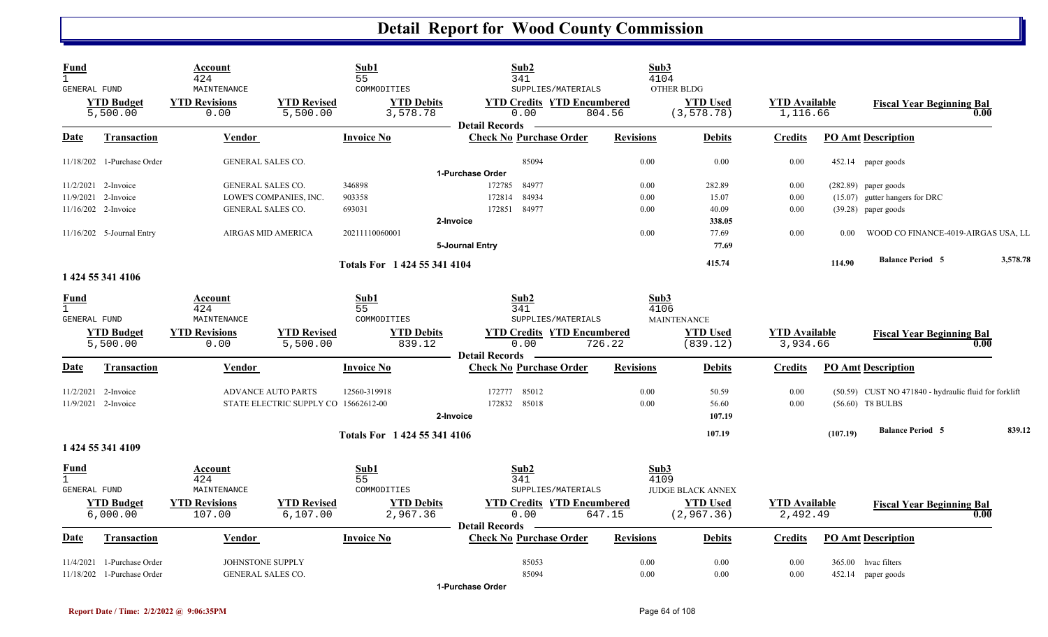| <b>Fund</b><br>$\mathbf{1}$<br>GENERAL FUND |                               | Account<br>424<br>MAINTENANCE  |                                      | Sub1<br>55<br>COMMODITIES     | Sub2<br>341<br>SUPPLIES/MATERIALS                                  | Sub3<br>4104     | OTHER BLDG                     |                                  |          |                                                       |          |
|---------------------------------------------|-------------------------------|--------------------------------|--------------------------------------|-------------------------------|--------------------------------------------------------------------|------------------|--------------------------------|----------------------------------|----------|-------------------------------------------------------|----------|
|                                             | <b>YTD Budget</b><br>5,500.00 | <b>YTD Revisions</b><br>0.00   | <b>YTD Revised</b><br>5,500.00       | <b>YTD Debits</b><br>3,578.78 | <b>YTD Credits YTD Encumbered</b><br>0.00<br><b>Detail Records</b> | 804.56           | <b>YTD Used</b><br>(3, 578.78) | <b>YTD Available</b><br>1,116.66 |          | <b>Fiscal Year Beginning Bal</b>                      | 0.00     |
| Date                                        | <b>Transaction</b>            | <b>Vendor</b>                  |                                      | <b>Invoice No</b>             | <b>Check No Purchase Order</b>                                     | <b>Revisions</b> | <b>Debits</b>                  | <b>Credits</b>                   |          | <b>PO Amt Description</b>                             |          |
|                                             | 11/18/202 1-Purchase Order    | <b>GENERAL SALES CO.</b>       |                                      |                               | 85094                                                              | 0.00             | 0.00                           | 0.00                             |          | 452.14 paper goods                                    |          |
|                                             |                               |                                |                                      |                               | 1-Purchase Order                                                   |                  |                                |                                  |          |                                                       |          |
|                                             | $11/2/2021$ 2-Invoice         | <b>GENERAL SALES CO.</b>       |                                      | 346898                        | 84977<br>172785                                                    | 0.00             | 282.89                         | 0.00                             |          | $(282.89)$ paper goods                                |          |
|                                             | 11/9/2021 2-Invoice           |                                | LOWE'S COMPANIES, INC.               | 903358                        | 84934<br>172814                                                    | 0.00             | 15.07                          | 0.00                             |          | (15.07) gutter hangers for DRC                        |          |
|                                             | 11/16/202 2-Invoice           | GENERAL SALES CO.              |                                      | 693031                        | 172851 84977                                                       | 0.00             | 40.09                          | 0.00                             |          | $(39.28)$ paper goods                                 |          |
|                                             |                               |                                |                                      |                               | 2-Invoice                                                          |                  | 338.05                         |                                  |          |                                                       |          |
|                                             | 11/16/202 5-Journal Entry     | AIRGAS MID AMERICA             |                                      | 20211110060001                |                                                                    | 0.00             | 77.69                          | 0.00                             | 0.00     | WOOD CO FINANCE-4019-AIRGAS USA, LL                   |          |
|                                             |                               |                                |                                      |                               | 5-Journal Entry                                                    |                  | 77.69                          |                                  |          |                                                       |          |
|                                             |                               |                                |                                      | Totals For 1 424 55 341 4104  |                                                                    |                  | 415.74                         |                                  | 114.90   | <b>Balance Period 5</b>                               | 3,578.78 |
|                                             | 1 424 55 341 4106             |                                |                                      |                               |                                                                    |                  |                                |                                  |          |                                                       |          |
| <b>Fund</b>                                 |                               | Account                        |                                      | Sub1                          | Sub2                                                               | Sub3             |                                |                                  |          |                                                       |          |
| $\mathbf{1}$                                |                               | 424                            |                                      | 55                            | 341                                                                | 4106             |                                |                                  |          |                                                       |          |
| GENERAL FUND                                |                               | MAINTENANCE                    |                                      | COMMODITIES                   | SUPPLIES/MATERIALS                                                 |                  | <b>MAINTENANCE</b>             |                                  |          |                                                       |          |
|                                             | <b>YTD</b> Budget             | <b>YTD Revisions</b>           | <b>YTD Revised</b>                   | <b>YTD Debits</b>             | <b>YTD Credits YTD Encumbered</b>                                  |                  | <b>YTD Used</b>                | <b>YTD Available</b>             |          | <b>Fiscal Year Beginning Bal</b>                      |          |
|                                             | 5,500.00                      | 0.00                           | 5,500.00                             | 839.12                        | 0.00                                                               | 726.22           | (839.12)                       | 3,934.66                         |          |                                                       | 0.00     |
|                                             |                               |                                |                                      |                               | <b>Detail Records</b>                                              |                  |                                |                                  |          |                                                       |          |
| Date                                        | <b>Transaction</b>            | Vendor                         |                                      | <b>Invoice No</b>             | <b>Check No Purchase Order</b>                                     | <b>Revisions</b> | <b>Debits</b>                  | Credits                          |          | <b>PO Amt Description</b>                             |          |
|                                             | 11/2/2021 2-Invoice           |                                | <b>ADVANCE AUTO PARTS</b>            | 12560-319918                  | 172777<br>85012                                                    | 0.00             | 50.59                          | 0.00                             |          | (50.59) CUST NO 471840 - hydraulic fluid for forklift |          |
|                                             | 11/9/2021 2-Invoice           |                                | STATE ELECTRIC SUPPLY CO 15662612-00 |                               | 85018<br>172832                                                    | 0.00             | 56.60                          | 0.00                             |          | $(56.60)$ T8 BULBS                                    |          |
|                                             |                               |                                |                                      |                               | 2-Invoice                                                          |                  | 107.19                         |                                  |          |                                                       |          |
|                                             |                               |                                |                                      | Totals For 1 424 55 341 4106  |                                                                    |                  | 107.19                         |                                  | (107.19) | <b>Balance Period 5</b>                               | 839.12   |
|                                             | 1 424 55 341 4109             |                                |                                      |                               |                                                                    |                  |                                |                                  |          |                                                       |          |
| <u>Fund</u>                                 |                               | <u>Account</u>                 |                                      | Sub1                          | Sub2                                                               | Sub3             |                                |                                  |          |                                                       |          |
| $\mathbf{1}$<br>GENERAL FUND                |                               | 424<br>MAINTENANCE             |                                      | 55<br>COMMODITIES             | 341<br>SUPPLIES/MATERIALS                                          | 4109             | JUDGE BLACK ANNEX              |                                  |          |                                                       |          |
|                                             |                               |                                |                                      |                               |                                                                    |                  |                                |                                  |          |                                                       |          |
|                                             | <b>YTD Budget</b><br>6,000.00 | <b>YTD Revisions</b><br>107.00 | <b>YTD Revised</b><br>6, 107.00      | <b>YTD Debits</b><br>2,967.36 | <b>YTD Credits YTD Encumbered</b><br>0.00                          | 647.15           | <b>YTD Used</b><br>(2, 967.36) | <b>YTD</b> Available<br>2,492.49 |          | <b>Fiscal Year Beginning Bal</b>                      | 0.00     |
|                                             |                               |                                |                                      |                               | <b>Detail Records</b>                                              |                  |                                |                                  |          |                                                       |          |
| Date                                        | <b>Transaction</b>            | Vendor                         |                                      | <b>Invoice No</b>             | <b>Check No Purchase Order</b>                                     | <b>Revisions</b> | <b>Debits</b>                  | Credits                          |          | <b>PO Amt Description</b>                             |          |
| 11/4/2021                                   | 1-Purchase Order              | JOHNSTONE SUPPLY               |                                      |                               | 85053                                                              | 0.00             | 0.00                           | 0.00                             |          | 365.00 hvac filters                                   |          |
|                                             | 11/18/202 1-Purchase Order    | <b>GENERAL SALES CO.</b>       |                                      |                               | 85094                                                              | 0.00             | 0.00                           | 0.00                             |          | 452.14 paper goods                                    |          |
|                                             |                               |                                |                                      |                               | 1-Purchase Order                                                   |                  |                                |                                  |          |                                                       |          |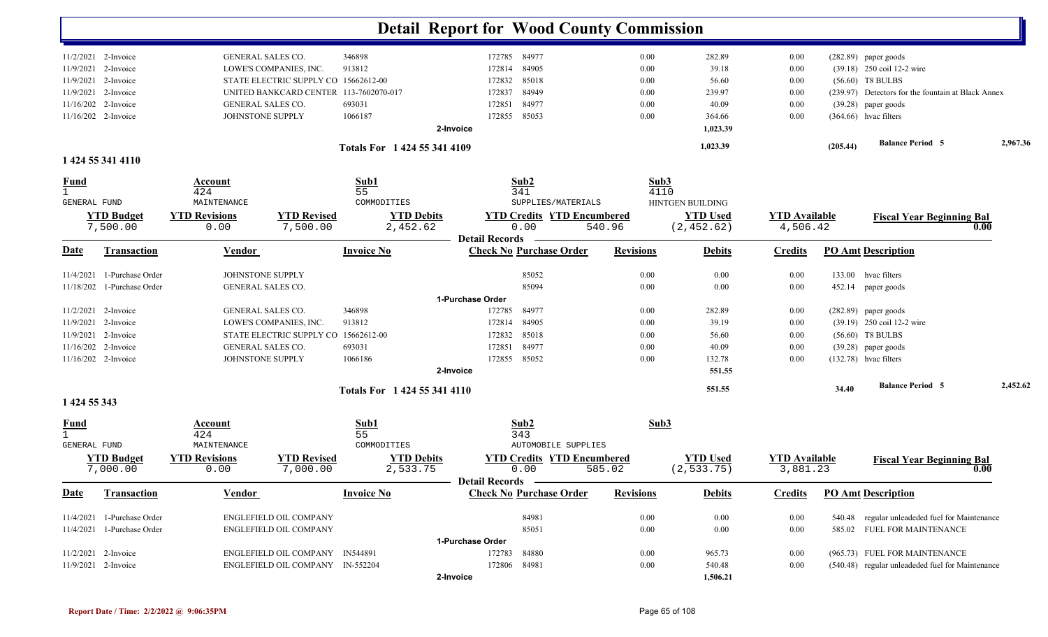|                     |                               |                              |                                        |                               | <b>Detail Report for Wood County Commission</b>         |                  |                                |                                  |          |                                                    |          |
|---------------------|-------------------------------|------------------------------|----------------------------------------|-------------------------------|---------------------------------------------------------|------------------|--------------------------------|----------------------------------|----------|----------------------------------------------------|----------|
|                     | $11/2/2021$ 2-Invoice         | <b>GENERAL SALES CO.</b>     |                                        | 346898                        | 84977<br>172785                                         | 0.00             | 282.89                         | 0.00                             |          | $(282.89)$ paper goods                             |          |
| 11/9/2021           | 2-Invoice                     |                              | LOWE'S COMPANIES, INC.                 | 913812                        | 84905<br>172814                                         | 0.00             | 39.18                          | 0.00                             |          | (39.18) 250 coil 12-2 wire                         |          |
| 11/9/2021           | 2-Invoice                     |                              | STATE ELECTRIC SUPPLY CO 15662612-00   |                               | 85018<br>172832                                         | 0.00             | 56.60                          | 0.00                             |          | $(56.60)$ T8 BULBS                                 |          |
| 11/9/2021           | 2-Invoice                     |                              | UNITED BANKCARD CENTER 113-7602070-017 |                               | 84949<br>172837                                         | 0.00             | 239.97                         | 0.00                             |          | (239.97) Detectors for the fountain at Black Annex |          |
| 11/16/202           | 2-Invoice                     | <b>GENERAL SALES CO.</b>     |                                        | 693031                        | 84977<br>172851                                         | 0.00             | 40.09                          | 0.00                             |          | (39.28) paper goods                                |          |
| 11/16/202 2-Invoice |                               | JOHNSTONE SUPPLY             |                                        | 1066187                       | 85053<br>172855                                         | 0.00             | 364.66                         | 0.00                             |          | $(364.66)$ hvac filters                            |          |
|                     |                               |                              |                                        |                               | 2-Invoice                                               |                  | 1,023.39                       |                                  |          |                                                    |          |
|                     | 1 424 55 341 4110             |                              |                                        | Totals For 1 424 55 341 4109  |                                                         |                  | 1,023.39                       |                                  | (205.44) | <b>Balance Period 5</b>                            | 2,967.36 |
| <b>Fund</b>         |                               | Account                      |                                        | Sub1                          | Sub2                                                    | Sub3             |                                |                                  |          |                                                    |          |
| $\mathbf{1}$        |                               | 424                          |                                        | 55                            | 341                                                     | 4110             |                                |                                  |          |                                                    |          |
| <b>GENERAL FUND</b> |                               | MAINTENANCE                  |                                        | COMMODITIES                   | SUPPLIES/MATERIALS                                      |                  | <b>HINTGEN BUILDING</b>        |                                  |          |                                                    |          |
|                     | <b>YTD Budget</b><br>7,500.00 | <b>YTD Revisions</b><br>0.00 | <b>YTD Revised</b><br>7,500.00         | <b>YTD Debits</b><br>2,452.62 | <b>YTD Credits YTD Encumbered</b><br>0.00               | 540.96           | <b>YTD Used</b><br>(2, 452.62) | <b>YTD Available</b><br>4,506.42 |          | <b>Fiscal Year Beginning Bal</b><br>0.00           |          |
| <u>Date</u>         | <b>Transaction</b>            | <b>Vendor</b>                |                                        | <b>Invoice No</b>             | <b>Detail Records</b><br><b>Check No Purchase Order</b> | <b>Revisions</b> | <b>Debits</b>                  | <b>Credits</b>                   |          | <b>PO Amt Description</b>                          |          |
| 11/4/2021           | 1-Purchase Order              | JOHNSTONE SUPPLY             |                                        |                               | 85052                                                   | 0.00             | 0.00                           | 0.00                             | 133.00   | hvac filters                                       |          |
|                     | 11/18/202 1-Purchase Order    | <b>GENERAL SALES CO.</b>     |                                        |                               | 85094                                                   | 0.00             | 0.00                           | 0.00                             |          | 452.14 paper goods                                 |          |
|                     |                               |                              |                                        |                               | 1-Purchase Order                                        |                  |                                |                                  |          |                                                    |          |
| 11/2/2021           | 2-Invoice                     | <b>GENERAL SALES CO.</b>     |                                        | 346898                        | 84977<br>172785                                         | 0.00             | 282.89                         | 0.00                             |          | $(282.89)$ paper goods                             |          |
| 11/9/2021           | 2-Invoice                     |                              | LOWE'S COMPANIES, INC.                 | 913812                        | 84905<br>172814                                         | 0.00             | 39.19                          | 0.00                             |          | (39.19) 250 coil 12-2 wire                         |          |
| 11/9/2021           | 2-Invoice                     |                              | STATE ELECTRIC SUPPLY CO               | 15662612-00                   | 85018<br>172832                                         | 0.00             | 56.60                          | 0.00                             |          | $(56.60)$ T8 BULBS                                 |          |
|                     | 11/16/202 2-Invoice           | GENERAL SALES CO.            |                                        | 693031                        | 84977<br>172851                                         | 0.00             | 40.09                          | 0.00                             |          | (39.28) paper goods                                |          |
|                     | 11/16/202 2-Invoice           | JOHNSTONE SUPPLY             |                                        | 1066186                       | 85052<br>172855                                         | 0.00             | 132.78                         | 0.00                             |          | $(132.78)$ hvac filters                            |          |
|                     |                               |                              |                                        |                               | 2-Invoice                                               |                  | 551.55                         |                                  |          |                                                    |          |
|                     |                               |                              |                                        | Totals For 1 424 55 341 4110  |                                                         |                  | 551.55                         |                                  | 34.40    | <b>Balance Period 5</b>                            | 2,452.62 |
| 1 424 55 343        |                               |                              |                                        |                               |                                                         |                  |                                |                                  |          |                                                    |          |
| <b>Fund</b>         |                               | Account<br>424               |                                        | Sub1<br>55                    | Sub2<br>343                                             | Sub3             |                                |                                  |          |                                                    |          |
| <b>GENERAL FUND</b> |                               | MAINTENANCE                  |                                        | COMMODITIES                   | <b>AUTOMOBILE SUPPLIES</b>                              |                  |                                |                                  |          |                                                    |          |
|                     | <b>YTD Budget</b>             | <b>YTD Revisions</b>         | <b>YTD Revised</b>                     | <b>YTD Debits</b>             | <b>YTD Credits YTD Encumbered</b>                       |                  | <b>YTD</b> Used                | <b>YTD Available</b>             |          | <b>Fiscal Year Beginning Bal</b>                   |          |
|                     | 7,000.00                      | 0.00                         | 7,000.00                               | 2,533.75                      | 0.00                                                    | 585.02           | (2, 533.75)                    | 3,881.23                         |          | 0.00                                               |          |
| <b>Date</b>         | <b>Transaction</b>            | <b>Vendor</b>                |                                        | <b>Invoice No</b>             | Detail Records -<br><b>Check No Purchase Order</b>      | <b>Revisions</b> | <b>Debits</b>                  | <b>Credits</b>                   |          | <b>PO Amt Description</b>                          |          |
|                     |                               |                              |                                        |                               |                                                         |                  |                                |                                  |          |                                                    |          |
|                     | 11/4/2021 1-Purchase Order    |                              | <b>ENGLEFIELD OIL COMPANY</b>          |                               | 84981                                                   | 0.00             | 0.00                           | 0.00                             |          | 540.48 regular unleadeded fuel for Maintenance     |          |
|                     | 11/4/2021 1-Purchase Order    |                              | ENGLEFIELD OIL COMPANY                 |                               | 85051                                                   | 0.00             | 0.00                           | $0.00\,$                         |          | 585.02 FUEL FOR MAINTENANCE                        |          |
|                     |                               |                              |                                        |                               | 1-Purchase Order                                        |                  |                                |                                  |          |                                                    |          |
|                     | 11/2/2021 2-Invoice           |                              | ENGLEFIELD OIL COMPANY IN544891        |                               | 172783<br>84880                                         | 0.00             | 965.73                         | 0.00                             |          | (965.73) FUEL FOR MAINTENANCE                      |          |
| 11/9/2021 2-Invoice |                               |                              | ENGLEFIELD OIL COMPANY IN-552204       |                               | 172806<br>84981                                         | 0.00             | 540.48                         | 0.00                             |          | (540.48) regular unleadeded fuel for Maintenance   |          |
|                     |                               |                              |                                        |                               | 2-Invoice                                               |                  | 1,506.21                       |                                  |          |                                                    |          |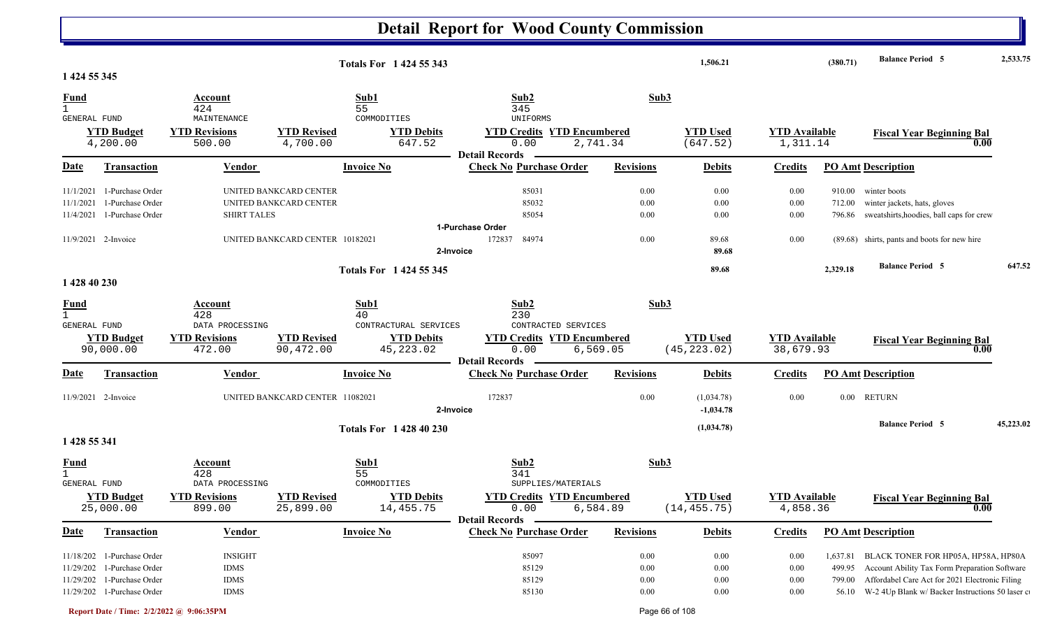|                                                    |                                                                                        |                                                                     |                                                                                     | Totals For 1 424 55 343                                     |                                                                                |                                  | 1,506.21                                  |                                      | (380.71)                     | <b>Balance Period 5</b>                                                                                                                                                                         | 2,533.75  |
|----------------------------------------------------|----------------------------------------------------------------------------------------|---------------------------------------------------------------------|-------------------------------------------------------------------------------------|-------------------------------------------------------------|--------------------------------------------------------------------------------|----------------------------------|-------------------------------------------|--------------------------------------|------------------------------|-------------------------------------------------------------------------------------------------------------------------------------------------------------------------------------------------|-----------|
| 1 424 55 345<br><b>Fund</b><br>$\mathbf{1}$        |                                                                                        | Account<br>424                                                      |                                                                                     | Sub1<br>55                                                  | Sub2<br>345                                                                    | Sub3                             |                                           |                                      |                              |                                                                                                                                                                                                 |           |
| GENERAL FUND                                       | <b>YTD Budget</b><br>4,200.00                                                          | MAINTENANCE<br><b>YTD Revisions</b><br>500.00                       | <b>YTD Revised</b><br>4,700.00                                                      | COMMODITIES<br><b>YTD Debits</b><br>647.52                  | <b>UNIFORMS</b><br><b>YTD Credits YTD Encumbered</b><br>0.00                   | 2,741.34                         | <b>YTD Used</b><br>(647.52)               | <b>YTD Available</b><br>1,311.14     |                              | <b>Fiscal Year Beginning Bal</b><br>0.00                                                                                                                                                        |           |
| <u>Date</u>                                        | Transaction                                                                            | Vendor                                                              |                                                                                     | <b>Invoice No</b>                                           | <b>Detail Records</b><br><b>Check No Purchase Order</b>                        | <b>Revisions</b>                 | <b>Debits</b>                             | <b>Credits</b>                       |                              | <b>PO Amt Description</b>                                                                                                                                                                       |           |
| 11/1/2021<br>11/1/2021<br>11/4/2021                | 1-Purchase Order<br>1-Purchase Order<br>1-Purchase Order<br>11/9/2021 2-Invoice        | <b>SHIRT TALES</b>                                                  | UNITED BANKCARD CENTER<br>UNITED BANKCARD CENTER<br>UNITED BANKCARD CENTER 10182021 |                                                             | 85031<br>85032<br>85054<br>1-Purchase Order<br>84974<br>172837                 | 0.00<br>0.00<br>0.00<br>$0.00\,$ | $0.00\,$<br>$0.00\,$<br>$0.00\,$<br>89.68 | 0.00<br>0.00<br>0.00<br>0.00         | 712.00                       | 910.00 winter boots<br>winter jackets, hats, gloves<br>796.86 sweatshirts, hoodies, ball caps for crew<br>(89.68) shirts, pants and boots for new hire                                          |           |
|                                                    |                                                                                        |                                                                     |                                                                                     |                                                             | 2-Invoice                                                                      |                                  | 89.68                                     |                                      |                              |                                                                                                                                                                                                 |           |
| 1 428 40 230                                       |                                                                                        |                                                                     |                                                                                     | Totals For 1 424 55 345                                     |                                                                                |                                  | 89.68                                     |                                      | 2,329.18                     | <b>Balance Period 5</b>                                                                                                                                                                         | 647.52    |
| <b>Fund</b><br>$\mathbf{1}$<br><b>GENERAL FUND</b> |                                                                                        | <b>Account</b><br>428<br>DATA PROCESSING                            |                                                                                     | Sub1<br>40<br>CONTRACTURAL SERVICES                         | Sub2<br>230<br>CONTRACTED SERVICES                                             | Sub3                             |                                           |                                      |                              |                                                                                                                                                                                                 |           |
|                                                    | <b>YTD Budget</b><br>90,000.00                                                         | <b>YTD Revisions</b><br>472.00                                      | <b>YTD Revised</b><br>90,472.00                                                     | <b>YTD Debits</b><br>45, 223.02                             | <b>YTD Credits YTD Encumbered</b><br>0.00<br><b>Detail Records</b>             | 6,569.05                         | <b>YTD Used</b><br>(45, 223.02)           | <b>YTD Available</b><br>38,679.93    |                              | <b>Fiscal Year Beginning Bal</b><br>0.00                                                                                                                                                        |           |
| <u>Date</u>                                        | <b>Transaction</b>                                                                     | Vendor                                                              |                                                                                     | <b>Invoice No</b>                                           | <b>Check No Purchase Order</b>                                                 | <b>Revisions</b>                 | <b>Debits</b>                             | <b>Credits</b>                       |                              | <b>PO Amt Description</b>                                                                                                                                                                       |           |
|                                                    | 11/9/2021 2-Invoice                                                                    |                                                                     | UNITED BANKCARD CENTER 11082021                                                     |                                                             | 172837<br>2-Invoice                                                            | 0.00                             | (1,034.78)<br>$-1,034.78$                 | 0.00                                 | $0.00\,$                     | <b>RETURN</b>                                                                                                                                                                                   |           |
| 1 428 55 341                                       |                                                                                        |                                                                     |                                                                                     | <b>Totals For 142840230</b>                                 |                                                                                |                                  | (1,034.78)                                |                                      |                              | <b>Balance Period 5</b>                                                                                                                                                                         | 45,223.02 |
| $\frac{Fund}{1}$<br><b>GENERAL FUND</b>            | <b>YTD Budget</b><br>25,000.00                                                         | Account<br>428<br>DATA PROCESSING<br><b>YTD Revisions</b><br>899.00 | <b>YTD Revised</b><br>25,899.00                                                     | Sub1<br>55<br>COMMODITIES<br><b>YTD Debits</b><br>14,455.75 | Sub2<br>341<br>SUPPLIES/MATERIALS<br><b>YTD Credits YTD Encumbered</b><br>0.00 | Sub3<br>6,584.89                 | <b>YTD Used</b><br>(14, 455.75)           | <b>YTD</b> Available<br>4,858.36     |                              | <b>Fiscal Year Beginning Bal</b><br>0.00                                                                                                                                                        |           |
| <u>Date</u>                                        | <b>Transaction</b>                                                                     | <b>Vendor</b>                                                       |                                                                                     | <b>Invoice No</b>                                           | <b>Detail Records</b><br><b>Check No Purchase Order</b>                        | <b>Revisions</b>                 | <b>Debits</b>                             | <b>Credits</b>                       |                              | <b>PO Amt Description</b>                                                                                                                                                                       |           |
| 11/18/202<br>11/29/202<br>11/29/202                | 1-Purchase Order<br>1-Purchase Order<br>1-Purchase Order<br>11/29/202 1-Purchase Order | <b>INSIGHT</b><br><b>IDMS</b><br><b>IDMS</b><br>$IDMS$              |                                                                                     |                                                             | 85097<br>85129<br>85129<br>85130                                               | 0.00<br>0.00<br>0.00<br>0.00     | 0.00<br>$0.00\,$<br>0.00<br>$0.00\,$      | $0.00\,$<br>0.00<br>$0.00\,$<br>0.00 | 1,637.81<br>499.95<br>799.00 | BLACK TONER FOR HP05A, HP58A, HP80A<br>Account Ability Tax Form Preparation Software<br>Affordabel Care Act for 2021 Electronic Filing<br>56.10 W-2 4Up Blank w/ Backer Instructions 50 laser c |           |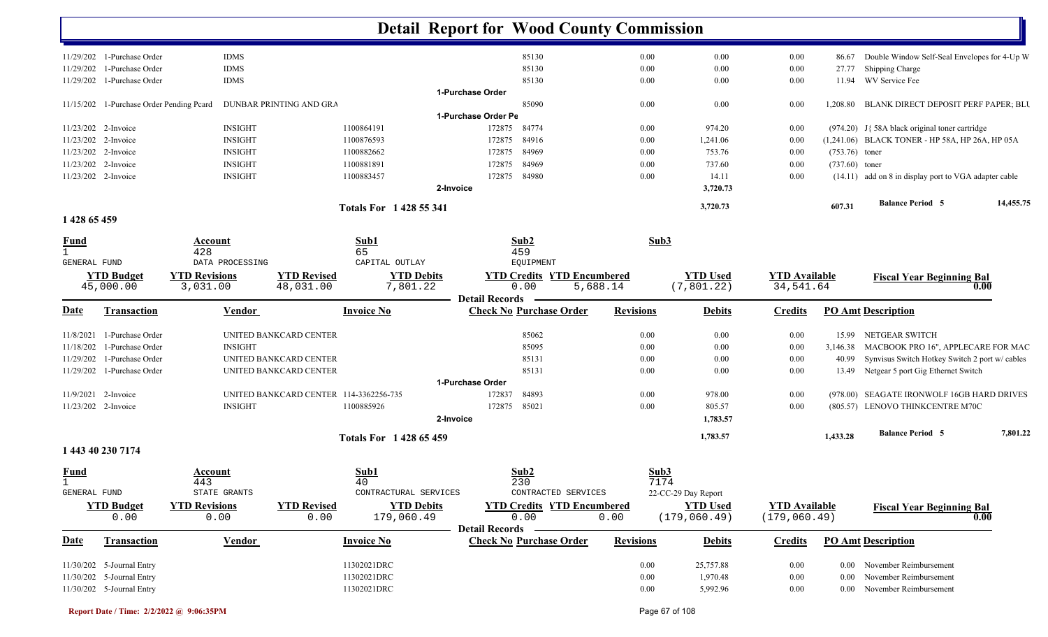|                             |                                          |                                  |                                        | <b>Detail Report for Wood County Commission</b> |                       |                                           |                  |      |                                  |                                       |                  |                                                       |           |
|-----------------------------|------------------------------------------|----------------------------------|----------------------------------------|-------------------------------------------------|-----------------------|-------------------------------------------|------------------|------|----------------------------------|---------------------------------------|------------------|-------------------------------------------------------|-----------|
|                             | 11/29/202 1-Purchase Order               | <b>IDMS</b>                      |                                        |                                                 |                       | 85130                                     |                  | 0.00 | 0.00                             | 0.00                                  | 86.67            | Double Window Self-Seal Envelopes for 4-Up W          |           |
| 11/29/202                   | 1-Purchase Order                         | <b>IDMS</b>                      |                                        |                                                 |                       | 85130                                     |                  | 0.00 | 0.00                             | 0.00                                  | 27.77            | Shipping Charge                                       |           |
| 11/29/202                   | 1-Purchase Order                         | <b>IDMS</b>                      |                                        |                                                 |                       | 85130                                     |                  | 0.00 | 0.00                             | 0.00                                  | 11.94            | WV Service Fee                                        |           |
|                             |                                          |                                  |                                        |                                                 | 1-Purchase Order      |                                           |                  |      |                                  |                                       |                  |                                                       |           |
|                             | 11/15/202 1-Purchase Order Pending Pcard |                                  | DUNBAR PRINTING AND GRA                |                                                 |                       | 85090                                     |                  | 0.00 | 0.00                             | 0.00                                  | 1,208.80         | BLANK DIRECT DEPOSIT PERF PAPER; BLU                  |           |
|                             |                                          |                                  |                                        |                                                 | 1-Purchase Order Pe   |                                           |                  |      |                                  |                                       |                  |                                                       |           |
|                             | 11/23/202 2-Invoice                      | <b>INSIGHT</b>                   |                                        | 1100864191                                      | 172875                | 84774                                     |                  | 0.00 | 974.20                           | 0.00                                  |                  | $(974.20)$ J{ 58A black original toner cartridge      |           |
|                             | 11/23/202 2-Invoice                      | <b>INSIGHT</b>                   |                                        | 1100876593                                      | 172875                | 84916                                     |                  | 0.00 | 1,241.06                         | 0.00                                  |                  | (1,241.06) BLACK TONER - HP 58A, HP 26A, HP 05A       |           |
|                             | 11/23/202 2-Invoice                      | <b>INSIGHT</b>                   |                                        | 1100882662                                      | 172875                | 84969                                     |                  | 0.00 | 753.76                           | 0.00                                  | $(753.76)$ toner |                                                       |           |
|                             | 11/23/202 2-Invoice                      | <b>INSIGHT</b>                   |                                        | 1100881891                                      | 172875                | 84969                                     |                  | 0.00 | 737.60                           | 0.00                                  | $(737.60)$ toner |                                                       |           |
|                             | 11/23/202 2-Invoice                      | <b>INSIGHT</b>                   |                                        | 1100883457                                      | 172875                | 84980                                     |                  | 0.00 | 14.11                            | 0.00                                  |                  | (14.11) add on 8 in display port to VGA adapter cable |           |
|                             |                                          |                                  |                                        |                                                 | 2-Invoice             |                                           |                  |      | 3,720.73                         |                                       |                  |                                                       |           |
|                             |                                          |                                  |                                        | Totals For 1428 55 341                          |                       |                                           |                  |      | 3,720.73                         |                                       | 607.31           | <b>Balance Period 5</b>                               | 14,455.75 |
| 1 428 65 459                |                                          |                                  |                                        |                                                 |                       |                                           |                  |      |                                  |                                       |                  |                                                       |           |
| <b>Fund</b><br>$\mathbf{1}$ |                                          | Account<br>428                   |                                        | Sub1<br>65                                      |                       | Sub2<br>459                               |                  | Sub3 |                                  |                                       |                  |                                                       |           |
| <b>GENERAL FUND</b>         |                                          | DATA PROCESSING                  |                                        | CAPITAL OUTLAY                                  |                       | EQUIPMENT                                 |                  |      |                                  |                                       |                  |                                                       |           |
|                             | <b>YTD Budget</b><br>45,000.00           | <b>YTD Revisions</b><br>3,031.00 | <b>YTD Revised</b><br>48,031.00        | <b>YTD Debits</b><br>7,801.22                   |                       | <b>YTD Credits YTD Encumbered</b><br>0.00 | 5,688.14         |      | <b>YTD Used</b><br>(7, 801.22)   | <b>YTD</b> Available<br>34,541.64     |                  | <b>Fiscal Year Beginning Bal</b>                      | 0.00      |
|                             |                                          |                                  |                                        |                                                 | <b>Detail Records</b> |                                           |                  |      |                                  |                                       |                  |                                                       |           |
| Date                        | <b>Transaction</b>                       | <b>Vendor</b>                    |                                        | <b>Invoice No</b>                               |                       | <b>Check No Purchase Order</b>            | <b>Revisions</b> |      | <b>Debits</b>                    | <b>Credits</b>                        |                  | <b>PO Amt Description</b>                             |           |
| 11/8/2021                   | 1-Purchase Order                         |                                  | UNITED BANKCARD CENTER                 |                                                 |                       | 85062                                     |                  | 0.00 | 0.00                             | 0.00                                  |                  | 15.99 NETGEAR SWITCH                                  |           |
| 11/18/202                   | 1-Purchase Order                         | <b>INSIGHT</b>                   |                                        |                                                 |                       | 85095                                     |                  | 0.00 | 0.00                             | 0.00                                  |                  | 3,146.38 MACBOOK PRO 16", APPLECARE FOR MAC           |           |
| 11/29/202                   | 1-Purchase Order                         |                                  | UNITED BANKCARD CENTER                 |                                                 |                       | 85131                                     |                  | 0.00 | 0.00                             | 0.00                                  | 40.99            | Synvisus Switch Hotkey Switch 2 port w/ cables        |           |
| 11/29/202                   | 1-Purchase Order                         |                                  | UNITED BANKCARD CENTER                 |                                                 |                       | 85131                                     |                  | 0.00 | 0.00                             | 0.00                                  |                  | 13.49 Netgear 5 port Gig Ethernet Switch              |           |
|                             |                                          |                                  |                                        |                                                 | 1-Purchase Order      |                                           |                  |      |                                  |                                       |                  |                                                       |           |
|                             | 11/9/2021 2-Invoice                      |                                  | UNITED BANKCARD CENTER 114-3362256-735 |                                                 | 172837                | 84893                                     |                  | 0.00 | 978.00                           | 0.00                                  |                  | (978.00) SEAGATE IRONWOLF 16GB HARD DRIVES            |           |
|                             | 11/23/202 2-Invoice                      | <b>INSIGHT</b>                   |                                        | 1100885926                                      | 172875                | 85021                                     |                  | 0.00 | 805.57                           | 0.00                                  |                  | (805.57) LENOVO THINKCENTRE M70C                      |           |
|                             |                                          |                                  |                                        |                                                 | 2-Invoice             |                                           |                  |      | 1,783.57                         |                                       |                  |                                                       |           |
|                             | 1 443 40 230 7174                        |                                  |                                        | Totals For 1 428 65 459                         |                       |                                           |                  |      | 1,783.57                         |                                       | 1,433.28         | <b>Balance Period 5</b>                               | 7,801.22  |
|                             |                                          |                                  |                                        |                                                 |                       |                                           |                  |      |                                  |                                       |                  |                                                       |           |
| <u>Fund</u>                 |                                          | Account                          |                                        | Sub1                                            |                       | Sub2                                      |                  | Sub3 |                                  |                                       |                  |                                                       |           |
| $\perp$<br>GENERAL FUND     |                                          | 443<br>STATE GRANTS              |                                        | 40<br>CONTRACTURAL SERVICES                     |                       | 230<br>CONTRACTED SERVICES                |                  | 7174 | 22-CC-29 Day Report              |                                       |                  |                                                       |           |
|                             |                                          |                                  |                                        |                                                 |                       |                                           |                  |      |                                  |                                       |                  |                                                       |           |
|                             | <b>YTD Budget</b><br>0.00                | <b>YTD Revisions</b><br>0.00     | <b>YTD Revised</b><br>0.00             | <b>YTD Debits</b><br>179,060.49                 |                       | <b>YTD Credits YTD Encumbered</b><br>0.00 | 0.00             |      | <b>YTD Used</b><br>(179, 060.49) | <b>YTD Available</b><br>(179, 060.49) |                  | <b>Fiscal Year Beginning Bal</b>                      | 0.00      |
|                             |                                          |                                  |                                        |                                                 | Detail Records —      |                                           |                  |      |                                  |                                       |                  |                                                       |           |
| <b>Date</b>                 | <b>Transaction</b>                       | <b>Vendor</b>                    |                                        | <b>Invoice No</b>                               |                       | <b>Check No Purchase Order</b>            | <b>Revisions</b> |      | <b>Debits</b>                    | <b>Credits</b>                        |                  | <b>PO Amt Description</b>                             |           |
|                             | $11/30/202$ 5-Journal Entry              |                                  |                                        | 11302021DRC                                     |                       |                                           |                  | 0.00 | 25,757.88                        | $0.00\,$                              |                  | 0.00 November Reimbursement                           |           |
|                             | 11/30/202 5-Journal Entry                |                                  |                                        | 11302021DRC                                     |                       |                                           |                  | 0.00 | 1,970.48                         | 0.00                                  | $0.00\,$         | November Reimbursement                                |           |
|                             | 11/30/202 5-Journal Entry                |                                  |                                        | 11302021DRC                                     |                       |                                           |                  | 0.00 | 5,992.96                         | 0.00                                  |                  | 0.00 November Reimbursement                           |           |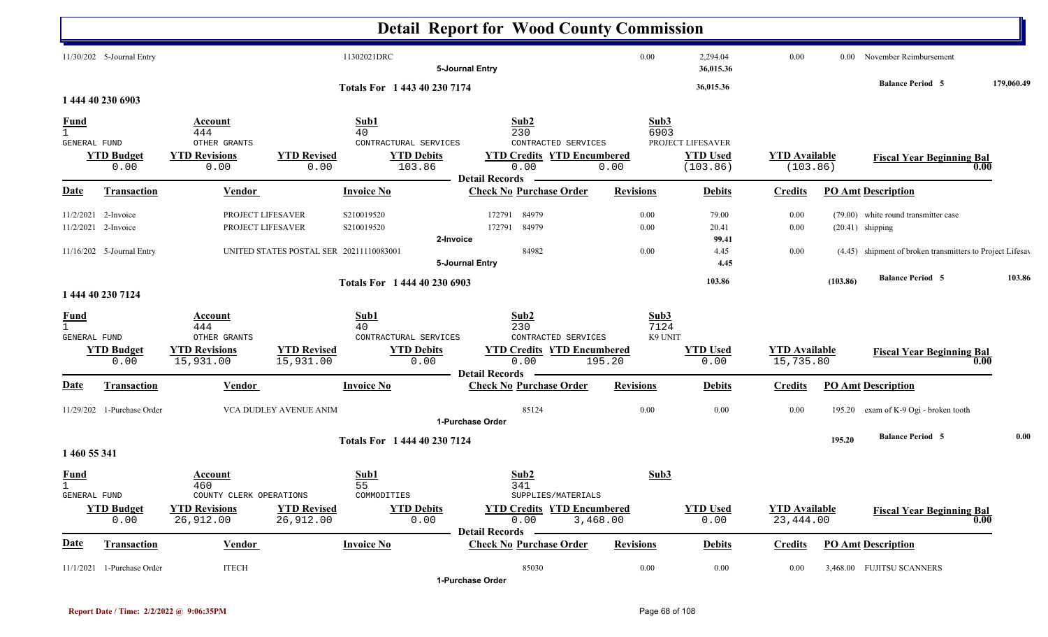|                                             |                                            |                                                                     |                                         |                                                                  | <b>Detail Report for Wood County Commission</b>                                 |                                   |                                                  |                                   |          |                                                            |            |
|---------------------------------------------|--------------------------------------------|---------------------------------------------------------------------|-----------------------------------------|------------------------------------------------------------------|---------------------------------------------------------------------------------|-----------------------------------|--------------------------------------------------|-----------------------------------|----------|------------------------------------------------------------|------------|
|                                             | 11/30/202 5-Journal Entry                  |                                                                     |                                         | 11302021DRC                                                      | 5-Journal Entry                                                                 | 0.00                              | 2,294.04<br>36,015.36                            | 0.00                              | $0.00 -$ | November Reimbursement                                     |            |
|                                             | 1 444 40 230 6903                          |                                                                     |                                         | Totals For 1 443 40 230 7174                                     |                                                                                 |                                   | 36,015.36                                        |                                   |          | <b>Balance Period 5</b>                                    | 179,060.49 |
| <b>Fund</b><br>$\mathbf{1}$                 |                                            | Account<br>444                                                      |                                         | Sub1<br>40                                                       | Sub2<br>230                                                                     | Sub3<br>6903                      |                                                  |                                   |          |                                                            |            |
| GENERAL FUND                                | <b>YTD Budget</b><br>0.00                  | OTHER GRANTS<br><b>YTD Revisions</b><br>0.00                        | <b>YTD Revised</b><br>0.00              | CONTRACTURAL SERVICES<br><b>YTD Debits</b><br>103.86             | CONTRACTED SERVICES<br><b>YTD Credits YTD Encumbered</b><br>0.00                | 0.00                              | PROJECT LIFESAVER<br><b>YTD Used</b><br>(103.86) | <b>YTD Available</b><br>(103.86)  |          | <b>Fiscal Year Beginning Bal</b><br>0.00                   |            |
| <b>Date</b>                                 | <b>Transaction</b>                         | Vendor                                                              |                                         | <b>Invoice No</b>                                                | <b>Detail Records</b><br><b>Check No Purchase Order</b>                         | <b>Revisions</b>                  | <b>Debits</b>                                    | <b>Credits</b>                    |          | <b>PO Amt Description</b>                                  |            |
|                                             | 11/2/2021 2-Invoice<br>11/2/2021 2-Invoice | PROJECT LIFESAVER<br>PROJECT LIFESAVER                              |                                         | S210019520<br>S210019520                                         | 172791<br>84979<br>84979<br>172791<br>2-Invoice                                 | 0.00<br>0.00                      | 79.00<br>20.41<br>99.41                          | 0.00<br>0.00                      |          | (79.00) white round transmitter case<br>$(20.41)$ shipping |            |
|                                             | 11/16/202 5-Journal Entry                  |                                                                     | UNITED STATES POSTAL SER 20211110083001 |                                                                  | 84982<br>5-Journal Entry                                                        | 0.00                              | 4.45<br>4.45                                     | $0.00\,$                          |          | (4.45) shipment of broken transmitters to Project Lifesav  |            |
|                                             | 1 444 40 230 7124                          |                                                                     |                                         | Totals For 1 444 40 230 6903                                     |                                                                                 |                                   | 103.86                                           |                                   | (103.86) | <b>Balance Period 5</b>                                    | 103.86     |
| <b>Fund</b><br>$\mathbf{1}$<br>GENERAL FUND | <b>YTD Budget</b><br>0.00                  | Account<br>444<br>OTHER GRANTS<br><b>YTD Revisions</b><br>15,931.00 | <b>YTD Revised</b><br>15,931.00         | Sub1<br>40<br>CONTRACTURAL SERVICES<br><b>YTD Debits</b><br>0.00 | Sub2<br>230<br>CONTRACTED SERVICES<br><b>YTD Credits YTD Encumbered</b><br>0.00 | Sub3<br>7124<br>K9 UNIT<br>195.20 | <b>YTD Used</b><br>0.00                          | <b>YTD Available</b><br>15,735.80 |          | <b>Fiscal Year Beginning Bal</b><br>0.00                   |            |
| Date                                        | <b>Transaction</b>                         | <b>Vendor</b>                                                       |                                         | <b>Invoice No</b>                                                | <b>Detail Records</b><br><b>Check No Purchase Order</b>                         | <b>Revisions</b>                  | <b>Debits</b>                                    | <b>Credits</b>                    |          | <b>PO Amt Description</b>                                  |            |
|                                             | 11/29/202 1-Purchase Order                 |                                                                     | VCA DUDLEY AVENUE ANIM                  |                                                                  | 85124<br>1-Purchase Order                                                       | $0.00\,$                          | 0.00                                             | 0.00                              |          | 195.20 exam of K-9 Ogi - broken tooth                      |            |
| 1 460 55 341                                |                                            |                                                                     |                                         | Totals For 1 444 40 230 7124                                     |                                                                                 |                                   |                                                  |                                   | 195.20   | <b>Balance Period 5</b>                                    | 0.00       |
| <b>Fund</b><br>$\mathbf{1}$<br>GENERAL FUND | <b>YTD Budget</b>                          | Account<br>460<br>COUNTY CLERK OPERATIONS<br><b>YTD Revisions</b>   |                                         | Sub1<br>55<br>COMMODITIES                                        | Sub2<br>341<br>SUPPLIES/MATERIALS<br><b>YTD Credits YTD Encumbered</b>          | Sub3                              |                                                  | <b>YTD Available</b>              |          |                                                            |            |
|                                             | 0.00                                       | 26,912.00                                                           | <b>YTD Revised</b><br>26,912.00         | <b>YTD Debits</b><br>0.00                                        | 0.00<br>3,468.00<br><b>Detail Records</b>                                       |                                   | <b>YTD Used</b><br>0.00                          | 23,444.00                         |          | <b>Fiscal Year Beginning Bal</b><br>0.00                   |            |
| <u>Date</u>                                 | Transaction                                | <b>Vendor</b>                                                       |                                         | <b>Invoice No</b>                                                | <b>Check No Purchase Order</b>                                                  | <b>Revisions</b>                  | <b>Debits</b>                                    | <b>Credits</b>                    |          | <b>PO Amt Description</b>                                  |            |
|                                             | 11/1/2021 1-Purchase Order                 | <b>ITECH</b>                                                        |                                         |                                                                  | 85030<br>1-Purchase Order                                                       | $0.00\,$                          | 0.00                                             | 0.00                              |          | 3,468.00 FUJITSU SCANNERS                                  |            |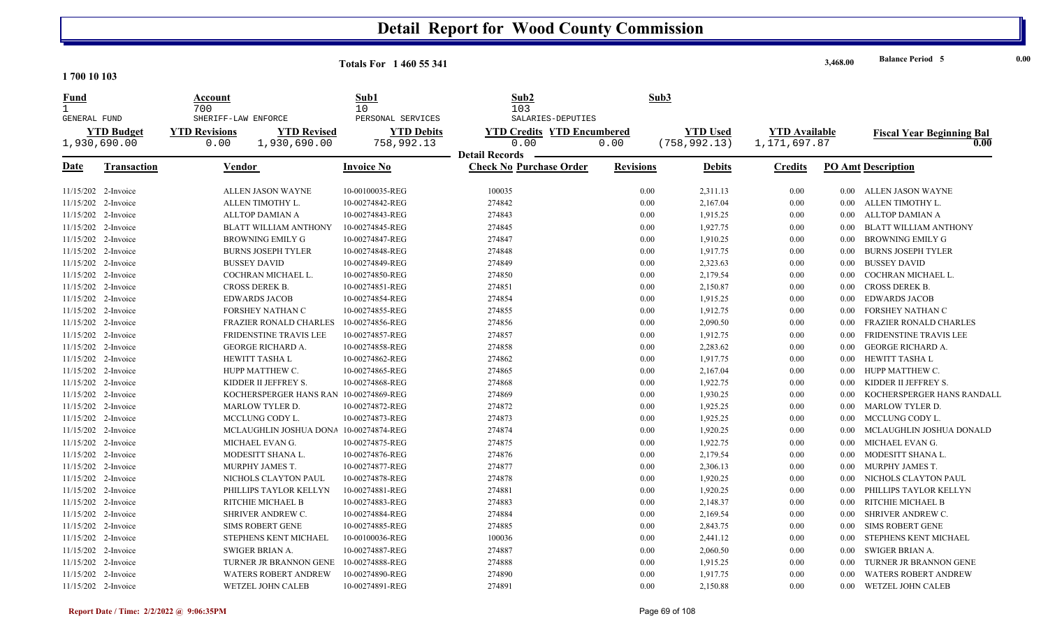|                            |                                            | <b>Totals For 1460 55 341</b> |                                   |                  |                 |                      | 3,468.00 | <b>Balance Period 5</b>          |
|----------------------------|--------------------------------------------|-------------------------------|-----------------------------------|------------------|-----------------|----------------------|----------|----------------------------------|
| 1700 10 103                |                                            |                               |                                   |                  |                 |                      |          |                                  |
| Fund<br>$\mathbf{1}$       | Account<br>700                             | Sub1<br>10                    | Sub2<br>103                       | Sub3             |                 |                      |          |                                  |
| GENERAL FUND               | SHERIFF-LAW ENFORCE                        | PERSONAL SERVICES             | SALARIES-DEPUTIES                 |                  |                 |                      |          |                                  |
| <b>YTD Budget</b>          | <b>YTD Revised</b><br><b>YTD Revisions</b> | <b>YTD Debits</b>             | <b>YTD Credits YTD Encumbered</b> |                  | <b>YTD Used</b> | <b>YTD Available</b> |          | <b>Fiscal Year Beginning Bal</b> |
| 1,930,690.00               | 1,930,690.00<br>0.00                       | 758,992.13                    | 0.00<br><b>Detail Records</b>     | 0.00             | (758, 992.13)   | 1,171,697.87         |          | 0.00                             |
| Date<br><b>Transaction</b> | Vendor                                     | Invoice No                    | <b>Check No Purchase Order</b>    | <b>Revisions</b> | <b>Debits</b>   | <b>Credits</b>       |          | PO Amt Description               |
|                            |                                            |                               |                                   |                  |                 |                      |          |                                  |
| 11/15/202 2-Invoice        | ALLEN JASON WAYNE                          | 10-00100035-REG               | 100035                            | 0.00             | 2,311.13        | 0.00                 |          | 0.00 ALLEN JASON WAYNE           |
| 11/15/202 2-Invoice        | ALLEN TIMOTHY L.                           | 10-00274842-REG               | 274842                            | 0.00             | 2,167.04        | 0.00                 | 0.00     | ALLEN TIMOTHY L.                 |
| 11/15/202 2-Invoice        | <b>ALLTOP DAMIAN A</b>                     | 10-00274843-REG               | 274843                            | 0.00             | 1,915.25        | 0.00                 | $0.00\,$ | ALLTOP DAMIAN A                  |
| 11/15/202 2-Invoice        | <b>BLATT WILLIAM ANTHONY</b>               | 10-00274845-REG               | 274845                            | 0.00             | 1,927.75        | 0.00                 | 0.00     | BLATT WILLIAM ANTHONY            |
| 11/15/202 2-Invoice        | <b>BROWNING EMILY G</b>                    | 10-00274847-REG               | 274847                            | 0.00             | 1,910.25        | 0.00                 | 0.00     | BROWNING EMILY G                 |
| 11/15/202 2-Invoice        | <b>BURNS JOSEPH TYLER</b>                  | 10-00274848-REG               | 274848                            | 0.00             | 1,917.75        | 0.00                 | 0.00     | <b>BURNS JOSEPH TYLER</b>        |
| 11/15/202 2-Invoice        | <b>BUSSEY DAVID</b>                        | 10-00274849-REG               | 274849                            | 0.00             | 2,323.63        | 0.00                 | $0.00\,$ | <b>BUSSEY DAVID</b>              |
| 11/15/202 2-Invoice        | COCHRAN MICHAEL L.                         | 10-00274850-REG               | 274850                            | 0.00             | 2,179.54        | 0.00                 | 0.00     | COCHRAN MICHAEL L.               |
| 11/15/202 2-Invoice        | CROSS DEREK B.                             | 10-00274851-REG               | 274851                            | 0.00             | 2,150.87        | 0.00                 | 0.00     | <b>CROSS DEREK B.</b>            |
| 11/15/202 2-Invoice        | <b>EDWARDS JACOB</b>                       | 10-00274854-REG               | 274854                            | 0.00             | 1,915.25        | 0.00                 | $0.00\,$ | <b>EDWARDS JACOB</b>             |
| 11/15/202 2-Invoice        | FORSHEY NATHAN C                           | 10-00274855-REG               | 274855                            | 0.00             | 1,912.75        | 0.00                 | 0.00     | FORSHEY NATHAN C                 |
| 11/15/202 2-Invoice        | <b>FRAZIER RONALD CHARLES</b>              | 10-00274856-REG               | 274856                            | 0.00             | 2,090.50        | 0.00                 | 0.00     | <b>FRAZIER RONALD CHARLES</b>    |
| 11/15/202 2-Invoice        | <b>FRIDENSTINE TRAVIS LEE</b>              | 10-00274857-REG               | 274857                            | 0.00             | 1,912.75        | 0.00                 | 0.00     | FRIDENSTINE TRAVIS LEE           |
| 11/15/202 2-Invoice        | GEORGE RICHARD A.                          | 10-00274858-REG               | 274858                            | 0.00             | 2,283.62        | 0.00                 | 0.00     | <b>GEORGE RICHARD A.</b>         |
| 11/15/202 2-Invoice        | HEWITT TASHA L                             | 10-00274862-REG               | 274862                            | 0.00             | 1,917.75        | 0.00                 | $0.00\,$ | HEWITT TASHA L                   |
| 11/15/202 2-Invoice        | HUPP MATTHEW C.                            | 10-00274865-REG               | 274865                            | 0.00             | 2,167.04        | 0.00                 | $0.00\,$ | HUPP MATTHEW C.                  |
| 11/15/202 2-Invoice        | KIDDER II JEFFREY S.                       | 10-00274868-REG               | 274868                            | 0.00             | 1,922.75        | 0.00                 | 0.00     | KIDDER II JEFFREY S.             |
| 11/15/202 2-Invoice        | KOCHERSPERGER HANS RAN 10-00274869-REG     |                               | 274869                            | 0.00             | 1,930.25        | 0.00                 | 0.00     | KOCHERSPERGER HANS RANDALL       |
| 11/15/202 2-Invoice        | <b>MARLOW TYLER D.</b>                     | 10-00274872-REG               | 274872                            | 0.00             | 1,925.25        | 0.00                 | $0.00\,$ | MARLOW TYLER D.                  |
| 11/15/202 2-Invoice        | MCCLUNG CODY L.                            | 10-00274873-REG               | 274873                            | 0.00             | 1,925.25        | 0.00                 | 0.00     | MCCLUNG CODY L.                  |
| 11/15/202 2-Invoice        | MCLAUGHLIN JOSHUA DONA 10-00274874-REG     |                               | 274874                            | 0.00             | 1,920.25        | 0.00                 | 0.00     | MCLAUGHLIN JOSHUA DONALD         |
| 11/15/202 2-Invoice        | MICHAEL EVAN G.                            | 10-00274875-REG               | 274875                            | 0.00             | 1,922.75        | $0.00\,$             | $0.00\,$ | MICHAEL EVAN G.                  |
| 11/15/202 2-Invoice        | MODESITT SHANA L.                          | 10-00274876-REG               | 274876                            | 0.00             | 2,179.54        | 0.00                 | 0.00     | MODESITT SHANA L.                |
| 11/15/202 2-Invoice        | MURPHY JAMES T.                            | 10-00274877-REG               | 274877                            | 0.00             | 2,306.13        | 0.00                 | $0.00\,$ | MURPHY JAMES T.                  |
| 11/15/202 2-Invoice        | NICHOLS CLAYTON PAUL                       | 10-00274878-REG               | 274878                            | 0.00             | 1,920.25        | 0.00                 | $0.00\,$ | NICHOLS CLAYTON PAUL             |
| 11/15/202 2-Invoice        | PHILLIPS TAYLOR KELLYN                     | 10-00274881-REG               | 274881                            | 0.00             | 1,920.25        | 0.00                 | 0.00     | PHILLIPS TAYLOR KELLYN           |
| 11/15/202 2-Invoice        | RITCHIE MICHAEL B                          | 10-00274883-REG               | 274883                            | 0.00             | 2,148.37        | 0.00                 | 0.00     | RITCHIE MICHAEL B                |
| 11/15/202 2-Invoice        | SHRIVER ANDREW C.                          | 10-00274884-REG               | 274884                            | 0.00             | 2,169.54        | 0.00                 | 0.00     | SHRIVER ANDREW C.                |
| 11/15/202 2-Invoice        | <b>SIMS ROBERT GENE</b>                    | 10-00274885-REG               | 274885                            | 0.00             | 2,843.75        | 0.00                 | 0.00     | SIMS ROBERT GENE                 |
| 11/15/202 2-Invoice        | STEPHENS KENT MICHAEL                      | 10-00100036-REG               | 100036                            | 0.00             | 2,441.12        | 0.00                 | 0.00     | STEPHENS KENT MICHAEL            |
| 11/15/202 2-Invoice        | SWIGER BRIAN A.                            | 10-00274887-REG               | 274887                            | 0.00             | 2,060.50        | 0.00                 | $0.00\,$ | SWIGER BRIAN A.                  |
| 11/15/202 2-Invoice        | TURNER JR BRANNON GENE                     | 10-00274888-REG               | 274888                            | 0.00             | 1,915.25        | 0.00                 | 0.00     | TURNER JR BRANNON GENE           |
| 11/15/202 2-Invoice        | <b>WATERS ROBERT ANDREW</b>                | 10-00274890-REG               | 274890                            | 0.00             | 1,917.75        | 0.00                 | 0.00     | <b>WATERS ROBERT ANDREW</b>      |
| 11/15/202 2-Invoice        | WETZEL JOHN CALEB                          | 10-00274891-REG               | 274891                            | 0.00             | 2,150.88        | 0.00                 |          | 0.00 WETZEL JOHN CALEB           |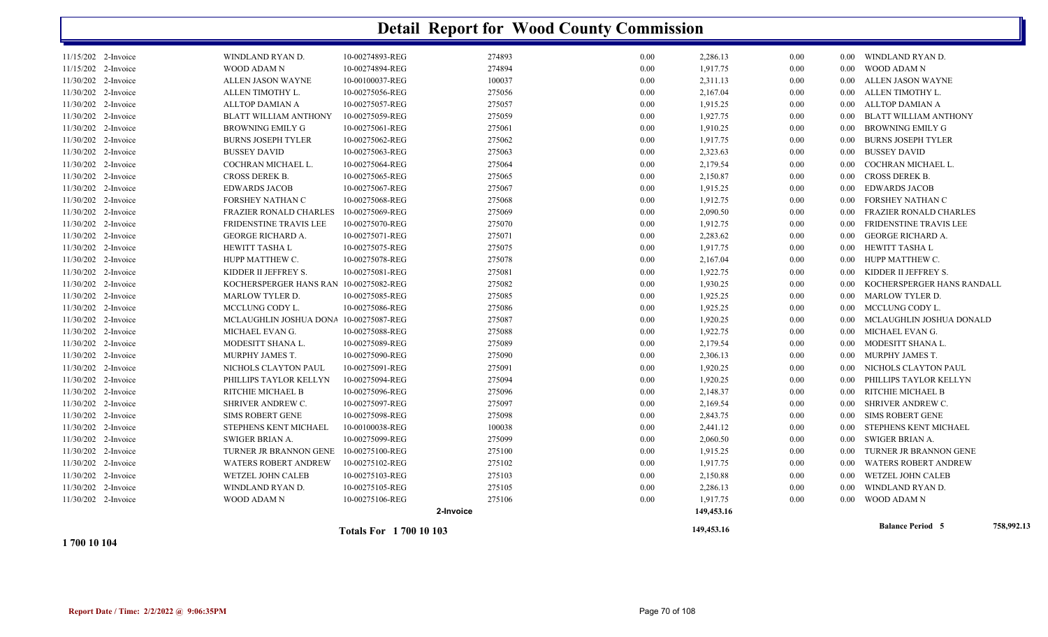|                     |                                        | <b>Totals For 1700 10 103</b> |           |      | 149,453.16 |      |          | <b>Balance Period 5</b>       | 758,992.13 |
|---------------------|----------------------------------------|-------------------------------|-----------|------|------------|------|----------|-------------------------------|------------|
|                     |                                        |                               | 2-Invoice |      | 149,453.16 |      |          |                               |            |
| 11/30/202 2-Invoice | <b>WOOD ADAM N</b>                     | 10-00275106-REG               | 275106    | 0.00 | 1,917.75   | 0.00 | 0.00     | WOOD ADAM N                   |            |
| 11/30/202 2-Invoice | WINDLAND RYAN D.                       | 10-00275105-REG               | 275105    | 0.00 | 2,286.13   | 0.00 | 0.00     | WINDLAND RYAN D.              |            |
| 11/30/202 2-Invoice | WETZEL JOHN CALEB                      | 10-00275103-REG               | 275103    | 0.00 | 2,150.88   | 0.00 | $0.00\,$ | WETZEL JOHN CALEB             |            |
| 11/30/202 2-Invoice | <b>WATERS ROBERT ANDREW</b>            | 10-00275102-REG               | 275102    | 0.00 | 1,917.75   | 0.00 | 0.00     | <b>WATERS ROBERT ANDREW</b>   |            |
| 11/30/202 2-Invoice | TURNER JR BRANNON GENE                 | 10-00275100-REG               | 275100    | 0.00 | 1,915.25   | 0.00 | 0.00     | TURNER JR BRANNON GENE        |            |
| 11/30/202 2-Invoice | SWIGER BRIAN A.                        | 10-00275099-REG               | 275099    | 0.00 | 2,060.50   | 0.00 | $0.00\,$ | SWIGER BRIAN A.               |            |
| 11/30/202 2-Invoice | STEPHENS KENT MICHAEL                  | 10-00100038-REG               | 100038    | 0.00 | 2,441.12   | 0.00 | $0.00\,$ | STEPHENS KENT MICHAEL         |            |
| 11/30/202 2-Invoice | <b>SIMS ROBERT GENE</b>                | 10-00275098-REG               | 275098    | 0.00 | 2,843.75   | 0.00 | 0.00     | SIMS ROBERT GENE              |            |
| 11/30/202 2-Invoice | SHRIVER ANDREW C.                      | 10-00275097-REG               | 275097    | 0.00 | 2,169.54   | 0.00 | $0.00\,$ | SHRIVER ANDREW C.             |            |
| 11/30/202 2-Invoice | RITCHIE MICHAEL B                      | 10-00275096-REG               | 275096    | 0.00 | 2,148.37   | 0.00 | 0.00     | RITCHIE MICHAEL B             |            |
| 11/30/202 2-Invoice | PHILLIPS TAYLOR KELLYN                 | 10-00275094-REG               | 275094    | 0.00 | 1,920.25   | 0.00 | 0.00     | PHILLIPS TAYLOR KELLYN        |            |
| 11/30/202 2-Invoice | NICHOLS CLAYTON PAUL                   | 10-00275091-REG               | 275091    | 0.00 | 1,920.25   | 0.00 | 0.00     | NICHOLS CLAYTON PAUL          |            |
| 11/30/202 2-Invoice | MURPHY JAMES T.                        | 10-00275090-REG               | 275090    | 0.00 | 2,306.13   | 0.00 | 0.00     | MURPHY JAMES T.               |            |
| 11/30/202 2-Invoice | MODESITT SHANA L.                      | 10-00275089-REG               | 275089    | 0.00 | 2,179.54   | 0.00 | $0.00\,$ | MODESITT SHANA L.             |            |
| 11/30/202 2-Invoice | MICHAEL EVAN G.                        | 10-00275088-REG               | 275088    | 0.00 | 1,922.75   | 0.00 | $0.00\,$ | MICHAEL EVAN G.               |            |
| 11/30/202 2-Invoice | MCLAUGHLIN JOSHUA DONA                 | 10-00275087-REG               | 275087    | 0.00 | 1,920.25   | 0.00 | $0.00\,$ | MCLAUGHLIN JOSHUA DONALD      |            |
| 11/30/202 2-Invoice | MCCLUNG CODY L.                        | 10-00275086-REG               | 275086    | 0.00 | 1,925.25   | 0.00 | $0.00\,$ | MCCLUNG CODY L.               |            |
| 11/30/202 2-Invoice | MARLOW TYLER D.                        | 10-00275085-REG               | 275085    | 0.00 | 1,925.25   | 0.00 | $0.00\,$ | MARLOW TYLER D.               |            |
| 11/30/202 2-Invoice | KOCHERSPERGER HANS RAN 10-00275082-REG |                               | 275082    | 0.00 | 1,930.25   | 0.00 | 0.00     | KOCHERSPERGER HANS RANDALL    |            |
| 11/30/202 2-Invoice | KIDDER II JEFFREY S.                   | 10-00275081-REG               | 275081    | 0.00 | 1,922.75   | 0.00 | $0.00\,$ | KIDDER II JEFFREY S.          |            |
| 11/30/202 2-Invoice | HUPP MATTHEW C.                        | 10-00275078-REG               | 275078    | 0.00 | 2,167.04   | 0.00 | $0.00\,$ | HUPP MATTHEW C.               |            |
| 11/30/202 2-Invoice | HEWITT TASHA L                         | 10-00275075-REG               | 275075    | 0.00 | 1,917.75   | 0.00 | $0.00\,$ | HEWITT TASHA L                |            |
| 11/30/202 2-Invoice | <b>GEORGE RICHARD A.</b>               | 10-00275071-REG               | 275071    | 0.00 | 2,283.62   | 0.00 | $0.00\,$ | GEORGE RICHARD A.             |            |
| 11/30/202 2-Invoice | FRIDENSTINE TRAVIS LEE                 | 10-00275070-REG               | 275070    | 0.00 | 1,912.75   | 0.00 | 0.00     | <b>FRIDENSTINE TRAVIS LEE</b> |            |
| 11/30/202 2-Invoice | <b>FRAZIER RONALD CHARLES</b>          | 10-00275069-REG               | 275069    | 0.00 | 2,090.50   | 0.00 | 0.00     | <b>FRAZIER RONALD CHARLES</b> |            |
| 11/30/202 2-Invoice | FORSHEY NATHAN C                       | 10-00275068-REG               | 275068    | 0.00 | 1,912.75   | 0.00 | $0.00\,$ | FORSHEY NATHAN C              |            |
| 11/30/202 2-Invoice | <b>EDWARDS JACOB</b>                   | 10-00275067-REG               | 275067    | 0.00 | 1,915.25   | 0.00 | $0.00\,$ | <b>EDWARDS JACOB</b>          |            |
| 11/30/202 2-Invoice | CROSS DEREK B.                         | 10-00275065-REG               | 275065    | 0.00 | 2,150.87   | 0.00 | $0.00\,$ | <b>CROSS DEREK B.</b>         |            |
| 11/30/202 2-Invoice | COCHRAN MICHAEL L.                     | 10-00275064-REG               | 275064    | 0.00 | 2,179.54   | 0.00 | 0.00     | COCHRAN MICHAEL L.            |            |
| 11/30/202 2-Invoice | <b>BUSSEY DAVID</b>                    | 10-00275063-REG               | 275063    | 0.00 | 2,323.63   | 0.00 | 0.00     | <b>BUSSEY DAVID</b>           |            |
| 11/30/202 2-Invoice | <b>BURNS JOSEPH TYLER</b>              | 10-00275062-REG               | 275062    | 0.00 | 1,917.75   | 0.00 | 0.00     | <b>BURNS JOSEPH TYLER</b>     |            |
| 11/30/202 2-Invoice | <b>BROWNING EMILY G</b>                | 10-00275061-REG               | 275061    | 0.00 | 1,910.25   | 0.00 | $0.00\,$ | BROWNING EMILY G              |            |
| 11/30/202 2-Invoice | <b>BLATT WILLIAM ANTHONY</b>           | 10-00275059-REG               | 275059    | 0.00 | 1,927.75   | 0.00 | 0.00     | <b>BLATT WILLIAM ANTHONY</b>  |            |
| 11/30/202 2-Invoice | ALLTOP DAMIAN A                        | 10-00275057-REG               | 275057    | 0.00 | 1,915.25   | 0.00 | $0.00\,$ | ALLTOP DAMIAN A               |            |
| 11/30/202 2-Invoice | ALLEN TIMOTHY L.                       | 10-00275056-REG               | 275056    | 0.00 | 2,167.04   | 0.00 |          | 0.00 ALLEN TIMOTHY L.         |            |
| 11/30/202 2-Invoice | ALLEN JASON WAYNE                      | 10-00100037-REG               | 100037    | 0.00 | 2,311.13   | 0.00 |          | 0.00 ALLEN JASON WAYNE        |            |
| 11/15/202 2-Invoice | WOOD ADAM N                            | 10-00274894-REG               | 274894    | 0.00 | 1,917.75   | 0.00 | 0.00     | WOOD ADAM N                   |            |
| 11/15/202 2-Invoice | WINDLAND RYAN D.                       | 10-00274893-REG               | 274893    | 0.00 | 2,286.13   | 0.00 |          | 0.00 WINDLAND RYAN D.         |            |
|                     |                                        |                               |           |      |            |      |          |                               |            |

**1 700 10 104**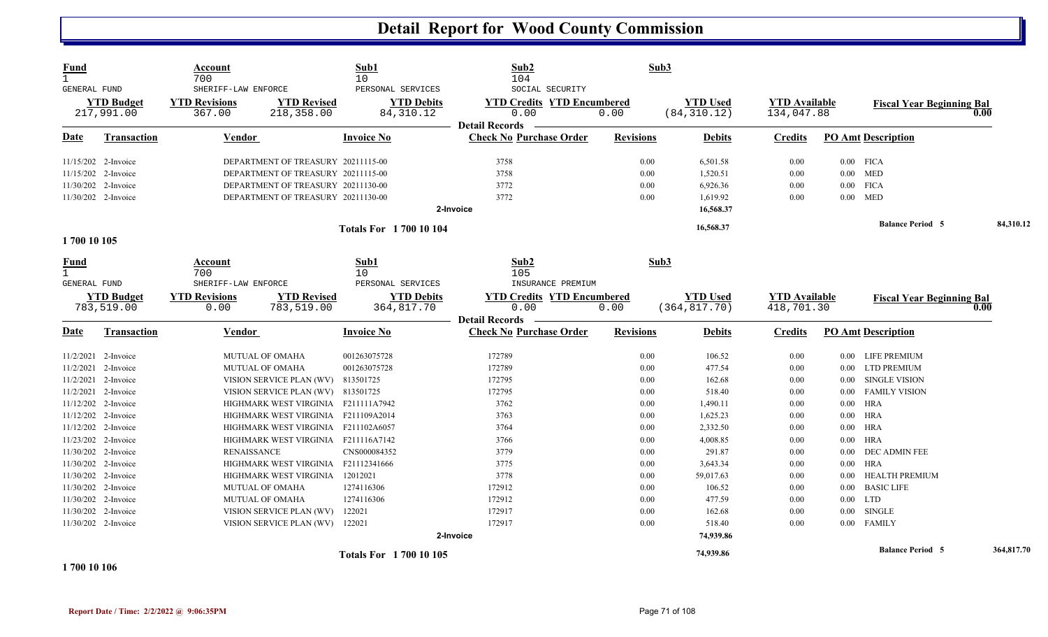| <b>Fund</b><br>$\mathbf{1}$ |                     | Account<br>700                              |                                     | Sub1<br>10                             | Sub2<br>104                                          | Sub3             |                 |                      |          |                                  |      |            |
|-----------------------------|---------------------|---------------------------------------------|-------------------------------------|----------------------------------------|------------------------------------------------------|------------------|-----------------|----------------------|----------|----------------------------------|------|------------|
| GENERAL FUND                | <b>YTD Budget</b>   | SHERIFF-LAW ENFORCE<br><b>YTD Revisions</b> | <b>YTD Revised</b>                  | PERSONAL SERVICES<br><b>YTD Debits</b> | SOCIAL SECURITY<br><b>YTD Credits YTD Encumbered</b> |                  | <b>YTD Used</b> | <b>YTD Available</b> |          | <b>Fiscal Year Beginning Bal</b> |      |            |
|                             | 217,991.00          | 367.00                                      | 218,358.00                          | 84, 310.12                             | 0.00<br><b>Detail Records</b>                        | 0.00             | (84, 310.12)    | 134,047.88           |          |                                  | 0.00 |            |
| Date                        | <b>Transaction</b>  | <b>Vendor</b>                               |                                     | <b>Invoice No</b>                      | <b>Check No Purchase Order</b>                       | <b>Revisions</b> | <b>Debits</b>   | <b>Credits</b>       |          | <b>PO Amt Description</b>        |      |            |
|                             | 11/15/202 2-Invoice |                                             | DEPARTMENT OF TREASURY 20211115-00  |                                        | 3758                                                 | 0.00             | 6,501.58        | 0.00                 |          | $0.00$ FICA                      |      |            |
|                             | 11/15/202 2-Invoice |                                             | DEPARTMENT OF TREASURY 20211115-00  |                                        | 3758                                                 | 0.00             | 1,520.51        | 0.00                 |          | $0.00$ MED                       |      |            |
|                             | 11/30/202 2-Invoice |                                             | DEPARTMENT OF TREASURY 20211130-00  |                                        | 3772                                                 | 0.00             | 6,926.36        | 0.00                 |          | $0.00$ FICA                      |      |            |
|                             | 11/30/202 2-Invoice |                                             | DEPARTMENT OF TREASURY 20211130-00  |                                        | 3772                                                 | 0.00             | 1,619.92        | 0.00                 |          | $0.00$ MED                       |      |            |
|                             |                     |                                             |                                     |                                        | 2-Invoice                                            |                  | 16,568.37       |                      |          |                                  |      |            |
|                             |                     |                                             |                                     | <b>Totals For 170010104</b>            |                                                      |                  | 16,568.37       |                      |          | <b>Balance Period 5</b>          |      | 84,310.12  |
| 1700 10 105                 |                     |                                             |                                     |                                        |                                                      |                  |                 |                      |          |                                  |      |            |
| <b>Fund</b>                 |                     | Account                                     |                                     | Sub1                                   | Sub <sub>2</sub>                                     | Sub3             |                 |                      |          |                                  |      |            |
|                             |                     | 700                                         |                                     | 10 <sup>°</sup>                        | 105                                                  |                  |                 |                      |          |                                  |      |            |
| <b>GENERAL FUND</b>         |                     | SHERIFF-LAW ENFORCE                         |                                     | PERSONAL SERVICES                      | INSURANCE PREMIUM                                    |                  |                 |                      |          |                                  |      |            |
|                             | <b>YTD Budget</b>   | <b>YTD Revisions</b>                        | <b>YTD Revised</b>                  | <b>YTD Debits</b>                      | <b>YTD Credits YTD Encumbered</b>                    |                  | <b>YTD</b> Used | <b>YTD Available</b> |          | <b>Fiscal Year Beginning Bal</b> |      |            |
|                             | 783,519.00          | 0.00                                        | 783,519.00                          | 364,817.70                             | 0.00<br><b>Detail Records</b>                        | 0.00             | (364, 817.70)   | 418,701.30           |          |                                  | 0.00 |            |
| <b>Date</b>                 | <b>Transaction</b>  | Vendor                                      |                                     | <b>Invoice No</b>                      | <b>Check No Purchase Order</b>                       | <b>Revisions</b> | <b>Debits</b>   | <b>Credits</b>       |          | <b>PO Amt Description</b>        |      |            |
|                             | 11/2/2021 2-Invoice |                                             | <b>MUTUAL OF OMAHA</b>              | 001263075728                           | 172789                                               | 0.00             | 106.52          | 0.00                 |          | 0.00 LIFE PREMIUM                |      |            |
|                             | 11/2/2021 2-Invoice |                                             | <b>MUTUAL OF OMAHA</b>              | 001263075728                           | 172789                                               | 0.00             | 477.54          | $0.00\,$             |          | 0.00 LTD PREMIUM                 |      |            |
|                             | 11/2/2021 2-Invoice |                                             | VISION SERVICE PLAN (WV)            | 813501725                              | 172795                                               | 0.00             | 162.68          | 0.00                 | $0.00\,$ | SINGLE VISION                    |      |            |
|                             | 11/2/2021 2-Invoice |                                             | VISION SERVICE PLAN (WV) 813501725  |                                        | 172795                                               | 0.00             | 518.40          | 0.00                 |          | 0.00 FAMILY VISION               |      |            |
|                             | 11/12/202 2-Invoice |                                             | HIGHMARK WEST VIRGINIA F211111A7942 |                                        | 3762                                                 | 0.00             | 1,490.11        | 0.00                 |          | $0.00$ HRA                       |      |            |
|                             | 11/12/202 2-Invoice |                                             | HIGHMARK WEST VIRGINIA F211109A2014 |                                        | 3763                                                 | 0.00             | 1,625.23        | 0.00                 |          | $0.00$ HRA                       |      |            |
|                             | 11/12/202 2-Invoice |                                             | HIGHMARK WEST VIRGINIA F211102A6057 |                                        | 3764                                                 | 0.00             | 2,332.50        | 0.00                 |          | $0.00$ HRA                       |      |            |
|                             | 11/23/202 2-Invoice |                                             | HIGHMARK WEST VIRGINIA F211116A7142 |                                        | 3766                                                 | 0.00             | 4,008.85        | 0.00                 | $0.00\,$ | <b>HRA</b>                       |      |            |
|                             | 11/30/202 2-Invoice | <b>RENAISSANCE</b>                          |                                     | CNS000084352                           | 3779                                                 | 0.00             | 291.87          | 0.00                 |          | 0.00 DEC ADMIN FEE               |      |            |
|                             | 11/30/202 2-Invoice |                                             | HIGHMARK WEST VIRGINIA F21112341666 |                                        | 3775                                                 | 0.00             | 3,643.34        | $0.00\,$             |          | $0.00$ HRA                       |      |            |
|                             | 11/30/202 2-Invoice |                                             | HIGHMARK WEST VIRGINIA              | 12012021                               | 3778                                                 | 0.00             | 59,017.63       | 0.00                 | 0.00     | HEALTH PREMIUM                   |      |            |
|                             | 11/30/202 2-Invoice |                                             | <b>MUTUAL OF OMAHA</b>              | 1274116306                             | 172912                                               | 0.00             | 106.52          | 0.00                 | $0.00\,$ | <b>BASIC LIFE</b>                |      |            |
|                             | 11/30/202 2-Invoice |                                             | <b>MUTUAL OF OMAHA</b>              | 1274116306                             | 172912                                               | 0.00             | 477.59          | 0.00                 |          | $0.00$ LTD                       |      |            |
|                             | 11/30/202 2-Invoice |                                             | VISION SERVICE PLAN (WV)            | 122021                                 | 172917                                               | 0.00             | 162.68          | 0.00                 | $0.00\,$ | SINGLE                           |      |            |
|                             | 11/30/202 2-Invoice |                                             | VISION SERVICE PLAN (WV) 122021     |                                        | 172917                                               | 0.00             | 518.40          | 0.00                 |          | 0.00 FAMILY                      |      |            |
|                             |                     |                                             |                                     |                                        | 2-Invoice                                            |                  | 74,939.86       |                      |          |                                  |      |            |
|                             |                     |                                             |                                     | <b>Totals For 170010105</b>            |                                                      |                  | 74,939.86       |                      |          | <b>Balance Period 5</b>          |      | 364,817.70 |

**1 700 10 106**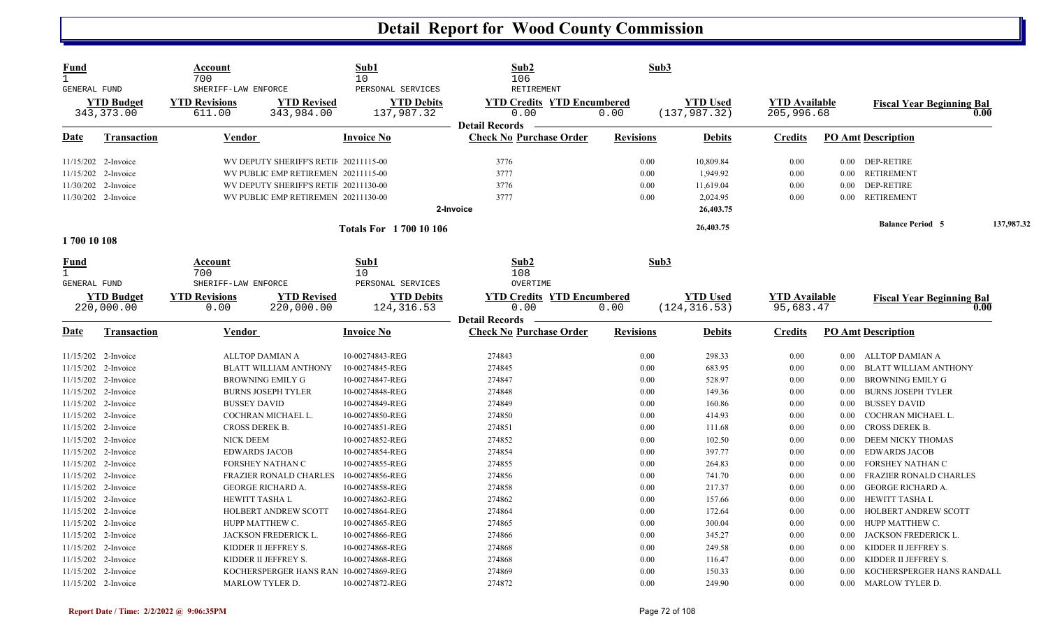| <b>Fund</b><br>$\mathbf{1}$<br>GENERAL FUND<br><b>YTD Budget</b><br>343,373.00 |                                 | Account<br>700<br>SHERIFF-LAW ENFORCE |                                        | Sub1<br>10<br>PERSONAL SERVICES  | Sub2<br>106<br><b>RETIREMENT</b>          | Sub3                                     |                                  |                                    |          |                                          |            |
|--------------------------------------------------------------------------------|---------------------------------|---------------------------------------|----------------------------------------|----------------------------------|-------------------------------------------|------------------------------------------|----------------------------------|------------------------------------|----------|------------------------------------------|------------|
|                                                                                |                                 | <b>YTD Revisions</b><br>611.00        | <b>YTD Revised</b><br>343,984.00       | <b>YTD Debits</b><br>137,987.32  | <b>YTD Credits YTD Encumbered</b><br>0.00 | <b>YTD Used</b><br>0.00<br>(137, 987.32) |                                  | <b>YTD Available</b><br>205,996.68 |          | <b>Fiscal Year Beginning Bal</b><br>0.00 |            |
|                                                                                |                                 |                                       |                                        |                                  | <b>Detail Records</b>                     |                                          |                                  |                                    |          |                                          |            |
| Date                                                                           | <b>Transaction</b>              | <b>Vendor</b>                         |                                        | <b>Invoice No</b>                | <b>Check No Purchase Order</b>            | <b>Revisions</b>                         | <b>Debits</b>                    | <b>Credits</b>                     |          | <b>PO Amt Description</b>                |            |
| 11/15/202 2-Invoice                                                            |                                 | WV DEPUTY SHERIFF'S RETII 20211115-00 |                                        |                                  | 3776                                      | 0.00                                     | 10,809.84                        | 0.00                               |          | 0.00 DEP-RETIRE                          |            |
|                                                                                | 11/15/202 2-Invoice             | WV PUBLIC EMP RETIREMEN 20211115-00   |                                        |                                  | 3777                                      | 0.00                                     | 1,949.92                         | 0.00                               | $0.00\,$ | <b>RETIREMENT</b>                        |            |
| 11/30/202 2-Invoice                                                            |                                 | WV DEPUTY SHERIFF'S RETII 20211130-00 |                                        |                                  | 3776                                      | 0.00                                     | 11,619.04                        | 0.00                               | $0.00\,$ | DEP-RETIRE                               |            |
| 11/30/202 2-Invoice                                                            |                                 | WV PUBLIC EMP RETIREMEN 20211130-00   |                                        |                                  | 3777                                      | 0.00                                     | 2,024.95                         | 0.00                               | 0.00     | <b>RETIREMENT</b>                        |            |
|                                                                                |                                 |                                       |                                        |                                  | 2-Invoice                                 |                                          | 26,403.75                        |                                    |          |                                          |            |
|                                                                                |                                 | <b>Totals For 1700 10106</b>          |                                        |                                  |                                           |                                          | 26,403.75                        |                                    |          | <b>Balance Period 5</b>                  | 137,987.32 |
| 1700 10 108                                                                    |                                 |                                       |                                        |                                  |                                           |                                          |                                  |                                    |          |                                          |            |
| <u>Fund</u><br>$\mathbf{1}$<br>GENERAL FUND                                    |                                 | Account<br>700<br>SHERIFF-LAW ENFORCE |                                        | Sub1<br>10                       | Sub2<br>108                               | Sub3                                     |                                  |                                    |          |                                          |            |
|                                                                                |                                 |                                       |                                        | PERSONAL SERVICES                | OVERTIME                                  |                                          |                                  |                                    |          |                                          |            |
|                                                                                | <b>YTD</b> Budget<br>220,000.00 | <b>YTD Revisions</b><br>0.00          | <b>YTD Revised</b><br>220,000.00       | <b>YTD Debits</b><br>124, 316.53 | <b>YTD Credits YTD Encumbered</b><br>0.00 | 0.00                                     | <b>YTD Used</b><br>(124, 316.53) | <b>YTD</b> Available<br>95,683.47  |          | <b>Fiscal Year Beginning Bal</b>         | 0.00       |
|                                                                                |                                 |                                       |                                        |                                  | <b>Detail Records</b>                     |                                          |                                  |                                    |          |                                          |            |
| Date                                                                           | <b>Transaction</b>              | <b>Vendor</b>                         |                                        | <b>Invoice No</b>                | <b>Check No Purchase Order</b>            | <b>Revisions</b>                         | <b>Debits</b>                    | <b>Credits</b>                     |          | <b>PO Amt Description</b>                |            |
| 11/15/202 2-Invoice                                                            |                                 |                                       | ALLTOP DAMIAN A                        | 10-00274843-REG                  | 274843                                    | 0.00                                     | 298.33                           | 0.00                               | $0.00\,$ | ALLTOP DAMIAN A                          |            |
| 11/15/202 2-Invoice                                                            |                                 |                                       | <b>BLATT WILLIAM ANTHONY</b>           | 10-00274845-REG                  | 274845                                    | 0.00                                     | 683.95                           | 0.00                               | $0.00\,$ | BLATT WILLIAM ANTHONY                    |            |
| 11/15/202 2-Invoice                                                            |                                 | <b>BROWNING EMILY G</b>               |                                        | 10-00274847-REG                  | 274847                                    | 0.00                                     | 528.97                           | 0.00                               | 0.00     | <b>BROWNING EMILY G</b>                  |            |
| 11/15/202 2-Invoice                                                            |                                 | <b>BURNS JOSEPH TYLER</b>             |                                        | 10-00274848-REG                  | 274848                                    | 0.00                                     | 149.36                           | $0.00\,$                           | 0.00     | <b>BURNS JOSEPH TYLER</b>                |            |
| 11/15/202 2-Invoice                                                            |                                 | <b>BUSSEY DAVID</b>                   |                                        | 10-00274849-REG                  | 274849                                    | 0.00                                     | 160.86                           | 0.00                               | 0.00     | <b>BUSSEY DAVID</b>                      |            |
| 11/15/202 2-Invoice                                                            |                                 | COCHRAN MICHAEL L.                    |                                        | 10-00274850-REG                  | 274850                                    | 0.00                                     | 414.93                           | 0.00                               | $0.00\,$ | COCHRAN MICHAEL L.                       |            |
| 11/15/202 2-Invoice                                                            |                                 | <b>CROSS DEREK B.</b>                 |                                        | 10-00274851-REG                  | 274851                                    | 0.00                                     | 111.68                           | $0.00\,$                           | $0.00\,$ | CROSS DEREK B.                           |            |
| 11/15/202 2-Invoice                                                            |                                 | <b>NICK DEEM</b>                      |                                        | 10-00274852-REG                  | 274852                                    | 0.00                                     | 102.50                           | 0.00                               | 0.00     | DEEM NICKY THOMAS                        |            |
| 11/15/202 2-Invoice                                                            |                                 | <b>EDWARDS JACOB</b>                  |                                        | 10-00274854-REG                  | 274854                                    | 0.00                                     | 397.77                           | 0.00                               | 0.00     | <b>EDWARDS JACOB</b>                     |            |
| 11/15/202 2-Invoice                                                            |                                 | FORSHEY NATHAN C                      |                                        | 10-00274855-REG                  | 274855                                    | 0.00                                     | 264.83                           | $0.00\,$                           | 0.00     | FORSHEY NATHAN C                         |            |
| 11/15/202 2-Invoice                                                            |                                 | <b>FRAZIER RONALD CHARLES</b>         |                                        | 10-00274856-REG                  | 274856                                    | 0.00                                     | 741.70                           | 0.00                               | $0.00\,$ | <b>FRAZIER RONALD CHARLES</b>            |            |
| 11/15/202 2-Invoice                                                            |                                 | <b>GEORGE RICHARD A.</b>              |                                        | 10-00274858-REG                  | 274858                                    | 0.00                                     | 217.37                           | 0.00                               | $0.00\,$ | GEORGE RICHARD A.                        |            |
| 11/15/202 2-Invoice                                                            |                                 | <b>HEWITT TASHA L</b>                 |                                        | 10-00274862-REG                  | 274862                                    | 0.00                                     | 157.66                           | 0.00                               | $0.00\,$ | HEWITT TASHA L                           |            |
| 11/15/202 2-Invoice                                                            |                                 |                                       | HOLBERT ANDREW SCOTT                   | 10-00274864-REG                  | 274864                                    | 0.00                                     | 172.64                           | 0.00                               | 0.00     | HOLBERT ANDREW SCOTT                     |            |
| 11/15/202 2-Invoice                                                            |                                 |                                       | HUPP MATTHEW C.                        | 10-00274865-REG                  | 274865                                    | 0.00                                     | 300.04                           | 0.00                               | $0.00\,$ | HUPP MATTHEW C.                          |            |
| 11/15/202 2-Invoice                                                            |                                 |                                       | JACKSON FREDERICK L.                   | 10-00274866-REG                  | 274866                                    | 0.00                                     | 345.27                           | 0.00                               | 0.00     | JACKSON FREDERICK L.                     |            |
| 11/15/202 2-Invoice                                                            |                                 |                                       | KIDDER II JEFFREY S.                   | 10-00274868-REG                  | 274868                                    | 0.00                                     | 249.58                           | 0.00                               | $0.00\,$ | KIDDER II JEFFREY S.                     |            |
| 11/15/202 2-Invoice                                                            |                                 |                                       | KIDDER II JEFFREY S.                   | 10-00274868-REG                  | 274868                                    | 0.00                                     | 116.47                           | 0.00                               | $0.00\,$ | KIDDER II JEFFREY S.                     |            |
| 11/15/202 2-Invoice                                                            |                                 |                                       | KOCHERSPERGER HANS RAN 10-00274869-REG |                                  | 274869                                    | 0.00                                     | 150.33                           | 0.00                               | 0.00     | KOCHERSPERGER HANS RANDALL               |            |
| 11/15/202 2-Invoice                                                            |                                 |                                       | MARLOW TYLER D.                        | 10-00274872-REG                  | 274872                                    | 0.00                                     | 249.90                           | 0.00                               | 0.00     | <b>MARLOW TYLER D.</b>                   |            |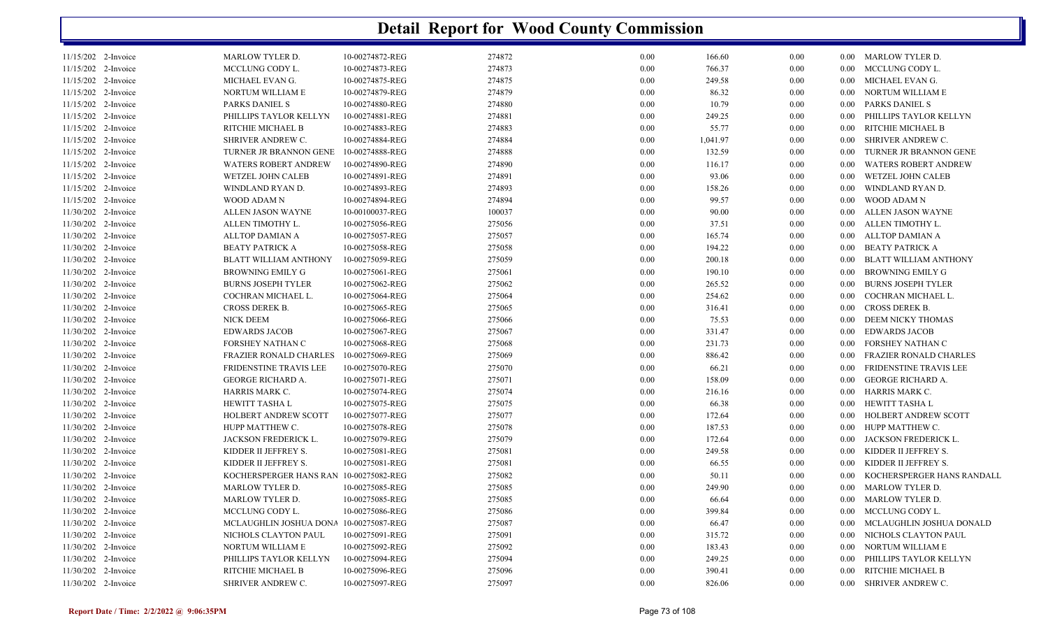| 11/15/202 2-Invoice | MARLOW TYLER D.                        | 10-00274872-REG | 274872 | 0.00 | 166.60   | $0.00\,$ |                   | 0.00 MARLOW TYLER D.          |
|---------------------|----------------------------------------|-----------------|--------|------|----------|----------|-------------------|-------------------------------|
| 11/15/202 2-Invoice | MCCLUNG CODY L.                        | 10-00274873-REG | 274873 | 0.00 | 766.37   | 0.00     | $0.00 -$          | MCCLUNG CODY L.               |
| 11/15/202 2-Invoice | MICHAEL EVAN G.                        | 10-00274875-REG | 274875 | 0.00 | 249.58   | $0.00\,$ | $0.00\,$          | MICHAEL EVAN G.               |
| 11/15/202 2-Invoice | NORTUM WILLIAM E                       | 10-00274879-REG | 274879 | 0.00 | 86.32    | $0.00\,$ |                   | 0.00 NORTUM WILLIAM E         |
| 11/15/202 2-Invoice | PARKS DANIEL S                         | 10-00274880-REG | 274880 | 0.00 | 10.79    | $0.00\,$ | $0.00\,$          | PARKS DANIEL S                |
| 11/15/202 2-Invoice | PHILLIPS TAYLOR KELLYN                 | 10-00274881-REG | 274881 | 0.00 | 249.25   | $0.00\,$ | $0.00\,$          | PHILLIPS TAYLOR KELLYN        |
| 11/15/202 2-Invoice | RITCHIE MICHAEL B                      | 10-00274883-REG | 274883 | 0.00 | 55.77    | 0.00     | 0.00              | RITCHIE MICHAEL B             |
| 11/15/202 2-Invoice | SHRIVER ANDREW C.                      | 10-00274884-REG | 274884 | 0.00 | 1,041.97 | $0.00\,$ | $0.00\,$          | SHRIVER ANDREW C.             |
| 11/15/202 2-Invoice | TURNER JR BRANNON GENE                 | 10-00274888-REG | 274888 | 0.00 | 132.59   | $0.00\,$ | $0.00\,$          | TURNER JR BRANNON GENE        |
| 11/15/202 2-Invoice | <b>WATERS ROBERT ANDREW</b>            | 10-00274890-REG | 274890 | 0.00 | 116.17   | $0.00\,$ | $0.00\,$          | <b>WATERS ROBERT ANDREW</b>   |
| 11/15/202 2-Invoice | WETZEL JOHN CALEB                      | 10-00274891-REG | 274891 | 0.00 | 93.06    | $0.00\,$ | $0.00\,$          | WETZEL JOHN CALEB             |
| 11/15/202 2-Invoice | WINDLAND RYAN D.                       | 10-00274893-REG | 274893 | 0.00 | 158.26   | $0.00\,$ | $0.00\,$          | WINDLAND RYAN D.              |
| 11/15/202 2-Invoice | WOOD ADAM N                            | 10-00274894-REG | 274894 | 0.00 | 99.57    | $0.00\,$ | $0.00\,$          | WOOD ADAM N                   |
| 11/30/202 2-Invoice | ALLEN JASON WAYNE                      | 10-00100037-REG | 100037 | 0.00 | 90.00    | $0.00\,$ | $0.00\,$          | ALLEN JASON WAYNE             |
| 11/30/202 2-Invoice | ALLEN TIMOTHY L.                       | 10-00275056-REG | 275056 | 0.00 | 37.51    | 0.00     | $0.00\,$          | ALLEN TIMOTHY L.              |
| 11/30/202 2-Invoice | ALLTOP DAMIAN A                        | 10-00275057-REG | 275057 | 0.00 | 165.74   | 0.00     | $0.00\,$          | ALLTOP DAMIAN A               |
| 11/30/202 2-Invoice | <b>BEATY PATRICK A</b>                 | 10-00275058-REG | 275058 | 0.00 | 194.22   | $0.00\,$ | $0.00\,$          | <b>BEATY PATRICK A</b>        |
| 11/30/202 2-Invoice | BLATT WILLIAM ANTHONY                  | 10-00275059-REG | 275059 | 0.00 | 200.18   | $0.00\,$ | $0.00\,$          | <b>BLATT WILLIAM ANTHONY</b>  |
| 11/30/202 2-Invoice | <b>BROWNING EMILY G</b>                | 10-00275061-REG | 275061 | 0.00 | 190.10   | $0.00\,$ | $0.00^{\circ}$    | <b>BROWNING EMILY G</b>       |
| 11/30/202 2-Invoice | <b>BURNS JOSEPH TYLER</b>              | 10-00275062-REG | 275062 | 0.00 | 265.52   | 0.00     | $0.00\,$          | <b>BURNS JOSEPH TYLER</b>     |
| 11/30/202 2-Invoice | COCHRAN MICHAEL L.                     | 10-00275064-REG | 275064 | 0.00 | 254.62   | $0.00\,$ | $0.00\,$          | COCHRAN MICHAEL L.            |
| 11/30/202 2-Invoice | CROSS DEREK B.                         | 10-00275065-REG | 275065 | 0.00 | 316.41   | $0.00\,$ | 0.00 <sub>1</sub> | <b>CROSS DEREK B.</b>         |
| 11/30/202 2-Invoice | <b>NICK DEEM</b>                       | 10-00275066-REG | 275066 | 0.00 | 75.53    | $0.00\,$ | $0.00\,$          | DEEM NICKY THOMAS             |
| 11/30/202 2-Invoice | <b>EDWARDS JACOB</b>                   | 10-00275067-REG | 275067 | 0.00 | 331.47   | $0.00\,$ | $0.00\,$          | <b>EDWARDS JACOB</b>          |
| 11/30/202 2-Invoice | FORSHEY NATHAN C                       | 10-00275068-REG | 275068 | 0.00 | 231.73   | $0.00\,$ | $0.00\,$          | FORSHEY NATHAN C              |
| 11/30/202 2-Invoice | <b>FRAZIER RONALD CHARLES</b>          | 10-00275069-REG | 275069 | 0.00 | 886.42   | $0.00\,$ | $0.00\,$          | <b>FRAZIER RONALD CHARLES</b> |
| 11/30/202 2-Invoice | FRIDENSTINE TRAVIS LEE                 | 10-00275070-REG | 275070 | 0.00 | 66.21    | $0.00\,$ | 0.00              | FRIDENSTINE TRAVIS LEE        |
| 11/30/202 2-Invoice | GEORGE RICHARD A.                      | 10-00275071-REG | 275071 | 0.00 | 158.09   | $0.00\,$ | $0.00\,$          | <b>GEORGE RICHARD A.</b>      |
| 11/30/202 2-Invoice | HARRIS MARK C.                         | 10-00275074-REG | 275074 | 0.00 | 216.16   | $0.00\,$ | $0.00\,$          | HARRIS MARK C.                |
| 11/30/202 2-Invoice | HEWITT TASHA L                         | 10-00275075-REG | 275075 | 0.00 | 66.38    | $0.00\,$ | $0.00\,$          | HEWITT TASHA L                |
| 11/30/202 2-Invoice | HOLBERT ANDREW SCOTT                   | 10-00275077-REG | 275077 | 0.00 | 172.64   | $0.00\,$ | $0.00\,$          | HOLBERT ANDREW SCOTT          |
| 11/30/202 2-Invoice | HUPP MATTHEW C.                        | 10-00275078-REG | 275078 | 0.00 | 187.53   | 0.00     | $0.00\,$          | HUPP MATTHEW C.               |
| 11/30/202 2-Invoice | JACKSON FREDERICK L.                   | 10-00275079-REG | 275079 | 0.00 | 172.64   | $0.00\,$ | $0.00\,$          | JACKSON FREDERICK L.          |
| 11/30/202 2-Invoice | KIDDER II JEFFREY S.                   | 10-00275081-REG | 275081 | 0.00 | 249.58   | $0.00\,$ | $0.00\,$          | KIDDER II JEFFREY S.          |
| 11/30/202 2-Invoice | KIDDER II JEFFREY S.                   | 10-00275081-REG | 275081 | 0.00 | 66.55    | 0.00     | 0.00              | KIDDER II JEFFREY S.          |
| 11/30/202 2-Invoice | KOCHERSPERGER HANS RAN 10-00275082-REG |                 | 275082 | 0.00 | 50.11    | $0.00\,$ | $0.00\,$          | KOCHERSPERGER HANS RANDALL    |
| 11/30/202 2-Invoice | <b>MARLOW TYLER D.</b>                 | 10-00275085-REG | 275085 | 0.00 | 249.90   | $0.00\,$ | $0.00\,$          | MARLOW TYLER D.               |
| 11/30/202 2-Invoice | MARLOW TYLER D.                        | 10-00275085-REG | 275085 | 0.00 | 66.64    | $0.00\,$ |                   | 0.00 MARLOW TYLER D.          |
| 11/30/202 2-Invoice | MCCLUNG CODY L.                        | 10-00275086-REG | 275086 | 0.00 | 399.84   | $0.00\,$ | $0.00 -$          | MCCLUNG CODY L.               |
| 11/30/202 2-Invoice | MCLAUGHLIN JOSHUA DONA 10-00275087-REG |                 | 275087 | 0.00 | 66.47    | $0.00\,$ | $0.00\,$          | MCLAUGHLIN JOSHUA DONALD      |
| 11/30/202 2-Invoice | NICHOLS CLAYTON PAUL                   | 10-00275091-REG | 275091 | 0.00 | 315.72   | $0.00\,$ |                   | 0.00 NICHOLS CLAYTON PAUL     |
| 11/30/202 2-Invoice | NORTUM WILLIAM E                       | 10-00275092-REG | 275092 | 0.00 | 183.43   | $0.00\,$ | 0.00 <sub>1</sub> | NORTUM WILLIAM E              |
| 11/30/202 2-Invoice | PHILLIPS TAYLOR KELLYN                 | 10-00275094-REG | 275094 | 0.00 | 249.25   | $0.00\,$ | $0.00\,$          | PHILLIPS TAYLOR KELLYN        |
| 11/30/202 2-Invoice | RITCHIE MICHAEL B                      | 10-00275096-REG | 275096 | 0.00 | 390.41   | $0.00\,$ | $0.00\,$          | RITCHIE MICHAEL B             |
| 11/30/202 2-Invoice | SHRIVER ANDREW C.                      | 10-00275097-REG | 275097 | 0.00 | 826.06   | 0.00     |                   | 0.00 SHRIVER ANDREW C.        |
|                     |                                        |                 |        |      |          |          |                   |                               |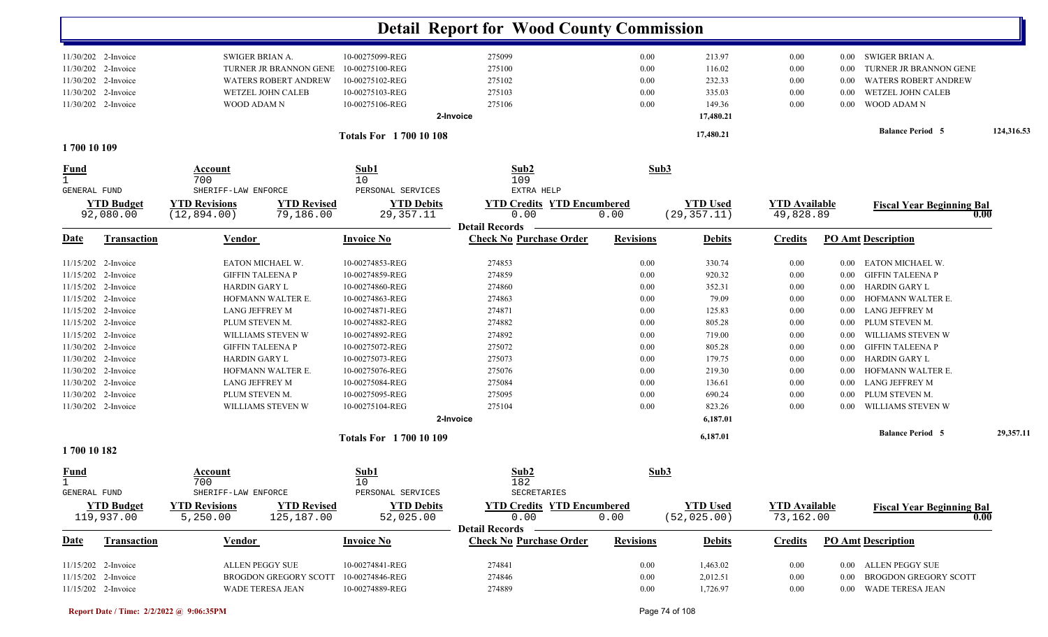| 11/30/202 2-Invoice<br>SWIGER BRIAN A.<br>10-00275099-REG<br>275099<br>0.00<br>213.97<br>SWIGER BRIAN A.<br>$0.00\,$<br>$0.00\,$<br>11/30/202 2-Invoice<br>TURNER JR BRANNON GENE<br>10-00275100-REG<br>275100<br>0.00<br>116.02<br>TURNER JR BRANNON GENE<br>0.00<br>$0.00\,$<br>11/30/202 2-Invoice<br>WATERS ROBERT ANDREW<br>10-00275102-REG<br>275102<br>0.00<br>232.33<br><b>WATERS ROBERT ANDREW</b><br>0.00<br>0.00<br>11/30/202 2-Invoice<br>WETZEL JOHN CALEB<br>10-00275103-REG<br>275103<br>0.00<br>335.03<br>WETZEL JOHN CALEB<br>0.00<br>0.00<br>11/30/202 2-Invoice<br>WOOD ADAM N<br>10-00275106-REG<br>275106<br>0.00<br>149.36<br>WOOD ADAM N<br>0.00<br>$0.00\,$<br>17,480.21<br>2-Invoice<br><b>Balance Period 5</b><br>17,480.21<br><b>Totals For 170010108</b><br>1700 10 109<br>Sub1<br>Sub2<br>Sub3<br>Account<br>109<br>700<br>10<br>$\mathbf{1}$<br>SHERIFF-LAW ENFORCE<br>PERSONAL SERVICES<br>EXTRA HELP<br>GENERAL FUND<br><b>YTD Budget</b><br><b>YTD Revisions</b><br><b>YTD Revised</b><br><b>YTD Debits</b><br><b>YTD Credits YTD Encumbered</b><br><b>YTD Used</b><br><b>YTD Available</b><br><b>Fiscal Year Beginning Bal</b><br>79,186.00<br>29, 357. 11<br>(29, 357.11)<br>92,080.00<br>(12, 894.00)<br>0.00<br>0.00<br>49,828.89<br>0.00<br><b>Detail Records</b><br><b>Check No Purchase Order</b><br><b>PO Amt Description</b><br><b>Transaction</b><br><b>Invoice No</b><br><b>Revisions</b><br><b>Debits</b><br><b>Credits</b><br><u>Vendor</u><br>EATON MICHAEL W.<br>10-00274853-REG<br>274853<br>0.00<br>330.74<br>EATON MICHAEL W.<br>11/15/202 2-Invoice<br>0.00<br>$0.00\,$<br>11/15/202 2-Invoice<br><b>GIFFIN TALEENA P</b><br>10-00274859-REG<br>274859<br>0.00<br>920.32<br><b>GIFFIN TALEENA P</b><br>0.00<br>$0.00\,$<br>11/15/202 2-Invoice<br>10-00274860-REG<br>352.31<br><b>HARDIN GARY L</b><br>274860<br>0.00<br>0.00<br>HARDIN GARY L<br>$0.00\,$<br>11/15/202 2-Invoice<br>HOFMANN WALTER E.<br>10-00274863-REG<br>274863<br>79.09<br>HOFMANN WALTER E.<br>0.00<br>0.00<br>$0.00\,$<br>11/15/202 2-Invoice<br>LANG JEFFREY M<br>10-00274871-REG<br>274871<br>125.83<br>LANG JEFFREY M<br>0.00<br>0.00<br>$0.00\,$<br>11/15/202 2-Invoice<br>PLUM STEVEN M.<br>10-00274882-REG<br>274882<br>805.28<br>PLUM STEVEN M.<br>0.00<br>0.00<br>$0.00\,$<br>11/15/202 2-Invoice<br>WILLIAMS STEVEN W<br>10-00274892-REG<br>274892<br>0.00<br>719.00<br>WILLIAMS STEVEN W<br>0.00<br>0.00<br>10-00275072-REG<br>275072<br>11/30/202 2-Invoice<br><b>GIFFIN TALEENA P</b><br>0.00<br>805.28<br>$0.00\,$<br><b>GIFFIN TALEENA P</b><br>$0.00\,$<br>11/30/202 2-Invoice<br>10-00275073-REG<br>275073<br>179.75<br>HARDIN GARY L<br><b>HARDIN GARY L</b><br>0.00<br>$0.00\,$<br>$0.00\,$<br>HOFMANN WALTER E.<br>10-00275076-REG<br>275076<br>219.30<br>HOFMANN WALTER E.<br>11/30/202 2-Invoice<br>0.00<br>0.00<br>$0.00\,$<br>11/30/202 2-Invoice<br><b>LANG JEFFREY M</b><br>10-00275084-REG<br>275084<br>136.61<br>LANG JEFFREY M<br>0.00<br>$0.00\,$<br>$0.00\,$<br>11/30/202 2-Invoice<br>PLUM STEVEN M.<br>10-00275095-REG<br>275095<br>0.00<br>690.24<br>PLUM STEVEN M.<br>0.00<br>$0.00\,$<br>11/30/202 2-Invoice<br>WILLIAMS STEVEN W<br>10-00275104-REG<br>275104<br>0.00<br>823.26<br>WILLIAMS STEVEN W<br>0.00<br>0.00<br>2-Invoice<br>6,187.01<br><b>Balance Period 5</b><br>29,357.11<br>6,187.01<br><b>Totals For 170010109</b><br>1700 10 182<br>Sub1<br>Sub2<br>Sub3<br><b>Fund</b><br>Account<br>700<br>10<br>182<br>PERSONAL SERVICES<br><b>GENERAL FUND</b><br>SHERIFF-LAW ENFORCE<br>SECRETARIES<br><b>YTD Budget</b><br><b>YTD Revised</b><br><b>YTD Used</b><br><b>YTD Revisions</b><br><b>YTD Debits</b><br><b>YTD Credits YTD Encumbered</b><br><b>YTD Available</b><br><b>Fiscal Year Beginning Bal</b><br>0.00<br>(52, 025.00)<br>119,937.00<br>5,250.00<br>125,187.00<br>52,025.00<br>0.00<br>73,162.00<br>0.00<br>Detail Records —<br><b>Check No Purchase Order</b><br><b>Invoice No</b><br><b>Revisions</b><br><b>PO Amt Description</b><br><b>Transaction</b><br><b>Vendor</b><br><b>Debits</b><br><b>Credits</b><br><u>Date</u><br>274841<br>11/15/202 2-Invoice<br>ALLEN PEGGY SUE<br>10-00274841-REG<br>0.00<br>1,463.02<br>$0.00\,$<br>0.00 ALLEN PEGGY SUE<br>11/15/202 2-Invoice<br>10-00274846-REG<br>274846<br>2,012.51<br>BROGDON GREGORY SCOTT<br><b>BROGDON GREGORY SCOTT</b><br>0.00<br>$0.00\,$<br>$0.00\,$<br>11/15/202 2-Invoice<br>0.00<br>0.00 WADE TERESA JEAN<br>WADE TERESA JEAN |             |  |                 | <b>Detail Report for Wood County Commission</b> |          |          |  |            |
|---------------------------------------------------------------------------------------------------------------------------------------------------------------------------------------------------------------------------------------------------------------------------------------------------------------------------------------------------------------------------------------------------------------------------------------------------------------------------------------------------------------------------------------------------------------------------------------------------------------------------------------------------------------------------------------------------------------------------------------------------------------------------------------------------------------------------------------------------------------------------------------------------------------------------------------------------------------------------------------------------------------------------------------------------------------------------------------------------------------------------------------------------------------------------------------------------------------------------------------------------------------------------------------------------------------------------------------------------------------------------------------------------------------------------------------------------------------------------------------------------------------------------------------------------------------------------------------------------------------------------------------------------------------------------------------------------------------------------------------------------------------------------------------------------------------------------------------------------------------------------------------------------------------------------------------------------------------------------------------------------------------------------------------------------------------------------------------------------------------------------------------------------------------------------------------------------------------------------------------------------------------------------------------------------------------------------------------------------------------------------------------------------------------------------------------------------------------------------------------------------------------------------------------------------------------------------------------------------------------------------------------------------------------------------------------------------------------------------------------------------------------------------------------------------------------------------------------------------------------------------------------------------------------------------------------------------------------------------------------------------------------------------------------------------------------------------------------------------------------------------------------------------------------------------------------------------------------------------------------------------------------------------------------------------------------------------------------------------------------------------------------------------------------------------------------------------------------------------------------------------------------------------------------------------------------------------------------------------------------------------------------------------------------------------------------------------------------------------------------------------------------------------------------------------------------------------------------------------------------------------------------------------------------------------------------------------------------------------------------------------------------------------------------------------------------------------------------------------------------------------------------------------------------------------------------------------------------------------------------------------------------------------------------------------------------------------------------------------------------------------------------------------------------------------------------------------------------------------------------|-------------|--|-----------------|-------------------------------------------------|----------|----------|--|------------|
|                                                                                                                                                                                                                                                                                                                                                                                                                                                                                                                                                                                                                                                                                                                                                                                                                                                                                                                                                                                                                                                                                                                                                                                                                                                                                                                                                                                                                                                                                                                                                                                                                                                                                                                                                                                                                                                                                                                                                                                                                                                                                                                                                                                                                                                                                                                                                                                                                                                                                                                                                                                                                                                                                                                                                                                                                                                                                                                                                                                                                                                                                                                                                                                                                                                                                                                                                                                                                                                                                                                                                                                                                                                                                                                                                                                                                                                                                                                                                                                                                                                                                                                                                                                                                                                                                                                                                                                                                                                                                       |             |  |                 |                                                 |          |          |  |            |
|                                                                                                                                                                                                                                                                                                                                                                                                                                                                                                                                                                                                                                                                                                                                                                                                                                                                                                                                                                                                                                                                                                                                                                                                                                                                                                                                                                                                                                                                                                                                                                                                                                                                                                                                                                                                                                                                                                                                                                                                                                                                                                                                                                                                                                                                                                                                                                                                                                                                                                                                                                                                                                                                                                                                                                                                                                                                                                                                                                                                                                                                                                                                                                                                                                                                                                                                                                                                                                                                                                                                                                                                                                                                                                                                                                                                                                                                                                                                                                                                                                                                                                                                                                                                                                                                                                                                                                                                                                                                                       |             |  |                 |                                                 |          |          |  |            |
|                                                                                                                                                                                                                                                                                                                                                                                                                                                                                                                                                                                                                                                                                                                                                                                                                                                                                                                                                                                                                                                                                                                                                                                                                                                                                                                                                                                                                                                                                                                                                                                                                                                                                                                                                                                                                                                                                                                                                                                                                                                                                                                                                                                                                                                                                                                                                                                                                                                                                                                                                                                                                                                                                                                                                                                                                                                                                                                                                                                                                                                                                                                                                                                                                                                                                                                                                                                                                                                                                                                                                                                                                                                                                                                                                                                                                                                                                                                                                                                                                                                                                                                                                                                                                                                                                                                                                                                                                                                                                       |             |  |                 |                                                 |          |          |  |            |
|                                                                                                                                                                                                                                                                                                                                                                                                                                                                                                                                                                                                                                                                                                                                                                                                                                                                                                                                                                                                                                                                                                                                                                                                                                                                                                                                                                                                                                                                                                                                                                                                                                                                                                                                                                                                                                                                                                                                                                                                                                                                                                                                                                                                                                                                                                                                                                                                                                                                                                                                                                                                                                                                                                                                                                                                                                                                                                                                                                                                                                                                                                                                                                                                                                                                                                                                                                                                                                                                                                                                                                                                                                                                                                                                                                                                                                                                                                                                                                                                                                                                                                                                                                                                                                                                                                                                                                                                                                                                                       |             |  |                 |                                                 |          |          |  |            |
|                                                                                                                                                                                                                                                                                                                                                                                                                                                                                                                                                                                                                                                                                                                                                                                                                                                                                                                                                                                                                                                                                                                                                                                                                                                                                                                                                                                                                                                                                                                                                                                                                                                                                                                                                                                                                                                                                                                                                                                                                                                                                                                                                                                                                                                                                                                                                                                                                                                                                                                                                                                                                                                                                                                                                                                                                                                                                                                                                                                                                                                                                                                                                                                                                                                                                                                                                                                                                                                                                                                                                                                                                                                                                                                                                                                                                                                                                                                                                                                                                                                                                                                                                                                                                                                                                                                                                                                                                                                                                       |             |  |                 |                                                 |          |          |  |            |
|                                                                                                                                                                                                                                                                                                                                                                                                                                                                                                                                                                                                                                                                                                                                                                                                                                                                                                                                                                                                                                                                                                                                                                                                                                                                                                                                                                                                                                                                                                                                                                                                                                                                                                                                                                                                                                                                                                                                                                                                                                                                                                                                                                                                                                                                                                                                                                                                                                                                                                                                                                                                                                                                                                                                                                                                                                                                                                                                                                                                                                                                                                                                                                                                                                                                                                                                                                                                                                                                                                                                                                                                                                                                                                                                                                                                                                                                                                                                                                                                                                                                                                                                                                                                                                                                                                                                                                                                                                                                                       |             |  |                 |                                                 |          |          |  |            |
|                                                                                                                                                                                                                                                                                                                                                                                                                                                                                                                                                                                                                                                                                                                                                                                                                                                                                                                                                                                                                                                                                                                                                                                                                                                                                                                                                                                                                                                                                                                                                                                                                                                                                                                                                                                                                                                                                                                                                                                                                                                                                                                                                                                                                                                                                                                                                                                                                                                                                                                                                                                                                                                                                                                                                                                                                                                                                                                                                                                                                                                                                                                                                                                                                                                                                                                                                                                                                                                                                                                                                                                                                                                                                                                                                                                                                                                                                                                                                                                                                                                                                                                                                                                                                                                                                                                                                                                                                                                                                       |             |  |                 |                                                 |          |          |  | 124,316.53 |
|                                                                                                                                                                                                                                                                                                                                                                                                                                                                                                                                                                                                                                                                                                                                                                                                                                                                                                                                                                                                                                                                                                                                                                                                                                                                                                                                                                                                                                                                                                                                                                                                                                                                                                                                                                                                                                                                                                                                                                                                                                                                                                                                                                                                                                                                                                                                                                                                                                                                                                                                                                                                                                                                                                                                                                                                                                                                                                                                                                                                                                                                                                                                                                                                                                                                                                                                                                                                                                                                                                                                                                                                                                                                                                                                                                                                                                                                                                                                                                                                                                                                                                                                                                                                                                                                                                                                                                                                                                                                                       |             |  |                 |                                                 |          |          |  |            |
|                                                                                                                                                                                                                                                                                                                                                                                                                                                                                                                                                                                                                                                                                                                                                                                                                                                                                                                                                                                                                                                                                                                                                                                                                                                                                                                                                                                                                                                                                                                                                                                                                                                                                                                                                                                                                                                                                                                                                                                                                                                                                                                                                                                                                                                                                                                                                                                                                                                                                                                                                                                                                                                                                                                                                                                                                                                                                                                                                                                                                                                                                                                                                                                                                                                                                                                                                                                                                                                                                                                                                                                                                                                                                                                                                                                                                                                                                                                                                                                                                                                                                                                                                                                                                                                                                                                                                                                                                                                                                       | <u>Fund</u> |  |                 |                                                 |          |          |  |            |
|                                                                                                                                                                                                                                                                                                                                                                                                                                                                                                                                                                                                                                                                                                                                                                                                                                                                                                                                                                                                                                                                                                                                                                                                                                                                                                                                                                                                                                                                                                                                                                                                                                                                                                                                                                                                                                                                                                                                                                                                                                                                                                                                                                                                                                                                                                                                                                                                                                                                                                                                                                                                                                                                                                                                                                                                                                                                                                                                                                                                                                                                                                                                                                                                                                                                                                                                                                                                                                                                                                                                                                                                                                                                                                                                                                                                                                                                                                                                                                                                                                                                                                                                                                                                                                                                                                                                                                                                                                                                                       |             |  |                 |                                                 |          |          |  |            |
|                                                                                                                                                                                                                                                                                                                                                                                                                                                                                                                                                                                                                                                                                                                                                                                                                                                                                                                                                                                                                                                                                                                                                                                                                                                                                                                                                                                                                                                                                                                                                                                                                                                                                                                                                                                                                                                                                                                                                                                                                                                                                                                                                                                                                                                                                                                                                                                                                                                                                                                                                                                                                                                                                                                                                                                                                                                                                                                                                                                                                                                                                                                                                                                                                                                                                                                                                                                                                                                                                                                                                                                                                                                                                                                                                                                                                                                                                                                                                                                                                                                                                                                                                                                                                                                                                                                                                                                                                                                                                       |             |  |                 |                                                 |          |          |  |            |
|                                                                                                                                                                                                                                                                                                                                                                                                                                                                                                                                                                                                                                                                                                                                                                                                                                                                                                                                                                                                                                                                                                                                                                                                                                                                                                                                                                                                                                                                                                                                                                                                                                                                                                                                                                                                                                                                                                                                                                                                                                                                                                                                                                                                                                                                                                                                                                                                                                                                                                                                                                                                                                                                                                                                                                                                                                                                                                                                                                                                                                                                                                                                                                                                                                                                                                                                                                                                                                                                                                                                                                                                                                                                                                                                                                                                                                                                                                                                                                                                                                                                                                                                                                                                                                                                                                                                                                                                                                                                                       |             |  |                 |                                                 |          |          |  |            |
|                                                                                                                                                                                                                                                                                                                                                                                                                                                                                                                                                                                                                                                                                                                                                                                                                                                                                                                                                                                                                                                                                                                                                                                                                                                                                                                                                                                                                                                                                                                                                                                                                                                                                                                                                                                                                                                                                                                                                                                                                                                                                                                                                                                                                                                                                                                                                                                                                                                                                                                                                                                                                                                                                                                                                                                                                                                                                                                                                                                                                                                                                                                                                                                                                                                                                                                                                                                                                                                                                                                                                                                                                                                                                                                                                                                                                                                                                                                                                                                                                                                                                                                                                                                                                                                                                                                                                                                                                                                                                       | Date        |  |                 |                                                 |          |          |  |            |
|                                                                                                                                                                                                                                                                                                                                                                                                                                                                                                                                                                                                                                                                                                                                                                                                                                                                                                                                                                                                                                                                                                                                                                                                                                                                                                                                                                                                                                                                                                                                                                                                                                                                                                                                                                                                                                                                                                                                                                                                                                                                                                                                                                                                                                                                                                                                                                                                                                                                                                                                                                                                                                                                                                                                                                                                                                                                                                                                                                                                                                                                                                                                                                                                                                                                                                                                                                                                                                                                                                                                                                                                                                                                                                                                                                                                                                                                                                                                                                                                                                                                                                                                                                                                                                                                                                                                                                                                                                                                                       |             |  |                 |                                                 |          |          |  |            |
|                                                                                                                                                                                                                                                                                                                                                                                                                                                                                                                                                                                                                                                                                                                                                                                                                                                                                                                                                                                                                                                                                                                                                                                                                                                                                                                                                                                                                                                                                                                                                                                                                                                                                                                                                                                                                                                                                                                                                                                                                                                                                                                                                                                                                                                                                                                                                                                                                                                                                                                                                                                                                                                                                                                                                                                                                                                                                                                                                                                                                                                                                                                                                                                                                                                                                                                                                                                                                                                                                                                                                                                                                                                                                                                                                                                                                                                                                                                                                                                                                                                                                                                                                                                                                                                                                                                                                                                                                                                                                       |             |  |                 |                                                 |          |          |  |            |
|                                                                                                                                                                                                                                                                                                                                                                                                                                                                                                                                                                                                                                                                                                                                                                                                                                                                                                                                                                                                                                                                                                                                                                                                                                                                                                                                                                                                                                                                                                                                                                                                                                                                                                                                                                                                                                                                                                                                                                                                                                                                                                                                                                                                                                                                                                                                                                                                                                                                                                                                                                                                                                                                                                                                                                                                                                                                                                                                                                                                                                                                                                                                                                                                                                                                                                                                                                                                                                                                                                                                                                                                                                                                                                                                                                                                                                                                                                                                                                                                                                                                                                                                                                                                                                                                                                                                                                                                                                                                                       |             |  |                 |                                                 |          |          |  |            |
|                                                                                                                                                                                                                                                                                                                                                                                                                                                                                                                                                                                                                                                                                                                                                                                                                                                                                                                                                                                                                                                                                                                                                                                                                                                                                                                                                                                                                                                                                                                                                                                                                                                                                                                                                                                                                                                                                                                                                                                                                                                                                                                                                                                                                                                                                                                                                                                                                                                                                                                                                                                                                                                                                                                                                                                                                                                                                                                                                                                                                                                                                                                                                                                                                                                                                                                                                                                                                                                                                                                                                                                                                                                                                                                                                                                                                                                                                                                                                                                                                                                                                                                                                                                                                                                                                                                                                                                                                                                                                       |             |  |                 |                                                 |          |          |  |            |
|                                                                                                                                                                                                                                                                                                                                                                                                                                                                                                                                                                                                                                                                                                                                                                                                                                                                                                                                                                                                                                                                                                                                                                                                                                                                                                                                                                                                                                                                                                                                                                                                                                                                                                                                                                                                                                                                                                                                                                                                                                                                                                                                                                                                                                                                                                                                                                                                                                                                                                                                                                                                                                                                                                                                                                                                                                                                                                                                                                                                                                                                                                                                                                                                                                                                                                                                                                                                                                                                                                                                                                                                                                                                                                                                                                                                                                                                                                                                                                                                                                                                                                                                                                                                                                                                                                                                                                                                                                                                                       |             |  |                 |                                                 |          |          |  |            |
|                                                                                                                                                                                                                                                                                                                                                                                                                                                                                                                                                                                                                                                                                                                                                                                                                                                                                                                                                                                                                                                                                                                                                                                                                                                                                                                                                                                                                                                                                                                                                                                                                                                                                                                                                                                                                                                                                                                                                                                                                                                                                                                                                                                                                                                                                                                                                                                                                                                                                                                                                                                                                                                                                                                                                                                                                                                                                                                                                                                                                                                                                                                                                                                                                                                                                                                                                                                                                                                                                                                                                                                                                                                                                                                                                                                                                                                                                                                                                                                                                                                                                                                                                                                                                                                                                                                                                                                                                                                                                       |             |  |                 |                                                 |          |          |  |            |
|                                                                                                                                                                                                                                                                                                                                                                                                                                                                                                                                                                                                                                                                                                                                                                                                                                                                                                                                                                                                                                                                                                                                                                                                                                                                                                                                                                                                                                                                                                                                                                                                                                                                                                                                                                                                                                                                                                                                                                                                                                                                                                                                                                                                                                                                                                                                                                                                                                                                                                                                                                                                                                                                                                                                                                                                                                                                                                                                                                                                                                                                                                                                                                                                                                                                                                                                                                                                                                                                                                                                                                                                                                                                                                                                                                                                                                                                                                                                                                                                                                                                                                                                                                                                                                                                                                                                                                                                                                                                                       |             |  |                 |                                                 |          |          |  |            |
|                                                                                                                                                                                                                                                                                                                                                                                                                                                                                                                                                                                                                                                                                                                                                                                                                                                                                                                                                                                                                                                                                                                                                                                                                                                                                                                                                                                                                                                                                                                                                                                                                                                                                                                                                                                                                                                                                                                                                                                                                                                                                                                                                                                                                                                                                                                                                                                                                                                                                                                                                                                                                                                                                                                                                                                                                                                                                                                                                                                                                                                                                                                                                                                                                                                                                                                                                                                                                                                                                                                                                                                                                                                                                                                                                                                                                                                                                                                                                                                                                                                                                                                                                                                                                                                                                                                                                                                                                                                                                       |             |  |                 |                                                 |          |          |  |            |
|                                                                                                                                                                                                                                                                                                                                                                                                                                                                                                                                                                                                                                                                                                                                                                                                                                                                                                                                                                                                                                                                                                                                                                                                                                                                                                                                                                                                                                                                                                                                                                                                                                                                                                                                                                                                                                                                                                                                                                                                                                                                                                                                                                                                                                                                                                                                                                                                                                                                                                                                                                                                                                                                                                                                                                                                                                                                                                                                                                                                                                                                                                                                                                                                                                                                                                                                                                                                                                                                                                                                                                                                                                                                                                                                                                                                                                                                                                                                                                                                                                                                                                                                                                                                                                                                                                                                                                                                                                                                                       |             |  |                 |                                                 |          |          |  |            |
|                                                                                                                                                                                                                                                                                                                                                                                                                                                                                                                                                                                                                                                                                                                                                                                                                                                                                                                                                                                                                                                                                                                                                                                                                                                                                                                                                                                                                                                                                                                                                                                                                                                                                                                                                                                                                                                                                                                                                                                                                                                                                                                                                                                                                                                                                                                                                                                                                                                                                                                                                                                                                                                                                                                                                                                                                                                                                                                                                                                                                                                                                                                                                                                                                                                                                                                                                                                                                                                                                                                                                                                                                                                                                                                                                                                                                                                                                                                                                                                                                                                                                                                                                                                                                                                                                                                                                                                                                                                                                       |             |  |                 |                                                 |          |          |  |            |
|                                                                                                                                                                                                                                                                                                                                                                                                                                                                                                                                                                                                                                                                                                                                                                                                                                                                                                                                                                                                                                                                                                                                                                                                                                                                                                                                                                                                                                                                                                                                                                                                                                                                                                                                                                                                                                                                                                                                                                                                                                                                                                                                                                                                                                                                                                                                                                                                                                                                                                                                                                                                                                                                                                                                                                                                                                                                                                                                                                                                                                                                                                                                                                                                                                                                                                                                                                                                                                                                                                                                                                                                                                                                                                                                                                                                                                                                                                                                                                                                                                                                                                                                                                                                                                                                                                                                                                                                                                                                                       |             |  |                 |                                                 |          |          |  |            |
|                                                                                                                                                                                                                                                                                                                                                                                                                                                                                                                                                                                                                                                                                                                                                                                                                                                                                                                                                                                                                                                                                                                                                                                                                                                                                                                                                                                                                                                                                                                                                                                                                                                                                                                                                                                                                                                                                                                                                                                                                                                                                                                                                                                                                                                                                                                                                                                                                                                                                                                                                                                                                                                                                                                                                                                                                                                                                                                                                                                                                                                                                                                                                                                                                                                                                                                                                                                                                                                                                                                                                                                                                                                                                                                                                                                                                                                                                                                                                                                                                                                                                                                                                                                                                                                                                                                                                                                                                                                                                       |             |  |                 |                                                 |          |          |  |            |
|                                                                                                                                                                                                                                                                                                                                                                                                                                                                                                                                                                                                                                                                                                                                                                                                                                                                                                                                                                                                                                                                                                                                                                                                                                                                                                                                                                                                                                                                                                                                                                                                                                                                                                                                                                                                                                                                                                                                                                                                                                                                                                                                                                                                                                                                                                                                                                                                                                                                                                                                                                                                                                                                                                                                                                                                                                                                                                                                                                                                                                                                                                                                                                                                                                                                                                                                                                                                                                                                                                                                                                                                                                                                                                                                                                                                                                                                                                                                                                                                                                                                                                                                                                                                                                                                                                                                                                                                                                                                                       |             |  |                 |                                                 |          |          |  |            |
|                                                                                                                                                                                                                                                                                                                                                                                                                                                                                                                                                                                                                                                                                                                                                                                                                                                                                                                                                                                                                                                                                                                                                                                                                                                                                                                                                                                                                                                                                                                                                                                                                                                                                                                                                                                                                                                                                                                                                                                                                                                                                                                                                                                                                                                                                                                                                                                                                                                                                                                                                                                                                                                                                                                                                                                                                                                                                                                                                                                                                                                                                                                                                                                                                                                                                                                                                                                                                                                                                                                                                                                                                                                                                                                                                                                                                                                                                                                                                                                                                                                                                                                                                                                                                                                                                                                                                                                                                                                                                       |             |  |                 |                                                 |          |          |  |            |
|                                                                                                                                                                                                                                                                                                                                                                                                                                                                                                                                                                                                                                                                                                                                                                                                                                                                                                                                                                                                                                                                                                                                                                                                                                                                                                                                                                                                                                                                                                                                                                                                                                                                                                                                                                                                                                                                                                                                                                                                                                                                                                                                                                                                                                                                                                                                                                                                                                                                                                                                                                                                                                                                                                                                                                                                                                                                                                                                                                                                                                                                                                                                                                                                                                                                                                                                                                                                                                                                                                                                                                                                                                                                                                                                                                                                                                                                                                                                                                                                                                                                                                                                                                                                                                                                                                                                                                                                                                                                                       |             |  |                 |                                                 |          |          |  |            |
|                                                                                                                                                                                                                                                                                                                                                                                                                                                                                                                                                                                                                                                                                                                                                                                                                                                                                                                                                                                                                                                                                                                                                                                                                                                                                                                                                                                                                                                                                                                                                                                                                                                                                                                                                                                                                                                                                                                                                                                                                                                                                                                                                                                                                                                                                                                                                                                                                                                                                                                                                                                                                                                                                                                                                                                                                                                                                                                                                                                                                                                                                                                                                                                                                                                                                                                                                                                                                                                                                                                                                                                                                                                                                                                                                                                                                                                                                                                                                                                                                                                                                                                                                                                                                                                                                                                                                                                                                                                                                       |             |  |                 |                                                 |          |          |  |            |
|                                                                                                                                                                                                                                                                                                                                                                                                                                                                                                                                                                                                                                                                                                                                                                                                                                                                                                                                                                                                                                                                                                                                                                                                                                                                                                                                                                                                                                                                                                                                                                                                                                                                                                                                                                                                                                                                                                                                                                                                                                                                                                                                                                                                                                                                                                                                                                                                                                                                                                                                                                                                                                                                                                                                                                                                                                                                                                                                                                                                                                                                                                                                                                                                                                                                                                                                                                                                                                                                                                                                                                                                                                                                                                                                                                                                                                                                                                                                                                                                                                                                                                                                                                                                                                                                                                                                                                                                                                                                                       |             |  |                 |                                                 |          |          |  |            |
|                                                                                                                                                                                                                                                                                                                                                                                                                                                                                                                                                                                                                                                                                                                                                                                                                                                                                                                                                                                                                                                                                                                                                                                                                                                                                                                                                                                                                                                                                                                                                                                                                                                                                                                                                                                                                                                                                                                                                                                                                                                                                                                                                                                                                                                                                                                                                                                                                                                                                                                                                                                                                                                                                                                                                                                                                                                                                                                                                                                                                                                                                                                                                                                                                                                                                                                                                                                                                                                                                                                                                                                                                                                                                                                                                                                                                                                                                                                                                                                                                                                                                                                                                                                                                                                                                                                                                                                                                                                                                       |             |  |                 |                                                 |          |          |  |            |
|                                                                                                                                                                                                                                                                                                                                                                                                                                                                                                                                                                                                                                                                                                                                                                                                                                                                                                                                                                                                                                                                                                                                                                                                                                                                                                                                                                                                                                                                                                                                                                                                                                                                                                                                                                                                                                                                                                                                                                                                                                                                                                                                                                                                                                                                                                                                                                                                                                                                                                                                                                                                                                                                                                                                                                                                                                                                                                                                                                                                                                                                                                                                                                                                                                                                                                                                                                                                                                                                                                                                                                                                                                                                                                                                                                                                                                                                                                                                                                                                                                                                                                                                                                                                                                                                                                                                                                                                                                                                                       |             |  |                 |                                                 |          |          |  |            |
|                                                                                                                                                                                                                                                                                                                                                                                                                                                                                                                                                                                                                                                                                                                                                                                                                                                                                                                                                                                                                                                                                                                                                                                                                                                                                                                                                                                                                                                                                                                                                                                                                                                                                                                                                                                                                                                                                                                                                                                                                                                                                                                                                                                                                                                                                                                                                                                                                                                                                                                                                                                                                                                                                                                                                                                                                                                                                                                                                                                                                                                                                                                                                                                                                                                                                                                                                                                                                                                                                                                                                                                                                                                                                                                                                                                                                                                                                                                                                                                                                                                                                                                                                                                                                                                                                                                                                                                                                                                                                       |             |  |                 |                                                 |          |          |  |            |
|                                                                                                                                                                                                                                                                                                                                                                                                                                                                                                                                                                                                                                                                                                                                                                                                                                                                                                                                                                                                                                                                                                                                                                                                                                                                                                                                                                                                                                                                                                                                                                                                                                                                                                                                                                                                                                                                                                                                                                                                                                                                                                                                                                                                                                                                                                                                                                                                                                                                                                                                                                                                                                                                                                                                                                                                                                                                                                                                                                                                                                                                                                                                                                                                                                                                                                                                                                                                                                                                                                                                                                                                                                                                                                                                                                                                                                                                                                                                                                                                                                                                                                                                                                                                                                                                                                                                                                                                                                                                                       |             |  |                 |                                                 |          |          |  |            |
|                                                                                                                                                                                                                                                                                                                                                                                                                                                                                                                                                                                                                                                                                                                                                                                                                                                                                                                                                                                                                                                                                                                                                                                                                                                                                                                                                                                                                                                                                                                                                                                                                                                                                                                                                                                                                                                                                                                                                                                                                                                                                                                                                                                                                                                                                                                                                                                                                                                                                                                                                                                                                                                                                                                                                                                                                                                                                                                                                                                                                                                                                                                                                                                                                                                                                                                                                                                                                                                                                                                                                                                                                                                                                                                                                                                                                                                                                                                                                                                                                                                                                                                                                                                                                                                                                                                                                                                                                                                                                       |             |  |                 |                                                 |          |          |  |            |
|                                                                                                                                                                                                                                                                                                                                                                                                                                                                                                                                                                                                                                                                                                                                                                                                                                                                                                                                                                                                                                                                                                                                                                                                                                                                                                                                                                                                                                                                                                                                                                                                                                                                                                                                                                                                                                                                                                                                                                                                                                                                                                                                                                                                                                                                                                                                                                                                                                                                                                                                                                                                                                                                                                                                                                                                                                                                                                                                                                                                                                                                                                                                                                                                                                                                                                                                                                                                                                                                                                                                                                                                                                                                                                                                                                                                                                                                                                                                                                                                                                                                                                                                                                                                                                                                                                                                                                                                                                                                                       |             |  |                 |                                                 |          |          |  |            |
|                                                                                                                                                                                                                                                                                                                                                                                                                                                                                                                                                                                                                                                                                                                                                                                                                                                                                                                                                                                                                                                                                                                                                                                                                                                                                                                                                                                                                                                                                                                                                                                                                                                                                                                                                                                                                                                                                                                                                                                                                                                                                                                                                                                                                                                                                                                                                                                                                                                                                                                                                                                                                                                                                                                                                                                                                                                                                                                                                                                                                                                                                                                                                                                                                                                                                                                                                                                                                                                                                                                                                                                                                                                                                                                                                                                                                                                                                                                                                                                                                                                                                                                                                                                                                                                                                                                                                                                                                                                                                       |             |  |                 |                                                 |          |          |  |            |
|                                                                                                                                                                                                                                                                                                                                                                                                                                                                                                                                                                                                                                                                                                                                                                                                                                                                                                                                                                                                                                                                                                                                                                                                                                                                                                                                                                                                                                                                                                                                                                                                                                                                                                                                                                                                                                                                                                                                                                                                                                                                                                                                                                                                                                                                                                                                                                                                                                                                                                                                                                                                                                                                                                                                                                                                                                                                                                                                                                                                                                                                                                                                                                                                                                                                                                                                                                                                                                                                                                                                                                                                                                                                                                                                                                                                                                                                                                                                                                                                                                                                                                                                                                                                                                                                                                                                                                                                                                                                                       |             |  |                 |                                                 |          |          |  |            |
|                                                                                                                                                                                                                                                                                                                                                                                                                                                                                                                                                                                                                                                                                                                                                                                                                                                                                                                                                                                                                                                                                                                                                                                                                                                                                                                                                                                                                                                                                                                                                                                                                                                                                                                                                                                                                                                                                                                                                                                                                                                                                                                                                                                                                                                                                                                                                                                                                                                                                                                                                                                                                                                                                                                                                                                                                                                                                                                                                                                                                                                                                                                                                                                                                                                                                                                                                                                                                                                                                                                                                                                                                                                                                                                                                                                                                                                                                                                                                                                                                                                                                                                                                                                                                                                                                                                                                                                                                                                                                       |             |  | 10-00274889-REG | 274889                                          | 1,726.97 | $0.00\,$ |  |            |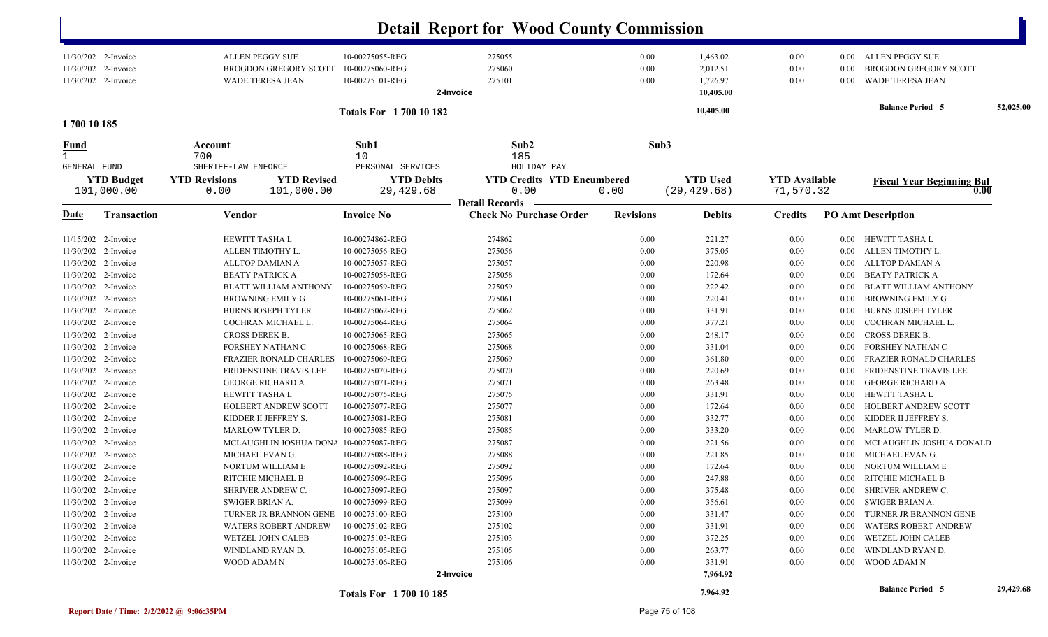|                                            |                     |                                                                            |                                                       | <b>Detail Report for Wood County Commission</b>  |                      |                                               |                      |                              |                                                                     |           |
|--------------------------------------------|---------------------|----------------------------------------------------------------------------|-------------------------------------------------------|--------------------------------------------------|----------------------|-----------------------------------------------|----------------------|------------------------------|---------------------------------------------------------------------|-----------|
| 11/30/202 2-Invoice<br>11/30/202 2-Invoice | 11/30/202 2-Invoice | <b>ALLEN PEGGY SUE</b><br><b>BROGDON GREGORY SCOTT</b><br>WADE TERESA JEAN | 10-00275055-REG<br>10-00275060-REG<br>10-00275101-REG | 275055<br>275060<br>275101<br>2-Invoice          | 0.00<br>0.00<br>0.00 | 1,463.02<br>2,012.51<br>1,726.97<br>10,405.00 | 0.00<br>0.00<br>0.00 | $0.00\,$<br>0.00<br>$0.00\,$ | ALLEN PEGGY SUE<br><b>BROGDON GREGORY SCOTT</b><br>WADE TERESA JEAN |           |
|                                            |                     |                                                                            | <b>Totals For 1700 10 182</b>                         |                                                  |                      | 10,405.00                                     |                      |                              | <b>Balance Period 5</b>                                             | 52,025.00 |
| 1700 10 185                                |                     |                                                                            |                                                       |                                                  |                      |                                               |                      |                              |                                                                     |           |
| Fund                                       |                     | Account<br>700                                                             | Sub1<br>10                                            | Sub2<br>185                                      | Sub3                 |                                               |                      |                              |                                                                     |           |
| GENERAL FUND                               | <b>YTD</b> Budget   | SHERIFF-LAW ENFORCE<br><b>YTD Revisions</b><br><b>YTD Revised</b>          | PERSONAL SERVICES<br><b>YTD Debits</b>                | HOLIDAY PAY<br><b>YTD Credits YTD Encumbered</b> |                      | <b>YTD</b> Used                               | <b>YTD Available</b> |                              |                                                                     |           |
|                                            | 101,000.00          | 101,000.00<br>0.00                                                         | 29,429.68                                             | 0.00                                             | 0.00                 | (29, 429.68)                                  | 71,570.32            |                              | <b>Fiscal Year Beginning Bal</b><br>0.00                            |           |
|                                            |                     |                                                                            |                                                       | <b>Detail Records</b>                            |                      |                                               |                      |                              |                                                                     |           |
| <u>Date</u>                                | <b>Transaction</b>  | <b>Vendor</b>                                                              | <b>Invoice No</b>                                     | <b>Check No Purchase Order</b>                   | <b>Revisions</b>     | <b>Debits</b>                                 | <b>Credits</b>       |                              | <b>PO Amt Description</b>                                           |           |
|                                            | 11/15/202 2-Invoice | HEWITT TASHA L                                                             | 10-00274862-REG                                       | 274862                                           | 0.00                 | 221.27                                        | 0.00                 | $0.00\,$                     | HEWITT TASHA L                                                      |           |
|                                            | 11/30/202 2-Invoice | ALLEN TIMOTHY L.                                                           | 10-00275056-REG                                       | 275056                                           | 0.00                 | 375.05                                        | 0.00                 | $0.00\,$                     | ALLEN TIMOTHY L.                                                    |           |
| 11/30/202 2-Invoice                        |                     | ALLTOP DAMIAN A                                                            | 10-00275057-REG                                       | 275057                                           | 0.00                 | 220.98                                        | 0.00                 | $0.00\,$                     | ALLTOP DAMIAN A                                                     |           |
| 11/30/202 2-Invoice                        |                     | <b>BEATY PATRICK A</b>                                                     | 10-00275058-REG                                       | 275058                                           | 0.00                 | 172.64                                        | 0.00                 | $0.00\,$                     | <b>BEATY PATRICK A</b>                                              |           |
| 11/30/202 2-Invoice                        |                     | <b>BLATT WILLIAM ANTHONY</b>                                               | 10-00275059-REG                                       | 275059                                           | 0.00                 | 222.42                                        | 0.00                 | 0.00                         | <b>BLATT WILLIAM ANTHONY</b>                                        |           |
| 11/30/202 2-Invoice                        |                     | <b>BROWNING EMILY G</b>                                                    | 10-00275061-REG                                       | 275061                                           | 0.00                 | 220.41                                        | 0.00                 | 0.00                         | <b>BROWNING EMILY G</b>                                             |           |
|                                            | 11/30/202 2-Invoice | <b>BURNS JOSEPH TYLER</b>                                                  | 10-00275062-REG                                       | 275062                                           | 0.00                 | 331.91                                        | 0.00                 | 0.00                         | <b>BURNS JOSEPH TYLER</b>                                           |           |
|                                            | 11/30/202 2-Invoice | COCHRAN MICHAEL L.                                                         | 10-00275064-REG                                       | 275064                                           | 0.00                 | 377.21                                        | 0.00                 | 0.00                         | COCHRAN MICHAEL L.                                                  |           |
| 11/30/202 2-Invoice                        |                     | CROSS DEREK B.                                                             | 10-00275065-REG                                       | 275065                                           | 0.00                 | 248.17                                        | 0.00                 | $0.00\,$                     | CROSS DEREK B.                                                      |           |
| 11/30/202 2-Invoice                        |                     | FORSHEY NATHAN C                                                           | 10-00275068-REG                                       | 275068                                           | 0.00                 | 331.04                                        | 0.00                 | $0.00\,$                     | FORSHEY NATHAN C                                                    |           |
| 11/30/202 2-Invoice                        |                     | <b>FRAZIER RONALD CHARLES</b>                                              | 10-00275069-REG                                       | 275069                                           | 0.00                 | 361.80                                        | 0.00                 | 0.00                         | <b>FRAZIER RONALD CHARLES</b>                                       |           |
| 11/30/202 2-Invoice                        |                     | FRIDENSTINE TRAVIS LEE                                                     | 10-00275070-REG                                       | 275070                                           | 0.00                 | 220.69                                        | 0.00                 | 0.00                         | FRIDENSTINE TRAVIS LEE                                              |           |
| 11/30/202                                  | 2-Invoice           | <b>GEORGE RICHARD A.</b>                                                   | 10-00275071-REG                                       | 275071                                           | 0.00                 | 263.48                                        | 0.00                 | 0.00                         | <b>GEORGE RICHARD A.</b>                                            |           |
| 11/30/202 2-Invoice                        |                     | <b>HEWITT TASHAL</b>                                                       | 10-00275075-REG                                       | 275075                                           | 0.00                 | 331.91                                        | 0.00                 | $0.00\,$                     | HEWITT TASHA L                                                      |           |
| 11/30/202 2-Invoice<br>11/30/202 2-Invoice |                     | <b>HOLBERT ANDREW SCOTT</b><br>KIDDER II JEFFREY S.                        | 10-00275077-REG<br>10-00275081-REG                    | 275077<br>275081                                 | 0.00<br>0.00         | 172.64                                        | 0.00                 | 0.00                         | HOLBERT ANDREW SCOTT<br>KIDDER II JEFFREY S.                        |           |
| 11/30/202 2-Invoice                        |                     | MARLOW TYLER D.                                                            | 10-00275085-REG                                       | 275085                                           | 0.00                 | 332.77<br>333.20                              | 0.00<br>0.00         | 0.00<br>0.00                 | <b>MARLOW TYLER D.</b>                                              |           |
| 11/30/202 2-Invoice                        |                     | MCLAUGHLIN JOSHUA DONA                                                     | 10-00275087-REG                                       | 275087                                           | 0.00                 | 221.56                                        | 0.00                 | 0.00                         | MCLAUGHLIN JOSHUA DONALD                                            |           |
| 11/30/202 2-Invoice                        |                     | MICHAEL EVAN G.                                                            | 10-00275088-REG                                       | 275088                                           | 0.00                 | 221.85                                        | 0.00                 | 0.00                         | MICHAEL EVAN G.                                                     |           |
| 11/30/202 2-Invoice                        |                     | NORTUM WILLIAM E                                                           | 10-00275092-REG                                       | 275092                                           | 0.00                 | 172.64                                        | 0.00                 | 0.00                         | NORTUM WILLIAM E                                                    |           |
|                                            | 11/30/202 2-Invoice | RITCHIE MICHAEL B                                                          | 10-00275096-REG                                       | 275096                                           | 0.00                 | 247.88                                        | 0.00                 | $0.00\,$                     | RITCHIE MICHAEL B                                                   |           |
|                                            | 11/30/202 2-Invoice | SHRIVER ANDREW C.                                                          | 10-00275097-REG                                       | 275097                                           | 0.00                 | 375.48                                        | 0.00                 |                              | 0.00 SHRIVER ANDREW C.                                              |           |
|                                            | 11/30/202 2-Invoice | SWIGER BRIAN A.                                                            | 10-00275099-REG                                       | 275099                                           | 0.00                 | 356.61                                        | 0.00                 | $0.00\,$                     | SWIGER BRIAN A.                                                     |           |
|                                            | 11/30/202 2-Invoice | TURNER JR BRANNON GENE                                                     | 10-00275100-REG                                       | 275100                                           | 0.00                 | 331.47                                        | 0.00                 | $0.00\,$                     | TURNER JR BRANNON GENE                                              |           |
|                                            | 11/30/202 2-Invoice | <b>WATERS ROBERT ANDREW</b>                                                | 10-00275102-REG                                       | 275102                                           | 0.00                 | 331.91                                        | 0.00                 | $0.00\,$                     | <b>WATERS ROBERT ANDREW</b>                                         |           |
|                                            | 11/30/202 2-Invoice | WETZEL JOHN CALEB                                                          | 10-00275103-REG                                       | 275103                                           | 0.00                 | 372.25                                        | 0.00                 | $0.00\,$                     | WETZEL JOHN CALEB                                                   |           |
| 11/30/202 2-Invoice                        |                     | WINDLAND RYAN D.                                                           | 10-00275105-REG                                       | 275105                                           | 0.00                 | 263.77                                        | 0.00                 | $0.00\,$                     | WINDLAND RYAN D.                                                    |           |
| 11/30/202 2-Invoice                        |                     | WOOD ADAM N                                                                | 10-00275106-REG                                       | 275106                                           | 0.00                 | 331.91                                        | 0.00                 | $0.00\,$                     | WOOD ADAM N                                                         |           |
|                                            |                     |                                                                            |                                                       | 2-Invoice                                        |                      | 7,964.92                                      |                      |                              |                                                                     |           |
|                                            |                     |                                                                            | <b>Totals For 170010185</b>                           |                                                  |                      | 7,964.92                                      |                      |                              | <b>Balance Period 5</b>                                             | 29,429.68 |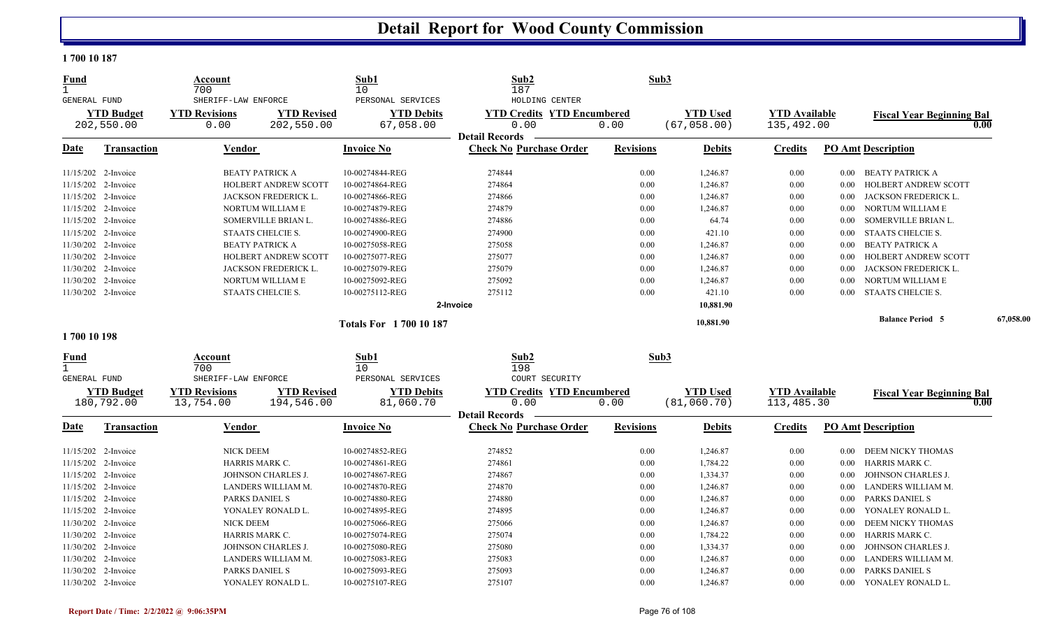#### **1 700 10 187**

| <b>Fund</b><br>$\mathbf{1}$ |                     | Account<br>700             |                        | Sub1<br>10                    | Sub2<br>187                       | Sub3             |                 |                      |          |                                  |           |
|-----------------------------|---------------------|----------------------------|------------------------|-------------------------------|-----------------------------------|------------------|-----------------|----------------------|----------|----------------------------------|-----------|
| <b>GENERAL FUND</b>         |                     | SHERIFF-LAW ENFORCE        |                        | PERSONAL SERVICES             | HOLDING CENTER                    |                  |                 |                      |          |                                  |           |
|                             | <b>YTD Budget</b>   | <b>YTD Revisions</b>       | <b>YTD Revised</b>     | <b>YTD Debits</b>             | <b>YTD Credits YTD Encumbered</b> |                  | <b>YTD Used</b> | <b>YTD Available</b> |          | <b>Fiscal Year Beginning Bal</b> |           |
|                             | 202,550.00          | 0.00                       | 202,550.00             | 67,058.00                     | 0.00                              | 0.00             | (67, 058.00)    | 135,492.00           |          |                                  | 0.00      |
|                             |                     |                            |                        |                               | <b>Detail Records</b>             |                  |                 |                      |          |                                  |           |
| Date                        | Transaction         | Vendor                     |                        | <b>Invoice No</b>             | <b>Check No Purchase Order</b>    | <b>Revisions</b> | <b>Debits</b>   | <b>Credits</b>       |          | <b>PO Amt Description</b>        |           |
|                             | 11/15/202 2-Invoice |                            | <b>BEATY PATRICK A</b> | 10-00274844-REG               | 274844                            | 0.00             | 1,246.87        | 0.00                 | $0.00\,$ | <b>BEATY PATRICK A</b>           |           |
|                             | 11/15/202 2-Invoice |                            | HOLBERT ANDREW SCOTT   | 10-00274864-REG               | 274864                            | 0.00             | 1,246.87        | 0.00                 | $0.00\,$ | HOLBERT ANDREW SCOTT             |           |
|                             | 11/15/202 2-Invoice |                            | JACKSON FREDERICK L.   | 10-00274866-REG               | 274866                            | 0.00             | 1,246.87        | 0.00                 | $0.00\,$ | JACKSON FREDERICK L.             |           |
| 11/15/202                   | 2-Invoice           |                            | NORTUM WILLIAM E       | 10-00274879-REG               | 274879                            | 0.00             | 1,246.87        | 0.00                 | 0.00     | NORTUM WILLIAM E                 |           |
|                             | 11/15/202 2-Invoice |                            | SOMERVILLE BRIAN L.    | 10-00274886-REG               | 274886                            | 0.00             | 64.74           | 0.00                 | 0.00     | SOMERVILLE BRIAN L.              |           |
|                             | 11/15/202 2-Invoice |                            | STAATS CHELCIE S.      | 10-00274900-REG               | 274900                            | 0.00             | 421.10          | 0.00                 | $0.00\,$ | STAATS CHELCIE S.                |           |
|                             | 11/30/202 2-Invoice |                            | <b>BEATY PATRICK A</b> | 10-00275058-REG               | 275058                            | 0.00             | 1,246.87        | 0.00                 | 0.00     | <b>BEATY PATRICK A</b>           |           |
|                             | 11/30/202 2-Invoice |                            | HOLBERT ANDREW SCOTT   | 10-00275077-REG               | 275077                            | 0.00             | 1,246.87        | 0.00                 | 0.00     | HOLBERT ANDREW SCOTT             |           |
|                             | 11/30/202 2-Invoice |                            | JACKSON FREDERICK L.   | 10-00275079-REG               | 275079                            | 0.00             | 1,246.87        | 0.00                 | 0.00     | JACKSON FREDERICK L.             |           |
|                             | 11/30/202 2-Invoice |                            | NORTUM WILLIAM E       | 10-00275092-REG               | 275092                            | 0.00             | 1,246.87        | 0.00                 | 0.00     | NORTUM WILLIAM E                 |           |
|                             | 11/30/202 2-Invoice |                            | STAATS CHELCIE S.      | 10-00275112-REG               | 275112                            | 0.00             | 421.10          | 0.00                 | 0.00     | <b>STAATS CHELCIE S.</b>         |           |
|                             |                     |                            |                        |                               | 2-Invoice                         |                  | 10,881.90       |                      |          |                                  |           |
|                             |                     |                            |                        | <b>Totals For 1700 10 187</b> |                                   |                  | 10,881.90       |                      |          | <b>Balance Period 5</b>          | 67,058.00 |
| 1700 10 198                 |                     |                            |                        |                               |                                   |                  |                 |                      |          |                                  |           |
| <u>Fund</u><br>$\mathbf{1}$ |                     | Account                    |                        | Sub1                          | Sub2<br>198                       | Sub3             |                 |                      |          |                                  |           |
| GENERAL FUND                |                     | 700<br>SHERIFF-LAW ENFORCE |                        | 10<br>PERSONAL SERVICES       | COURT SECURITY                    |                  |                 |                      |          |                                  |           |
|                             | <b>YTD Budget</b>   | <b>YTD Revisions</b>       | <b>YTD Revised</b>     | <b>YTD Debits</b>             | <b>YTD Credits YTD Encumbered</b> |                  | <b>YTD Used</b> | <b>YTD Available</b> |          | <b>Fiscal Year Beginning Bal</b> |           |
|                             | 180,792.00          | 13,754.00                  | 194,546.00             | 81,060.70                     | 0.00                              | 0.00             | (81, 060.70)    | 113,485.30           |          |                                  | 0.00      |
|                             |                     |                            |                        |                               | <b>Detail Records</b>             |                  |                 |                      |          |                                  |           |
| <b>Date</b>                 | Transaction         | Vendor                     |                        | <b>Invoice No</b>             | <b>Check No Purchase Order</b>    | <b>Revisions</b> | <b>Debits</b>   | <b>Credits</b>       |          | <b>PO Amt Description</b>        |           |
|                             | 11/15/202 2-Invoice | <b>NICK DEEM</b>           |                        | 10-00274852-REG               | 274852                            | 0.00             | 1,246.87        | 0.00                 | $0.00\,$ | DEEM NICKY THOMAS                |           |
|                             | 11/15/202 2-Invoice | HARRIS MARK C.             |                        | 10-00274861-REG               | 274861                            | 0.00             | 1,784.22        | 0.00                 | 0.00     | HARRIS MARK C.                   |           |
|                             | 11/15/202 2-Invoice |                            | JOHNSON CHARLES J.     | 10-00274867-REG               | 274867                            | 0.00             | 1,334.37        | 0.00                 | 0.00     | JOHNSON CHARLES J.               |           |
|                             | 11/15/202 2-Invoice |                            | LANDERS WILLIAM M.     | 10-00274870-REG               | 274870                            | 0.00             | 1,246.87        | 0.00                 | 0.00     | LANDERS WILLIAM M.               |           |
|                             | 11/15/202 2-Invoice | PARKS DANIEL S             |                        | 10-00274880-REG               | 274880                            | 0.00             | 1,246.87        | 0.00                 | 0.00     | PARKS DANIEL S                   |           |
|                             | 11/15/202 2-Invoice |                            | YONALEY RONALD L.      | 10-00274895-REG               | 274895                            | 0.00             | 1,246.87        | 0.00                 | 0.00     | YONALEY RONALD L.                |           |
|                             | 11/30/202 2-Invoice | NICK DEEM                  |                        | 10-00275066-REG               | 275066                            | 0.00             | 1,246.87        | 0.00                 | 0.00     | DEEM NICKY THOMAS                |           |
|                             | 11/30/202 2-Invoice | HARRIS MARK C.             |                        | 10-00275074-REG               | 275074                            | 0.00             | 1,784.22        | 0.00                 | 0.00     | HARRIS MARK C.                   |           |
|                             | 11/30/202 2-Invoice |                            | JOHNSON CHARLES J.     | 10-00275080-REG               | 275080                            | 0.00             | 1,334.37        | 0.00                 | 0.00     | JOHNSON CHARLES J.               |           |
|                             | 11/30/202 2-Invoice |                            | LANDERS WILLIAM M.     | 10-00275083-REG               | 275083                            | 0.00             | 1,246.87        | 0.00                 | 0.00     | LANDERS WILLIAM M.               |           |
|                             | 11/30/202 2-Invoice | PARKS DANIEL S             |                        | 10-00275093-REG               | 275093                            | 0.00             | 1,246.87        | 0.00                 | 0.00     | PARKS DANIEL S                   |           |
|                             | 11/30/202 2-Invoice |                            | YONALEY RONALD L.      | 10-00275107-REG               | 275107                            | 0.00             | 1,246.87        | 0.00                 | 0.00     | YONALEY RONALD L.                |           |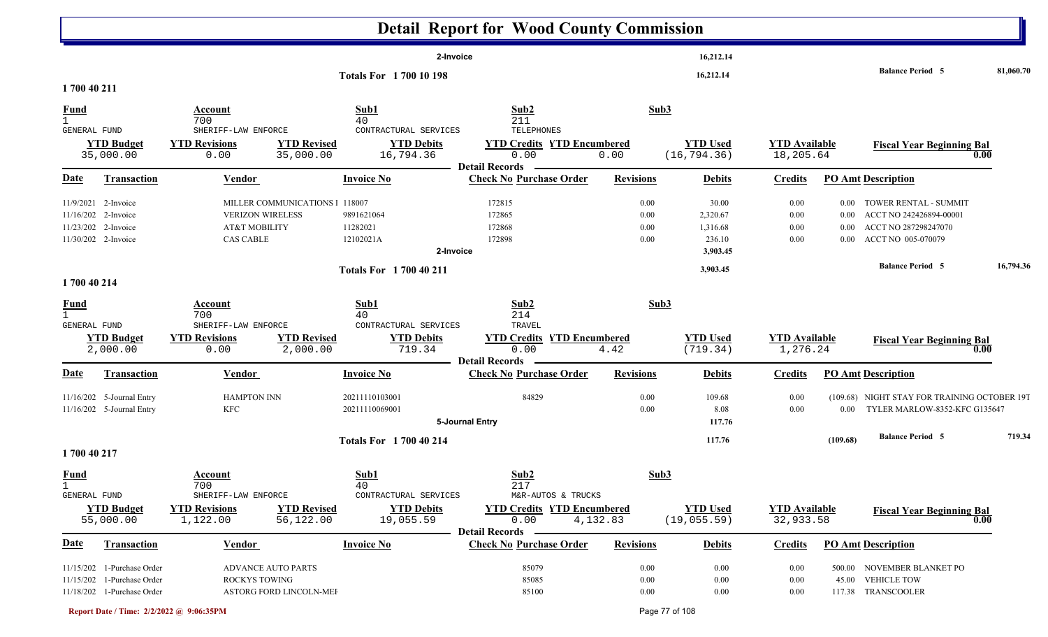|                                     |                                                                                        |                                                                                                |                                                         | <b>Detail Report for Wood County Commission</b>                    |                              |                                                     |                                   |                                              |                                                                                                |           |
|-------------------------------------|----------------------------------------------------------------------------------------|------------------------------------------------------------------------------------------------|---------------------------------------------------------|--------------------------------------------------------------------|------------------------------|-----------------------------------------------------|-----------------------------------|----------------------------------------------|------------------------------------------------------------------------------------------------|-----------|
|                                     |                                                                                        |                                                                                                | 2-Invoice                                               |                                                                    |                              | 16,212.14                                           |                                   |                                              | <b>Balance Period 5</b>                                                                        | 81,060.70 |
| 1700 40 211                         |                                                                                        |                                                                                                | <b>Totals For 1700 10 198</b>                           |                                                                    |                              | 16,212.14                                           |                                   |                                              |                                                                                                |           |
| <u>Fund</u><br>$\mathbf{1}$         |                                                                                        | Account<br>700                                                                                 | Sub1<br>40                                              | Sub2<br>211                                                        | Sub3                         |                                                     |                                   |                                              |                                                                                                |           |
| GENERAL FUND                        | <b>YTD Budget</b><br>35,000.00                                                         | SHERIFF-LAW ENFORCE<br><b>YTD Revisions</b><br><b>YTD Revised</b><br>35,000.00<br>0.00         | CONTRACTURAL SERVICES<br><b>YTD Debits</b><br>16,794.36 | TELEPHONES<br><b>YTD Credits YTD Encumbered</b><br>0.00            | 0.00                         | <b>YTD Used</b><br>(16, 794.36)                     | <b>YTD Available</b><br>18,205.64 |                                              | <b>Fiscal Year Beginning Bal</b><br>0.00                                                       |           |
| <u>Date</u>                         | <b>Transaction</b>                                                                     | <b>Vendor</b>                                                                                  | <b>Invoice No</b>                                       | <b>Detail Records</b><br><b>Check No Purchase Order</b>            | <b>Revisions</b>             | <b>Debits</b>                                       | <b>Credits</b>                    |                                              | <b>PO Amt Description</b>                                                                      |           |
| 11/9/2021<br>11/16/202<br>11/23/202 | 2-Invoice<br>2-Invoice<br>2-Invoice<br>11/30/202 2-Invoice                             | MILLER COMMUNICATIONS   118007<br><b>VERIZON WIRELESS</b><br>AT&T MOBILITY<br><b>CAS CABLE</b> | 9891621064<br>11282021<br>12102021A<br>2-Invoice        | 172815<br>172865<br>172868<br>172898                               | 0.00<br>0.00<br>0.00<br>0.00 | 30.00<br>2,320.67<br>1,316.68<br>236.10<br>3,903.45 | 0.00<br>0.00<br>0.00<br>0.00      | $0.00\,$<br>$0.00\,$<br>$0.00\,$<br>$0.00\,$ | TOWER RENTAL - SUMMIT<br>ACCT NO 242426894-00001<br>ACCT NO 287298247070<br>ACCT NO 005-070079 |           |
| 1700 40 214                         |                                                                                        |                                                                                                | Totals For 1700 40 211                                  |                                                                    |                              | 3,903.45                                            |                                   |                                              | <b>Balance Period 5</b>                                                                        | 16,794.36 |
| <b>Fund</b><br>GENERAL FUND         |                                                                                        | Account<br>700<br>SHERIFF-LAW ENFORCE                                                          | Sub1<br>40<br>CONTRACTURAL SERVICES                     | Sub2<br>214<br>TRAVEL                                              | Sub3                         |                                                     |                                   |                                              |                                                                                                |           |
|                                     | <b>YTD Budget</b><br>2,000.00                                                          | <b>YTD Revisions</b><br><b>YTD Revised</b><br>0.00<br>2,000.00                                 | <b>YTD Debits</b><br>719.34                             | <b>YTD Credits YTD Encumbered</b><br>0.00<br><b>Detail Records</b> | 4.42                         | <b>YTD Used</b><br>(719.34)                         | <b>YTD</b> Available<br>1,276.24  |                                              | <b>Fiscal Year Beginning Bal</b><br>0.00                                                       |           |
| <b>Date</b>                         | Transaction                                                                            | Vendor                                                                                         | <b>Invoice No</b>                                       | <b>Check No Purchase Order</b>                                     | <b>Revisions</b>             | <b>Debits</b>                                       | <b>Credits</b>                    |                                              | <b>PO Amt Description</b>                                                                      |           |
|                                     | 11/16/202 5-Journal Entry<br>11/16/202 5-Journal Entry                                 | <b>HAMPTON INN</b><br><b>KFC</b>                                                               | 20211110103001<br>20211110069001                        | 84829<br>5-Journal Entry                                           | 0.00<br>0.00                 | 109.68<br>8.08<br>117.76                            | 0.00<br>0.00                      | $0.00\,$                                     | (109.68) NIGHT STAY FOR TRAINING OCTOBER 19T<br>TYLER MARLOW-8352-KFC G135647                  |           |
| 1700 40 217                         |                                                                                        |                                                                                                | <b>Totals For 1700 40 214</b>                           |                                                                    |                              | 117.76                                              |                                   | (109.68)                                     | <b>Balance Period 5</b>                                                                        | 719.34    |
| <b>Fund</b><br>GENERAL FUND         |                                                                                        | Account<br>700<br>SHERIFF-LAW ENFORCE                                                          | Sub1<br>40<br>CONTRACTURAL SERVICES                     | Sub2<br>217<br>M&R-AUTOS & TRUCKS                                  | Sub3                         |                                                     |                                   |                                              |                                                                                                |           |
|                                     | <b>YTD Budget</b><br>55,000.00                                                         | <b>YTD Revised</b><br><b>YTD Revisions</b><br>1,122.00<br>56,122.00                            | <b>YTD Debits</b><br>19,055.59                          | <b>YTD Credits YTD Encumbered</b><br>0.00<br><b>Detail Records</b> | 4,132.83                     | <b>YTD Used</b><br>(19, 055.59)                     | <b>YTD</b> Available<br>32,933.58 |                                              | <b>Fiscal Year Beginning Bal</b><br>0.00                                                       |           |
| <u>Date</u>                         | Transaction                                                                            | Vendor                                                                                         | <b>Invoice No</b>                                       | <b>Check No Purchase Order</b>                                     | <b>Revisions</b>             | <b>Debits</b>                                       | <b>Credits</b>                    |                                              | <b>PO Amt Description</b>                                                                      |           |
|                                     | 11/15/202 1-Purchase Order<br>11/15/202 1-Purchase Order<br>11/18/202 1-Purchase Order | ADVANCE AUTO PARTS<br><b>ROCKYS TOWING</b><br>ASTORG FORD LINCOLN-MEI                          |                                                         | 85079<br>85085<br>85100                                            | 0.00<br>0.00<br>0.00         | $0.00\,$<br>$0.00\,$<br>$0.00\,$                    | 0.00<br>0.00<br>0.00              | 45.00                                        | 500.00 NOVEMBER BLANKET PO<br><b>VEHICLE TOW</b><br>117.38 TRANSCOOLER                         |           |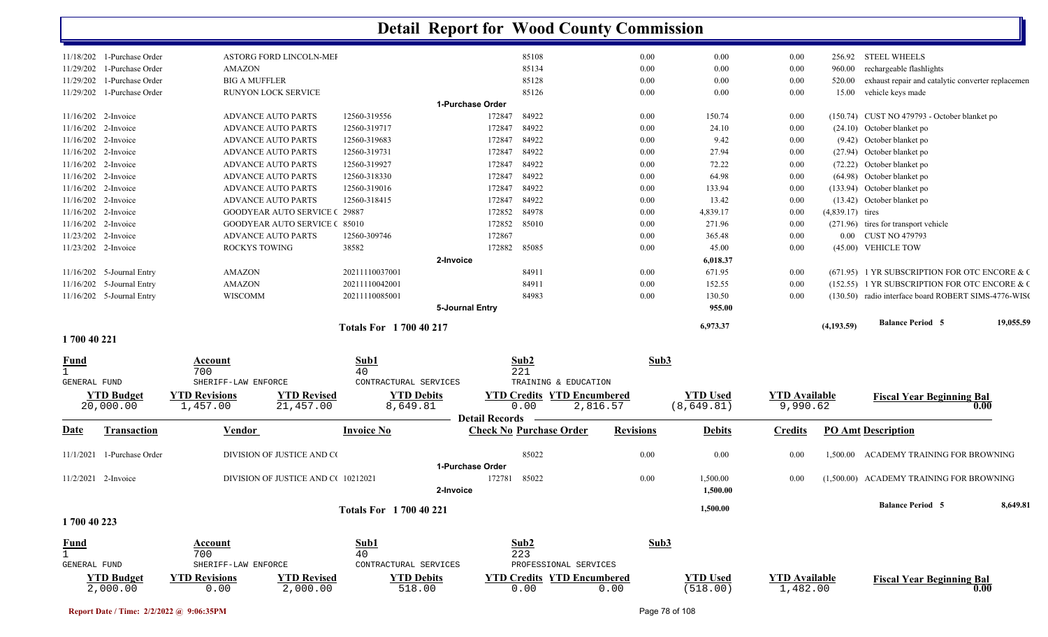|                                   |                                            |                               | <b>Detail Report for Wood County Commission</b> |                                   |                  |                 |                      |                    |                                                      |           |
|-----------------------------------|--------------------------------------------|-------------------------------|-------------------------------------------------|-----------------------------------|------------------|-----------------|----------------------|--------------------|------------------------------------------------------|-----------|
| 11/18/202 1-Purchase Order        | ASTORG FORD LINCOLN-MEI                    |                               |                                                 | 85108                             | 0.00             | 0.00            | 0.00                 |                    | 256.92 STEEL WHEELS                                  |           |
| 11/29/202<br>1-Purchase Order     | <b>AMAZON</b>                              |                               |                                                 | 85134                             | 0.00             | 0.00            | 0.00                 | 960.00             | rechargeable flashlights                             |           |
| 11/29/202<br>1-Purchase Order     | <b>BIG A MUFFLER</b>                       |                               |                                                 | 85128                             | 0.00             | 0.00            | 0.00                 | 520.00             | exhaust repair and catalytic converter replacemen    |           |
| 11/29/202<br>1-Purchase Order     | RUNYON LOCK SERVICE                        |                               |                                                 | 85126                             | 0.00             | 0.00            | 0.00                 | 15.00              | vehicle keys made                                    |           |
|                                   |                                            |                               | 1-Purchase Order                                |                                   |                  |                 |                      |                    |                                                      |           |
| 11/16/202 2-Invoice               | <b>ADVANCE AUTO PARTS</b>                  | 12560-319556                  | 172847                                          | 84922                             | 0.00             | 150.74          | 0.00                 |                    | (150.74) CUST NO 479793 - October blanket po         |           |
| 11/16/202 2-Invoice               | <b>ADVANCE AUTO PARTS</b>                  | 12560-319717                  | 172847                                          | 84922                             | 0.00             | 24.10           | 0.00                 |                    | (24.10) October blanket po                           |           |
| 11/16/202 2-Invoice               | <b>ADVANCE AUTO PARTS</b>                  | 12560-319683                  | 172847                                          | 84922                             | 0.00             | 9.42            | 0.00                 |                    | (9.42) October blanket po                            |           |
| 11/16/202 2-Invoice               | <b>ADVANCE AUTO PARTS</b>                  | 12560-319731                  | 172847                                          | 84922                             | 0.00             | 27.94           | 0.00                 |                    | (27.94) October blanket po                           |           |
| 11/16/202 2-Invoice               | <b>ADVANCE AUTO PARTS</b>                  | 12560-319927                  | 172847                                          | 84922                             | 0.00             | 72.22           | 0.00                 |                    | (72.22) October blanket po                           |           |
| 11/16/202 2-Invoice               | <b>ADVANCE AUTO PARTS</b>                  | 12560-318330                  | 172847                                          | 84922                             | 0.00             | 64.98           | 0.00                 |                    | (64.98) October blanket po                           |           |
| 11/16/202 2-Invoice               | <b>ADVANCE AUTO PARTS</b>                  | 12560-319016                  | 172847                                          | 84922                             | 0.00             | 133.94          | 0.00                 |                    | (133.94) October blanket po                          |           |
| 11/16/202 2-Invoice               | <b>ADVANCE AUTO PARTS</b>                  | 12560-318415                  | 172847                                          | 84922                             | 0.00             | 13.42           | 0.00                 |                    | (13.42) October blanket po                           |           |
| 11/16/202 2-Invoice               | <b>GOODYEAR AUTO SERVICE (29887</b>        |                               | 172852                                          | 84978                             | 0.00             | 4,839.17        | 0.00                 | $(4,839.17)$ tires |                                                      |           |
| 11/16/202 2-Invoice               | <b>GOODYEAR AUTO SERVICE (85010</b>        |                               | 172852                                          | 85010                             | 0.00             | 271.96          | 0.00                 |                    | (271.96) tires for transport vehicle                 |           |
| 11/23/202 2-Invoice               | <b>ADVANCE AUTO PARTS</b>                  | 12560-309746                  | 172867                                          |                                   | 0.00             | 365.48          | 0.00                 |                    | 0.00 CUST NO 479793                                  |           |
| 11/23/202 2-Invoice               | ROCKYS TOWING                              | 38582                         | 172882                                          | 85085                             | 0.00             | 45.00           | 0.00                 |                    | (45.00) VEHICLE TOW                                  |           |
|                                   |                                            |                               | 2-Invoice                                       |                                   |                  | 6,018.37        |                      |                    |                                                      |           |
| 11/16/202 5-Journal Entry         | <b>AMAZON</b>                              | 20211110037001                |                                                 | 84911                             | 0.00             | 671.95          | 0.00                 |                    | (671.95) 1 YR SUBSCRIPTION FOR OTC ENCORE & C        |           |
| 11/16/202 5-Journal Entry         | <b>AMAZON</b>                              | 20211110042001                |                                                 | 84911                             | 0.00             | 152.55          | 0.00                 |                    | (152.55) 1 YR SUBSCRIPTION FOR OTC ENCORE & C        |           |
| 11/16/202 5-Journal Entry         | <b>WISCOMM</b>                             | 20211110085001                |                                                 | 84983                             | 0.00             | 130.50          | 0.00                 |                    | (130.50) radio interface board ROBERT SIMS-4776-WISC |           |
|                                   |                                            |                               |                                                 |                                   |                  |                 |                      |                    |                                                      |           |
|                                   |                                            |                               | 5-Journal Entry                                 |                                   |                  | 955.00          |                      |                    | <b>Balance Period 5</b>                              | 19,055.59 |
| 1700 40 221                       |                                            | <b>Totals For 1700 40 217</b> |                                                 |                                   |                  | 6,973.37        |                      | (4,193.59)         |                                                      |           |
| <u>Fund</u>                       | Account                                    | Sub1                          |                                                 | Sub2                              | Sub3             |                 |                      |                    |                                                      |           |
|                                   | 700                                        | 40                            |                                                 | 221                               |                  |                 |                      |                    |                                                      |           |
| GENERAL FUND                      | SHERIFF-LAW ENFORCE                        | CONTRACTURAL SERVICES         |                                                 | TRAINING & EDUCATION              |                  |                 |                      |                    |                                                      |           |
| <b>YTD Budget</b>                 | <b>YTD Revisions</b><br><b>YTD Revised</b> | <b>YTD Debits</b>             |                                                 | <b>YTD Credits YTD Encumbered</b> |                  | <b>YTD Used</b> | <b>YTD Available</b> |                    | <b>Fiscal Year Beginning Bal</b>                     |           |
| 20,000.00                         | 1,457.00<br>21,457.00                      | 8,649.81                      |                                                 | 0.00                              | 2,816.57         | (8,649.81)      | 9,990.62             |                    |                                                      | 0.00      |
| <u>Date</u><br><b>Transaction</b> | Vendor                                     | <b>Invoice No</b>             | <b>Detail Records</b>                           | <b>Check No Purchase Order</b>    | <b>Revisions</b> | <b>Debits</b>   | <b>Credits</b>       |                    | <b>PO Amt Description</b>                            |           |
|                                   |                                            |                               |                                                 |                                   |                  |                 |                      |                    |                                                      |           |
| 11/1/2021 1-Purchase Order        | DIVISION OF JUSTICE AND CO                 |                               | 1-Purchase Order                                | 85022                             | 0.00             | 0.00            | 0.00                 |                    | 1,500.00 ACADEMY TRAINING FOR BROWNING               |           |
| 11/2/2021 2-Invoice               | DIVISION OF JUSTICE AND C(10212021         |                               |                                                 | 172781 85022                      | 0.00             | 1,500.00        | $0.00\,$             |                    | (1,500.00) ACADEMY TRAINING FOR BROWNING             |           |
|                                   |                                            |                               | 2-Invoice                                       |                                   |                  |                 |                      |                    |                                                      |           |
|                                   |                                            |                               |                                                 |                                   |                  | 1,500.00        |                      |                    |                                                      |           |
|                                   |                                            | <b>Totals For 1700 40 221</b> |                                                 |                                   |                  | 1,500.00        |                      |                    | <b>Balance Period 5</b>                              | 8,649.81  |
| 1700 40 223                       |                                            |                               |                                                 |                                   |                  |                 |                      |                    |                                                      |           |
| <u>Fund</u>                       | Account                                    | Sub1                          |                                                 | Sub2                              | Sub3             |                 |                      |                    |                                                      |           |
| $\mathbf{1}$                      | 700                                        | 40                            |                                                 | 223                               |                  |                 |                      |                    |                                                      |           |
| GENERAL FUND                      | SHERIFF-LAW ENFORCE                        | CONTRACTURAL SERVICES         |                                                 | PROFESSIONAL SERVICES             |                  |                 |                      |                    |                                                      |           |
| <b>YTD Budget</b>                 | <b>YTD Revisions</b><br><b>YTD Revised</b> | <b>YTD Debits</b>             |                                                 | <b>YTD Credits YTD Encumbered</b> |                  | <b>YTD Used</b> | <b>YTD</b> Available |                    | <b>Fiscal Year Beginning Bal</b>                     |           |
| 2,000.00                          | 0.00<br>2,000.00                           | 518.00                        |                                                 | 0.00                              | 0.00             | (518.00)        | 1,482.00             |                    |                                                      | 0.00      |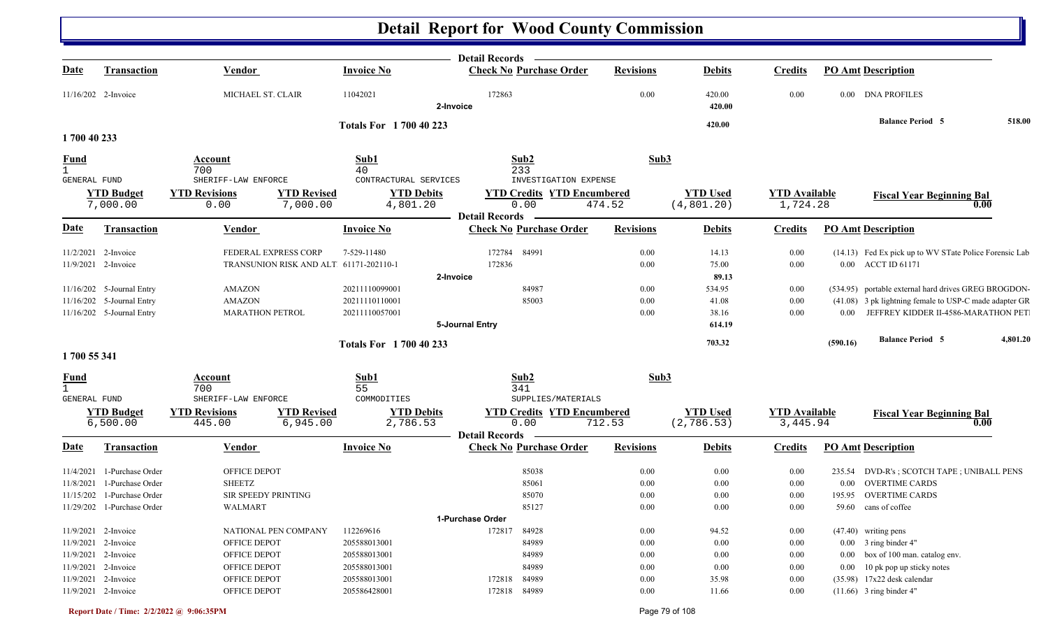|              |                               |                                                                  |                               | <b>Detail Records</b>                     |                  |                                |                                  |                                                        |          |
|--------------|-------------------------------|------------------------------------------------------------------|-------------------------------|-------------------------------------------|------------------|--------------------------------|----------------------------------|--------------------------------------------------------|----------|
| <u>Date</u>  | <b>Transaction</b>            | <b>Vendor</b>                                                    | <b>Invoice No</b>             | <b>Check No Purchase Order</b>            | <b>Revisions</b> | <b>Debits</b>                  | <b>Credits</b>                   | <b>PO Amt Description</b>                              |          |
|              | 11/16/202 2-Invoice           | MICHAEL ST. CLAIR                                                | 11042021                      | 172863<br>2-Invoice                       | 0.00             | 420.00<br>420.00               | 0.00                             | 0.00 DNA PROFILES                                      |          |
|              |                               |                                                                  | <b>Totals For 1700 40 223</b> |                                           |                  | 420.00                         |                                  | <b>Balance Period 5</b>                                | 518.00   |
| 1700 40 233  |                               |                                                                  |                               |                                           |                  |                                |                                  |                                                        |          |
| <b>Fund</b>  |                               | Account                                                          | Sub1                          | Sub2                                      | Sub3             |                                |                                  |                                                        |          |
| $\mathbf{1}$ |                               | 700                                                              | 40                            | 233                                       |                  |                                |                                  |                                                        |          |
| GENERAL FUND |                               | SHERIFF-LAW ENFORCE                                              | CONTRACTURAL SERVICES         | INVESTIGATION EXPENSE                     |                  |                                |                                  |                                                        |          |
|              | <b>YTD Budget</b>             | <b>YTD Revisions</b><br><b>YTD Revised</b>                       | <b>YTD Debits</b>             | <b>YTD Credits YTD Encumbered</b>         |                  | <b>YTD</b> Used                | <b>YTD Available</b>             | <b>Fiscal Year Beginning Bal</b>                       |          |
|              | 7,000.00                      | 7,000.00<br>0.00                                                 | 4,801.20                      | 0.00<br><b>Detail Records</b>             | 474.52           | (4, 801.20)                    | 1,724.28                         |                                                        | 0.00     |
| <b>Date</b>  | <b>Transaction</b>            | Vendor                                                           | <b>Invoice No</b>             | <b>Check No Purchase Order</b>            | <b>Revisions</b> | <b>Debits</b>                  | <b>Credits</b>                   | <b>PO Amt Description</b>                              |          |
|              |                               |                                                                  |                               |                                           |                  |                                |                                  |                                                        |          |
|              | 11/2/2021 2-Invoice           | FEDERAL EXPRESS CORP                                             | 7-529-11480                   | 172784<br>84991                           | 0.00             | 14.13                          | 0.00                             | (14.13) Fed Ex pick up to WV STate Police Forensic Lab |          |
|              | 11/9/2021 2-Invoice           | TRANSUNION RISK AND ALT 61171-202110-1                           |                               | 172836                                    | 0.00             | 75.00                          | 0.00                             | 0.00 ACCT ID 61171                                     |          |
|              |                               |                                                                  |                               | 2-Invoice                                 |                  | 89.13                          |                                  |                                                        |          |
|              | 11/16/202 5-Journal Entry     | <b>AMAZON</b>                                                    | 20211110099001                | 84987                                     | 0.00             | 534.95                         | 0.00                             | (534.95) portable external hard drives GREG BROGDON-   |          |
|              | 11/16/202 5-Journal Entry     | <b>AMAZON</b>                                                    | 20211110110001                | 85003                                     | 0.00             | 41.08                          | $0.00\,$                         | (41.08) 3 pk lightning female to USP-C made adapter GR |          |
|              | 11/16/202 5-Journal Entry     | <b>MARATHON PETROL</b>                                           | 20211110057001                |                                           | 0.00             | 38.16                          | 0.00                             | JEFFREY KIDDER II-4586-MARATHON PET<br>0.00            |          |
|              |                               |                                                                  |                               | 5-Journal Entry                           |                  | 614.19                         |                                  |                                                        |          |
|              |                               |                                                                  | <b>Totals For 1700 40 233</b> |                                           |                  | 703.32                         |                                  | <b>Balance Period 5</b><br>(590.16)                    | 4,801.20 |
| 1700 55 341  |                               |                                                                  |                               |                                           |                  |                                |                                  |                                                        |          |
| <b>Fund</b>  |                               | Account                                                          | Sub1                          | Sub2                                      | Sub3             |                                |                                  |                                                        |          |
| $\mathbf{1}$ |                               | 700                                                              | 55                            | 341                                       |                  |                                |                                  |                                                        |          |
| GENERAL FUND |                               | SHERIFF-LAW ENFORCE                                              | COMMODITIES                   | SUPPLIES/MATERIALS                        |                  |                                |                                  |                                                        |          |
|              | <b>YTD Budget</b><br>6,500.00 | <b>YTD Revised</b><br><b>YTD Revisions</b><br>445.00<br>6,945.00 | <b>YTD Debits</b><br>2,786.53 | <b>YTD Credits YTD Encumbered</b><br>0.00 | 712.53           | <b>YTD Used</b><br>(2, 786.53) | <b>YTD Available</b><br>3,445.94 | <b>Fiscal Year Beginning Bal</b>                       | 0.00     |
|              |                               |                                                                  |                               | <b>Detail Records</b>                     |                  |                                |                                  |                                                        |          |
| <u>Date</u>  | <b>Transaction</b>            | <b>Vendor</b>                                                    | <b>Invoice No</b>             | <b>Check No Purchase Order</b>            | <b>Revisions</b> | <b>Debits</b>                  | <b>Credits</b>                   | <b>PO Amt Description</b>                              |          |
|              | 11/4/2021 1-Purchase Order    | OFFICE DEPOT                                                     |                               | 85038                                     | 0.00             | 0.00                           | 0.00                             | 235.54 DVD-R's; SCOTCH TAPE; UNIBALL PENS              |          |
| 11/8/2021    | 1-Purchase Order              | <b>SHEETZ</b>                                                    |                               | 85061                                     | 0.00             | 0.00                           | $0.00\,$                         | <b>OVERTIME CARDS</b><br>$0.00\,$                      |          |
| 11/15/202    | 1-Purchase Order              | SIR SPEEDY PRINTING                                              |                               | 85070                                     | 0.00             | 0.00                           | 0.00                             | <b>OVERTIME CARDS</b><br>195.95                        |          |
|              | 11/29/202 1-Purchase Order    | <b>WALMART</b>                                                   |                               | 85127                                     | 0.00             | 0.00                           | 0.00                             | 59.60<br>cans of coffee                                |          |
|              |                               |                                                                  |                               | 1-Purchase Order                          |                  |                                |                                  |                                                        |          |
|              | 11/9/2021 2-Invoice           | NATIONAL PEN COMPANY                                             | 112269616                     | 172817 84928                              | 0.00             | 94.52                          | 0.00                             | (47.40) writing pens                                   |          |
|              | 11/9/2021 2-Invoice           | OFFICE DEPOT                                                     | 205588013001                  | 84989                                     | 0.00             | 0.00                           | 0.00                             | $0.00$ 3 ring binder 4"                                |          |
|              | 11/9/2021 2-Invoice           | OFFICE DEPOT                                                     | 205588013001                  | 84989                                     | 0.00             | 0.00                           | 0.00                             | box of 100 man. catalog env.<br>$0.00\,$               |          |
|              | 11/9/2021 2-Invoice           | OFFICE DEPOT                                                     | 205588013001                  | 84989                                     | 0.00             | 0.00                           | 0.00                             | 10 pk pop up sticky notes<br>$0.00\,$                  |          |
|              | 11/9/2021 2-Invoice           | OFFICE DEPOT                                                     | 205588013001                  | 172818 84989                              | 0.00             | 35.98                          | 0.00                             | $(35.98)$ 17x22 desk calendar                          |          |
|              | 11/9/2021 2-Invoice           | OFFICE DEPOT                                                     | 205586428001                  | 172818 84989                              | 0.00             | 11.66                          | 0.00                             | $(11.66)$ 3 ring binder 4"                             |          |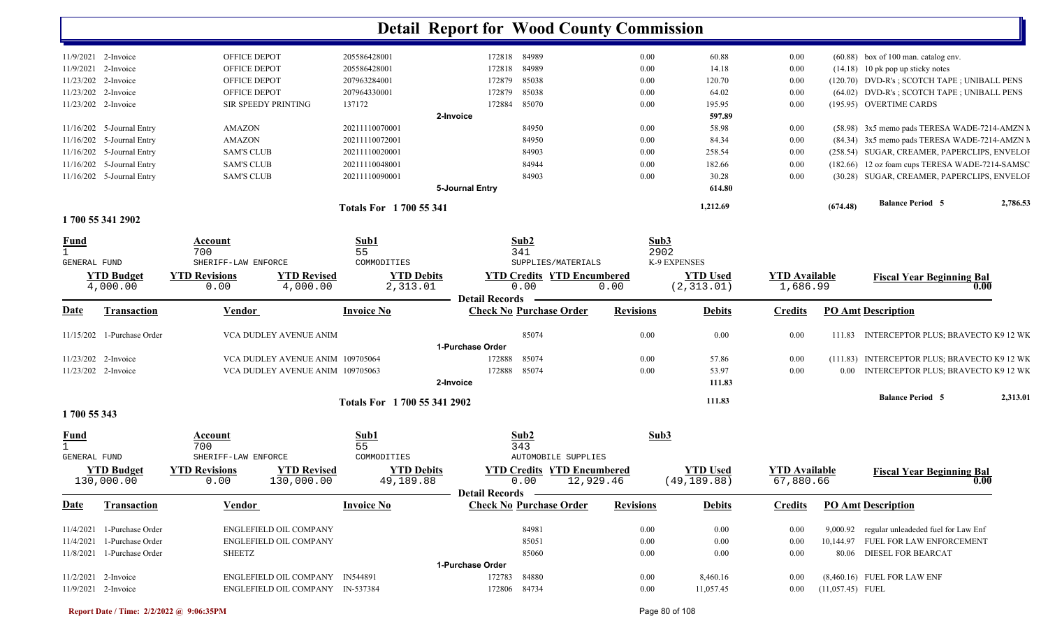|                     |                                 |                              |                                               | <b>Detail Report for Wood County Commission</b> |                                           |                  |                                 |                                   |                    |                                                 |          |
|---------------------|---------------------------------|------------------------------|-----------------------------------------------|-------------------------------------------------|-------------------------------------------|------------------|---------------------------------|-----------------------------------|--------------------|-------------------------------------------------|----------|
| 11/9/2021 2-Invoice |                                 | OFFICE DEPOT                 | 205586428001                                  |                                                 | 172818 84989                              | $0.00\,$         | 60.88                           | $0.00\,$                          |                    | $(60.88)$ box of 100 man. catalog env.          |          |
| 11/9/2021 2-Invoice |                                 | OFFICE DEPOT                 | 205586428001                                  | 172818                                          | 84989                                     | $0.00\,$         | 14.18                           | 0.00                              |                    | $(14.18)$ 10 pk pop up sticky notes             |          |
| 11/23/202 2-Invoice |                                 | OFFICE DEPOT                 | 207963284001                                  | 172879                                          | 85038                                     | 0.00             | 120.70                          | 0.00                              |                    | (120.70) DVD-R's; SCOTCH TAPE; UNIBALL PENS     |          |
| 11/23/202 2-Invoice |                                 | OFFICE DEPOT                 | 207964330001                                  | 172879                                          | 85038                                     | $0.00\,$         | 64.02                           | 0.00                              |                    | (64.02) DVD-R's; SCOTCH TAPE; UNIBALL PENS      |          |
| 11/23/202 2-Invoice |                                 | SIR SPEEDY PRINTING          | 137172                                        | 172884                                          | 85070                                     | $0.00\,$         | 195.95                          | 0.00                              |                    | (195.95) OVERTIME CARDS                         |          |
|                     |                                 |                              |                                               | 2-Invoice                                       |                                           |                  | 597.89                          |                                   |                    |                                                 |          |
|                     | 11/16/202 5-Journal Entry       | <b>AMAZON</b>                | 20211110070001                                |                                                 | 84950                                     | $0.00\,$         | 58.98                           | 0.00                              |                    | (58.98) 3x5 memo pads TERESA WADE-7214-AMZN M   |          |
| 11/16/202           | 5-Journal Entry                 | <b>AMAZON</b>                | 20211110072001                                |                                                 | 84950                                     | 0.00             | 84.34                           | 0.00                              |                    | (84.34) 3x5 memo pads TERESA WADE-7214-AMZN M   |          |
|                     | 11/16/202 5-Journal Entry       | <b>SAM'S CLUB</b>            | 20211110020001                                |                                                 | 84903                                     | 0.00             | 258.54                          | 0.00                              |                    | (258.54) SUGAR, CREAMER, PAPERCLIPS, ENVELOI    |          |
|                     | 11/16/202 5-Journal Entry       | <b>SAM'S CLUB</b>            | 20211110048001                                |                                                 | 84944                                     | 0.00             | 182.66                          | 0.00                              |                    | (182.66) 12 oz foam cups TERESA WADE-7214-SAMSC |          |
|                     | 11/16/202 5-Journal Entry       | <b>SAM'S CLUB</b>            | 20211110090001                                |                                                 | 84903                                     | $0.00\,$         | 30.28                           | 0.00                              |                    | (30.28) SUGAR, CREAMER, PAPERCLIPS, ENVELOI     |          |
|                     |                                 |                              |                                               | 5-Journal Entry                                 |                                           |                  | 614.80                          |                                   |                    |                                                 |          |
|                     |                                 |                              | Totals For 1700 55 341                        |                                                 |                                           |                  | 1,212.69                        |                                   | (674.48)           | <b>Balance Period 5</b>                         | 2,786.53 |
|                     | 1700 55 341 2902                |                              |                                               |                                                 |                                           |                  |                                 |                                   |                    |                                                 |          |
| Fund                |                                 | Account                      | Sub1                                          |                                                 | Sub2                                      | Sub3             |                                 |                                   |                    |                                                 |          |
|                     |                                 | 700                          | 55                                            |                                                 | 341                                       | 2902             |                                 |                                   |                    |                                                 |          |
| <b>GENERAL FUND</b> |                                 | SHERIFF-LAW ENFORCE          | COMMODITIES                                   |                                                 | SUPPLIES/MATERIALS                        |                  | K-9 EXPENSES                    |                                   |                    |                                                 |          |
|                     | <b>YTD Budget</b><br>4,000.00   | <b>YTD Revisions</b><br>0.00 | <b>YTD Revised</b><br>4,000.00<br>2,313.01    | <b>YTD Debits</b>                               | <b>YTD Credits YTD Encumbered</b><br>0.00 | 0.00             | <b>YTD</b> Used<br>(2, 313.01)  | <b>YTD</b> Available<br>1,686.99  |                    | <b>Fiscal Year Beginning Bal</b>                | 0.00     |
|                     |                                 |                              |                                               | <b>Detail Records</b>                           |                                           |                  |                                 |                                   |                    |                                                 |          |
| Date                | <b>Transaction</b>              | <b>Vendor</b>                | <b>Invoice No</b>                             |                                                 | <b>Check No Purchase Order</b>            | <b>Revisions</b> | <b>Debits</b>                   | <b>Credits</b>                    |                    | <b>PO Amt Description</b>                       |          |
|                     | 11/15/202 1-Purchase Order      | VCA DUDLEY AVENUE ANIM       |                                               | 1-Purchase Order                                | 85074                                     | 0.00             | 0.00                            | 0.00                              | 111.83             | INTERCEPTOR PLUS; BRAVECTO K9 12 WK             |          |
| 11/23/202 2-Invoice |                                 |                              | VCA DUDLEY AVENUE ANIM 109705064              | 172888                                          | 85074                                     | $0.00\,$         | 57.86                           | 0.00                              |                    | (111.83) INTERCEPTOR PLUS; BRAVECTO K9 12 WK    |          |
| 11/23/202 2-Invoice |                                 |                              | VCA DUDLEY AVENUE ANIM 109705063              | 172888                                          | 85074                                     | 0.00             | 53.97                           | 0.00                              |                    | 0.00 INTERCEPTOR PLUS; BRAVECTO K9 12 WK        |          |
|                     |                                 |                              |                                               | 2-Invoice                                       |                                           |                  | 111.83                          |                                   |                    |                                                 |          |
|                     |                                 |                              |                                               |                                                 |                                           |                  | 111.83                          |                                   |                    | <b>Balance Period 5</b>                         | 2,313.01 |
| 1700 55 343         |                                 |                              | Totals For 1700 55 341 2902                   |                                                 |                                           |                  |                                 |                                   |                    |                                                 |          |
| <u>Fund</u>         |                                 | Account                      | Sub1                                          |                                                 | Sub2                                      | Sub3             |                                 |                                   |                    |                                                 |          |
|                     |                                 | 700                          | 55                                            |                                                 | 343                                       |                  |                                 |                                   |                    |                                                 |          |
| GENERAL FUND        |                                 | SHERIFF-LAW ENFORCE          | COMMODITIES                                   |                                                 | <b>AUTOMOBILE SUPPLIES</b>                |                  |                                 |                                   |                    |                                                 |          |
|                     | <b>YTD Budget</b><br>130,000.00 | <b>YTD Revisions</b><br>0.00 | <b>YTD Revised</b><br>130,000.00<br>49,189.88 | <b>YTD Debits</b>                               | <b>YTD Credits YTD Encumbered</b><br>0.00 | 12,929.46        | <b>YTD Used</b><br>(49, 189.88) | <b>YTD</b> Available<br>67,880.66 |                    | <b>Fiscal Year Beginning Bal</b>                | 0.00     |
|                     |                                 |                              |                                               |                                                 | Detail Records —                          |                  |                                 |                                   |                    |                                                 |          |
| <b>Date</b>         | <b>Transaction</b>              | <b>Vendor</b>                | <b>Invoice No</b>                             |                                                 | <b>Check No Purchase Order</b>            | <b>Revisions</b> | <b>Debits</b>                   | <b>Credits</b>                    |                    | <b>PO Amt Description</b>                       |          |
|                     | 11/4/2021 1-Purchase Order      | ENGLEFIELD OIL COMPANY       |                                               |                                                 | 84981                                     | $0.00\,$         | 0.00                            | 0.00                              |                    | 9,000.92 regular unleadeded fuel for Law Enf    |          |
|                     | 11/4/2021 1-Purchase Order      | ENGLEFIELD OIL COMPANY       |                                               |                                                 | 85051                                     | $0.00\,$         | 0.00                            | 0.00                              |                    | 10,144.97 FUEL FOR LAW ENFORCEMENT              |          |
|                     | 11/8/2021 1-Purchase Order      | <b>SHEETZ</b>                |                                               |                                                 | 85060                                     | $0.00\,$         | 0.00                            | 0.00                              |                    | 80.06 DIESEL FOR BEARCAT                        |          |
|                     |                                 |                              |                                               | 1-Purchase Order                                |                                           |                  |                                 |                                   |                    |                                                 |          |
| 11/2/2021 2-Invoice |                                 |                              | ENGLEFIELD OIL COMPANY IN544891               | 172783                                          | 84880                                     | $0.00\,$         | 8,460.16                        | 0.00                              |                    | $(8,460.16)$ FUEL FOR LAW ENF                   |          |
| 11/9/2021 2-Invoice |                                 |                              | ENGLEFIELD OIL COMPANY IN-537384              |                                                 | 172806 84734                              | $0.00\,$         | 11,057.45                       | $0.00\,$                          | $(11,057.45)$ FUEL |                                                 |          |
|                     |                                 |                              |                                               |                                                 |                                           |                  |                                 |                                   |                    |                                                 |          |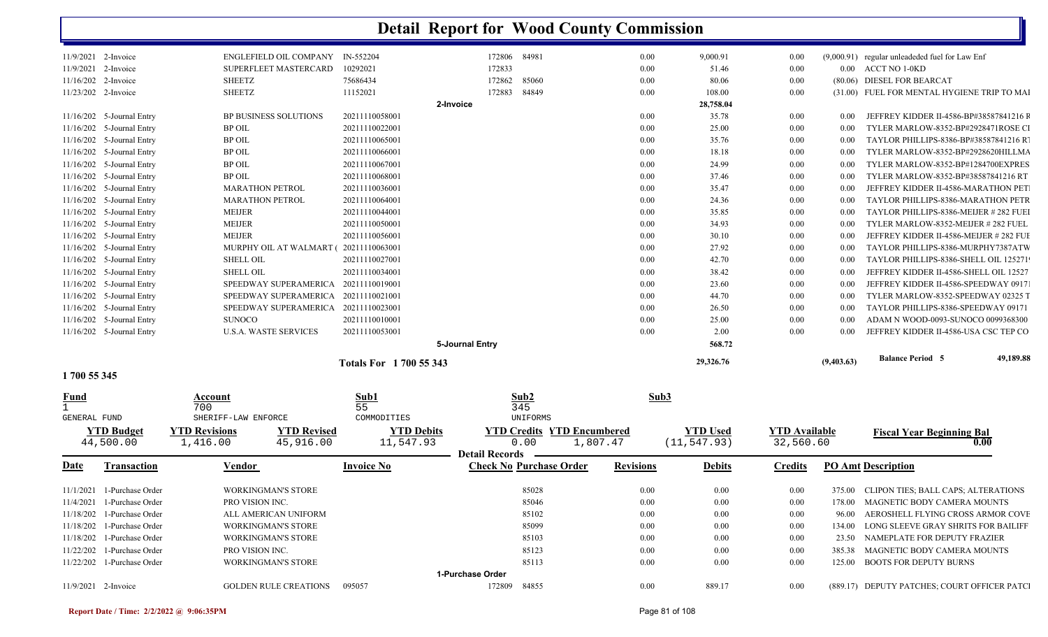| 11/9/2021 2-Invoice   |                             | ENGLEFIELD OIL COMPANY IN-552204 |                        | 172806 84981    |       | 0.00 | 9,000.91  | 0.00     |            | $(9,000.91)$ regular unleadeded fuel for Law Enf |
|-----------------------|-----------------------------|----------------------------------|------------------------|-----------------|-------|------|-----------|----------|------------|--------------------------------------------------|
| $11/9/2021$ 2-Invoice |                             | <b>SUPERFLEET MASTERCARD</b>     | 10292021               | 172833          |       | 0.00 | 51.46     | 0.00     |            | $0.00$ $\wedge$ ACCT NO 1-0KD                    |
| 11/16/202 2-Invoice   |                             | <b>SHEETZ</b>                    | 75686434               | 172862          | 85060 | 0.00 | 80.06     | 0.00     |            | (80.06) DIESEL FOR BEARCAT                       |
| 11/23/202 2-Invoice   |                             | <b>SHEETZ</b>                    | 11152021               | 172883          | 84849 | 0.00 | 108.00    | 0.00     |            | (31.00) FUEL FOR MENTAL HYGIENE TRIP TO MAI      |
|                       |                             |                                  |                        | 2-Invoice       |       |      | 28,758.04 |          |            |                                                  |
|                       | $11/16/202$ 5-Journal Entry | <b>BP BUSINESS SOLUTIONS</b>     | 20211110058001         |                 |       | 0.00 | 35.78     | $0.00\,$ | 0.00       | JEFFREY KIDDER II-4586-BP#38587841216 F          |
|                       | $11/16/202$ 5-Journal Entry | BP OIL                           | 20211110022001         |                 |       | 0.00 | 25.00     | $0.00\,$ | $0.00\,$   | TYLER MARLOW-8352-BP#2928471ROSE CI              |
|                       | $11/16/202$ 5-Journal Entry | <b>BP OIL</b>                    | 20211110065001         |                 |       | 0.00 | 35.76     | 0.00     | 0.00       | TAYLOR PHILLIPS-8386-BP#38587841216 R            |
|                       | 11/16/202 5-Journal Entry   | <b>BP OIL</b>                    | 20211110066001         |                 |       | 0.00 | 18.18     | 0.00     | 0.00       | TYLER MARLOW-8352-BP#2928620HILLMA               |
|                       | 11/16/202 5-Journal Entry   | <b>BP OIL</b>                    | 20211110067001         |                 |       | 0.00 | 24.99     | 0.00     | 0.00       | TYLER MARLOW-8352-BP#1284700EXPRES               |
|                       | 11/16/202 5-Journal Entry   | <b>BP OIL</b>                    | 20211110068001         |                 |       | 0.00 | 37.46     | 0.00     | 0.00       | TYLER MARLOW-8352-BP#38587841216 RT              |
|                       | $11/16/202$ 5-Journal Entry | <b>MARATHON PETROL</b>           | 20211110036001         |                 |       | 0.00 | 35.47     | $0.00\,$ | $0.00\,$   | JEFFREY KIDDER II-4586-MARATHON PET              |
|                       | 11/16/202 5-Journal Entry   | <b>MARATHON PETROL</b>           | 20211110064001         |                 |       | 0.00 | 24.36     | 0.00     | 0.00       | TAYLOR PHILLIPS-8386-MARATHON PETR               |
|                       | 11/16/202 5-Journal Entry   | <b>MEIJER</b>                    | 20211110044001         |                 |       | 0.00 | 35.85     | $0.00\,$ | $0.00\,$   | TAYLOR PHILLIPS-8386-MEIJER #282 FUEI            |
|                       | 11/16/202 5-Journal Entry   | <b>MEIJER</b>                    | 20211110050001         |                 |       | 0.00 | 34.93     | 0.00     | 0.00       | TYLER MARLOW-8352-MEIJER #282 FUEL               |
|                       | 11/16/202 5-Journal Entry   | MEIJER                           | 20211110056001         |                 |       | 0.00 | 30.10     | $0.00\,$ | 0.00       | JEFFREY KIDDER II-4586-MEIJER # 282 FUI          |
|                       | 11/16/202 5-Journal Entry   | MURPHY OIL AT WALMART (          | 20211110063001         |                 |       | 0.00 | 27.92     | 0.00     | 0.00       | TAYLOR PHILLIPS-8386-MURPHY7387ATW               |
|                       | $11/16/202$ 5-Journal Entry | <b>SHELL OIL</b>                 | 20211110027001         |                 |       | 0.00 | 42.70     | $0.00\,$ | 0.00       | TAYLOR PHILLIPS-8386-SHELL OIL 125271            |
|                       | $11/16/202$ 5-Journal Entry | <b>SHELL OIL</b>                 | 20211110034001         |                 |       | 0.00 | 38.42     | 0.00     | 0.00       | JEFFREY KIDDER II-4586-SHELL OIL 12527           |
|                       | $11/16/202$ 5-Journal Entry | SPEEDWAY SUPERAMERICA            | 20211110019001         |                 |       | 0.00 | 23.60     | $0.00\,$ | 0.00       | JEFFREY KIDDER II-4586-SPEEDWAY 0917             |
|                       | 11/16/202 5-Journal Entry   | SPEEDWAY SUPERAMERICA            | 20211110021001         |                 |       | 0.00 | 44.70     | 0.00     | 0.00       | TYLER MARLOW-8352-SPEEDWAY 02325 T               |
|                       | $11/16/202$ 5-Journal Entry | SPEEDWAY SUPERAMERICA            | 20211110023001         |                 |       | 0.00 | 26.50     | $0.00\,$ | 0.00       | TAYLOR PHILLIPS-8386-SPEEDWAY 09171              |
|                       | $11/16/202$ 5-Journal Entry | <b>SUNOCO</b>                    | 20211110010001         |                 |       | 0.00 | 25.00     | 0.00     | $0.00\,$   | ADAM N WOOD-0093-SUNOCO 0099368300               |
|                       | 11/16/202 5-Journal Entry   | <b>U.S.A. WASTE SERVICES</b>     | 20211110053001         |                 |       | 0.00 | 2.00      | 0.00     | 0.00       | JEFFREY KIDDER II-4586-USA CSC TEP CO            |
|                       |                             |                                  |                        | 5-Journal Entry |       |      | 568.72    |          |            |                                                  |
|                       |                             |                                  | Totals For 1700 55 343 |                 |       |      | 29,326.76 |          | (9,403.63) | <b>Balance Period 5</b><br>49,189.88             |

**1 700 55 345** 

| <b>Fund</b>  |                              | Account                |                              | Sub1              |                       | Sub2                              | Sub3             |                 |                      |         |                                              |
|--------------|------------------------------|------------------------|------------------------------|-------------------|-----------------------|-----------------------------------|------------------|-----------------|----------------------|---------|----------------------------------------------|
|              |                              | 700                    |                              | 55                |                       | 345                               |                  |                 |                      |         |                                              |
| GENERAL FUND |                              | SHERIFF-LAW ENFORCE    |                              | COMMODITIES       |                       | UNIFORMS                          |                  |                 |                      |         |                                              |
|              | <b>YTD Budget</b>            | <b>YTD Revisions</b>   | <b>YTD Revised</b>           | <b>YTD Debits</b> |                       | <b>YTD Credits YTD Encumbered</b> |                  | <b>YTD Used</b> | <b>YTD Available</b> |         | <b>Fiscal Year Beginning Bal</b>             |
|              | 44,500.00                    | 1,416.00               | 45,916.00                    | 11,547.93         |                       | 0.00<br>1,807.47                  |                  | (11, 547.93)    | 32,560.60            |         | 0.00                                         |
|              |                              |                        |                              |                   | <b>Detail Records</b> |                                   |                  |                 |                      |         |                                              |
| <u>Date</u>  | <b>Transaction</b>           | <b>Vendor</b>          |                              | <b>Invoice No</b> |                       | <b>Check No Purchase Order</b>    | <b>Revisions</b> | <b>Debits</b>   | <b>Credits</b>       |         | <b>PO Amt Description</b>                    |
|              |                              |                        |                              |                   |                       |                                   |                  |                 |                      |         |                                              |
| 11/1/2021    | 1-Purchase Order             |                        | <b>WORKINGMAN'S STORE</b>    |                   |                       | 85028                             | 0.00             | 0.00            | 0.00                 | 375.00  | CLIPON TIES; BALL CAPS; ALTERATIONS          |
| 11/4/2021    | 1-Purchase Order             | <b>PRO VISION INC.</b> |                              |                   |                       | 85046                             | 0.00             | 0.00            | 0.00                 | 178.00- | MAGNETIC BODY CAMERA MOUNTS                  |
|              | 11/18/202 1-Purchase Order   |                        | ALL AMERICAN UNIFORM         |                   |                       | 85102                             | 0.00             | 0.00            | 0.00                 | 96.00   | AEROSHELL FLYING CROSS ARMOR COVE            |
|              | 11/18/202 1-Purchase Order   |                        | <b>WORKINGMAN'S STORE</b>    |                   |                       | 85099                             | 0.00             | 0.00            | 0.00                 | 134.00  | LONG SLEEVE GRAY SHRITS FOR BAILIFF          |
|              | 11/18/202 1-Purchase Order   |                        | <b>WORKINGMAN'S STORE</b>    |                   |                       | 85103                             | 0.00             | 0.00            | 0.00                 | 23.50   | NAMEPLATE FOR DEPUTY FRAZIER                 |
|              | 11/22/202 1-Purchase Order   | <b>PRO VISION INC.</b> |                              |                   |                       | 85123                             | 0.00             | 0.00            | 0.00                 | 385.38  | MAGNETIC BODY CAMERA MOUNTS                  |
|              | $11/22/202$ 1-Purchase Order |                        | <b>WORKINGMAN'S STORE</b>    |                   |                       | 85113                             | 0.00             | 0.00            | 0.00                 | 125.00  | <b>BOOTS FOR DEPUTY BURNS</b>                |
|              |                              |                        |                              |                   | 1-Purchase Order      |                                   |                  |                 |                      |         |                                              |
| 11/9/2021    | 2-Invoice                    |                        | <b>GOLDEN RULE CREATIONS</b> | 095057            | 172809                | 84855                             | 0.00             | 889.17          | 0.00                 |         | (889.17) DEPUTY PATCHES; COURT OFFICER PATCL |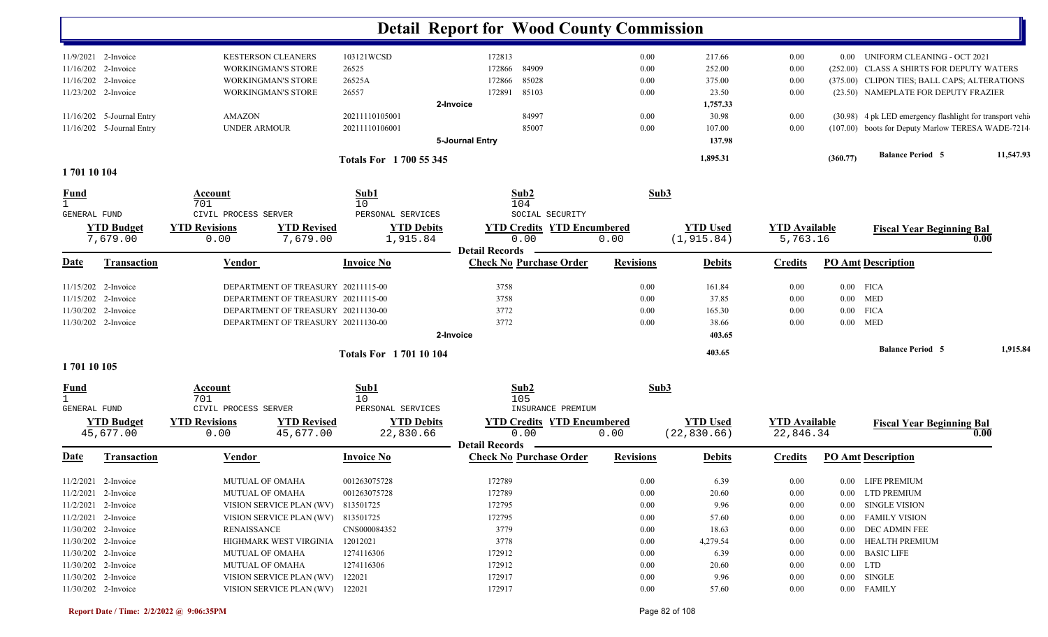|                             |                           |                      |                                    |                               | <b>Detail Report for Wood County Commission</b> |                  |                 |                      |          |                                                           |           |
|-----------------------------|---------------------------|----------------------|------------------------------------|-------------------------------|-------------------------------------------------|------------------|-----------------|----------------------|----------|-----------------------------------------------------------|-----------|
|                             | 11/9/2021 2-Invoice       |                      | <b>KESTERSON CLEANERS</b>          | 103121WCSD                    | 172813                                          | 0.00             | 217.66          | 0.00                 |          | 0.00 UNIFORM CLEANING - OCT 2021                          |           |
|                             | 11/16/202 2-Invoice       |                      | <b>WORKINGMAN'S STORE</b>          | 26525                         | 84909<br>172866                                 | 0.00             | 252.00          | 0.00                 |          | (252.00) CLASS A SHIRTS FOR DEPUTY WATERS                 |           |
|                             | 11/16/202 2-Invoice       |                      | <b>WORKINGMAN'S STORE</b>          | 26525A                        | 85028<br>172866                                 | 0.00             | 375.00          | 0.00                 |          | (375.00) CLIPON TIES; BALL CAPS; ALTERATIONS              |           |
|                             | 11/23/202 2-Invoice       |                      | <b>WORKINGMAN'S STORE</b>          | 26557                         | 85103<br>172891                                 | 0.00             | 23.50           | 0.00                 |          | (23.50) NAMEPLATE FOR DEPUTY FRAZIER                      |           |
|                             |                           |                      |                                    |                               | 2-Invoice                                       |                  | 1,757.33        |                      |          |                                                           |           |
|                             | 11/16/202 5-Journal Entry | AMAZON               |                                    | 20211110105001                | 84997                                           | 0.00             | 30.98           | 0.00                 |          | (30.98) 4 pk LED emergency flashlight for transport vehi- |           |
|                             | 11/16/202 5-Journal Entry | <b>UNDER ARMOUR</b>  |                                    | 20211110106001                | 85007                                           | 0.00             | 107.00          | 0.00                 |          | (107.00) boots for Deputy Marlow TERESA WADE-7214         |           |
|                             |                           |                      |                                    |                               | 5-Journal Entry                                 |                  | 137.98          |                      |          |                                                           |           |
|                             |                           |                      |                                    | <b>Totals For 1700 55 345</b> |                                                 |                  | 1,895.31        |                      | (360.77) | <b>Balance Period 5</b>                                   | 11,547.93 |
| 170110104                   |                           |                      |                                    |                               |                                                 |                  |                 |                      |          |                                                           |           |
| <u>Fund</u><br>$\mathbf{1}$ |                           | Account<br>701       |                                    | Sub1<br>10                    | Sub2<br>104                                     | Sub3             |                 |                      |          |                                                           |           |
| GENERAL FUND                |                           | CIVIL PROCESS SERVER |                                    | PERSONAL SERVICES             | SOCIAL SECURITY                                 |                  |                 |                      |          |                                                           |           |
|                             | <b>YTD Budget</b>         | <b>YTD Revisions</b> | <b>YTD Revised</b>                 | <b>YTD Debits</b>             | <b>YTD Credits YTD Encumbered</b>               |                  | <b>YTD Used</b> | <b>YTD Available</b> |          | <b>Fiscal Year Beginning Bal</b>                          |           |
|                             | 7,679.00                  | 0.00                 | 7,679.00                           | 1,915.84                      | 0.00<br><b>Detail Records</b>                   | 0.00             | (1, 915.84)     | 5,763.16             |          |                                                           | 0.00      |
| Date                        | <b>Transaction</b>        | Vendor               |                                    | <b>Invoice No</b>             | <b>Check No Purchase Order</b>                  | <b>Revisions</b> | <b>Debits</b>   | <b>Credits</b>       |          | <b>PO Amt Description</b>                                 |           |
|                             | 11/15/202 2-Invoice       |                      | DEPARTMENT OF TREASURY 20211115-00 |                               | 3758                                            | 0.00             | 161.84          | 0.00                 |          | $0.00$ FICA                                               |           |
|                             | 11/15/202 2-Invoice       |                      | DEPARTMENT OF TREASURY 20211115-00 |                               | 3758                                            | 0.00             | 37.85           | 0.00                 |          | $0.00$ MED                                                |           |
|                             | 11/30/202 2-Invoice       |                      | DEPARTMENT OF TREASURY 20211130-00 |                               | 3772                                            | 0.00             | 165.30          | 0.00                 |          | $0.00$ FICA                                               |           |
|                             | 11/30/202 2-Invoice       |                      | DEPARTMENT OF TREASURY 20211130-00 |                               | 3772                                            | 0.00             | 38.66           | 0.00                 |          | $0.00$ MED                                                |           |
|                             |                           |                      |                                    |                               | 2-Invoice                                       |                  | 403.65          |                      |          |                                                           |           |
|                             |                           |                      |                                    | <b>Totals For 170110104</b>   |                                                 |                  | 403.65          |                      |          | <b>Balance Period 5</b>                                   | 1,915.84  |
| 170110105                   |                           |                      |                                    |                               |                                                 |                  |                 |                      |          |                                                           |           |
| <u>Fund</u>                 |                           | Account<br>701       |                                    | Sub1<br>10                    | Sub2<br>105                                     | Sub3             |                 |                      |          |                                                           |           |
| <b>GENERAL FUND</b>         |                           | CIVIL PROCESS SERVER |                                    | PERSONAL SERVICES             | INSURANCE PREMIUM                               |                  |                 |                      |          |                                                           |           |
|                             | <b>YTD Budget</b>         | <b>YTD Revisions</b> | <b>YTD Revised</b>                 | <b>YTD Debits</b>             | <b>YTD Credits YTD Encumbered</b>               |                  | <b>YTD Used</b> | <b>YTD</b> Available |          | <b>Fiscal Year Beginning Bal</b>                          |           |
|                             | 45,677.00                 | 0.00                 | 45,677.00                          | 22,830.66                     | 0.00<br><b>Detail Records</b>                   | 0.00             | (22, 830.66)    | 22,846.34            |          |                                                           | 0.00      |
| Date                        | Transaction               | <b>Vendor</b>        |                                    | <b>Invoice No</b>             | <b>Check No Purchase Order</b>                  | <b>Revisions</b> | <b>Debits</b>   | <b>Credits</b>       |          | <b>PO Amt Description</b>                                 |           |
|                             | $11/2/2021$ 2-Invoice     |                      | MUTUAL OF OMAHA                    | 001263075728                  | 172789                                          | 0.00             | 6.39            | 0.00                 |          | 0.00 LIFE PREMIUM                                         |           |
|                             | $11/2/2021$ 2-Invoice     |                      | MUTUAL OF OMAHA                    | 001263075728                  | 172789                                          | 0.00             | 20.60           | 0.00                 |          | 0.00 LTD PREMIUM                                          |           |
|                             | 11/2/2021 2-Invoice       |                      | VISION SERVICE PLAN (WV) 813501725 |                               | 172795                                          | 0.00             | 9.96            | 0.00                 |          | 0.00 SINGLE VISION                                        |           |
|                             | 11/2/2021 2-Invoice       |                      | VISION SERVICE PLAN (WV) 813501725 |                               | 172795                                          | 0.00             | 57.60           | 0.00                 |          | 0.00 FAMILY VISION                                        |           |
|                             | 11/30/202 2-Invoice       | <b>RENAISSANCE</b>   |                                    | CNS000084352                  | 3779                                            | 0.00             | 18.63           | 0.00                 |          | 0.00 DEC ADMIN FEE                                        |           |
|                             | 11/30/202 2-Invoice       |                      | HIGHMARK WEST VIRGINIA             | 12012021                      | 3778                                            | 0.00             | 4,279.54        | $0.00\,$             |          | 0.00 HEALTH PREMIUM                                       |           |
|                             | $11/30/202$ 2-Invoice     |                      | <b>MUTUAL OF OMAHA</b>             | 1274116306                    | 172912                                          | 0.00             | 6.39            | 0.00                 |          | 0.00 BASIC LIFE                                           |           |
|                             | 11/30/202 2-Invoice       |                      | <b>MUTUAL OF OMAHA</b>             | 1274116306                    | 172912                                          | 0.00             | 20.60           | 0.00                 |          | $0.00$ LTD                                                |           |
|                             | 11/30/202 2-Invoice       |                      | VISION SERVICE PLAN (WV) 122021    |                               | 172917                                          | 0.00             | 9.96            | 0.00                 |          | $0.00$ SINGLE                                             |           |
|                             | 11/30/202 2-Invoice       |                      | VISION SERVICE PLAN (WV) 122021    |                               | 172917                                          | 0.00             | 57.60           | $0.00\,$             |          | 0.00 FAMILY                                               |           |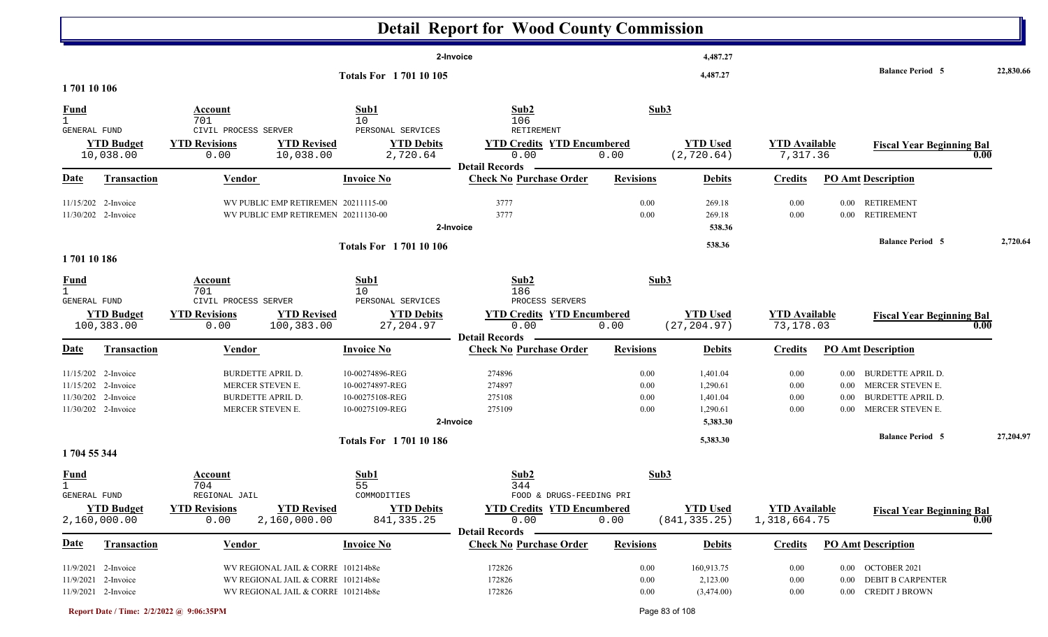|                             |                                |                                                                    |                                        | <b>Detail Report for Wood County Commission</b>      |                  |                                  |                                  |          |                                  |           |
|-----------------------------|--------------------------------|--------------------------------------------------------------------|----------------------------------------|------------------------------------------------------|------------------|----------------------------------|----------------------------------|----------|----------------------------------|-----------|
|                             |                                |                                                                    |                                        | 2-Invoice                                            |                  | 4,487.27                         |                                  |          |                                  |           |
| 170110106                   |                                |                                                                    | <b>Totals For 170110105</b>            |                                                      |                  | 4,487.27                         |                                  |          | <b>Balance Period 5</b>          | 22,830.66 |
|                             |                                |                                                                    |                                        |                                                      |                  |                                  |                                  |          |                                  |           |
| <u>Fund</u><br>$\mathbf{1}$ |                                | Account<br>701                                                     | Sub1<br>10 <sup>°</sup>                | Sub2<br>106                                          | Sub3             |                                  |                                  |          |                                  |           |
| GENERAL FUND                |                                | CIVIL PROCESS SERVER                                               | PERSONAL SERVICES                      | RETIREMENT                                           |                  |                                  |                                  |          |                                  |           |
|                             | <b>YTD Budget</b><br>10,038.00 | <b>YTD Revisions</b><br><b>YTD Revised</b><br>10,038.00<br>0.00    | <b>YTD Debits</b><br>2,720.64          | <b>YTD Credits YTD Encumbered</b><br>0.00            | 0.00             | <b>YTD Used</b><br>(2, 720.64)   | <b>YTD</b> Available<br>7,317.36 |          | <b>Fiscal Year Beginning Bal</b> | 0.00      |
|                             |                                |                                                                    |                                        | <b>Detail Records</b>                                |                  |                                  |                                  |          |                                  |           |
| <u>Date</u>                 | <b>Transaction</b>             | <b>Vendor</b>                                                      | <b>Invoice No</b>                      | <b>Check No Purchase Order</b>                       | <b>Revisions</b> | <b>Debits</b>                    | <b>Credits</b>                   |          | <b>PO Amt Description</b>        |           |
|                             | 11/15/202 2-Invoice            | WV PUBLIC EMP RETIREMEN 20211115-00                                |                                        | 3777                                                 | 0.00             | 269.18                           | 0.00                             | $0.00\,$ | <b>RETIREMENT</b>                |           |
|                             | 11/30/202 2-Invoice            | WV PUBLIC EMP RETIREMEN 20211130-00                                |                                        | 3777                                                 | 0.00             | 269.18                           | 0.00                             | $0.00\,$ | <b>RETIREMENT</b>                |           |
|                             |                                |                                                                    |                                        | 2-Invoice                                            |                  | 538.36                           |                                  |          |                                  |           |
|                             |                                |                                                                    | <b>Totals For 170110106</b>            |                                                      |                  | 538.36                           |                                  |          | <b>Balance Period 5</b>          | 2,720.64  |
| 170110186                   |                                |                                                                    |                                        |                                                      |                  |                                  |                                  |          |                                  |           |
|                             |                                | Account                                                            | Sub1                                   | Sub2                                                 | Sub3             |                                  |                                  |          |                                  |           |
| $\frac{Fund}{1}$            |                                | 701                                                                | 10                                     | 186                                                  |                  |                                  |                                  |          |                                  |           |
| GENERAL FUND                | <b>YTD Budget</b>              | CIVIL PROCESS SERVER<br><b>YTD Revisions</b><br><b>YTD Revised</b> | PERSONAL SERVICES<br><b>YTD Debits</b> | PROCESS SERVERS<br><b>YTD Credits YTD Encumbered</b> |                  | <b>YTD Used</b>                  | <b>YTD Available</b>             |          |                                  |           |
|                             | 100,383.00                     | 100,383.00<br>0.00                                                 | 27, 204.97                             | 0.00                                                 | 0.00             | (27, 204.97)                     | 73,178.03                        |          | <b>Fiscal Year Beginning Bal</b> | 0.00      |
|                             |                                |                                                                    |                                        | <b>Detail Records</b>                                |                  |                                  |                                  |          |                                  |           |
| <u>Date</u>                 | <b>Transaction</b>             | <b>Vendor</b>                                                      | <b>Invoice No</b>                      | <b>Check No Purchase Order</b>                       | <b>Revisions</b> | <b>Debits</b>                    | <b>Credits</b>                   |          | <b>PO Amt Description</b>        |           |
|                             | 11/15/202 2-Invoice            | <b>BURDETTE APRIL D.</b>                                           | 10-00274896-REG                        | 274896                                               | 0.00             | 1,401.04                         | 0.00                             | $0.00\,$ | <b>BURDETTE APRIL D.</b>         |           |
|                             | 11/15/202 2-Invoice            | MERCER STEVEN E.                                                   | 10-00274897-REG                        | 274897                                               | 0.00             | 1,290.61                         | 0.00                             | $0.00\,$ | MERCER STEVEN E.                 |           |
|                             | 11/30/202 2-Invoice            | <b>BURDETTE APRIL D.</b>                                           | 10-00275108-REG                        | 275108                                               | 0.00             | 1,401.04                         | 0.00                             | $0.00\,$ | <b>BURDETTE APRIL D.</b>         |           |
|                             | 11/30/202 2-Invoice            | MERCER STEVEN E.                                                   | 10-00275109-REG                        | 275109                                               | 0.00             | 1,290.61                         | $0.00\,$                         |          | 0.00 MERCER STEVEN E.            |           |
|                             |                                |                                                                    |                                        | 2-Invoice                                            |                  | 5,383.30                         |                                  |          |                                  |           |
|                             |                                |                                                                    | <b>Totals For 170110186</b>            |                                                      |                  | 5,383.30                         |                                  |          | <b>Balance Period 5</b>          | 27,204.97 |
| 1704 55 344                 |                                |                                                                    |                                        |                                                      |                  |                                  |                                  |          |                                  |           |
| <b>Fund</b>                 |                                | Account                                                            | Sub1                                   | Sub <sub>2</sub>                                     | Sub3             |                                  |                                  |          |                                  |           |
|                             |                                | 704                                                                | 55                                     | 344                                                  |                  |                                  |                                  |          |                                  |           |
| GENERAL FUND                |                                | REGIONAL JAIL                                                      | COMMODITIES                            | FOOD & DRUGS-FEEDING PRI                             |                  |                                  |                                  |          |                                  |           |
|                             | <b>YTD Budget</b>              | <b>YTD Revised</b><br><b>YTD Revisions</b>                         | <b>YTD Debits</b>                      | <b>YTD Credits YTD Encumbered</b>                    |                  | <b>YTD Used</b><br>(841, 335.25) | <b>YTD Available</b>             |          | <b>Fiscal Year Beginning Bal</b> | 0.00      |
|                             | 2,160,000.00                   | 0.00<br>2,160,000.00                                               | 841, 335.25                            | 0.00<br><b>Detail Records</b>                        | 0.00             |                                  | 1,318,664.75                     |          |                                  |           |
| <u>Date</u>                 | <b>Transaction</b>             | Vendor                                                             | <b>Invoice No</b>                      | <b>Check No Purchase Order</b>                       | <b>Revisions</b> | <b>Debits</b>                    | <b>Credits</b>                   |          | <b>PO Amt Description</b>        |           |
|                             | 11/9/2021 2-Invoice            | WV REGIONAL JAIL & CORRE 101214b8e                                 |                                        | 172826                                               | 0.00             | 160,913.75                       | 0.00                             |          | 0.00 OCTOBER 2021                |           |
|                             | 11/9/2021 2-Invoice            | WV REGIONAL JAIL & CORRE 101214b8e                                 |                                        | 172826                                               | 0.00             | 2,123.00                         | $0.00\,$                         | $0.00\,$ | <b>DEBIT B CARPENTER</b>         |           |
|                             | 11/9/2021 2-Invoice            | WV REGIONAL JAIL & CORRI 101214b8e                                 |                                        | 172826                                               | $0.00\,$         | (3,474.00)                       | $0.00\,$                         |          | 0.00 CREDIT J BROWN              |           |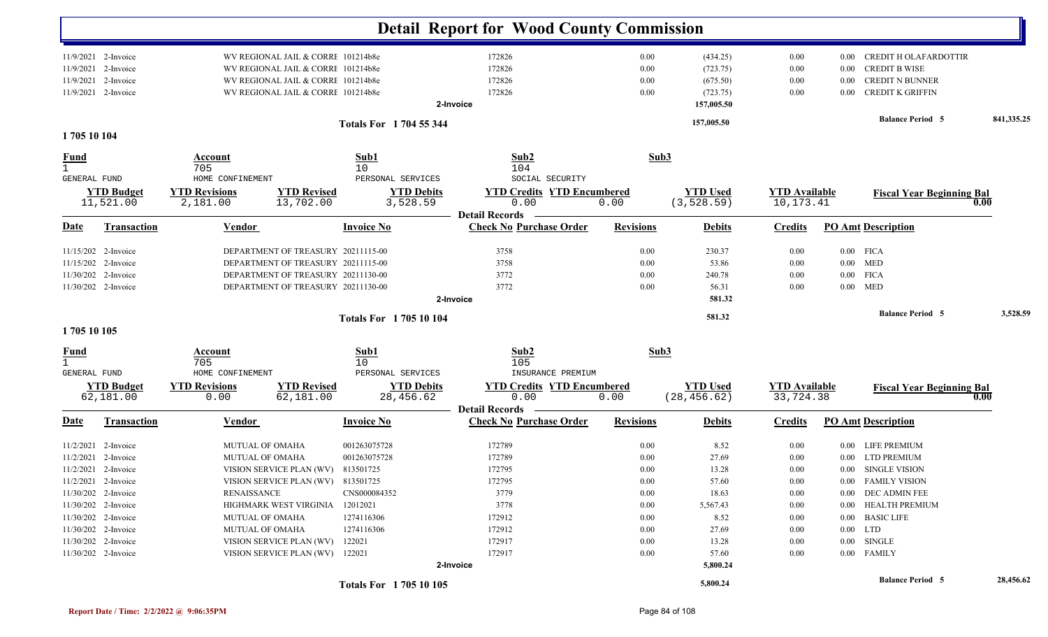|                             |                                |                                  |                                    |                                | <b>Detail Report for Wood County Commission</b>         |                  |                                 |                                   |          |                                  |            |
|-----------------------------|--------------------------------|----------------------------------|------------------------------------|--------------------------------|---------------------------------------------------------|------------------|---------------------------------|-----------------------------------|----------|----------------------------------|------------|
|                             | 11/9/2021 2-Invoice            |                                  | WV REGIONAL JAIL & CORRI 101214b8e |                                | 172826                                                  | 0.00             | (434.25)                        | 0.00                              | 0.00     | <b>CREDIT H OLAFARDOTTIR</b>     |            |
|                             | 11/9/2021 2-Invoice            |                                  | WV REGIONAL JAIL & CORRI 101214b8e |                                | 172826                                                  | 0.00             | (723.75)                        | 0.00                              | 0.00     | <b>CREDIT B WISE</b>             |            |
| 11/9/2021 2-Invoice         |                                |                                  | WV REGIONAL JAIL & CORRI 101214b8e |                                | 172826                                                  | 0.00             | (675.50)                        | 0.00                              | 0.00     | <b>CREDIT N BUNNER</b>           |            |
| 11/9/2021 2-Invoice         |                                |                                  | WV REGIONAL JAIL & CORRE 101214b8e |                                | 172826<br>2-Invoice                                     | 0.00             | (723.75)<br>157,005.50          | 0.00                              | 0.00     | <b>CREDIT K GRIFFIN</b>          |            |
|                             |                                |                                  |                                    | Totals For 1704 55 344         |                                                         |                  | 157,005.50                      |                                   |          | <b>Balance Period 5</b>          | 841,335.25 |
| 1705 10 104                 |                                |                                  |                                    |                                |                                                         |                  |                                 |                                   |          |                                  |            |
| <u>Fund</u><br>$\mathbf{1}$ |                                | Account<br>705                   |                                    | Sub1<br>10                     | Sub2<br>104                                             | Sub3             |                                 |                                   |          |                                  |            |
| <b>GENERAL FUND</b>         |                                | HOME CONFINEMENT                 |                                    | PERSONAL SERVICES              | SOCIAL SECURITY                                         |                  |                                 |                                   |          |                                  |            |
|                             | <b>YTD Budget</b><br>11,521.00 | <b>YTD Revisions</b><br>2,181.00 | <b>YTD Revised</b><br>13,702.00    | <b>YTD Debits</b><br>3,528.59  | <b>YTD Credits YTD Encumbered</b><br>0.00               | 0.00             | <b>YTD Used</b><br>(3, 528.59)  | <b>YTD Available</b><br>10,173.41 |          | <b>Fiscal Year Beginning Bal</b> | 0.00       |
| Date                        | <b>Transaction</b>             | <b>Vendor</b>                    |                                    | <b>Invoice No</b>              | <b>Detail Records</b><br><b>Check No Purchase Order</b> | <b>Revisions</b> | <b>Debits</b>                   | <b>Credits</b>                    |          | <b>PO Amt Description</b>        |            |
|                             |                                |                                  |                                    |                                |                                                         |                  |                                 |                                   |          |                                  |            |
| 11/15/202 2-Invoice         |                                |                                  | DEPARTMENT OF TREASURY 20211115-00 |                                | 3758                                                    | 0.00             | 230.37                          | 0.00                              |          | $0.00$ FICA                      |            |
| 11/15/202 2-Invoice         |                                |                                  | DEPARTMENT OF TREASURY 20211115-00 |                                | 3758                                                    | 0.00             | 53.86                           | 0.00                              |          | $0.00$ MED                       |            |
| 11/30/202 2-Invoice         |                                |                                  | DEPARTMENT OF TREASURY 20211130-00 |                                | 3772                                                    | 0.00             | 240.78                          | 0.00                              | $0.00\,$ | <b>FICA</b>                      |            |
| 11/30/202 2-Invoice         |                                |                                  | DEPARTMENT OF TREASURY 20211130-00 |                                | 3772                                                    | 0.00             | 56.31                           | 0.00                              | $0.00\,$ | <b>MED</b>                       |            |
|                             |                                |                                  |                                    |                                | 2-Invoice                                               |                  | 581.32                          |                                   |          |                                  |            |
| 1705 10 105                 |                                |                                  |                                    | <b>Totals For 170510104</b>    |                                                         |                  | 581.32                          |                                   |          | <b>Balance Period 5</b>          | 3,528.59   |
| $\frac{Fund}{1}$            |                                | <b>Account</b>                   |                                    | Sub1                           | Sub2                                                    | Sub3             |                                 |                                   |          |                                  |            |
| <b>GENERAL FUND</b>         |                                | 705<br>HOME CONFINEMENT          |                                    | 10<br>PERSONAL SERVICES        | 105<br>INSURANCE PREMIUM                                |                  |                                 |                                   |          |                                  |            |
|                             | <b>YTD Budget</b><br>62,181.00 | <b>YTD Revisions</b><br>0.00     | <b>YTD Revised</b><br>62,181.00    | <b>YTD Debits</b><br>28,456.62 | <b>YTD Credits YTD Encumbered</b><br>0.00               | 0.00             | <b>YTD Used</b><br>(28, 456.62) | <b>YTD Available</b><br>33,724.38 |          | <b>Fiscal Year Beginning Bal</b> | 0.00       |
| Date                        | <b>Transaction</b>             |                                  |                                    |                                | <b>Detail Records</b><br><b>Check No Purchase Order</b> | <b>Revisions</b> |                                 |                                   |          | <b>PO Amt Description</b>        |            |
|                             |                                | <b>Vendor</b>                    |                                    | <b>Invoice No</b>              |                                                         |                  | <b>Debits</b>                   | <b>Credits</b>                    |          |                                  |            |
|                             | $11/2/2021$ 2-Invoice          | <b>MUTUAL OF OMAHA</b>           |                                    | 001263075728                   | 172789                                                  | 0.00             | 8.52                            | $0.00\,$                          |          | 0.00 LIFE PREMIUM                |            |
|                             | 11/2/2021 2-Invoice            | MUTUAL OF OMAHA                  |                                    | 001263075728                   | 172789                                                  | 0.00             | 27.69                           | 0.00                              | $0.00\,$ | <b>LTD PREMIUM</b>               |            |
| 11/2/2021 2-Invoice         |                                |                                  | VISION SERVICE PLAN (WV) 813501725 |                                | 172795                                                  | 0.00             | 13.28                           | 0.00                              |          | 0.00 SINGLE VISION               |            |
| 11/2/2021 2-Invoice         |                                |                                  | VISION SERVICE PLAN (WV) 813501725 |                                | 172795                                                  | $0.00\,$         | 57.60                           | $0.00\,$                          |          | 0.00 FAMILY VISION               |            |
| 11/30/202 2-Invoice         |                                | <b>RENAISSANCE</b>               |                                    | CNS000084352                   | 3779                                                    | 0.00             | 18.63                           | $0.00\,$                          |          | 0.00 DEC ADMIN FEE               |            |
| 11/30/202 2-Invoice         |                                |                                  | HIGHMARK WEST VIRGINIA             | 12012021                       | 3778                                                    | 0.00             | 5,567.43                        | 0.00                              |          | 0.00 HEALTH PREMIUM              |            |
| 11/30/202 2-Invoice         |                                | <b>MUTUAL OF OMAHA</b>           |                                    | 1274116306                     | 172912                                                  | 0.00             | 8.52                            | 0.00                              |          | 0.00 BASIC LIFE                  |            |
| 11/30/202 2-Invoice         |                                | <b>MUTUAL OF OMAHA</b>           |                                    | 1274116306                     | 172912                                                  | 0.00             | 27.69                           | $0.00\,$                          |          | $0.00$ LTD                       |            |
| 11/30/202 2-Invoice         |                                |                                  | VISION SERVICE PLAN (WV)           | 122021                         | 172917                                                  | $0.00\,$         | 13.28                           | 0.00                              |          | $0.00$ SINGLE                    |            |
| 11/30/202 2-Invoice         |                                |                                  | VISION SERVICE PLAN (WV) 122021    |                                | 172917<br>2-Invoice                                     | 0.00             | 57.60<br>5,800.24               | 0.00                              |          | 0.00 FAMILY                      |            |
|                             |                                |                                  |                                    | Totals For 1705 10 105         |                                                         |                  | 5,800.24                        |                                   |          | <b>Balance Period 5</b>          | 28,456.62  |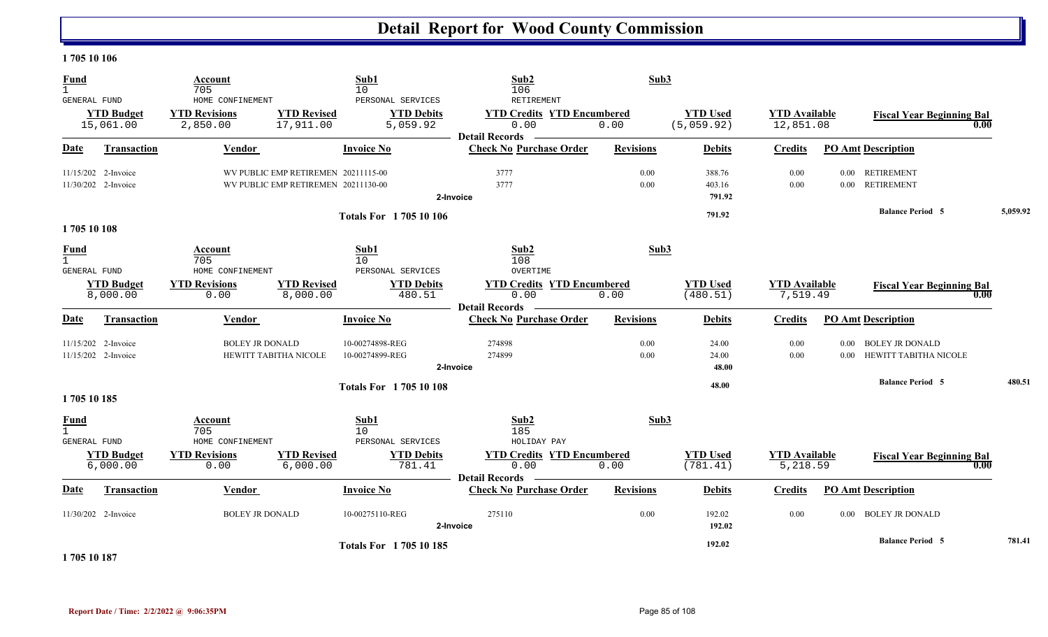#### **1 705 10 106**

| <b>Fund</b><br>$\mathbf{1}$                        |                                            | Account<br>705                                       |                                                                            | Sub1<br>10                                         | Sub2<br>106                                                                      | Sub3             |                               |                                   |                      |                                                 |          |
|----------------------------------------------------|--------------------------------------------|------------------------------------------------------|----------------------------------------------------------------------------|----------------------------------------------------|----------------------------------------------------------------------------------|------------------|-------------------------------|-----------------------------------|----------------------|-------------------------------------------------|----------|
| <b>GENERAL FUND</b>                                | <b>YTD Budget</b><br>15,061.00             | HOME CONFINEMENT<br><b>YTD Revisions</b><br>2,850.00 | <b>YTD Revised</b><br>17,911.00                                            | PERSONAL SERVICES<br><b>YTD Debits</b><br>5,059.92 | RETIREMENT<br><b>YTD Credits YTD Encumbered</b><br>0.00<br><b>Detail Records</b> | 0.00             | <b>YTD Used</b><br>(5,059.92) | <b>YTD Available</b><br>12,851.08 |                      | <b>Fiscal Year Beginning Bal</b><br>0.00        |          |
| Date                                               | <b>Transaction</b>                         | Vendor                                               |                                                                            | <b>Invoice No</b>                                  | <b>Check No Purchase Order</b>                                                   | <b>Revisions</b> | <b>Debits</b>                 | <b>Credits</b>                    |                      | <b>PO Amt Description</b>                       |          |
|                                                    | 11/15/202 2-Invoice<br>11/30/202 2-Invoice |                                                      | WV PUBLIC EMP RETIREMEN 20211115-00<br>WV PUBLIC EMP RETIREMEN 20211130-00 |                                                    | 3777<br>3777<br>2-Invoice                                                        | 0.00<br>0.00     | 388.76<br>403.16<br>791.92    | 0.00<br>0.00                      | $0.00\,$<br>0.00     | <b>RETIREMENT</b><br><b>RETIREMENT</b>          |          |
| 1705 10 108                                        |                                            |                                                      |                                                                            | <b>Totals For 170510106</b>                        |                                                                                  |                  | 791.92                        |                                   |                      | <b>Balance Period 5</b>                         | 5,059.92 |
| <b>Fund</b><br>$\mathbf{1}$<br><b>GENERAL FUND</b> |                                            | Account<br>705<br>HOME CONFINEMENT                   |                                                                            | Sub1<br>10<br>PERSONAL SERVICES                    | Sub2<br>108<br>OVERTIME                                                          | Sub3             |                               |                                   |                      |                                                 |          |
|                                                    | <b>YTD Budget</b><br>8,000.00              | <b>YTD Revisions</b><br>0.00                         | <b>YTD Revised</b><br>8,000.00                                             | <b>YTD Debits</b><br>480.51                        | <b>YTD Credits YTD Encumbered</b><br>0.00<br><b>Detail Records</b>               | 0.00             | <b>YTD Used</b><br>(480.51)   | <b>YTD Available</b><br>7,519.49  |                      | <b>Fiscal Year Beginning Bal</b><br>0.00        |          |
| <u>Date</u>                                        | Transaction                                | <b>Vendor</b>                                        |                                                                            | <b>Invoice No</b>                                  | <b>Check No Purchase Order</b>                                                   | <b>Revisions</b> | <b>Debits</b>                 | <b>Credits</b>                    |                      | <b>PO Amt Description</b>                       |          |
|                                                    | 11/15/202 2-Invoice<br>11/15/202 2-Invoice | <b>BOLEY JR DONALD</b>                               | HEWITT TABITHA NICOLE                                                      | 10-00274898-REG<br>10-00274899-REG                 | 274898<br>274899<br>2-Invoice                                                    | 0.00<br>0.00     | 24.00<br>24.00<br>48.00       | 0.00<br>0.00                      | $0.00\,$<br>$0.00\,$ | <b>BOLEY JR DONALD</b><br>HEWITT TABITHA NICOLE |          |
|                                                    |                                            |                                                      |                                                                            | <b>Totals For 170510108</b>                        |                                                                                  |                  | 48.00                         |                                   |                      | <b>Balance Period 5</b>                         | 480.51   |
| 1705 10 185                                        |                                            |                                                      |                                                                            |                                                    |                                                                                  |                  |                               |                                   |                      |                                                 |          |
| <u>Fund</u><br>$\mathbf{1}$<br><b>GENERAL FUND</b> |                                            | Account<br>705<br>HOME CONFINEMENT                   |                                                                            | Sub1<br>10<br>PERSONAL SERVICES                    | Sub2<br>185<br>HOLIDAY PAY                                                       | Sub3             |                               |                                   |                      |                                                 |          |
|                                                    | <b>YTD Budget</b><br>6,000.00              | <b>YTD Revisions</b><br>0.00                         | <b>YTD Revised</b><br>6,000.00                                             | <b>YTD Debits</b><br>781.41                        | <b>YTD Credits YTD Encumbered</b><br>0.00<br><b>Detail Records</b>               | 0.00             | <b>YTD Used</b><br>(781.41)   | <b>YTD Available</b><br>5,218.59  |                      | <b>Fiscal Year Beginning Bal</b><br>0.00        |          |
| <b>Date</b>                                        | <b>Transaction</b>                         | Vendor                                               |                                                                            | <b>Invoice No</b>                                  | <b>Check No Purchase Order</b>                                                   | <b>Revisions</b> | <b>Debits</b>                 | <b>Credits</b>                    |                      | <b>PO Amt Description</b>                       |          |
|                                                    | 11/30/202 2-Invoice                        | <b>BOLEY JR DONALD</b>                               |                                                                            | 10-00275110-REG                                    | 275110<br>2-Invoice                                                              | 0.00             | 192.02<br>192.02              | 0.00                              |                      | 0.00 BOLEY JR DONALD                            |          |
|                                                    |                                            |                                                      |                                                                            | <b>Totals For 170510185</b>                        |                                                                                  |                  | 192.02                        |                                   |                      | <b>Balance Period 5</b>                         | 781.41   |

**1 705 10 187**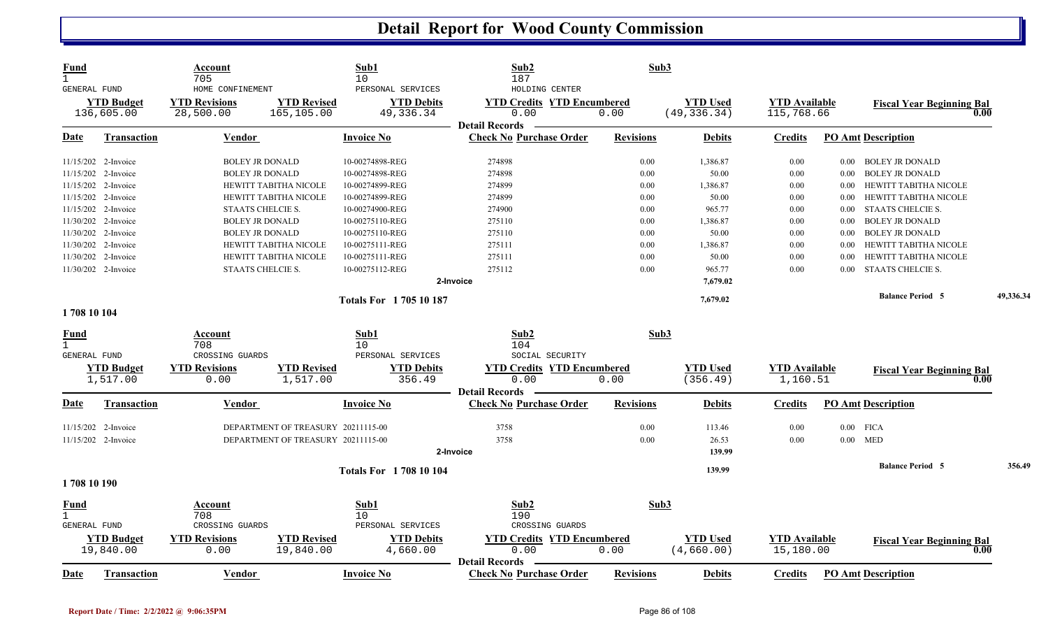| <b>Fund</b><br>$\mathbf{1}$ | <b>GENERAL FUND</b>             | Account<br>705<br>HOME CONFINEMENT |                                    | Sub1<br>10<br>PERSONAL SERVICES  | Sub2<br>187<br>HOLDING CENTER                                      | Sub3             |                                 |                                    |          |                                          |           |
|-----------------------------|---------------------------------|------------------------------------|------------------------------------|----------------------------------|--------------------------------------------------------------------|------------------|---------------------------------|------------------------------------|----------|------------------------------------------|-----------|
|                             | <b>YTD Budget</b><br>136,605.00 | <b>YTD Revisions</b><br>28,500.00  | <b>YTD Revised</b><br>165,105.00   | <b>YTD Debits</b><br>49, 336. 34 | <b>YTD Credits YTD Encumbered</b><br>0.00<br><b>Detail Records</b> | 0.00             | <b>YTD Used</b><br>(49, 336.34) | <b>YTD Available</b><br>115,768.66 |          | <b>Fiscal Year Beginning Bal</b><br>0.00 |           |
| <u>Date</u>                 | <b>Transaction</b>              | <b>Vendor</b>                      |                                    | <b>Invoice No</b>                | <b>Check No Purchase Order</b>                                     | <b>Revisions</b> | <b>Debits</b>                   | <b>Credits</b>                     |          | <b>PO Amt Description</b>                |           |
|                             | 11/15/202 2-Invoice             | <b>BOLEY JR DONALD</b>             |                                    | 10-00274898-REG                  | 274898                                                             | 0.00             | 1,386.87                        | 0.00                               |          | 0.00 BOLEY JR DONALD                     |           |
|                             | 11/15/202 2-Invoice             | <b>BOLEY JR DONALD</b>             |                                    | 10-00274898-REG                  | 274898                                                             | 0.00             | 50.00                           | 0.00                               | 0.00     | <b>BOLEY JR DONALD</b>                   |           |
|                             | 11/15/202 2-Invoice             |                                    | HEWITT TABITHA NICOLE              | 10-00274899-REG                  | 274899                                                             | 0.00             | 1,386.87                        | 0.00                               | 0.00     | HEWITT TABITHA NICOLE                    |           |
|                             | 11/15/202 2-Invoice             |                                    | HEWITT TABITHA NICOLE              | 10-00274899-REG                  | 274899                                                             | 0.00             | 50.00                           | 0.00                               | $0.00\,$ | HEWITT TABITHA NICOLE                    |           |
|                             | 11/15/202 2-Invoice             | STAATS CHELCIE S.                  |                                    | 10-00274900-REG                  | 274900                                                             | 0.00             | 965.77                          | 0.00                               | 0.00     | <b>STAATS CHELCIE S.</b>                 |           |
|                             | 11/30/202 2-Invoice             | <b>BOLEY JR DONALD</b>             |                                    | 10-00275110-REG                  | 275110                                                             | 0.00             | 1,386.87                        | 0.00                               | 0.00     | <b>BOLEY JR DONALD</b>                   |           |
|                             | 11/30/202 2-Invoice             | <b>BOLEY JR DONALD</b>             |                                    | 10-00275110-REG                  | 275110                                                             | 0.00             | 50.00                           | 0.00                               | 0.00     | <b>BOLEY JR DONALD</b>                   |           |
|                             | 11/30/202 2-Invoice             |                                    | HEWITT TABITHA NICOLE              | 10-00275111-REG                  | 275111                                                             | 0.00             | 1,386.87                        | 0.00                               | 0.00     | HEWITT TABITHA NICOLE                    |           |
|                             | 11/30/202 2-Invoice             |                                    | HEWITT TABITHA NICOLE              | 10-00275111-REG                  | 275111                                                             | 0.00             | 50.00                           | 0.00                               | 0.00     | HEWITT TABITHA NICOLE                    |           |
|                             | 11/30/202 2-Invoice             | STAATS CHELCIE S.                  |                                    | 10-00275112-REG                  | 275112                                                             | 0.00             | 965.77                          | 0.00                               | 0.00     | <b>STAATS CHELCIE S.</b>                 |           |
|                             |                                 |                                    |                                    |                                  | 2-Invoice                                                          |                  | 7,679.02                        |                                    |          |                                          |           |
|                             |                                 |                                    |                                    | <b>Totals For 170510187</b>      |                                                                    |                  | 7,679.02                        |                                    |          | <b>Balance Period 5</b>                  | 49,336.34 |
| 1708 10 104                 |                                 |                                    |                                    |                                  |                                                                    |                  |                                 |                                    |          |                                          |           |
| <b>Fund</b>                 |                                 | Account                            |                                    | Sub1                             | Sub2                                                               | Sub3             |                                 |                                    |          |                                          |           |
| $\mathbf{1}$                | GENERAL FUND                    | 708<br>CROSSING GUARDS             |                                    | 10<br>PERSONAL SERVICES          | 104<br>SOCIAL SECURITY                                             |                  |                                 |                                    |          |                                          |           |
|                             | <b>YTD Budget</b>               | <b>YTD Revisions</b>               | <b>YTD Revised</b>                 | <b>YTD Debits</b>                | <b>YTD Credits YTD Encumbered</b>                                  |                  | <b>YTD Used</b>                 | <b>YTD Available</b>               |          | <b>Fiscal Year Beginning Bal</b>         |           |
|                             | 1,517.00                        | 0.00                               | 1,517.00                           | 356.49                           | 0.00                                                               | 0.00             | (356.49)                        | 1,160.51                           |          | 0.00                                     |           |
|                             |                                 |                                    |                                    |                                  | <b>Detail Records</b>                                              |                  |                                 |                                    |          |                                          |           |
| <b>Date</b>                 | <b>Transaction</b>              | Vendor                             |                                    | <b>Invoice No</b>                | <b>Check No Purchase Order</b>                                     | <b>Revisions</b> | <b>Debits</b>                   | <b>Credits</b>                     |          | <b>PO Amt Description</b>                |           |
|                             | 11/15/202 2-Invoice             |                                    | DEPARTMENT OF TREASURY 20211115-00 |                                  | 3758                                                               | 0.00             | 113.46                          | 0.00                               |          | $0.00$ FICA                              |           |
|                             | 11/15/202 2-Invoice             |                                    | DEPARTMENT OF TREASURY 20211115-00 |                                  | 3758                                                               | 0.00             | 26.53                           | 0.00                               | 0.00     | MED                                      |           |
|                             |                                 |                                    |                                    |                                  | 2-Invoice                                                          |                  | 139.99                          |                                    |          |                                          |           |
|                             |                                 |                                    |                                    | <b>Totals For 1708 10 104</b>    |                                                                    |                  | 139.99                          |                                    |          | <b>Balance Period 5</b>                  | 356.49    |
| 1708 10 190                 |                                 |                                    |                                    |                                  |                                                                    |                  |                                 |                                    |          |                                          |           |
| <b>Fund</b>                 |                                 | Account                            |                                    | Sub1                             | Sub <sub>2</sub>                                                   | Sub3             |                                 |                                    |          |                                          |           |
| $\mathbf{1}$                |                                 | 708                                |                                    | 10                               | 190                                                                |                  |                                 |                                    |          |                                          |           |
|                             | GENERAL FUND                    | CROSSING GUARDS                    |                                    | PERSONAL SERVICES                | CROSSING GUARDS                                                    |                  |                                 |                                    |          |                                          |           |
|                             | <b>YTD Budget</b><br>19,840.00  | <b>YTD Revisions</b><br>0.00       | <b>YTD Revised</b><br>19,840.00    | <b>YTD Debits</b><br>4,660.00    | <b>YTD Credits YTD Encumbered</b><br>0.00                          | 0.00             | <b>YTD Used</b><br>(4,660.00)   | <b>YTD Available</b><br>15,180.00  |          | <b>Fiscal Year Beginning Bal</b><br>0.00 |           |
|                             |                                 |                                    |                                    |                                  | <b>Detail Records</b>                                              |                  |                                 |                                    |          |                                          |           |
| <u>Date</u>                 | <b>Transaction</b>              | Vendor                             |                                    | <b>Invoice No</b>                | <b>Check No Purchase Order</b>                                     | <b>Revisions</b> | <b>Debits</b>                   | <b>Credits</b>                     |          | <b>PO Amt Description</b>                |           |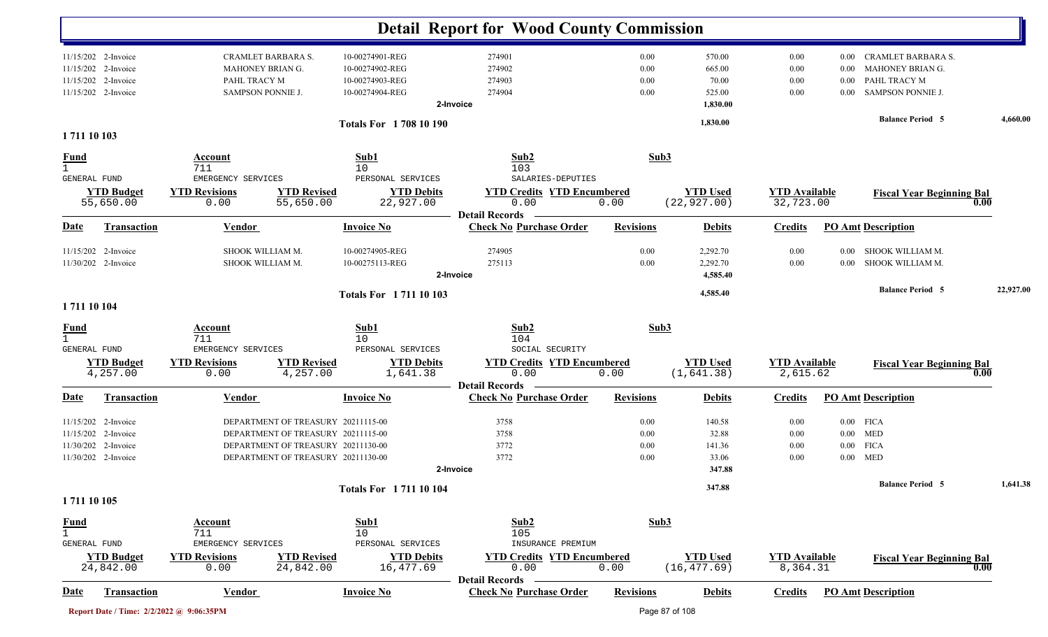|                                                                                |                        |                                                                                    |                                                                                                                                                      |                                                                          | <b>Detail Report for Wood County Commission</b>                    |                                  |                                                 |                                   |                                  |                                                                                    |           |
|--------------------------------------------------------------------------------|------------------------|------------------------------------------------------------------------------------|------------------------------------------------------------------------------------------------------------------------------------------------------|--------------------------------------------------------------------------|--------------------------------------------------------------------|----------------------------------|-------------------------------------------------|-----------------------------------|----------------------------------|------------------------------------------------------------------------------------|-----------|
| 11/15/202 2-Invoice<br>11/15/202<br>11/15/202<br>11/15/202 2-Invoice           | 2-Invoice<br>2-Invoice | CRAMLET BARBARA S.<br>MAHONEY BRIAN G.<br>PAHL TRACY M<br><b>SAMPSON PONNIE J.</b> |                                                                                                                                                      | 10-00274901-REG<br>10-00274902-REG<br>10-00274903-REG<br>10-00274904-REG | 274901<br>274902<br>274903<br>274904<br>2-Invoice                  | 0.00<br>0.00<br>0.00<br>0.00     | 570.00<br>665.00<br>70.00<br>525.00<br>1,830.00 | 0.00<br>0.00<br>0.00<br>0.00      | $0.00\,$<br>0.00<br>0.00<br>0.00 | CRAMLET BARBARA S.<br>MAHONEY BRIAN G.<br>PAHL TRACY M<br><b>SAMPSON PONNIE J.</b> |           |
| 1711 10 103                                                                    |                        |                                                                                    |                                                                                                                                                      | <b>Totals For 1708 10 190</b>                                            |                                                                    |                                  | 1,830.00                                        |                                   |                                  | <b>Balance Period 5</b>                                                            | 4,660.00  |
| <b>Fund</b><br><b>GENERAL FUND</b>                                             |                        | Account<br>711<br>EMERGENCY SERVICES                                               |                                                                                                                                                      | Sub1<br>10<br>PERSONAL SERVICES                                          | Sub2<br>103<br>SALARIES-DEPUTIES                                   | Sub3                             |                                                 |                                   |                                  |                                                                                    |           |
| 55,650.00                                                                      | <b>YTD Budget</b>      | <b>YTD Revisions</b><br>0.00                                                       | <b>YTD Revised</b><br>55,650.00                                                                                                                      | <b>YTD Debits</b><br>22,927.00                                           | <b>YTD Credits YTD Encumbered</b><br>0.00                          | 0.00                             | <b>YTD Used</b><br>(22, 927.00)                 | <b>YTD Available</b><br>32,723.00 |                                  | <b>Fiscal Year Beginning Bal</b>                                                   | 0.00      |
| Date                                                                           | <b>Transaction</b>     | <b>Vendor</b>                                                                      |                                                                                                                                                      | <b>Invoice No</b>                                                        | <b>Detail Records</b><br><b>Check No Purchase Order</b>            | <b>Revisions</b>                 | <b>Debits</b>                                   | <b>Credits</b>                    |                                  | <b>PO Amt Description</b>                                                          |           |
| 11/15/202 2-Invoice<br>11/30/202 2-Invoice                                     |                        | SHOOK WILLIAM M.<br>SHOOK WILLIAM M.                                               |                                                                                                                                                      | 10-00274905-REG<br>10-00275113-REG                                       | 274905<br>275113<br>2-Invoice                                      | 0.00<br>0.00                     | 2,292.70<br>2,292.70<br>4,585.40                | 0.00<br>0.00                      | 0.00<br>0.00                     | SHOOK WILLIAM M.<br>SHOOK WILLIAM M.                                               |           |
| 1711 10 104                                                                    |                        |                                                                                    |                                                                                                                                                      | <b>Totals For 171110103</b>                                              |                                                                    |                                  | 4,585.40                                        |                                   |                                  | <b>Balance Period 5</b>                                                            | 22,927.00 |
| <u>Fund</u><br>$\mathbf{1}$                                                    |                        | Account<br>711                                                                     |                                                                                                                                                      | Sub1<br>10                                                               | Sub2<br>104                                                        | Sub3                             |                                                 |                                   |                                  |                                                                                    |           |
| GENERAL FUND<br>4,257.00                                                       | <b>YTD Budget</b>      | EMERGENCY SERVICES<br><b>YTD Revisions</b><br>0.00                                 | <b>YTD Revised</b><br>4,257.00                                                                                                                       | PERSONAL SERVICES<br><b>YTD Debits</b><br>1,641.38                       | SOCIAL SECURITY<br><b>YTD Credits YTD Encumbered</b><br>0.00       | 0.00                             | <b>YTD Used</b><br>(1,641.38)                   | <b>YTD Available</b><br>2,615.62  |                                  | <b>Fiscal Year Beginning Bal</b>                                                   | 0.00      |
| <u>Date</u>                                                                    | <b>Transaction</b>     | Vendor                                                                             |                                                                                                                                                      | <b>Invoice No</b>                                                        | <b>Detail Records</b><br><b>Check No Purchase Order</b>            | <b>Revisions</b>                 | <b>Debits</b>                                   | <b>Credits</b>                    |                                  | <b>PO Amt Description</b>                                                          |           |
| 11/15/202 2-Invoice<br>11/15/202<br>11/30/202 2-Invoice<br>11/30/202 2-Invoice | 2-Invoice              |                                                                                    | DEPARTMENT OF TREASURY 20211115-00<br>DEPARTMENT OF TREASURY 20211115-00<br>DEPARTMENT OF TREASURY 20211130-00<br>DEPARTMENT OF TREASURY 20211130-00 |                                                                          | 3758<br>3758<br>3772<br>3772<br>2-Invoice                          | 0.00<br>0.00<br>$0.00\,$<br>0.00 | 140.58<br>32.88<br>141.36<br>33.06<br>347.88    | 0.00<br>0.00<br>0.00<br>0.00      | $0.00\,$                         | $0.00$ FICA<br>$0.00$ MED<br><b>FICA</b><br>$0.00$ MED                             |           |
| 1711 10 105                                                                    |                        |                                                                                    |                                                                                                                                                      | <b>Totals For 171110104</b>                                              |                                                                    |                                  | 347.88                                          |                                   |                                  | <b>Balance Period 5</b>                                                            | 1,641.38  |
| <b>Fund</b><br>$\mathbf{1}$<br>GENERAL FUND                                    |                        | <b>Account</b><br>711<br>EMERGENCY SERVICES                                        |                                                                                                                                                      | Sub1<br>10<br>PERSONAL SERVICES                                          | Sub2<br>105<br>INSURANCE PREMIUM                                   | Sub3                             |                                                 |                                   |                                  |                                                                                    |           |
| 24,842.00                                                                      | <b>YTD Budget</b>      | <b>YTD Revisions</b><br>0.00                                                       | <b>YTD Revised</b><br>24,842.00                                                                                                                      | <b>YTD Debits</b><br>16,477.69                                           | <b>YTD Credits YTD Encumbered</b><br>0.00<br><b>Detail Records</b> | 0.00                             | <b>YTD Used</b><br>(16, 477.69)                 | <b>YTD Available</b><br>8,364.31  |                                  | <b>Fiscal Year Beginning Bal</b>                                                   | 0.00      |
| Date                                                                           | <b>Transaction</b>     | <b>Vendor</b>                                                                      |                                                                                                                                                      | <b>Invoice No</b>                                                        | <b>Check No Purchase Order</b>                                     | <b>Revisions</b>                 | <b>Debits</b>                                   | <b>Credits</b>                    |                                  | <b>PO Amt Description</b>                                                          |           |
|                                                                                |                        | Report Date / Time: 2/2/2022 @ 9:06:35PM                                           |                                                                                                                                                      |                                                                          |                                                                    |                                  | Page 87 of 108                                  |                                   |                                  |                                                                                    |           |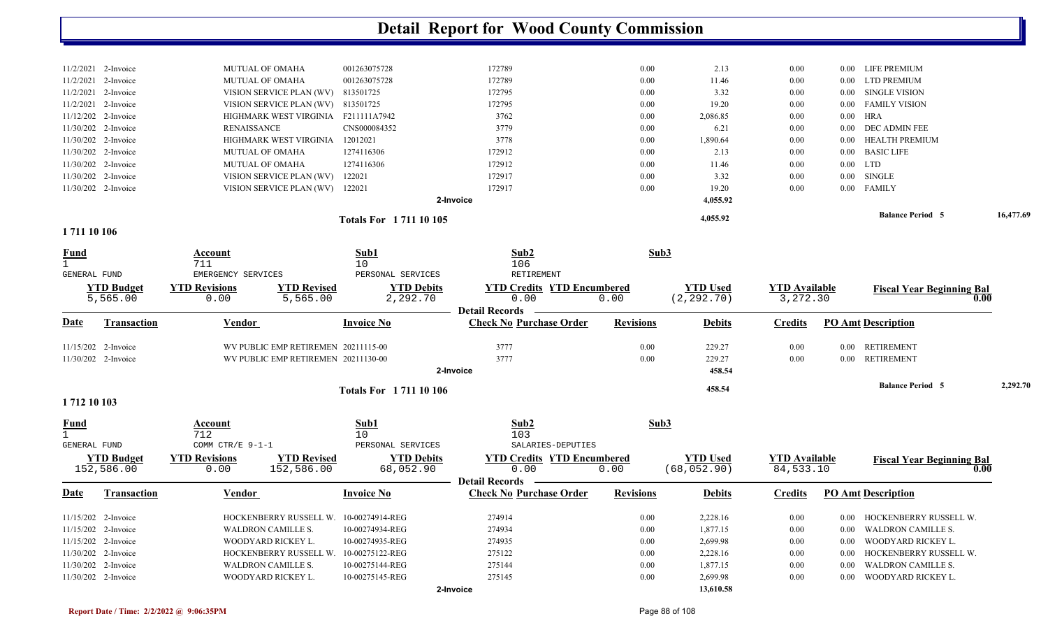|                     |                       |                      |                                     |                             | <b>Detail Report for Wood County Commission</b>         |                  |                 |                      |          |                                  |           |
|---------------------|-----------------------|----------------------|-------------------------------------|-----------------------------|---------------------------------------------------------|------------------|-----------------|----------------------|----------|----------------------------------|-----------|
|                     |                       |                      |                                     |                             |                                                         |                  |                 |                      |          |                                  |           |
|                     | 11/2/2021 2-Invoice   |                      | MUTUAL OF OMAHA                     | 001263075728                | 172789                                                  | 0.00             | 2.13            | 0.00                 | $0.00\,$ | LIFE PREMIUM                     |           |
|                     | 11/2/2021 2-Invoice   |                      | MUTUAL OF OMAHA                     | 001263075728                | 172789                                                  | 0.00             | 11.46           | 0.00                 | 0.00     | <b>LTD PREMIUM</b>               |           |
|                     | 11/2/2021 2-Invoice   |                      | VISION SERVICE PLAN (WV)            | 813501725                   | 172795                                                  | 0.00             | 3.32            | 0.00                 | $0.00\,$ | <b>SINGLE VISION</b>             |           |
|                     | 11/2/2021 2-Invoice   |                      | VISION SERVICE PLAN (WV) 813501725  |                             | 172795                                                  | 0.00             | 19.20           | 0.00                 | $0.00\,$ | <b>FAMILY VISION</b>             |           |
|                     | 11/12/202 2-Invoice   |                      | HIGHMARK WEST VIRGINIA F211111A7942 |                             | 3762                                                    | 0.00             | 2,086.85        | 0.00                 | $0.00\,$ | HRA                              |           |
|                     | 11/30/202 2-Invoice   | <b>RENAISSANCE</b>   |                                     | CNS000084352                | 3779                                                    | 0.00             | 6.21            | 0.00                 | 0.00     | DEC ADMIN FEE                    |           |
|                     | 11/30/202 2-Invoice   |                      | HIGHMARK WEST VIRGINIA              | 12012021                    | 3778                                                    | 0.00             | 1,890.64        | 0.00                 | 0.00     | HEALTH PREMIUM                   |           |
|                     | 11/30/202 2-Invoice   |                      | MUTUAL OF OMAHA                     | 1274116306                  | 172912                                                  | 0.00             | 2.13            | 0.00                 | 0.00     | <b>BASIC LIFE</b>                |           |
|                     | 11/30/202 2-Invoice   |                      | <b>MUTUAL OF OMAHA</b>              | 1274116306                  | 172912                                                  | 0.00             | 11.46           | 0.00                 | $0.00\,$ | LTD                              |           |
|                     | 11/30/202 2-Invoice   |                      | VISION SERVICE PLAN (WV)            | 122021                      | 172917                                                  | 0.00             | 3.32            | 0.00                 | $0.00\,$ | <b>SINGLE</b>                    |           |
|                     | 11/30/202 2-Invoice   |                      | VISION SERVICE PLAN (WV) 122021     |                             | 172917                                                  | 0.00             | 19.20           | 0.00                 | $0.00\,$ | <b>FAMILY</b>                    |           |
|                     |                       |                      |                                     |                             | 2-Invoice                                               |                  | 4,055.92        |                      |          |                                  |           |
|                     |                       |                      |                                     | <b>Totals For 171110105</b> |                                                         |                  | 4,055.92        |                      |          | <b>Balance Period 5</b>          | 16,477.69 |
| 1711 10 106         |                       |                      |                                     |                             |                                                         |                  |                 |                      |          |                                  |           |
| <u>Fund</u>         |                       | Account              |                                     | Sub1                        | Sub2                                                    | Sub3             |                 |                      |          |                                  |           |
| $\mathbf{1}$        |                       | 711                  |                                     | 10                          | 106                                                     |                  |                 |                      |          |                                  |           |
| GENERAL FUND        |                       | EMERGENCY SERVICES   |                                     | PERSONAL SERVICES           | RETIREMENT                                              |                  |                 |                      |          |                                  |           |
|                     | <b>YTD Budget</b>     | <b>YTD Revisions</b> | <b>YTD Revised</b>                  | <b>YTD Debits</b>           | <b>YTD Credits YTD Encumbered</b>                       |                  | <b>YTD Used</b> | <b>YTD Available</b> |          | <b>Fiscal Year Beginning Bal</b> |           |
|                     | 5,565.00              | 0.00                 | 5,565.00                            | 2,292.70                    | 0.00                                                    | 0.00             | (2, 292.70)     | 3,272.30             |          |                                  |           |
| <u>Date</u>         | <b>Transaction</b>    | <b>Vendor</b>        |                                     | <b>Invoice No</b>           | <b>Detail Records</b><br><b>Check No Purchase Order</b> | <b>Revisions</b> | <b>Debits</b>   | <b>Credits</b>       |          | <b>PO Amt Description</b>        |           |
|                     |                       |                      |                                     |                             |                                                         |                  |                 |                      |          |                                  |           |
|                     | 11/15/202 2-Invoice   |                      | WV PUBLIC EMP RETIREMEN 20211115-00 |                             | 3777                                                    | 0.00             | 229.27          | 0.00                 | $0.00\,$ | <b>RETIREMENT</b>                |           |
|                     | 11/30/202 2-Invoice   |                      | WV PUBLIC EMP RETIREMEN 20211130-00 |                             | 3777                                                    | 0.00             | 229.27          | 0.00                 | 0.00     | <b>RETIREMENT</b>                |           |
|                     |                       |                      |                                     |                             | 2-Invoice                                               |                  | 458.54          |                      |          |                                  |           |
|                     |                       |                      |                                     | <b>Totals For 171110106</b> |                                                         |                  | 458.54          |                      |          | <b>Balance Period 5</b>          | 2,292.70  |
| 1712 10 103         |                       |                      |                                     |                             |                                                         |                  |                 |                      |          |                                  |           |
| <u>Fund</u>         |                       | <b>Account</b>       |                                     | Sub1                        | Sub2                                                    | Sub3             |                 |                      |          |                                  |           |
| $\mathbf{1}$        |                       | 712                  |                                     | 10                          | 103                                                     |                  |                 |                      |          |                                  |           |
| <b>GENERAL FUND</b> |                       | COMM CTR/E 9-1-1     |                                     | PERSONAL SERVICES           | SALARIES-DEPUTIES                                       |                  |                 |                      |          |                                  |           |
|                     | <b>YTD Budget</b>     | <b>YTD Revisions</b> | <b>YTD Revised</b>                  | <b>YTD Debits</b>           | <b>YTD Credits YTD Encumbered</b>                       |                  | <b>YTD Used</b> | <b>YTD Available</b> |          | <b>Fiscal Year Beginning Bal</b> |           |
|                     | 152,586.00            | 0.00                 | 152,586.00                          | 68,052.90                   | 0.00                                                    | 0.00             | (68, 052.90)    | 84,533.10            |          | 0.00                             |           |
|                     |                       |                      |                                     |                             | <b>Detail Records</b>                                   |                  |                 |                      |          |                                  |           |
| <b>Date</b>         | <b>Transaction</b>    | <b>Vendor</b>        |                                     | <b>Invoice No</b>           | <b>Check No Purchase Order</b>                          | <b>Revisions</b> | <b>Debits</b>   | <b>Credits</b>       |          | <b>PO Amt Description</b>        |           |
|                     | $11/15/202$ 2-Invoice |                      | HOCKENBERRY RUSSELL W.              | 10-00274914-REG             | 274914                                                  | 0.00             | 2,228.16        | $0.00\,$             |          | 0.00 HOCKENBERRY RUSSELL W.      |           |
|                     | 11/15/202 2-Invoice   |                      | WALDRON CAMILLE S.                  | 10-00274934-REG             | 274934                                                  | 0.00             | 1,877.15        | $0.00\,$             | $0.00\,$ | WALDRON CAMILLE S.               |           |
|                     | 11/15/202 2-Invoice   |                      | WOODYARD RICKEY L.                  | 10-00274935-REG             | 274935                                                  | 0.00             | 2,699.98        | $0.00\,$             | $0.00\,$ | WOODYARD RICKEY L.               |           |
|                     | 11/30/202 2-Invoice   |                      | HOCKENBERRY RUSSELL W.              | 10-00275122-REG             | 275122                                                  | 0.00             | 2,228.16        | 0.00                 | $0.00\,$ | HOCKENBERRY RUSSELL W.           |           |
|                     | 11/30/202 2-Invoice   |                      | WALDRON CAMILLE S.                  | 10-00275144-REG             | 275144                                                  | 0.00             | 1,877.15        | 0.00                 | $0.00\,$ | WALDRON CAMILLE S.               |           |
|                     | 11/30/202 2-Invoice   |                      | WOODYARD RICKEY L.                  | 10-00275145-REG             | 275145                                                  | 0.00             | 2,699.98        | 0.00                 | $0.00\,$ | WOODYARD RICKEY L.               |           |
|                     |                       |                      |                                     |                             | 2-Invoice                                               |                  | 13,610.58       |                      |          |                                  |           |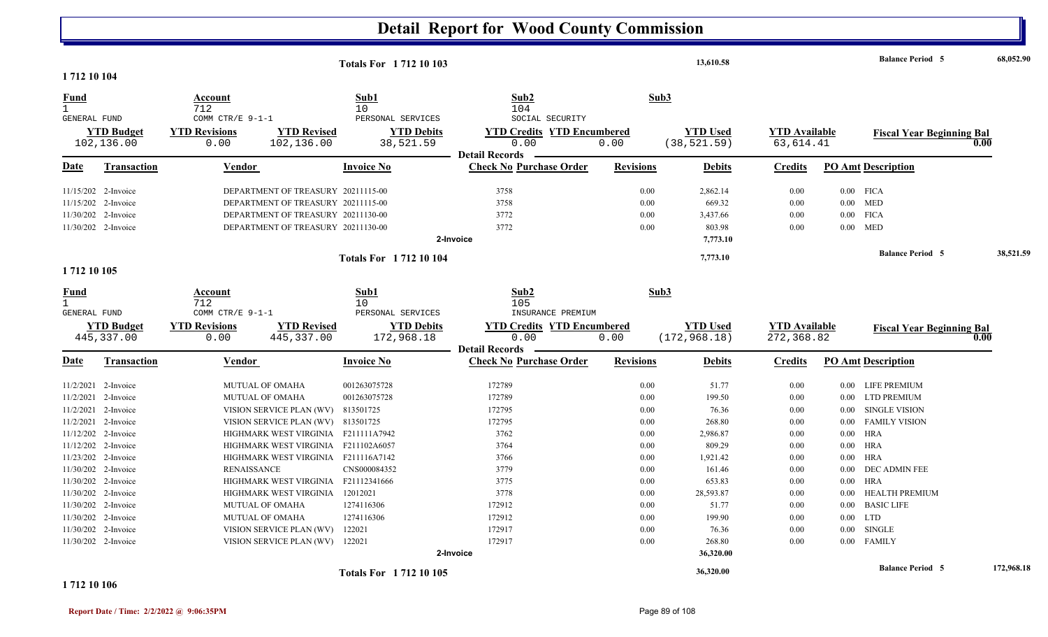| 1 712 10 104                         |                                            |                                    | <b>Totals For 171210103</b>                                              |                                                         |                  | 13,610.58          |                      |          | <b>Balance Period 5</b>          | 68,052.90  |
|--------------------------------------|--------------------------------------------|------------------------------------|--------------------------------------------------------------------------|---------------------------------------------------------|------------------|--------------------|----------------------|----------|----------------------------------|------------|
| Fund<br>$\mathbf{1}$<br>GENERAL FUND |                                            | Account<br>712<br>COMM CTR/E 9-1-1 | Sub1<br>10<br>PERSONAL SERVICES                                          | Sub <sub>2</sub><br>104<br>SOCIAL SECURITY              | Sub3             |                    |                      |          |                                  |            |
|                                      | <b>YTD Budget</b>                          | <b>YTD Revisions</b>               | <b>YTD Revised</b><br><b>YTD Debits</b>                                  | <b>YTD Credits YTD Encumbered</b>                       |                  | <b>YTD Used</b>    | <b>YTD Available</b> |          | <b>Fiscal Year Beginning Bal</b> |            |
|                                      | 102,136.00                                 | 102,136.00<br>0.00                 | 38,521.59                                                                | 0.00                                                    | 0.00             | (38, 521.59)       | 63,614.41            |          |                                  | 0.00       |
| Date                                 | <b>Transaction</b>                         | Vendor                             | <b>Invoice No</b>                                                        | <b>Detail Records</b><br><b>Check No Purchase Order</b> | <b>Revisions</b> | <b>Debits</b>      | Credits              |          | <b>PO Amt Description</b>        |            |
|                                      |                                            |                                    |                                                                          |                                                         |                  |                    |                      |          |                                  |            |
|                                      | 11/15/202 2-Invoice<br>11/15/202 2-Invoice |                                    | DEPARTMENT OF TREASURY 20211115-00<br>DEPARTMENT OF TREASURY 20211115-00 | 3758<br>3758                                            | 0.00<br>0.00     | 2,862.14<br>669.32 | 0.00<br>0.00         |          | $0.00$ FICA<br>$0.00$ MED        |            |
|                                      |                                            |                                    |                                                                          |                                                         | 0.00             |                    | 0.00                 |          | $0.00$ FICA                      |            |
|                                      | 11/30/202 2-Invoice<br>11/30/202 2-Invoice |                                    | DEPARTMENT OF TREASURY 20211130-00<br>DEPARTMENT OF TREASURY 20211130-00 | 3772<br>3772                                            | 0.00             | 3,437.66<br>803.98 | 0.00                 |          | $0.00$ MED                       |            |
|                                      |                                            |                                    |                                                                          | 2-Invoice                                               |                  |                    |                      |          |                                  |            |
|                                      |                                            |                                    |                                                                          |                                                         |                  | 7,773.10           |                      |          |                                  |            |
| 1712 10 105                          |                                            |                                    | <b>Totals For 171210104</b>                                              |                                                         |                  | 7,773.10           |                      |          | <b>Balance Period 5</b>          | 38,521.59  |
|                                      |                                            |                                    |                                                                          |                                                         |                  |                    |                      |          |                                  |            |
| <u>Fund</u>                          |                                            | Account                            | Sub1                                                                     | Sub2                                                    | Sub3             |                    |                      |          |                                  |            |
| $\mathbf{1}$                         |                                            | 712                                | 10                                                                       | 105                                                     |                  |                    |                      |          |                                  |            |
| GENERAL FUND                         |                                            | COMM CTR/E 9-1-1                   | PERSONAL SERVICES                                                        | INSURANCE PREMIUM                                       |                  |                    |                      |          |                                  |            |
|                                      | <b>YTD Budget</b>                          | <b>YTD Revisions</b>               | <b>YTD Revised</b><br><b>YTD Debits</b>                                  | <b>YTD Credits YTD Encumbered</b>                       |                  | <b>YTD Used</b>    | <b>YTD Available</b> |          | <b>Fiscal Year Beginning Bal</b> |            |
|                                      | 445,337.00                                 | 445, 337.00<br>0.00                | 172,968.18                                                               | 0.00                                                    | 0.00             | (172, 968.18)      | 272,368.82           |          |                                  | 0.00       |
| <b>Date</b>                          | <b>Transaction</b>                         | Vendor                             | <b>Invoice No</b>                                                        | <b>Detail Records</b><br><b>Check No Purchase Order</b> | <b>Revisions</b> | <b>Debits</b>      | <b>Credits</b>       |          | <b>PO Amt Description</b>        |            |
|                                      | 11/2/2021 2-Invoice                        | <b>MUTUAL OF OMAHA</b>             | 001263075728                                                             | 172789                                                  | 0.00             | 51.77              | 0.00                 |          | 0.00 LIFE PREMIUM                |            |
|                                      | 11/2/2021 2-Invoice                        | <b>MUTUAL OF OMAHA</b>             | 001263075728                                                             | 172789                                                  | 0.00             | 199.50             | 0.00                 | $0.00\,$ | <b>LTD PREMIUM</b>               |            |
|                                      | 11/2/2021 2-Invoice                        | VISION SERVICE PLAN (WV)           | 813501725                                                                | 172795                                                  | 0.00             | 76.36              | 0.00                 | $0.00\,$ | <b>SINGLE VISION</b>             |            |
|                                      | 11/2/2021 2-Invoice                        | VISION SERVICE PLAN (WV) 813501725 |                                                                          | 172795                                                  | 0.00             | 268.80             | 0.00                 | $0.00\,$ | <b>FAMILY VISION</b>             |            |
|                                      | 11/12/202 2-Invoice                        | HIGHMARK WEST VIRGINIA             | F211111A7942                                                             | 3762                                                    | 0.00             | 2,986.87           | 0.00                 | 0.00     | HRA                              |            |
|                                      | 11/12/202 2-Invoice                        | HIGHMARK WEST VIRGINIA             | F211102A6057                                                             | 3764                                                    | 0.00             | 809.29             | 0.00                 | 0.00     | <b>HRA</b>                       |            |
|                                      | 11/23/202 2-Invoice                        | HIGHMARK WEST VIRGINIA             | F211116A7142                                                             | 3766                                                    | 0.00             | 1,921.42           | 0.00                 | 0.00     | <b>HRA</b>                       |            |
|                                      | 11/30/202 2-Invoice                        | <b>RENAISSANCE</b>                 | CNS000084352                                                             | 3779                                                    | 0.00             | 161.46             | 0.00                 | 0.00     | <b>DEC ADMIN FEE</b>             |            |
|                                      | 11/30/202 2-Invoice                        | HIGHMARK WEST VIRGINIA             | F21112341666                                                             | 3775                                                    | 0.00             | 653.83             | 0.00                 | $0.00\,$ | <b>HRA</b>                       |            |
|                                      | 11/30/202 2-Invoice                        | HIGHMARK WEST VIRGINIA             | 12012021                                                                 | 3778                                                    | 0.00             | 28,593.87          | 0.00                 | 0.00     | <b>HEALTH PREMIUM</b>            |            |
|                                      | 11/30/202 2-Invoice                        | <b>MUTUAL OF OMAHA</b>             | 1274116306                                                               | 172912                                                  | 0.00             | 51.77              | 0.00                 |          | 0.00 BASIC LIFE                  |            |
|                                      | 11/30/202 2-Invoice                        | <b>MUTUAL OF OMAHA</b>             | 1274116306                                                               | 172912                                                  | 0.00             | 199.90             | 0.00                 |          | $0.00$ LTD                       |            |
|                                      | 11/30/202 2-Invoice                        | VISION SERVICE PLAN (WV)           | 122021                                                                   | 172917                                                  | 0.00             | 76.36              | 0.00                 | $0.00\,$ | <b>SINGLE</b>                    |            |
|                                      | 11/30/202 2-Invoice                        | VISION SERVICE PLAN (WV)           | 122021                                                                   | 172917                                                  | 0.00             | 268.80             | 0.00                 |          | 0.00 FAMILY                      |            |
|                                      |                                            |                                    |                                                                          | 2-Invoice                                               |                  | 36,320.00          |                      |          |                                  |            |
|                                      |                                            |                                    | <b>Totals For 171210105</b>                                              |                                                         |                  | 36,320.00          |                      |          | <b>Balance Period 5</b>          | 172,968.18 |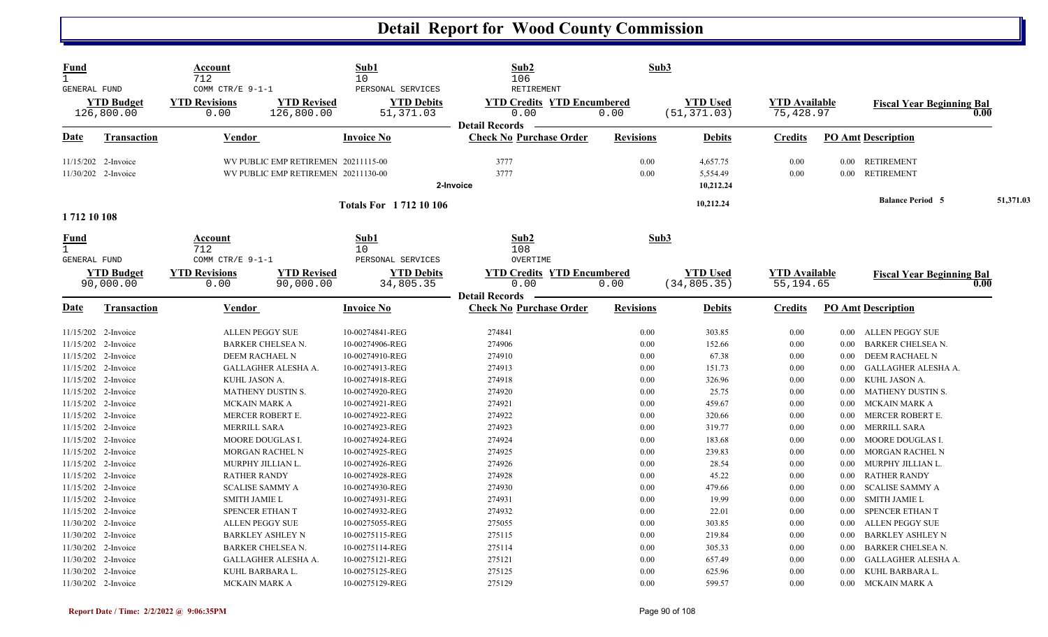| <b>Fund</b><br>$\mathbf{1}$<br><b>GENERAL FUND</b> |                                                                   | Account<br>712<br>COMM CTR/E 9-1-1          |                                                                            | Sub1<br>10<br>PERSONAL SERVICES                       | Sub2<br>106<br>RETIREMENT                                          | Sub3                 |                                   |                                   |                              |                                                                   |           |
|----------------------------------------------------|-------------------------------------------------------------------|---------------------------------------------|----------------------------------------------------------------------------|-------------------------------------------------------|--------------------------------------------------------------------|----------------------|-----------------------------------|-----------------------------------|------------------------------|-------------------------------------------------------------------|-----------|
|                                                    | <b>YTD Budget</b><br>126,800.00                                   | <b>YTD Revisions</b><br>0.00                | <b>YTD Revised</b><br>126,800.00                                           | <b>YTD Debits</b><br>51,371.03                        | <b>YTD Credits YTD Encumbered</b><br>0.00<br><b>Detail Records</b> | 0.00                 | <b>YTD Used</b><br>(51, 371.03)   | <b>YTD</b> Available<br>75,428.97 |                              | <b>Fiscal Year Beginning Bal</b>                                  | 0.00      |
| Date                                               | <b>Transaction</b>                                                | <b>Vendor</b>                               |                                                                            | <b>Invoice No</b>                                     | <b>Check No Purchase Order</b>                                     | <b>Revisions</b>     | <b>Debits</b>                     | <b>Credits</b>                    |                              | <b>PO Amt Description</b>                                         |           |
|                                                    | 11/15/202 2-Invoice<br>11/30/202 2-Invoice                        |                                             | WV PUBLIC EMP RETIREMEN 20211115-00<br>WV PUBLIC EMP RETIREMEN 20211130-00 |                                                       | 3777<br>3777<br>2-Invoice                                          | 0.00<br>0.00         | 4,657.75<br>5,554.49<br>10,212.24 | 0.00<br>0.00                      | 0.00<br>$0.00\,$             | <b>RETIREMENT</b><br>RETIREMENT                                   |           |
| 1712 10 108                                        |                                                                   |                                             |                                                                            | <b>Totals For 171210106</b>                           |                                                                    |                      | 10,212.24                         |                                   |                              | <b>Balance Period 5</b>                                           | 51,371.03 |
| <u>Fund</u><br>$\mathbf{1}$<br>GENERAL FUND        |                                                                   | <b>Account</b><br>712<br>COMM CTR/E 9-1-1   |                                                                            | Sub1<br>10<br>PERSONAL SERVICES                       | Sub2<br>108<br>OVERTIME                                            | Sub3                 |                                   |                                   |                              |                                                                   |           |
|                                                    | <b>YTD Budget</b><br>90,000.00                                    | <b>YTD Revisions</b><br>0.00                | <b>YTD Revised</b><br>90,000.00                                            | <b>YTD Debits</b><br>34,805.35                        | <b>YTD Credits YTD Encumbered</b><br>0.00<br><b>Detail Records</b> | 0.00                 | <b>YTD Used</b><br>(34, 805.35)   | <b>YTD Available</b><br>55,194.65 |                              | <b>Fiscal Year Beginning Bal</b>                                  | 0.00      |
| Date                                               | <b>Transaction</b>                                                | <b>Vendor</b>                               |                                                                            | <b>Invoice No</b>                                     | <b>Check No Purchase Order</b>                                     | <b>Revisions</b>     | <b>Debits</b>                     | <b>Credits</b>                    |                              | <b>PO Amt Description</b>                                         |           |
|                                                    | 11/15/202 2-Invoice<br>11/15/202 2-Invoice                        |                                             | <b>ALLEN PEGGY SUE</b><br>BARKER CHELSEA N.                                | 10-00274841-REG<br>10-00274906-REG                    | 274841<br>274906                                                   | 0.00<br>0.00         | 303.85<br>152.66                  | 0.00<br>0.00                      | $0.00\,$<br>0.00             | ALLEN PEGGY SUE<br><b>BARKER CHELSEA N.</b>                       |           |
| 11/15/202                                          | 2-Invoice<br>11/15/202 2-Invoice                                  | DEEM RACHAEL N                              | GALLAGHER ALESHA A.                                                        | 10-00274910-REG<br>10-00274913-REG                    | 274910<br>274913                                                   | 0.00<br>0.00         | 67.38<br>151.73                   | 0.00<br>0.00                      | 0.00<br>$0.00\,$             | DEEM RACHAEL N<br>GALLAGHER ALESHA A.                             |           |
|                                                    | 11/15/202 2-Invoice<br>11/15/202 2-Invoice                        | KUHL JASON A.                               | <b>MATHENY DUSTIN S.</b>                                                   | 10-00274918-REG<br>10-00274920-REG                    | 274918<br>274920                                                   | 0.00<br>0.00         | 326.96<br>25.75                   | 0.00<br>0.00                      | 0.00<br>0.00                 | KUHL JASON A.<br><b>MATHENY DUSTIN S.</b>                         |           |
|                                                    | 11/15/202 2-Invoice<br>11/15/202 2-Invoice<br>11/15/202 2-Invoice | <b>MCKAIN MARK A</b><br><b>MERRILL SARA</b> | MERCER ROBERT E.                                                           | 10-00274921-REG<br>10-00274922-REG<br>10-00274923-REG | 274921<br>274922<br>274923                                         | 0.00<br>0.00<br>0.00 | 459.67<br>320.66<br>319.77        | 0.00<br>0.00<br>0.00              | 0.00<br>0.00<br>$0.00\,$     | MCKAIN MARK A<br>MERCER ROBERT E.<br>MERRILL SARA                 |           |
|                                                    | 11/15/202 2-Invoice<br>11/15/202 2-Invoice                        |                                             | MOORE DOUGLAS I.<br><b>MORGAN RACHEL N</b>                                 | 10-00274924-REG<br>10-00274925-REG                    | 274924<br>274925                                                   | 0.00<br>0.00         | 183.68<br>239.83                  | 0.00<br>0.00                      | 0.00<br>$0.00\,$             | MOORE DOUGLAS I.<br>MORGAN RACHEL N                               |           |
|                                                    | 11/15/202 2-Invoice<br>11/15/202 2-Invoice                        | <b>RATHER RANDY</b>                         | MURPHY JILLIAN L.                                                          | 10-00274926-REG<br>10-00274928-REG                    | 274926<br>274928                                                   | 0.00<br>0.00         | 28.54<br>45.22                    | 0.00<br>0.00                      | 0.00<br>0.00                 | MURPHY JILLIAN L.<br><b>RATHER RANDY</b>                          |           |
|                                                    | 11/15/202 2-Invoice<br>11/15/202 2-Invoice<br>11/15/202 2-Invoice | <b>SMITH JAMIE L</b><br>SPENCER ETHAN T     | <b>SCALISE SAMMY A</b>                                                     | 10-00274930-REG<br>10-00274931-REG<br>10-00274932-REG | 274930<br>274931<br>274932                                         | 0.00<br>0.00<br>0.00 | 479.66<br>19.99<br>22.01          | 0.00<br>0.00<br>0.00              | $0.00\,$<br>$0.00\,$<br>0.00 | <b>SCALISE SAMMY A</b><br><b>SMITH JAMIE L</b><br>SPENCER ETHAN T |           |
|                                                    | 11/30/202 2-Invoice<br>11/30/202 2-Invoice                        |                                             | <b>ALLEN PEGGY SUE</b><br><b>BARKLEY ASHLEY N</b>                          | 10-00275055-REG<br>10-00275115-REG                    | 275055<br>275115                                                   | 0.00<br>0.00         | 303.85<br>219.84                  | 0.00<br>0.00                      | 0.00<br>0.00                 | ALLEN PEGGY SUE<br><b>BARKLEY ASHLEY N</b>                        |           |
|                                                    | 11/30/202 2-Invoice<br>11/30/202 2-Invoice<br>11/30/202 2-Invoice | KUHL BARBARA L.                             | BARKER CHELSEA N.<br>GALLAGHER ALESHA A.                                   | 10-00275114-REG<br>10-00275121-REG<br>10-00275125-REG | 275114<br>275121<br>275125                                         | 0.00<br>0.00<br>0.00 | 305.33<br>657.49<br>625.96        | 0.00<br>0.00<br>0.00              | 0.00<br>0.00<br>0.00         | BARKER CHELSEA N.<br>GALLAGHER ALESHA A.<br>KUHL BARBARA L.       |           |
|                                                    | 11/30/202 2-Invoice                                               | MCKAIN MARK A                               |                                                                            | 10-00275129-REG                                       | 275129                                                             | 0.00                 | 599.57                            | 0.00                              | $0.00\,$                     | MCKAIN MARK A                                                     |           |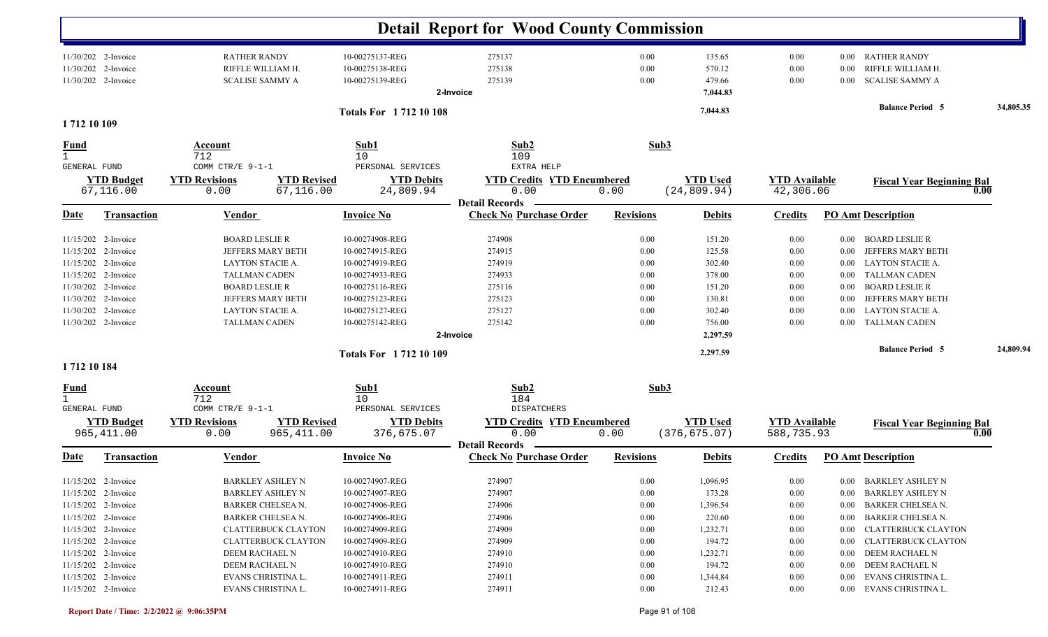|                             |                                                                   |                              |                                             |                                                       | <b>Detail Report for Wood County Commission</b>                    |                      |                                        |                                    |                  |                                                                  |           |
|-----------------------------|-------------------------------------------------------------------|------------------------------|---------------------------------------------|-------------------------------------------------------|--------------------------------------------------------------------|----------------------|----------------------------------------|------------------------------------|------------------|------------------------------------------------------------------|-----------|
|                             | 11/30/202 2-Invoice<br>11/30/202 2-Invoice<br>11/30/202 2-Invoice | <b>RATHER RANDY</b>          | RIFFLE WILLIAM H.<br><b>SCALISE SAMMY A</b> | 10-00275137-REG<br>10-00275138-REG<br>10-00275139-REG | 275137<br>275138<br>275139<br>2-Invoice                            | 0.00<br>0.00<br>0.00 | 135.65<br>570.12<br>479.66<br>7,044.83 | 0.00<br>0.00<br>0.00               | 0.00<br>$0.00\,$ | 0.00 RATHER RANDY<br>RIFFLE WILLIAM H.<br><b>SCALISE SAMMY A</b> |           |
|                             |                                                                   |                              |                                             | <b>Totals For 171210108</b>                           |                                                                    |                      | 7,044.83                               |                                    |                  | <b>Balance Period 5</b>                                          | 34,805.35 |
| 1712 10 109                 |                                                                   |                              |                                             |                                                       |                                                                    |                      |                                        |                                    |                  |                                                                  |           |
| <u>Fund</u><br>$\mathbf{1}$ |                                                                   | Account                      |                                             | Sub1                                                  | Sub2                                                               | Sub3                 |                                        |                                    |                  |                                                                  |           |
| GENERAL FUND                |                                                                   | 712<br>COMM CTR/E 9-1-1      |                                             | 10<br>PERSONAL SERVICES                               | 109<br>EXTRA HELP                                                  |                      |                                        |                                    |                  |                                                                  |           |
|                             | <b>YTD Budget</b><br>67,116.00                                    | <b>YTD Revisions</b><br>0.00 | <b>YTD Revised</b><br>67,116.00             | <b>YTD Debits</b><br>24,809.94                        | <b>YTD Credits YTD Encumbered</b><br>0.00<br><b>Detail Records</b> | 0.00                 | <b>YTD</b> Used<br>(24, 809.94)        | <b>YTD Available</b><br>42,306.06  |                  | <b>Fiscal Year Beginning Bal</b>                                 | 0.00      |
| <u>Date</u>                 | <b>Transaction</b>                                                | <b>Vendor</b>                |                                             | <b>Invoice No</b>                                     | <b>Check No Purchase Order</b>                                     | <b>Revisions</b>     | <b>Debits</b>                          | <b>Credits</b>                     |                  | <b>PO Amt Description</b>                                        |           |
|                             | 11/15/202 2-Invoice                                               | <b>BOARD LESLIE R</b>        |                                             | 10-00274908-REG                                       | 274908                                                             | 0.00                 | 151.20                                 | 0.00                               | $0.00\,$         | <b>BOARD LESLIE R</b>                                            |           |
|                             | 11/15/202 2-Invoice                                               |                              | JEFFERS MARY BETH                           | 10-00274915-REG                                       | 274915                                                             | 0.00                 | 125.58                                 | 0.00                               | 0.00             | JEFFERS MARY BETH                                                |           |
|                             | 11/15/202 2-Invoice                                               |                              | LAYTON STACIE A.                            | 10-00274919-REG                                       | 274919                                                             | 0.00                 | 302.40                                 | 0.00                               | $0.00\,$         | <b>LAYTON STACIE A.</b>                                          |           |
|                             | 11/15/202 2-Invoice                                               |                              | <b>TALLMAN CADEN</b>                        | 10-00274933-REG                                       | 274933                                                             | 0.00                 | 378.00                                 | 0.00                               | $0.00\,$         | <b>TALLMAN CADEN</b>                                             |           |
|                             | 11/30/202 2-Invoice                                               | <b>BOARD LESLIE R</b>        |                                             | 10-00275116-REG                                       | 275116                                                             | 0.00                 | 151.20                                 | 0.00                               | $0.00\,$         | <b>BOARD LESLIE R</b>                                            |           |
|                             | 11/30/202 2-Invoice                                               |                              | JEFFERS MARY BETH                           | 10-00275123-REG                                       | 275123                                                             | 0.00                 | 130.81                                 | 0.00                               | 0.00             | JEFFERS MARY BETH                                                |           |
|                             | 11/30/202 2-Invoice                                               |                              | <b>LAYTON STACIE A.</b>                     | 10-00275127-REG                                       | 275127                                                             | 0.00                 | 302.40                                 | 0.00                               | 0.00             | <b>LAYTON STACIE A.</b>                                          |           |
|                             | 11/30/202 2-Invoice                                               |                              | <b>TALLMAN CADEN</b>                        | 10-00275142-REG                                       | 275142                                                             | 0.00                 | 756.00                                 | 0.00                               | $0.00\,$         | <b>TALLMAN CADEN</b>                                             |           |
|                             |                                                                   |                              |                                             |                                                       | 2-Invoice                                                          |                      | 2,297.59                               |                                    |                  |                                                                  |           |
| 1712 10 184                 |                                                                   |                              |                                             | <b>Totals For 171210109</b>                           |                                                                    |                      | 2,297.59                               |                                    |                  | <b>Balance Period 5</b>                                          | 24,809.94 |
|                             |                                                                   |                              |                                             |                                                       |                                                                    |                      |                                        |                                    |                  |                                                                  |           |
| <u>Fund</u>                 |                                                                   | <b>Account</b><br>712        |                                             | Sub1<br>10                                            | Sub2<br>184                                                        | Sub3                 |                                        |                                    |                  |                                                                  |           |
| <b>GENERAL FUND</b>         |                                                                   | COMM CTR/E 9-1-1             |                                             | PERSONAL SERVICES                                     | DISPATCHERS                                                        |                      |                                        |                                    |                  |                                                                  |           |
|                             | <b>YTD Budget</b><br>965, 411.00                                  | <b>YTD Revisions</b><br>0.00 | <b>YTD Revised</b><br>965, 411.00           | <b>YTD Debits</b><br>376,675.07                       | <b>YTD Credits YTD Encumbered</b><br>0.00                          | 0.00                 | <b>YTD Used</b><br>(376, 675.07)       | <b>YTD Available</b><br>588,735.93 |                  | <b>Fiscal Year Beginning Bal</b>                                 | 0.00      |
| Date                        | <b>Transaction</b>                                                | Vendor                       |                                             | <b>Invoice No</b>                                     | <b>Detail Records</b><br><b>Check No Purchase Order</b>            | <b>Revisions</b>     | <b>Debits</b>                          | <b>Credits</b>                     |                  | <b>PO Amt Description</b>                                        |           |
|                             |                                                                   |                              |                                             |                                                       |                                                                    |                      |                                        |                                    |                  |                                                                  |           |
|                             | 11/15/202 2-Invoice                                               |                              | <b>BARKLEY ASHLEY N</b>                     | 10-00274907-REG                                       | 274907                                                             | 0.00                 | 1,096.95                               | $0.00\,$                           |                  | 0.00 BARKLEY ASHLEY N                                            |           |
|                             | 11/15/202 2-Invoice                                               |                              | <b>BARKLEY ASHLEY N</b>                     | 10-00274907-REG                                       | 274907                                                             | 0.00                 | 173.28                                 | 0.00                               |                  | 0.00 BARKLEY ASHLEY N                                            |           |
|                             | 11/15/202 2-Invoice                                               |                              | BARKER CHELSEA N.                           | 10-00274906-REG                                       | 274906                                                             | 0.00                 | 1,396.54                               | 0.00                               |                  | 0.00 BARKER CHELSEA N.                                           |           |
|                             | 11/15/202 2-Invoice                                               |                              | BARKER CHELSEA N.                           | 10-00274906-REG                                       | 274906                                                             | 0.00                 | 220.60                                 | 0.00                               | $0.00\,$         | BARKER CHELSEA N.                                                |           |
|                             | 11/15/202 2-Invoice                                               |                              | <b>CLATTERBUCK CLAYTON</b>                  | 10-00274909-REG                                       | 274909                                                             | 0.00                 | 1,232.71                               | 0.00                               | $0.00\,$         | CLATTERBUCK CLAYTON                                              |           |
|                             | 11/15/202 2-Invoice                                               |                              | <b>CLATTERBUCK CLAYTON</b>                  | 10-00274909-REG                                       | 274909                                                             | 0.00                 | 194.72                                 | 0.00                               |                  | 0.00 CLATTERBUCK CLAYTON                                         |           |
|                             | 11/15/202 2-Invoice                                               |                              | DEEM RACHAEL N                              | 10-00274910-REG                                       | 274910                                                             | 0.00                 | 1,232.71                               | $0.00\,$                           |                  | 0.00 DEEM RACHAEL N                                              |           |
|                             | 11/15/202 2-Invoice                                               |                              | DEEM RACHAEL N                              | 10-00274910-REG                                       | 274910                                                             | 0.00                 | 194.72                                 | $0.00\,$                           |                  | 0.00 DEEM RACHAEL N                                              |           |
|                             | 11/15/202 2-Invoice                                               |                              | EVANS CHRISTINA L.                          | 10-00274911-REG                                       | 274911                                                             | 0.00                 | 1,344.84                               | $0.00\,$                           |                  | 0.00 EVANS CHRISTINA L.                                          |           |
|                             | 11/15/202 2-Invoice                                               |                              | EVANS CHRISTINA L.                          | 10-00274911-REG                                       | 274911                                                             | 0.00                 | 212.43                                 | $0.00\,$                           |                  | 0.00 EVANS CHRISTINA L.                                          |           |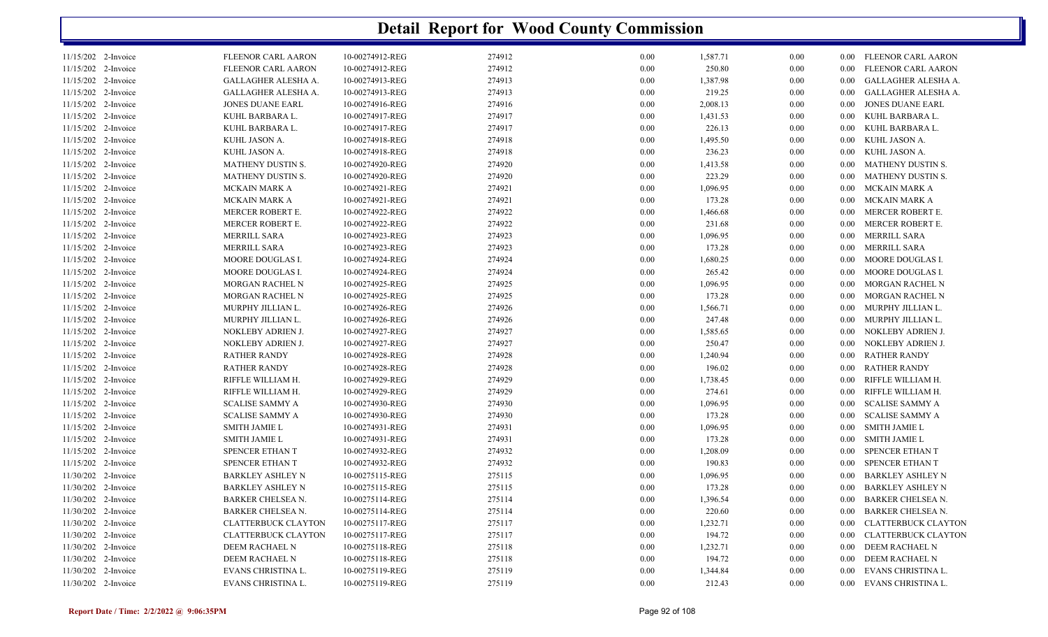| 11/15/202 2-Invoice | <b>FLEENOR CARL AARON</b>  | 10-00274912-REG | 274912 | 0.00     | 1,587.71 | $0.00\,$ |          | 0.00 FLEENOR CARL AARON    |
|---------------------|----------------------------|-----------------|--------|----------|----------|----------|----------|----------------------------|
| 11/15/202 2-Invoice | FLEENOR CARL AARON         | 10-00274912-REG | 274912 | 0.00     | 250.80   | 0.00     | $0.00\,$ | FLEENOR CARL AARON         |
| 11/15/202 2-Invoice | GALLAGHER ALESHA A.        | 10-00274913-REG | 274913 | 0.00     | 1,387.98 | 0.00     | $0.00\,$ | GALLAGHER ALESHA A.        |
| 11/15/202 2-Invoice | GALLAGHER ALESHA A.        | 10-00274913-REG | 274913 | 0.00     | 219.25   | 0.00     | $0.00\,$ | GALLAGHER ALESHA A.        |
| 11/15/202 2-Invoice | JONES DUANE EARL           | 10-00274916-REG | 274916 | 0.00     | 2,008.13 | 0.00     | 0.00     | <b>JONES DUANE EARL</b>    |
| 11/15/202 2-Invoice | KUHL BARBARA L.            | 10-00274917-REG | 274917 | 0.00     | 1,431.53 | 0.00     | $0.00\,$ | KUHL BARBARA L.            |
| 11/15/202 2-Invoice | KUHL BARBARA L.            | 10-00274917-REG | 274917 | 0.00     | 226.13   | 0.00     | $0.00\,$ | KUHL BARBARA L.            |
| 11/15/202 2-Invoice | KUHL JASON A.              | 10-00274918-REG | 274918 | 0.00     | 1,495.50 | 0.00     | $0.00\,$ | KUHL JASON A.              |
| 11/15/202 2-Invoice | KUHL JASON A.              | 10-00274918-REG | 274918 | 0.00     | 236.23   | 0.00     | $0.00\,$ | KUHL JASON A.              |
| 11/15/202 2-Invoice | MATHENY DUSTIN S.          | 10-00274920-REG | 274920 | 0.00     | 1,413.58 | 0.00     | $0.00\,$ | <b>MATHENY DUSTIN S.</b>   |
| 11/15/202 2-Invoice | MATHENY DUSTIN S.          | 10-00274920-REG | 274920 | 0.00     | 223.29   | 0.00     | 0.00     | MATHENY DUSTIN S.          |
| 11/15/202 2-Invoice | MCKAIN MARK A              | 10-00274921-REG | 274921 | 0.00     | 1,096.95 | 0.00     | $0.00\,$ | MCKAIN MARK A              |
| 11/15/202 2-Invoice | MCKAIN MARK A              | 10-00274921-REG | 274921 | 0.00     | 173.28   | 0.00     | $0.00\,$ | MCKAIN MARK A              |
| 11/15/202 2-Invoice | MERCER ROBERT E.           | 10-00274922-REG | 274922 | 0.00     | 1,466.68 | 0.00     | $0.00\,$ | MERCER ROBERT E.           |
| 11/15/202 2-Invoice | MERCER ROBERT E.           | 10-00274922-REG | 274922 | 0.00     | 231.68   | 0.00     | $0.00\,$ | MERCER ROBERT E.           |
| 11/15/202 2-Invoice | <b>MERRILL SARA</b>        | 10-00274923-REG | 274923 | 0.00     | 1,096.95 | 0.00     | $0.00\,$ | <b>MERRILL SARA</b>        |
| 11/15/202 2-Invoice | MERRILL SARA               | 10-00274923-REG | 274923 | 0.00     | 173.28   | 0.00     | $0.00\,$ | <b>MERRILL SARA</b>        |
| 11/15/202 2-Invoice | MOORE DOUGLAS I.           | 10-00274924-REG | 274924 | 0.00     | 1,680.25 | 0.00     | $0.00\,$ | MOORE DOUGLAS I.           |
| 11/15/202 2-Invoice | MOORE DOUGLAS I.           | 10-00274924-REG | 274924 | 0.00     | 265.42   | 0.00     | $0.00\,$ | MOORE DOUGLAS I.           |
| 11/15/202 2-Invoice | <b>MORGAN RACHEL N</b>     | 10-00274925-REG | 274925 | 0.00     | 1,096.95 | 0.00     | $0.00\,$ | MORGAN RACHEL N            |
| 11/15/202 2-Invoice | <b>MORGAN RACHEL N</b>     | 10-00274925-REG | 274925 | 0.00     | 173.28   | $0.00\,$ | $0.00\,$ | MORGAN RACHEL N            |
| 11/15/202 2-Invoice | MURPHY JILLIAN L.          | 10-00274926-REG | 274926 | 0.00     | 1,566.71 | 0.00     | 0.00     | MURPHY JILLIAN L.          |
| 11/15/202 2-Invoice | MURPHY JILLIAN L.          | 10-00274926-REG | 274926 | 0.00     | 247.48   | 0.00     | $0.00\,$ | MURPHY JILLIAN L.          |
| 11/15/202 2-Invoice | NOKLEBY ADRIEN J.          | 10-00274927-REG | 274927 | 0.00     | 1,585.65 | $0.00\,$ | $0.00\,$ | NOKLEBY ADRIEN J.          |
| 11/15/202 2-Invoice | NOKLEBY ADRIEN J.          | 10-00274927-REG | 274927 | 0.00     | 250.47   | 0.00     | 0.00     | NOKLEBY ADRIEN J.          |
| 11/15/202 2-Invoice | <b>RATHER RANDY</b>        | 10-00274928-REG | 274928 | 0.00     | 1,240.94 | 0.00     | $0.00\,$ | <b>RATHER RANDY</b>        |
| 11/15/202 2-Invoice | <b>RATHER RANDY</b>        | 10-00274928-REG | 274928 | 0.00     | 196.02   | $0.00\,$ | $0.00\,$ | <b>RATHER RANDY</b>        |
| 11/15/202 2-Invoice | RIFFLE WILLIAM H.          | 10-00274929-REG | 274929 | 0.00     | 1,738.45 | 0.00     | 0.00     | RIFFLE WILLIAM H.          |
| 11/15/202 2-Invoice | RIFFLE WILLIAM H.          | 10-00274929-REG | 274929 | 0.00     | 274.61   | 0.00     | $0.00\,$ | RIFFLE WILLIAM H.          |
| 11/15/202 2-Invoice | <b>SCALISE SAMMY A</b>     | 10-00274930-REG | 274930 | 0.00     | 1,096.95 | $0.00\,$ | $0.00\,$ | <b>SCALISE SAMMY A</b>     |
| 11/15/202 2-Invoice | SCALISE SAMMY A            | 10-00274930-REG | 274930 | 0.00     | 173.28   | 0.00     | $0.00\,$ | <b>SCALISE SAMMY A</b>     |
| 11/15/202 2-Invoice | <b>SMITH JAMIE L</b>       | 10-00274931-REG | 274931 | 0.00     | 1,096.95 | 0.00     | $0.00\,$ | SMITH JAMIE L              |
| 11/15/202 2-Invoice | <b>SMITH JAMIE L</b>       | 10-00274931-REG | 274931 | 0.00     | 173.28   | $0.00\,$ | $0.00\,$ | <b>SMITH JAMIE L</b>       |
| 11/15/202 2-Invoice | SPENCER ETHAN T            | 10-00274932-REG | 274932 | 0.00     | 1,208.09 | 0.00     | 0.00     | SPENCER ETHAN T            |
| 11/15/202 2-Invoice | SPENCER ETHAN T            | 10-00274932-REG | 274932 | 0.00     | 190.83   | 0.00     | $0.00\,$ | SPENCER ETHAN T            |
| 11/30/202 2-Invoice | <b>BARKLEY ASHLEY N</b>    | 10-00275115-REG | 275115 | $0.00\,$ | 1,096.95 | $0.00\,$ | 0.00     | <b>BARKLEY ASHLEY N</b>    |
| 11/30/202 2-Invoice | <b>BARKLEY ASHLEY N</b>    | 10-00275115-REG | 275115 | 0.00     | 173.28   | 0.00     | $0.00\,$ | <b>BARKLEY ASHLEY N</b>    |
| 11/30/202 2-Invoice | <b>BARKER CHELSEA N.</b>   | 10-00275114-REG | 275114 | 0.00     | 1,396.54 | 0.00     | $0.00\,$ | <b>BARKER CHELSEA N.</b>   |
| 11/30/202 2-Invoice | <b>BARKER CHELSEA N.</b>   | 10-00275114-REG | 275114 | 0.00     | 220.60   | $0.00\,$ | 0.00     | <b>BARKER CHELSEA N.</b>   |
| 11/30/202 2-Invoice | <b>CLATTERBUCK CLAYTON</b> | 10-00275117-REG | 275117 | 0.00     | 1,232.71 | 0.00     | 0.00     | <b>CLATTERBUCK CLAYTON</b> |
| 11/30/202 2-Invoice | <b>CLATTERBUCK CLAYTON</b> | 10-00275117-REG | 275117 | 0.00     | 194.72   | 0.00     | $0.00\,$ | <b>CLATTERBUCK CLAYTON</b> |
| 11/30/202 2-Invoice | DEEM RACHAEL N             | 10-00275118-REG | 275118 | $0.00\,$ | 1,232.71 | $0.00\,$ | $0.00\,$ | DEEM RACHAEL N             |
| 11/30/202 2-Invoice | DEEM RACHAEL N             | 10-00275118-REG | 275118 | 0.00     | 194.72   | 0.00     | $0.00\,$ | DEEM RACHAEL N             |
| 11/30/202 2-Invoice | EVANS CHRISTINA L.         | 10-00275119-REG | 275119 | 0.00     | 1,344.84 | 0.00     | 0.00     | EVANS CHRISTINA L.         |
| 11/30/202 2-Invoice | EVANS CHRISTINA L.         | 10-00275119-REG | 275119 | 0.00     | 212.43   | 0.00     |          | 0.00 EVANS CHRISTINA L.    |
|                     |                            |                 |        |          |          |          |          |                            |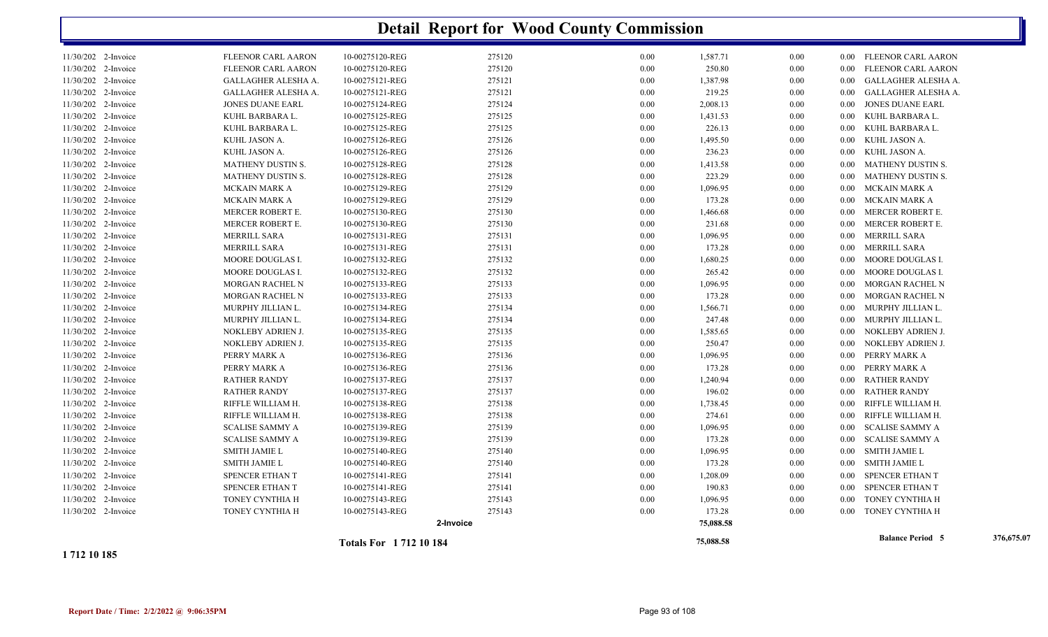|                     |                         | <b>Totals For 171210184</b> |        |      | 75,088.58 |      |          | <b>Balance Period 5</b>  | 376,675.07 |
|---------------------|-------------------------|-----------------------------|--------|------|-----------|------|----------|--------------------------|------------|
|                     |                         | 2-Invoice                   |        |      | 75,088.58 |      |          |                          |            |
| 11/30/202 2-Invoice | TONEY CYNTHIA H         | 10-00275143-REG             | 275143 | 0.00 | 173.28    | 0.00 |          | 0.00 TONEY CYNTHIA H     |            |
| 11/30/202 2-Invoice | TONEY CYNTHIA H         | 10-00275143-REG             | 275143 | 0.00 | 1,096.95  | 0.00 |          | 0.00 TONEY CYNTHIA H     |            |
| 11/30/202 2-Invoice | SPENCER ETHAN T         | 10-00275141-REG             | 275141 | 0.00 | 190.83    | 0.00 |          | 0.00 SPENCER ETHAN T     |            |
| 11/30/202 2-Invoice | SPENCER ETHAN T         | 10-00275141-REG             | 275141 | 0.00 | 1,208.09  | 0.00 | $0.00\,$ | SPENCER ETHAN T          |            |
| 11/30/202 2-Invoice | <b>SMITH JAMIE L</b>    | 10-00275140-REG             | 275140 | 0.00 | 173.28    | 0.00 | $0.00\,$ | SMITH JAMIE L            |            |
| 11/30/202 2-Invoice | <b>SMITH JAMIE L</b>    | 10-00275140-REG             | 275140 | 0.00 | 1,096.95  | 0.00 |          | 0.00 SMITH JAMIE L       |            |
| 11/30/202 2-Invoice | <b>SCALISE SAMMY A</b>  | 10-00275139-REG             | 275139 | 0.00 | 173.28    | 0.00 | $0.00\,$ | <b>SCALISE SAMMY A</b>   |            |
| 11/30/202 2-Invoice | <b>SCALISE SAMMY A</b>  | 10-00275139-REG             | 275139 | 0.00 | 1,096.95  | 0.00 | $0.00\,$ | <b>SCALISE SAMMY A</b>   |            |
| 11/30/202 2-Invoice | RIFFLE WILLIAM H.       | 10-00275138-REG             | 275138 | 0.00 | 274.61    | 0.00 | $0.00\,$ | RIFFLE WILLIAM H.        |            |
| 11/30/202 2-Invoice | RIFFLE WILLIAM H.       | 10-00275138-REG             | 275138 | 0.00 | 1,738.45  | 0.00 |          | 0.00 RIFFLE WILLIAM H.   |            |
| 11/30/202 2-Invoice | <b>RATHER RANDY</b>     | 10-00275137-REG             | 275137 | 0.00 | 196.02    | 0.00 |          | 0.00 RATHER RANDY        |            |
| 11/30/202 2-Invoice | <b>RATHER RANDY</b>     | 10-00275137-REG             | 275137 | 0.00 | 1,240.94  | 0.00 | $0.00\,$ | RATHER RANDY             |            |
| 11/30/202 2-Invoice | PERRY MARK A            | 10-00275136-REG             | 275136 | 0.00 | 173.28    | 0.00 |          | 0.00 PERRY MARK A        |            |
| 11/30/202 2-Invoice | PERRY MARK A            | 10-00275136-REG             | 275136 | 0.00 | 1,096.95  | 0.00 | $0.00\,$ | PERRY MARK A             |            |
| 11/30/202 2-Invoice | NOKLEBY ADRIEN J.       | 10-00275135-REG             | 275135 | 0.00 | 250.47    | 0.00 |          | 0.00 NOKLEBY ADRIEN J.   |            |
| 11/30/202 2-Invoice | NOKLEBY ADRIEN J.       | 10-00275135-REG             | 275135 | 0.00 | 1,585.65  | 0.00 |          | 0.00 NOKLEBY ADRIEN J.   |            |
| 11/30/202 2-Invoice | MURPHY JILLIAN L.       | 10-00275134-REG             | 275134 | 0.00 | 247.48    | 0.00 | $0.00\,$ | MURPHY JILLIAN L.        |            |
| 11/30/202 2-Invoice | MURPHY JILLIAN L.       | 10-00275134-REG             | 275134 | 0.00 | 1,566.71  | 0.00 |          | 0.00 MURPHY JILLIAN L.   |            |
| 11/30/202 2-Invoice | MORGAN RACHEL N         | 10-00275133-REG             | 275133 | 0.00 | 173.28    | 0.00 |          | 0.00 MORGAN RACHEL N     |            |
| 11/30/202 2-Invoice | MORGAN RACHEL N         | 10-00275133-REG             | 275133 | 0.00 | 1,096.95  | 0.00 |          | 0.00 MORGAN RACHEL N     |            |
| 11/30/202 2-Invoice | MOORE DOUGLAS I.        | 10-00275132-REG             | 275132 | 0.00 | 265.42    | 0.00 |          | 0.00 MOORE DOUGLAS I.    |            |
| 11/30/202 2-Invoice | MOORE DOUGLAS I.        | 10-00275132-REG             | 275132 | 0.00 | 1,680.25  | 0.00 |          | 0.00 MOORE DOUGLAS I.    |            |
| 11/30/202 2-Invoice | <b>MERRILL SARA</b>     | 10-00275131-REG             | 275131 | 0.00 | 173.28    | 0.00 | $0.00\,$ | MERRILL SARA             |            |
| 11/30/202 2-Invoice | <b>MERRILL SARA</b>     | 10-00275131-REG             | 275131 | 0.00 | 1,096.95  | 0.00 |          | 0.00 MERRILL SARA        |            |
| 11/30/202 2-Invoice | MERCER ROBERT E.        | 10-00275130-REG             | 275130 | 0.00 | 231.68    | 0.00 |          | 0.00 MERCER ROBERT E.    |            |
| 11/30/202 2-Invoice | MERCER ROBERT E.        | 10-00275130-REG             | 275130 | 0.00 | 1,466.68  | 0.00 | $0.00\,$ | MERCER ROBERT E.         |            |
| 11/30/202 2-Invoice | MCKAIN MARK A           | 10-00275129-REG             | 275129 | 0.00 | 173.28    | 0.00 |          | 0.00 MCKAIN MARK A       |            |
| 11/30/202 2-Invoice | MCKAIN MARK A           | 10-00275129-REG             | 275129 | 0.00 | 1,096.95  | 0.00 |          | 0.00 MCKAIN MARK A       |            |
| 11/30/202 2-Invoice | MATHENY DUSTIN S.       | 10-00275128-REG             | 275128 | 0.00 | 223.29    | 0.00 |          | 0.00 MATHENY DUSTIN S.   |            |
| 11/30/202 2-Invoice | MATHENY DUSTIN S.       | 10-00275128-REG             | 275128 | 0.00 | 1,413.58  | 0.00 |          | 0.00 MATHENY DUSTIN S.   |            |
| 11/30/202 2-Invoice | KUHL JASON A.           | 10-00275126-REG             | 275126 | 0.00 | 236.23    | 0.00 |          | 0.00 KUHL JASON A.       |            |
| 11/30/202 2-Invoice | KUHL JASON A.           | 10-00275126-REG             | 275126 | 0.00 | 1,495.50  | 0.00 |          | 0.00 KUHL JASON A.       |            |
| 11/30/202 2-Invoice | KUHL BARBARA L.         | 10-00275125-REG             | 275125 | 0.00 | 226.13    | 0.00 | $0.00\,$ | KUHL BARBARA L.          |            |
| 11/30/202 2-Invoice | KUHL BARBARA L.         | 10-00275125-REG             | 275125 | 0.00 | 1,431.53  | 0.00 |          | 0.00 KUHL BARBARA L.     |            |
| 11/30/202 2-Invoice | <b>JONES DUANE EARL</b> | 10-00275124-REG             | 275124 | 0.00 | 2,008.13  | 0.00 | $0.00\,$ | JONES DUANE EARL         |            |
| 11/30/202 2-Invoice | GALLAGHER ALESHA A.     | 10-00275121-REG             | 275121 | 0.00 | 219.25    | 0.00 |          | 0.00 GALLAGHER ALESHA A. |            |
| 11/30/202 2-Invoice | GALLAGHER ALESHA A.     | 10-00275121-REG             | 275121 | 0.00 | 1,387.98  | 0.00 |          | 0.00 GALLAGHER ALESHA A. |            |
| 11/30/202 2-Invoice | FLEENOR CARL AARON      | 10-00275120-REG             | 275120 | 0.00 | 250.80    | 0.00 |          | 0.00 FLEENOR CARL AARON  |            |
| 11/30/202 2-Invoice | FLEENOR CARL AARON      | 10-00275120-REG             | 275120 | 0.00 | 1,587.71  | 0.00 |          | 0.00 FLEENOR CARL AARON  |            |
|                     |                         |                             |        |      |           |      |          |                          |            |

**1 712 10 185**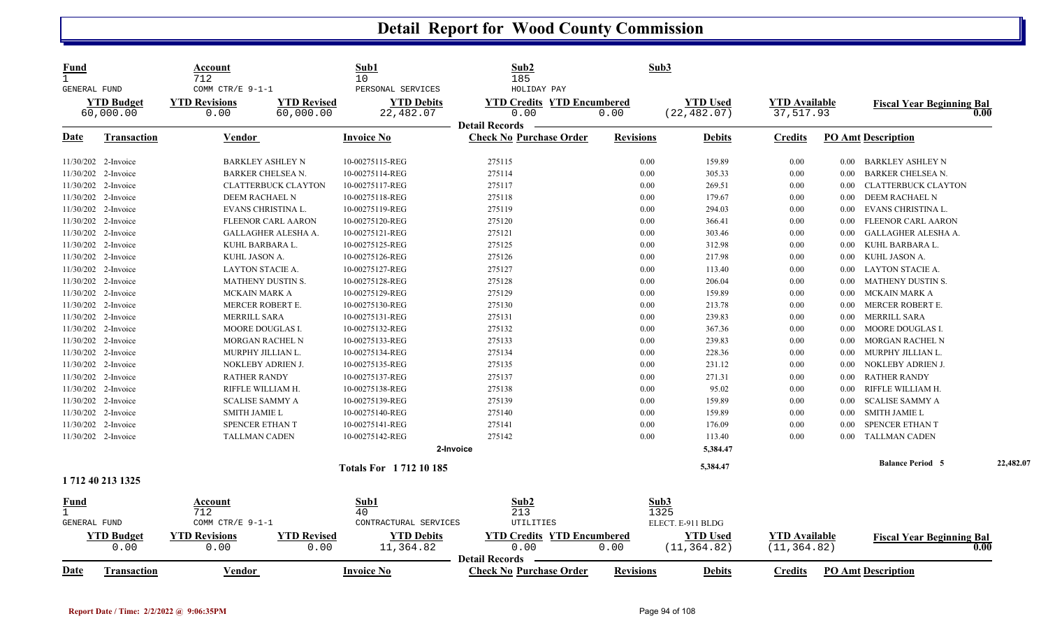| <b>Fund</b>                  |                           | Account                      |                            | Sub1                           | Sub2                                      |                  | Sub3                            |                                      |          |                                  |           |
|------------------------------|---------------------------|------------------------------|----------------------------|--------------------------------|-------------------------------------------|------------------|---------------------------------|--------------------------------------|----------|----------------------------------|-----------|
| $\mathbf{1}$<br>GENERAL FUND |                           | 712<br>COMM CTR/E 9-1-1      |                            | 10<br>PERSONAL SERVICES        | 185<br>HOLIDAY PAY                        |                  |                                 |                                      |          |                                  |           |
|                              | <b>YTD Budget</b>         | <b>YTD Revisions</b>         | <b>YTD Revised</b>         | <b>YTD Debits</b>              | <b>YTD Credits YTD Encumbered</b>         |                  | <b>YTD Used</b>                 | <b>YTD Available</b>                 |          |                                  |           |
|                              | 60,000.00                 | 0.00                         | 60,000.00                  | 22,482.07                      | 0.00                                      | 0.00             | (22, 482.07)                    | 37,517.93                            |          | <b>Fiscal Year Beginning Bal</b> | 0.00      |
|                              |                           |                              |                            |                                | <b>Detail Records</b>                     |                  |                                 |                                      |          |                                  |           |
| Date                         | <b>Transaction</b>        | <b>Vendor</b>                |                            | <b>Invoice No</b>              | <b>Check No Purchase Order</b>            | <b>Revisions</b> | <b>Debits</b>                   | <b>Credits</b>                       |          | <b>PO Amt Description</b>        |           |
|                              | 11/30/202 2-Invoice       |                              | <b>BARKLEY ASHLEY N</b>    | 10-00275115-REG                | 275115                                    | 0.00             | 159.89                          | 0.00                                 | $0.00\,$ | BARKLEY ASHLEY N                 |           |
|                              | 11/30/202 2-Invoice       |                              | <b>BARKER CHELSEA N.</b>   | 10-00275114-REG                | 275114                                    | 0.00             | 305.33                          | 0.00                                 | $0.00\,$ | <b>BARKER CHELSEA N.</b>         |           |
|                              | 11/30/202 2-Invoice       |                              | <b>CLATTERBUCK CLAYTON</b> | 10-00275117-REG                | 275117                                    | 0.00             | 269.51                          | 0.00                                 | 0.00     | <b>CLATTERBUCK CLAYTON</b>       |           |
|                              | 11/30/202 2-Invoice       | DEEM RACHAEL N               |                            | 10-00275118-REG                | 275118                                    | 0.00             | 179.67                          | 0.00                                 | 0.00     | DEEM RACHAEL N                   |           |
|                              | 11/30/202 2-Invoice       |                              | EVANS CHRISTINA L.         | 10-00275119-REG                | 275119                                    | 0.00             | 294.03                          | 0.00                                 | $0.00\,$ | EVANS CHRISTINA L.               |           |
|                              | 11/30/202 2-Invoice       |                              | FLEENOR CARL AARON         | 10-00275120-REG                | 275120                                    | 0.00             | 366.41                          | 0.00                                 | $0.00\,$ | FLEENOR CARL AARON               |           |
|                              | 11/30/202 2-Invoice       |                              | GALLAGHER ALESHA A.        | 10-00275121-REG                | 275121                                    | 0.00             | 303.46                          | 0.00                                 | 0.00     | GALLAGHER ALESHA A.              |           |
|                              | 11/30/202 2-Invoice       | KUHL BARBARA L.              |                            | 10-00275125-REG                | 275125                                    | 0.00             | 312.98                          | 0.00                                 | 0.00     | KUHL BARBARA L.                  |           |
|                              | 11/30/202 2-Invoice       | KUHL JASON A.                |                            | 10-00275126-REG                | 275126                                    | 0.00             | 217.98                          | 0.00                                 | 0.00     | KUHL JASON A.                    |           |
|                              | 11/30/202 2-Invoice       | LAYTON STACIE A.             |                            | 10-00275127-REG                | 275127                                    | 0.00             | 113.40                          | 0.00                                 | 0.00     | <b>LAYTON STACIE A.</b>          |           |
|                              | 11/30/202 2-Invoice       |                              | <b>MATHENY DUSTIN S.</b>   | 10-00275128-REG                | 275128                                    | 0.00             | 206.04                          | 0.00                                 | 0.00     | MATHENY DUSTIN S.                |           |
|                              | 11/30/202 2-Invoice       | MCKAIN MARK A                |                            | 10-00275129-REG                | 275129                                    | 0.00             | 159.89                          | 0.00                                 | $0.00\,$ | MCKAIN MARK A                    |           |
|                              | 11/30/202 2-Invoice       |                              | MERCER ROBERT E.           | 10-00275130-REG                | 275130                                    | 0.00             | 213.78                          | 0.00                                 | 0.00     | MERCER ROBERT E.                 |           |
|                              | 11/30/202 2-Invoice       | MERRILL SARA                 |                            | 10-00275131-REG                | 275131                                    | 0.00             | 239.83                          | 0.00                                 | 0.00     | MERRILL SARA                     |           |
|                              | 11/30/202 2-Invoice       |                              | MOORE DOUGLAS I.           | 10-00275132-REG                | 275132                                    | 0.00             | 367.36                          | 0.00                                 | 0.00     | MOORE DOUGLAS I.                 |           |
|                              | 11/30/202 2-Invoice       |                              | MORGAN RACHEL N            | 10-00275133-REG                | 275133                                    | 0.00             | 239.83                          | 0.00                                 | 0.00     | MORGAN RACHEL N                  |           |
|                              | 11/30/202 2-Invoice       | MURPHY JILLIAN L.            |                            | 10-00275134-REG                | 275134                                    | 0.00             | 228.36                          | 0.00                                 | 0.00     | MURPHY JILLIAN L.                |           |
|                              | 11/30/202 2-Invoice       |                              | NOKLEBY ADRIEN J.          | 10-00275135-REG                | 275135                                    | 0.00             | 231.12                          | 0.00                                 | 0.00     | NOKLEBY ADRIEN J.                |           |
|                              | 11/30/202 2-Invoice       | <b>RATHER RANDY</b>          |                            | 10-00275137-REG                | 275137                                    | 0.00             | 271.31                          | 0.00                                 | 0.00     | <b>RATHER RANDY</b>              |           |
|                              | 11/30/202 2-Invoice       | RIFFLE WILLIAM H.            |                            | 10-00275138-REG                | 275138                                    | 0.00             | 95.02                           | 0.00                                 | 0.00     | RIFFLE WILLIAM H.                |           |
|                              | 11/30/202 2-Invoice       | <b>SCALISE SAMMY A</b>       |                            | 10-00275139-REG                | 275139                                    | 0.00             | 159.89                          | 0.00                                 | 0.00     | <b>SCALISE SAMMY A</b>           |           |
|                              | 11/30/202 2-Invoice       | <b>SMITH JAMIE L</b>         |                            | 10-00275140-REG                | 275140                                    | 0.00             | 159.89                          | 0.00                                 | $0.00\,$ | <b>SMITH JAMIE L</b>             |           |
|                              | 11/30/202 2-Invoice       | SPENCER ETHAN T              |                            | 10-00275141-REG                | 275141                                    | 0.00             | 176.09                          | 0.00                                 | $0.00\,$ | SPENCER ETHAN T                  |           |
|                              | 11/30/202 2-Invoice       | <b>TALLMAN CADEN</b>         |                            | 10-00275142-REG                | 275142                                    | 0.00             | 113.40                          | 0.00                                 | 0.00     | <b>TALLMAN CADEN</b>             |           |
|                              |                           |                              |                            |                                | 2-Invoice                                 |                  | 5,384.47                        |                                      |          |                                  |           |
|                              |                           |                              |                            | <b>Totals For 171210185</b>    |                                           |                  | 5,384.47                        |                                      |          | <b>Balance Period 5</b>          | 22,482.07 |
|                              | 1712 40 213 1325          |                              |                            |                                |                                           |                  |                                 |                                      |          |                                  |           |
| <b>Fund</b>                  |                           | Account                      |                            | Sub1                           | Sub2                                      |                  | Sub3                            |                                      |          |                                  |           |
| $\mathbf{1}$                 |                           | 712                          |                            | 40                             | 213                                       |                  | 1325<br>ELECT. E-911 BLDG       |                                      |          |                                  |           |
| GENERAL FUND                 |                           | COMM CTR/E 9-1-1             |                            | CONTRACTURAL SERVICES          | UTILITIES                                 |                  |                                 |                                      |          |                                  |           |
|                              | <b>YTD Budget</b><br>0.00 | <b>YTD Revisions</b><br>0.00 | <b>YTD Revised</b><br>0.00 | <b>YTD Debits</b><br>11,364.82 | <b>YTD Credits YTD Encumbered</b><br>0.00 | 0.00             | <b>YTD</b> Used<br>(11, 364.82) | <b>YTD</b> Available<br>(11, 364.82) |          | <b>Fiscal Year Beginning Bal</b> | 0.00      |
|                              |                           |                              |                            |                                | <b>Detail Records</b>                     |                  |                                 |                                      |          |                                  |           |
| <b>Date</b>                  | <b>Transaction</b>        | Vendor                       |                            | <b>Invoice No</b>              | <b>Check No Purchase Order</b>            | <b>Revisions</b> | <b>Debits</b>                   | <b>Credits</b>                       |          | <b>PO Amt Description</b>        |           |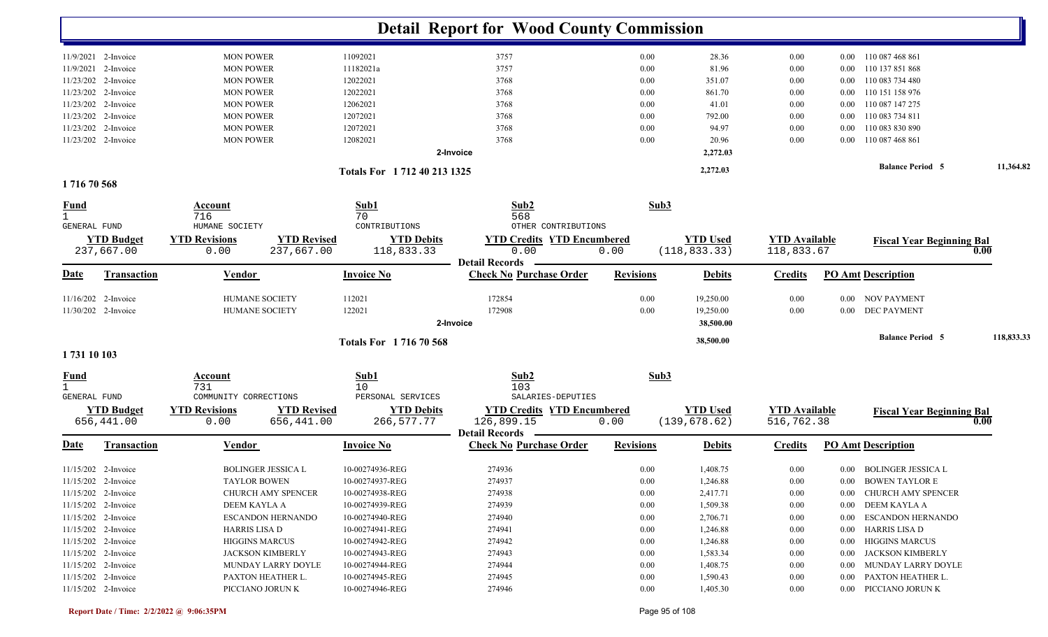|                             |                                 |                                        |                                  |                                    | <b>Detail Report for Wood County Commission</b>          |                  |                                  |                                    |          |                                  |            |
|-----------------------------|---------------------------------|----------------------------------------|----------------------------------|------------------------------------|----------------------------------------------------------|------------------|----------------------------------|------------------------------------|----------|----------------------------------|------------|
|                             | 11/9/2021 2-Invoice             | <b>MON POWER</b>                       |                                  | 11092021                           | 3757                                                     | 0.00             | 28.36                            | 0.00                               |          | 0.00 110 087 468 861             |            |
|                             | 11/9/2021 2-Invoice             | <b>MON POWER</b>                       |                                  | 11182021a                          | 3757                                                     | 0.00             | 81.96                            | 0.00                               | $0.00\,$ | 110 137 851 868                  |            |
|                             | 11/23/202 2-Invoice             | <b>MON POWER</b>                       |                                  | 12022021                           | 3768                                                     | 0.00             | 351.07                           | 0.00                               | $0.00\,$ | 110 083 734 480                  |            |
|                             | 11/23/202 2-Invoice             | <b>MON POWER</b>                       |                                  | 12022021                           | 3768                                                     | 0.00             | 861.70                           | 0.00                               | $0.00\,$ | 110 151 158 976                  |            |
|                             | 11/23/202 2-Invoice             | <b>MON POWER</b>                       |                                  | 12062021                           | 3768                                                     | 0.00             | 41.01                            | 0.00                               | $0.00\,$ | 110 087 147 275                  |            |
|                             | 11/23/202 2-Invoice             | <b>MON POWER</b>                       |                                  | 12072021                           | 3768                                                     | 0.00             | 792.00                           | 0.00                               | $0.00\,$ | 110 083 734 811                  |            |
|                             | 11/23/202 2-Invoice             | <b>MON POWER</b>                       |                                  | 12072021                           | 3768                                                     | 0.00             | 94.97                            | 0.00                               | 0.00     | 110 083 830 890                  |            |
|                             | 11/23/202 2-Invoice             | <b>MON POWER</b>                       |                                  | 12082021                           | 3768                                                     | 0.00             | 20.96                            | 0.00                               | 0.00     | 110 087 468 861                  |            |
|                             |                                 |                                        |                                  |                                    | 2-Invoice                                                |                  | 2,272.03                         |                                    |          |                                  |            |
|                             |                                 |                                        |                                  | Totals For 1712 40 213 1325        |                                                          |                  | 2,272.03                         |                                    |          | <b>Balance Period 5</b>          | 11,364.82  |
| 171670568                   |                                 |                                        |                                  |                                    |                                                          |                  |                                  |                                    |          |                                  |            |
| <u>Fund</u><br>$\mathbf{1}$ |                                 | Account<br>716                         |                                  | Sub1<br>70                         | Sub2<br>568                                              | Sub3             |                                  |                                    |          |                                  |            |
| <b>GENERAL FUND</b>         | <b>YTD Budget</b>               | HUMANE SOCIETY<br><b>YTD Revisions</b> | <b>YTD Revised</b>               | CONTRIBUTIONS<br><b>YTD Debits</b> | OTHER CONTRIBUTIONS<br><b>YTD Credits YTD Encumbered</b> |                  | <b>YTD Used</b>                  | <b>YTD Available</b>               |          |                                  |            |
|                             | 237,667.00                      | 0.00                                   | 237,667.00                       | 118,833.33                         | 0.00                                                     | 0.00             | (118, 833.33)                    | 118,833.67                         |          | <b>Fiscal Year Beginning Bal</b> | 0.00       |
| Date                        | <b>Transaction</b>              | <b>Vendor</b>                          |                                  | <b>Invoice No</b>                  | <b>Detail Records</b><br><b>Check No Purchase Order</b>  | <b>Revisions</b> | <b>Debits</b>                    | <b>Credits</b>                     |          | <b>PO Amt Description</b>        |            |
|                             | $11/16/202$ 2-Invoice           | <b>HUMANE SOCIETY</b>                  |                                  | 112021                             | 172854                                                   | 0.00             | 19,250.00                        | 0.00                               |          | 0.00 NOV PAYMENT                 |            |
|                             | 11/30/202 2-Invoice             | HUMANE SOCIETY                         |                                  | 122021                             | 172908                                                   | 0.00             | 19,250.00                        | 0.00                               |          | 0.00 DEC PAYMENT                 |            |
|                             |                                 |                                        |                                  |                                    | 2-Invoice                                                |                  | 38,500.00                        |                                    |          | <b>Balance Period 5</b>          | 118,833.33 |
| 1731 10 103                 |                                 |                                        |                                  | Totals For 171670568               |                                                          |                  | 38,500.00                        |                                    |          |                                  |            |
| <b>Fund</b><br>$\mathbf{1}$ |                                 | <b>Account</b><br>731                  |                                  | Sub1<br>10                         | Sub2<br>103                                              | Sub3             |                                  |                                    |          |                                  |            |
| <b>GENERAL FUND</b>         |                                 | COMMUNITY CORRECTIONS                  |                                  | PERSONAL SERVICES                  | SALARIES-DEPUTIES                                        |                  |                                  |                                    |          |                                  |            |
|                             | <b>YTD Budget</b><br>656,441.00 | <b>YTD Revisions</b><br>0.00           | <b>YTD Revised</b><br>656,441.00 | <b>YTD Debits</b><br>266,577.77    | <b>YTD Credits YTD Encumbered</b><br>126,899.15          | 0.00             | <b>YTD Used</b><br>(139, 678.62) | <b>YTD Available</b><br>516,762.38 |          | <b>Fiscal Year Beginning Bal</b> | 0.00       |
| Date                        | Transaction                     | <b>Vendor</b>                          |                                  | <b>Invoice No</b>                  | <b>Detail Records</b><br><b>Check No Purchase Order</b>  | <b>Revisions</b> | <b>Debits</b>                    | <b>Credits</b>                     |          | <b>PO Amt Description</b>        |            |
|                             | 11/15/202 2-Invoice             | <b>BOLINGER JESSICA L</b>              |                                  | 10-00274936-REG                    | 274936                                                   | 0.00             | 1,408.75                         | 0.00                               |          | 0.00 BOLINGER JESSICA L          |            |
|                             | 11/15/202 2-Invoice             | <b>TAYLOR BOWEN</b>                    |                                  | 10-00274937-REG                    | 274937                                                   | $0.00\,$         | 1,246.88                         | $0.00\,$                           |          | 0.00 BOWEN TAYLOR E              |            |
|                             | 11/15/202 2-Invoice             |                                        | CHURCH AMY SPENCER               | 10-00274938-REG                    | 274938                                                   | 0.00             | 2,417.71                         | 0.00                               |          | 0.00 CHURCH AMY SPENCER          |            |
|                             | 11/15/202 2-Invoice             | DEEM KAYLA A                           |                                  | 10-00274939-REG                    | 274939                                                   | $0.00\,$         | 1,509.38                         | 0.00                               |          | 0.00 DEEM KAYLA A                |            |
|                             | 11/15/202 2-Invoice             |                                        | <b>ESCANDON HERNANDO</b>         | 10-00274940-REG                    | 274940                                                   | 0.00             | 2,706.71                         | 0.00                               |          | 0.00 ESCANDON HERNANDO           |            |
|                             | 11/15/202 2-Invoice             | <b>HARRIS LISA D</b>                   |                                  | 10-00274941-REG                    | 274941                                                   | 0.00             | 1,246.88                         | 0.00                               |          | 0.00 HARRIS LISA D               |            |
|                             | 11/15/202 2-Invoice             | <b>HIGGINS MARCUS</b>                  |                                  | 10-00274942-REG                    | 274942                                                   | 0.00             | 1,246.88                         | $0.00\,$                           |          | 0.00 HIGGINS MARCUS              |            |
|                             | 11/15/202 2-Invoice             | <b>JACKSON KIMBERLY</b>                |                                  | 10-00274943-REG                    | 274943                                                   | 0.00             | 1,583.34                         | $0.00\,$                           |          | 0.00 JACKSON KIMBERLY            |            |
|                             | 11/15/202 2-Invoice             |                                        | MUNDAY LARRY DOYLE               | 10-00274944-REG                    | 274944                                                   | 0.00             | 1,408.75                         | $0.00\,$                           |          | 0.00 MUNDAY LARRY DOYLE          |            |
|                             | 11/15/202 2-Invoice             | PAXTON HEATHER L.                      |                                  | 10-00274945-REG                    | 274945                                                   | 0.00             | 1,590.43                         | $0.00\,$                           |          | 0.00 PAXTON HEATHER L.           |            |
|                             | 11/15/202 2-Invoice             | PICCIANO JORUN K                       |                                  | 10-00274946-REG                    | 274946                                                   | 0.00             | 1,405.30                         | $0.00\,$                           |          | 0.00 PICCIANO JORUN K            |            |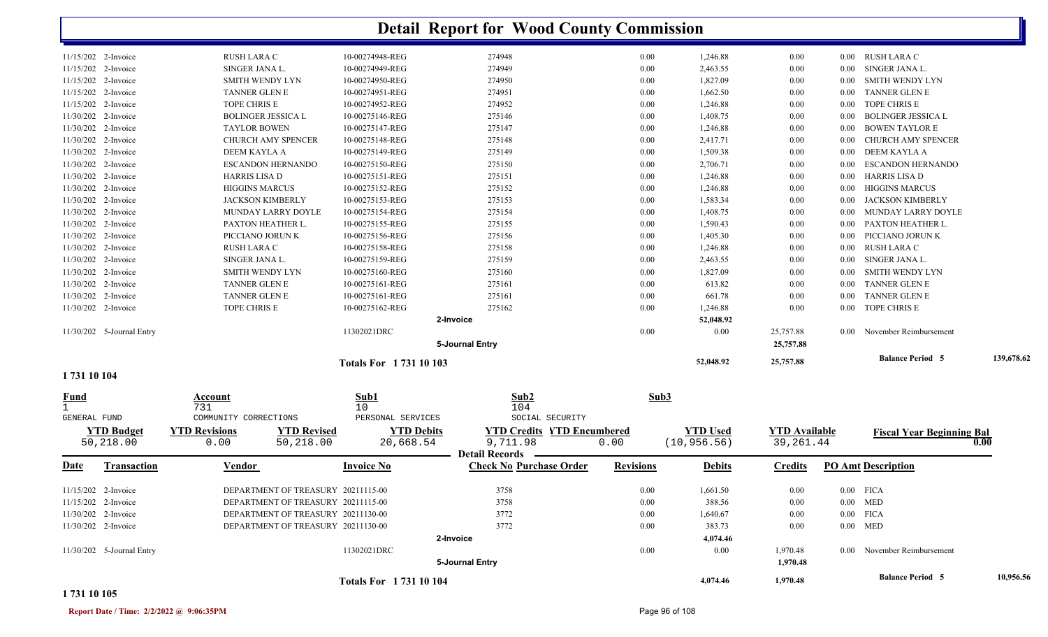| <u>Fund</u>                                | Account<br>721                           | Sub1<br>1 N                        | Sub <sub>2</sub><br>$1 \cap 4$ | Sub3         |                      |              |                   |                                          |            |
|--------------------------------------------|------------------------------------------|------------------------------------|--------------------------------|--------------|----------------------|--------------|-------------------|------------------------------------------|------------|
| 1731 10 104                                |                                          | Totals For 1731 10 103             |                                |              | 52,048.92            | 25,757.88    |                   | <b>Balance Period 5</b>                  | 139,678.62 |
|                                            |                                          |                                    | 5-Journal Entry                |              |                      | 25,757.88    |                   |                                          |            |
| 11/30/202 5-Journal Entry                  |                                          | 11302021DRC                        |                                | 0.00         | 0.00                 | 25,757.88    |                   | 0.00 November Reimbursement              |            |
|                                            |                                          |                                    | 2-Invoice                      |              | 52,048.92            |              |                   |                                          |            |
| 11/30/202 2-Invoice                        | TOPE CHRIS E                             | 10-00275162-REG                    | 275162                         | 0.00         | 1,246.88             | 0.00         | 0.00              | TOPE CHRIS E                             |            |
| 11/30/202 2-Invoice                        | <b>TANNER GLEN E</b>                     | 10-00275161-REG                    | 275161                         | 0.00         | 661.78               | 0.00         | $0.00\,$          | <b>TANNER GLEN E</b>                     |            |
| 11/30/202 2-Invoice                        | <b>TANNER GLEN E</b>                     | 10-00275161-REG                    | 275161                         | 0.00         | 613.82               | 0.00         | $0.00\,$          | <b>TANNER GLEN E</b>                     |            |
| 11/30/202 2-Invoice                        | <b>SMITH WENDY LYN</b>                   | 10-00275160-REG                    | 275160                         | 0.00         | 1,827.09             | 0.00         | 0.00 <sub>1</sub> | SMITH WENDY LYN                          |            |
| 11/30/202 2-Invoice                        | SINGER JANA L.                           | 10-00275159-REG                    | 275159                         | 0.00         | 2,463.55             | 0.00         | 0.00              | SINGER JANA L.                           |            |
| 11/30/202 2-Invoice                        | RUSH LARA C                              | 10-00275158-REG                    | 275158                         | 0.00         | 1,246.88             | 0.00         | $0.00\,$          | RUSH LARA C                              |            |
| 11/30/202 2-Invoice                        | PICCIANO JORUN K                         | 10-00275156-REG                    | 275156                         | 0.00         | 1,405.30             | 0.00         | 0.00              | PICCIANO JORUN K                         |            |
| 11/30/202 2-Invoice                        | PAXTON HEATHER L.                        | 10-00275155-REG                    | 275155                         | 0.00         | 1,590.43             | 0.00         | 0.00 <sub>1</sub> | PAXTON HEATHER L.                        |            |
| 11/30/202 2-Invoice                        | <b>MUNDAY LARRY DOYLE</b>                | 10-00275154-REG                    | 275154                         | 0.00         | 1,408.75             | 0.00         | 0.00              | MUNDAY LARRY DOYLE                       |            |
| 11/30/202 2-Invoice                        | <b>JACKSON KIMBERLY</b>                  | 10-00275153-REG                    | 275153                         | 0.00         | 1,583.34             | 0.00         | 0.00 <sub>1</sub> | JACKSON KIMBERLY                         |            |
| 11/30/202 2-Invoice                        | <b>HIGGINS MARCUS</b>                    | 10-00275152-REG                    | 275152                         | 0.00         | 1,246.88             | 0.00         | 0.00              | HIGGINS MARCUS                           |            |
| 11/30/202 2-Invoice                        | <b>HARRIS LISA D</b>                     | 10-00275151-REG                    | 275151                         | 0.00         | 1,246.88             | 0.00         | $0.00\,$          | HARRIS LISA D                            |            |
| 11/30/202 2-Invoice<br>11/30/202 2-Invoice | DEEM KAYLA A<br><b>ESCANDON HERNANDO</b> | 10-00275149-REG<br>10-00275150-REG | 275149<br>275150               | 0.00<br>0.00 | 1,509.38<br>2,706.71 | 0.00<br>0.00 | 0.00<br>0.00      | DEEM KAYLA A<br><b>ESCANDON HERNANDO</b> |            |
| 11/30/202 2-Invoice                        | CHURCH AMY SPENCER                       | 10-00275148-REG                    | 275148                         | 0.00         | 2,417.71             | 0.00         | 0.00 <sub>1</sub> | CHURCH AMY SPENCER                       |            |
| 11/30/202 2-Invoice                        | <b>TAYLOR BOWEN</b>                      | 10-00275147-REG                    | 275147                         | 0.00         | 1,246.88             | 0.00         | 0.00              | BOWEN TAYLOR E                           |            |
| 11/30/202 2-Invoice                        | <b>BOLINGER JESSICA L</b>                | 10-00275146-REG                    | 275146                         | 0.00         | 1,408.75             | 0.00         | 0.00              | <b>BOLINGER JESSICA L</b>                |            |
| 11/15/202 2-Invoice                        | TOPE CHRIS E                             | 10-00274952-REG                    | 274952                         | 0.00         | 1,246.88             | 0.00         | $0.00\,$          | TOPE CHRIS E                             |            |
| 11/15/202 2-Invoice                        | <b>TANNER GLEN E</b>                     | 10-00274951-REG                    | 274951                         | 0.00         | 1,662.50             | 0.00         | $0.00\,$          | <b>TANNER GLEN E</b>                     |            |
| 11/15/202 2-Invoice                        | SMITH WENDY LYN                          | 10-00274950-REG                    | 274950                         | 0.00         | 1,827.09             | 0.00         | 0.00              | SMITH WENDY LYN                          |            |
| 11/15/202 2-Invoice                        | SINGER JANA L.                           | 10-00274949-REG                    | 274949                         | 0.00         | 2,463.55             | 0.00         | 0.00              | SINGER JANA L.                           |            |
| 11/15/202 2-Invoice                        | RUSH LARA C                              | 10-00274948-REG                    | 274948                         | 0.00         | 1,246.88             | 0.00         | 0.00              | RUSH LARA C                              |            |
|                                            |                                          |                                    |                                |              |                      |              |                   |                                          |            |

|                                   | 731                   |                                    | 10                          | 104                               |                  |                 |                      |      |                                  |           |
|-----------------------------------|-----------------------|------------------------------------|-----------------------------|-----------------------------------|------------------|-----------------|----------------------|------|----------------------------------|-----------|
| GENERAL FUND                      | COMMUNITY CORRECTIONS |                                    | PERSONAL SERVICES           | SOCIAL SECURITY                   |                  |                 |                      |      |                                  |           |
| <b>YTD Budget</b>                 | <b>YTD Revisions</b>  | <b>YTD Revised</b>                 | <b>YTD Debits</b>           | <b>YTD Credits YTD Encumbered</b> |                  | <b>YTD Used</b> | <b>YTD</b> Available |      | <b>Fiscal Year Beginning Bal</b> |           |
| 50,218.00                         | 0.00                  | 50,218.00                          | 20,668.54                   | 9,711.98                          | 0.00             | (10, 956.56)    | 39,261.44            |      |                                  | 0.00      |
|                                   |                       |                                    |                             | <b>Detail Records</b>             |                  |                 |                      |      |                                  |           |
| <u>Date</u><br><b>Transaction</b> | <b>Vendor</b>         |                                    | <b>Invoice No</b>           | <b>Check No Purchase Order</b>    | <b>Revisions</b> | <b>Debits</b>   | <b>Credits</b>       |      | <b>PO Amt Description</b>        |           |
|                                   |                       |                                    |                             |                                   |                  |                 |                      |      |                                  |           |
| 11/15/202 2-Invoice               |                       | DEPARTMENT OF TREASURY 20211115-00 |                             | 3758                              | 0.00             | 1,661.50        | 0.00                 |      | $0.00$ FICA                      |           |
| 11/15/202 2-Invoice               |                       | DEPARTMENT OF TREASURY 20211115-00 |                             | 3758                              | 0.00             | 388.56          | 0.00                 |      | $0.00$ MED                       |           |
| 11/30/202 2-Invoice               |                       | DEPARTMENT OF TREASURY 20211130-00 |                             | 3772                              | 0.00             | 1,640.67        | 0.00                 |      | $0.00$ FICA                      |           |
| 11/30/202 2-Invoice               |                       | DEPARTMENT OF TREASURY 20211130-00 |                             | 3772                              | 0.00             | 383.73          | 0.00                 |      | $0.00$ MED                       |           |
|                                   |                       |                                    |                             | 2-Invoice                         |                  | 4,074.46        |                      |      |                                  |           |
| 11/30/202 5-Journal Entry         |                       |                                    | 11302021DRC                 |                                   | 0.00             | 0.00            | 1,970.48             | 0.00 | November Reimbursement           |           |
|                                   |                       |                                    |                             | 5-Journal Entry                   |                  |                 | 1,970.48             |      |                                  |           |
|                                   |                       |                                    | <b>Totals For 173110104</b> |                                   |                  | 4,074.46        | 1,970.48             |      | <b>Balance Period 5</b>          | 10,956.56 |

#### **1 731 10 105**

**Report Date / Time: 2/2/2022 @ 9:06:35PM** Page 96 of 108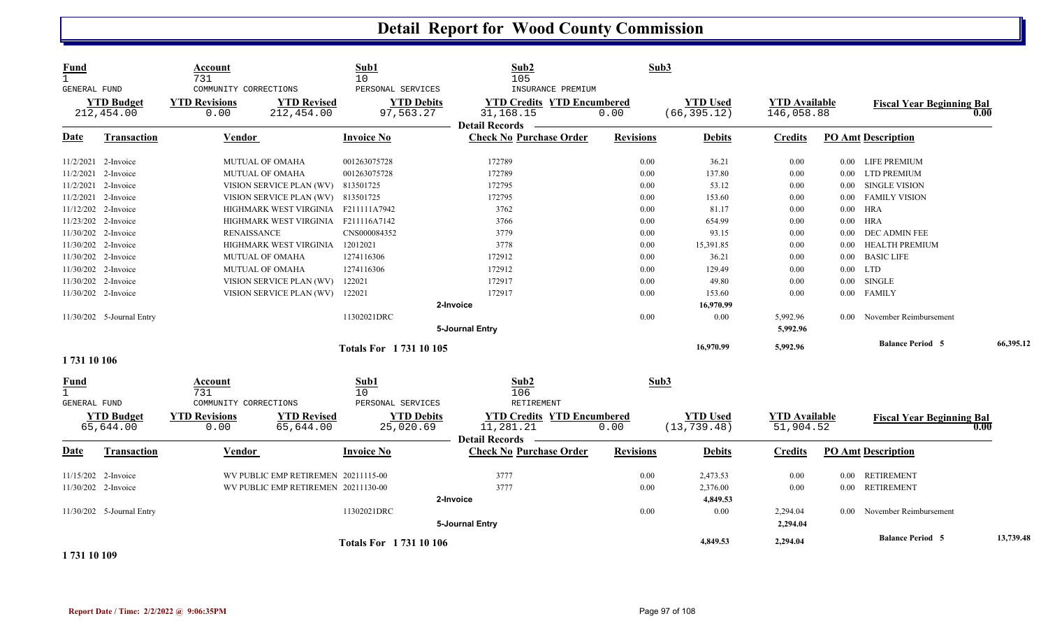| <b>Fund</b><br>$\mathbf{1}$<br><b>GENERAL FUND</b> |                                 | Account<br>731<br>COMMUNITY CORRECTIONS |                                     | Sub1<br>10<br>PERSONAL SERVICES | Sub2<br>105<br>INSURANCE PREMIUM                                        | Sub3             |                                 |                                    |                |                                  |           |
|----------------------------------------------------|---------------------------------|-----------------------------------------|-------------------------------------|---------------------------------|-------------------------------------------------------------------------|------------------|---------------------------------|------------------------------------|----------------|----------------------------------|-----------|
|                                                    | <b>YTD Budget</b><br>212,454.00 | <b>YTD Revisions</b><br>0.00            | <b>YTD Revised</b><br>212,454.00    | <b>YTD Debits</b><br>97,563.27  | <b>YTD Credits YTD Encumbered</b><br>31,168.15<br><b>Detail Records</b> | 0.00             | <b>YTD Used</b><br>(66, 395.12) | <b>YTD Available</b><br>146,058.88 |                | <b>Fiscal Year Beginning Bal</b> | 0.00      |
| Date                                               | <b>Transaction</b>              | Vendor                                  |                                     | <b>Invoice No</b>               | <b>Check No Purchase Order</b>                                          | <b>Revisions</b> | <b>Debits</b>                   | <b>Credits</b>                     |                | <b>PO Amt Description</b>        |           |
|                                                    | 11/2/2021 2-Invoice             |                                         | MUTUAL OF OMAHA                     | 001263075728                    | 172789                                                                  | 0.00             | 36.21                           | 0.00                               |                | 0.00 LIFE PREMIUM                |           |
|                                                    | 11/2/2021 2-Invoice             |                                         | <b>MUTUAL OF OMAHA</b>              | 001263075728                    | 172789                                                                  | 0.00             | 137.80                          | 0.00                               | 0.00           | <b>LTD PREMIUM</b>               |           |
|                                                    | 11/2/2021 2-Invoice             |                                         | VISION SERVICE PLAN (WV)            | 813501725                       | 172795                                                                  | 0.00             | 53.12                           | $0.00\,$                           | $0.00\,$       | SINGLE VISION                    |           |
|                                                    | 11/2/2021 2-Invoice             |                                         | VISION SERVICE PLAN (WV) 813501725  |                                 | 172795                                                                  | 0.00             | 153.60                          | 0.00                               | $0.00\,$       | <b>FAMILY VISION</b>             |           |
|                                                    | 11/12/202 2-Invoice             |                                         | HIGHMARK WEST VIRGINIA F211111A7942 |                                 | 3762                                                                    | 0.00             | 81.17                           | 0.00                               | $0.00\,$       | <b>HRA</b>                       |           |
|                                                    | 11/23/202 2-Invoice             |                                         | HIGHMARK WEST VIRGINIA F211116A7142 |                                 | 3766                                                                    | 0.00             | 654.99                          | 0.00                               | $0.00\,$       | <b>HRA</b>                       |           |
|                                                    | 11/30/202 2-Invoice             | <b>RENAISSANCE</b>                      |                                     | CNS000084352                    | 3779                                                                    | 0.00             | 93.15                           | 0.00                               | $0.00\,$       | <b>DEC ADMIN FEE</b>             |           |
|                                                    | 11/30/202 2-Invoice             |                                         | HIGHMARK WEST VIRGINIA              | 12012021                        | 3778                                                                    | 0.00             | 15,391.85                       | $0.00\,$                           | $0.00\,$       | <b>HEALTH PREMIUM</b>            |           |
|                                                    | 11/30/202 2-Invoice             |                                         | <b>MUTUAL OF OMAHA</b>              | 1274116306                      | 172912                                                                  | 0.00             | 36.21                           | 0.00                               | $0.00\,$       | <b>BASIC LIFE</b>                |           |
|                                                    | 11/30/202 2-Invoice             |                                         | <b>MUTUAL OF OMAHA</b>              | 1274116306                      | 172912                                                                  | 0.00             | 129.49                          | 0.00                               |                | $0.00$ LTD                       |           |
|                                                    | 11/30/202 2-Invoice             |                                         | VISION SERVICE PLAN (WV)            | 122021                          | 172917                                                                  | 0.00             | 49.80                           | 0.00                               | $0.00\,$       | <b>SINGLE</b>                    |           |
|                                                    | 11/30/202 2-Invoice             |                                         | VISION SERVICE PLAN (WV)            | 122021                          | 172917                                                                  | 0.00             | 153.60                          | 0.00                               |                | 0.00 FAMILY                      |           |
|                                                    |                                 |                                         |                                     |                                 | 2-Invoice                                                               |                  | 16,970.99                       |                                    |                |                                  |           |
|                                                    | 11/30/202 5-Journal Entry       |                                         |                                     | 11302021DRC                     |                                                                         | 0.00             | 0.00                            | 5,992.96                           |                | 0.00 November Reimbursement      |           |
|                                                    |                                 |                                         |                                     |                                 | 5-Journal Entry                                                         |                  |                                 | 5,992.96                           |                |                                  |           |
|                                                    |                                 |                                         |                                     | Totals For 1731 10 105          |                                                                         |                  | 16,970.99                       | 5,992.96                           |                | <b>Balance Period 5</b>          | 66,395.12 |
| 1731 10 106                                        |                                 |                                         |                                     |                                 |                                                                         |                  |                                 |                                    |                |                                  |           |
| <b>Fund</b><br>$\mathbf{1}$<br>GENERAL FUND        |                                 | Account<br>731<br>COMMUNITY CORRECTIONS |                                     | Sub1<br>10<br>PERSONAL SERVICES | Sub2<br>106<br>RETIREMENT                                               | Sub3             |                                 |                                    |                |                                  |           |
|                                                    | <b>YTD Budget</b><br>65,644.00  | <b>YTD Revisions</b><br>0.00            | <b>YTD Revised</b><br>65,644.00     | <b>YTD Debits</b><br>25,020.69  | <b>YTD Credits YTD Encumbered</b><br>11,281.21<br><b>Detail Records</b> | 0.00             | <b>YTD Used</b><br>(13, 739.48) | <b>YTD Available</b><br>51,904.52  |                | <b>Fiscal Year Beginning Bal</b> | 0.00      |
| Date                                               | <b>Transaction</b>              | Vendor                                  |                                     | <b>Invoice No</b>               | <b>Check No Purchase Order</b>                                          | <b>Revisions</b> | <b>Debits</b>                   | <b>Credits</b>                     |                | <b>PO Amt Description</b>        |           |
|                                                    | 11/15/202 2-Invoice             |                                         | WV PUBLIC EMP RETIREMEN 20211115-00 |                                 | 3777                                                                    | 0.00             | 2,473.53                        | 0.00                               |                | 0.00 RETIREMENT                  |           |
|                                                    | 11/30/202 2-Invoice             |                                         | WV PUBLIC EMP RETIREMEN 20211130-00 |                                 | 3777                                                                    | 0.00             | 2,376.00                        | 0.00                               |                | 0.00 RETIREMENT                  |           |
|                                                    |                                 |                                         |                                     |                                 | 2-Invoice                                                               |                  | 4,849.53                        |                                    |                |                                  |           |
|                                                    | 11/30/202 5-Journal Entry       |                                         |                                     | 11302021DRC                     |                                                                         | 0.00             | 0.00                            | 2,294.04                           | $0.00^{\circ}$ | November Reimbursement           |           |
|                                                    |                                 |                                         |                                     |                                 | 5-Journal Entry                                                         |                  |                                 | 2,294.04                           |                |                                  |           |
|                                                    |                                 |                                         |                                     |                                 |                                                                         |                  |                                 |                                    |                | <b>Balance Period 5</b>          | 13,739.48 |
| .                                                  |                                 |                                         |                                     | Totals For 1731 10 106          |                                                                         |                  | 4,849.53                        | 2,294.04                           |                |                                  |           |

**1 731 10 109**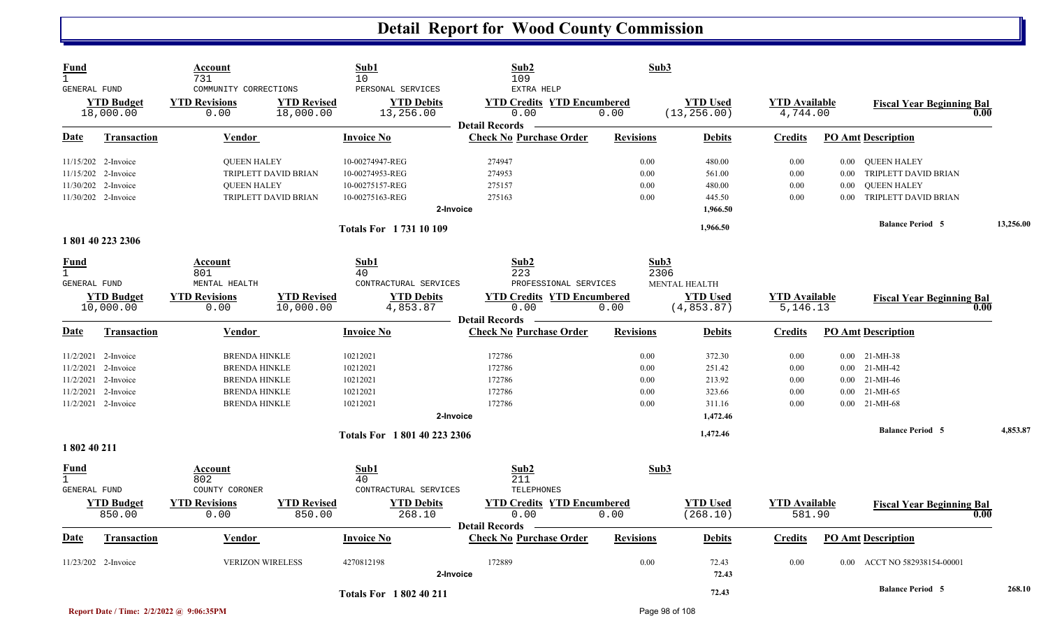| Fund<br>$\mathbf{1}$<br>GENERAL FUND               |                                                                                                                 | Account<br>731<br>COMMUNITY CORRECTIONS                                                                              |                                              | Sub1<br>10<br>PERSONAL SERVICES                                          | Sub2<br>109<br>EXTRA HELP                                                                                  | Sub3                                     |                                                  |                                      |                              |                                                                                        |           |
|----------------------------------------------------|-----------------------------------------------------------------------------------------------------------------|----------------------------------------------------------------------------------------------------------------------|----------------------------------------------|--------------------------------------------------------------------------|------------------------------------------------------------------------------------------------------------|------------------------------------------|--------------------------------------------------|--------------------------------------|------------------------------|----------------------------------------------------------------------------------------|-----------|
|                                                    | <b>YTD Budget</b><br>18,000.00                                                                                  | <b>YTD Revisions</b><br>0.00                                                                                         | <b>YTD Revised</b><br>18,000.00              | <b>YTD Debits</b><br>13,256.00                                           | <b>YTD Credits YTD Encumbered</b><br>0.00                                                                  | 0.00                                     | <b>YTD</b> Used<br>(13, 256.00)                  | <b>YTD</b> Available<br>4,744.00     |                              | <b>Fiscal Year Beginning Bal</b><br>0.00                                               |           |
| <b>Date</b>                                        | <b>Transaction</b>                                                                                              | <b>Vendor</b>                                                                                                        |                                              | Invoice No                                                               | <b>Detail Records</b><br><b>Check No Purchase Order</b>                                                    | <b>Revisions</b>                         | <b>Debits</b>                                    | <b>Credits</b>                       |                              | <b>PO Amt Description</b>                                                              |           |
|                                                    | 11/15/202 2-Invoice<br>11/15/202 2-Invoice<br>11/30/202 2-Invoice<br>11/30/202 2-Invoice                        | <b>QUEEN HALEY</b><br><b>QUEEN HALEY</b>                                                                             | TRIPLETT DAVID BRIAN<br>TRIPLETT DAVID BRIAN | 10-00274947-REG<br>10-00274953-REG<br>10-00275157-REG<br>10-00275163-REG | 274947<br>274953<br>275157<br>275163<br>2-Invoice                                                          | 0.00<br>0.00<br>0.00<br>0.00             | 480.00<br>561.00<br>480.00<br>445.50<br>1,966.50 | 0.00<br>0.00<br>0.00<br>0.00         | $0.00\,$<br>0.00<br>$0.00 -$ | 0.00 QUEEN HALEY<br>TRIPLETT DAVID BRIAN<br><b>QUEEN HALEY</b><br>TRIPLETT DAVID BRIAN |           |
|                                                    | 1801402232306                                                                                                   |                                                                                                                      |                                              | <b>Totals For 173110109</b>                                              |                                                                                                            |                                          | 1,966.50                                         |                                      |                              | <b>Balance Period 5</b>                                                                | 13,256.00 |
| Fund<br>$\mathbf{1}$<br>GENERAL FUND               | <b>YTD Budget</b><br>10,000.00                                                                                  | Account<br>801<br>MENTAL HEALTH<br><b>YTD Revisions</b><br>0.00                                                      | <b>YTD Revised</b><br>10,000.00              | Sub1<br>40<br>CONTRACTURAL SERVICES<br><b>YTD Debits</b><br>4,853.87     | Sub2<br>223<br>PROFESSIONAL SERVICES<br><b>YTD Credits YTD Encumbered</b><br>0.00<br><b>Detail Records</b> | Sub3<br>2306<br>0.00                     | MENTAL HEALTH<br><b>YTD Used</b><br>(4, 853.87)  | <b>YTD</b> Available<br>5,146.13     |                              | <b>Fiscal Year Beginning Bal</b><br>0.00                                               |           |
| Date                                               | <b>Transaction</b>                                                                                              | Vendor                                                                                                               |                                              | <b>Invoice No</b>                                                        | <b>Check No Purchase Order</b>                                                                             | <b>Revisions</b>                         | <b>Debits</b>                                    | <b>Credits</b>                       |                              | <b>PO Amt Description</b>                                                              |           |
|                                                    | 11/2/2021 2-Invoice<br>11/2/2021 2-Invoice<br>11/2/2021 2-Invoice<br>11/2/2021 2-Invoice<br>11/2/2021 2-Invoice | <b>BRENDA HINKLE</b><br><b>BRENDA HINKLE</b><br><b>BRENDA HINKLE</b><br><b>BRENDA HINKLE</b><br><b>BRENDA HINKLE</b> |                                              | 10212021<br>10212021<br>10212021<br>10212021<br>10212021                 | 172786<br>172786<br>172786<br>172786<br>172786                                                             | 0.00<br>$0.00\,$<br>0.00<br>0.00<br>0.00 | 372.30<br>251.42<br>213.92<br>323.66<br>311.16   | 0.00<br>0.00<br>0.00<br>0.00<br>0.00 | $0.00\,$                     | $0.00$ 21-MH-38<br>$0.00$ 21-MH-42<br>$0.00$ 21-MH-46<br>21-MH-65<br>$0.00$ 21-MH-68   |           |
|                                                    |                                                                                                                 |                                                                                                                      |                                              | Totals For 1801 40 223 2306                                              | 2-Invoice                                                                                                  |                                          | 1,472.46<br>1,472.46                             |                                      |                              | <b>Balance Period 5</b>                                                                | 4,853.87  |
| 1 802 40 211                                       |                                                                                                                 |                                                                                                                      |                                              |                                                                          |                                                                                                            |                                          |                                                  |                                      |                              |                                                                                        |           |
| <b>Fund</b><br>$\mathbf{1}$<br><b>GENERAL FUND</b> |                                                                                                                 | Account<br>802<br>COUNTY CORONER                                                                                     |                                              | Sub1<br>40<br>CONTRACTURAL SERVICES                                      | Sub2<br>211<br>TELEPHONES                                                                                  | Sub3                                     |                                                  |                                      |                              |                                                                                        |           |
|                                                    | <b>YTD Budget</b><br>850.00                                                                                     | <b>YTD Revisions</b><br>0.00                                                                                         | <b>YTD Revised</b><br>850.00                 | <b>YTD Debits</b><br>268.10                                              | <b>YTD Credits YTD Encumbered</b><br>0.00<br><b>Detail Records</b>                                         | 0.00                                     | <b>YTD Used</b><br>(268.10)                      | <b>YTD</b> Available<br>581.90       |                              | <b>Fiscal Year Beginning Bal</b><br>0.00                                               |           |
| Date                                               | <b>Transaction</b>                                                                                              | <b>Vendor</b>                                                                                                        |                                              | <b>Invoice No</b>                                                        | <b>Check No Purchase Order</b>                                                                             | <b>Revisions</b>                         | <b>Debits</b>                                    | <b>Credits</b>                       |                              | <b>PO Amt Description</b>                                                              |           |
|                                                    | 11/23/202 2-Invoice                                                                                             | <b>VERIZON WIRELESS</b>                                                                                              |                                              | 4270812198                                                               | 172889<br>2-Invoice                                                                                        | 0.00                                     | 72.43<br>72.43                                   | 0.00                                 | $0.00\,$                     | ACCT NO 582938154-00001                                                                |           |
|                                                    |                                                                                                                 |                                                                                                                      |                                              | <b>Totals For 1802 40 211</b>                                            |                                                                                                            |                                          | 72.43                                            |                                      |                              | <b>Balance Period 5</b>                                                                | 268.10    |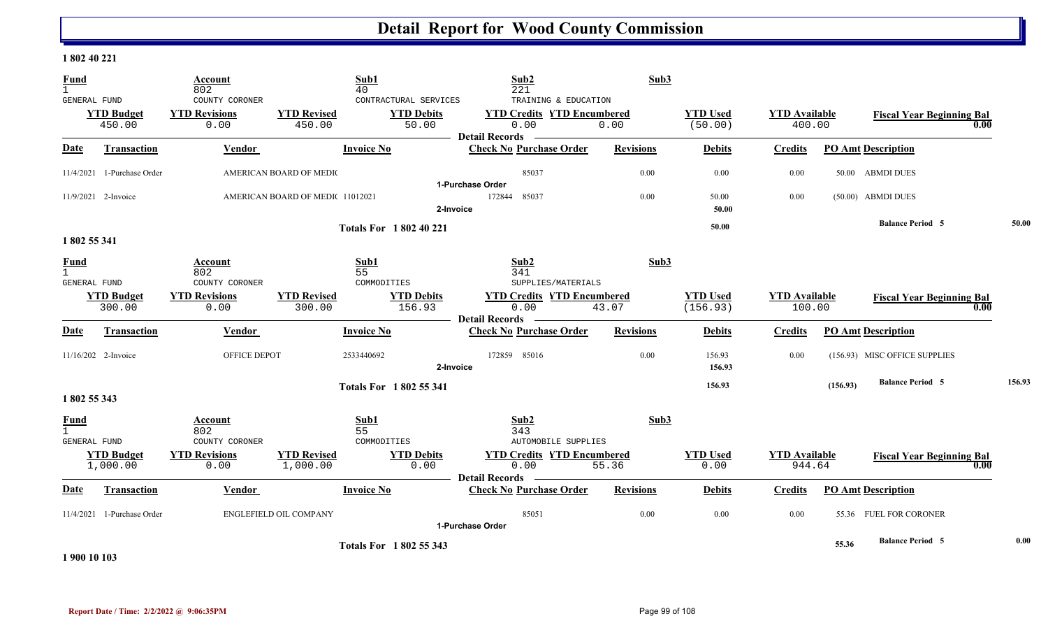#### **1 802 40 221**

| <b>Fund</b><br>$\mathbf{1}$                 |                               | <b>Account</b><br>802                          |                                 | Sub1<br>40                                          | Sub <sub>2</sub><br>221                                                                    | Sub3             |                             |                                |          |                                          |        |
|---------------------------------------------|-------------------------------|------------------------------------------------|---------------------------------|-----------------------------------------------------|--------------------------------------------------------------------------------------------|------------------|-----------------------------|--------------------------------|----------|------------------------------------------|--------|
| <b>GENERAL FUND</b>                         | <b>YTD Budget</b><br>450.00   | COUNTY CORONER<br><b>YTD Revisions</b><br>0.00 | <b>YTD Revised</b><br>450.00    | CONTRACTURAL SERVICES<br><b>YTD Debits</b><br>50.00 | TRAINING & EDUCATION<br><b>YTD Credits YTD Encumbered</b><br>0.00<br><b>Detail Records</b> | 0.00             | <b>YTD Used</b><br>(50.00)  | <b>YTD</b> Available<br>400.00 |          | <b>Fiscal Year Beginning Bal</b><br>0.00 |        |
| <b>Date</b>                                 | <b>Transaction</b>            | <b>Vendor</b>                                  |                                 | <b>Invoice No</b>                                   | <b>Check No Purchase Order</b>                                                             | <b>Revisions</b> | <b>Debits</b>               | <b>Credits</b>                 |          | <b>PO Amt Description</b>                |        |
|                                             | $11/4/2021$ 1-Purchase Order  |                                                | AMERICAN BOARD OF MEDIO         |                                                     | 85037                                                                                      | 0.00             | 0.00                        | 0.00                           |          | 50.00 ABMDI DUES                         |        |
|                                             | 11/9/2021 2-Invoice           |                                                | AMERICAN BOARD OF MEDI(11012021 |                                                     | 1-Purchase Order<br>172844<br>85037<br>2-Invoice                                           | 0.00             | 50.00<br>50.00              | 0.00                           |          | (50.00) ABMDI DUES                       |        |
|                                             |                               |                                                |                                 | <b>Totals For 1802 40 221</b>                       |                                                                                            |                  | 50.00                       |                                |          | <b>Balance Period 5</b>                  | 50.00  |
| 1802 55 341<br><b>Fund</b><br>GENERAL FUND  |                               | Account<br>802<br>COUNTY CORONER               |                                 | Sub1<br>55<br>COMMODITIES                           | Sub2<br>341<br>SUPPLIES/MATERIALS                                                          | Sub3             |                             |                                |          |                                          |        |
|                                             | <b>YTD Budget</b><br>300.00   | <b>YTD Revisions</b><br>0.00                   | <b>YTD Revised</b><br>300.00    | <b>YTD Debits</b><br>156.93                         | <b>YTD Credits YTD Encumbered</b><br>0.00                                                  | 43.07            | <b>YTD Used</b><br>(156.93) | <b>YTD</b> Available<br>100.00 |          | <b>Fiscal Year Beginning Bal</b><br>0.00 |        |
| Date                                        | <b>Transaction</b>            | Vendor                                         |                                 | <b>Invoice No</b>                                   | <b>Detail Records</b><br><b>Check No Purchase Order</b>                                    | <b>Revisions</b> | <b>Debits</b>               | <b>Credits</b>                 |          | <b>PO Amt Description</b>                |        |
|                                             | 11/16/202 2-Invoice           | OFFICE DEPOT                                   |                                 | 2533440692<br>2-Invoice                             | 172859 85016                                                                               | 0.00             | 156.93<br>156.93            | 0.00                           |          | (156.93) MISC OFFICE SUPPLIES            |        |
| 1 802 55 343                                |                               |                                                |                                 | <b>Totals For 1802 55 341</b>                       |                                                                                            |                  | 156.93                      |                                | (156.93) | <b>Balance Period 5</b>                  | 156.93 |
| <b>Fund</b><br>$\mathbf{1}$<br>GENERAL FUND |                               | Account<br>802<br>COUNTY CORONER               |                                 | Sub1<br>55<br>COMMODITIES                           | Sub2<br>343<br><b>AUTOMOBILE SUPPLIES</b>                                                  | Sub3             |                             |                                |          |                                          |        |
|                                             | <b>YTD Budget</b><br>1,000.00 | <b>YTD Revisions</b><br>0.00                   | <b>YTD Revised</b><br>1,000.00  | <b>YTD Debits</b><br>0.00                           | <b>YTD Credits YTD Encumbered</b><br>0.00<br>Detail Records -                              | 55.36            | <b>YTD Used</b><br>0.00     | <b>YTD Available</b><br>944.64 |          | <b>Fiscal Year Beginning Bal</b><br>0.00 |        |
| Date                                        | <b>Transaction</b>            | Vendor                                         |                                 | <b>Invoice No</b>                                   | <b>Check No Purchase Order</b>                                                             | <b>Revisions</b> | <b>Debits</b>               | <b>Credits</b>                 |          | <b>PO Amt Description</b>                |        |
|                                             | 11/4/2021 1-Purchase Order    |                                                | ENGLEFIELD OIL COMPANY          |                                                     | 85051<br>1-Purchase Order                                                                  | 0.00             | 0.00                        | 0.00                           |          | 55.36 FUEL FOR CORONER                   |        |
|                                             |                               |                                                |                                 | <b>Totals For 1802 55 343</b>                       |                                                                                            |                  |                             |                                | 55.36    | <b>Balance Period 5</b>                  | 0.00   |

**1 900 10 103**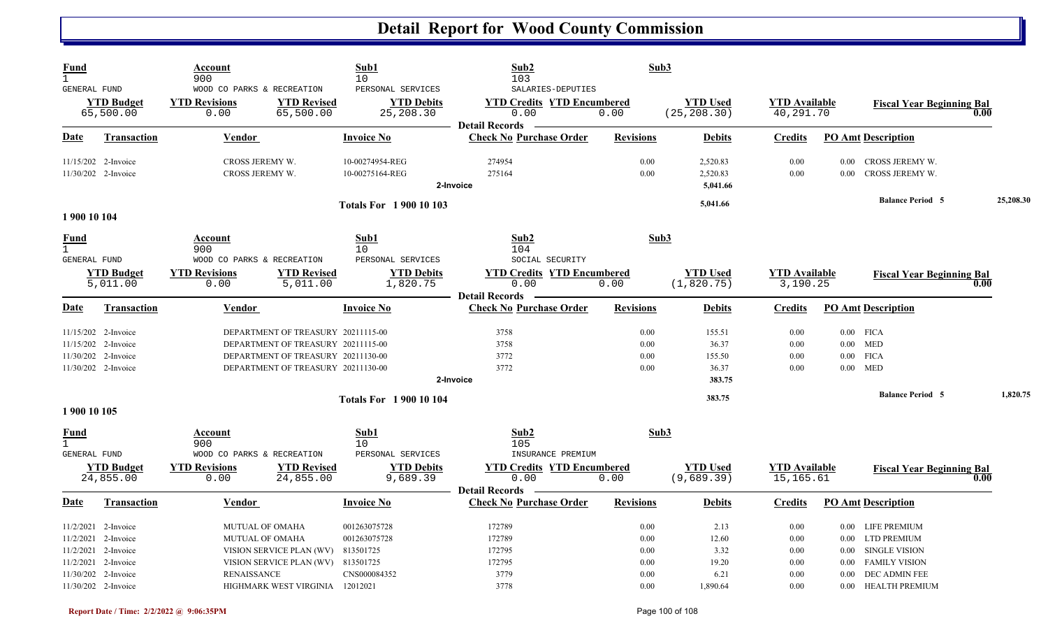| <b>Fund</b><br>$\mathbf{1}$<br>GENERAL FUND                                                                                              | Account<br>900<br>WOOD CO PARKS & RECREATION                                                                                                                         | Sub1<br>10<br>PERSONAL SERVICES                                  | Sub2<br>103<br>SALARIES-DEPUTIES                                              | Sub3                                 |                                              |                                          |                                                     |                                                                                            |           |
|------------------------------------------------------------------------------------------------------------------------------------------|----------------------------------------------------------------------------------------------------------------------------------------------------------------------|------------------------------------------------------------------|-------------------------------------------------------------------------------|--------------------------------------|----------------------------------------------|------------------------------------------|-----------------------------------------------------|--------------------------------------------------------------------------------------------|-----------|
| <b>YTD Budget</b><br>65,500.00                                                                                                           | <b>YTD Revisions</b><br><b>YTD Revised</b><br>0.00<br>65,500.00                                                                                                      | <b>YTD Debits</b><br>25,208.30                                   | <b>YTD Credits YTD Encumbered</b><br>0.00<br><b>Detail Records</b>            | 0.00                                 | <b>YTD</b> Used<br>(25, 208.30)              | <b>YTD</b> Available<br>40,291.70        |                                                     | <b>Fiscal Year Beginning Bal</b><br>0.00                                                   |           |
| Date<br><b>Transaction</b>                                                                                                               | <b>Vendor</b>                                                                                                                                                        | <b>Invoice No</b>                                                | <b>Check No Purchase Order</b>                                                | <b>Revisions</b>                     | <b>Debits</b>                                | <b>Credits</b>                           |                                                     | <b>PO Amt Description</b>                                                                  |           |
| 11/15/202 2-Invoice<br>11/30/202 2-Invoice                                                                                               | CROSS JEREMY W.<br>CROSS JEREMY W.                                                                                                                                   | 10-00274954-REG<br>10-00275164-REG                               | 274954<br>275164<br>2-Invoice                                                 | 0.00<br>0.00                         | 2,520.83<br>2,520.83<br>5,041.66             | 0.00<br>0.00                             | 0.00<br>0.00                                        | CROSS JEREMY W.<br>CROSS JEREMY W.                                                         |           |
| 1 900 10 104                                                                                                                             |                                                                                                                                                                      | <b>Totals For 1900 10 103</b>                                    |                                                                               |                                      | 5,041.66                                     |                                          |                                                     | <b>Balance Period 5</b>                                                                    | 25,208.30 |
| <u>Fund</u><br>$\mathbf{1}$<br>GENERAL FUND                                                                                              | Account<br>900<br>WOOD CO PARKS & RECREATION                                                                                                                         | Sub1<br>10 <sup>°</sup><br>PERSONAL SERVICES                     | Sub2<br>104<br>SOCIAL SECURITY                                                | Sub3                                 |                                              |                                          |                                                     |                                                                                            |           |
| <b>YTD Budget</b><br>5,011.00                                                                                                            | <b>YTD Revisions</b><br><b>YTD Revised</b><br>0.00<br>5,011.00                                                                                                       | <b>YTD Debits</b><br>1,820.75                                    | <b>YTD Credits YTD Encumbered</b><br>0.00<br><b>Detail Records</b>            | 0.00                                 | <b>YTD</b> Used<br>(1, 820.75)               | <b>YTD</b> Available<br>3,190.25         |                                                     | <b>Fiscal Year Beginning Bal</b><br>0.00                                                   |           |
| Date<br><b>Transaction</b>                                                                                                               | <b>Vendor</b>                                                                                                                                                        | <b>Invoice No</b>                                                | <b>Check No Purchase Order</b>                                                | <b>Revisions</b>                     | <b>Debits</b>                                | <b>Credits</b>                           |                                                     | <b>PO Amt Description</b>                                                                  |           |
| 11/15/202 2-Invoice<br>11/15/202 2-Invoice<br>11/30/202 2-Invoice<br>11/30/202 2-Invoice                                                 | DEPARTMENT OF TREASURY 20211115-00<br>DEPARTMENT OF TREASURY 20211115-00<br>DEPARTMENT OF TREASURY 20211130-00<br>DEPARTMENT OF TREASURY 20211130-00                 |                                                                  | 3758<br>3758<br>3772<br>3772<br>2-Invoice                                     | 0.00<br>0.00<br>0.00<br>0.00         | 155.51<br>36.37<br>155.50<br>36.37<br>383.75 | 0.00<br>0.00<br>0.00<br>0.00             | $0.00$ FICA<br>$0.00$ MED<br>$0.00\,$<br>$0.00$ MED | <b>FICA</b>                                                                                |           |
| 1 900 10 105                                                                                                                             |                                                                                                                                                                      | <b>Totals For 190010104</b>                                      |                                                                               |                                      | 383.75                                       |                                          |                                                     | <b>Balance Period 5</b>                                                                    | 1,820.75  |
| <u>Fund</u><br>$\mathbf{1}$<br>GENERAL FUND<br><b>YTD Budget</b><br>24,855.00                                                            | Account<br>900<br>WOOD CO PARKS & RECREATION<br><b>YTD Revisions</b><br><b>YTD Revised</b><br>24,855.00<br>0.00                                                      | Sub1<br>10<br>PERSONAL SERVICES<br><b>YTD Debits</b><br>9,689.39 | Sub2<br>105<br>INSURANCE PREMIUM<br><b>YTD Credits YTD Encumbered</b><br>0.00 | Sub3<br>0.00                         | <b>YTD</b> Used<br>(9,689.39)                | <b>YTD</b> Available<br>15,165.61        |                                                     | <b>Fiscal Year Beginning Bal</b><br>0.00                                                   |           |
| Transaction<br>Date                                                                                                                      | Vendor                                                                                                                                                               | <b>Invoice No</b>                                                | <b>Detail Records</b><br><b>Check No Purchase Order</b>                       | <b>Revisions</b>                     | <b>Debits</b>                                | <b>Credits</b>                           |                                                     | <b>PO Amt Description</b>                                                                  |           |
| $11/2/2021$ 2-Invoice<br>11/2/2021 2-Invoice<br>11/2/2021 2-Invoice<br>11/2/2021 2-Invoice<br>11/30/202 2-Invoice<br>11/30/202 2-Invoice | <b>MUTUAL OF OMAHA</b><br>MUTUAL OF OMAHA<br>VISION SERVICE PLAN (WV)<br>VISION SERVICE PLAN (WV) 813501725<br><b>RENAISSANCE</b><br>HIGHMARK WEST VIRGINIA 12012021 | 001263075728<br>001263075728<br>813501725<br>CNS000084352        | 172789<br>172789<br>172795<br>172795<br>3779                                  | 0.00<br>0.00<br>0.00<br>0.00<br>0.00 | 2.13<br>12.60<br>3.32<br>19.20<br>6.21       | $0.00\,$<br>0.00<br>0.00<br>0.00<br>0.00 | $0.00\,$<br>$0.00\,$<br>$0.00\,$<br>0.00            | 0.00 LIFE PREMIUM<br>LTD PREMIUM<br>SINGLE VISION<br><b>FAMILY VISION</b><br>DEC ADMIN FEE |           |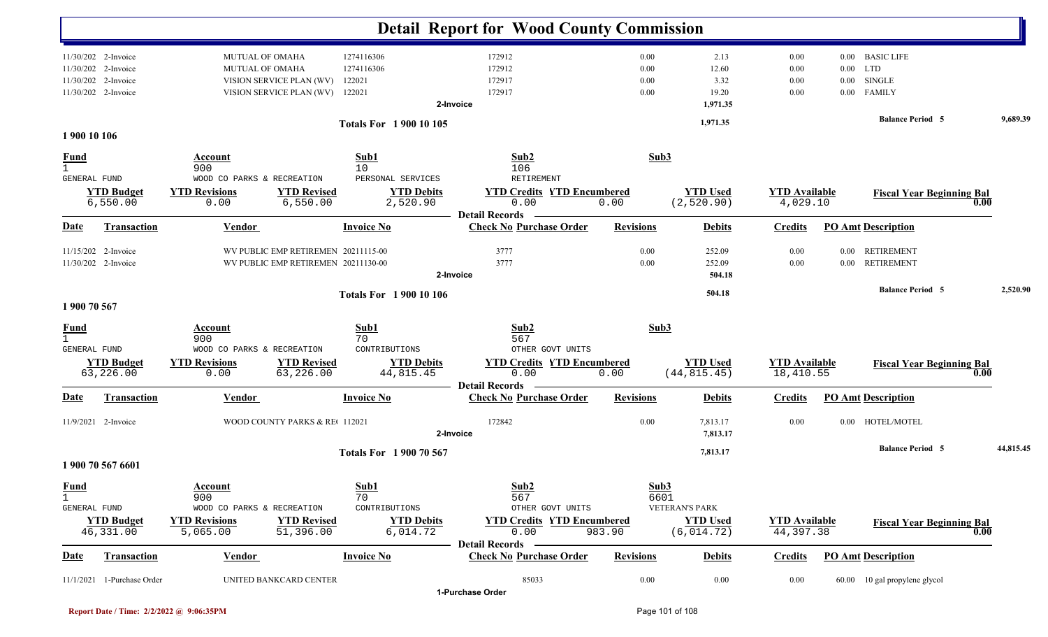|                             |                                                                                          |                                                                                         |                                                                            |                                                              | <b>Detail Report for Wood County Commission</b>                                                       |                              |                                                  |                                   |                              |                                                                 |           |
|-----------------------------|------------------------------------------------------------------------------------------|-----------------------------------------------------------------------------------------|----------------------------------------------------------------------------|--------------------------------------------------------------|-------------------------------------------------------------------------------------------------------|------------------------------|--------------------------------------------------|-----------------------------------|------------------------------|-----------------------------------------------------------------|-----------|
|                             | 11/30/202 2-Invoice<br>11/30/202 2-Invoice<br>11/30/202 2-Invoice<br>11/30/202 2-Invoice | <b>MUTUAL OF OMAHA</b><br><b>MUTUAL OF OMAHA</b><br>VISION SERVICE PLAN (WV)            | VISION SERVICE PLAN (WV)                                                   | 1274116306<br>1274116306<br>122021<br>122021                 | 172912<br>172912<br>172917<br>172917<br>2-Invoice                                                     | 0.00<br>0.00<br>0.00<br>0.00 | 2.13<br>12.60<br>3.32<br>19.20<br>1,971.35       | 0.00<br>0.00<br>0.00<br>0.00      | $0.00\,$<br>0.00<br>$0.00\,$ | 0.00 BASIC LIFE<br><b>LTD</b><br><b>SINGLE</b><br><b>FAMILY</b> |           |
|                             | 1 900 10 106                                                                             |                                                                                         |                                                                            | <b>Totals For 190010105</b>                                  |                                                                                                       |                              | 1,971.35                                         |                                   |                              | <b>Balance Period 5</b>                                         | 9,689.39  |
| $\frac{Fund}{1}$            | GENERAL FUND                                                                             | Account<br>900<br>WOOD CO PARKS & RECREATION                                            |                                                                            | Sub1<br>10<br>PERSONAL SERVICES                              | Sub2<br>106<br>RETIREMENT                                                                             | Sub3                         |                                                  |                                   |                              |                                                                 |           |
|                             | <b>YTD Budget</b><br>6,550.00                                                            | <b>YTD Revisions</b><br>0.00                                                            | <b>YTD Revised</b><br>6,550.00                                             | <b>YTD Debits</b><br>2,520.90                                | <b>YTD Credits YTD Encumbered</b><br>0.00<br><b>Detail Records</b>                                    | 0.00                         | <b>YTD Used</b><br>(2, 520.90)                   | <b>YTD Available</b><br>4,029.10  |                              | <b>Fiscal Year Beginning Bal</b><br>0.00                        |           |
| Date                        | <b>Transaction</b>                                                                       | <b>Vendor</b>                                                                           |                                                                            | <b>Invoice No</b>                                            | <b>Check No Purchase Order</b>                                                                        | <b>Revisions</b>             | <b>Debits</b>                                    | <b>Credits</b>                    |                              | <b>PO Amt Description</b>                                       |           |
|                             | 11/15/202 2-Invoice<br>11/30/202 2-Invoice                                               |                                                                                         | WV PUBLIC EMP RETIREMEN 20211115-00<br>WV PUBLIC EMP RETIREMEN 20211130-00 |                                                              | 3777<br>3777<br>2-Invoice                                                                             | 0.00<br>0.00                 | 252.09<br>252.09<br>504.18                       | 0.00<br>0.00                      | 0.00<br>0.00                 | <b>RETIREMENT</b><br><b>RETIREMENT</b>                          |           |
| 1 900 70 567                |                                                                                          |                                                                                         |                                                                            | <b>Totals For 1 900 10 106</b>                               |                                                                                                       |                              | 504.18                                           |                                   |                              | <b>Balance Period 5</b>                                         | 2,520.90  |
| <b>Fund</b><br>$\mathbf{1}$ | GENERAL FUND                                                                             | Account<br>900<br>WOOD CO PARKS & RECREATION                                            |                                                                            | Sub1<br>70<br>CONTRIBUTIONS                                  | Sub2<br>567<br>OTHER GOVT UNITS                                                                       | Sub3                         |                                                  |                                   |                              |                                                                 |           |
|                             | <b>YTD Budget</b><br>63,226.00                                                           | <b>YTD Revisions</b><br>0.00                                                            | <b>YTD Revised</b><br>63,226.00                                            | <b>YTD Debits</b><br>44,815.45                               | <b>YTD Credits YTD Encumbered</b><br>0.00<br><b>Detail Records</b>                                    | 0.00                         | <b>YTD Used</b><br>(44, 815.45)                  | <b>YTD</b> Available<br>18,410.55 |                              | <b>Fiscal Year Beginning Bal</b><br>0.00                        |           |
| Date                        | <b>Transaction</b>                                                                       | Vendor                                                                                  |                                                                            | <b>Invoice No</b>                                            | <b>Check No Purchase Order</b>                                                                        | <b>Revisions</b>             | <b>Debits</b>                                    | <b>Credits</b>                    |                              | <b>PO Amt Description</b>                                       |           |
|                             | 11/9/2021 2-Invoice                                                                      |                                                                                         | WOOD COUNTY PARKS & RE 112021                                              |                                                              | 172842<br>2-Invoice                                                                                   | 0.00                         | 7,813.17<br>7,813.17                             | 0.00                              |                              | 0.00 HOTEL/MOTEL                                                |           |
|                             | 1 900 70 567 6601                                                                        |                                                                                         |                                                                            | <b>Totals For 1900 70 567</b>                                |                                                                                                       |                              | 7,813.17                                         |                                   |                              | <b>Balance Period 5</b>                                         | 44,815.45 |
| <b>Fund</b><br>$\mathbf{1}$ | GENERAL FUND<br><b>YTD Budget</b><br>46,331.00                                           | <b>Account</b><br>900<br>WOOD CO PARKS & RECREATION<br><b>YTD Revisions</b><br>5,065.00 | <b>YTD Revised</b><br>51,396.00                                            | Sub1<br>70<br>CONTRIBUTIONS<br><b>YTD Debits</b><br>6,014.72 | Sub2<br>567<br>OTHER GOVT UNITS<br><b>YTD Credits YTD Encumbered</b><br>0.00<br><b>Detail Records</b> | Sub3<br>6601<br>983.90       | VETERAN'S PARK<br><b>YTD Used</b><br>(6, 014.72) | <b>YTD Available</b><br>44,397.38 |                              | <b>Fiscal Year Beginning Bal</b><br>0.00                        |           |
| <b>Date</b>                 | <b>Transaction</b>                                                                       | <b>Vendor</b>                                                                           |                                                                            | <b>Invoice No</b>                                            | <b>Check No Purchase Order</b>                                                                        | <b>Revisions</b>             | <b>Debits</b>                                    | <b>Credits</b>                    |                              | <b>PO Amt Description</b>                                       |           |
|                             | 11/1/2021 1-Purchase Order                                                               |                                                                                         | UNITED BANKCARD CENTER                                                     |                                                              | 85033<br>1-Purchase Order                                                                             | 0.00                         | 0.00                                             | 0.00                              |                              | 60.00 10 gal propylene glycol                                   |           |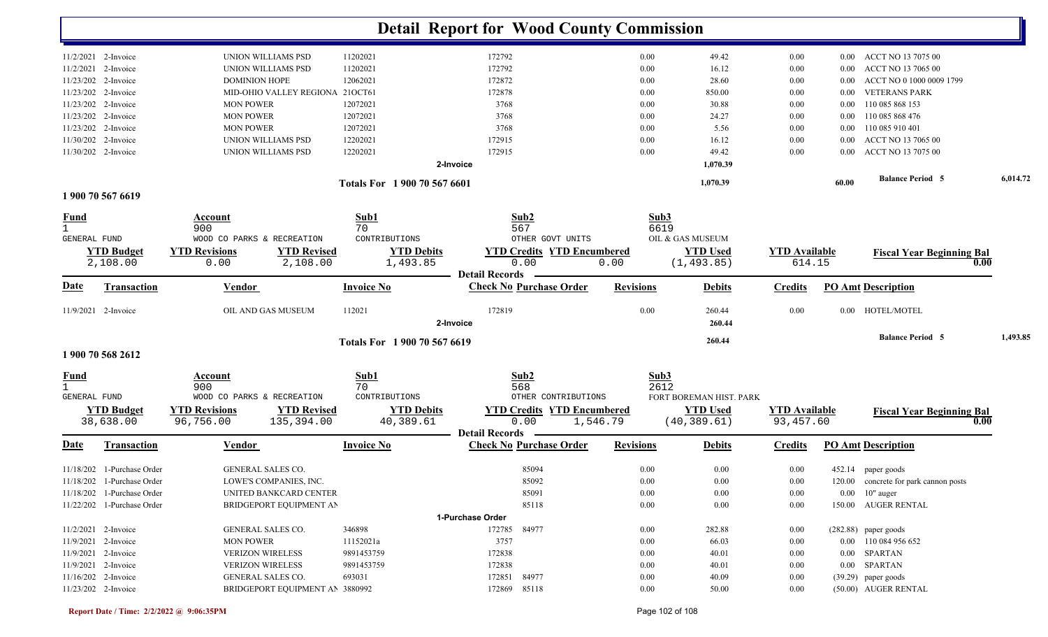|                     |                                            |                                 |                    |                              | <b>Detail Report for Wood County Commission</b>         |                  |                         |                      |          |                                                |          |
|---------------------|--------------------------------------------|---------------------------------|--------------------|------------------------------|---------------------------------------------------------|------------------|-------------------------|----------------------|----------|------------------------------------------------|----------|
|                     |                                            |                                 |                    |                              |                                                         |                  |                         |                      |          |                                                |          |
|                     | 11/2/2021 2-Invoice                        | UNION WILLIAMS PSD              |                    | 11202021                     | 172792                                                  | 0.00             | 49.42                   | 0.00                 | $0.00\,$ | ACCT NO 13 7075 00                             |          |
|                     | 11/2/2021 2-Invoice<br>11/23/202 2-Invoice | UNION WILLIAMS PSD              |                    | 11202021                     | 172792                                                  | 0.00             | 16.12                   | 0.00                 | 0.00     | ACCT NO 13 7065 00<br>ACCT NO 0 1000 0009 1799 |          |
|                     |                                            | <b>DOMINION HOPE</b>            |                    | 12062021                     | 172872                                                  | 0.00             | 28.60                   | 0.00                 | 0.00     |                                                |          |
|                     | 11/23/202 2-Invoice                        | MID-OHIO VALLEY REGIONA         |                    | 21OCT61                      | 172878                                                  | 0.00             | 850.00                  | 0.00                 | 0.00     | <b>VETERANS PARK</b>                           |          |
|                     | 11/23/202 2-Invoice                        | <b>MON POWER</b>                |                    | 12072021                     | 3768                                                    | 0.00             | 30.88                   | 0.00                 | 0.00     | 110 085 868 153                                |          |
|                     | 11/23/202 2-Invoice                        | <b>MON POWER</b>                |                    | 12072021                     | 3768                                                    | 0.00             | 24.27                   | 0.00                 | 0.00     | 110 085 868 476                                |          |
|                     | 11/23/202 2-Invoice                        | <b>MON POWER</b>                |                    | 12072021                     | 3768                                                    | 0.00             | 5.56                    | 0.00                 | 0.00     | 110 085 910 401                                |          |
|                     | 11/30/202 2-Invoice                        | UNION WILLIAMS PSD              |                    | 12202021                     | 172915                                                  | 0.00             | 16.12                   | 0.00                 | 0.00     | ACCT NO 13 7065 00                             |          |
|                     | 11/30/202 2-Invoice                        | UNION WILLIAMS PSD              |                    | 12202021                     | 172915<br>2-Invoice                                     | 0.00             | 49.42<br>1,070.39       | 0.00                 | 0.00     | ACCT NO 13 7075 00                             |          |
|                     |                                            |                                 |                    | Totals For 1 900 70 567 6601 |                                                         |                  | 1,070.39                |                      | 60.00    | <b>Balance Period 5</b>                        | 6,014.72 |
|                     | 1 900 70 567 6619                          |                                 |                    |                              |                                                         |                  |                         |                      |          |                                                |          |
| <u>Fund</u>         |                                            | Account                         |                    | Sub1                         | Sub2                                                    |                  | Sub3                    |                      |          |                                                |          |
|                     |                                            | 900                             |                    | 70                           | 567                                                     |                  | 6619                    |                      |          |                                                |          |
| <b>GENERAL FUND</b> |                                            | WOOD CO PARKS & RECREATION      |                    | CONTRIBUTIONS                | OTHER GOVT UNITS                                        |                  | OIL & GAS MUSEUM        |                      |          |                                                |          |
|                     | <b>YTD Budget</b>                          | <b>YTD Revisions</b>            | <b>YTD Revised</b> | <b>YTD Debits</b>            | <b>YTD Credits YTD Encumbered</b>                       |                  | <b>YTD Used</b>         | <b>YTD Available</b> |          | <b>Fiscal Year Beginning Bal</b>               |          |
|                     | 2,108.00                                   | 0.00                            | 2,108.00           | 1,493.85                     | 0.00<br><b>Detail Records</b>                           | 0.00             | (1, 493.85)             | 614.15               |          | 0.00                                           |          |
| <u>Date</u>         | <b>Transaction</b>                         | <b>Vendor</b>                   |                    | <b>Invoice No</b>            | <b>Check No Purchase Order</b>                          | <b>Revisions</b> | <b>Debits</b>           | <b>Credits</b>       |          | <b>PO Amt Description</b>                      |          |
|                     | 11/9/2021 2-Invoice                        | OIL AND GAS MUSEUM              |                    | 112021                       | 172819<br>2-Invoice                                     | 0.00             | 260.44<br>260.44        | 0.00                 |          | 0.00 HOTEL/MOTEL                               |          |
|                     |                                            |                                 |                    | Totals For 1 900 70 567 6619 |                                                         |                  | 260.44                  |                      |          | <b>Balance Period 5</b>                        | 1,493.85 |
|                     | 1 900 70 568 2612                          |                                 |                    |                              |                                                         |                  |                         |                      |          |                                                |          |
| <u>Fund</u>         |                                            | Account                         |                    | Sub1                         | Sub2                                                    |                  | Sub3                    |                      |          |                                                |          |
|                     |                                            | 900                             |                    | 70                           | 568                                                     |                  | 2612                    |                      |          |                                                |          |
| GENERAL FUND        |                                            | WOOD CO PARKS & RECREATION      |                    | CONTRIBUTIONS                | OTHER CONTRIBUTIONS                                     |                  | FORT BOREMAN HIST. PARK |                      |          |                                                |          |
|                     | <b>YTD Budget</b>                          | <b>YTD Revisions</b>            | <b>YTD Revised</b> | <b>YTD Debits</b>            | <b>YTD Credits YTD Encumbered</b>                       |                  | <b>YTD Used</b>         | <b>YTD Available</b> |          | <b>Fiscal Year Beginning Bal</b>               |          |
|                     | 38,638.00                                  | 96,756.00                       | 135,394.00         | 40,389.61                    | 0.00                                                    | 1,546.79         | (40, 389.61)            | 93,457.60            |          | 0.00                                           |          |
| <u>Date</u>         | <b>Transaction</b>                         | Vendor                          |                    | <b>Invoice No</b>            | <b>Detail Records</b><br><b>Check No Purchase Order</b> | <b>Revisions</b> | <b>Debits</b>           | <b>Credits</b>       |          | <b>PO Amt Description</b>                      |          |
|                     |                                            |                                 |                    |                              |                                                         |                  |                         |                      |          |                                                |          |
|                     | 11/18/202 1-Purchase Order                 | GENERAL SALES CO.               |                    |                              | 85094                                                   | 0.00             | 0.00                    | 0.00                 |          | 452.14 paper goods                             |          |
|                     | 11/18/202 1-Purchase Order                 | LOWE'S COMPANIES, INC.          |                    |                              | 85092                                                   | 0.00             | $0.00\,$                | $0.00\,$             |          | 120.00 concrete for park cannon posts          |          |
|                     | 11/18/202 1-Purchase Order                 | UNITED BANKCARD CENTER          |                    |                              | 85091                                                   | 0.00             | 0.00                    | 0.00                 |          | $0.00 \, 10$ " auger                           |          |
|                     | 11/22/202 1-Purchase Order                 | BRIDGEPORT EQUIPMENT AN         |                    |                              | 85118                                                   | 0.00             | 0.00                    | 0.00                 |          | 150.00 AUGER RENTAL                            |          |
|                     |                                            |                                 |                    |                              | 1-Purchase Order                                        |                  |                         |                      |          |                                                |          |
|                     | 11/2/2021 2-Invoice                        | GENERAL SALES CO.               |                    | 346898                       | 172785 84977                                            | 0.00             | 282.88                  | 0.00                 |          | $(282.88)$ paper goods                         |          |
|                     | 11/9/2021 2-Invoice                        | <b>MON POWER</b>                |                    | 11152021a                    | 3757                                                    | 0.00             | 66.03                   | 0.00                 |          | 0.00 110 084 956 652                           |          |
|                     | 11/9/2021 2-Invoice                        | <b>VERIZON WIRELESS</b>         |                    | 9891453759                   | 172838                                                  | 0.00             | 40.01                   | $0.00\,$             |          | 0.00 SPARTAN                                   |          |
|                     | 11/9/2021 2-Invoice                        | <b>VERIZON WIRELESS</b>         |                    | 9891453759                   | 172838                                                  | 0.00             | 40.01                   | $0.00\,$             |          | $0.00$ SPARTAN                                 |          |
|                     | 11/16/202 2-Invoice                        | GENERAL SALES CO.               |                    | 693031                       | 172851 84977                                            | 0.00             | 40.09                   | $0.00\,$             |          | $(39.29)$ paper goods                          |          |
|                     | 11/23/202 2-Invoice                        | BRIDGEPORT EQUIPMENT AN 3880992 |                    |                              | 172869 85118                                            | $0.00\,$         | 50.00                   | $0.00\,$             |          | (50.00) AUGER RENTAL                           |          |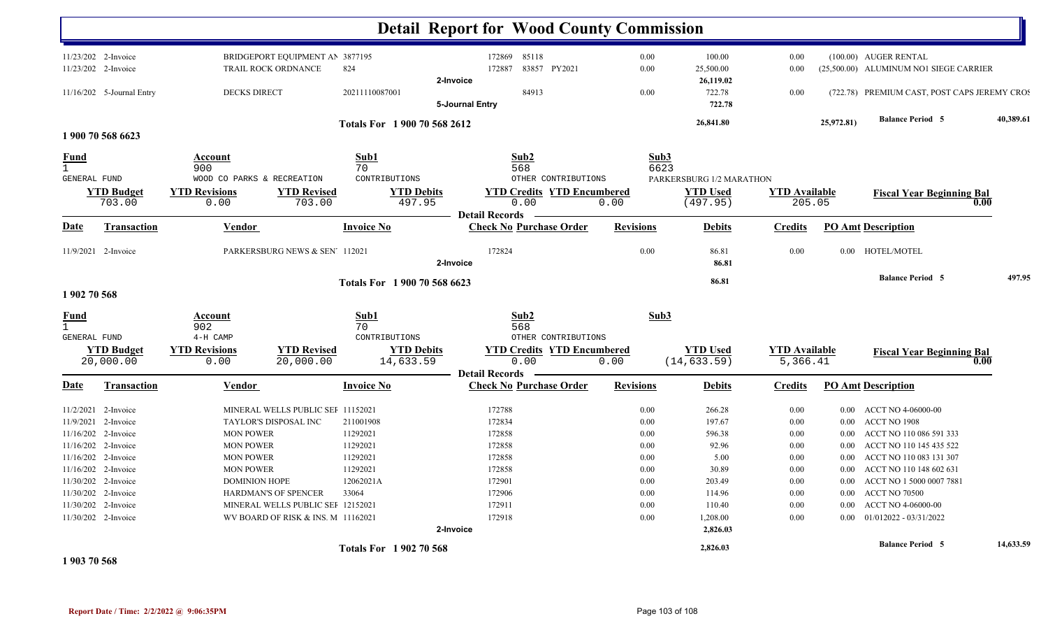|                     |                           |                            |                                    |                   |                              | <b>Detail Report for Wood County Commission</b>         |                  |                          |                                 |            |                                              |           |
|---------------------|---------------------------|----------------------------|------------------------------------|-------------------|------------------------------|---------------------------------------------------------|------------------|--------------------------|---------------------------------|------------|----------------------------------------------|-----------|
|                     | 11/23/202 2-Invoice       |                            | BRIDGEPORT EQUIPMENT AN 3877195    |                   |                              | 172869<br>85118                                         | 0.00             |                          | 100.00<br>0.00                  |            | (100.00) AUGER RENTAL                        |           |
|                     | 11/23/202 2-Invoice       |                            | TRAIL ROCK ORDNANCE                | 824               |                              | 83857 PY2021<br>172887                                  | 0.00             | 25,500.00                | 0.00                            |            | (25,500.00) ALUMINUM NO1 SIEGE CARRIER       |           |
|                     |                           |                            |                                    |                   | 2-Invoice                    |                                                         |                  | 26,119.02                |                                 |            |                                              |           |
|                     | 11/16/202 5-Journal Entry | <b>DECKS DIRECT</b>        |                                    | 20211110087001    |                              | 84913                                                   | 0.00             |                          | 722.78<br>0.00                  |            | (722.78) PREMIUM CAST, POST CAPS JEREMY CROS |           |
|                     |                           |                            |                                    |                   | 5-Journal Entry              |                                                         |                  |                          | 722.78                          |            |                                              |           |
|                     |                           |                            |                                    |                   | Totals For 1 900 70 568 2612 |                                                         |                  | 26,841.80                |                                 | 25,972.81) | <b>Balance Period 5</b>                      | 40.389.61 |
|                     | 1 900 70 568 6623         |                            |                                    |                   |                              |                                                         |                  |                          |                                 |            |                                              |           |
| Fund                |                           | Account                    |                                    | Sub1              |                              | Sub2                                                    |                  | Sub3                     |                                 |            |                                              |           |
| $\mathbf{1}$        |                           | 900                        |                                    | 70                |                              | 568                                                     |                  | 6623                     |                                 |            |                                              |           |
| <b>GENERAL FUND</b> |                           | WOOD CO PARKS & RECREATION |                                    | CONTRIBUTIONS     |                              | OTHER CONTRIBUTIONS                                     |                  | PARKERSBURG 1/2 MARATHON |                                 |            |                                              |           |
|                     | <b>YTD Budget</b>         | <b>YTD Revisions</b>       | <b>YTD Revised</b>                 |                   | <b>YTD Debits</b>            | <b>YTD Credits YTD Encumbered</b>                       |                  | <b>YTD Used</b>          | <b>YTD</b> Available            |            | <b>Fiscal Year Beginning Bal</b>             |           |
|                     | 703.00                    | 0.00                       | 703.00                             |                   | 497.95                       | 0.00                                                    | 0.00             | (497.95)                 |                                 | 205.05     |                                              | 0.00      |
| Date                |                           |                            |                                    | <b>Invoice No</b> |                              | <b>Detail Records</b><br><b>Check No Purchase Order</b> | <b>Revisions</b> |                          | <b>Credits</b>                  |            | <b>PO Amt Description</b>                    |           |
|                     | <b>Transaction</b>        | Vendor                     |                                    |                   |                              |                                                         |                  |                          | <b>Debits</b>                   |            |                                              |           |
|                     | 11/9/2021 2-Invoice       |                            | PARKERSBURG NEWS & SEN' 112021     |                   |                              | 172824                                                  | 0.00             |                          | 86.81<br>0.00                   |            | 0.00 HOTEL/MOTEL                             |           |
|                     |                           |                            |                                    |                   | 2-Invoice                    |                                                         |                  |                          | 86.81                           |            |                                              |           |
|                     |                           |                            |                                    |                   |                              |                                                         |                  |                          |                                 |            | <b>Balance Period 5</b>                      | 497.95    |
| 1 902 70 568        |                           |                            |                                    |                   | Totals For 1900 70 568 6623  |                                                         |                  |                          | 86.81                           |            |                                              |           |
| <b>Fund</b>         |                           | <b>Account</b>             |                                    | Sub1              |                              | Sub2                                                    |                  | Sub3                     |                                 |            |                                              |           |
| $\mathbf{1}$        |                           | 902                        |                                    | 70                |                              | 568                                                     |                  |                          |                                 |            |                                              |           |
| <b>GENERAL FUND</b> |                           | $4-H$ CAMP                 |                                    | CONTRIBUTIONS     |                              | OTHER CONTRIBUTIONS                                     |                  |                          |                                 |            |                                              |           |
|                     | <b>YTD Budget</b>         | <b>YTD Revisions</b>       | <b>YTD Revised</b>                 |                   | <b>YTD Debits</b>            | <b>YTD Credits YTD Encumbered</b>                       |                  | <b>YTD</b> Used          | <b>YTD</b> Available            |            | <b>Fiscal Year Beginning Bal</b>             |           |
|                     | 20,000.00                 | 0.00                       | 20,000.00                          |                   | 14,633.59                    | 0.00                                                    | 0.00             | (14, 633.59)             |                                 | 5,366.41   |                                              | 0.00      |
|                     |                           |                            |                                    |                   |                              | <b>Detail Records</b>                                   |                  |                          |                                 |            |                                              |           |
| <b>Date</b>         | <b>Transaction</b>        | <b>Vendor</b>              |                                    | <b>Invoice No</b> |                              | <b>Check No Purchase Order</b>                          | <b>Revisions</b> |                          | <b>Debits</b><br><u>Credits</u> |            | <b>PO Amt Description</b>                    |           |
| 11/2/2021           | 2-Invoice                 |                            | MINERAL WELLS PUBLIC SEI 11152021  |                   |                              | 172788                                                  | 0.00             |                          | 266.28<br>0.00                  | 0.00       | ACCT NO 4-06000-00                           |           |
| 11/9/2021           | 2-Invoice                 |                            | TAYLOR'S DISPOSAL INC              | 211001908         |                              | 172834                                                  | 0.00             |                          | 197.67<br>0.00                  | $0.00\,$   | ACCT NO 1908                                 |           |
| 11/16/202           | 2-Invoice                 | <b>MON POWER</b>           |                                    | 11292021          |                              | 172858                                                  | 0.00             |                          | 596.38<br>0.00                  | $0.00\,$   | ACCT NO 110 086 591 333                      |           |
| 11/16/202           | 2-Invoice                 | <b>MON POWER</b>           |                                    | 11292021          |                              | 172858                                                  | 0.00             |                          | 92.96<br>0.00                   | 0.00       | ACCT NO 110 145 435 522                      |           |
|                     | 11/16/202 2-Invoice       | <b>MON POWER</b>           |                                    | 11292021          |                              | 172858                                                  | 0.00             |                          | 5.00<br>0.00                    | $0.00\,$   | ACCT NO 110 083 131 307                      |           |
|                     | 11/16/202 2-Invoice       | <b>MON POWER</b>           |                                    | 11292021          |                              | 172858                                                  | 0.00             |                          | 30.89<br>0.00                   | 0.00       | ACCT NO 110 148 602 631                      |           |
| 11/30/202           | 2-Invoice                 | <b>DOMINION HOPE</b>       |                                    | 12062021A         |                              | 172901                                                  | 0.00             |                          | 203.49<br>0.00                  | 0.00       | ACCT NO 1 5000 0007 7881                     |           |
|                     | 11/30/202 2-Invoice       |                            | HARDMAN'S OF SPENCER               | 33064             |                              | 172906                                                  | 0.00             |                          | 114.96<br>0.00                  | $0.00\,$   | <b>ACCT NO 70500</b>                         |           |
|                     | 11/30/202 2-Invoice       |                            | MINERAL WELLS PUBLIC SEI 12152021  |                   |                              | 172911                                                  | 0.00             |                          | 110.40<br>0.00                  | 0.00       | ACCT NO 4-06000-00                           |           |
|                     | 11/30/202 2-Invoice       |                            | WV BOARD OF RISK & INS. M 11162021 |                   |                              | 172918                                                  | 0.00             | 1,208.00                 | 0.00                            | 0.00       | 01/012022 - 03/31/2022                       |           |
|                     |                           |                            |                                    |                   | 2-Invoice                    |                                                         |                  |                          | 2,826.03                        |            |                                              |           |
|                     |                           |                            |                                    |                   | Totals For 1902 70 568       |                                                         |                  | 2,826.03                 |                                 |            | <b>Balance Period 5</b>                      | 14,633.59 |

**1 903 70 568**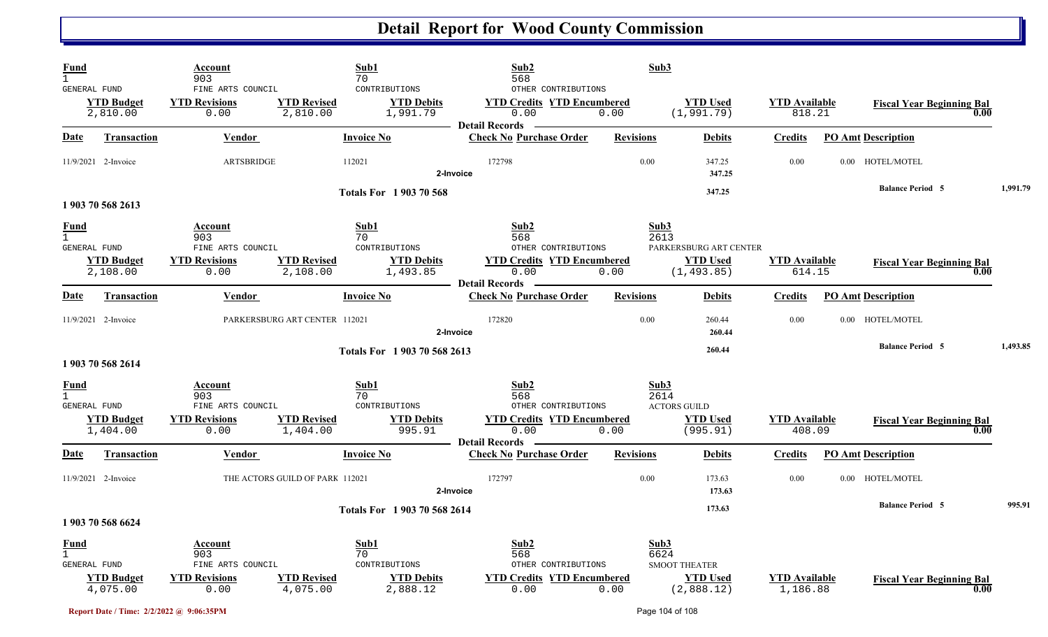| Fund<br>$\mathbf{1}$                               |                                                      | Account<br>903<br>FINE ARTS COUNCIL                                        | Sub1<br>70                                   | CONTRIBUTIONS                                  | Sub2<br>568<br>OTHER CONTRIBUTIONS                                                          |                  | Sub3                                                                     |                                |                                  |      |          |
|----------------------------------------------------|------------------------------------------------------|----------------------------------------------------------------------------|----------------------------------------------|------------------------------------------------|---------------------------------------------------------------------------------------------|------------------|--------------------------------------------------------------------------|--------------------------------|----------------------------------|------|----------|
|                                                    | GENERAL FUND<br><b>YTD Budget</b><br>2,810.00        | <b>YTD Revisions</b><br>0.00                                               | <b>YTD Revised</b><br>2,810.00               | <b>YTD Debits</b><br>1,991.79                  | <b>YTD Credits YTD Encumbered</b><br>0.00<br><b>Detail Records</b>                          | 0.00             | <b>YTD Used</b><br>(1, 991.79)                                           | <b>YTD</b> Available<br>818.21 | <b>Fiscal Year Beginning Bal</b> | 0.00 |          |
| Date                                               | <b>Transaction</b>                                   | <b>Vendor</b>                                                              | <b>Invoice No</b>                            |                                                | <b>Check No Purchase Order</b>                                                              | <b>Revisions</b> | <b>Debits</b>                                                            | <b>Credits</b>                 | <b>PO Amt Description</b>        |      |          |
|                                                    | 11/9/2021 2-Invoice                                  | <b>ARTSBRIDGE</b>                                                          | 112021                                       |                                                | 172798<br>2-Invoice                                                                         | 0.00             | 347.25<br>347.25                                                         | 0.00                           | 0.00 HOTEL/MOTEL                 |      |          |
|                                                    | 1 903 70 568 2613                                    |                                                                            |                                              | <b>Totals For 1903 70 568</b>                  |                                                                                             |                  | 347.25                                                                   |                                | <b>Balance Period 5</b>          |      | 1,991.79 |
| <u>Fund</u><br>$\mathbf{1}$<br><b>GENERAL FUND</b> | <b>YTD Budget</b><br>2,108.00                        | <b>Account</b><br>903<br>FINE ARTS COUNCIL<br><b>YTD Revisions</b><br>0.00 | Sub1<br>70<br><b>YTD Revised</b><br>2,108.00 | CONTRIBUTIONS<br><b>YTD Debits</b><br>1,493.85 | Sub <sub>2</sub><br>568<br>OTHER CONTRIBUTIONS<br><b>YTD Credits YTD Encumbered</b><br>0.00 | 0.00             | Sub3<br>2613<br>PARKERSBURG ART CENTER<br><b>YTD</b> Used<br>(1, 493.85) | <b>YTD Available</b><br>614.15 | <b>Fiscal Year Beginning Bal</b> | 0.00 |          |
| <b>Date</b>                                        | <b>Transaction</b>                                   | Vendor                                                                     | <b>Invoice No</b>                            |                                                | <b>Detail Records</b><br><b>Check No Purchase Order</b>                                     | <b>Revisions</b> | <b>Debits</b>                                                            | <b>Credits</b>                 | <b>PO Amt Description</b>        |      |          |
|                                                    | 11/9/2021 2-Invoice                                  |                                                                            | PARKERSBURG ART CENTER 112021                |                                                | 172820<br>2-Invoice                                                                         | 0.00             | 260.44<br>260.44                                                         | 0.00                           | 0.00 HOTEL/MOTEL                 |      |          |
|                                                    | 1 903 70 568 2614                                    |                                                                            |                                              | Totals For 1903 70 568 2613                    |                                                                                             |                  | 260.44                                                                   |                                | <b>Balance Period 5</b>          |      | 1,493.85 |
| Fund<br>$\mathbf{1}$                               |                                                      | Account<br>903                                                             | Sub1<br>70                                   |                                                | Sub2<br>568                                                                                 |                  | Sub3<br>2614                                                             |                                |                                  |      |          |
|                                                    | <b>GENERAL FUND</b><br><b>YTD Budget</b><br>1,404.00 | FINE ARTS COUNCIL<br><b>YTD Revisions</b><br>0.00                          | <b>YTD Revised</b><br>1,404.00               | CONTRIBUTIONS<br><b>YTD Debits</b><br>995.91   | OTHER CONTRIBUTIONS<br><b>YTD Credits YTD Encumbered</b><br>0.00<br><b>Detail Records</b>   | 0.00             | <b>ACTORS GUILD</b><br><b>YTD</b> Used<br>(995.91)                       | <b>YTD Available</b><br>408.09 | <b>Fiscal Year Beginning Bal</b> | 0.00 |          |
| <b>Date</b>                                        | <b>Transaction</b>                                   | <b>Vendor</b>                                                              | <b>Invoice No</b>                            |                                                | <b>Check No Purchase Order</b>                                                              | <b>Revisions</b> | <b>Debits</b>                                                            | <b>Credits</b>                 | <b>PO Amt Description</b>        |      |          |
|                                                    | 11/9/2021 2-Invoice                                  |                                                                            | THE ACTORS GUILD OF PARK 112021              |                                                | 172797<br>2-Invoice                                                                         | 0.00             | 173.63<br>173.63                                                         | 0.00                           | 0.00 HOTEL/MOTEL                 |      |          |
|                                                    | 1 903 70 568 6624                                    |                                                                            |                                              | Totals For 1903 70 568 2614                    |                                                                                             |                  | 173.63                                                                   |                                | <b>Balance Period 5</b>          |      | 995.91   |
| Fund<br>$\mathbf{1}$                               | <b>GENERAL FUND</b><br><b>YTD Budget</b>             | Account<br>903<br>FINE ARTS COUNCIL<br><b>YTD Revisions</b>                | Sub1<br>70<br><b>YTD Revised</b>             | CONTRIBUTIONS<br><b>YTD Debits</b>             | Sub2<br>568<br>OTHER CONTRIBUTIONS<br><b>YTD Credits YTD Encumbered</b>                     |                  | Sub3<br>6624<br><b>SMOOT THEATER</b><br><b>YTD</b> Used                  | <b>YTD Available</b>           | <b>Fiscal Year Beginning Bal</b> |      |          |
|                                                    | 4,075.00                                             | 0.00                                                                       | 4,075.00                                     | 2,888.12                                       | 0.00                                                                                        | 0.00             | (2,888.12)                                                               | 1,186.88                       |                                  | 0.00 |          |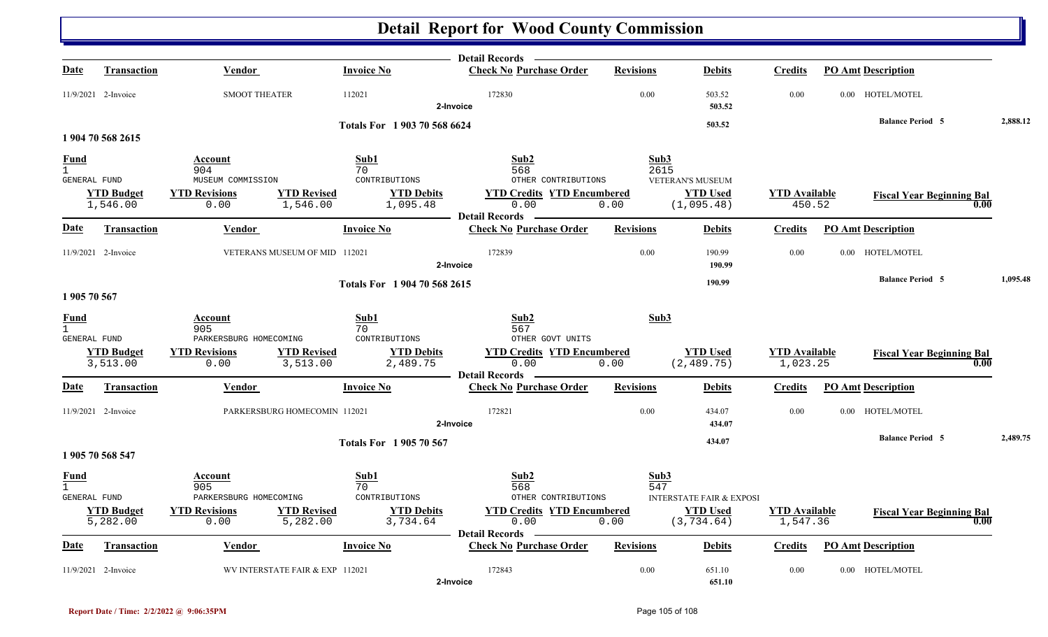|                               |                               |                                          |                                                                 | Detail Records —                                        |                  |                                                                       |                                  |                                  |          |
|-------------------------------|-------------------------------|------------------------------------------|-----------------------------------------------------------------|---------------------------------------------------------|------------------|-----------------------------------------------------------------------|----------------------------------|----------------------------------|----------|
| <b>Date</b>                   | <b>Transaction</b>            | Vendor                                   | <b>Invoice No</b>                                               | <b>Check No Purchase Order</b>                          | <b>Revisions</b> | <b>Debits</b>                                                         | <b>Credits</b>                   | <b>PO Amt Description</b>        |          |
|                               | 11/9/2021 2-Invoice           | <b>SMOOT THEATER</b>                     | 112021                                                          | 172830<br>2-Invoice                                     | 0.00             | 503.52<br>503.52                                                      | 0.00                             | 0.00 HOTEL/MOTEL                 |          |
|                               |                               |                                          | Totals For 1903 70 568 6624                                     |                                                         |                  | 503.52                                                                |                                  | <b>Balance Period 5</b>          | 2,888.12 |
|                               | 1 904 70 568 2615             |                                          |                                                                 |                                                         |                  |                                                                       |                                  |                                  |          |
| <b>Fund</b><br>$\overline{1}$ |                               | Account<br>904                           | Sub1<br>70                                                      | Sub2<br>568                                             | Sub3<br>2615     |                                                                       |                                  |                                  |          |
| GENERAL FUND                  |                               | MUSEUM COMMISSION                        | CONTRIBUTIONS                                                   | OTHER CONTRIBUTIONS                                     |                  | <b>VETERAN'S MUSEUM</b>                                               |                                  |                                  |          |
|                               | <b>YTD Budget</b><br>1,546.00 | <b>YTD Revisions</b><br>0.00             | <b>YTD Revised</b><br><b>YTD Debits</b><br>1,546.00<br>1,095.48 | <b>YTD Credits YTD Encumbered</b><br>0.00               | 0.00             | <b>YTD Used</b><br>(1,095.48)                                         | <b>YTD</b> Available<br>450.52   | <b>Fiscal Year Beginning Bal</b> | 0.00     |
| <u>Date</u>                   | <b>Transaction</b>            | <b>Vendor</b>                            | <b>Invoice No</b>                                               | <b>Detail Records</b><br><b>Check No Purchase Order</b> | <b>Revisions</b> | <b>Debits</b>                                                         | <b>Credits</b>                   | <b>PO Amt Description</b>        |          |
|                               | 11/9/2021 2-Invoice           | VETERANS MUSEUM OF MID 112021            |                                                                 | 172839<br>2-Invoice                                     | 0.00             | 190.99<br>190.99                                                      | 0.00                             | 0.00 HOTEL/MOTEL                 |          |
| 1905 70 567                   |                               |                                          | Totals For 1904 70 568 2615                                     |                                                         |                  | 190.99                                                                |                                  | <b>Balance Period 5</b>          | 1,095.48 |
| Fund<br>$\overline{1}$        |                               | Account                                  | Sub1                                                            | Sub2                                                    | Sub3             |                                                                       |                                  |                                  |          |
| GENERAL FUND                  |                               | 905<br>PARKERSBURG HOMECOMING            | 70<br>CONTRIBUTIONS                                             | 567<br>OTHER GOVT UNITS                                 |                  |                                                                       |                                  |                                  |          |
|                               | <b>YTD Budget</b><br>3,513.00 | <b>YTD Revisions</b><br>0.00             | <b>YTD Revised</b><br><b>YTD Debits</b><br>3,513.00<br>2,489.75 | <b>YTD Credits YTD Encumbered</b><br>0.00               | 0.00             | <b>YTD Used</b><br>(2, 489.75)                                        | <b>YTD</b> Available<br>1,023.25 | <b>Fiscal Year Beginning Bal</b> | 0.00     |
| Date                          | Transaction                   | <b>Vendor</b>                            | <b>Invoice No</b>                                               | <b>Detail Records</b><br><b>Check No Purchase Order</b> | <b>Revisions</b> | <b>Debits</b>                                                         | <b>Credits</b>                   | <b>PO Amt Description</b>        |          |
|                               | 11/9/2021 2-Invoice           | PARKERSBURG HOMECOMIN 112021             |                                                                 | 172821<br>2-Invoice                                     | 0.00             | 434.07<br>434.07                                                      | 0.00                             | 0.00 HOTEL/MOTEL                 |          |
|                               | 1 905 70 568 547              |                                          | <b>Totals For 1905 70 567</b>                                   |                                                         |                  | 434.07                                                                |                                  | <b>Balance Period 5</b>          | 2,489.75 |
| <b>Fund</b><br>$\overline{1}$ |                               | Account<br>905<br>PARKERSBURG HOMECOMING | Sub1<br>70<br>CONTRIBUTIONS                                     | Sub <sub>2</sub><br>568<br>OTHER CONTRIBUTIONS          | Sub3<br>547      |                                                                       |                                  |                                  |          |
| GENERAL FUND                  | <b>YTD Budget</b><br>5,282.00 | <b>YTD Revisions</b><br>0.00             | <b>YTD Debits</b><br><b>YTD Revised</b><br>5,282.00<br>3,734.64 | <b>YTD Credits YTD Encumbered</b><br>0.00               | 0.00             | <b>INTERSTATE FAIR &amp; EXPOSI</b><br><b>YTD Used</b><br>(3, 734.64) | <b>YTD Available</b><br>1,547.36 | <b>Fiscal Year Beginning Bal</b> | 0.00     |
| Date                          | Transaction                   | <b>Vendor</b>                            | <b>Invoice No</b>                                               | <b>Detail Records</b><br><b>Check No Purchase Order</b> | <b>Revisions</b> | <b>Debits</b>                                                         | Credits                          | <b>PO Amt Description</b>        |          |
|                               | 11/9/2021 2-Invoice           | WV INTERSTATE FAIR & EXP 112021          |                                                                 | 172843<br>2-Invoice                                     | 0.00             | 651.10<br>651.10                                                      | 0.00                             | 0.00 HOTEL/MOTEL                 |          |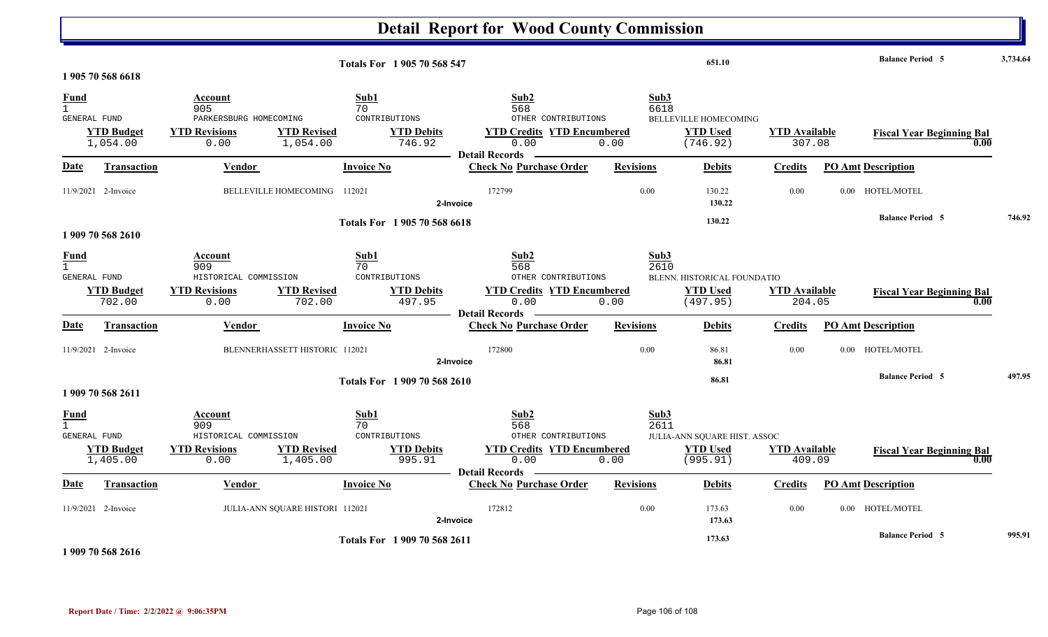|                                             |                               |                                                                                                      |                                                                        | <b>Detail Report for Wood County Commission</b>                                                          |                      |                                                             |                                |                |                                          |          |
|---------------------------------------------|-------------------------------|------------------------------------------------------------------------------------------------------|------------------------------------------------------------------------|----------------------------------------------------------------------------------------------------------|----------------------|-------------------------------------------------------------|--------------------------------|----------------|------------------------------------------|----------|
|                                             | 1 905 70 568 6618             |                                                                                                      | Totals For 1 905 70 568 547                                            |                                                                                                          |                      | 651.10                                                      |                                |                | <b>Balance Period 5</b>                  | 3,734.64 |
| Fund<br>$\mathbf{1}$<br>GENERAL FUND        | <b>YTD Budget</b><br>1,054.00 | Account<br>905<br>PARKERSBURG HOMECOMING<br><b>YTD Revised</b><br><b>YTD Revisions</b><br>0.00       | Sub1<br>70<br>CONTRIBUTIONS<br><b>YTD Debits</b><br>1,054.00<br>746.92 | Sub2<br>568<br>OTHER CONTRIBUTIONS<br><b>YTD Credits YTD Encumbered</b><br>0.00<br><b>Detail Records</b> | Sub3<br>6618<br>0.00 | <b>BELLEVILLE HOMECOMING</b><br><b>YTD Used</b><br>(746.92) | <b>YTD</b> Available<br>307.08 |                | <b>Fiscal Year Beginning Bal</b><br>0.00 |          |
| Date                                        | <b>Transaction</b>            | Vendor                                                                                               | <b>Invoice No</b>                                                      | <b>Check No Purchase Order</b>                                                                           | <b>Revisions</b>     | <b>Debits</b>                                               | Credits                        |                | <b>PO Amt Description</b>                |          |
|                                             | 11/9/2021 2-Invoice           | BELLEVILLE HOMECOMING                                                                                | 112021                                                                 | 172799<br>2-Invoice                                                                                      | 0.00                 | 130.22<br>130.22                                            | 0.00                           |                | 0.00 HOTEL/MOTEL                         |          |
|                                             | 1 909 70 568 2610             |                                                                                                      | Totals For 1905 70 568 6618                                            |                                                                                                          |                      | 130.22                                                      |                                |                | <b>Balance Period 5</b>                  | 746.92   |
| <b>Fund</b><br>$\mathbf{1}$<br>GENERAL FUND | <b>YTD Budget</b><br>702.00   | <u>Account</u><br>909<br>HISTORICAL COMMISSION<br><b>YTD Revisions</b><br><b>YTD Revised</b><br>0.00 | Sub1<br>70<br>CONTRIBUTIONS<br><b>YTD Debits</b><br>497.95<br>702.00   | Sub2<br>568<br>OTHER CONTRIBUTIONS<br><b>YTD Credits YTD Encumbered</b><br>0.00                          | Sub3<br>2610<br>0.00 | BLENN. HISTORICAL FOUNDATIO<br><b>YTD Used</b><br>(497.95)  | <b>YTD Available</b><br>204.05 |                | <b>Fiscal Year Beginning Bal</b><br>0.00 |          |
| Date                                        | <b>Transaction</b>            | Vendor                                                                                               | <b>Invoice No</b>                                                      | <b>Detail Records</b><br><b>Check No Purchase Order</b>                                                  | <b>Revisions</b>     | <b>Debits</b>                                               | Credits                        |                | <b>PO Amt Description</b>                |          |
|                                             | 11/9/2021 2-Invoice           | BLENNERHASSETT HISTORIC 112021                                                                       |                                                                        | 172800<br>2-Invoice                                                                                      | 0.00                 | 86.81<br>86.81                                              | 0.00                           | $0.00^{\circ}$ | HOTEL/MOTEL                              |          |
|                                             | 1 909 70 568 2611             |                                                                                                      | Totals For 1909 70 568 2610                                            |                                                                                                          |                      | 86.81                                                       |                                |                | <b>Balance Period 5</b>                  | 497.95   |
| Fund<br>GENERAL FUND                        | <b>YTD Budget</b><br>1,405.00 | Account<br>909<br>HISTORICAL COMMISSION<br><b>YTD Revised</b><br><b>YTD Revisions</b><br>0.00        | Sub1<br>70<br>CONTRIBUTIONS<br><b>YTD Debits</b><br>1,405.00<br>995.91 | Sub2<br>568<br>OTHER CONTRIBUTIONS<br><b>YTD Credits YTD Encumbered</b><br>0.00                          | Sub3<br>2611<br>0.00 | JULIA-ANN SQUARE HIST. ASSOC<br><b>YTD Used</b><br>(995.91) | <b>YTD</b> Available<br>409.09 |                | <b>Fiscal Year Beginning Bal</b><br>0.00 |          |
| Date                                        | Transaction                   | <b>Vendor</b>                                                                                        | <b>Invoice No</b>                                                      | <b>Detail Records</b><br><b>Check No Purchase Order</b>                                                  | <b>Revisions</b>     | <b>Debits</b>                                               | <b>Credits</b>                 |                | <b>PO Amt Description</b>                |          |
|                                             | 11/9/2021 2-Invoice           | JULIA-ANN SQUARE HISTORI 112021                                                                      |                                                                        | 172812<br>2-Invoice                                                                                      | 0.00                 | 173.63<br>173.63                                            | 0.00                           | $0.00\,$       | HOTEL/MOTEL                              |          |
|                                             |                               |                                                                                                      | Totals For 1909 70 568 2611                                            |                                                                                                          |                      | 173.63                                                      |                                |                | <b>Balance Period 5</b>                  | 995.91   |

**1 909 70 568 2616**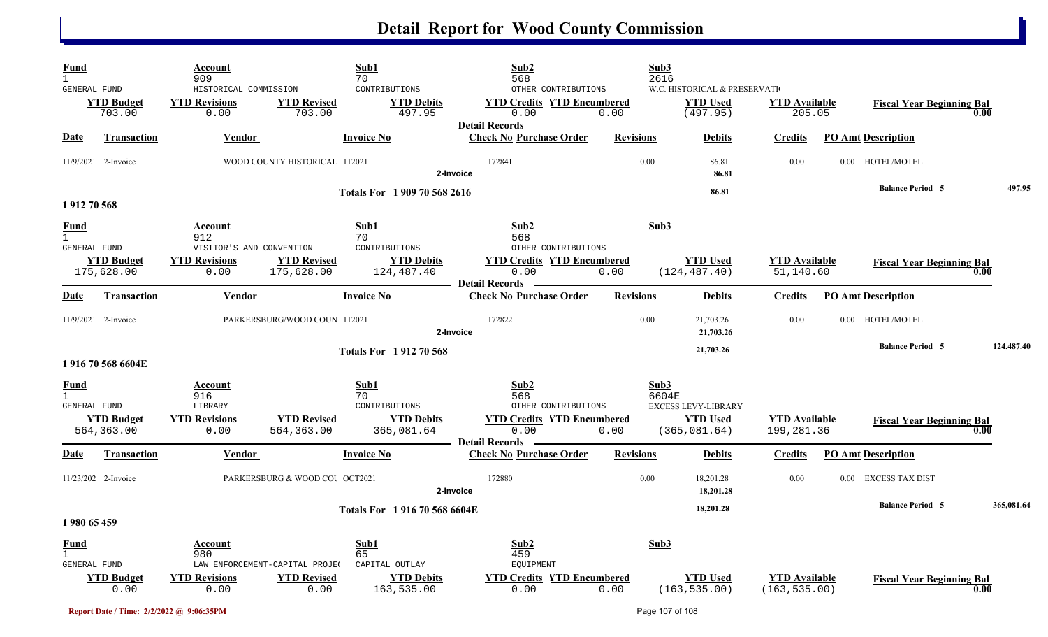| Fund<br>$\mathbf{1}$<br>GENERAL FUND               | <b>YTD Budget</b><br>703.00     | Account<br>909<br>HISTORICAL COMMISSION<br><b>YTD Revisions</b><br>0.00    | <b>YTD Revised</b><br>703.00                                 | Sub1<br>70<br>CONTRIBUTIONS<br><b>YTD Debits</b><br>497.95      | Sub2<br>568<br>OTHER CONTRIBUTIONS<br><b>YTD Credits YTD Encumbered</b><br>0.00                          | Sub3<br>2616<br>0.00  | W.C. HISTORICAL & PRESERVATI<br><b>YTD Used</b><br>(497.95)    | <b>YTD Available</b><br>205.05        | <b>Fiscal Year Beginning Bal</b> | 0.00 |            |
|----------------------------------------------------|---------------------------------|----------------------------------------------------------------------------|--------------------------------------------------------------|-----------------------------------------------------------------|----------------------------------------------------------------------------------------------------------|-----------------------|----------------------------------------------------------------|---------------------------------------|----------------------------------|------|------------|
| Date                                               | <b>Transaction</b>              | Vendor                                                                     |                                                              | <b>Invoice No</b>                                               | <b>Detail Records</b><br><b>Check No Purchase Order</b>                                                  | <b>Revisions</b>      | <b>Debits</b>                                                  | <b>Credits</b>                        | <b>PO Amt Description</b>        |      |            |
|                                                    | 11/9/2021 2-Invoice             |                                                                            | WOOD COUNTY HISTORICAL 112021                                |                                                                 | 172841<br>2-Invoice                                                                                      | 0.00                  | 86.81<br>86.81                                                 | 0.00                                  | 0.00 HOTEL/MOTEL                 |      |            |
| 1912 70 568                                        |                                 |                                                                            |                                                              | Totals For 1909 70 568 2616                                     |                                                                                                          |                       | 86.81                                                          |                                       | <b>Balance Period 5</b>          |      | 497.95     |
| <u>Fund</u><br>$\mathbf{1}$<br><b>GENERAL FUND</b> | <b>YTD Budget</b><br>175,628.00 | Account<br>912<br>VISITOR'S AND CONVENTION<br><b>YTD Revisions</b><br>0.00 | <b>YTD Revised</b><br>175,628.00                             | Sub1<br>70<br>CONTRIBUTIONS<br><b>YTD Debits</b><br>124,487.40  | Sub2<br>568<br>OTHER CONTRIBUTIONS<br><b>YTD Credits YTD Encumbered</b><br>0.00<br><b>Detail Records</b> | Sub3<br>0.00          | <b>YTD Used</b><br>(124, 487.40)                               | <b>YTD</b> Available<br>51,140.60     | <b>Fiscal Year Beginning Bal</b> | 0.00 |            |
| Date                                               | Transaction                     | Vendor                                                                     |                                                              | <b>Invoice No</b>                                               | <b>Check No Purchase Order</b>                                                                           | <b>Revisions</b>      | <b>Debits</b>                                                  | <b>Credits</b>                        | <b>PO Amt Description</b>        |      |            |
| 11/9/2021 2-Invoice                                |                                 | PARKERSBURG/WOOD COUN 112021                                               |                                                              |                                                                 | 172822<br>2-Invoice                                                                                      | 0.00                  | 21,703.26<br>21,703.26                                         | 0.00                                  | 0.00 HOTEL/MOTEL                 |      |            |
|                                                    | 1916705686604E                  |                                                                            |                                                              | <b>Totals For 191270568</b>                                     |                                                                                                          |                       | 21,703.26                                                      |                                       | <b>Balance Period 5</b>          |      | 124,487.40 |
| <u>Fund</u><br>$\mathbf{1}$<br>GENERAL FUND        | <b>YTD Budget</b><br>564,363.00 | Account<br>916<br>LIBRARY<br><b>YTD Revisions</b><br>0.00                  | <b>YTD Revised</b><br>564,363.00                             | Sub1<br>70<br>CONTRIBUTIONS<br><b>YTD Debits</b><br>365,081.64  | Sub2<br>568<br>OTHER CONTRIBUTIONS<br><b>YTD Credits YTD Encumbered</b><br>0.00                          | Sub3<br>6604E<br>0.00 | <b>EXCESS LEVY-LIBRARY</b><br><b>YTD Used</b><br>(365, 081.64) | <b>YTD Available</b><br>199,281.36    | <b>Fiscal Year Beginning Bal</b> | 0.00 |            |
| Date                                               | <b>Transaction</b>              | Vendor                                                                     |                                                              | <b>Invoice No</b>                                               | Detail Records –<br><b>Check No Purchase Order</b>                                                       | <b>Revisions</b>      | <b>Debits</b>                                                  | <b>Credits</b>                        | <b>PO Amt Description</b>        |      |            |
|                                                    | 11/23/202 2-Invoice             |                                                                            | PARKERSBURG & WOOD COU OCT2021                               |                                                                 | 172880<br>2-Invoice                                                                                      | 0.00                  | 18,201.28<br>18,201.28                                         | 0.00                                  | 0.00 EXCESS TAX DIST             |      |            |
| 1980 65 459                                        |                                 |                                                                            |                                                              | Totals For 1916 70 568 6604E                                    |                                                                                                          |                       | 18,201.28                                                      |                                       | <b>Balance Period 5</b>          |      | 365,081.64 |
| Fund<br>$\mathbf{1}$<br>GENERAL FUND               | <b>YTD Budget</b><br>0.00       | Account<br>980<br><b>YTD Revisions</b><br>0.00                             | LAW ENFORCEMENT-CAPITAL PROJE(<br><b>YTD Revised</b><br>0.00 | Sub1<br>65<br>CAPITAL OUTLAY<br><b>YTD Debits</b><br>163,535.00 | Sub2<br>459<br>EQUIPMENT<br><b>YTD Credits YTD Encumbered</b><br>0.00                                    | Sub3<br>0.00          | <b>YTD Used</b><br>(163, 535.00)                               | <b>YTD</b> Available<br>(163, 535.00) | <b>Fiscal Year Beginning Bal</b> | 0.00 |            |